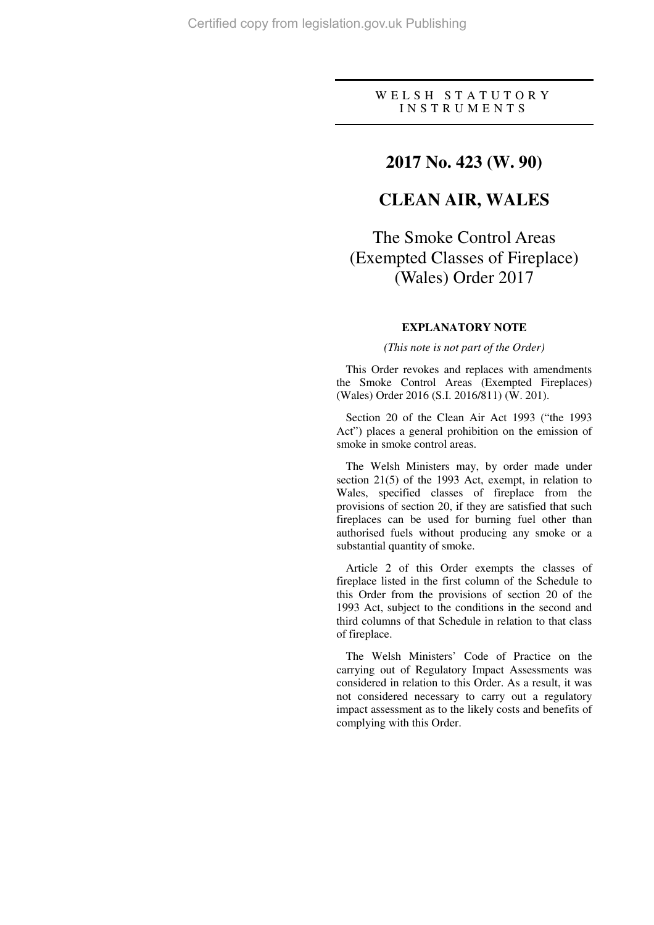### W E L S H S T A T U T O R Y I N S T R U M E N T S

### **2017 No. 423 (W. 90)**

### **CLEAN AIR, WALES**

# The Smoke Control Areas (Exempted Classes of Fireplace) (Wales) Order 2017

### **EXPLANATORY NOTE**

#### *(This note is not part of the Order)*

This Order revokes and replaces with amendments the Smoke Control Areas (Exempted Fireplaces) (Wales) Order 2016 (S.I. 2016/811) (W. 201).

Section 20 of the Clean Air Act 1993 ("the 1993 Act") places a general prohibition on the emission of smoke in smoke control areas.

The Welsh Ministers may, by order made under section 21(5) of the 1993 Act, exempt, in relation to Wales, specified classes of fireplace from the provisions of section 20, if they are satisfied that such fireplaces can be used for burning fuel other than authorised fuels without producing any smoke or a substantial quantity of smoke.

Article 2 of this Order exempts the classes of fireplace listed in the first column of the Schedule to this Order from the provisions of section 20 of the 1993 Act, subject to the conditions in the second and third columns of that Schedule in relation to that class of fireplace.

The Welsh Ministers' Code of Practice on the carrying out of Regulatory Impact Assessments was considered in relation to this Order. As a result, it was not considered necessary to carry out a regulatory impact assessment as to the likely costs and benefits of complying with this Order.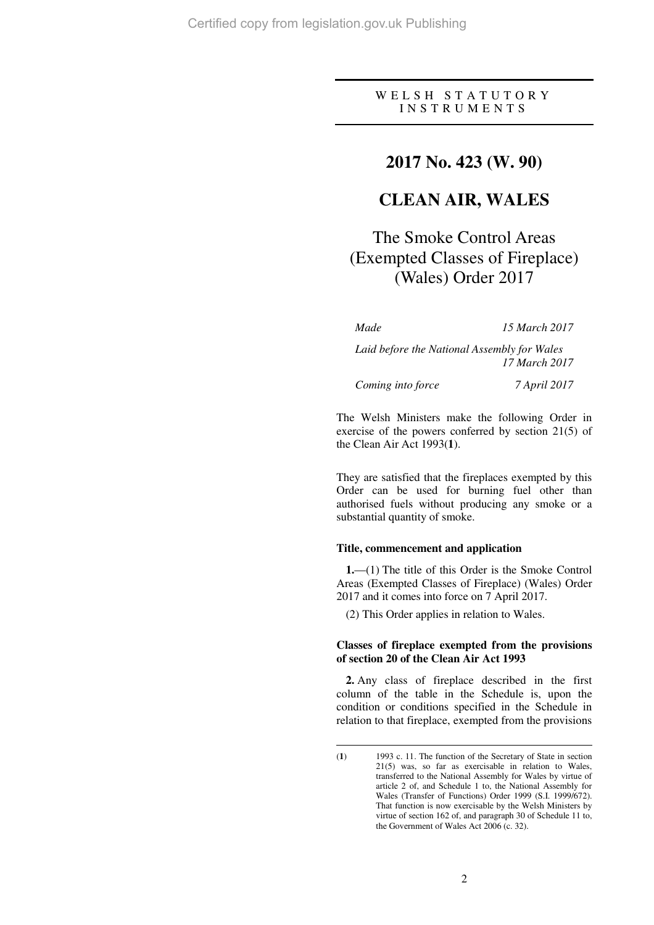### W E L S H S T A T U T O R Y I N S T R U M E N T S

### **2017 No. 423 (W. 90)**

## **CLEAN AIR, WALES**

# The Smoke Control Areas (Exempted Classes of Fireplace) (Wales) Order 2017

 $\overline{a}$ 

*Made 15 March 2017* 

*Laid before the National Assembly for Wales 17 March 2017* 

*Coming into force 7 April 2017* 

The Welsh Ministers make the following Order in exercise of the powers conferred by section 21(5) of the Clean Air Act 1993(**1**).

They are satisfied that the fireplaces exempted by this Order can be used for burning fuel other than authorised fuels without producing any smoke or a substantial quantity of smoke.

#### **Title, commencement and application**

**1.**—(1) The title of this Order is the Smoke Control Areas (Exempted Classes of Fireplace) (Wales) Order 2017 and it comes into force on 7 April 2017.

(2) This Order applies in relation to Wales.

#### **Classes of fireplace exempted from the provisions of section 20 of the Clean Air Act 1993**

**2.** Any class of fireplace described in the first column of the table in the Schedule is, upon the condition or conditions specified in the Schedule in relation to that fireplace, exempted from the provisions

<sup>(</sup>**1**) 1993 c. 11. The function of the Secretary of State in section 21(5) was, so far as exercisable in relation to Wales, transferred to the National Assembly for Wales by virtue of article 2 of, and Schedule 1 to, the National Assembly for Wales (Transfer of Functions) Order 1999 (S.I. 1999/672). That function is now exercisable by the Welsh Ministers by virtue of section 162 of, and paragraph 30 of Schedule 11 to, the Government of Wales Act 2006 (c. 32).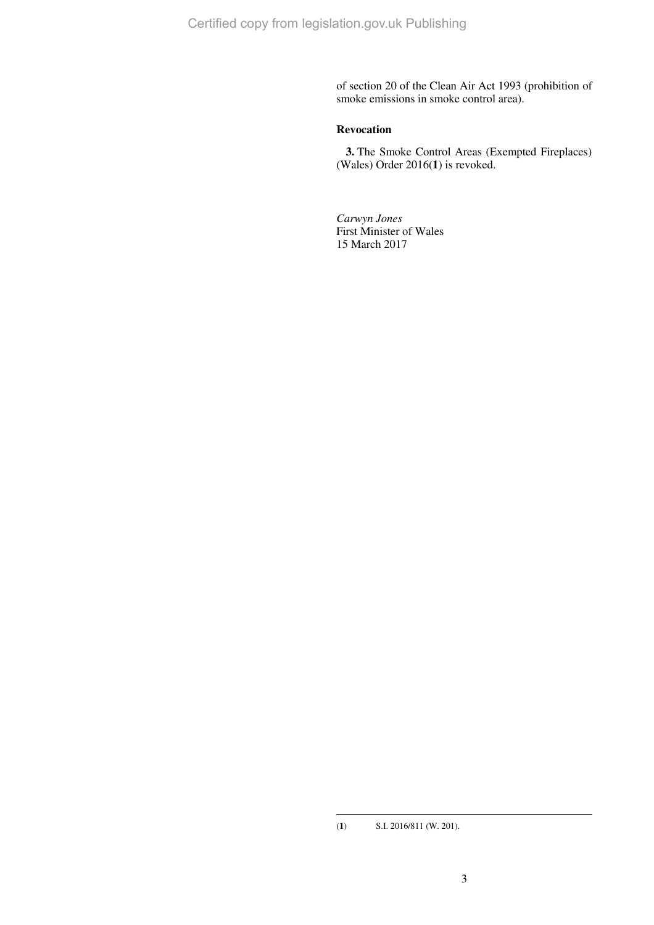of section 20 of the Clean Air Act 1993 (prohibition of smoke emissions in smoke control area).

### **Revocation**

**3.** The Smoke Control Areas (Exempted Fireplaces) (Wales) Order 2016(**1**) is revoked.

*Carwyn Jones*  First Minister of Wales 15 March 2017

 $\overline{a}$ 

<sup>(</sup>**1**) S.I. 2016/811 (W. 201).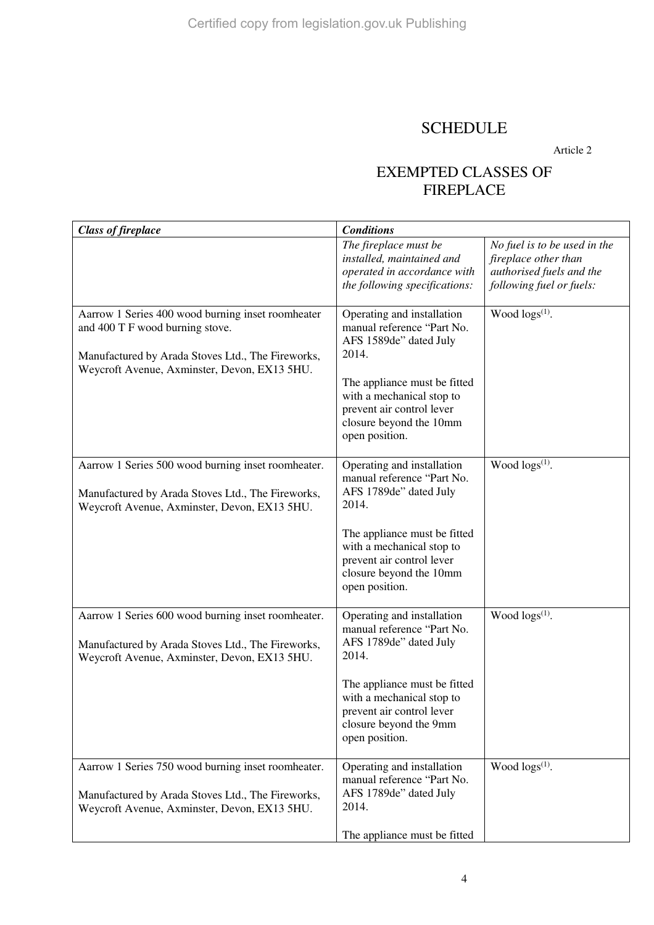## **SCHEDULE**

Article 2

## EXEMPTED CLASSES OF FIREPLACE

| <b>Class of fireplace</b>                                                                                                                                                                 | <b>Conditions</b>                                                                                                                                                                                                                  |                                                                                                              |
|-------------------------------------------------------------------------------------------------------------------------------------------------------------------------------------------|------------------------------------------------------------------------------------------------------------------------------------------------------------------------------------------------------------------------------------|--------------------------------------------------------------------------------------------------------------|
|                                                                                                                                                                                           | The fireplace must be<br>installed, maintained and<br>operated in accordance with<br>the following specifications:                                                                                                                 | No fuel is to be used in the<br>fireplace other than<br>authorised fuels and the<br>following fuel or fuels: |
| Aarrow 1 Series 400 wood burning inset roomheater<br>and 400 T F wood burning stove.<br>Manufactured by Arada Stoves Ltd., The Fireworks,<br>Weycroft Avenue, Axminster, Devon, EX13 5HU. | Operating and installation<br>manual reference "Part No.<br>AFS 1589de" dated July<br>2014.<br>The appliance must be fitted<br>with a mechanical stop to<br>prevent air control lever<br>closure beyond the 10mm<br>open position. | Wood $\log s^{(1)}$ .                                                                                        |
| Aarrow 1 Series 500 wood burning inset roomheater.<br>Manufactured by Arada Stoves Ltd., The Fireworks,<br>Weycroft Avenue, Axminster, Devon, EX13 5HU.                                   | Operating and installation<br>manual reference "Part No.<br>AFS 1789de" dated July<br>2014.<br>The appliance must be fitted<br>with a mechanical stop to<br>prevent air control lever<br>closure beyond the 10mm<br>open position. | Wood $\log s^{(1)}$ .                                                                                        |
| Aarrow 1 Series 600 wood burning inset roomheater.<br>Manufactured by Arada Stoves Ltd., The Fireworks,<br>Weycroft Avenue, Axminster, Devon, EX13 5HU.                                   | Operating and installation<br>manual reference "Part No.<br>AFS 1789de" dated July<br>2014.<br>The appliance must be fitted<br>with a mechanical stop to<br>prevent air control lever<br>closure beyond the 9mm<br>open position.  | Wood $\log s^{(1)}$ .                                                                                        |
| Aarrow 1 Series 750 wood burning inset roomheater.<br>Manufactured by Arada Stoves Ltd., The Fireworks,<br>Weycroft Avenue, Axminster, Devon, EX13 5HU.                                   | Operating and installation<br>manual reference "Part No.<br>AFS 1789de" dated July<br>2014.<br>The appliance must be fitted                                                                                                        | Wood $\log(s^{(1)})$ .                                                                                       |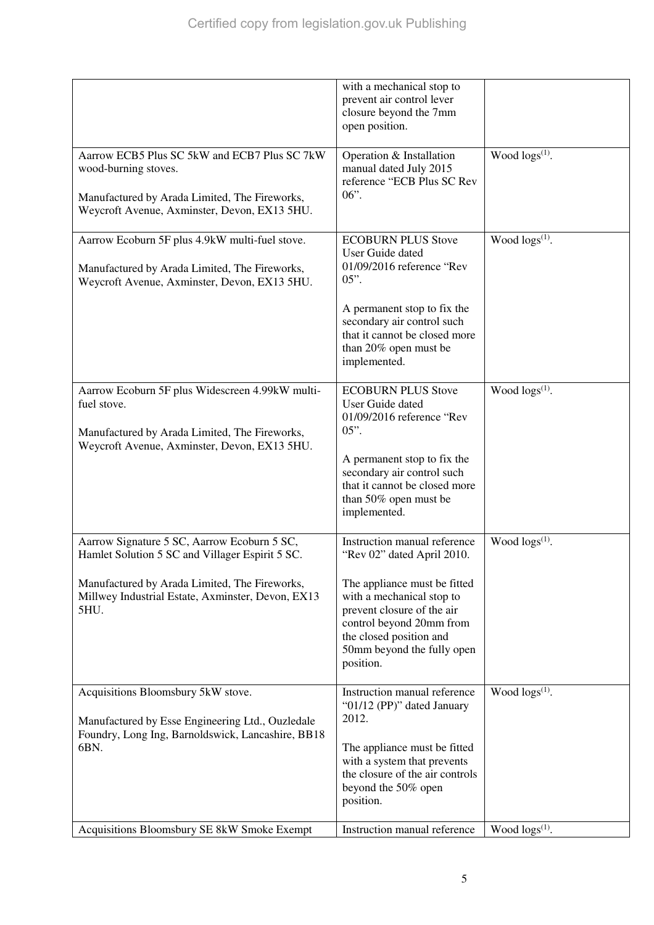|                                                                                                                                                                                                              | with a mechanical stop to<br>prevent air control lever<br>closure beyond the 7mm<br>open position.                                                                                                                                                      |                        |
|--------------------------------------------------------------------------------------------------------------------------------------------------------------------------------------------------------------|---------------------------------------------------------------------------------------------------------------------------------------------------------------------------------------------------------------------------------------------------------|------------------------|
| Aarrow ECB5 Plus SC 5kW and ECB7 Plus SC 7kW<br>wood-burning stoves.<br>Manufactured by Arada Limited, The Fireworks,<br>Weycroft Avenue, Axminster, Devon, EX13 5HU.                                        | Operation & Installation<br>manual dated July 2015<br>reference "ECB Plus SC Rev<br>$06"$ .                                                                                                                                                             | Wood $\log s^{(1)}$ .  |
| Aarrow Ecoburn 5F plus 4.9kW multi-fuel stove.<br>Manufactured by Arada Limited, The Fireworks,<br>Weycroft Avenue, Axminster, Devon, EX13 5HU.                                                              | <b>ECOBURN PLUS Stove</b><br>User Guide dated<br>01/09/2016 reference "Rev<br>$05$ ".<br>A permanent stop to fix the<br>secondary air control such<br>that it cannot be closed more<br>than 20% open must be<br>implemented.                            | Wood $\log s^{(1)}$ .  |
| Aarrow Ecoburn 5F plus Widescreen 4.99kW multi-<br>fuel stove.<br>Manufactured by Arada Limited, The Fireworks,<br>Weycroft Avenue, Axminster, Devon, EX13 5HU.                                              | <b>ECOBURN PLUS Stove</b><br>User Guide dated<br>01/09/2016 reference "Rev<br>$05"$ .<br>A permanent stop to fix the<br>secondary air control such<br>that it cannot be closed more<br>than 50% open must be<br>implemented.                            | Wood $\log s^{(1)}$ .  |
| Aarrow Signature 5 SC, Aarrow Ecoburn 5 SC,<br>Hamlet Solution 5 SC and Villager Espirit 5 SC.<br>Manufactured by Arada Limited, The Fireworks,<br>Millwey Industrial Estate, Axminster, Devon, EX13<br>5HU. | Instruction manual reference<br>"Rev 02" dated April 2010.<br>The appliance must be fitted<br>with a mechanical stop to<br>prevent closure of the air<br>control beyond 20mm from<br>the closed position and<br>50mm beyond the fully open<br>position. | Wood $\log s^{(1)}$ .  |
| Acquisitions Bloomsbury 5kW stove.<br>Manufactured by Esse Engineering Ltd., Ouzledale<br>Foundry, Long Ing, Barnoldswick, Lancashire, BB18<br>6BN.                                                          | Instruction manual reference<br>"01/12 (PP)" dated January<br>2012.<br>The appliance must be fitted<br>with a system that prevents<br>the closure of the air controls<br>beyond the 50% open<br>position.                                               | Wood $\log(s^{(1)})$ . |
| Acquisitions Bloomsbury SE 8kW Smoke Exempt                                                                                                                                                                  | Instruction manual reference                                                                                                                                                                                                                            | Wood $\log(s^{(1)})$ . |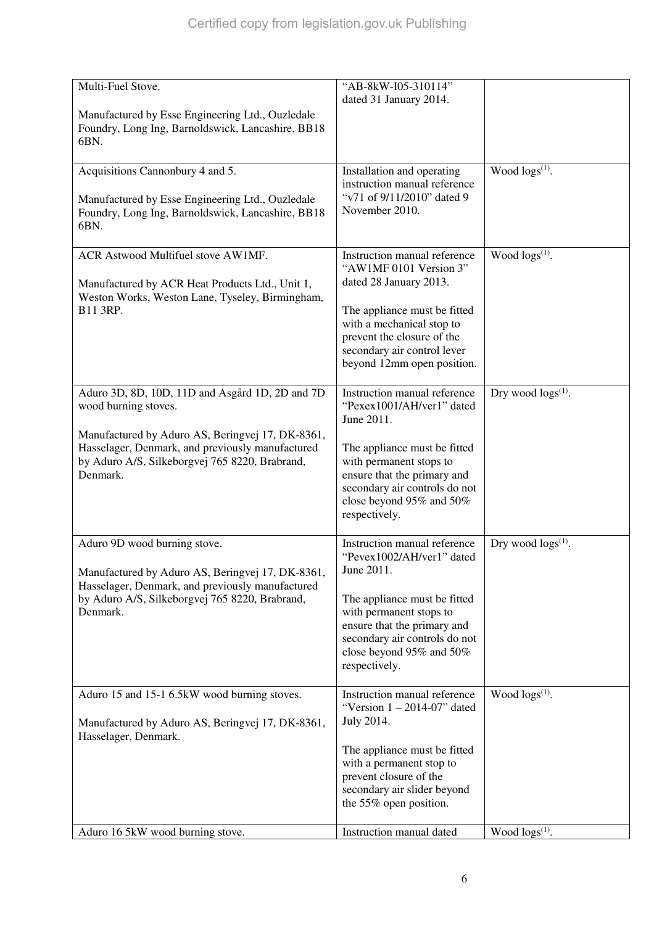| Multi-Fuel Stove.<br>Manufactured by Esse Engineering Ltd., Ouzledale                                         | "AB-8kW-I05-310114"<br>dated 31 January 2014.                                           |                           |
|---------------------------------------------------------------------------------------------------------------|-----------------------------------------------------------------------------------------|---------------------------|
| Foundry, Long Ing, Barnoldswick, Lancashire, BB18<br>6BN.                                                     |                                                                                         |                           |
| Acquisitions Cannonbury 4 and 5.                                                                              | Installation and operating<br>instruction manual reference                              | Wood $\log s^{(1)}$ .     |
| Manufactured by Esse Engineering Ltd., Ouzledale<br>Foundry, Long Ing, Barnoldswick, Lancashire, BB18<br>6BN. | "v71 of 9/11/2010" dated 9<br>November 2010.                                            |                           |
| ACR Astwood Multifuel stove AW1MF.                                                                            | Instruction manual reference<br>"AW1MF 0101 Version 3"                                  | Wood $\log s^{(1)}$ .     |
| Manufactured by ACR Heat Products Ltd., Unit 1,<br>Weston Works, Weston Lane, Tyseley, Birmingham,            | dated 28 January 2013.                                                                  |                           |
| B11 3RP.                                                                                                      | The appliance must be fitted<br>with a mechanical stop to                               |                           |
|                                                                                                               | prevent the closure of the<br>secondary air control lever<br>beyond 12mm open position. |                           |
| Aduro 3D, 8D, 10D, 11D and Asgård 1D, 2D and 7D<br>wood burning stoves.                                       | Instruction manual reference<br>"Pexex1001/AH/ver1" dated<br>June 2011.                 | Dry wood $\log s^{(1)}$ . |
| Manufactured by Aduro AS, Beringvej 17, DK-8361,<br>Hasselager, Denmark, and previously manufactured          | The appliance must be fitted                                                            |                           |
| by Aduro A/S, Silkeborgvej 765 8220, Brabrand,<br>Denmark.                                                    | with permanent stops to<br>ensure that the primary and<br>secondary air controls do not |                           |
|                                                                                                               | close beyond 95% and 50%<br>respectively.                                               |                           |
| Aduro 9D wood burning stove.<br>Manufactured by Aduro AS, Beringvej 17, DK-8361,                              | Instruction manual reference<br>"Pevex1002/AH/ver1" dated<br>June 2011.                 | Dry wood $\log s^{(1)}$ . |
| Hasselager, Denmark, and previously manufactured<br>by Aduro A/S, Silkeborgvej 765 8220, Brabrand,            | The appliance must be fitted                                                            |                           |
| Denmark.                                                                                                      | with permanent stops to<br>ensure that the primary and                                  |                           |
|                                                                                                               | secondary air controls do not<br>close beyond 95% and 50%<br>respectively.              |                           |
| Aduro 15 and 15-1 6.5kW wood burning stoves.                                                                  | Instruction manual reference<br>"Version $1 - 2014 - 07$ " dated                        | Wood $\log s^{(1)}$ .     |
| Manufactured by Aduro AS, Beringvej 17, DK-8361,<br>Hasselager, Denmark.                                      | July 2014.                                                                              |                           |
|                                                                                                               | The appliance must be fitted<br>with a permanent stop to                                |                           |
|                                                                                                               | prevent closure of the<br>secondary air slider beyond                                   |                           |
|                                                                                                               | the 55% open position.                                                                  |                           |
| Aduro 16 5kW wood burning stove.                                                                              | Instruction manual dated                                                                | Wood $\log s^{(1)}$ .     |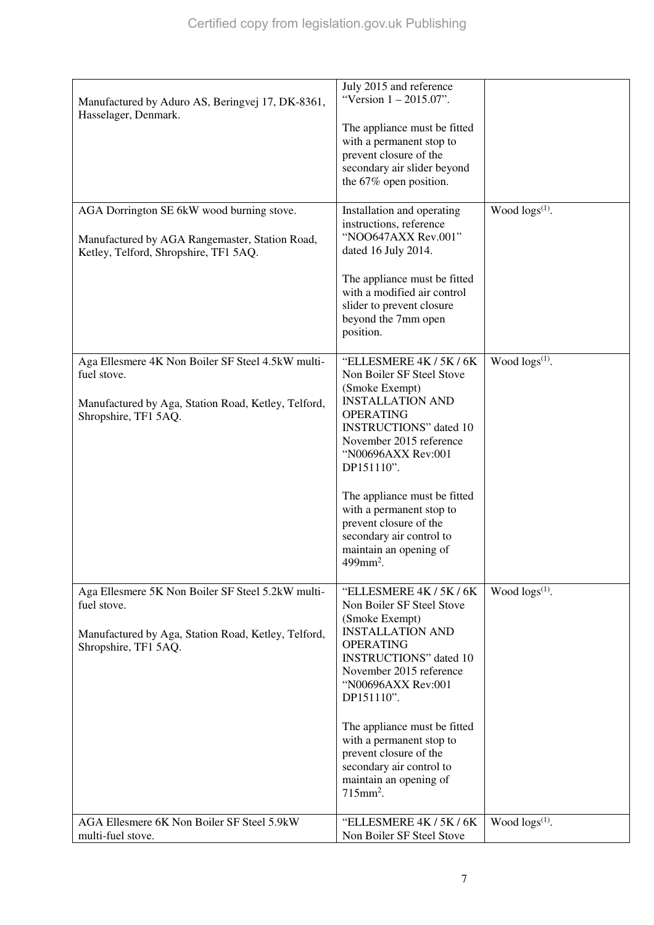| Manufactured by Aduro AS, Beringvej 17, DK-8361,<br>Hasselager, Denmark.                    | July 2015 and reference<br>"Version $1 - 2015.07$ ".                                                                                                                                        |                        |
|---------------------------------------------------------------------------------------------|---------------------------------------------------------------------------------------------------------------------------------------------------------------------------------------------|------------------------|
|                                                                                             | The appliance must be fitted                                                                                                                                                                |                        |
|                                                                                             | with a permanent stop to                                                                                                                                                                    |                        |
|                                                                                             | prevent closure of the                                                                                                                                                                      |                        |
|                                                                                             | secondary air slider beyond                                                                                                                                                                 |                        |
|                                                                                             | the $67\%$ open position.                                                                                                                                                                   |                        |
| AGA Dorrington SE 6kW wood burning stove.<br>Manufactured by AGA Rangemaster, Station Road, | Installation and operating<br>instructions, reference<br>"NOO647AXX Rev.001"                                                                                                                | Wood $\log(s^{(1)})$ . |
| Ketley, Telford, Shropshire, TF1 5AQ.                                                       | dated 16 July 2014.                                                                                                                                                                         |                        |
|                                                                                             | The appliance must be fitted<br>with a modified air control<br>slider to prevent closure<br>beyond the 7mm open<br>position.                                                                |                        |
| Aga Ellesmere 4K Non Boiler SF Steel 4.5kW multi-<br>fuel stove.                            | "ELLESMERE 4K / 5K / 6K<br>Non Boiler SF Steel Stove                                                                                                                                        | Wood $\log(s^{(1)})$ . |
|                                                                                             | (Smoke Exempt)                                                                                                                                                                              |                        |
| Manufactured by Aga, Station Road, Ketley, Telford,                                         | <b>INSTALLATION AND</b>                                                                                                                                                                     |                        |
| Shropshire, TF1 5AQ.                                                                        | <b>OPERATING</b>                                                                                                                                                                            |                        |
|                                                                                             | <b>INSTRUCTIONS</b> " dated 10                                                                                                                                                              |                        |
|                                                                                             | November 2015 reference<br>"N00696AXX Rev:001                                                                                                                                               |                        |
|                                                                                             | DP151110".                                                                                                                                                                                  |                        |
|                                                                                             | The appliance must be fitted<br>with a permanent stop to<br>prevent closure of the<br>secondary air control to<br>maintain an opening of<br>$499$ mm <sup>2</sup> .                         |                        |
| Aga Ellesmere 5K Non Boiler SF Steel 5.2kW multi-                                           | "ELLESMERE 4K / 5K / 6K                                                                                                                                                                     | Wood $\log(s^{(1)})$ . |
| fuel stove.<br>Manufactured by Aga, Station Road, Ketley, Telford,<br>Shropshire, TF1 5AQ.  | Non Boiler SF Steel Stove<br>(Smoke Exempt)<br><b>INSTALLATION AND</b><br><b>OPERATING</b><br><b>INSTRUCTIONS</b> " dated 10<br>November 2015 reference<br>"N00696AXX Rev:001<br>DP151110". |                        |
|                                                                                             | The appliance must be fitted                                                                                                                                                                |                        |
|                                                                                             | with a permanent stop to                                                                                                                                                                    |                        |
|                                                                                             | prevent closure of the                                                                                                                                                                      |                        |
|                                                                                             | secondary air control to                                                                                                                                                                    |                        |
|                                                                                             | maintain an opening of<br>$715$ mm <sup>2</sup> .                                                                                                                                           |                        |
| AGA Ellesmere 6K Non Boiler SF Steel 5.9kW                                                  | "ELLESMERE 4K / 5K / 6K                                                                                                                                                                     | Wood $\log s^{(1)}$ .  |
| multi-fuel stove.                                                                           | Non Boiler SF Steel Stove                                                                                                                                                                   |                        |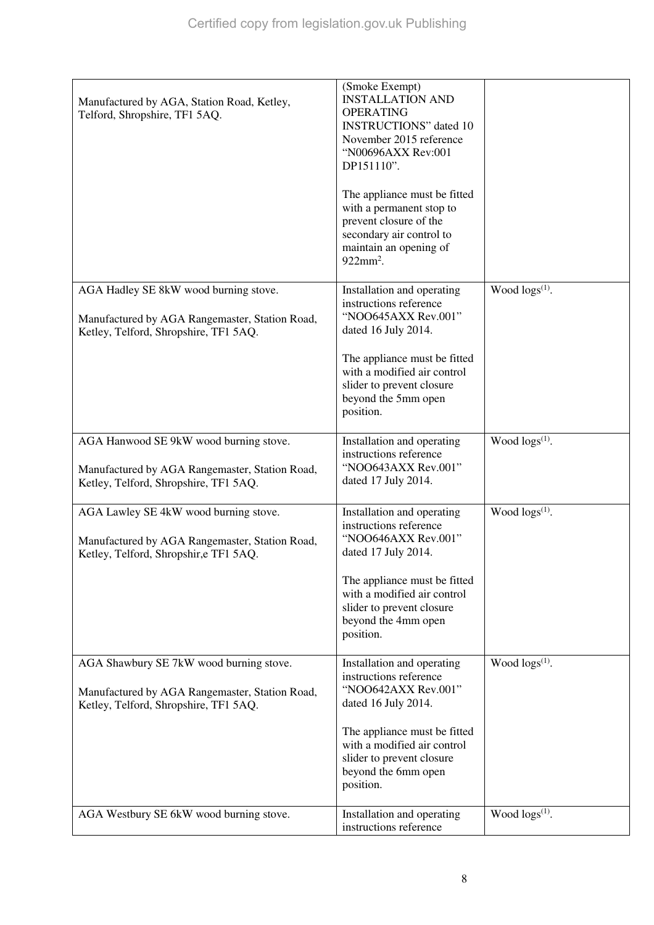| Manufactured by AGA, Station Road, Ketley,<br>Telford, Shropshire, TF1 5AQ.                                                        | $(Smoke$ Exempt $)$<br><b>INSTALLATION AND</b><br><b>OPERATING</b><br><b>INSTRUCTIONS</b> " dated 10<br>November 2015 reference<br>"N00696AXX Rev:001<br>DP151110".<br>The appliance must be fitted<br>with a permanent stop to<br>prevent closure of the<br>secondary air control to<br>maintain an opening of<br>$922$ mm <sup>2</sup> . |                            |
|------------------------------------------------------------------------------------------------------------------------------------|--------------------------------------------------------------------------------------------------------------------------------------------------------------------------------------------------------------------------------------------------------------------------------------------------------------------------------------------|----------------------------|
| AGA Hadley SE 8kW wood burning stove.<br>Manufactured by AGA Rangemaster, Station Road,<br>Ketley, Telford, Shropshire, TF1 5AQ.   | Installation and operating<br>instructions reference<br>"NOO645AXX Rev.001"<br>dated 16 July 2014.                                                                                                                                                                                                                                         | Wood logs <sup>(1)</sup> . |
|                                                                                                                                    | The appliance must be fitted<br>with a modified air control<br>slider to prevent closure<br>beyond the 5mm open<br>position.                                                                                                                                                                                                               |                            |
| AGA Hanwood SE 9kW wood burning stove.<br>Manufactured by AGA Rangemaster, Station Road,<br>Ketley, Telford, Shropshire, TF1 5AQ.  | Installation and operating<br>instructions reference<br>"NOO643AXX Rev.001"<br>dated 17 July 2014.                                                                                                                                                                                                                                         | Wood $\log(s^{(1)})$ .     |
| AGA Lawley SE 4kW wood burning stove.<br>Manufactured by AGA Rangemaster, Station Road,<br>Ketley, Telford, Shropshir, eTF1 5AQ.   | Installation and operating<br>instructions reference<br>"NOO646AXX Rev.001"<br>dated 17 July 2014.<br>The appliance must be fitted<br>with a modified air control<br>slider to prevent closure<br>beyond the 4mm open<br>position.                                                                                                         | Wood $\log(s^{(1)})$ .     |
| AGA Shawbury SE 7kW wood burning stove.<br>Manufactured by AGA Rangemaster, Station Road,<br>Ketley, Telford, Shropshire, TF1 5AQ. | Installation and operating<br>instructions reference<br>"NOO642AXX Rev.001"<br>dated 16 July 2014.<br>The appliance must be fitted<br>with a modified air control<br>slider to prevent closure<br>beyond the 6mm open<br>position.                                                                                                         | Wood $\log(s^{(1)})$ .     |
| AGA Westbury SE 6kW wood burning stove.                                                                                            | Installation and operating<br>instructions reference                                                                                                                                                                                                                                                                                       | Wood $\log(s^{(1)})$ .     |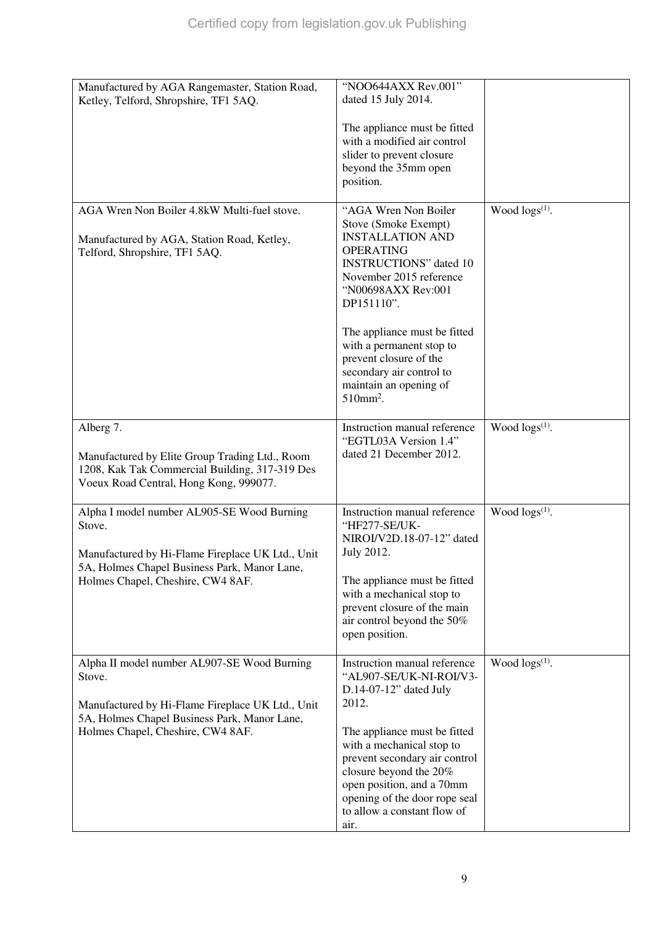| Manufactured by AGA Rangemaster, Station Road,<br>Ketley, Telford, Shropshire, TF1 5AQ.          | "NOO644AXX Rev.001"<br>dated 15 July 2014.                   |                        |
|--------------------------------------------------------------------------------------------------|--------------------------------------------------------------|------------------------|
|                                                                                                  | The appliance must be fitted<br>with a modified air control  |                        |
|                                                                                                  | slider to prevent closure                                    |                        |
|                                                                                                  | beyond the 35mm open<br>position.                            |                        |
|                                                                                                  |                                                              |                        |
| AGA Wren Non Boiler 4.8kW Multi-fuel stove.                                                      | "AGA Wren Non Boiler<br>Stove (Smoke Exempt)                 | Wood $\log s^{(1)}$ .  |
| Manufactured by AGA, Station Road, Ketley,                                                       | <b>INSTALLATION AND</b><br><b>OPERATING</b>                  |                        |
| Telford, Shropshire, TF1 5AQ.                                                                    | <b>INSTRUCTIONS</b> " dated 10                               |                        |
|                                                                                                  | November 2015 reference                                      |                        |
|                                                                                                  | "N00698AXX Rev:001<br>DP151110".                             |                        |
|                                                                                                  | The appliance must be fitted                                 |                        |
|                                                                                                  | with a permanent stop to                                     |                        |
|                                                                                                  | prevent closure of the<br>secondary air control to           |                        |
|                                                                                                  | maintain an opening of                                       |                        |
|                                                                                                  | $510$ mm <sup>2</sup> .                                      |                        |
| Alberg 7.                                                                                        | Instruction manual reference                                 | Wood $\log s^{(1)}$ .  |
| Manufactured by Elite Group Trading Ltd., Room                                                   | "EGTL03A Version 1.4"<br>dated 21 December 2012.             |                        |
| 1208, Kak Tak Commercial Building, 317-319 Des                                                   |                                                              |                        |
| Voeux Road Central, Hong Kong, 999077.                                                           |                                                              |                        |
| Alpha I model number AL905-SE Wood Burning                                                       | Instruction manual reference                                 | Wood $\log s^{(1)}$ .  |
| Stove.                                                                                           | "HF277-SE/UK-<br>NIROI/V2D.18-07-12" dated                   |                        |
| Manufactured by Hi-Flame Fireplace UK Ltd., Unit                                                 | July 2012.                                                   |                        |
| 5A, Holmes Chapel Business Park, Manor Lane,                                                     |                                                              |                        |
| Holmes Chapel, Cheshire, CW4 8AF.                                                                | The appliance must be fitted<br>with a mechanical stop to    |                        |
|                                                                                                  | prevent closure of the main                                  |                        |
|                                                                                                  | air control beyond the 50%<br>open position.                 |                        |
|                                                                                                  |                                                              |                        |
| Alpha II model number AL907-SE Wood Burning<br>Stove.                                            | Instruction manual reference<br>"AL907-SE/UK-NI-ROI/V3-      | Wood $\log(s^{(1)})$ . |
|                                                                                                  | D.14-07-12" dated July                                       |                        |
| Manufactured by Hi-Flame Fireplace UK Ltd., Unit<br>5A, Holmes Chapel Business Park, Manor Lane, | 2012.                                                        |                        |
| Holmes Chapel, Cheshire, CW4 8AF.                                                                | The appliance must be fitted                                 |                        |
|                                                                                                  | with a mechanical stop to                                    |                        |
|                                                                                                  | prevent secondary air control<br>closure beyond the 20%      |                        |
|                                                                                                  | open position, and a 70mm                                    |                        |
|                                                                                                  | opening of the door rope seal<br>to allow a constant flow of |                        |
|                                                                                                  | air.                                                         |                        |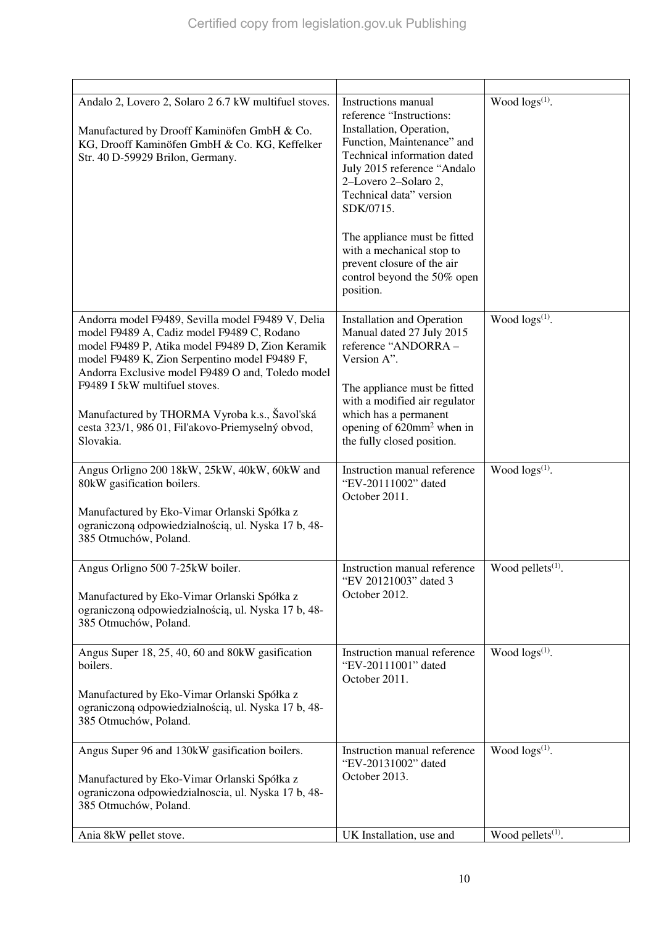| Andalo 2, Lovero 2, Solaro 2 6.7 kW multifuel stoves.<br>Manufactured by Drooff Kaminöfen GmbH & Co.<br>KG, Drooff Kaminöfen GmbH & Co. KG, Keffelker<br>Str. 40 D-59929 Brilon, Germany.                                                                                                                                                                                                                     | Instructions manual<br>reference "Instructions:<br>Installation, Operation,<br>Function, Maintenance" and<br>Technical information dated<br>July 2015 reference "Andalo<br>2-Lovero 2-Solaro 2,<br>Technical data" version<br>SDK/0715.<br>The appliance must be fitted<br>with a mechanical stop to<br>prevent closure of the air<br>control beyond the 50% open<br>position. | Wood $\log s^{(1)}$ .         |
|---------------------------------------------------------------------------------------------------------------------------------------------------------------------------------------------------------------------------------------------------------------------------------------------------------------------------------------------------------------------------------------------------------------|--------------------------------------------------------------------------------------------------------------------------------------------------------------------------------------------------------------------------------------------------------------------------------------------------------------------------------------------------------------------------------|-------------------------------|
| Andorra model F9489, Sevilla model F9489 V, Delia<br>model F9489 A, Cadiz model F9489 C, Rodano<br>model F9489 P, Atika model F9489 D, Zion Keramik<br>model F9489 K, Zion Serpentino model F9489 F,<br>Andorra Exclusive model F9489 O and, Toledo model<br>F9489 I 5kW multifuel stoves.<br>Manufactured by THORMA Vyroba k.s., Šavol'ská<br>cesta 323/1, 986 01, Fil'akovo-Priemyselný obvod,<br>Slovakia. | <b>Installation and Operation</b><br>Manual dated 27 July 2015<br>reference "ANDORRA -<br>Version A".<br>The appliance must be fitted<br>with a modified air regulator<br>which has a permanent<br>opening of 620mm <sup>2</sup> when in<br>the fully closed position.                                                                                                         | Wood $\log s^{(1)}$ .         |
| Angus Orligno 200 18kW, 25kW, 40kW, 60kW and<br>80kW gasification boilers.<br>Manufactured by Eko-Vimar Orlanski Spółka z<br>ograniczoną odpowiedzialnością, ul. Nyska 17 b, 48-<br>385 Otmuchów, Poland.                                                                                                                                                                                                     | Instruction manual reference<br>"EV-20111002" dated<br>October 2011.                                                                                                                                                                                                                                                                                                           | Wood $\log s^{(1)}$ .         |
| Angus Orligno 500 7-25kW boiler.<br>Manufactured by Eko-Vimar Orlanski Spółka z<br>ograniczoną odpowiedzialnością, ul. Nyska 17 b, 48-<br>385 Otmuchów, Poland.                                                                                                                                                                                                                                               | Instruction manual reference<br>"EV 20121003" dated 3<br>October 2012.                                                                                                                                                                                                                                                                                                         | Wood pellets $(1)$ .          |
| Angus Super 18, 25, 40, 60 and 80kW gasification<br>boilers.<br>Manufactured by Eko-Vimar Orlanski Spółka z<br>ograniczoną odpowiedzialnością, ul. Nyska 17 b, 48-<br>385 Otmuchów, Poland.                                                                                                                                                                                                                   | Instruction manual reference<br>"EV-20111001" dated<br>October 2011.                                                                                                                                                                                                                                                                                                           | Wood $\log(s^{(1)})$ .        |
| Angus Super 96 and 130kW gasification boilers.<br>Manufactured by Eko-Vimar Orlanski Spółka z<br>ograniczona odpowiedzialnoscia, ul. Nyska 17 b, 48-<br>385 Otmuchów, Poland.                                                                                                                                                                                                                                 | Instruction manual reference<br>"EV-20131002" dated<br>October 2013.                                                                                                                                                                                                                                                                                                           | Wood $\log(s^{(1)})$ .        |
| Ania 8kW pellet stove.                                                                                                                                                                                                                                                                                                                                                                                        | UK Installation, use and                                                                                                                                                                                                                                                                                                                                                       | Wood pellets <sup>(1)</sup> . |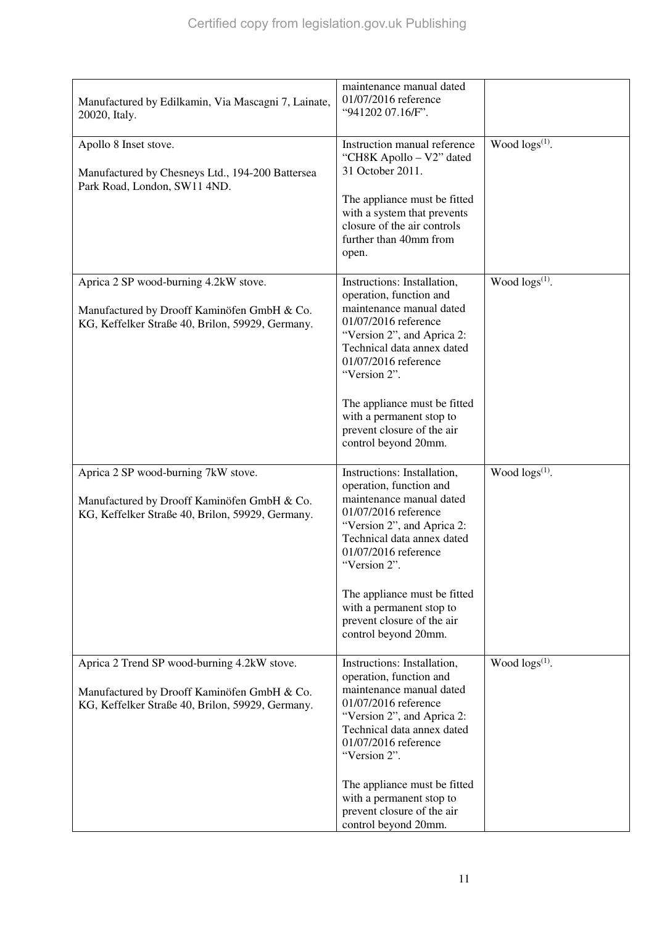| Manufactured by Edilkamin, Via Mascagni 7, Lainate,<br>20020, Italy.                                                                           | maintenance manual dated<br>01/07/2016 reference<br>"941202 07.16/F".                                                                                                                                                                                                                                                            |                            |
|------------------------------------------------------------------------------------------------------------------------------------------------|----------------------------------------------------------------------------------------------------------------------------------------------------------------------------------------------------------------------------------------------------------------------------------------------------------------------------------|----------------------------|
| Apollo 8 Inset stove.<br>Manufactured by Chesneys Ltd., 194-200 Battersea<br>Park Road, London, SW11 4ND.                                      | Instruction manual reference<br>"CH8K Apollo - V2" dated<br>31 October 2011.<br>The appliance must be fitted<br>with a system that prevents<br>closure of the air controls<br>further than 40mm from<br>open.                                                                                                                    | Wood logs(1).              |
| Aprica 2 SP wood-burning 4.2kW stove.<br>Manufactured by Drooff Kaminöfen GmbH & Co.<br>KG, Keffelker Straße 40, Brilon, 59929, Germany.       | Instructions: Installation,<br>operation, function and<br>maintenance manual dated<br>01/07/2016 reference<br>"Version 2", and Aprica 2:<br>Technical data annex dated<br>01/07/2016 reference<br>"Version 2".<br>The appliance must be fitted<br>with a permanent stop to<br>prevent closure of the air<br>control beyond 20mm. | Wood $\log(s^{(1)})$ .     |
| Aprica 2 SP wood-burning 7kW stove.<br>Manufactured by Drooff Kaminöfen GmbH & Co.<br>KG, Keffelker Straße 40, Brilon, 59929, Germany.         | Instructions: Installation,<br>operation, function and<br>maintenance manual dated<br>01/07/2016 reference<br>"Version 2", and Aprica 2:<br>Technical data annex dated<br>01/07/2016 reference<br>"Version 2".<br>The appliance must be fitted<br>with a permanent stop to<br>prevent closure of the air<br>control beyond 20mm. | Wood logs <sup>(1)</sup> . |
| Aprica 2 Trend SP wood-burning 4.2kW stove.<br>Manufactured by Drooff Kaminöfen GmbH & Co.<br>KG, Keffelker Straße 40, Brilon, 59929, Germany. | Instructions: Installation,<br>operation, function and<br>maintenance manual dated<br>01/07/2016 reference<br>"Version 2", and Aprica 2:<br>Technical data annex dated<br>01/07/2016 reference<br>"Version 2".<br>The appliance must be fitted<br>with a permanent stop to<br>prevent closure of the air<br>control beyond 20mm. | Wood $\log(s^{(1)})$ .     |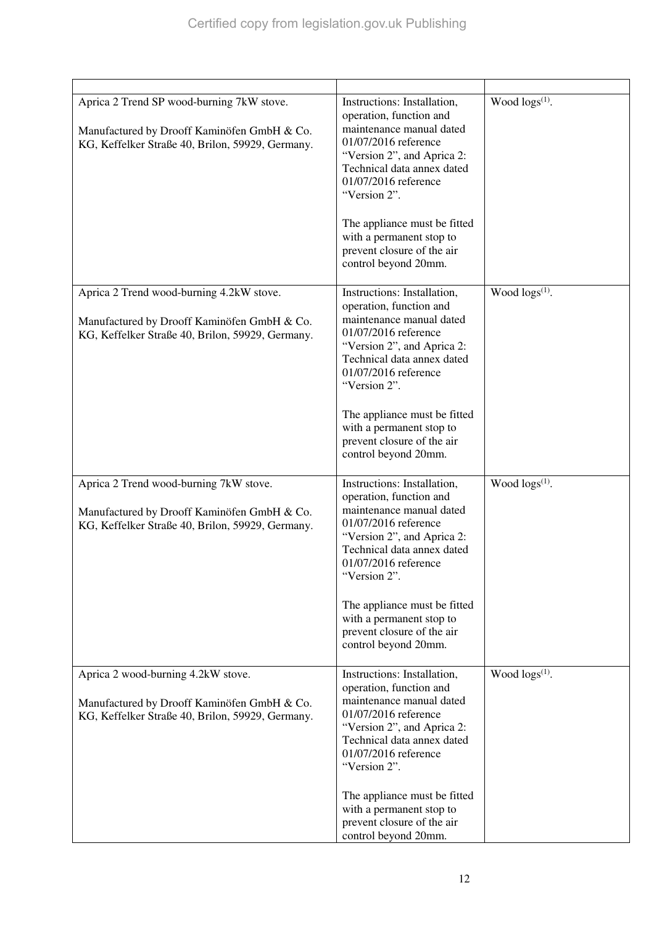| Aprica 2 Trend SP wood-burning 7kW stove.<br>Manufactured by Drooff Kaminöfen GmbH & Co.<br>KG, Keffelker Straße 40, Brilon, 59929, Germany. | Instructions: Installation,<br>operation, function and<br>maintenance manual dated<br>01/07/2016 reference<br>"Version 2", and Aprica 2:<br>Technical data annex dated<br>01/07/2016 reference<br>"Version 2".<br>The appliance must be fitted<br>with a permanent stop to<br>prevent closure of the air<br>control beyond 20mm. | Wood $\log(s^{(1)})$ .     |
|----------------------------------------------------------------------------------------------------------------------------------------------|----------------------------------------------------------------------------------------------------------------------------------------------------------------------------------------------------------------------------------------------------------------------------------------------------------------------------------|----------------------------|
| Aprica 2 Trend wood-burning 4.2kW stove.<br>Manufactured by Drooff Kaminöfen GmbH & Co.<br>KG, Keffelker Straße 40, Brilon, 59929, Germany.  | Instructions: Installation,<br>operation, function and<br>maintenance manual dated<br>01/07/2016 reference<br>"Version 2", and Aprica 2:<br>Technical data annex dated<br>01/07/2016 reference<br>"Version 2".<br>The appliance must be fitted<br>with a permanent stop to<br>prevent closure of the air<br>control beyond 20mm. | Wood $\log(s^{(1)})$ .     |
| Aprica 2 Trend wood-burning 7kW stove.<br>Manufactured by Drooff Kaminöfen GmbH & Co.<br>KG, Keffelker Straße 40, Brilon, 59929, Germany.    | Instructions: Installation,<br>operation, function and<br>maintenance manual dated<br>01/07/2016 reference<br>"Version 2", and Aprica 2:<br>Technical data annex dated<br>01/07/2016 reference<br>"Version 2".<br>The appliance must be fitted<br>with a permanent stop to<br>prevent closure of the air<br>control beyond 20mm. | Wood $\log(s^{(1)})$ .     |
| Aprica 2 wood-burning 4.2kW stove.<br>Manufactured by Drooff Kaminöfen GmbH & Co.<br>KG, Keffelker Straße 40, Brilon, 59929, Germany.        | Instructions: Installation,<br>operation, function and<br>maintenance manual dated<br>01/07/2016 reference<br>"Version 2", and Aprica 2:<br>Technical data annex dated<br>01/07/2016 reference<br>"Version 2".<br>The appliance must be fitted<br>with a permanent stop to<br>prevent closure of the air<br>control beyond 20mm. | Wood logs <sup>(1)</sup> . |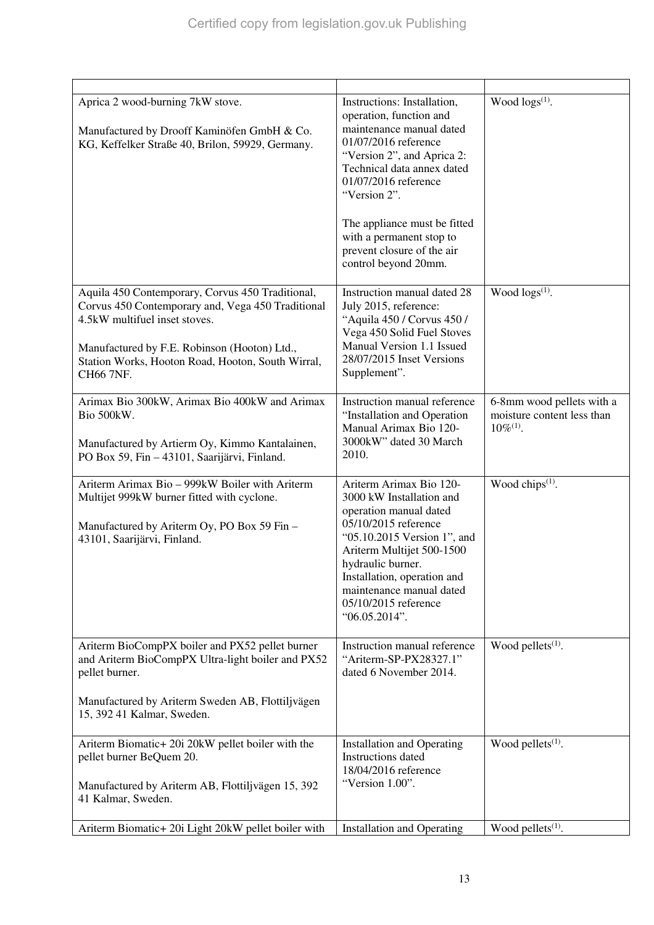| Aprica 2 wood-burning 7kW stove.<br>Manufactured by Drooff Kaminöfen GmbH & Co.<br>KG, Keffelker Straße 40, Brilon, 59929, Germany.                                                                                                                      | Instructions: Installation,<br>operation, function and<br>maintenance manual dated<br>01/07/2016 reference<br>"Version 2", and Aprica 2:<br>Technical data annex dated<br>01/07/2016 reference<br>"Version 2".<br>The appliance must be fitted<br>with a permanent stop to<br>prevent closure of the air<br>control beyond 20mm. | Wood $\log(s^{(1)})$ .                                                    |
|----------------------------------------------------------------------------------------------------------------------------------------------------------------------------------------------------------------------------------------------------------|----------------------------------------------------------------------------------------------------------------------------------------------------------------------------------------------------------------------------------------------------------------------------------------------------------------------------------|---------------------------------------------------------------------------|
| Aquila 450 Contemporary, Corvus 450 Traditional,<br>Corvus 450 Contemporary and, Vega 450 Traditional<br>4.5kW multifuel inset stoves.<br>Manufactured by F.E. Robinson (Hooton) Ltd.,<br>Station Works, Hooton Road, Hooton, South Wirral,<br>CH66 7NF. | Instruction manual dated 28<br>July 2015, reference:<br>"Aquila 450 / Corvus 450 /<br>Vega 450 Solid Fuel Stoves<br>Manual Version 1.1 Issued<br>28/07/2015 Inset Versions<br>Supplement".                                                                                                                                       | Wood $\log(s^{(1)})$ .                                                    |
| Arimax Bio 300kW, Arimax Bio 400kW and Arimax<br>Bio 500kW.<br>Manufactured by Artierm Oy, Kimmo Kantalainen,<br>PO Box 59, Fin - 43101, Saarijärvi, Finland.                                                                                            | Instruction manual reference<br>"Installation and Operation<br>Manual Arimax Bio 120-<br>3000kW" dated 30 March<br>2010.                                                                                                                                                                                                         | 6-8mm wood pellets with a<br>moisture content less than<br>$10\%^{(1)}$ . |
| Ariterm Arimax Bio - 999kW Boiler with Ariterm<br>Multijet 999kW burner fitted with cyclone.<br>Manufactured by Ariterm Oy, PO Box 59 Fin -<br>43101, Saarijärvi, Finland.                                                                               | Ariterm Arimax Bio 120-<br>3000 kW Installation and<br>operation manual dated<br>05/10/2015 reference<br>"05.10.2015 Version 1", and<br>Ariterm Multijet 500-1500<br>hydraulic burner.<br>Installation, operation and<br>maintenance manual dated<br>05/10/2015 reference<br>"06.05.2014".                                       | Wood chips $(1)$ .                                                        |
| Ariterm BioCompPX boiler and PX52 pellet burner<br>and Ariterm BioCompPX Ultra-light boiler and PX52<br>pellet burner.                                                                                                                                   | Instruction manual reference<br>"Ariterm-SP-PX28327.1"<br>dated 6 November 2014.                                                                                                                                                                                                                                                 | Wood pellets $(1)$ .                                                      |
| Manufactured by Ariterm Sweden AB, Flottiljvägen<br>15, 392 41 Kalmar, Sweden.                                                                                                                                                                           |                                                                                                                                                                                                                                                                                                                                  |                                                                           |
| Ariterm Biomatic+ 20i 20kW pellet boiler with the<br>pellet burner BeQuem 20.<br>Manufactured by Ariterm AB, Flottiljvägen 15, 392<br>41 Kalmar, Sweden.                                                                                                 | <b>Installation and Operating</b><br>Instructions dated<br>18/04/2016 reference<br>"Version 1.00".                                                                                                                                                                                                                               | Wood pellets <sup>(1)</sup> .                                             |
| Ariterm Biomatic+ 20i Light 20kW pellet boiler with                                                                                                                                                                                                      | <b>Installation and Operating</b>                                                                                                                                                                                                                                                                                                | Wood pellets <sup>(1)</sup> .                                             |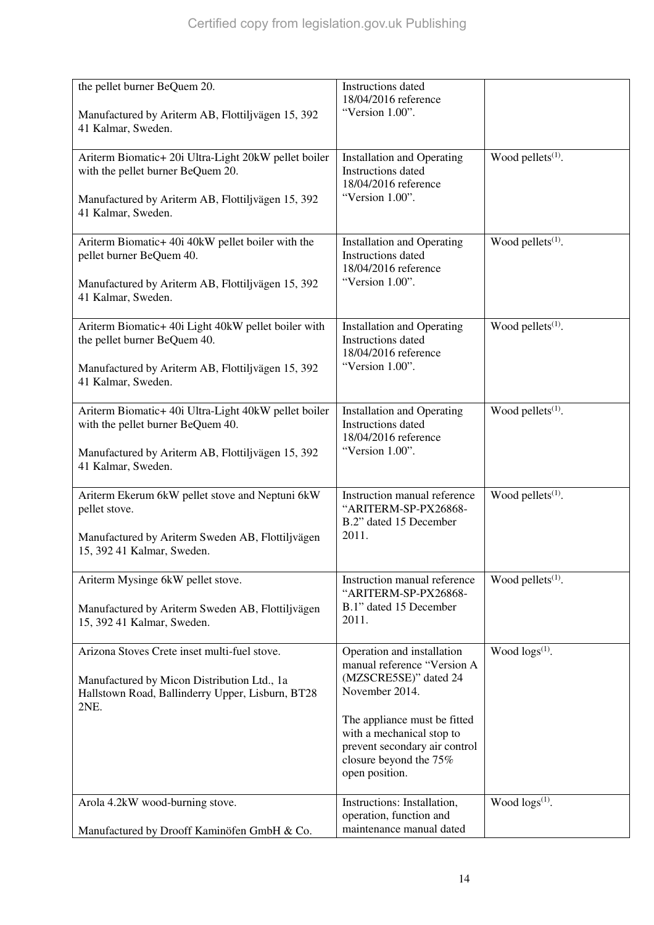| the pellet burner BeQuem 20.<br>Manufactured by Ariterm AB, Flottiljvägen 15, 392<br>41 Kalmar, Sweden.                                                              | Instructions dated<br>18/04/2016 reference<br>"Version 1.00".                                                                                                                                                                                  |                               |
|----------------------------------------------------------------------------------------------------------------------------------------------------------------------|------------------------------------------------------------------------------------------------------------------------------------------------------------------------------------------------------------------------------------------------|-------------------------------|
| Ariterm Biomatic+ 20i Ultra-Light 20kW pellet boiler<br>with the pellet burner BeQuem 20.<br>Manufactured by Ariterm AB, Flottiljvägen 15, 392<br>41 Kalmar, Sweden. | <b>Installation and Operating</b><br>Instructions dated<br>18/04/2016 reference<br>"Version 1.00".                                                                                                                                             | Wood pellets <sup>(1)</sup> . |
| Ariterm Biomatic+ 40i 40kW pellet boiler with the<br>pellet burner BeQuem 40.<br>Manufactured by Ariterm AB, Flottiljvägen 15, 392<br>41 Kalmar, Sweden.             | <b>Installation and Operating</b><br>Instructions dated<br>18/04/2016 reference<br>"Version 1.00".                                                                                                                                             | Wood pellets <sup>(1)</sup> . |
| Ariterm Biomatic+ 40i Light 40kW pellet boiler with<br>the pellet burner BeQuem 40.<br>Manufactured by Ariterm AB, Flottiljvägen 15, 392<br>41 Kalmar, Sweden.       | <b>Installation and Operating</b><br><b>Instructions</b> dated<br>18/04/2016 reference<br>"Version 1.00".                                                                                                                                      | Wood pellets <sup>(1)</sup> . |
| Ariterm Biomatic+ 40i Ultra-Light 40kW pellet boiler<br>with the pellet burner BeQuem 40.<br>Manufactured by Ariterm AB, Flottiljvägen 15, 392<br>41 Kalmar, Sweden. | <b>Installation and Operating</b><br><b>Instructions</b> dated<br>18/04/2016 reference<br>"Version 1.00".                                                                                                                                      | Wood pellets <sup>(1)</sup> . |
| Ariterm Ekerum 6kW pellet stove and Neptuni 6kW<br>pellet stove.<br>Manufactured by Ariterm Sweden AB, Flottiljvägen<br>15, 392 41 Kalmar, Sweden.                   | Instruction manual reference<br>"ARITERM-SP-PX26868-<br>B.2" dated 15 December<br>2011.                                                                                                                                                        | Wood pellets $(1)$ .          |
| Ariterm Mysinge 6kW pellet stove.<br>Manufactured by Ariterm Sweden AB, Flottiljvägen<br>15, 392 41 Kalmar, Sweden.                                                  | Instruction manual reference<br>"ARITERM-SP-PX26868-<br>B.1" dated 15 December<br>2011.                                                                                                                                                        | Wood pellets $(1)$ .          |
| Arizona Stoves Crete inset multi-fuel stove.<br>Manufactured by Micon Distribution Ltd., 1a<br>Hallstown Road, Ballinderry Upper, Lisburn, BT28<br>2NE.              | Operation and installation<br>manual reference "Version A<br>(MZSCRE5SE)" dated 24<br>November 2014.<br>The appliance must be fitted<br>with a mechanical stop to<br>prevent secondary air control<br>closure beyond the 75%<br>open position. | Wood $\log(s^{(1)})$ .        |
| Arola 4.2kW wood-burning stove.<br>Manufactured by Drooff Kaminöfen GmbH & Co.                                                                                       | Instructions: Installation,<br>operation, function and<br>maintenance manual dated                                                                                                                                                             | Wood $\log s^{(1)}$ .         |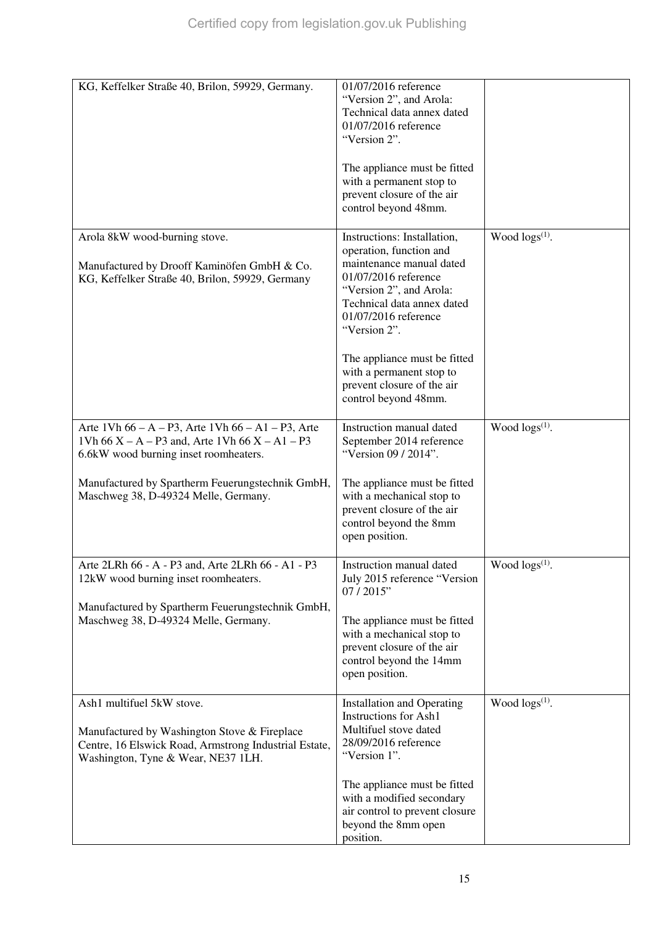| KG, Keffelker Straße 40, Brilon, 59929, Germany.                                                                                                                                                                                                 | 01/07/2016 reference<br>"Version 2", and Arola:<br>Technical data annex dated<br>01/07/2016 reference<br>"Version 2".<br>The appliance must be fitted<br>with a permanent stop to<br>prevent closure of the air<br>control beyond 48mm.                                                                                       |                        |
|--------------------------------------------------------------------------------------------------------------------------------------------------------------------------------------------------------------------------------------------------|-------------------------------------------------------------------------------------------------------------------------------------------------------------------------------------------------------------------------------------------------------------------------------------------------------------------------------|------------------------|
| Arola 8kW wood-burning stove.<br>Manufactured by Drooff Kaminöfen GmbH & Co.<br>KG, Keffelker Straße 40, Brilon, 59929, Germany                                                                                                                  | Instructions: Installation,<br>operation, function and<br>maintenance manual dated<br>01/07/2016 reference<br>"Version 2", and Arola:<br>Technical data annex dated<br>01/07/2016 reference<br>"Version 2".<br>The appliance must be fitted<br>with a permanent stop to<br>prevent closure of the air<br>control beyond 48mm. | Wood $\log(s^{(1)})$ . |
| Arte 1Vh $66 - A - P3$ , Arte 1Vh $66 - A1 - P3$ , Arte<br>1Vh $66X - A - P3$ and, Arte 1Vh $66X - A1 - P3$<br>6.6kW wood burning inset roomheaters.<br>Manufactured by Spartherm Feuerungstechnik GmbH,<br>Maschweg 38, D-49324 Melle, Germany. | Instruction manual dated<br>September 2014 reference<br>"Version 09 / 2014".<br>The appliance must be fitted<br>with a mechanical stop to<br>prevent closure of the air<br>control beyond the 8mm<br>open position.                                                                                                           | Wood $\log(s^{(1)})$ . |
| Arte 2LRh 66 - A - P3 and, Arte 2LRh 66 - A1 - P3<br>12kW wood burning inset roomheaters.<br>Manufactured by Spartherm Feuerungstechnik GmbH,<br>Maschweg 38, D-49324 Melle, Germany.                                                            | Instruction manual dated<br>July 2015 reference "Version<br>07/2015"<br>The appliance must be fitted<br>with a mechanical stop to<br>prevent closure of the air<br>control beyond the 14mm<br>open position.                                                                                                                  | Wood $\log s^{(1)}$ .  |
| Ash1 multifuel 5kW stove.<br>Manufactured by Washington Stove & Fireplace<br>Centre, 16 Elswick Road, Armstrong Industrial Estate,<br>Washington, Tyne & Wear, NE37 1LH.                                                                         | <b>Installation and Operating</b><br><b>Instructions for Ash1</b><br>Multifuel stove dated<br>28/09/2016 reference<br>"Version 1".<br>The appliance must be fitted<br>with a modified secondary<br>air control to prevent closure<br>beyond the 8mm open<br>position.                                                         | Wood $\log(s^{(1)})$ . |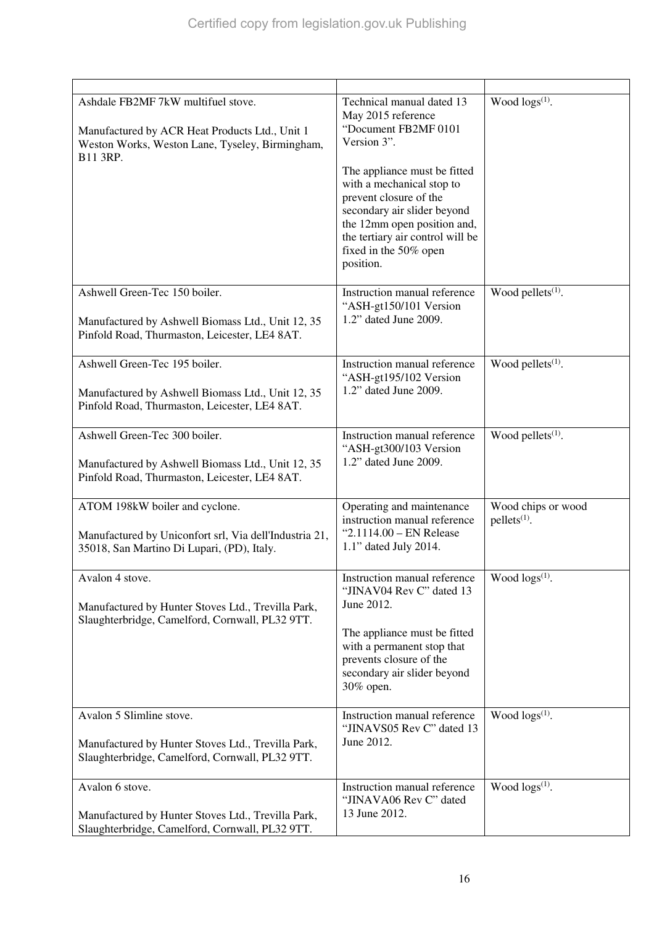| Ashdale FB2MF 7kW multifuel stove.<br>Manufactured by ACR Heat Products Ltd., Unit 1<br>Weston Works, Weston Lane, Tyseley, Birmingham,<br>B11 3RP. | Technical manual dated 13<br>May 2015 reference<br>"Document FB2MF 0101<br>Version 3".<br>The appliance must be fitted<br>with a mechanical stop to<br>prevent closure of the<br>secondary air slider beyond<br>the 12mm open position and,<br>the tertiary air control will be<br>fixed in the 50% open<br>position. | Wood $\log(s^{(1)})$ .               |
|-----------------------------------------------------------------------------------------------------------------------------------------------------|-----------------------------------------------------------------------------------------------------------------------------------------------------------------------------------------------------------------------------------------------------------------------------------------------------------------------|--------------------------------------|
| Ashwell Green-Tec 150 boiler.<br>Manufactured by Ashwell Biomass Ltd., Unit 12, 35<br>Pinfold Road, Thurmaston, Leicester, LE4 8AT.                 | Instruction manual reference<br>"ASH-gt150/101 Version<br>1.2" dated June 2009.                                                                                                                                                                                                                                       | Wood pellets $(1)$ .                 |
| Ashwell Green-Tec 195 boiler.<br>Manufactured by Ashwell Biomass Ltd., Unit 12, 35<br>Pinfold Road, Thurmaston, Leicester, LE4 8AT.                 | Instruction manual reference<br>"ASH-gt195/102 Version<br>1.2" dated June 2009.                                                                                                                                                                                                                                       | Wood pellets <sup>(1)</sup> .        |
| Ashwell Green-Tec 300 boiler.<br>Manufactured by Ashwell Biomass Ltd., Unit 12, 35<br>Pinfold Road, Thurmaston, Leicester, LE4 8AT.                 | Instruction manual reference<br>"ASH-gt300/103 Version<br>1.2" dated June 2009.                                                                                                                                                                                                                                       | Wood pellets <sup>(1)</sup> .        |
| ATOM 198kW boiler and cyclone.<br>Manufactured by Uniconfort srl, Via dell'Industria 21,<br>35018, San Martino Di Lupari, (PD), Italy.              | Operating and maintenance<br>instruction manual reference<br>" $2.1114.00 - EN Release$<br>1.1" dated July 2014.                                                                                                                                                                                                      | Wood chips or wood<br>$pellets(1)$ . |
| Avalon 4 stove.<br>Manufactured by Hunter Stoves Ltd., Trevilla Park,<br>Slaughterbridge, Camelford, Cornwall, PL32 9TT.                            | Instruction manual reference<br>"JINAV04 Rev C" dated 13<br>June 2012.<br>The appliance must be fitted<br>with a permanent stop that<br>prevents closure of the<br>secondary air slider beyond<br>30% open.                                                                                                           | Wood $\log(s^{(1)})$ .               |
| Avalon 5 Slimline stove.<br>Manufactured by Hunter Stoves Ltd., Trevilla Park,<br>Slaughterbridge, Camelford, Cornwall, PL32 9TT.                   | Instruction manual reference<br>"JINAVS05 Rev C" dated 13<br>June 2012.                                                                                                                                                                                                                                               | Wood $\log s^{(1)}$ .                |
| Avalon 6 stove.<br>Manufactured by Hunter Stoves Ltd., Trevilla Park,<br>Slaughterbridge, Camelford, Cornwall, PL32 9TT.                            | Instruction manual reference<br>"JINAVA06 Rev C" dated<br>13 June 2012.                                                                                                                                                                                                                                               | Wood $\log(s^{(1)})$ .               |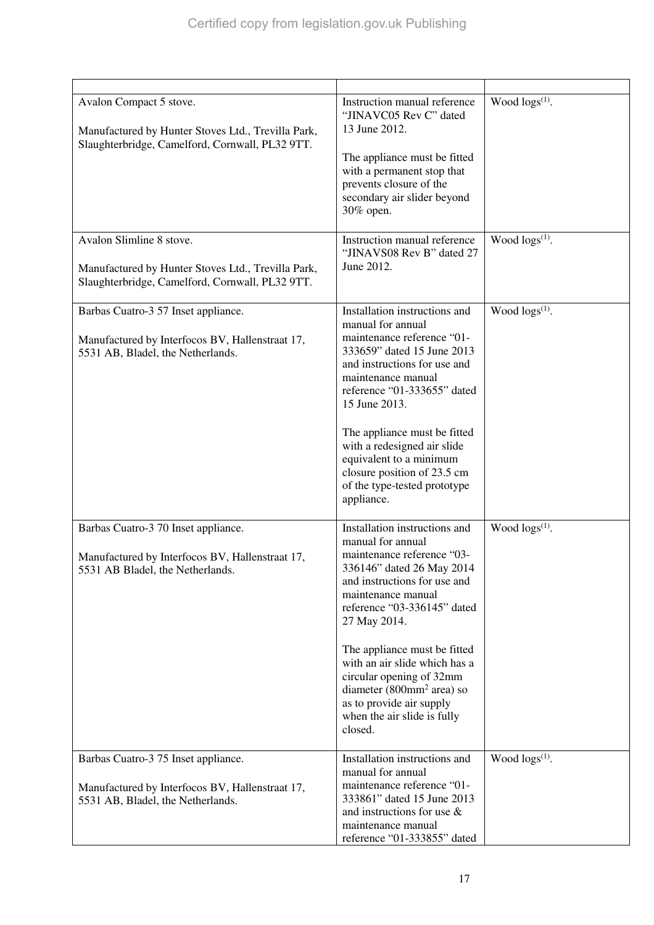| Avalon Compact 5 stove.<br>Manufactured by Hunter Stoves Ltd., Trevilla Park,<br>Slaughterbridge, Camelford, Cornwall, PL32 9TT.  | Instruction manual reference<br>"JINAVC05 Rev C" dated<br>13 June 2012.<br>The appliance must be fitted<br>with a permanent stop that<br>prevents closure of the<br>secondary air slider beyond<br>30% open.                                                                                                                                                                                                                   | Wood $\log(s^{(1)})$ .     |
|-----------------------------------------------------------------------------------------------------------------------------------|--------------------------------------------------------------------------------------------------------------------------------------------------------------------------------------------------------------------------------------------------------------------------------------------------------------------------------------------------------------------------------------------------------------------------------|----------------------------|
| Avalon Slimline 8 stove.<br>Manufactured by Hunter Stoves Ltd., Trevilla Park,<br>Slaughterbridge, Camelford, Cornwall, PL32 9TT. | Instruction manual reference<br>"JINAVS08 Rev B" dated 27<br>June 2012.                                                                                                                                                                                                                                                                                                                                                        | Wood logs <sup>(1)</sup> . |
| Barbas Cuatro-3 57 Inset appliance.<br>Manufactured by Interfocos BV, Hallenstraat 17,<br>5531 AB, Bladel, the Netherlands.       | Installation instructions and<br>manual for annual<br>maintenance reference "01-<br>333659" dated 15 June 2013<br>and instructions for use and<br>maintenance manual<br>reference "01-333655" dated<br>15 June 2013.<br>The appliance must be fitted<br>with a redesigned air slide<br>equivalent to a minimum<br>closure position of 23.5 cm<br>of the type-tested prototype<br>appliance.                                    | Wood logs(1).              |
| Barbas Cuatro-3 70 Inset appliance.<br>Manufactured by Interfocos BV, Hallenstraat 17,<br>5531 AB Bladel, the Netherlands.        | Installation instructions and<br>manual for annual<br>maintenance reference "03-<br>336146" dated 26 May 2014<br>and instructions for use and<br>maintenance manual<br>reference "03-336145" dated<br>27 May 2014.<br>The appliance must be fitted<br>with an air slide which has a<br>circular opening of 32mm<br>diameter (800mm <sup>2</sup> area) so<br>as to provide air supply<br>when the air slide is fully<br>closed. | Wood $\log(s^{(1)})$ .     |
| Barbas Cuatro-3 75 Inset appliance.<br>Manufactured by Interfocos BV, Hallenstraat 17,<br>5531 AB, Bladel, the Netherlands.       | Installation instructions and<br>manual for annual<br>maintenance reference "01-<br>333861" dated 15 June 2013<br>and instructions for use $\&$<br>maintenance manual<br>reference "01-333855" dated                                                                                                                                                                                                                           | Wood $\log(s^{(1)})$ .     |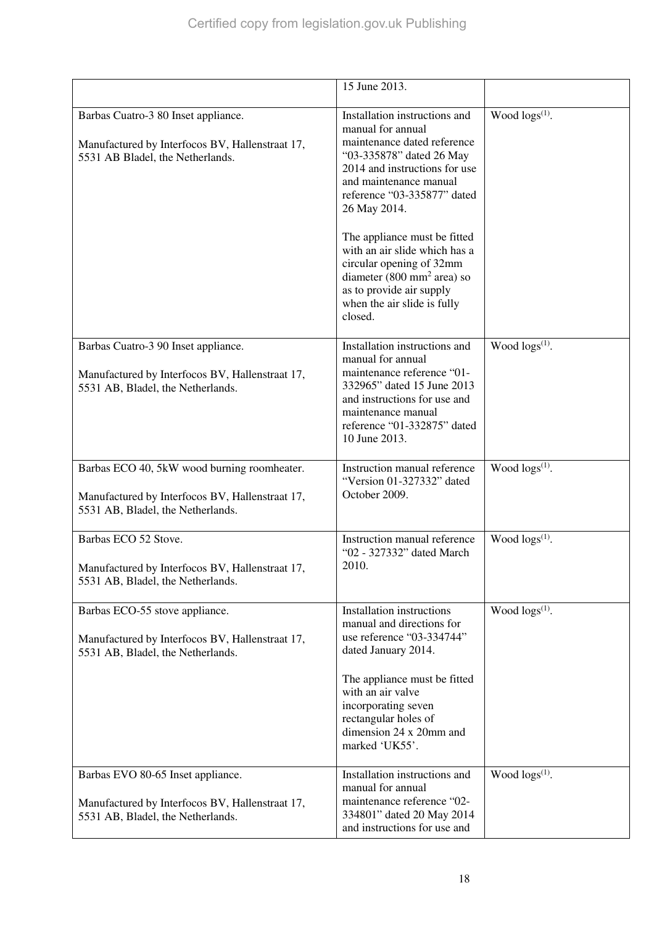|                                                                                                                                     | 15 June 2013.                                                                                                                                                                                                                                                      |                            |
|-------------------------------------------------------------------------------------------------------------------------------------|--------------------------------------------------------------------------------------------------------------------------------------------------------------------------------------------------------------------------------------------------------------------|----------------------------|
| Barbas Cuatro-3 80 Inset appliance.<br>Manufactured by Interfocos BV, Hallenstraat 17,<br>5531 AB Bladel, the Netherlands.          | Installation instructions and<br>manual for annual<br>maintenance dated reference<br>"03-335878" dated 26 May<br>2014 and instructions for use<br>and maintenance manual<br>reference "03-335877" dated<br>26 May 2014.                                            | Wood logs <sup>(1)</sup> . |
|                                                                                                                                     | The appliance must be fitted<br>with an air slide which has a<br>circular opening of 32mm<br>diameter $(800 \text{ mm}^2 \text{ area})$ so<br>as to provide air supply<br>when the air slide is fully<br>closed.                                                   |                            |
| Barbas Cuatro-3 90 Inset appliance.<br>Manufactured by Interfocos BV, Hallenstraat 17,<br>5531 AB, Bladel, the Netherlands.         | Installation instructions and<br>manual for annual<br>maintenance reference "01-<br>332965" dated 15 June 2013<br>and instructions for use and<br>maintenance manual<br>reference "01-332875" dated<br>10 June 2013.                                               | Wood $\log(s^{(1)})$ .     |
| Barbas ECO 40, 5kW wood burning roomheater.<br>Manufactured by Interfocos BV, Hallenstraat 17,<br>5531 AB, Bladel, the Netherlands. | Instruction manual reference<br>"Version 01-327332" dated<br>October 2009.                                                                                                                                                                                         | Wood $\log s^{(1)}$ .      |
| Barbas ECO 52 Stove.<br>Manufactured by Interfocos BV, Hallenstraat 17,<br>5531 AB, Bladel, the Netherlands.                        | Instruction manual reference<br>"02 - 327332" dated March<br>2010.                                                                                                                                                                                                 | Wood $\log s^{(1)}$ .      |
| Barbas ECO-55 stove appliance.<br>Manufactured by Interfocos BV, Hallenstraat 17,<br>5531 AB, Bladel, the Netherlands.              | <b>Installation instructions</b><br>manual and directions for<br>use reference "03-334744"<br>dated January 2014.<br>The appliance must be fitted<br>with an air valve<br>incorporating seven<br>rectangular holes of<br>dimension 24 x 20mm and<br>marked 'UK55'. | Wood logs <sup>(1)</sup> . |
| Barbas EVO 80-65 Inset appliance.<br>Manufactured by Interfocos BV, Hallenstraat 17,<br>5531 AB, Bladel, the Netherlands.           | Installation instructions and<br>manual for annual<br>maintenance reference "02-<br>334801" dated 20 May 2014<br>and instructions for use and                                                                                                                      | Wood $\log(s^{(1)})$ .     |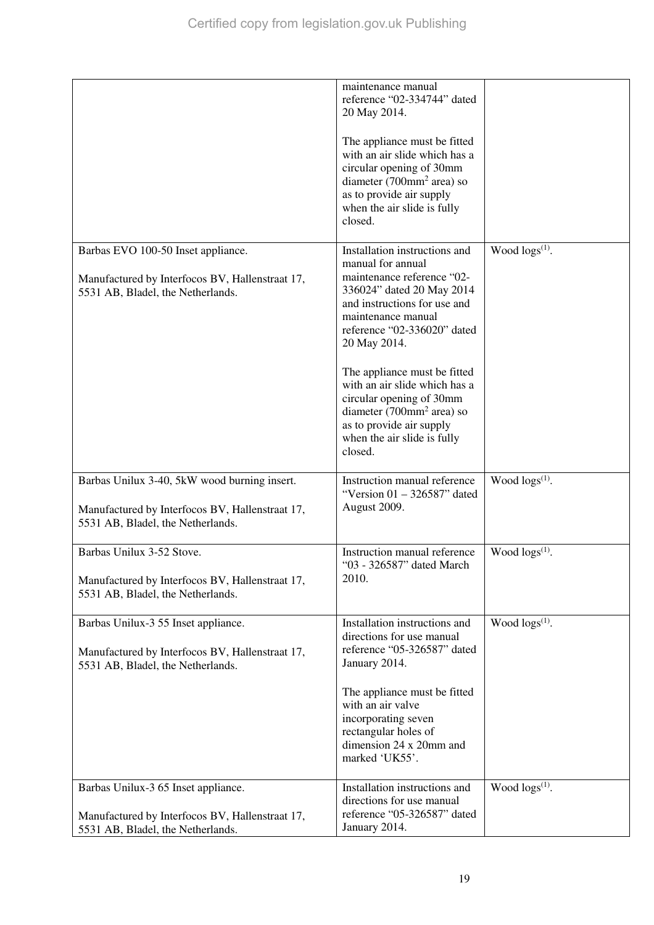|                                                                                                                                      | maintenance manual<br>reference "02-334744" dated<br>20 May 2014.<br>The appliance must be fitted<br>with an air slide which has a<br>circular opening of 30mm<br>diameter (700mm <sup>2</sup> area) so<br>as to provide air supply<br>when the air slide is fully<br>closed.                                                                                                                                                     |                            |
|--------------------------------------------------------------------------------------------------------------------------------------|-----------------------------------------------------------------------------------------------------------------------------------------------------------------------------------------------------------------------------------------------------------------------------------------------------------------------------------------------------------------------------------------------------------------------------------|----------------------------|
| Barbas EVO 100-50 Inset appliance.<br>Manufactured by Interfocos BV, Hallenstraat 17,<br>5531 AB, Bladel, the Netherlands.           | Installation instructions and<br>manual for annual<br>maintenance reference "02-<br>336024" dated 20 May 2014<br>and instructions for use and<br>maintenance manual<br>reference "02-336020" dated<br>20 May 2014.<br>The appliance must be fitted<br>with an air slide which has a<br>circular opening of 30mm<br>diameter $(700$ mm <sup>2</sup> area) so<br>as to provide air supply<br>when the air slide is fully<br>closed. | Wood $\log(s^{(1)})$ .     |
| Barbas Unilux 3-40, 5kW wood burning insert.<br>Manufactured by Interfocos BV, Hallenstraat 17,<br>5531 AB, Bladel, the Netherlands. | Instruction manual reference<br>"Version $01 - 326587$ " dated<br>August 2009.                                                                                                                                                                                                                                                                                                                                                    | Wood $\log s^{(1)}$ .      |
| Barbas Unilux 3-52 Stove.<br>Manufactured by Interfocos BV, Hallenstraat 17,<br>5531 AB, Bladel, the Netherlands.                    | Instruction manual reference<br>"03 - 326587" dated March<br>2010.                                                                                                                                                                                                                                                                                                                                                                | Wood $\log s^{(1)}$ .      |
| Barbas Unilux-3 55 Inset appliance.<br>Manufactured by Interfocos BV, Hallenstraat 17,<br>5531 AB, Bladel, the Netherlands.          | Installation instructions and<br>directions for use manual<br>reference "05-326587" dated<br>January 2014.<br>The appliance must be fitted<br>with an air valve<br>incorporating seven<br>rectangular holes of<br>dimension 24 x 20mm and<br>marked 'UK55'.                                                                                                                                                                       | Wood logs <sup>(1)</sup> . |
| Barbas Unilux-3 65 Inset appliance.<br>Manufactured by Interfocos BV, Hallenstraat 17,<br>5531 AB, Bladel, the Netherlands.          | Installation instructions and<br>directions for use manual<br>reference "05-326587" dated<br>January 2014.                                                                                                                                                                                                                                                                                                                        | Wood $\log(s^{(1)})$ .     |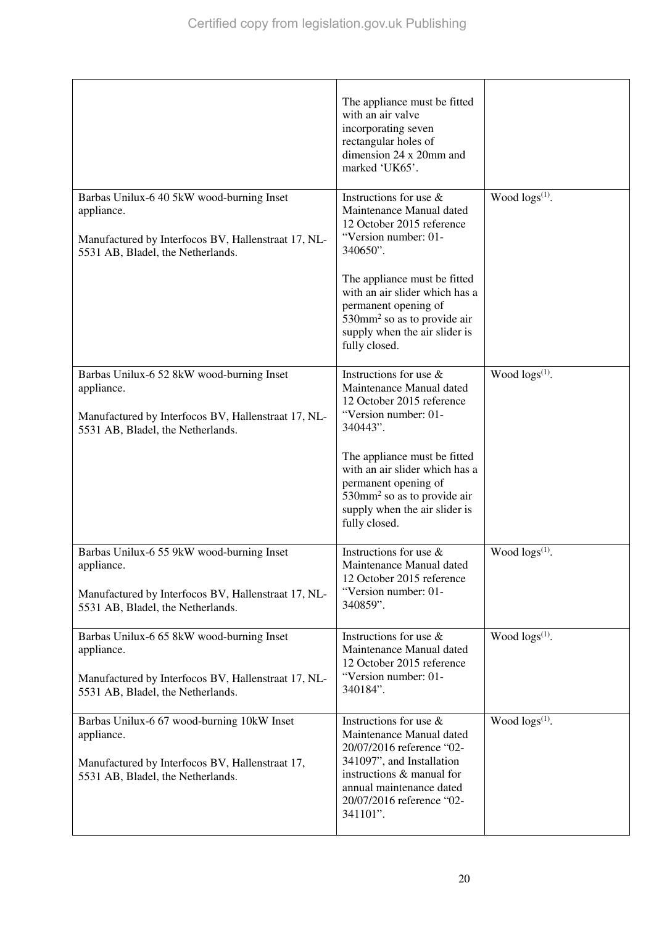|                                                                                                                                                     | The appliance must be fitted<br>with an air valve<br>incorporating seven<br>rectangular holes of<br>dimension 24 x 20mm and<br>marked 'UK65'.                                                                  |                        |
|-----------------------------------------------------------------------------------------------------------------------------------------------------|----------------------------------------------------------------------------------------------------------------------------------------------------------------------------------------------------------------|------------------------|
| Barbas Unilux-6 40 5kW wood-burning Inset<br>appliance.<br>Manufactured by Interfocos BV, Hallenstraat 17, NL-<br>5531 AB, Bladel, the Netherlands. | Instructions for use &<br>Maintenance Manual dated<br>12 October 2015 reference<br>"Version number: 01-<br>340650".                                                                                            | Wood $\log s^{(1)}$ .  |
|                                                                                                                                                     | The appliance must be fitted<br>with an air slider which has a<br>permanent opening of<br>$530$ mm <sup>2</sup> so as to provide air<br>supply when the air slider is<br>fully closed.                         |                        |
| Barbas Unilux-6 52 8kW wood-burning Inset<br>appliance.<br>Manufactured by Interfocos BV, Hallenstraat 17, NL-<br>5531 AB, Bladel, the Netherlands. | Instructions for use &<br>Maintenance Manual dated<br>12 October 2015 reference<br>"Version number: 01-<br>340443".                                                                                            | Wood $\log(s^{(1)})$ . |
|                                                                                                                                                     | The appliance must be fitted<br>with an air slider which has a<br>permanent opening of<br>$530$ mm <sup>2</sup> so as to provide air<br>supply when the air slider is<br>fully closed.                         |                        |
| Barbas Unilux-6 55 9kW wood-burning Inset<br>appliance.<br>Manufactured by Interfocos BV, Hallenstraat 17, NL-<br>5531 AB, Bladel, the Netherlands. | Instructions for use &<br>Maintenance Manual dated<br>12 October 2015 reference<br>"Version number: 01-<br>340859".                                                                                            | Wood $\log s^{(1)}$ .  |
| Barbas Unilux-6 65 8kW wood-burning Inset<br>appliance.<br>Manufactured by Interfocos BV, Hallenstraat 17, NL-<br>5531 AB, Bladel, the Netherlands. | Instructions for use &<br>Maintenance Manual dated<br>12 October 2015 reference<br>"Version number: 01-<br>340184".                                                                                            | Wood $\log(s^{(1)})$ . |
| Barbas Unilux-6 67 wood-burning 10kW Inset<br>appliance.<br>Manufactured by Interfocos BV, Hallenstraat 17,<br>5531 AB, Bladel, the Netherlands.    | Instructions for use &<br>Maintenance Manual dated<br>20/07/2016 reference "02-<br>341097", and Installation<br>instructions & manual for<br>annual maintenance dated<br>20/07/2016 reference "02-<br>341101". | Wood $\log(s^{(1)})$ . |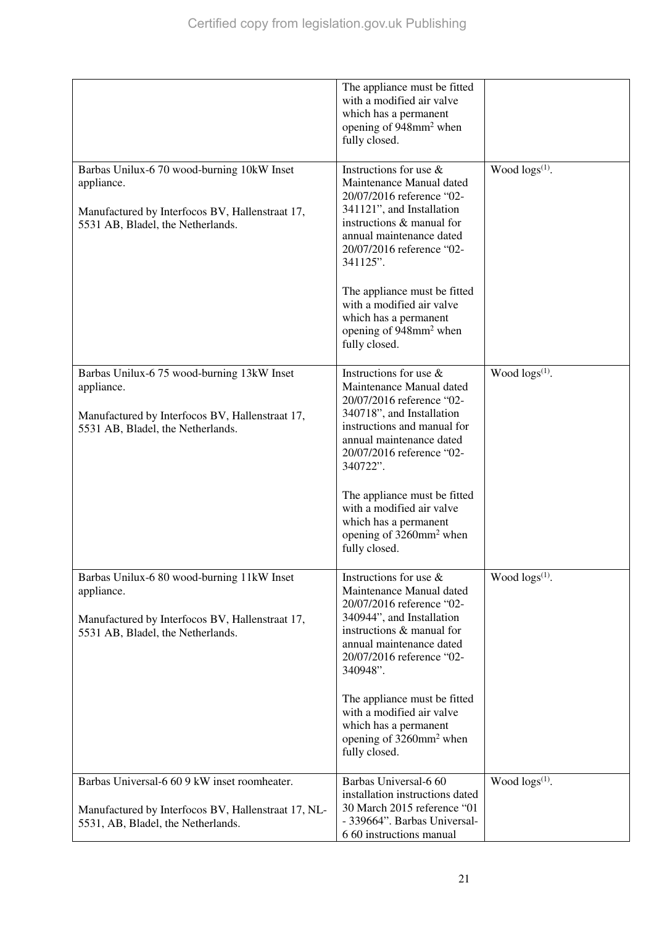|                                                                                                                                                  | The appliance must be fitted<br>with a modified air valve<br>which has a permanent<br>opening of 948mm <sup>2</sup> when<br>fully closed.                                                                                                                                                                                                                         |                        |
|--------------------------------------------------------------------------------------------------------------------------------------------------|-------------------------------------------------------------------------------------------------------------------------------------------------------------------------------------------------------------------------------------------------------------------------------------------------------------------------------------------------------------------|------------------------|
| Barbas Unilux-6 70 wood-burning 10kW Inset<br>appliance.<br>Manufactured by Interfocos BV, Hallenstraat 17,<br>5531 AB, Bladel, the Netherlands. | Instructions for use &<br>Maintenance Manual dated<br>20/07/2016 reference "02-<br>341121", and Installation<br>instructions & manual for<br>annual maintenance dated<br>20/07/2016 reference "02-<br>341125".<br>The appliance must be fitted<br>with a modified air valve<br>which has a permanent<br>opening of 948mm <sup>2</sup> when                        | Wood $\log s^{(1)}$ .  |
|                                                                                                                                                  | fully closed.                                                                                                                                                                                                                                                                                                                                                     |                        |
| Barbas Unilux-6 75 wood-burning 13kW Inset<br>appliance.<br>Manufactured by Interfocos BV, Hallenstraat 17,<br>5531 AB, Bladel, the Netherlands. | Instructions for use $\&$<br>Maintenance Manual dated<br>20/07/2016 reference "02-<br>340718", and Installation<br>instructions and manual for<br>annual maintenance dated<br>20/07/2016 reference "02-<br>340722".<br>The appliance must be fitted<br>with a modified air valve<br>which has a permanent<br>opening of 3260mm <sup>2</sup> when<br>fully closed. | Wood $\log(s^{(1)})$ . |
| Barbas Unilux-6 80 wood-burning 11kW Inset<br>appliance.<br>Manufactured by Interfocos BV, Hallenstraat 17,<br>5531 AB, Bladel, the Netherlands. | Instructions for use $\&$<br>Maintenance Manual dated<br>20/07/2016 reference "02-<br>340944", and Installation<br>instructions & manual for<br>annual maintenance dated<br>20/07/2016 reference "02-<br>340948".<br>The appliance must be fitted<br>with a modified air valve<br>which has a permanent<br>opening of 3260mm <sup>2</sup> when<br>fully closed.   | Wood $\log s^{(1)}$ .  |
| Barbas Universal-6 60 9 kW inset roomheater.<br>Manufactured by Interfocos BV, Hallenstraat 17, NL-<br>5531, AB, Bladel, the Netherlands.        | Barbas Universal-6 60<br>installation instructions dated<br>30 March 2015 reference "01<br>- 339664". Barbas Universal-<br>6 60 instructions manual                                                                                                                                                                                                               | Wood $\log s^{(1)}$ .  |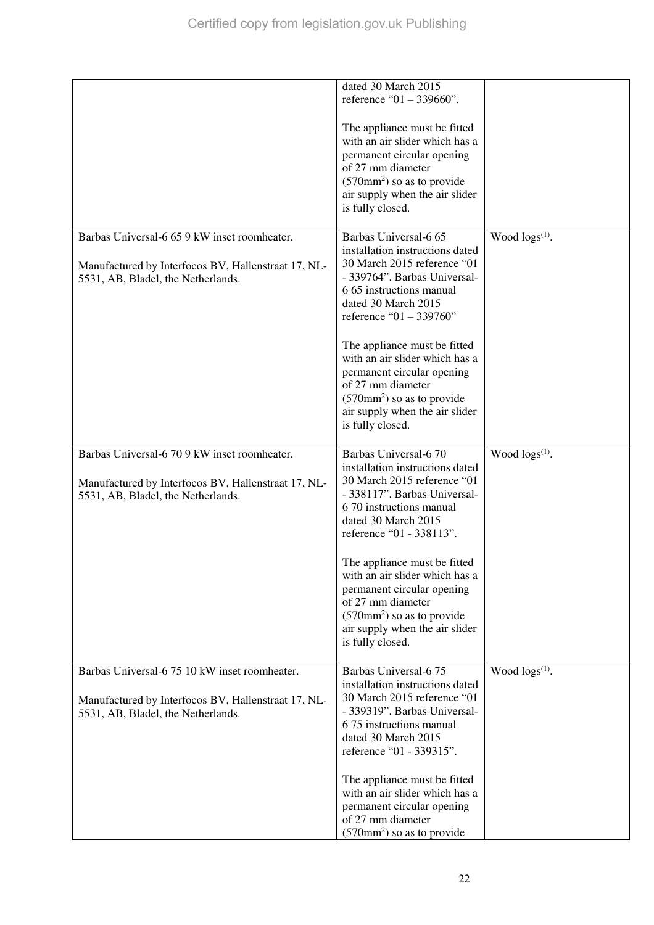|                                                                                                                                            | dated 30 March 2015<br>reference "01 – 339660".<br>The appliance must be fitted<br>with an air slider which has a<br>permanent circular opening<br>of 27 mm diameter<br>$(570 \text{mm}^2)$ so as to provide<br>air supply when the air slider<br>is fully closed.                                                                                                                                                       |                        |
|--------------------------------------------------------------------------------------------------------------------------------------------|--------------------------------------------------------------------------------------------------------------------------------------------------------------------------------------------------------------------------------------------------------------------------------------------------------------------------------------------------------------------------------------------------------------------------|------------------------|
| Barbas Universal-6 65 9 kW inset roomheater.<br>Manufactured by Interfocos BV, Hallenstraat 17, NL-<br>5531, AB, Bladel, the Netherlands.  | Barbas Universal-6 65<br>installation instructions dated<br>30 March 2015 reference "01<br>- 339764". Barbas Universal-<br>6.65 instructions manual<br>dated 30 March 2015<br>reference "01 - 339760"<br>The appliance must be fitted<br>with an air slider which has a<br>permanent circular opening<br>of 27 mm diameter<br>$(570 \text{mm}^2)$ so as to provide<br>air supply when the air slider<br>is fully closed. | Wood $\log(s^{(1)})$ . |
| Barbas Universal-6 70 9 kW inset roomheater.<br>Manufactured by Interfocos BV, Hallenstraat 17, NL-<br>5531, AB, Bladel, the Netherlands.  | Barbas Universal-6 70<br>installation instructions dated<br>30 March 2015 reference "01<br>- 338117". Barbas Universal-<br>6 70 instructions manual<br>dated 30 March 2015<br>reference "01 - 338113".<br>The appliance must be fitted<br>with an air slider which has a<br>permanent circular opening<br>of 27 mm diameter<br>$(570mm2)$ so as to provide<br>air supply when the air slider<br>is fully closed.         | Wood $\log(s^{(1)})$ . |
| Barbas Universal-6 75 10 kW inset roomheater.<br>Manufactured by Interfocos BV, Hallenstraat 17, NL-<br>5531, AB, Bladel, the Netherlands. | Barbas Universal-675<br>installation instructions dated<br>30 March 2015 reference "01<br>- 339319". Barbas Universal-<br>6 75 instructions manual<br>dated 30 March 2015<br>reference "01 - 339315".<br>The appliance must be fitted<br>with an air slider which has a<br>permanent circular opening<br>of 27 mm diameter<br>$(570 \text{mm}^2)$ so as to provide                                                       | Wood $\log(s^{(1)})$ . |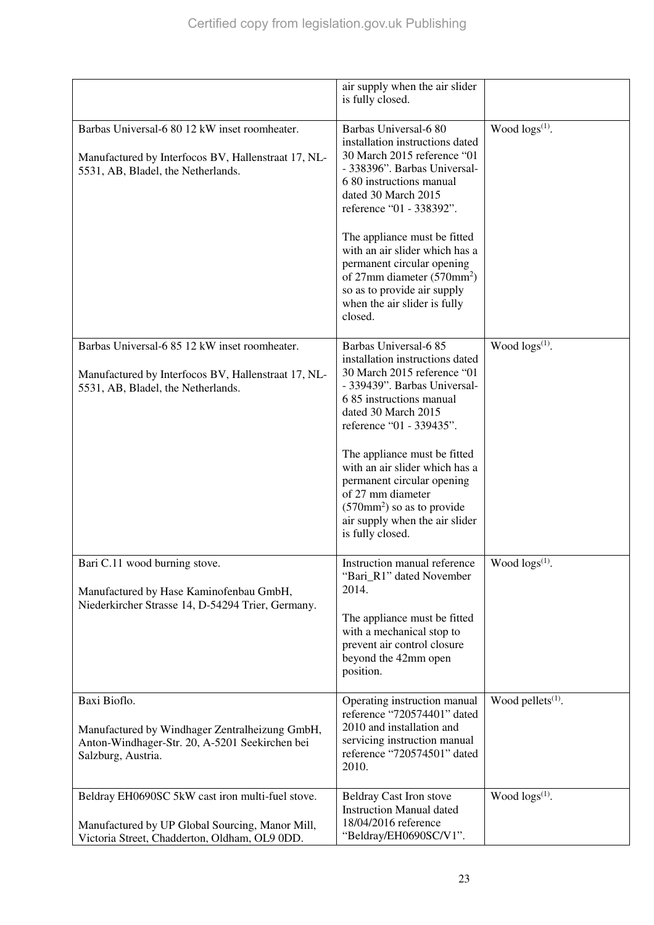|                                                                                                                                                      | air supply when the air slider<br>is fully closed.                                                                                                                                                                                                                                                                                                                                                                                 |                        |
|------------------------------------------------------------------------------------------------------------------------------------------------------|------------------------------------------------------------------------------------------------------------------------------------------------------------------------------------------------------------------------------------------------------------------------------------------------------------------------------------------------------------------------------------------------------------------------------------|------------------------|
| Barbas Universal-6 80 12 kW inset roomheater.<br>Manufactured by Interfocos BV, Hallenstraat 17, NL-<br>5531, AB, Bladel, the Netherlands.           | Barbas Universal-6 80<br>installation instructions dated<br>30 March 2015 reference "01<br>- 338396". Barbas Universal-<br>6 80 instructions manual<br>dated 30 March 2015<br>reference "01 - 338392".<br>The appliance must be fitted<br>with an air slider which has a<br>permanent circular opening<br>of $27 \text{mm}$ diameter $(570 \text{mm}^2)$<br>so as to provide air supply<br>when the air slider is fully<br>closed. | Wood $\log s^{(1)}$ .  |
|                                                                                                                                                      |                                                                                                                                                                                                                                                                                                                                                                                                                                    |                        |
| Barbas Universal-6 85 12 kW inset roomheater.<br>Manufactured by Interfocos BV, Hallenstraat 17, NL-<br>5531, AB, Bladel, the Netherlands.           | Barbas Universal-6 85<br>installation instructions dated<br>30 March 2015 reference "01<br>- 339439". Barbas Universal-<br>6 85 instructions manual<br>dated 30 March 2015<br>reference "01 - 339435".<br>The appliance must be fitted<br>with an air slider which has a<br>permanent circular opening<br>of 27 mm diameter<br>$(570 \text{mm}^2)$ so as to provide<br>air supply when the air slider<br>is fully closed.          | Wood $\log(s^{(1)})$ . |
| Bari C.11 wood burning stove.<br>Manufactured by Hase Kaminofenbau GmbH,<br>Niederkircher Strasse 14, D-54294 Trier, Germany.                        | Instruction manual reference<br>"Bari_R1" dated November<br>2014.<br>The appliance must be fitted<br>with a mechanical stop to<br>prevent air control closure<br>beyond the 42mm open<br>position.                                                                                                                                                                                                                                 | Wood $\log(s^{(1)})$ . |
| Baxi Bioflo.<br>Manufactured by Windhager Zentralheizung GmbH,<br>Anton-Windhager-Str. 20, A-5201 Seekirchen bei<br>Salzburg, Austria.               | Operating instruction manual<br>reference "720574401" dated<br>2010 and installation and<br>servicing instruction manual<br>reference "720574501" dated<br>2010.                                                                                                                                                                                                                                                                   | Wood pellets $(1)$ .   |
| Beldray EH0690SC 5kW cast iron multi-fuel stove.<br>Manufactured by UP Global Sourcing, Manor Mill,<br>Victoria Street, Chadderton, Oldham, OL9 0DD. | <b>Beldray Cast Iron stove</b><br><b>Instruction Manual dated</b><br>18/04/2016 reference<br>"Beldray/EH0690SC/V1".                                                                                                                                                                                                                                                                                                                | Wood $\log s^{(1)}$ .  |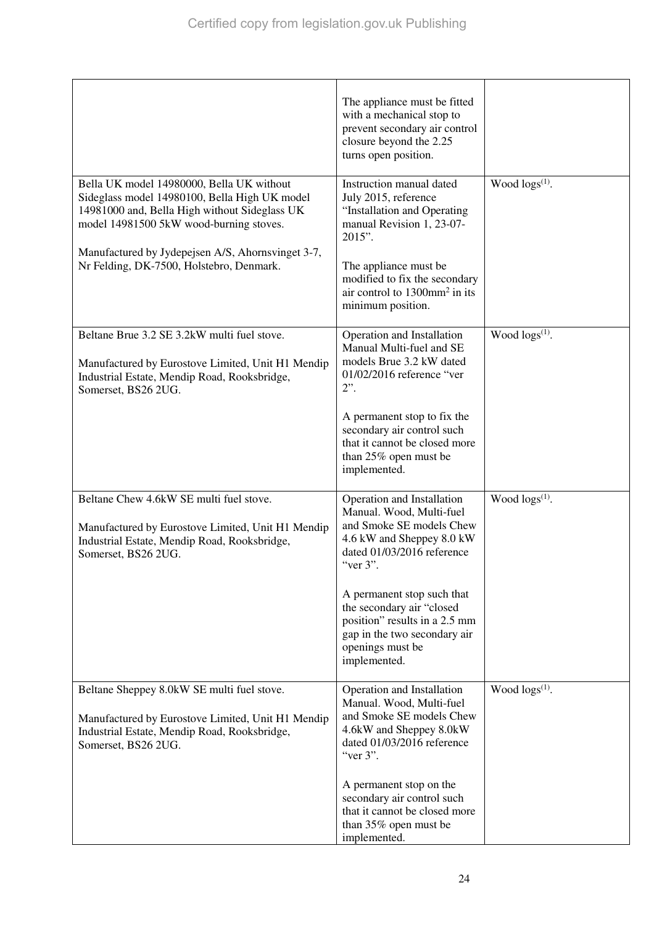|                                                                                                                                                                                                                                                                                         | The appliance must be fitted<br>with a mechanical stop to<br>prevent secondary air control<br>closure beyond the 2.25<br>turns open position.                                                                                                                                                                             |                        |
|-----------------------------------------------------------------------------------------------------------------------------------------------------------------------------------------------------------------------------------------------------------------------------------------|---------------------------------------------------------------------------------------------------------------------------------------------------------------------------------------------------------------------------------------------------------------------------------------------------------------------------|------------------------|
| Bella UK model 14980000, Bella UK without<br>Sideglass model 14980100, Bella High UK model<br>14981000 and, Bella High without Sideglass UK<br>model 14981500 5kW wood-burning stoves.<br>Manufactured by Jydepejsen A/S, Ahornsvinget 3-7,<br>Nr Felding, DK-7500, Holstebro, Denmark. | Instruction manual dated<br>July 2015, reference<br>"Installation and Operating<br>manual Revision 1, 23-07-<br>2015".<br>The appliance must be<br>modified to fix the secondary<br>air control to $1300$ mm <sup>2</sup> in its<br>minimum position.                                                                     | Wood $\log s^{(1)}$ .  |
| Beltane Brue 3.2 SE 3.2kW multi fuel stove.<br>Manufactured by Eurostove Limited, Unit H1 Mendip<br>Industrial Estate, Mendip Road, Rooksbridge,<br>Somerset, BS26 2UG.                                                                                                                 | Operation and Installation<br>Manual Multi-fuel and SE<br>models Brue 3.2 kW dated<br>01/02/2016 reference "ver<br>$2$ ".<br>A permanent stop to fix the<br>secondary air control such<br>that it cannot be closed more<br>than 25% open must be<br>implemented.                                                          | Wood $\log s^{(1)}$ .  |
| Beltane Chew 4.6kW SE multi fuel stove.<br>Manufactured by Eurostove Limited, Unit H1 Mendip<br>Industrial Estate, Mendip Road, Rooksbridge,<br>Somerset, BS26 2UG.                                                                                                                     | Operation and Installation<br>Manual. Wood, Multi-fuel<br>and Smoke SE models Chew<br>4.6 kW and Sheppey 8.0 kW<br>dated 01/03/2016 reference<br>"ver 3".<br>A permanent stop such that<br>the secondary air "closed<br>position" results in a 2.5 mm<br>gap in the two secondary air<br>openings must be<br>implemented. | Wood $\log(s^{(1)})$ . |
| Beltane Sheppey 8.0kW SE multi fuel stove.<br>Manufactured by Eurostove Limited, Unit H1 Mendip<br>Industrial Estate, Mendip Road, Rooksbridge,<br>Somerset, BS26 2UG.                                                                                                                  | Operation and Installation<br>Manual. Wood, Multi-fuel<br>and Smoke SE models Chew<br>4.6kW and Sheppey 8.0kW<br>dated 01/03/2016 reference<br>"ver $3$ ".<br>A permanent stop on the<br>secondary air control such<br>that it cannot be closed more<br>than 35% open must be<br>implemented.                             | Wood $\log s^{(1)}$ .  |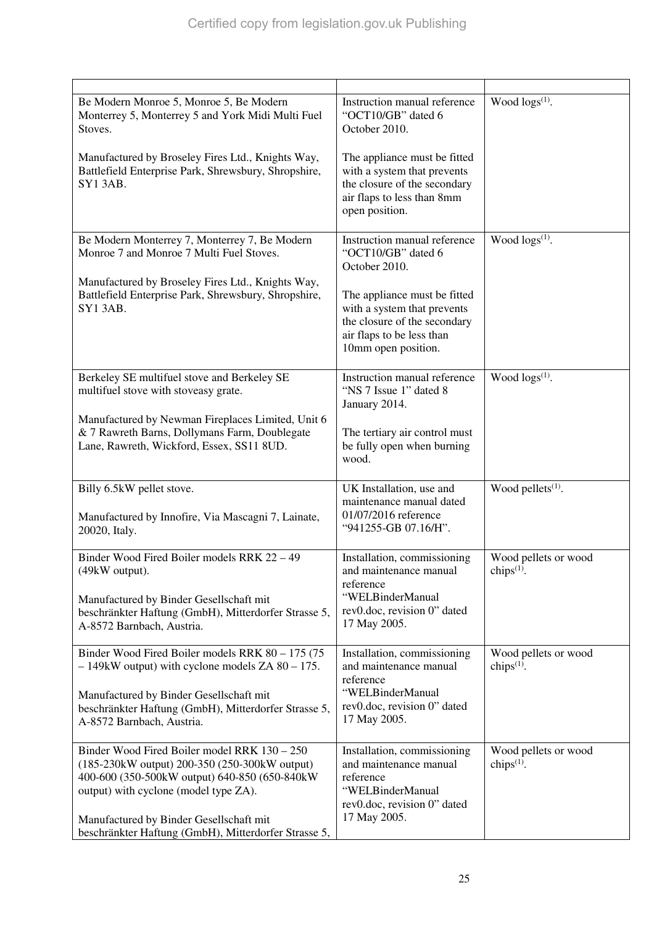| Be Modern Monroe 5, Monroe 5, Be Modern<br>Monterrey 5, Monterrey 5 and York Midi Multi Fuel<br>Stoves.<br>Manufactured by Broseley Fires Ltd., Knights Way,<br>Battlefield Enterprise Park, Shrewsbury, Shropshire,<br><b>SY13AB.</b>                                                       | Instruction manual reference<br>"OCT10/GB" dated 6<br>October 2010.<br>The appliance must be fitted<br>with a system that prevents<br>the closure of the secondary<br>air flaps to less than 8mm<br>open position.     | Wood $\log(s^{(1)})$ .                |
|----------------------------------------------------------------------------------------------------------------------------------------------------------------------------------------------------------------------------------------------------------------------------------------------|------------------------------------------------------------------------------------------------------------------------------------------------------------------------------------------------------------------------|---------------------------------------|
| Be Modern Monterrey 7, Monterrey 7, Be Modern<br>Monroe 7 and Monroe 7 Multi Fuel Stoves.<br>Manufactured by Broseley Fires Ltd., Knights Way,<br>Battlefield Enterprise Park, Shrewsbury, Shropshire,<br>SY13AB.                                                                            | Instruction manual reference<br>"OCT10/GB" dated 6<br>October 2010.<br>The appliance must be fitted<br>with a system that prevents<br>the closure of the secondary<br>air flaps to be less than<br>10mm open position. | Wood $\log(s^{(1)})$ .                |
| Berkeley SE multifuel stove and Berkeley SE<br>multifuel stove with stoveasy grate.<br>Manufactured by Newman Fireplaces Limited, Unit 6<br>& 7 Rawreth Barns, Dollymans Farm, Doublegate<br>Lane, Rawreth, Wickford, Essex, SS11 8UD.                                                       | Instruction manual reference<br>"NS 7 Issue 1" dated 8<br>January 2014.<br>The tertiary air control must<br>be fully open when burning<br>wood.                                                                        | Wood $\log s^{(1)}$ .                 |
| Billy 6.5kW pellet stove.<br>Manufactured by Innofire, Via Mascagni 7, Lainate,<br>20020, Italy.                                                                                                                                                                                             | UK Installation, use and<br>maintenance manual dated<br>01/07/2016 reference<br>"941255-GB 07.16/H".                                                                                                                   | Wood pellets <sup>(1)</sup> .         |
| Binder Wood Fired Boiler models RRK 22 - 49<br>(49kW output).<br>Manufactured by Binder Gesellschaft mit<br>beschränkter Haftung (GmbH), Mitterdorfer Strasse 5,<br>A-8572 Barnbach, Austria.                                                                                                | Installation, commissioning<br>and maintenance manual<br>reference<br>"WELBinderManual<br>rev0.doc, revision 0" dated<br>17 May 2005.                                                                                  | Wood pellets or wood<br>chips $(1)$ . |
| Binder Wood Fired Boiler models RRK 80 - 175 (75<br>$-149$ kW output) with cyclone models ZA 80 – 175.<br>Manufactured by Binder Gesellschaft mit<br>beschränkter Haftung (GmbH), Mitterdorfer Strasse 5,<br>A-8572 Barnbach, Austria.                                                       | Installation, commissioning<br>and maintenance manual<br>reference<br>"WELBinderManual<br>rev0.doc, revision 0" dated<br>17 May 2005.                                                                                  | Wood pellets or wood<br>chips $(1)$ . |
| Binder Wood Fired Boiler model RRK 130 - 250<br>(185-230 kW output) 200-350 (250-300 kW output)<br>400-600 (350-500kW output) 640-850 (650-840kW<br>output) with cyclone (model type ZA).<br>Manufactured by Binder Gesellschaft mit<br>beschränkter Haftung (GmbH), Mitterdorfer Strasse 5, | Installation, commissioning<br>and maintenance manual<br>reference<br>"WELBinderManual<br>rev0.doc, revision 0" dated<br>17 May 2005.                                                                                  | Wood pellets or wood<br>chips $(1)$ . |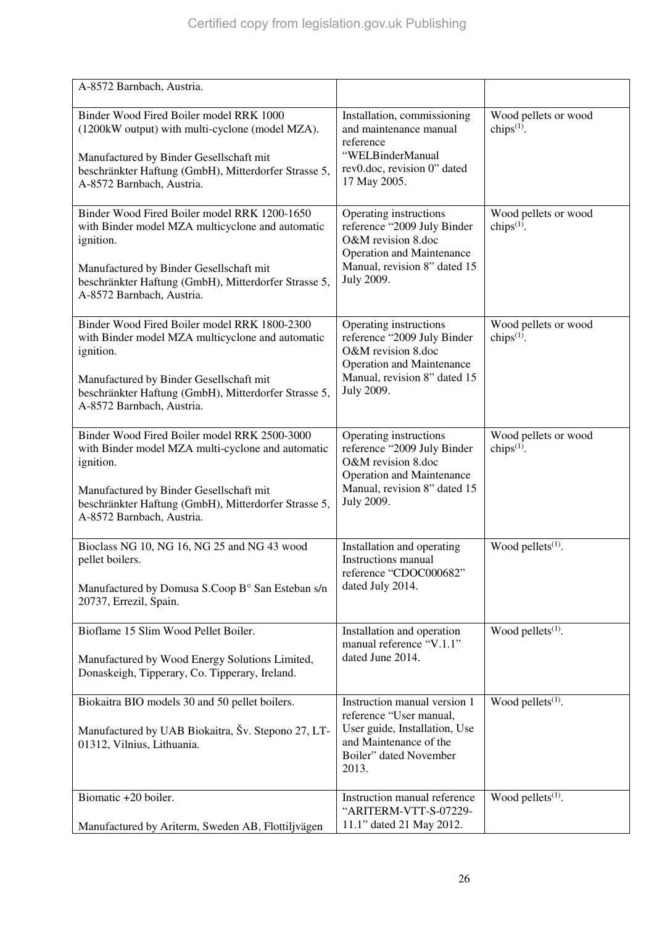| A-8572 Barnbach, Austria.                                                                                                                                                                                                                      |                                                                                                                                                                      |                                       |
|------------------------------------------------------------------------------------------------------------------------------------------------------------------------------------------------------------------------------------------------|----------------------------------------------------------------------------------------------------------------------------------------------------------------------|---------------------------------------|
| Binder Wood Fired Boiler model RRK 1000<br>(1200kW output) with multi-cyclone (model MZA).<br>Manufactured by Binder Gesellschaft mit<br>beschränkter Haftung (GmbH), Mitterdorfer Strasse 5,<br>A-8572 Barnbach, Austria.                     | Installation, commissioning<br>and maintenance manual<br>reference<br>"WELBinderManual<br>rev0.doc, revision 0" dated<br>17 May 2005.                                | Wood pellets or wood<br>chips $(1)$ . |
| Binder Wood Fired Boiler model RRK 1200-1650<br>with Binder model MZA multicyclone and automatic<br>ignition.<br>Manufactured by Binder Gesellschaft mit<br>beschränkter Haftung (GmbH), Mitterdorfer Strasse 5,<br>A-8572 Barnbach, Austria.  | Operating instructions<br>reference "2009 July Binder<br>O&M revision 8.doc<br><b>Operation and Maintenance</b><br>Manual, revision 8" dated 15<br><b>July 2009.</b> | Wood pellets or wood<br>chips $(1)$ . |
| Binder Wood Fired Boiler model RRK 1800-2300<br>with Binder model MZA multicyclone and automatic<br>ignition.<br>Manufactured by Binder Gesellschaft mit<br>beschränkter Haftung (GmbH), Mitterdorfer Strasse 5,<br>A-8572 Barnbach, Austria.  | Operating instructions<br>reference "2009 July Binder<br>O&M revision 8.doc<br><b>Operation and Maintenance</b><br>Manual, revision 8" dated 15<br>July 2009.        | Wood pellets or wood<br>chips $(1)$ . |
| Binder Wood Fired Boiler model RRK 2500-3000<br>with Binder model MZA multi-cyclone and automatic<br>ignition.<br>Manufactured by Binder Gesellschaft mit<br>beschränkter Haftung (GmbH), Mitterdorfer Strasse 5,<br>A-8572 Barnbach, Austria. | Operating instructions<br>reference "2009 July Binder<br>O&M revision 8.doc<br><b>Operation and Maintenance</b><br>Manual, revision 8" dated 15<br><b>July 2009.</b> | Wood pellets or wood<br>chips $(1)$ . |
| Bioclass NG 10, NG 16, NG 25 and NG 43 wood<br>pellet boilers.<br>Manufactured by Domusa S.Coop B° San Esteban s/n<br>20737, Errezil, Spain.                                                                                                   | Installation and operating<br>Instructions manual<br>reference "CDOC000682"<br>dated July 2014.                                                                      | Wood pellets <sup>(1)</sup> .         |
| Bioflame 15 Slim Wood Pellet Boiler.<br>Manufactured by Wood Energy Solutions Limited,<br>Donaskeigh, Tipperary, Co. Tipperary, Ireland.                                                                                                       | Installation and operation<br>manual reference "V.1.1"<br>dated June 2014.                                                                                           | Wood pellets <sup>(1)</sup> .         |
| Biokaitra BIO models 30 and 50 pellet boilers.<br>Manufactured by UAB Biokaitra, Šv. Stepono 27, LT-<br>01312, Vilnius, Lithuania.                                                                                                             | Instruction manual version 1<br>reference "User manual,<br>User guide, Installation, Use<br>and Maintenance of the<br>Boiler" dated November<br>2013.                | Wood pellets $(1)$ .                  |
| Biomatic +20 boiler.<br>Manufactured by Ariterm, Sweden AB, Flottiljvägen                                                                                                                                                                      | Instruction manual reference<br>"ARITERM-VTT-S-07229-<br>11.1" dated 21 May 2012.                                                                                    | Wood pellets $(1)$ .                  |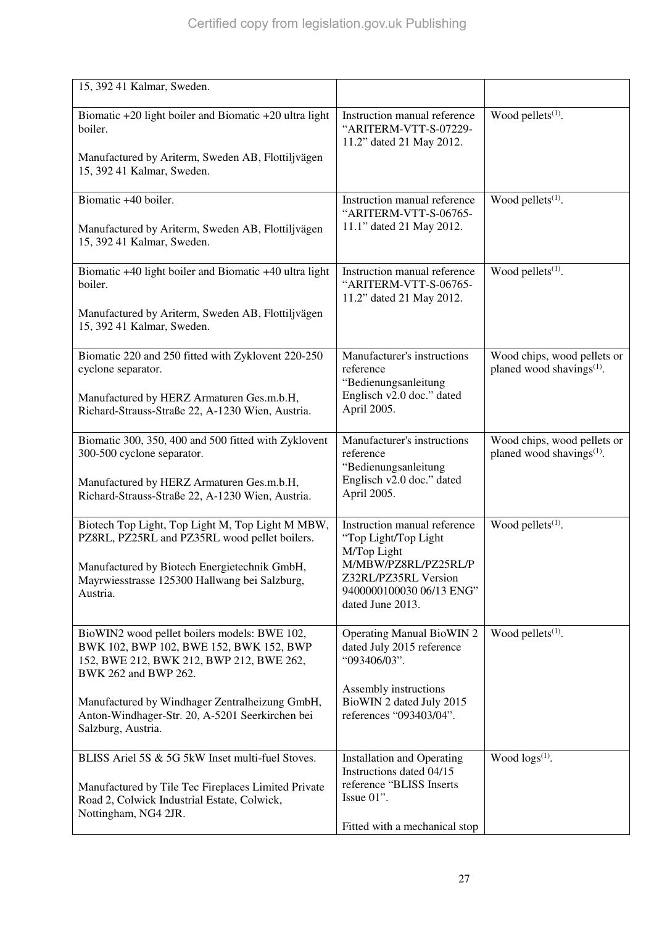| 15, 392 41 Kalmar, Sweden.                                                                                                                                  |                                                                                              |                                                                      |
|-------------------------------------------------------------------------------------------------------------------------------------------------------------|----------------------------------------------------------------------------------------------|----------------------------------------------------------------------|
| Biomatic $+20$ light boiler and Biomatic $+20$ ultra light<br>boiler.                                                                                       | Instruction manual reference<br>"ARITERM-VTT-S-07229-<br>11.2" dated 21 May 2012.            | Wood pellets $(1)$ .                                                 |
| Manufactured by Ariterm, Sweden AB, Flottiljvägen<br>15, 392 41 Kalmar, Sweden.                                                                             |                                                                                              |                                                                      |
| Biomatic +40 boiler.                                                                                                                                        | Instruction manual reference<br>"ARITERM-VTT-S-06765-                                        | Wood pellets <sup>(1)</sup> .                                        |
| Manufactured by Ariterm, Sweden AB, Flottiljvägen<br>15, 392 41 Kalmar, Sweden.                                                                             | 11.1" dated 21 May 2012.                                                                     |                                                                      |
| Biomatic +40 light boiler and Biomatic +40 ultra light<br>boiler.                                                                                           | Instruction manual reference<br>"ARITERM-VTT-S-06765-<br>11.2" dated 21 May 2012.            | Wood pellets $(1)$ .                                                 |
| Manufactured by Ariterm, Sweden AB, Flottiljvägen<br>15, 392 41 Kalmar, Sweden.                                                                             |                                                                                              |                                                                      |
| Biomatic 220 and 250 fitted with Zyklovent 220-250<br>cyclone separator.                                                                                    | Manufacturer's instructions<br>reference                                                     | Wood chips, wood pellets or<br>planed wood shavings <sup>(1)</sup> . |
| Manufactured by HERZ Armaturen Ges.m.b.H,<br>Richard-Strauss-Straße 22, A-1230 Wien, Austria.                                                               | "Bedienungsanleitung<br>Englisch v2.0 doc." dated<br>April 2005.                             |                                                                      |
| Biomatic 300, 350, 400 and 500 fitted with Zyklovent<br>300-500 cyclone separator.                                                                          | Manufacturer's instructions<br>reference                                                     | Wood chips, wood pellets or<br>planed wood shavings <sup>(1)</sup> . |
| Manufactured by HERZ Armaturen Ges.m.b.H,<br>Richard-Strauss-Straße 22, A-1230 Wien, Austria.                                                               | "Bedienungsanleitung<br>Englisch v2.0 doc." dated<br>April 2005.                             |                                                                      |
| Biotech Top Light, Top Light M, Top Light M MBW,<br>PZ8RL, PZ25RL and PZ35RL wood pellet boilers.                                                           | Instruction manual reference<br>"Top Light/Top Light<br>M/Top Light                          | Wood pellets <sup>(1)</sup> .                                        |
| Manufactured by Biotech Energietechnik GmbH,<br>Mayrwiesstrasse 125300 Hallwang bei Salzburg,<br>Austria.                                                   | M/MBW/PZ8RL/PZ25RL/P<br>Z32RL/PZ35RL Version<br>9400000100030 06/13 ENG"<br>dated June 2013. |                                                                      |
| BioWIN2 wood pellet boilers models: BWE 102,<br>BWK 102, BWP 102, BWE 152, BWK 152, BWP<br>152, BWE 212, BWK 212, BWP 212, BWE 262,<br>BWK 262 and BWP 262. | <b>Operating Manual BioWIN 2</b><br>dated July 2015 reference<br>"093406/03".                | Wood pellets $(1)$ .                                                 |
| Manufactured by Windhager Zentralheizung GmbH,<br>Anton-Windhager-Str. 20, A-5201 Seerkirchen bei<br>Salzburg, Austria.                                     | Assembly instructions<br>BioWIN 2 dated July 2015<br>references "093403/04".                 |                                                                      |
| BLISS Ariel 5S & 5G 5kW Inset multi-fuel Stoves.                                                                                                            | <b>Installation and Operating</b><br>Instructions dated 04/15                                | Wood $\log(s^{(1)})$ .                                               |
| Manufactured by Tile Tec Fireplaces Limited Private<br>Road 2, Colwick Industrial Estate, Colwick,<br>Nottingham, NG4 2JR.                                  | reference "BLISS Inserts<br>Issue $01$ ".                                                    |                                                                      |
|                                                                                                                                                             | Fitted with a mechanical stop                                                                |                                                                      |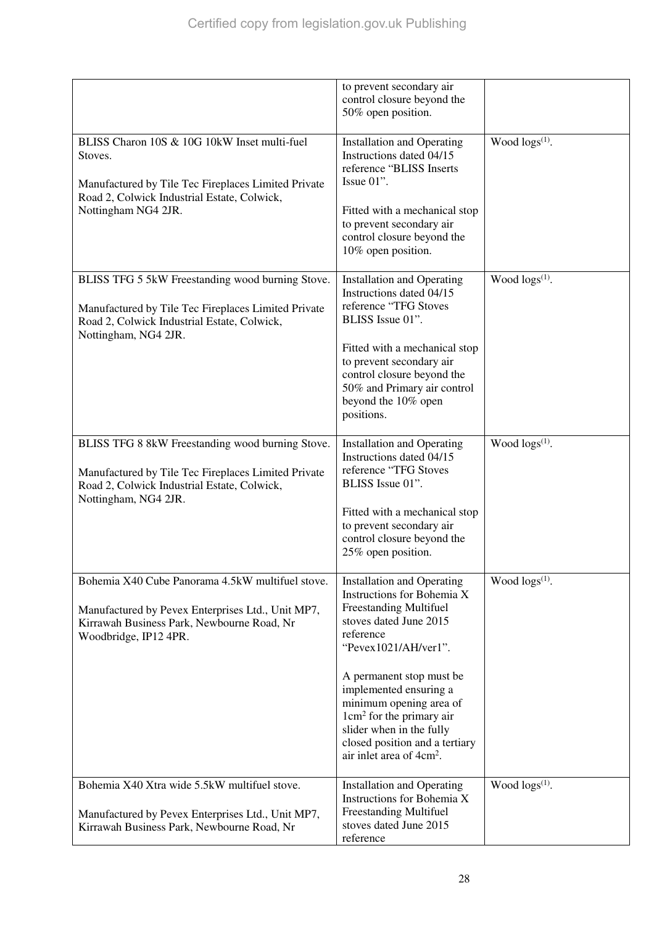|                                                                                                                                                                                      | to prevent secondary air<br>control closure beyond the<br>50% open position.                                                                                                                                                |                        |
|--------------------------------------------------------------------------------------------------------------------------------------------------------------------------------------|-----------------------------------------------------------------------------------------------------------------------------------------------------------------------------------------------------------------------------|------------------------|
| BLISS Charon 10S & 10G 10kW Inset multi-fuel<br>Stoves.<br>Manufactured by Tile Tec Fireplaces Limited Private<br>Road 2, Colwick Industrial Estate, Colwick,<br>Nottingham NG4 2JR. | <b>Installation and Operating</b><br>Instructions dated 04/15<br>reference "BLISS Inserts<br>Issue $01$ ".<br>Fitted with a mechanical stop<br>to prevent secondary air                                                     | Wood $\log s^{(1)}$ .  |
|                                                                                                                                                                                      | control closure beyond the<br>10% open position.                                                                                                                                                                            |                        |
| BLISS TFG 5 5kW Freestanding wood burning Stove.<br>Manufactured by Tile Tec Fireplaces Limited Private<br>Road 2, Colwick Industrial Estate, Colwick,<br>Nottingham, NG4 2JR.       | <b>Installation and Operating</b><br>Instructions dated 04/15<br>reference "TFG Stoves<br>BLISS Issue 01".                                                                                                                  | Wood $\log s^{(1)}$ .  |
|                                                                                                                                                                                      | Fitted with a mechanical stop<br>to prevent secondary air<br>control closure beyond the<br>50% and Primary air control<br>beyond the 10% open<br>positions.                                                                 |                        |
| BLISS TFG 8 8kW Freestanding wood burning Stove.<br>Manufactured by Tile Tec Fireplaces Limited Private<br>Road 2, Colwick Industrial Estate, Colwick,<br>Nottingham, NG4 2JR.       | <b>Installation and Operating</b><br>Instructions dated 04/15<br>reference "TFG Stoves<br>BLISS Issue 01".<br>Fitted with a mechanical stop<br>to prevent secondary air<br>control closure beyond the<br>25% open position. | Wood $\log s^{(1)}$ .  |
| Bohemia X40 Cube Panorama 4.5kW multifuel stove.                                                                                                                                     | <b>Installation and Operating</b>                                                                                                                                                                                           | Wood $\log(s^{(1)})$ . |
| Manufactured by Pevex Enterprises Ltd., Unit MP7,<br>Kirrawah Business Park, Newbourne Road, Nr<br>Woodbridge, IP12 4PR.                                                             | Instructions for Bohemia X<br>Freestanding Multifuel<br>stoves dated June 2015<br>reference<br>"Pevex1021/AH/ver1".                                                                                                         |                        |
|                                                                                                                                                                                      | A permanent stop must be<br>implemented ensuring a<br>minimum opening area of<br>$1 \text{cm}^2$ for the primary air<br>slider when in the fully<br>closed position and a tertiary<br>air inlet area of 4cm <sup>2</sup> .  |                        |
| Bohemia X40 Xtra wide 5.5kW multifuel stove.<br>Manufactured by Pevex Enterprises Ltd., Unit MP7,<br>Kirrawah Business Park, Newbourne Road, Nr                                      | <b>Installation and Operating</b><br>Instructions for Bohemia X<br><b>Freestanding Multifuel</b><br>stoves dated June 2015<br>reference                                                                                     | Wood $\log(s^{(1)})$ . |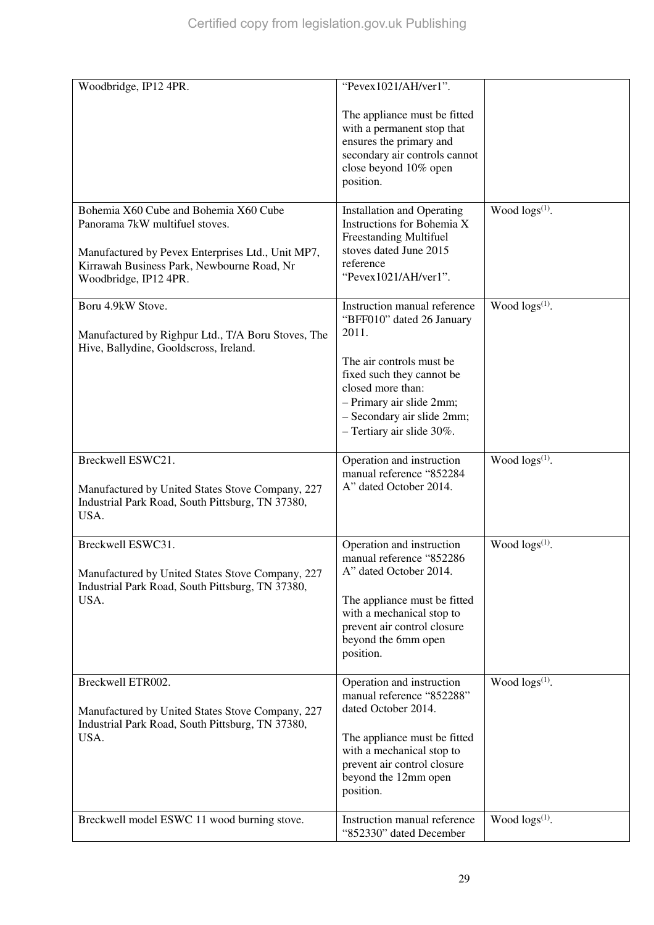| Woodbridge, IP12 4PR.                                                                                | "Pevex1021/AH/ver1".                                      |                        |
|------------------------------------------------------------------------------------------------------|-----------------------------------------------------------|------------------------|
|                                                                                                      | The appliance must be fitted                              |                        |
|                                                                                                      | with a permanent stop that                                |                        |
|                                                                                                      | ensures the primary and<br>secondary air controls cannot  |                        |
|                                                                                                      | close beyond 10% open                                     |                        |
|                                                                                                      | position.                                                 |                        |
| Bohemia X60 Cube and Bohemia X60 Cube                                                                | <b>Installation and Operating</b>                         | Wood $\log(s^{(1)})$ . |
| Panorama 7kW multifuel stoves.                                                                       | Instructions for Bohemia X                                |                        |
|                                                                                                      | <b>Freestanding Multifuel</b>                             |                        |
| Manufactured by Pevex Enterprises Ltd., Unit MP7,<br>Kirrawah Business Park, Newbourne Road, Nr      | stoves dated June 2015<br>reference                       |                        |
| Woodbridge, IP12 4PR.                                                                                | "Pevex1021/AH/ver1".                                      |                        |
|                                                                                                      |                                                           |                        |
| Boru 4.9kW Stove.                                                                                    | Instruction manual reference<br>"BFF010" dated 26 January | Wood $\log s^{(1)}$ .  |
| Manufactured by Righpur Ltd., T/A Boru Stoves, The                                                   | 2011.                                                     |                        |
| Hive, Ballydine, Gooldscross, Ireland.                                                               |                                                           |                        |
|                                                                                                      | The air controls must be                                  |                        |
|                                                                                                      | fixed such they cannot be<br>closed more than:            |                        |
|                                                                                                      | - Primary air slide 2mm;                                  |                        |
|                                                                                                      | - Secondary air slide 2mm;                                |                        |
|                                                                                                      | - Tertiary air slide 30%.                                 |                        |
| Breckwell ESWC21.                                                                                    | Operation and instruction                                 | Wood $\log s^{(1)}$ .  |
|                                                                                                      | manual reference "852284                                  |                        |
| Manufactured by United States Stove Company, 227<br>Industrial Park Road, South Pittsburg, TN 37380, | A" dated October 2014.                                    |                        |
| USA.                                                                                                 |                                                           |                        |
|                                                                                                      |                                                           |                        |
| Breckwell ESWC31.                                                                                    | Operation and instruction<br>manual reference "852286     | Wood $\log s^{(1)}$ .  |
| Manufactured by United States Stove Company, 227                                                     | A" dated October 2014.                                    |                        |
| Industrial Park Road, South Pittsburg, TN 37380,                                                     |                                                           |                        |
| USA.                                                                                                 | The appliance must be fitted<br>with a mechanical stop to |                        |
|                                                                                                      | prevent air control closure                               |                        |
|                                                                                                      | beyond the 6mm open                                       |                        |
|                                                                                                      | position.                                                 |                        |
| Breckwell ETR002.                                                                                    | Operation and instruction                                 | Wood $\log(s^{(1)})$ . |
|                                                                                                      | manual reference "852288"                                 |                        |
| Manufactured by United States Stove Company, 227<br>Industrial Park Road, South Pittsburg, TN 37380, | dated October 2014.                                       |                        |
| USA.                                                                                                 | The appliance must be fitted                              |                        |
|                                                                                                      | with a mechanical stop to                                 |                        |
|                                                                                                      | prevent air control closure<br>beyond the 12mm open       |                        |
|                                                                                                      | position.                                                 |                        |
|                                                                                                      |                                                           |                        |
| Breckwell model ESWC 11 wood burning stove.                                                          | Instruction manual reference<br>"852330" dated December   | Wood $\log(s^{(1)})$ . |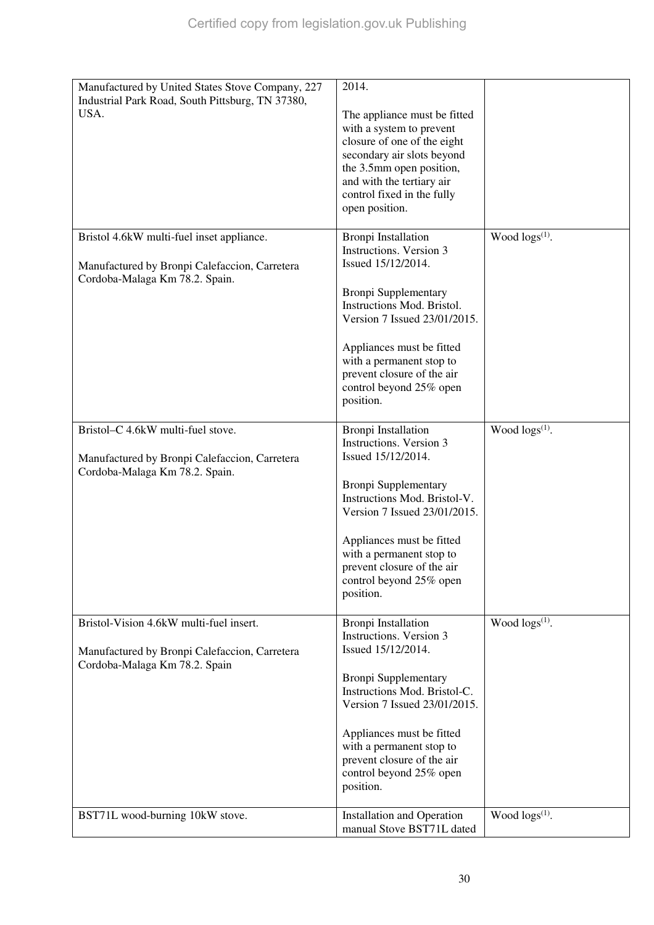| Manufactured by United States Stove Company, 227<br>Industrial Park Road, South Pittsburg, TN 37380,                         | 2014.                                                                                                                                                                                                                          |                        |
|------------------------------------------------------------------------------------------------------------------------------|--------------------------------------------------------------------------------------------------------------------------------------------------------------------------------------------------------------------------------|------------------------|
| USA.                                                                                                                         | The appliance must be fitted<br>with a system to prevent<br>closure of one of the eight<br>secondary air slots beyond<br>the 3.5mm open position,<br>and with the tertiary air<br>control fixed in the fully<br>open position. |                        |
| Bristol 4.6kW multi-fuel inset appliance.<br>Manufactured by Bronpi Calefaccion, Carretera<br>Cordoba-Malaga Km 78.2. Spain. | <b>Bronpi Installation</b><br>Instructions. Version 3<br>Issued 15/12/2014.                                                                                                                                                    | Wood $\log(s^{(1)})$ . |
|                                                                                                                              | <b>Bronpi Supplementary</b><br>Instructions Mod. Bristol.<br>Version 7 Issued 23/01/2015.                                                                                                                                      |                        |
|                                                                                                                              | Appliances must be fitted<br>with a permanent stop to<br>prevent closure of the air<br>control beyond 25% open<br>position.                                                                                                    |                        |
| Bristol-C 4.6kW multi-fuel stove.<br>Manufactured by Bronpi Calefaccion, Carretera                                           | <b>Bronpi</b> Installation<br>Instructions. Version 3<br>Issued 15/12/2014.                                                                                                                                                    | Wood $\log(s^{(1)})$ . |
| Cordoba-Malaga Km 78.2. Spain.                                                                                               | <b>Bronpi Supplementary</b><br>Instructions Mod. Bristol-V.<br>Version 7 Issued 23/01/2015.                                                                                                                                    |                        |
|                                                                                                                              | Appliances must be fitted<br>with a permanent stop to<br>prevent closure of the air<br>control beyond 25% open                                                                                                                 |                        |
|                                                                                                                              | position.                                                                                                                                                                                                                      |                        |
| Bristol-Vision 4.6kW multi-fuel insert.<br>Manufactured by Bronpi Calefaccion, Carretera<br>Cordoba-Malaga Km 78.2. Spain    | Bronpi Installation<br>Instructions. Version 3<br>Issued 15/12/2014.                                                                                                                                                           | Wood $\log(s^{(1)})$ . |
|                                                                                                                              | <b>Bronpi Supplementary</b><br>Instructions Mod. Bristol-C.<br>Version 7 Issued 23/01/2015.                                                                                                                                    |                        |
|                                                                                                                              | Appliances must be fitted<br>with a permanent stop to<br>prevent closure of the air<br>control beyond 25% open<br>position.                                                                                                    |                        |
| BST71L wood-burning 10kW stove.                                                                                              | <b>Installation and Operation</b><br>manual Stove BST71L dated                                                                                                                                                                 | Wood $\log(s^{(1)})$ . |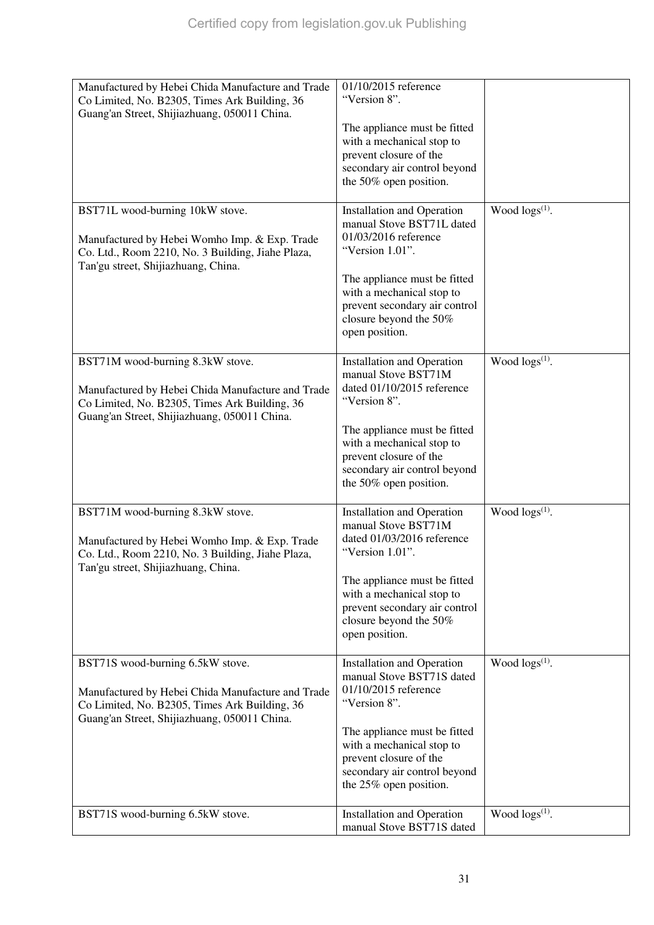| Manufactured by Hebei Chida Manufacture and Trade<br>Co Limited, No. B2305, Times Ark Building, 36<br>Guang'an Street, Shijiazhuang, 050011 China. | 01/10/2015 reference<br>"Version 8".                                                                      |                            |
|----------------------------------------------------------------------------------------------------------------------------------------------------|-----------------------------------------------------------------------------------------------------------|----------------------------|
|                                                                                                                                                    | The appliance must be fitted<br>with a mechanical stop to                                                 |                            |
|                                                                                                                                                    | prevent closure of the                                                                                    |                            |
|                                                                                                                                                    | secondary air control beyond                                                                              |                            |
|                                                                                                                                                    | the 50% open position.                                                                                    |                            |
| BST71L wood-burning 10kW stove.<br>Manufactured by Hebei Womho Imp. & Exp. Trade<br>Co. Ltd., Room 2210, No. 3 Building, Jiahe Plaza,              | <b>Installation and Operation</b><br>manual Stove BST71L dated<br>01/03/2016 reference<br>"Version 1.01". | Wood logs(1).              |
| Tan'gu street, Shijiazhuang, China.                                                                                                                |                                                                                                           |                            |
|                                                                                                                                                    | The appliance must be fitted<br>with a mechanical stop to                                                 |                            |
|                                                                                                                                                    | prevent secondary air control                                                                             |                            |
|                                                                                                                                                    | closure beyond the 50%                                                                                    |                            |
|                                                                                                                                                    | open position.                                                                                            |                            |
| BST71M wood-burning 8.3kW stove.                                                                                                                   | <b>Installation and Operation</b>                                                                         | Wood $\log s^{(1)}$ .      |
|                                                                                                                                                    | manual Stove BST71M<br>dated 01/10/2015 reference                                                         |                            |
| Manufactured by Hebei Chida Manufacture and Trade<br>Co Limited, No. B2305, Times Ark Building, 36                                                 | "Version 8".                                                                                              |                            |
| Guang'an Street, Shijiazhuang, 050011 China.                                                                                                       |                                                                                                           |                            |
|                                                                                                                                                    | The appliance must be fitted                                                                              |                            |
|                                                                                                                                                    | with a mechanical stop to<br>prevent closure of the                                                       |                            |
|                                                                                                                                                    | secondary air control beyond                                                                              |                            |
|                                                                                                                                                    | the 50% open position.                                                                                    |                            |
| BST71M wood-burning 8.3kW stove.                                                                                                                   | <b>Installation and Operation</b>                                                                         | Wood $\log(s^{(1)})$ .     |
|                                                                                                                                                    | manual Stove BST71M                                                                                       |                            |
| Manufactured by Hebei Womho Imp. & Exp. Trade                                                                                                      | dated 01/03/2016 reference<br>"Version 1.01".                                                             |                            |
| Co. Ltd., Room 2210, No. 3 Building, Jiahe Plaza,<br>Tan'gu street, Shijiazhuang, China.                                                           |                                                                                                           |                            |
|                                                                                                                                                    | The appliance must be fitted                                                                              |                            |
|                                                                                                                                                    | with a mechanical stop to<br>prevent secondary air control                                                |                            |
|                                                                                                                                                    | closure beyond the 50%                                                                                    |                            |
|                                                                                                                                                    | open position.                                                                                            |                            |
| BST71S wood-burning 6.5kW stove.                                                                                                                   | <b>Installation and Operation</b>                                                                         | Wood logs <sup>(1)</sup> . |
|                                                                                                                                                    | manual Stove BST71S dated                                                                                 |                            |
| Manufactured by Hebei Chida Manufacture and Trade<br>Co Limited, No. B2305, Times Ark Building, 36                                                 | 01/10/2015 reference<br>"Version 8".                                                                      |                            |
| Guang'an Street, Shijiazhuang, 050011 China.                                                                                                       |                                                                                                           |                            |
|                                                                                                                                                    | The appliance must be fitted                                                                              |                            |
|                                                                                                                                                    | with a mechanical stop to<br>prevent closure of the                                                       |                            |
|                                                                                                                                                    | secondary air control beyond                                                                              |                            |
|                                                                                                                                                    | the 25% open position.                                                                                    |                            |
| BST71S wood-burning 6.5kW stove.                                                                                                                   | <b>Installation and Operation</b>                                                                         | Wood $\log(s^{(1)})$ .     |
|                                                                                                                                                    | manual Stove BST71S dated                                                                                 |                            |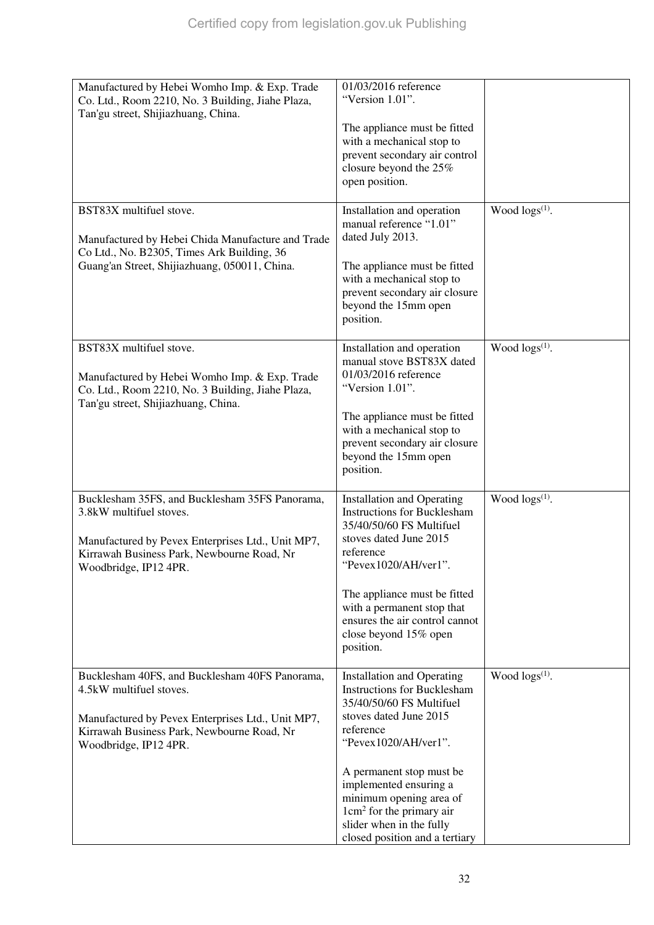| Manufactured by Hebei Womho Imp. & Exp. Trade     | 01/03/2016 reference                                      |                        |
|---------------------------------------------------|-----------------------------------------------------------|------------------------|
| Co. Ltd., Room 2210, No. 3 Building, Jiahe Plaza, | "Version 1.01".                                           |                        |
| Tan'gu street, Shijiazhuang, China.               |                                                           |                        |
|                                                   | The appliance must be fitted                              |                        |
|                                                   | with a mechanical stop to                                 |                        |
|                                                   | prevent secondary air control                             |                        |
|                                                   | closure beyond the 25%                                    |                        |
|                                                   | open position.                                            |                        |
|                                                   |                                                           |                        |
| BST83X multifuel stove.                           | Installation and operation                                | Wood logs(1).          |
|                                                   | manual reference "1.01"                                   |                        |
| Manufactured by Hebei Chida Manufacture and Trade | dated July 2013.                                          |                        |
| Co Ltd., No. B2305, Times Ark Building, 36        |                                                           |                        |
| Guang'an Street, Shijiazhuang, 050011, China.     | The appliance must be fitted                              |                        |
|                                                   | with a mechanical stop to                                 |                        |
|                                                   | prevent secondary air closure                             |                        |
|                                                   | beyond the 15mm open                                      |                        |
|                                                   | position.                                                 |                        |
|                                                   |                                                           |                        |
| BST83X multifuel stove.                           | Installation and operation<br>manual stove BST83X dated   | Wood $\log s^{(1)}$ .  |
|                                                   | 01/03/2016 reference                                      |                        |
| Manufactured by Hebei Womho Imp. & Exp. Trade     | "Version 1.01".                                           |                        |
| Co. Ltd., Room 2210, No. 3 Building, Jiahe Plaza, |                                                           |                        |
| Tan'gu street, Shijiazhuang, China.               |                                                           |                        |
|                                                   | The appliance must be fitted<br>with a mechanical stop to |                        |
|                                                   | prevent secondary air closure                             |                        |
|                                                   | beyond the 15mm open                                      |                        |
|                                                   | position.                                                 |                        |
|                                                   |                                                           |                        |
| Bucklesham 35FS, and Bucklesham 35FS Panorama,    | <b>Installation and Operating</b>                         | Wood $\log(s^{(1)})$ . |
| 3.8kW multifuel stoves.                           | <b>Instructions for Bucklesham</b>                        |                        |
|                                                   | 35/40/50/60 FS Multifuel                                  |                        |
| Manufactured by Pevex Enterprises Ltd., Unit MP7, | stoves dated June 2015                                    |                        |
| Kirrawah Business Park, Newbourne Road, Nr        | reference                                                 |                        |
| Woodbridge, IP12 4PR.                             | "Pevex1020/AH/ver1".                                      |                        |
|                                                   |                                                           |                        |
|                                                   | The appliance must be fitted                              |                        |
|                                                   | with a permanent stop that                                |                        |
|                                                   | ensures the air control cannot                            |                        |
|                                                   | close beyond 15% open                                     |                        |
|                                                   | position.                                                 |                        |
|                                                   |                                                           |                        |
| Bucklesham 40FS, and Bucklesham 40FS Panorama,    | <b>Installation and Operating</b>                         | Wood logs(1).          |
| 4.5kW multifuel stoves.                           | <b>Instructions for Bucklesham</b>                        |                        |
|                                                   | 35/40/50/60 FS Multifuel                                  |                        |
| Manufactured by Pevex Enterprises Ltd., Unit MP7, | stoves dated June 2015                                    |                        |
| Kirrawah Business Park, Newbourne Road, Nr        | reference<br>"Pevex1020/AH/ver1".                         |                        |
| Woodbridge, IP12 4PR.                             |                                                           |                        |
|                                                   |                                                           |                        |
|                                                   | A permanent stop must be                                  |                        |
|                                                   | implemented ensuring a<br>minimum opening area of         |                        |
|                                                   | $1 \text{cm}^2$ for the primary air                       |                        |
|                                                   | slider when in the fully                                  |                        |
|                                                   | closed position and a tertiary                            |                        |
|                                                   |                                                           |                        |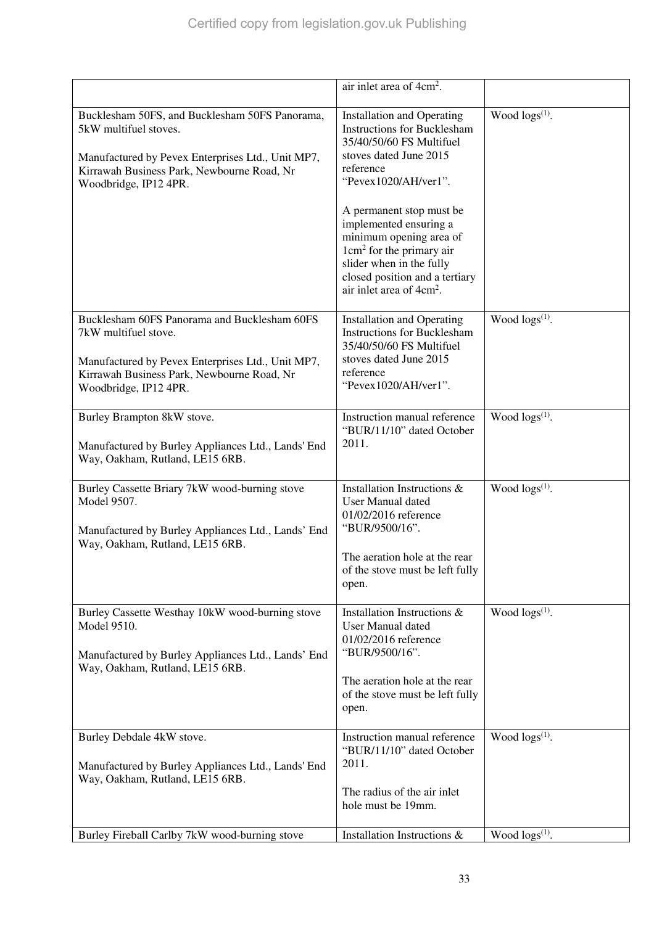|                                                                                                                                                                                                     | air inlet area of 4cm <sup>2</sup> .                                                                                                                                                                                                                                                                                                                                                             |                        |
|-----------------------------------------------------------------------------------------------------------------------------------------------------------------------------------------------------|--------------------------------------------------------------------------------------------------------------------------------------------------------------------------------------------------------------------------------------------------------------------------------------------------------------------------------------------------------------------------------------------------|------------------------|
| Bucklesham 50FS, and Bucklesham 50FS Panorama,<br>5kW multifuel stoves.<br>Manufactured by Pevex Enterprises Ltd., Unit MP7,<br>Kirrawah Business Park, Newbourne Road, Nr<br>Woodbridge, IP12 4PR. | <b>Installation and Operating</b><br><b>Instructions for Bucklesham</b><br>35/40/50/60 FS Multifuel<br>stoves dated June 2015<br>reference<br>"Pevex1020/AH/ver1".<br>A permanent stop must be<br>implemented ensuring a<br>minimum opening area of<br>$1 \text{cm}^2$ for the primary air<br>slider when in the fully<br>closed position and a tertiary<br>air inlet area of 4cm <sup>2</sup> . | Wood $\log(s^{(1)})$ . |
| Bucklesham 60FS Panorama and Bucklesham 60FS<br>7kW multifuel stove.<br>Manufactured by Pevex Enterprises Ltd., Unit MP7,<br>Kirrawah Business Park, Newbourne Road, Nr<br>Woodbridge, IP12 4PR.    | <b>Installation and Operating</b><br><b>Instructions for Bucklesham</b><br>35/40/50/60 FS Multifuel<br>stoves dated June 2015<br>reference<br>"Pevex1020/AH/ver1".                                                                                                                                                                                                                               | Wood $\log(s^{(1)})$ . |
| Burley Brampton 8kW stove.<br>Manufactured by Burley Appliances Ltd., Lands' End<br>Way, Oakham, Rutland, LE15 6RB.                                                                                 | Instruction manual reference<br>"BUR/11/10" dated October<br>2011.                                                                                                                                                                                                                                                                                                                               | Wood $\log(s^{(1)})$ . |
| Burley Cassette Briary 7kW wood-burning stove<br>Model 9507.<br>Manufactured by Burley Appliances Ltd., Lands' End<br>Way, Oakham, Rutland, LE15 6RB.                                               | Installation Instructions &<br>User Manual dated<br>01/02/2016 reference<br>"BUR/9500/16".<br>The aeration hole at the rear<br>of the stove must be left fully<br>open.                                                                                                                                                                                                                          | Wood $\log(s^{(1)})$ . |
| Burley Cassette Westhay 10kW wood-burning stove<br>Model 9510.<br>Manufactured by Burley Appliances Ltd., Lands' End<br>Way, Oakham, Rutland, LE15 6RB.                                             | Installation Instructions &<br>User Manual dated<br>01/02/2016 reference<br>"BUR/9500/16".<br>The aeration hole at the rear<br>of the stove must be left fully<br>open.                                                                                                                                                                                                                          | Wood $\log(s^{(1)})$ . |
| Burley Debdale 4kW stove.<br>Manufactured by Burley Appliances Ltd., Lands' End<br>Way, Oakham, Rutland, LE15 6RB.                                                                                  | Instruction manual reference<br>"BUR/11/10" dated October<br>2011.<br>The radius of the air inlet<br>hole must be 19mm.                                                                                                                                                                                                                                                                          | Wood $\log(s^{(1)})$ . |
| Burley Fireball Carlby 7kW wood-burning stove                                                                                                                                                       | Installation Instructions &                                                                                                                                                                                                                                                                                                                                                                      | Wood $\log s^{(1)}$ .  |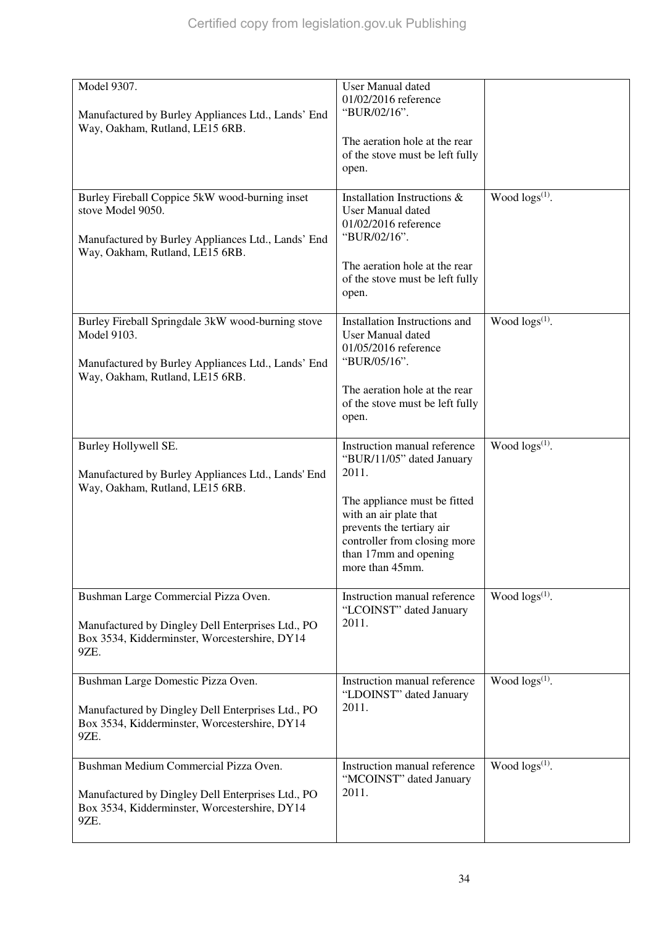| Model 9307.<br>Manufactured by Burley Appliances Ltd., Lands' End<br>Way, Oakham, Rutland, LE15 6RB.                                                         | <b>User Manual dated</b><br>01/02/2016 reference<br>"BUR/02/16".<br>The aeration hole at the rear<br>of the stove must be left fully<br>open.                                                                                         |                        |
|--------------------------------------------------------------------------------------------------------------------------------------------------------------|---------------------------------------------------------------------------------------------------------------------------------------------------------------------------------------------------------------------------------------|------------------------|
| Burley Fireball Coppice 5kW wood-burning inset<br>stove Model 9050.<br>Manufactured by Burley Appliances Ltd., Lands' End<br>Way, Oakham, Rutland, LE15 6RB. | Installation Instructions &<br><b>User Manual dated</b><br>01/02/2016 reference<br>"BUR/02/16".<br>The aeration hole at the rear<br>of the stove must be left fully<br>open.                                                          | Wood $\log(s^{(1)})$ . |
| Burley Fireball Springdale 3kW wood-burning stove<br>Model 9103.<br>Manufactured by Burley Appliances Ltd., Lands' End<br>Way, Oakham, Rutland, LE15 6RB.    | Installation Instructions and<br><b>User Manual dated</b><br>01/05/2016 reference<br>"BUR/05/16".<br>The aeration hole at the rear<br>of the stove must be left fully<br>open.                                                        | Wood $\log s^{(1)}$ .  |
| Burley Hollywell SE.<br>Manufactured by Burley Appliances Ltd., Lands' End<br>Way, Oakham, Rutland, LE15 6RB.                                                | Instruction manual reference<br>"BUR/11/05" dated January<br>2011.<br>The appliance must be fitted<br>with an air plate that<br>prevents the tertiary air<br>controller from closing more<br>than 17mm and opening<br>more than 45mm. | Wood $\log(s^{(1)})$ . |
| Bushman Large Commercial Pizza Oven.<br>Manufactured by Dingley Dell Enterprises Ltd., PO<br>Box 3534, Kidderminster, Worcestershire, DY14<br>9ZE.           | Instruction manual reference<br>"LCOINST" dated January<br>2011.                                                                                                                                                                      | Wood $\log s^{(1)}$ .  |
| Bushman Large Domestic Pizza Oven.<br>Manufactured by Dingley Dell Enterprises Ltd., PO<br>Box 3534, Kidderminster, Worcestershire, DY14<br>9ZE.             | Instruction manual reference<br>"LDOINST" dated January<br>2011.                                                                                                                                                                      | Wood $\log(s^{(1)})$ . |
| Bushman Medium Commercial Pizza Oven.<br>Manufactured by Dingley Dell Enterprises Ltd., PO<br>Box 3534, Kidderminster, Worcestershire, DY14<br>9ZE.          | Instruction manual reference<br>"MCOINST" dated January<br>2011.                                                                                                                                                                      | Wood $\log s^{(1)}$ .  |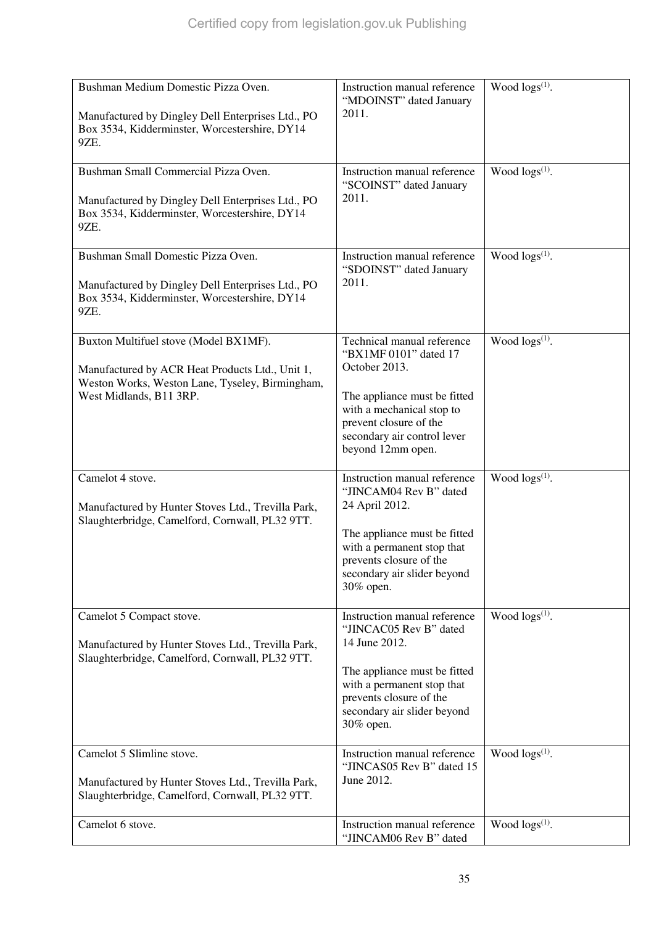| Bushman Medium Domestic Pizza Oven.<br>Manufactured by Dingley Dell Enterprises Ltd., PO<br>Box 3534, Kidderminster, Worcestershire, DY14<br>9ZE.                      | Instruction manual reference<br>"MDOINST" dated January<br>2011.                                                                                                                                                | Wood $\log s^{(1)}$ .      |
|------------------------------------------------------------------------------------------------------------------------------------------------------------------------|-----------------------------------------------------------------------------------------------------------------------------------------------------------------------------------------------------------------|----------------------------|
| Bushman Small Commercial Pizza Oven.<br>Manufactured by Dingley Dell Enterprises Ltd., PO<br>Box 3534, Kidderminster, Worcestershire, DY14<br>9ZE.                     | Instruction manual reference<br>"SCOINST" dated January<br>2011.                                                                                                                                                | Wood $\log s^{(1)}$ .      |
| Bushman Small Domestic Pizza Oven.<br>Manufactured by Dingley Dell Enterprises Ltd., PO<br>Box 3534, Kidderminster, Worcestershire, DY14<br>9ZE.                       | Instruction manual reference<br>"SDOINST" dated January<br>2011.                                                                                                                                                | Wood $\log(s^{(1)})$ .     |
| Buxton Multifuel stove (Model BX1MF).<br>Manufactured by ACR Heat Products Ltd., Unit 1,<br>Weston Works, Weston Lane, Tyseley, Birmingham,<br>West Midlands, B11 3RP. | Technical manual reference<br>"BX1MF 0101" dated 17<br>October 2013.<br>The appliance must be fitted<br>with a mechanical stop to<br>prevent closure of the<br>secondary air control lever<br>beyond 12mm open. | Wood logs <sup>(1)</sup> . |
| Camelot 4 stove.<br>Manufactured by Hunter Stoves Ltd., Trevilla Park,<br>Slaughterbridge, Camelford, Cornwall, PL32 9TT.                                              | Instruction manual reference<br>"JINCAM04 Rev B" dated<br>24 April 2012.<br>The appliance must be fitted<br>with a permanent stop that<br>prevents closure of the<br>secondary air slider beyond<br>30% open.   | Wood $\log(s^{(1)})$ .     |
| Camelot 5 Compact stove.<br>Manufactured by Hunter Stoves Ltd., Trevilla Park,<br>Slaughterbridge, Camelford, Cornwall, PL32 9TT.                                      | Instruction manual reference<br>"JINCAC05 Rev B" dated<br>14 June 2012.<br>The appliance must be fitted<br>with a permanent stop that<br>prevents closure of the<br>secondary air slider beyond<br>30% open.    | Wood $\log(s^{(1)})$ .     |
| Camelot 5 Slimline stove.<br>Manufactured by Hunter Stoves Ltd., Trevilla Park,<br>Slaughterbridge, Camelford, Cornwall, PL32 9TT.                                     | Instruction manual reference<br>"JINCAS05 Rev B" dated 15<br>June 2012.                                                                                                                                         | Wood $\log s^{(1)}$ .      |
| Camelot 6 stove.                                                                                                                                                       | Instruction manual reference<br>"JINCAM06 Rev B" dated                                                                                                                                                          | Wood $\log(s^{(1)})$ .     |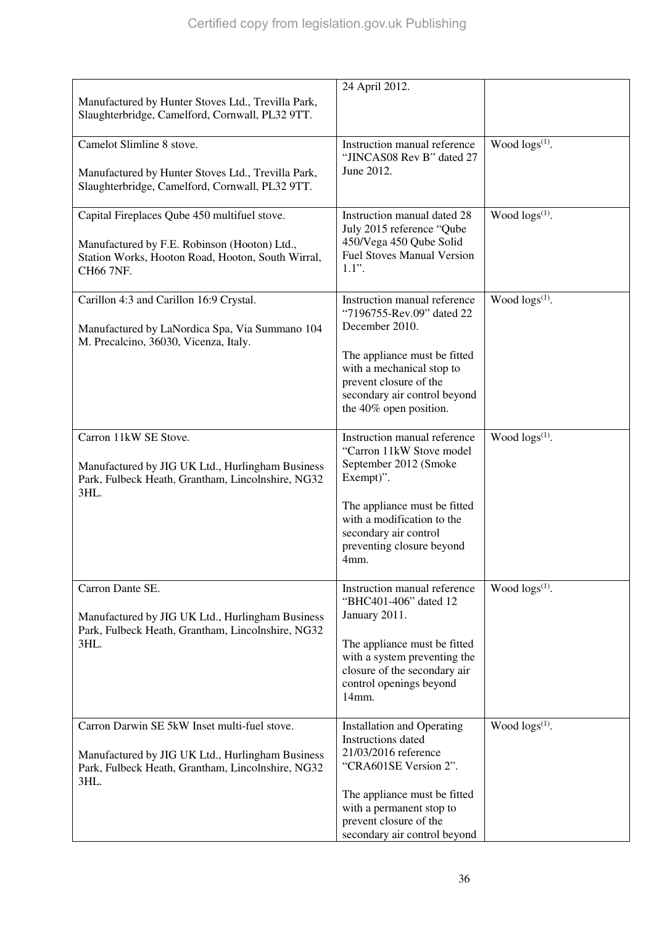| Manufactured by Hunter Stoves Ltd., Trevilla Park,<br>Slaughterbridge, Camelford, Cornwall, PL32 9TT.                                                          | 24 April 2012.                                                                                                                                                                                                                 |                        |
|----------------------------------------------------------------------------------------------------------------------------------------------------------------|--------------------------------------------------------------------------------------------------------------------------------------------------------------------------------------------------------------------------------|------------------------|
| Camelot Slimline 8 stove.<br>Manufactured by Hunter Stoves Ltd., Trevilla Park,<br>Slaughterbridge, Camelford, Cornwall, PL32 9TT.                             | Instruction manual reference<br>"JINCAS08 Rev B" dated 27<br>June 2012.                                                                                                                                                        | Wood $\log(s^{(1)})$ . |
| Capital Fireplaces Qube 450 multifuel stove.<br>Manufactured by F.E. Robinson (Hooton) Ltd.,<br>Station Works, Hooton Road, Hooton, South Wirral,<br>CH66 7NF. | Instruction manual dated 28<br>July 2015 reference "Qube<br>450/Vega 450 Qube Solid<br><b>Fuel Stoves Manual Version</b><br>$1.1$ ".                                                                                           | Wood $\log s^{(1)}$ .  |
| Carillon 4:3 and Carillon 16:9 Crystal.<br>Manufactured by LaNordica Spa, Via Summano 104<br>M. Precalcino, 36030, Vicenza, Italy.                             | Instruction manual reference<br>"7196755-Rev.09" dated 22<br>December 2010.<br>The appliance must be fitted<br>with a mechanical stop to<br>prevent closure of the<br>secondary air control beyond<br>the 40% open position.   | Wood $\log(s^{(1)})$ . |
| Carron 11kW SE Stove.<br>Manufactured by JIG UK Ltd., Hurlingham Business<br>Park, Fulbeck Heath, Grantham, Lincolnshire, NG32<br>3HL.                         | Instruction manual reference<br>"Carron 11kW Stove model<br>September 2012 (Smoke<br>Exempt)".<br>The appliance must be fitted<br>with a modification to the<br>secondary air control<br>preventing closure beyond<br>4mm.     | Wood $\log s^{(1)}$ .  |
| Carron Dante SE.<br>Manufactured by JIG UK Ltd., Hurlingham Business<br>Park, Fulbeck Heath, Grantham, Lincolnshire, NG32<br>3HL.                              | Instruction manual reference<br>"BHC401-406" dated 12<br>January 2011.<br>The appliance must be fitted<br>with a system preventing the<br>closure of the secondary air<br>control openings beyond<br>14mm.                     | Wood $\log(s^{(1)})$ . |
| Carron Darwin SE 5kW Inset multi-fuel stove.<br>Manufactured by JIG UK Ltd., Hurlingham Business<br>Park, Fulbeck Heath, Grantham, Lincolnshire, NG32<br>3HL.  | <b>Installation and Operating</b><br>Instructions dated<br>21/03/2016 reference<br>"CRA601SE Version 2".<br>The appliance must be fitted<br>with a permanent stop to<br>prevent closure of the<br>secondary air control beyond | Wood $\log s^{(1)}$ .  |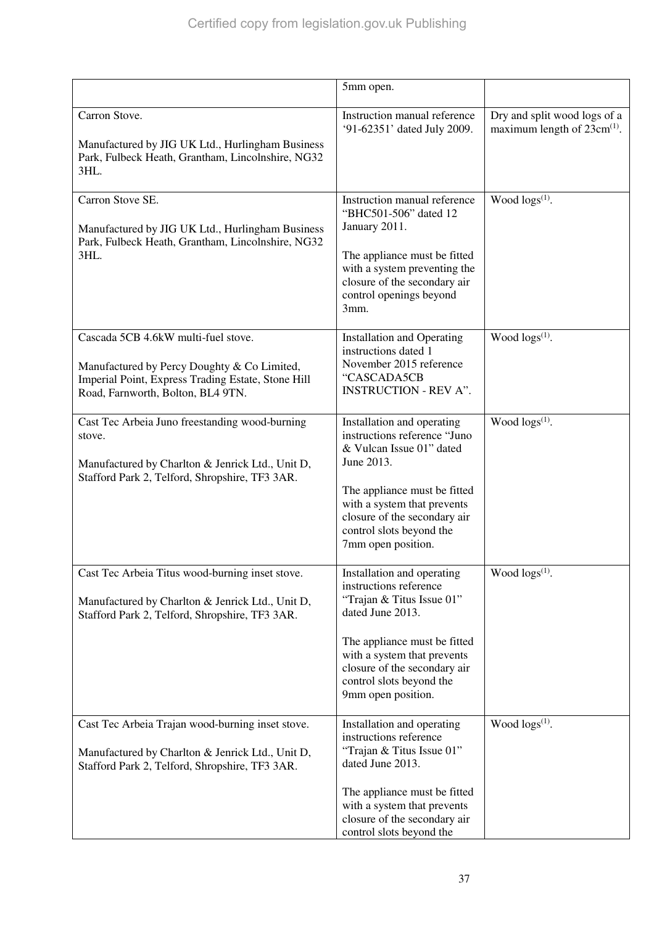|                                                                                                                                                                               | 5mm open.                                                                                                                                                                                                                                              |                                                                  |
|-------------------------------------------------------------------------------------------------------------------------------------------------------------------------------|--------------------------------------------------------------------------------------------------------------------------------------------------------------------------------------------------------------------------------------------------------|------------------------------------------------------------------|
| Carron Stove.<br>Manufactured by JIG UK Ltd., Hurlingham Business<br>Park, Fulbeck Heath, Grantham, Lincolnshire, NG32<br>3HL.                                                | Instruction manual reference<br>'91-62351' dated July 2009.                                                                                                                                                                                            | Dry and split wood logs of a<br>maximum length of $23cm^{(1)}$ . |
| Carron Stove SE.<br>Manufactured by JIG UK Ltd., Hurlingham Business<br>Park, Fulbeck Heath, Grantham, Lincolnshire, NG32<br>3HL.                                             | Instruction manual reference<br>"BHC501-506" dated 12<br>January 2011.<br>The appliance must be fitted<br>with a system preventing the<br>closure of the secondary air<br>control openings beyond<br>3mm.                                              | Wood $\log(s^{(1)})$ .                                           |
| Cascada 5CB 4.6kW multi-fuel stove.<br>Manufactured by Percy Doughty & Co Limited,<br>Imperial Point, Express Trading Estate, Stone Hill<br>Road, Farnworth, Bolton, BL4 9TN. | <b>Installation and Operating</b><br>instructions dated 1<br>November 2015 reference<br>"CASCADA5CB<br><b>INSTRUCTION - REV A".</b>                                                                                                                    | Wood $\log s^{(1)}$ .                                            |
| Cast Tec Arbeia Juno freestanding wood-burning<br>stove.<br>Manufactured by Charlton & Jenrick Ltd., Unit D,<br>Stafford Park 2, Telford, Shropshire, TF3 3AR.                | Installation and operating<br>instructions reference "Juno<br>& Vulcan Issue 01" dated<br>June 2013.<br>The appliance must be fitted<br>with a system that prevents<br>closure of the secondary air<br>control slots beyond the<br>7mm open position.  | Wood $\log s^{(1)}$ .                                            |
| Cast Tec Arbeia Titus wood-burning inset stove.<br>Manufactured by Charlton & Jenrick Ltd., Unit D,<br>Stafford Park 2, Telford, Shropshire, TF3 3AR.                         | Installation and operating<br>instructions reference<br>"Trajan & Titus Issue 01"<br>dated June 2013.<br>The appliance must be fitted<br>with a system that prevents<br>closure of the secondary air<br>control slots beyond the<br>9mm open position. | Wood $\log s^{(1)}$ .                                            |
| Cast Tec Arbeia Trajan wood-burning inset stove.<br>Manufactured by Charlton & Jenrick Ltd., Unit D,<br>Stafford Park 2, Telford, Shropshire, TF3 3AR.                        | Installation and operating<br>instructions reference<br>"Trajan & Titus Issue 01"<br>dated June 2013.<br>The appliance must be fitted<br>with a system that prevents<br>closure of the secondary air<br>control slots beyond the                       | Wood $\log s^{(1)}$ .                                            |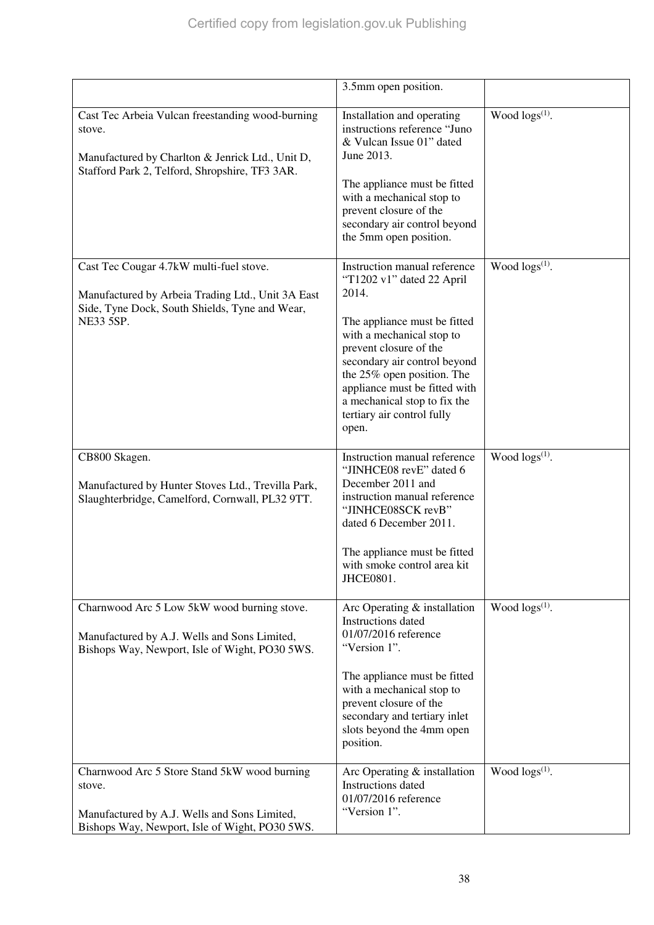|                                                                                                                                                                    | 3.5mm open position.                                                                                                                                                                                                                                                                                                            |                        |
|--------------------------------------------------------------------------------------------------------------------------------------------------------------------|---------------------------------------------------------------------------------------------------------------------------------------------------------------------------------------------------------------------------------------------------------------------------------------------------------------------------------|------------------------|
| Cast Tec Arbeia Vulcan freestanding wood-burning<br>stove.<br>Manufactured by Charlton & Jenrick Ltd., Unit D,<br>Stafford Park 2, Telford, Shropshire, TF3 3AR.   | Installation and operating<br>instructions reference "Juno<br>& Vulcan Issue 01" dated<br>June 2013.<br>The appliance must be fitted<br>with a mechanical stop to<br>prevent closure of the<br>secondary air control beyond<br>the 5mm open position.                                                                           | Wood $\log s^{(1)}$ .  |
| Cast Tec Cougar 4.7kW multi-fuel stove.<br>Manufactured by Arbeia Trading Ltd., Unit 3A East<br>Side, Tyne Dock, South Shields, Tyne and Wear,<br><b>NE33 5SP.</b> | Instruction manual reference<br>"T1202 v1" dated 22 April<br>2014.<br>The appliance must be fitted<br>with a mechanical stop to<br>prevent closure of the<br>secondary air control beyond<br>the 25% open position. The<br>appliance must be fitted with<br>a mechanical stop to fix the<br>tertiary air control fully<br>open. | Wood $\log(s^{(1)})$ . |
| CB800 Skagen.<br>Manufactured by Hunter Stoves Ltd., Trevilla Park,<br>Slaughterbridge, Camelford, Cornwall, PL32 9TT.                                             | Instruction manual reference<br>"JINHCE08 revE" dated 6<br>December 2011 and<br>instruction manual reference<br>"JINHCE08SCK revB"<br>dated 6 December 2011.<br>The appliance must be fitted<br>with smoke control area kit<br>JHCE0801.                                                                                        | Wood $\log(s^{(1)})$ . |
| Charnwood Arc 5 Low 5kW wood burning stove.<br>Manufactured by A.J. Wells and Sons Limited,<br>Bishops Way, Newport, Isle of Wight, PO30 5WS.                      | Arc Operating $&$ installation<br>Instructions dated<br>01/07/2016 reference<br>"Version 1".<br>The appliance must be fitted<br>with a mechanical stop to<br>prevent closure of the<br>secondary and tertiary inlet<br>slots beyond the 4mm open<br>position.                                                                   | Wood $\log(s^{(1)})$ . |
| Charnwood Arc 5 Store Stand 5kW wood burning<br>stove.<br>Manufactured by A.J. Wells and Sons Limited,<br>Bishops Way, Newport, Isle of Wight, PO30 5WS.           | Arc Operating & installation<br>Instructions dated<br>01/07/2016 reference<br>"Version 1".                                                                                                                                                                                                                                      | Wood $\log(s^{(1)})$ . |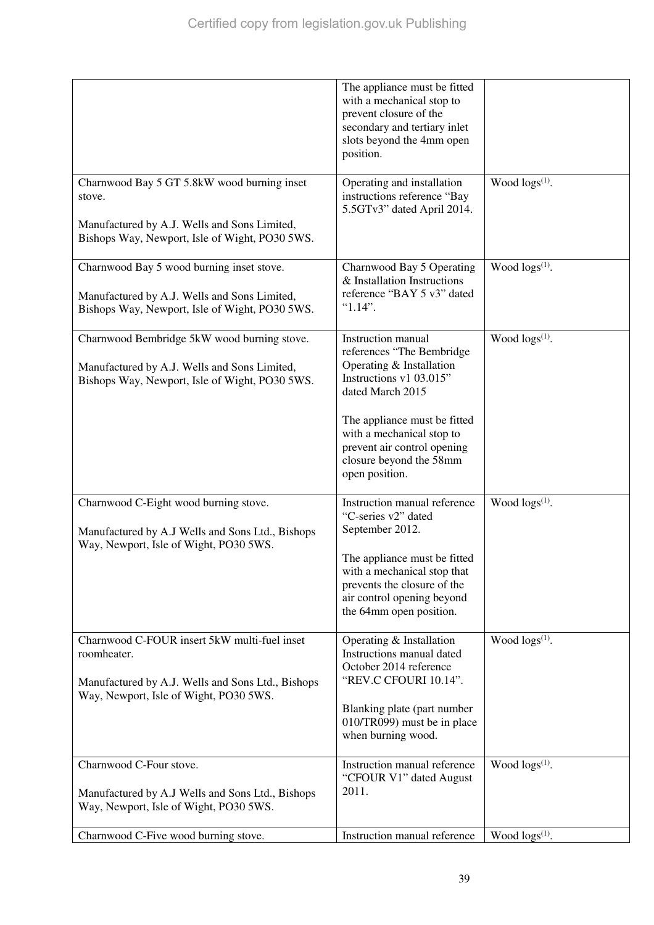|                                                                                                                                                            | The appliance must be fitted<br>with a mechanical stop to<br>prevent closure of the<br>secondary and tertiary inlet<br>slots beyond the 4mm open<br>position.                                                                                                              |                            |
|------------------------------------------------------------------------------------------------------------------------------------------------------------|----------------------------------------------------------------------------------------------------------------------------------------------------------------------------------------------------------------------------------------------------------------------------|----------------------------|
| Charnwood Bay 5 GT 5.8kW wood burning inset<br>stove.<br>Manufactured by A.J. Wells and Sons Limited,<br>Bishops Way, Newport, Isle of Wight, PO30 5WS.    | Operating and installation<br>instructions reference "Bay<br>5.5GTv3" dated April 2014.                                                                                                                                                                                    | Wood logs(1).              |
| Charnwood Bay 5 wood burning inset stove.<br>Manufactured by A.J. Wells and Sons Limited,<br>Bishops Way, Newport, Isle of Wight, PO30 5WS.                | Charnwood Bay 5 Operating<br>& Installation Instructions<br>reference "BAY 5 v3" dated<br>$"1.14"$ .                                                                                                                                                                       | Wood $\log(s^{(1)})$ .     |
| Charnwood Bembridge 5kW wood burning stove.<br>Manufactured by A.J. Wells and Sons Limited,<br>Bishops Way, Newport, Isle of Wight, PO30 5WS.              | <b>Instruction</b> manual<br>references "The Bembridge<br>Operating & Installation<br>Instructions v1 03.015"<br>dated March 2015<br>The appliance must be fitted<br>with a mechanical stop to<br>prevent air control opening<br>closure beyond the 58mm<br>open position. | Wood $\log s^{(1)}$ .      |
| Charnwood C-Eight wood burning stove.<br>Manufactured by A.J Wells and Sons Ltd., Bishops<br>Way, Newport, Isle of Wight, PO30 5WS.                        | Instruction manual reference<br>"C-series v2" dated<br>September 2012.<br>The appliance must be fitted<br>with a mechanical stop that<br>prevents the closure of the<br>air control opening beyond<br>the 64mm open position.                                              | Wood logs(1).              |
| Charnwood C-FOUR insert 5kW multi-fuel inset<br>roomheater.<br>Manufactured by A.J. Wells and Sons Ltd., Bishops<br>Way, Newport, Isle of Wight, PO30 5WS. | Operating & Installation<br>Instructions manual dated<br>October 2014 reference<br>"REV.C CFOURI 10.14".<br>Blanking plate (part number<br>010/TR099) must be in place<br>when burning wood.                                                                               | Wood logs <sup>(1)</sup> . |
| Charnwood C-Four stove.<br>Manufactured by A.J Wells and Sons Ltd., Bishops<br>Way, Newport, Isle of Wight, PO30 5WS.                                      | Instruction manual reference<br>"CFOUR V1" dated August<br>2011.                                                                                                                                                                                                           | Wood $\log(s^{(1)})$ .     |
| Charnwood C-Five wood burning stove.                                                                                                                       | Instruction manual reference                                                                                                                                                                                                                                               | Wood $\log(s^{(1)})$ .     |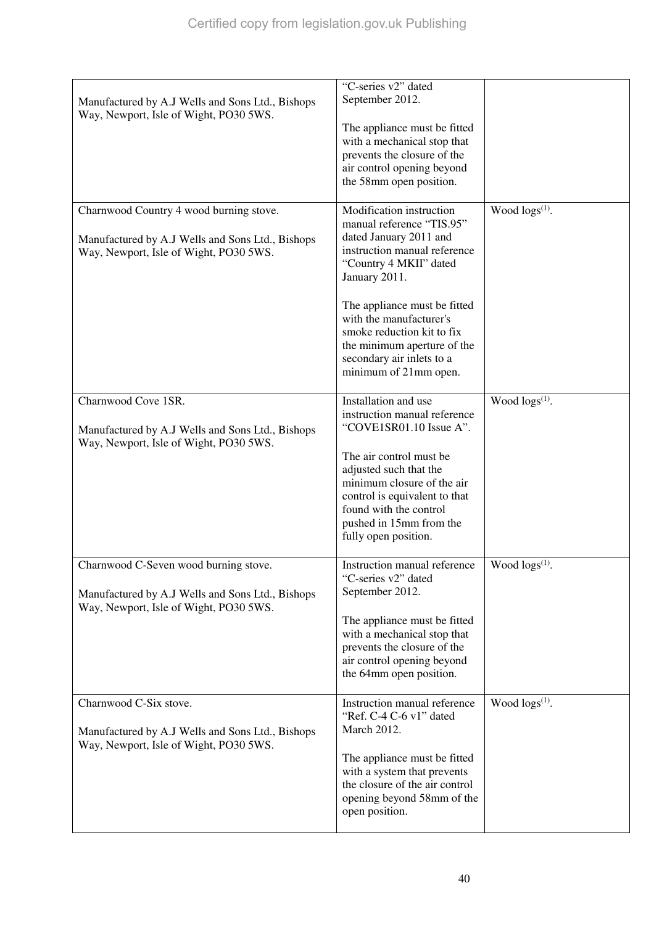| Manufactured by A.J Wells and Sons Ltd., Bishops<br>Way, Newport, Isle of Wight, PO30 5WS.                                            | "C-series v2" dated<br>September 2012.<br>The appliance must be fitted<br>with a mechanical stop that<br>prevents the closure of the<br>air control opening beyond<br>the 58mm open position.                                                                                                                                            |                        |
|---------------------------------------------------------------------------------------------------------------------------------------|------------------------------------------------------------------------------------------------------------------------------------------------------------------------------------------------------------------------------------------------------------------------------------------------------------------------------------------|------------------------|
| Charnwood Country 4 wood burning stove.<br>Manufactured by A.J Wells and Sons Ltd., Bishops<br>Way, Newport, Isle of Wight, PO30 5WS. | Modification instruction<br>manual reference "TIS.95"<br>dated January 2011 and<br>instruction manual reference<br>"Country 4 MKII" dated<br>January 2011.<br>The appliance must be fitted<br>with the manufacturer's<br>smoke reduction kit to fix<br>the minimum aperture of the<br>secondary air inlets to a<br>minimum of 21mm open. | Wood $\log(s^{(1)})$ . |
| Charnwood Cove 1SR.<br>Manufactured by A.J Wells and Sons Ltd., Bishops<br>Way, Newport, Isle of Wight, PO30 5WS.                     | Installation and use<br>instruction manual reference<br>"COVE1SR01.10 Issue A".<br>The air control must be<br>adjusted such that the<br>minimum closure of the air<br>control is equivalent to that<br>found with the control<br>pushed in 15mm from the<br>fully open position.                                                         | Wood logs(1).          |
| Charnwood C-Seven wood burning stove.<br>Manufactured by A.J Wells and Sons Ltd., Bishops<br>Way, Newport, Isle of Wight, PO30 5WS.   | Instruction manual reference<br>"C-series v2" dated<br>September 2012.<br>The appliance must be fitted<br>with a mechanical stop that<br>prevents the closure of the<br>air control opening beyond<br>the 64mm open position.                                                                                                            | Wood $\log(s^{(1)})$ . |
| Charnwood C-Six stove.<br>Manufactured by A.J Wells and Sons Ltd., Bishops<br>Way, Newport, Isle of Wight, PO30 5WS.                  | Instruction manual reference<br>"Ref. C-4 C-6 v1" dated<br>March 2012.<br>The appliance must be fitted<br>with a system that prevents<br>the closure of the air control<br>opening beyond 58mm of the<br>open position.                                                                                                                  | Wood $\log s^{(1)}$ .  |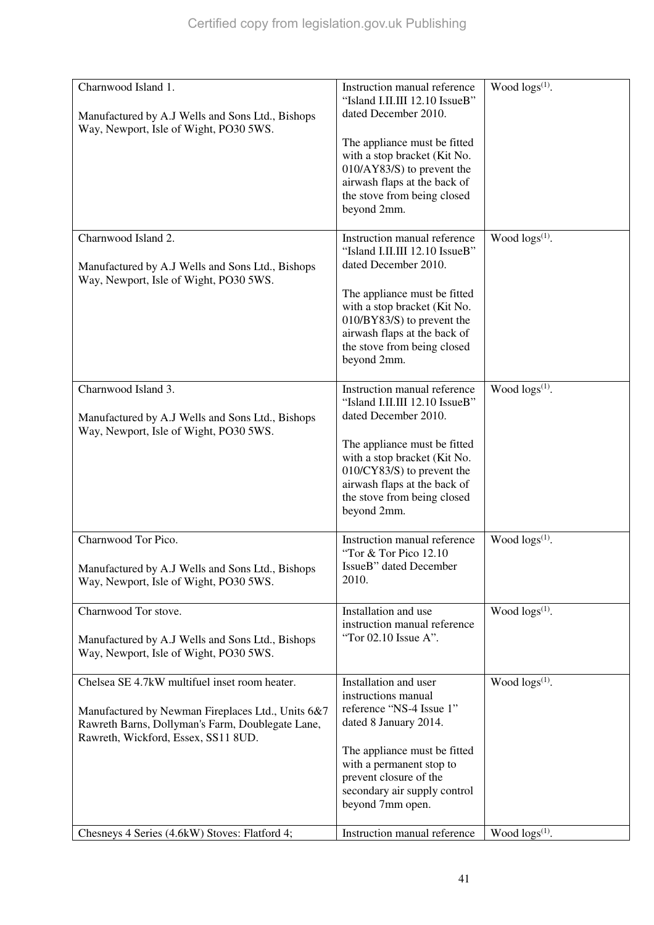| Charnwood Island 1.<br>Manufactured by A.J Wells and Sons Ltd., Bishops<br>Way, Newport, Isle of Wight, PO30 5WS.                                                                                                                              | Instruction manual reference<br>"Island I.II.III 12.10 IssueB"<br>dated December 2010.<br>The appliance must be fitted<br>with a stop bracket (Kit No.<br>$010/AY83/S$ ) to prevent the<br>airwash flaps at the back of<br>the stove from being closed<br>beyond 2mm.       | Wood $\log(s^{(1)})$ .                           |
|------------------------------------------------------------------------------------------------------------------------------------------------------------------------------------------------------------------------------------------------|-----------------------------------------------------------------------------------------------------------------------------------------------------------------------------------------------------------------------------------------------------------------------------|--------------------------------------------------|
| Charnwood Island 2.<br>Manufactured by A.J Wells and Sons Ltd., Bishops<br>Way, Newport, Isle of Wight, PO30 5WS.                                                                                                                              | Instruction manual reference<br>"Island I.II.III 12.10 IssueB"<br>dated December 2010.<br>The appliance must be fitted<br>with a stop bracket (Kit No.<br>$010/BY83/S$ ) to prevent the<br>airwash flaps at the back of<br>the stove from being closed<br>beyond 2mm.       | Wood $\log(s^{(1)})$ .                           |
| Charnwood Island 3.<br>Manufactured by A.J Wells and Sons Ltd., Bishops<br>Way, Newport, Isle of Wight, PO30 5WS.                                                                                                                              | Instruction manual reference<br>"Island I.II.III 12.10 IssueB"<br>dated December 2010.<br>The appliance must be fitted<br>with a stop bracket (Kit No.<br>010/CY83/S) to prevent the<br>airwash flaps at the back of<br>the stove from being closed<br>beyond 2mm.          | Wood $\log(s^{(1)})$ .                           |
| Charnwood Tor Pico.<br>Manufactured by A.J Wells and Sons Ltd., Bishops<br>Way, Newport, Isle of Wight, PO30 5WS.                                                                                                                              | Instruction manual reference<br>"Tor & Tor Pico 12.10<br>IssueB" dated December<br>2010.                                                                                                                                                                                    | Wood $\log(s^{(1)})$ .                           |
| Charnwood Tor stove.<br>Manufactured by A.J Wells and Sons Ltd., Bishops<br>Way, Newport, Isle of Wight, PO30 5WS.                                                                                                                             | Installation and use<br>instruction manual reference<br>"Tor 02.10 Issue A".                                                                                                                                                                                                | Wood $\log(s^{(1)})$ .                           |
| Chelsea SE 4.7kW multifuel inset room heater.<br>Manufactured by Newman Fireplaces Ltd., Units 6&7<br>Rawreth Barns, Dollyman's Farm, Doublegate Lane,<br>Rawreth, Wickford, Essex, SS11 8UD.<br>Chesneys 4 Series (4.6kW) Stoves: Flatford 4; | Installation and user<br>instructions manual<br>reference "NS-4 Issue 1"<br>dated 8 January 2014.<br>The appliance must be fitted<br>with a permanent stop to<br>prevent closure of the<br>secondary air supply control<br>beyond 7mm open.<br>Instruction manual reference | Wood $\log(s^{(1)})$ .<br>Wood $\log(s^{(1)})$ . |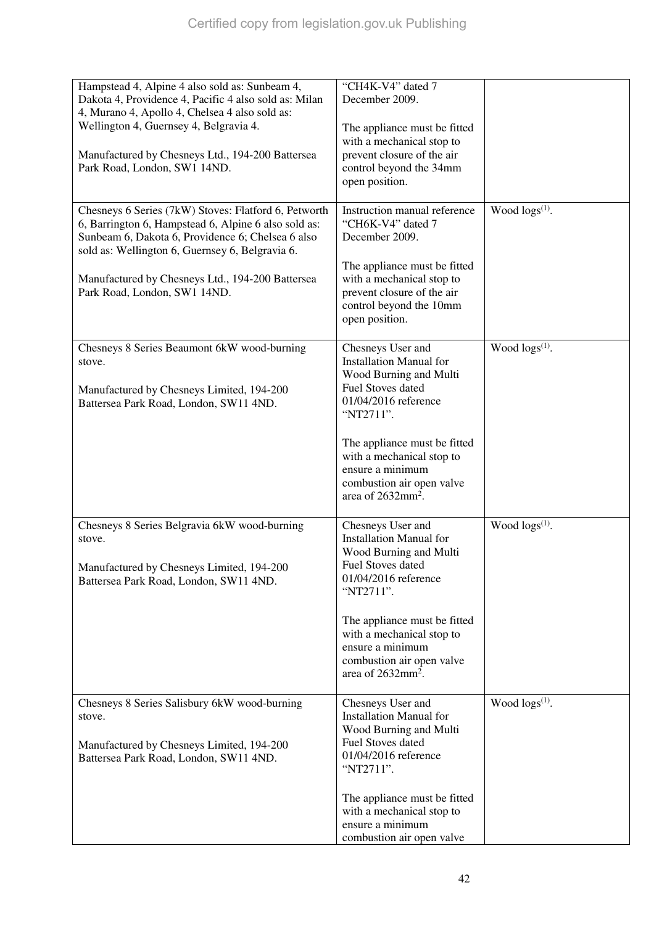| Hampstead 4, Alpine 4 also sold as: Sunbeam 4,                                   | "CH4K-V4" dated 7                                       |                        |
|----------------------------------------------------------------------------------|---------------------------------------------------------|------------------------|
| Dakota 4, Providence 4, Pacific 4 also sold as: Milan                            | December 2009.                                          |                        |
| 4, Murano 4, Apollo 4, Chelsea 4 also sold as:                                   |                                                         |                        |
| Wellington 4, Guernsey 4, Belgravia 4.                                           | The appliance must be fitted                            |                        |
|                                                                                  | with a mechanical stop to                               |                        |
| Manufactured by Chesneys Ltd., 194-200 Battersea                                 | prevent closure of the air                              |                        |
| Park Road, London, SW1 14ND.                                                     | control beyond the 34mm                                 |                        |
|                                                                                  | open position.                                          |                        |
|                                                                                  |                                                         |                        |
| Chesneys 6 Series (7kW) Stoves: Flatford 6, Petworth                             | Instruction manual reference                            | Wood $\log s^{(1)}$ .  |
| 6, Barrington 6, Hampstead 6, Alpine 6 also sold as:                             | "CH6K-V4" dated 7                                       |                        |
| Sunbeam 6, Dakota 6, Providence 6; Chelsea 6 also                                | December 2009.                                          |                        |
| sold as: Wellington 6, Guernsey 6, Belgravia 6.                                  |                                                         |                        |
|                                                                                  | The appliance must be fitted                            |                        |
| Manufactured by Chesneys Ltd., 194-200 Battersea<br>Park Road, London, SW1 14ND. | with a mechanical stop to<br>prevent closure of the air |                        |
|                                                                                  | control beyond the 10mm                                 |                        |
|                                                                                  | open position.                                          |                        |
|                                                                                  |                                                         |                        |
| Chesneys 8 Series Beaumont 6kW wood-burning                                      | Chesneys User and                                       | Wood $\log(s^{(1)})$ . |
| stove.                                                                           | <b>Installation Manual for</b>                          |                        |
|                                                                                  | Wood Burning and Multi                                  |                        |
| Manufactured by Chesneys Limited, 194-200                                        | <b>Fuel Stoves dated</b>                                |                        |
| Battersea Park Road, London, SW11 4ND.                                           | 01/04/2016 reference                                    |                        |
|                                                                                  | "NT2711".                                               |                        |
|                                                                                  |                                                         |                        |
|                                                                                  | The appliance must be fitted                            |                        |
|                                                                                  | with a mechanical stop to                               |                        |
|                                                                                  | ensure a minimum<br>combustion air open valve           |                        |
|                                                                                  | area of 2632mm <sup>2</sup> .                           |                        |
|                                                                                  |                                                         |                        |
| Chesneys 8 Series Belgravia 6kW wood-burning                                     | Chesneys User and                                       | Wood $\log(s^{(1)})$ . |
| stove.                                                                           | <b>Installation Manual for</b>                          |                        |
|                                                                                  | Wood Burning and Multi                                  |                        |
| Manufactured by Chesneys Limited, 194-200                                        | Fuel Stoves dated                                       |                        |
| Battersea Park Road, London, SW11 4ND.                                           | 01/04/2016 reference                                    |                        |
|                                                                                  | "NT2711".                                               |                        |
|                                                                                  |                                                         |                        |
|                                                                                  | The appliance must be fitted                            |                        |
|                                                                                  | with a mechanical stop to<br>ensure a minimum           |                        |
|                                                                                  | combustion air open valve                               |                        |
|                                                                                  | area of 2632mm <sup>2</sup> .                           |                        |
|                                                                                  |                                                         |                        |
| Chesneys 8 Series Salisbury 6kW wood-burning                                     | Chesneys User and                                       | Wood $\log(s^{(1)})$ . |
| stove.                                                                           | <b>Installation Manual for</b>                          |                        |
|                                                                                  | Wood Burning and Multi                                  |                        |
| Manufactured by Chesneys Limited, 194-200                                        | <b>Fuel Stoves dated</b>                                |                        |
| Battersea Park Road, London, SW11 4ND.                                           | 01/04/2016 reference                                    |                        |
|                                                                                  | "NT2711".                                               |                        |
|                                                                                  |                                                         |                        |
|                                                                                  | The appliance must be fitted                            |                        |
|                                                                                  | with a mechanical stop to                               |                        |
|                                                                                  | ensure a minimum                                        |                        |
|                                                                                  | combustion air open valve                               |                        |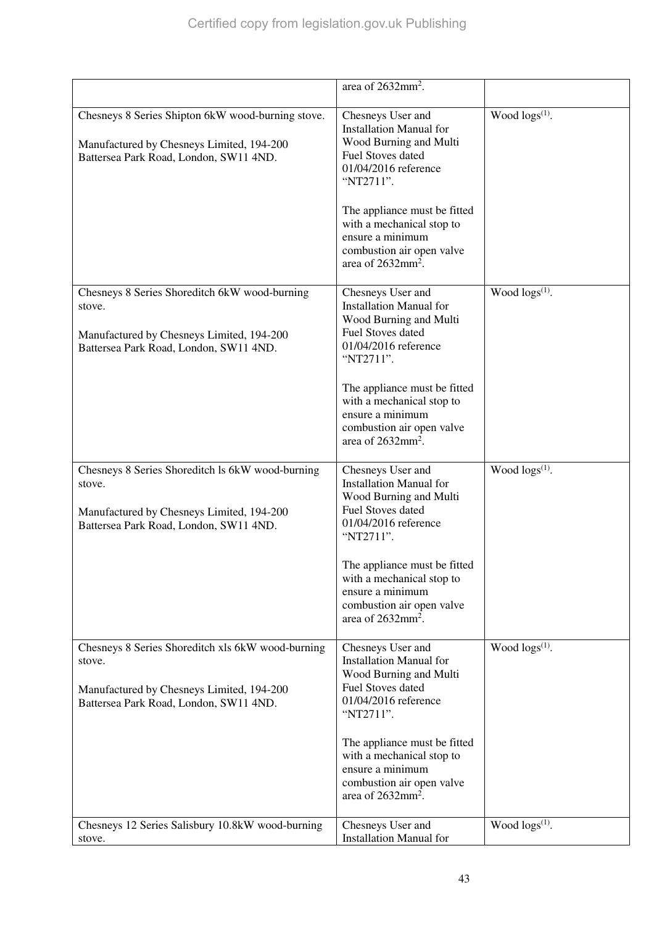|                                                                                                                                                    | area of $2632$ mm <sup>2</sup> .                                                                                                                                                                                                                                                                 |                            |
|----------------------------------------------------------------------------------------------------------------------------------------------------|--------------------------------------------------------------------------------------------------------------------------------------------------------------------------------------------------------------------------------------------------------------------------------------------------|----------------------------|
| Chesneys 8 Series Shipton 6kW wood-burning stove.<br>Manufactured by Chesneys Limited, 194-200<br>Battersea Park Road, London, SW11 4ND.           | Chesneys User and<br><b>Installation Manual for</b><br>Wood Burning and Multi<br><b>Fuel Stoves dated</b><br>01/04/2016 reference<br>"NT2711".<br>The appliance must be fitted<br>with a mechanical stop to<br>ensure a minimum<br>combustion air open valve<br>area of 2632mm <sup>2</sup> .    | Wood logs <sup>(1)</sup> . |
| Chesneys 8 Series Shoreditch 6kW wood-burning<br>stove.<br>Manufactured by Chesneys Limited, 194-200<br>Battersea Park Road, London, SW11 4ND.     | Chesneys User and<br><b>Installation Manual for</b><br>Wood Burning and Multi<br>Fuel Stoves dated<br>01/04/2016 reference<br>"NT2711".<br>The appliance must be fitted<br>with a mechanical stop to<br>ensure a minimum<br>combustion air open valve<br>area of $2632$ mm <sup>2</sup> .        | Wood $\log(s^{(1)})$ .     |
| Chesneys 8 Series Shoreditch Is 6kW wood-burning<br>stove.<br>Manufactured by Chesneys Limited, 194-200<br>Battersea Park Road, London, SW11 4ND.  | Chesneys User and<br><b>Installation Manual for</b><br>Wood Burning and Multi<br><b>Fuel Stoves dated</b><br>01/04/2016 reference<br>"NT2711".<br>The appliance must be fitted<br>with a mechanical stop to<br>ensure a minimum<br>combustion air open valve<br>area of $2632$ mm <sup>2</sup> . | Wood $\log s^{(1)}$ .      |
| Chesneys 8 Series Shoreditch xls 6kW wood-burning<br>stove.<br>Manufactured by Chesneys Limited, 194-200<br>Battersea Park Road, London, SW11 4ND. | Chesneys User and<br><b>Installation Manual for</b><br>Wood Burning and Multi<br><b>Fuel Stoves dated</b><br>01/04/2016 reference<br>"NT2711".<br>The appliance must be fitted<br>with a mechanical stop to<br>ensure a minimum<br>combustion air open valve<br>area of 2632mm <sup>2</sup> .    | Wood $\log s^{(1)}$ .      |
| Chesneys 12 Series Salisbury 10.8kW wood-burning<br>stove.                                                                                         | Chesneys User and<br><b>Installation Manual for</b>                                                                                                                                                                                                                                              | Wood $\log s^{(1)}$ .      |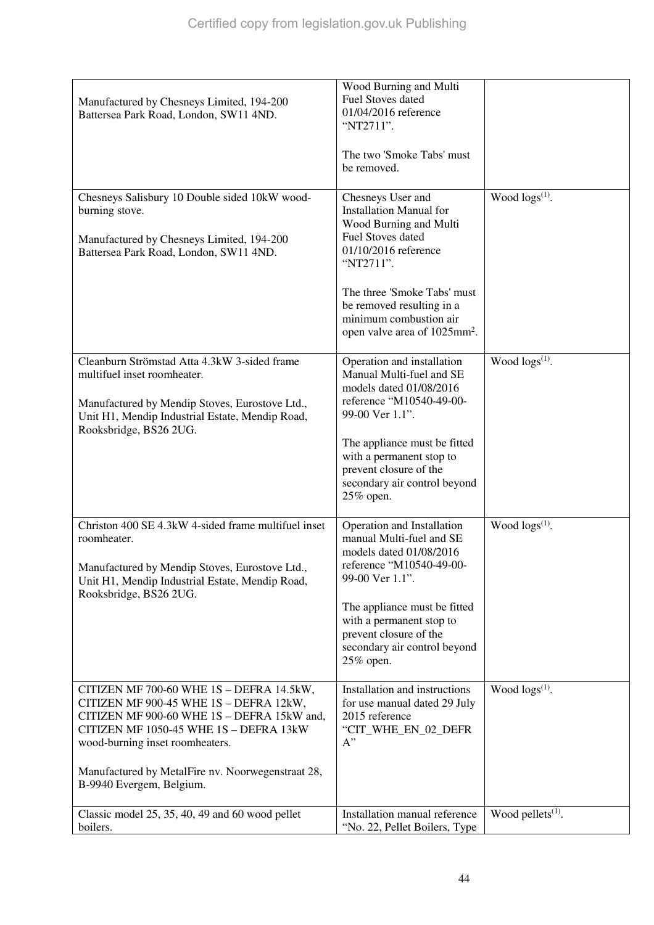| Manufactured by Chesneys Limited, 194-200<br>Battersea Park Road, London, SW11 4ND.                                                                                                                                                                                                            | Wood Burning and Multi<br>Fuel Stoves dated<br>01/04/2016 reference<br>"NT2711".<br>The two 'Smoke Tabs' must<br>be removed.                                                                                                                                              |                        |
|------------------------------------------------------------------------------------------------------------------------------------------------------------------------------------------------------------------------------------------------------------------------------------------------|---------------------------------------------------------------------------------------------------------------------------------------------------------------------------------------------------------------------------------------------------------------------------|------------------------|
| Chesneys Salisbury 10 Double sided 10kW wood-<br>burning stove.<br>Manufactured by Chesneys Limited, 194-200<br>Battersea Park Road, London, SW11 4ND.                                                                                                                                         | Chesneys User and<br><b>Installation Manual for</b><br>Wood Burning and Multi<br>Fuel Stoves dated<br>01/10/2016 reference<br>"NT2711".<br>The three 'Smoke Tabs' must<br>be removed resulting in a<br>minimum combustion air<br>open valve area of 1025mm <sup>2</sup> . | Wood $\log(s^{(1)})$ . |
| Cleanburn Strömstad Atta 4.3kW 3-sided frame<br>multifuel inset roomheater.<br>Manufactured by Mendip Stoves, Eurostove Ltd.,<br>Unit H1, Mendip Industrial Estate, Mendip Road,<br>Rooksbridge, BS26 2UG.                                                                                     | Operation and installation<br>Manual Multi-fuel and SE<br>models dated 01/08/2016<br>reference "M10540-49-00-<br>99-00 Ver 1.1".<br>The appliance must be fitted<br>with a permanent stop to<br>prevent closure of the<br>secondary air control beyond<br>25% open.       | Wood $\log s^{(1)}$ .  |
| Christon 400 SE 4.3kW 4-sided frame multifuel inset<br>roomheater.<br>Manufactured by Mendip Stoves, Eurostove Ltd.,<br>Unit H1, Mendip Industrial Estate, Mendip Road,<br>Rooksbridge, BS26 2UG.                                                                                              | Operation and Installation<br>manual Multi-fuel and SE<br>models dated 01/08/2016<br>reference "M10540-49-00-<br>99-00 Ver 1.1".<br>The appliance must be fitted<br>with a permanent stop to<br>prevent closure of the<br>secondary air control beyond<br>25% open.       | Wood $\log s^{(1)}$ .  |
| CITIZEN MF 700-60 WHE 1S - DEFRA 14.5kW,<br>CITIZEN MF 900-45 WHE 1S - DEFRA 12kW,<br>CITIZEN MF 900-60 WHE 1S - DEFRA 15kW and,<br>CITIZEN MF 1050-45 WHE 1S - DEFRA 13kW<br>wood-burning inset roomheaters.<br>Manufactured by MetalFire nv. Noorwegenstraat 28,<br>B-9940 Evergem, Belgium. | Installation and instructions<br>for use manual dated 29 July<br>2015 reference<br>"CIT_WHE_EN_02_DEFR<br>$A$ "                                                                                                                                                           | Wood $\log(s^{(1)})$ . |
| Classic model 25, 35, 40, 49 and 60 wood pellet<br>boilers.                                                                                                                                                                                                                                    | Installation manual reference<br>"No. 22, Pellet Boilers, Type                                                                                                                                                                                                            | Wood pellets $(1)$ .   |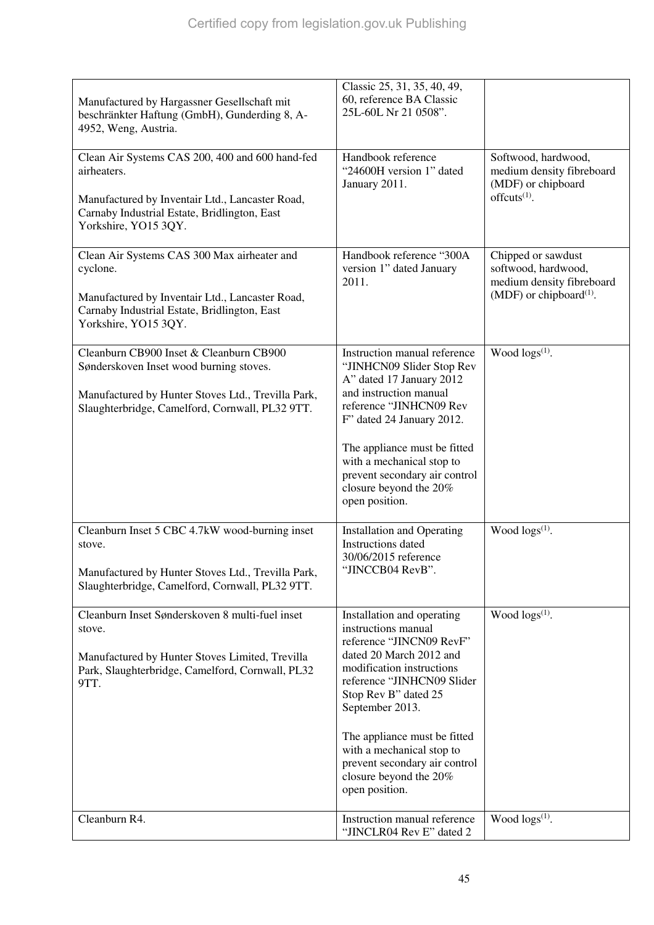| Manufactured by Hargassner Gesellschaft mit<br>beschränkter Haftung (GmbH), Gunderding 8, A-<br>4952, Weng, Austria.                                                                        | Classic 25, 31, 35, 40, 49,<br>60, reference BA Classic<br>25L-60L Nr 21 0508".                                                                                                                                                                                                                                                                          |                                                                                                               |
|---------------------------------------------------------------------------------------------------------------------------------------------------------------------------------------------|----------------------------------------------------------------------------------------------------------------------------------------------------------------------------------------------------------------------------------------------------------------------------------------------------------------------------------------------------------|---------------------------------------------------------------------------------------------------------------|
| Clean Air Systems CAS 200, 400 and 600 hand-fed<br>airheaters.<br>Manufactured by Inventair Ltd., Lancaster Road,<br>Carnaby Industrial Estate, Bridlington, East<br>Yorkshire, YO15 3QY.   | Handbook reference<br>"24600H version 1" dated<br>January 2011.                                                                                                                                                                                                                                                                                          | Softwood, hardwood,<br>medium density fibreboard<br>(MDF) or chipboard<br>offcuts $(1)$ .                     |
| Clean Air Systems CAS 300 Max airheater and<br>cyclone.<br>Manufactured by Inventair Ltd., Lancaster Road,<br>Carnaby Industrial Estate, Bridlington, East<br>Yorkshire, YO15 3QY.          | Handbook reference "300A<br>version 1" dated January<br>2011.                                                                                                                                                                                                                                                                                            | Chipped or sawdust<br>softwood, hardwood,<br>medium density fibreboard<br>(MDF) or chipboard <sup>(1)</sup> . |
| Cleanburn CB900 Inset & Cleanburn CB900<br>Sønderskoven Inset wood burning stoves.<br>Manufactured by Hunter Stoves Ltd., Trevilla Park,<br>Slaughterbridge, Camelford, Cornwall, PL32 9TT. | Instruction manual reference<br>"JINHCN09 Slider Stop Rev<br>A" dated 17 January 2012<br>and instruction manual<br>reference "JINHCN09 Rev<br>F" dated 24 January 2012.<br>The appliance must be fitted<br>with a mechanical stop to<br>prevent secondary air control<br>closure beyond the 20%<br>open position.                                        | Wood $\log s^{(1)}$ .                                                                                         |
| Cleanburn Inset 5 CBC 4.7kW wood-burning inset<br>stove.<br>Manufactured by Hunter Stoves Ltd., Trevilla Park,<br>Slaughterbridge, Camelford, Cornwall, PL32 9TT.                           | <b>Installation and Operating</b><br>Instructions dated<br>30/06/2015 reference<br>"JINCCB04 RevB".                                                                                                                                                                                                                                                      | Wood logs(1).                                                                                                 |
| Cleanburn Inset Sønderskoven 8 multi-fuel inset<br>stove.<br>Manufactured by Hunter Stoves Limited, Trevilla<br>Park, Slaughterbridge, Camelford, Cornwall, PL32<br>9TT.                    | Installation and operating<br>instructions manual<br>reference "JINCN09 RevF"<br>dated 20 March 2012 and<br>modification instructions<br>reference "JINHCN09 Slider<br>Stop Rev B" dated 25<br>September 2013.<br>The appliance must be fitted<br>with a mechanical stop to<br>prevent secondary air control<br>closure beyond the 20%<br>open position. | Wood logs <sup>(1)</sup> .                                                                                    |
| Cleanburn R4.                                                                                                                                                                               | Instruction manual reference<br>"JINCLR04 Rev E" dated 2                                                                                                                                                                                                                                                                                                 | Wood $\log s^{(1)}$ .                                                                                         |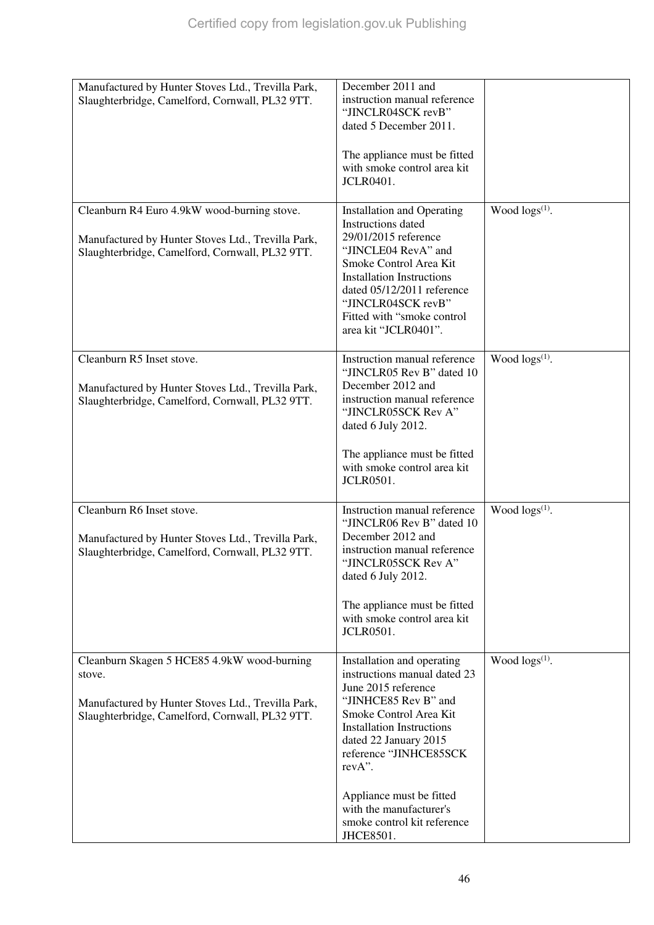| Manufactured by Hunter Stoves Ltd., Trevilla Park,<br>Slaughterbridge, Camelford, Cornwall, PL32 9TT.                                                          | December 2011 and<br>instruction manual reference<br>"JINCLR04SCK revB"<br>dated 5 December 2011.<br>The appliance must be fitted<br>with smoke control area kit<br><b>JCLR0401.</b>                                                                                                                                       |                        |
|----------------------------------------------------------------------------------------------------------------------------------------------------------------|----------------------------------------------------------------------------------------------------------------------------------------------------------------------------------------------------------------------------------------------------------------------------------------------------------------------------|------------------------|
| Cleanburn R4 Euro 4.9kW wood-burning stove.<br>Manufactured by Hunter Stoves Ltd., Trevilla Park,<br>Slaughterbridge, Camelford, Cornwall, PL32 9TT.           | <b>Installation and Operating</b><br>Instructions dated<br>29/01/2015 reference<br>"JINCLE04 RevA" and<br>Smoke Control Area Kit<br><b>Installation Instructions</b><br>dated 05/12/2011 reference<br>"JINCLR04SCK revB"<br>Fitted with "smoke control<br>area kit "JCLR0401".                                             | Wood $\log(s^{(1)})$ . |
| Cleanburn R5 Inset stove.<br>Manufactured by Hunter Stoves Ltd., Trevilla Park,<br>Slaughterbridge, Camelford, Cornwall, PL32 9TT.                             | Instruction manual reference<br>"JINCLR05 Rev B" dated 10<br>December 2012 and<br>instruction manual reference<br>"JINCLR05SCK Rev A"<br>dated 6 July 2012.<br>The appliance must be fitted<br>with smoke control area kit<br><b>JCLR0501.</b>                                                                             | Wood $\log(s^{(1)})$ . |
| Cleanburn R6 Inset stove.<br>Manufactured by Hunter Stoves Ltd., Trevilla Park,<br>Slaughterbridge, Camelford, Cornwall, PL32 9TT.                             | Instruction manual reference<br>"JINCLR06 Rev B" dated 10<br>December 2012 and<br>instruction manual reference<br>"IINCLR05SCK Rev A"<br>dated 6 July 2012.<br>The appliance must be fitted<br>with smoke control area kit<br><b>JCLR0501.</b>                                                                             | Wood $\log(s^{(1)})$ . |
| Cleanburn Skagen 5 HCE85 4.9kW wood-burning<br>stove.<br>Manufactured by Hunter Stoves Ltd., Trevilla Park,<br>Slaughterbridge, Camelford, Cornwall, PL32 9TT. | Installation and operating<br>instructions manual dated 23<br>June 2015 reference<br>"JINHCE85 Rev B" and<br>Smoke Control Area Kit<br><b>Installation Instructions</b><br>dated 22 January 2015<br>reference "JINHCE85SCK<br>revA".<br>Appliance must be fitted<br>with the manufacturer's<br>smoke control kit reference | Wood $\log s^{(1)}$ .  |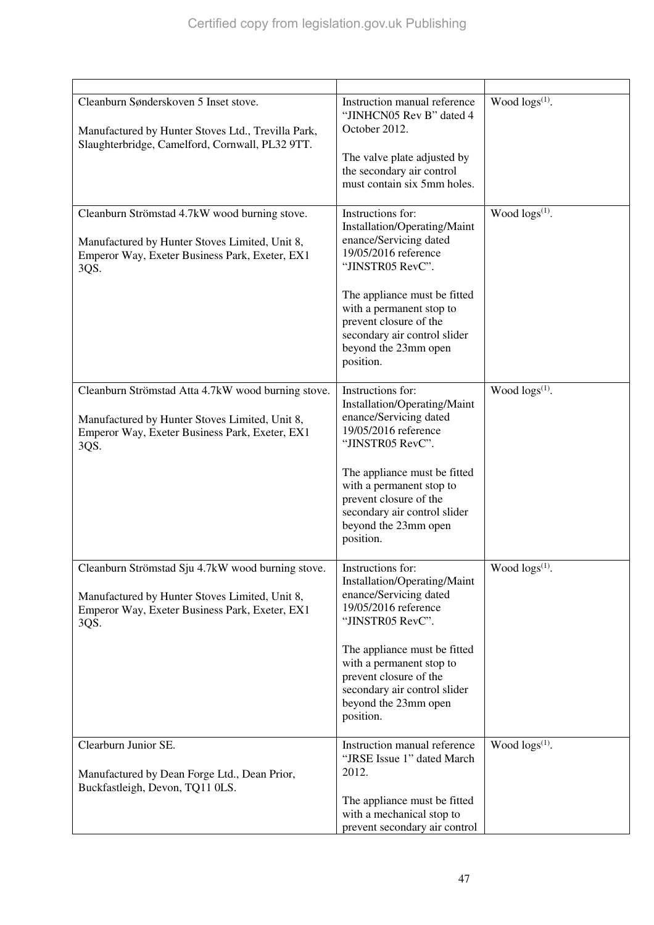| Cleanburn Sønderskoven 5 Inset stove.<br>Manufactured by Hunter Stoves Ltd., Trevilla Park,<br>Slaughterbridge, Camelford, Cornwall, PL32 9TT.                 | Instruction manual reference<br>"JINHCN05 Rev B" dated 4<br>October 2012.<br>The valve plate adjusted by<br>the secondary air control<br>must contain six 5mm holes.                                                                                                               | Wood $\log(s^{(1)})$ .     |
|----------------------------------------------------------------------------------------------------------------------------------------------------------------|------------------------------------------------------------------------------------------------------------------------------------------------------------------------------------------------------------------------------------------------------------------------------------|----------------------------|
| Cleanburn Strömstad 4.7kW wood burning stove.<br>Manufactured by Hunter Stoves Limited, Unit 8,<br>Emperor Way, Exeter Business Park, Exeter, EX1<br>3QS.      | Instructions for:<br>Installation/Operating/Maint<br>enance/Servicing dated<br>19/05/2016 reference<br>"JINSTR05 RevC".<br>The appliance must be fitted<br>with a permanent stop to<br>prevent closure of the<br>secondary air control slider<br>beyond the 23mm open<br>position. | Wood $\log s^{(1)}$ .      |
| Cleanburn Strömstad Atta 4.7kW wood burning stove.<br>Manufactured by Hunter Stoves Limited, Unit 8,<br>Emperor Way, Exeter Business Park, Exeter, EX1<br>3QS. | Instructions for:<br>Installation/Operating/Maint<br>enance/Servicing dated<br>19/05/2016 reference<br>"JINSTR05 RevC".<br>The appliance must be fitted<br>with a permanent stop to<br>prevent closure of the<br>secondary air control slider<br>beyond the 23mm open<br>position. | Wood $\log s^{(1)}$ .      |
| Cleanburn Strömstad Sju 4.7kW wood burning stove.<br>Manufactured by Hunter Stoves Limited, Unit 8,<br>Emperor Way, Exeter Business Park, Exeter, EX1<br>3QS.  | Instructions for:<br>Installation/Operating/Maint<br>enance/Servicing dated<br>19/05/2016 reference<br>"JINSTR05 RevC".<br>The appliance must be fitted<br>with a permanent stop to<br>prevent closure of the<br>secondary air control slider<br>beyond the 23mm open<br>position. | Wood logs <sup>(1)</sup> . |
| Clearburn Junior SE.<br>Manufactured by Dean Forge Ltd., Dean Prior,<br>Buckfastleigh, Devon, TQ11 0LS.                                                        | Instruction manual reference<br>"JRSE Issue 1" dated March<br>2012.<br>The appliance must be fitted<br>with a mechanical stop to<br>prevent secondary air control                                                                                                                  | Wood $\log(s^{(1)})$ .     |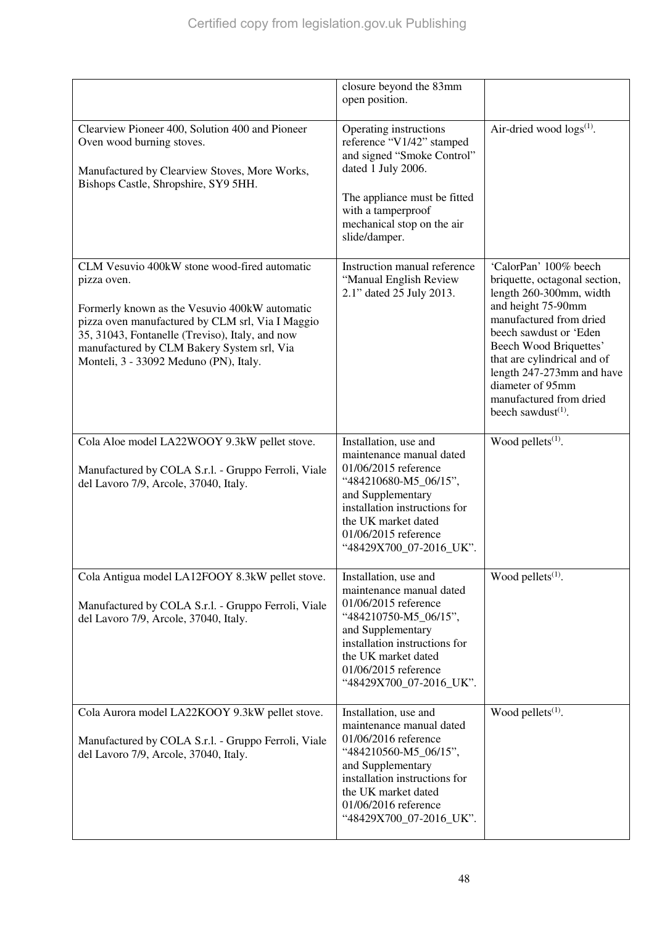|                                                                                                                                                                                                                                                                                                             | closure beyond the 83mm<br>open position.                                                                                                                                                                                          |                                                                                                                                                                                                                                                                                                                            |
|-------------------------------------------------------------------------------------------------------------------------------------------------------------------------------------------------------------------------------------------------------------------------------------------------------------|------------------------------------------------------------------------------------------------------------------------------------------------------------------------------------------------------------------------------------|----------------------------------------------------------------------------------------------------------------------------------------------------------------------------------------------------------------------------------------------------------------------------------------------------------------------------|
| Clearview Pioneer 400, Solution 400 and Pioneer<br>Oven wood burning stoves.<br>Manufactured by Clearview Stoves, More Works,<br>Bishops Castle, Shropshire, SY9 5HH.                                                                                                                                       | Operating instructions<br>reference "V1/42" stamped<br>and signed "Smoke Control"<br>dated 1 July 2006.<br>The appliance must be fitted<br>with a tamperproof<br>mechanical stop on the air<br>slide/damper.                       | Air-dried wood $\log s^{(1)}$ .                                                                                                                                                                                                                                                                                            |
| CLM Vesuvio 400kW stone wood-fired automatic<br>pizza oven.<br>Formerly known as the Vesuvio 400kW automatic<br>pizza oven manufactured by CLM srl, Via I Maggio<br>35, 31043, Fontanelle (Treviso), Italy, and now<br>manufactured by CLM Bakery System srl, Via<br>Monteli, 3 - 33092 Meduno (PN), Italy. | Instruction manual reference<br>"Manual English Review<br>2.1" dated 25 July 2013.                                                                                                                                                 | 'CalorPan' 100% beech<br>briquette, octagonal section,<br>length 260-300mm, width<br>and height 75-90mm<br>manufactured from dried<br>beech sawdust or 'Eden<br>Beech Wood Briquettes'<br>that are cylindrical and of<br>length 247-273mm and have<br>diameter of 95mm<br>manufactured from dried<br>beech sawdust $(1)$ . |
| Cola Aloe model LA22WOOY 9.3kW pellet stove.<br>Manufactured by COLA S.r.l. - Gruppo Ferroli, Viale<br>del Lavoro 7/9, Arcole, 37040, Italy.                                                                                                                                                                | Installation, use and<br>maintenance manual dated<br>01/06/2015 reference<br>"484210680-M5_06/15",<br>and Supplementary<br>installation instructions for<br>the UK market dated<br>01/06/2015 reference<br>"48429X700_07-2016_UK". | Wood pellets <sup>(1)</sup> .                                                                                                                                                                                                                                                                                              |
| Cola Antigua model LA12FOOY 8.3kW pellet stove.<br>Manufactured by COLA S.r.l. - Gruppo Ferroli, Viale<br>del Lavoro 7/9, Arcole, 37040, Italy.                                                                                                                                                             | Installation, use and<br>maintenance manual dated<br>01/06/2015 reference<br>"484210750-M5_06/15",<br>and Supplementary<br>installation instructions for<br>the UK market dated<br>01/06/2015 reference<br>"48429X700_07-2016_UK". | Wood pellets <sup>(1)</sup> .                                                                                                                                                                                                                                                                                              |
| Cola Aurora model LA22KOOY 9.3kW pellet stove.<br>Manufactured by COLA S.r.l. - Gruppo Ferroli, Viale<br>del Lavoro 7/9, Arcole, 37040, Italy.                                                                                                                                                              | Installation, use and<br>maintenance manual dated<br>01/06/2016 reference<br>"484210560-M5_06/15",<br>and Supplementary<br>installation instructions for<br>the UK market dated<br>01/06/2016 reference<br>"48429X700_07-2016_UK". | Wood pellets $(1)$ .                                                                                                                                                                                                                                                                                                       |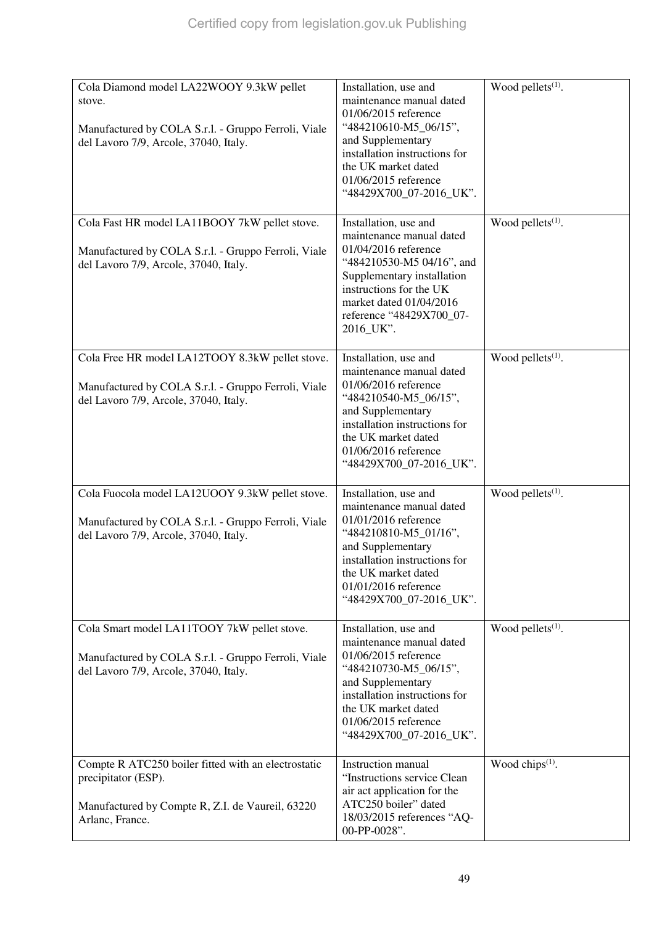| Cola Diamond model LA22WOOY 9.3kW pellet<br>stove.<br>Manufactured by COLA S.r.l. - Gruppo Ferroli, Viale<br>del Lavoro 7/9, Arcole, 37040, Italy. | Installation, use and<br>maintenance manual dated<br>01/06/2015 reference<br>"484210610-M5_06/15",<br>and Supplementary<br>installation instructions for<br>the UK market dated<br>01/06/2015 reference<br>"48429X700_07-2016_UK".  | Wood pellets <sup>(1)</sup> . |
|----------------------------------------------------------------------------------------------------------------------------------------------------|-------------------------------------------------------------------------------------------------------------------------------------------------------------------------------------------------------------------------------------|-------------------------------|
| Cola Fast HR model LA11BOOY 7kW pellet stove.<br>Manufactured by COLA S.r.l. - Gruppo Ferroli, Viale<br>del Lavoro 7/9, Arcole, 37040, Italy.      | Installation, use and<br>maintenance manual dated<br>01/04/2016 reference<br>"484210530-M5 04/16", and<br>Supplementary installation<br>instructions for the UK<br>market dated 01/04/2016<br>reference "48429X700_07-<br>2016_UK". | Wood pellets $(1)$ .          |
| Cola Free HR model LA12TOOY 8.3kW pellet stove.<br>Manufactured by COLA S.r.l. - Gruppo Ferroli, Viale<br>del Lavoro 7/9, Arcole, 37040, Italy.    | Installation, use and<br>maintenance manual dated<br>01/06/2016 reference<br>"484210540-M5_06/15",<br>and Supplementary<br>installation instructions for<br>the UK market dated<br>01/06/2016 reference<br>"48429X700_07-2016_UK".  | Wood pellets $(1)$ .          |
| Cola Fuocola model LA12UOOY 9.3kW pellet stove.<br>Manufactured by COLA S.r.l. - Gruppo Ferroli, Viale<br>del Lavoro 7/9, Arcole, 37040, Italy.    | Installation, use and<br>maintenance manual dated<br>01/01/2016 reference<br>"484210810-M5_01/16",<br>and Supplementary<br>installation instructions for<br>the UK market dated<br>01/01/2016 reference<br>"48429X700_07-2016_UK".  | Wood pellets $(1)$ .          |
| Cola Smart model LA11TOOY 7kW pellet stove.<br>Manufactured by COLA S.r.l. - Gruppo Ferroli, Viale<br>del Lavoro 7/9, Arcole, 37040, Italy.        | Installation, use and<br>maintenance manual dated<br>01/06/2015 reference<br>"484210730-M5_06/15",<br>and Supplementary<br>installation instructions for<br>the UK market dated<br>01/06/2015 reference<br>"48429X700_07-2016_UK".  | Wood pellets <sup>(1)</sup> . |
| Compte R ATC250 boiler fitted with an electrostatic<br>precipitator (ESP).<br>Manufactured by Compte R, Z.I. de Vaureil, 63220<br>Arlanc, France.  | <b>Instruction</b> manual<br>"Instructions service Clean<br>air act application for the<br>ATC250 boiler" dated<br>18/03/2015 references "AQ-<br>00-PP-0028".                                                                       | Wood chips $(1)$ .            |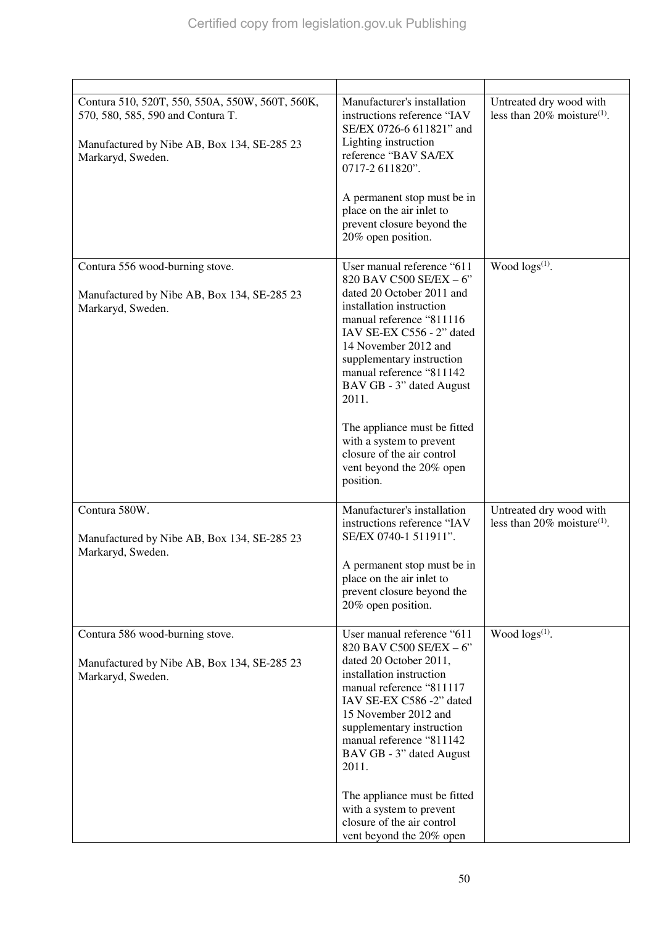| Contura 510, 520T, 550, 550A, 550W, 560T, 560K,<br>570, 580, 585, 590 and Contura T.<br>Manufactured by Nibe AB, Box 134, SE-285 23<br>Markaryd, Sweden. | Manufacturer's installation<br>instructions reference "IAV<br>SE/EX 0726-6 611821" and<br>Lighting instruction<br>reference "BAV SA/EX<br>0717-2 611820".<br>A permanent stop must be in<br>place on the air inlet to<br>prevent closure beyond the<br>20% open position.                                                                                                                                                        | Untreated dry wood with<br>less than 20% moisture <sup>(1)</sup> .    |
|----------------------------------------------------------------------------------------------------------------------------------------------------------|----------------------------------------------------------------------------------------------------------------------------------------------------------------------------------------------------------------------------------------------------------------------------------------------------------------------------------------------------------------------------------------------------------------------------------|-----------------------------------------------------------------------|
| Contura 556 wood-burning stove.<br>Manufactured by Nibe AB, Box 134, SE-285 23<br>Markaryd, Sweden.                                                      | User manual reference "611<br>820 BAV C500 SE/EX - 6"<br>dated 20 October 2011 and<br>installation instruction<br>manual reference "811116<br>IAV SE-EX C556 - 2" dated<br>14 November 2012 and<br>supplementary instruction<br>manual reference "811142<br>BAV GB - 3" dated August<br>2011.<br>The appliance must be fitted<br>with a system to prevent<br>closure of the air control<br>vent beyond the 20% open<br>position. | Wood $\log(s^{(1)})$ .                                                |
| Contura 580W.<br>Manufactured by Nibe AB, Box 134, SE-285 23<br>Markaryd, Sweden.                                                                        | Manufacturer's installation<br>instructions reference "IAV<br>SE/EX 0740-1 511911".<br>A permanent stop must be in<br>place on the air inlet to<br>prevent closure beyond the<br>20% open position.                                                                                                                                                                                                                              | Untreated dry wood with<br>less than $20\%$ moisture <sup>(1)</sup> . |
| Contura 586 wood-burning stove.<br>Manufactured by Nibe AB, Box 134, SE-285 23<br>Markaryd, Sweden.                                                      | User manual reference "611<br>820 BAV C500 SE/EX - 6"<br>dated 20 October 2011,<br>installation instruction<br>manual reference "811117<br>IAV SE-EX C586 -2" dated<br>15 November 2012 and<br>supplementary instruction<br>manual reference "811142<br>BAV GB - 3" dated August<br>2011.<br>The appliance must be fitted<br>with a system to prevent<br>closure of the air control<br>vent beyond the 20% open                  | Wood $\log(s^{(1)})$ .                                                |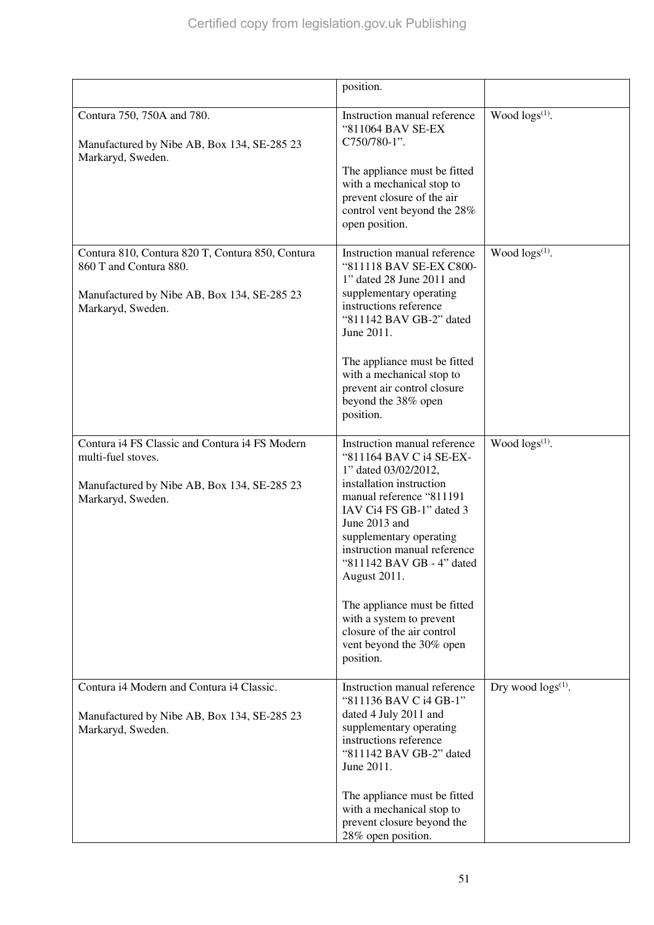|                                                                                                                                                | position.                                                                                                                                                                                                                                                                                                                                                                                                                       |                           |
|------------------------------------------------------------------------------------------------------------------------------------------------|---------------------------------------------------------------------------------------------------------------------------------------------------------------------------------------------------------------------------------------------------------------------------------------------------------------------------------------------------------------------------------------------------------------------------------|---------------------------|
| Contura 750, 750A and 780.<br>Manufactured by Nibe AB, Box 134, SE-285 23<br>Markaryd, Sweden.                                                 | Instruction manual reference<br>"811064 BAV SE-EX<br>C750/780-1".<br>The appliance must be fitted<br>with a mechanical stop to<br>prevent closure of the air<br>control vent beyond the 28%<br>open position.                                                                                                                                                                                                                   | Wood $\log s^{(1)}$ .     |
| Contura 810, Contura 820 T, Contura 850, Contura<br>860 T and Contura 880.<br>Manufactured by Nibe AB, Box 134, SE-285 23<br>Markaryd, Sweden. | Instruction manual reference<br>"811118 BAV SE-EX C800-<br>1" dated 28 June 2011 and<br>supplementary operating<br>instructions reference<br>"811142 BAV GB-2" dated<br>June 2011.<br>The appliance must be fitted<br>with a mechanical stop to<br>prevent air control closure<br>beyond the 38% open<br>position.                                                                                                              | Wood $\log(s^{(1)})$ .    |
| Contura i4 FS Classic and Contura i4 FS Modern<br>multi-fuel stoves.<br>Manufactured by Nibe AB, Box 134, SE-285 23<br>Markaryd, Sweden.       | Instruction manual reference<br>"811164 BAV C i4 SE-EX-<br>1" dated 03/02/2012,<br>installation instruction<br>manual reference "811191<br>IAV Ci4 FS GB-1" dated 3<br>June 2013 and<br>supplementary operating<br>instruction manual reference<br>"811142 BAV GB - 4" dated<br>August 2011.<br>The appliance must be fitted<br>with a system to prevent<br>closure of the air control<br>vent beyond the 30% open<br>position. | Wood $\log(s^{(1)})$ .    |
| Contura i4 Modern and Contura i4 Classic.<br>Manufactured by Nibe AB, Box 134, SE-285 23<br>Markaryd, Sweden.                                  | Instruction manual reference<br>"811136 BAV C i4 GB-1"<br>dated 4 July 2011 and<br>supplementary operating<br>instructions reference<br>"811142 BAV GB-2" dated<br>June 2011.<br>The appliance must be fitted<br>with a mechanical stop to<br>prevent closure beyond the<br>28% open position.                                                                                                                                  | Dry wood $\log s^{(1)}$ . |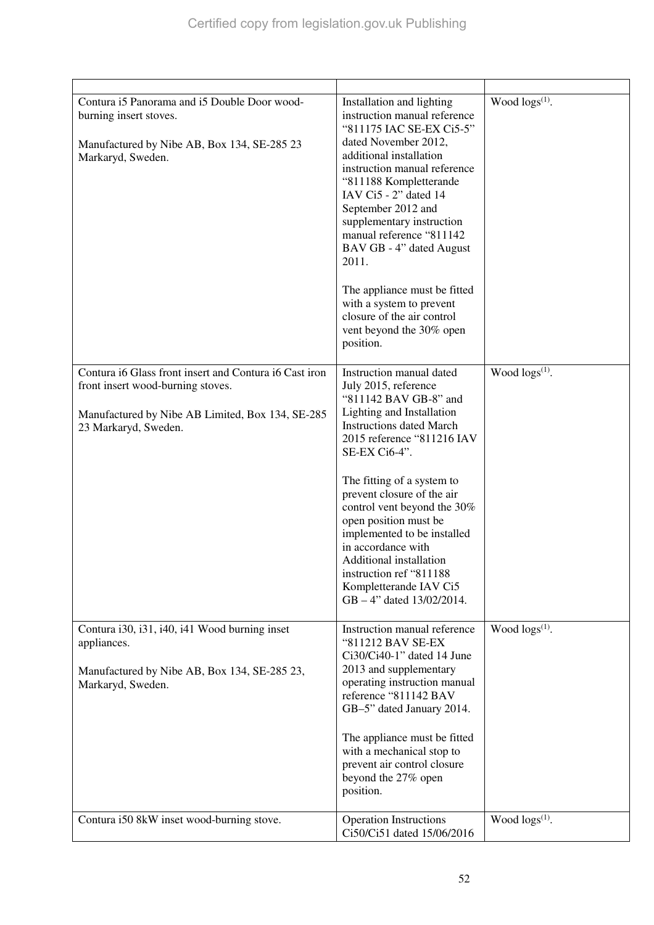| Contura i5 Panorama and i5 Double Door wood-<br>burning insert stoves.<br>Manufactured by Nibe AB, Box 134, SE-285 23<br>Markaryd, Sweden.                              | Installation and lighting<br>instruction manual reference<br>"811175 IAC SE-EX Ci5-5"<br>dated November 2012,<br>additional installation<br>instruction manual reference<br>"811188 Kompletterande<br>IAV $Ci5 - 2$ " dated 14<br>September 2012 and<br>supplementary instruction<br>manual reference "811142<br>BAV GB - 4" dated August<br>2011.<br>The appliance must be fitted<br>with a system to prevent<br>closure of the air control<br>vent beyond the 30% open<br>position. | Wood $\log(s^{(1)})$ . |
|-------------------------------------------------------------------------------------------------------------------------------------------------------------------------|---------------------------------------------------------------------------------------------------------------------------------------------------------------------------------------------------------------------------------------------------------------------------------------------------------------------------------------------------------------------------------------------------------------------------------------------------------------------------------------|------------------------|
| Contura i6 Glass front insert and Contura i6 Cast iron<br>front insert wood-burning stoves.<br>Manufactured by Nibe AB Limited, Box 134, SE-285<br>23 Markaryd, Sweden. | Instruction manual dated<br>July 2015, reference<br>"811142 BAV GB-8" and<br>Lighting and Installation<br><b>Instructions dated March</b><br>2015 reference "811216 IAV<br>SE-EX Ci6-4".<br>The fitting of a system to<br>prevent closure of the air<br>control vent beyond the 30%<br>open position must be<br>implemented to be installed<br>in accordance with<br>Additional installation<br>instruction ref "811188<br>Kompletterande IAV Ci5<br>GB - 4" dated 13/02/2014.        | Wood $\log s^{(1)}$ .  |
| Contura i30, i31, i40, i41 Wood burning inset<br>appliances.<br>Manufactured by Nibe AB, Box 134, SE-285 23,<br>Markaryd, Sweden.                                       | Instruction manual reference<br>"811212 BAV SE-EX<br>Ci30/Ci40-1" dated 14 June<br>2013 and supplementary<br>operating instruction manual<br>reference "811142 BAV<br>GB-5" dated January 2014.<br>The appliance must be fitted<br>with a mechanical stop to<br>prevent air control closure<br>beyond the 27% open<br>position.                                                                                                                                                       | Wood $\log(s^{(1)})$ . |
| Contura i50 8kW inset wood-burning stove.                                                                                                                               | <b>Operation Instructions</b><br>Ci50/Ci51 dated 15/06/2016                                                                                                                                                                                                                                                                                                                                                                                                                           | Wood $\log s^{(1)}$ .  |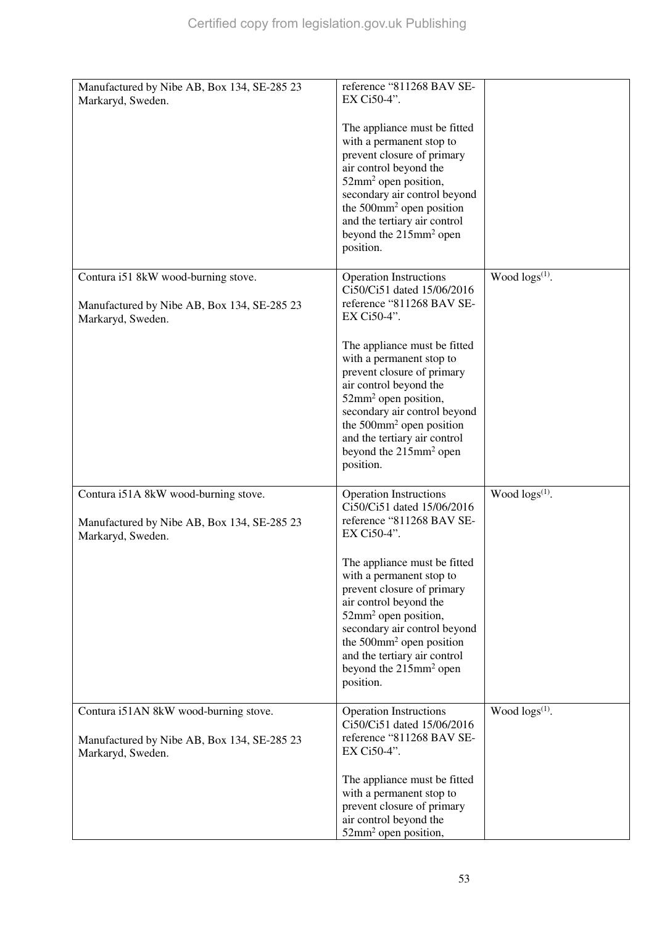| Manufactured by Nibe AB, Box 134, SE-285 23<br>Markaryd, Sweden.                   | reference "811268 BAV SE-<br>EX Ci50-4".                                                                                   |                        |
|------------------------------------------------------------------------------------|----------------------------------------------------------------------------------------------------------------------------|------------------------|
|                                                                                    | The appliance must be fitted<br>with a permanent stop to                                                                   |                        |
|                                                                                    | prevent closure of primary<br>air control beyond the                                                                       |                        |
|                                                                                    | 52mm <sup>2</sup> open position,<br>secondary air control beyond                                                           |                        |
|                                                                                    | the $500$ mm <sup>2</sup> open position<br>and the tertiary air control<br>beyond the 215mm <sup>2</sup> open<br>position. |                        |
|                                                                                    |                                                                                                                            | Wood $\log(s^{(1)})$ . |
| Contura i51 8kW wood-burning stove.<br>Manufactured by Nibe AB, Box 134, SE-285 23 | <b>Operation Instructions</b><br>Ci50/Ci51 dated 15/06/2016<br>reference "811268 BAV SE-                                   |                        |
| Markaryd, Sweden.                                                                  | EX Ci50-4".                                                                                                                |                        |
|                                                                                    | The appliance must be fitted<br>with a permanent stop to                                                                   |                        |
|                                                                                    | prevent closure of primary<br>air control beyond the                                                                       |                        |
|                                                                                    | 52mm <sup>2</sup> open position,<br>secondary air control beyond<br>the 500mm <sup>2</sup> open position                   |                        |
|                                                                                    | and the tertiary air control<br>beyond the 215mm <sup>2</sup> open                                                         |                        |
|                                                                                    | position.                                                                                                                  |                        |
| Contura i51A 8kW wood-burning stove.                                               | <b>Operation Instructions</b><br>Ci50/Ci51 dated 15/06/2016                                                                | Wood $\log s^{(1)}$ .  |
| Manufactured by Nibe AB, Box 134, SE-285 23<br>Markaryd, Sweden.                   | reference "811268 BAV SE-<br>EX Ci50-4".                                                                                   |                        |
|                                                                                    | The appliance must be fitted<br>with a permanent stop to                                                                   |                        |
|                                                                                    | prevent closure of primary<br>air control beyond the                                                                       |                        |
|                                                                                    | $52$ mm <sup>2</sup> open position,<br>secondary air control beyond                                                        |                        |
|                                                                                    | the $500$ mm <sup>2</sup> open position<br>and the tertiary air control<br>beyond the 215mm <sup>2</sup> open              |                        |
|                                                                                    | position.                                                                                                                  |                        |
| Contura i51AN 8kW wood-burning stove.                                              | <b>Operation Instructions</b><br>Ci50/Ci51 dated 15/06/2016                                                                | Wood $\log(s^{(1)})$ . |
| Manufactured by Nibe AB, Box 134, SE-285 23<br>Markaryd, Sweden.                   | reference "811268 BAV SE-<br>EX Ci50-4".                                                                                   |                        |
|                                                                                    | The appliance must be fitted<br>with a permanent stop to                                                                   |                        |
|                                                                                    | prevent closure of primary<br>air control beyond the                                                                       |                        |
|                                                                                    | 52mm <sup>2</sup> open position,                                                                                           |                        |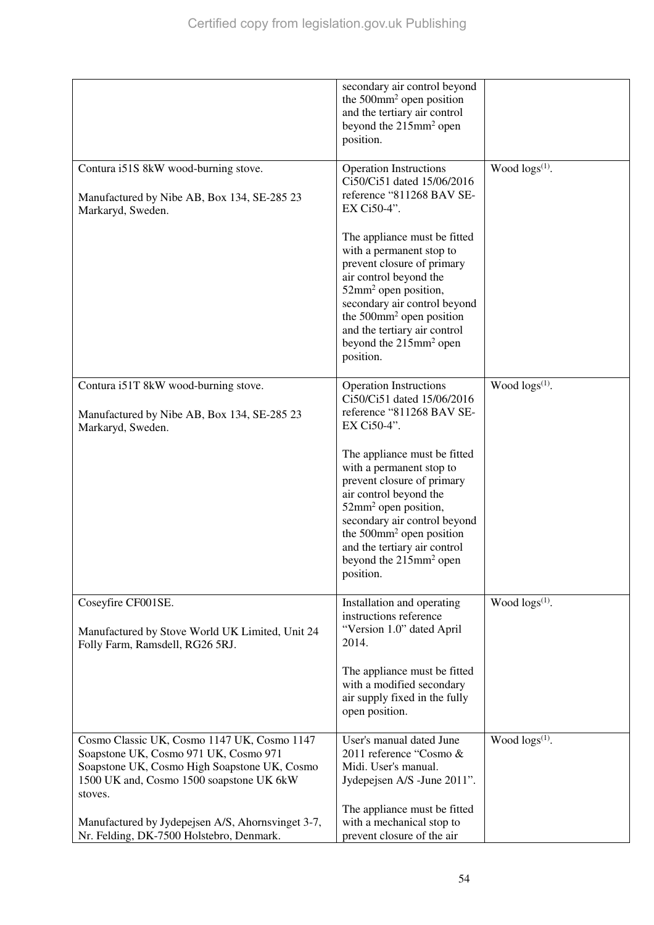|                                                                                                                                                                                             | secondary air control beyond<br>the $500$ mm <sup>2</sup> open position<br>and the tertiary air control<br>beyond the 215mm <sup>2</sup> open<br>position.                                                                                                                                                         |                        |
|---------------------------------------------------------------------------------------------------------------------------------------------------------------------------------------------|--------------------------------------------------------------------------------------------------------------------------------------------------------------------------------------------------------------------------------------------------------------------------------------------------------------------|------------------------|
| Contura i51S 8kW wood-burning stove.<br>Manufactured by Nibe AB, Box 134, SE-285 23<br>Markaryd, Sweden.                                                                                    | <b>Operation Instructions</b><br>Ci50/Ci51 dated 15/06/2016<br>reference "811268 BAV SE-<br>EX Ci50-4".                                                                                                                                                                                                            | Wood $\log(s^{(1)})$ . |
|                                                                                                                                                                                             | The appliance must be fitted<br>with a permanent stop to<br>prevent closure of primary<br>air control beyond the<br>52mm <sup>2</sup> open position,<br>secondary air control beyond<br>the $500$ mm <sup>2</sup> open position<br>and the tertiary air control<br>beyond the 215mm <sup>2</sup> open<br>position. |                        |
| Contura i51T 8kW wood-burning stove.<br>Manufactured by Nibe AB, Box 134, SE-285 23<br>Markaryd, Sweden.                                                                                    | <b>Operation Instructions</b><br>Ci50/Ci51 dated 15/06/2016<br>reference "811268 BAV SE-<br>EX Ci50-4".                                                                                                                                                                                                            | Wood $\log(s^{(1)})$ . |
|                                                                                                                                                                                             | The appliance must be fitted<br>with a permanent stop to<br>prevent closure of primary<br>air control beyond the<br>52mm <sup>2</sup> open position,<br>secondary air control beyond<br>the $500$ mm <sup>2</sup> open position<br>and the tertiary air control<br>beyond the 215mm <sup>2</sup> open<br>position. |                        |
| Coseyfire CF001SE.<br>Manufactured by Stove World UK Limited, Unit 24<br>Folly Farm, Ramsdell, RG26 5RJ.                                                                                    | Installation and operating<br>instructions reference<br>"Version 1.0" dated April<br>2014.                                                                                                                                                                                                                         | Wood $\log(s^{(1)})$ . |
|                                                                                                                                                                                             | The appliance must be fitted<br>with a modified secondary<br>air supply fixed in the fully<br>open position.                                                                                                                                                                                                       |                        |
| Cosmo Classic UK, Cosmo 1147 UK, Cosmo 1147<br>Soapstone UK, Cosmo 971 UK, Cosmo 971<br>Soapstone UK, Cosmo High Soapstone UK, Cosmo<br>1500 UK and, Cosmo 1500 soapstone UK 6kW<br>stoves. | User's manual dated June<br>2011 reference "Cosmo &<br>Midi. User's manual.<br>Jydepejsen A/S -June 2011".                                                                                                                                                                                                         | Wood $\log s^{(1)}$ .  |
| Manufactured by Jydepejsen A/S, Ahornsvinget 3-7,<br>Nr. Felding, DK-7500 Holstebro, Denmark.                                                                                               | The appliance must be fitted<br>with a mechanical stop to<br>prevent closure of the air                                                                                                                                                                                                                            |                        |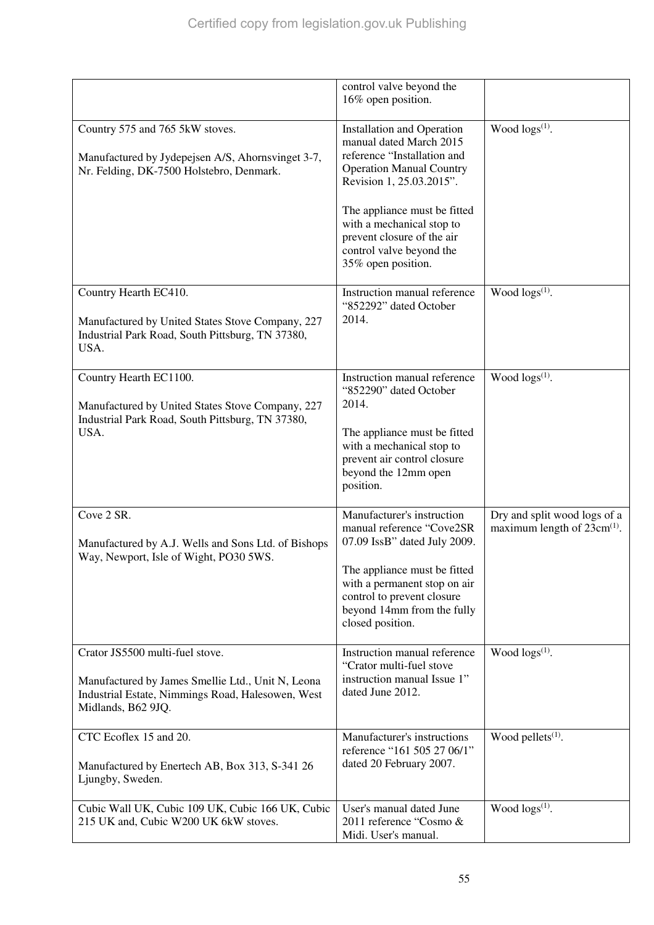|                                                                                                                                                                 | control valve beyond the<br>16% open position.                                                                                                                                                                                                                                    |                                                                  |
|-----------------------------------------------------------------------------------------------------------------------------------------------------------------|-----------------------------------------------------------------------------------------------------------------------------------------------------------------------------------------------------------------------------------------------------------------------------------|------------------------------------------------------------------|
| Country 575 and 765 5kW stoves.<br>Manufactured by Jydepejsen A/S, Ahornsvinget 3-7,<br>Nr. Felding, DK-7500 Holstebro, Denmark.                                | <b>Installation and Operation</b><br>manual dated March 2015<br>reference "Installation and<br><b>Operation Manual Country</b><br>Revision 1, 25.03.2015".<br>The appliance must be fitted<br>with a mechanical stop to<br>prevent closure of the air<br>control valve beyond the | Wood $\log(s^{(1)})$ .                                           |
|                                                                                                                                                                 | 35% open position.                                                                                                                                                                                                                                                                |                                                                  |
| Country Hearth EC410.<br>Manufactured by United States Stove Company, 227<br>Industrial Park Road, South Pittsburg, TN 37380,<br>USA.                           | Instruction manual reference<br>"852292" dated October<br>2014.                                                                                                                                                                                                                   | Wood $\log s^{(1)}$ .                                            |
| Country Hearth EC1100.<br>Manufactured by United States Stove Company, 227<br>Industrial Park Road, South Pittsburg, TN 37380,<br>USA.                          | Instruction manual reference<br>"852290" dated October<br>2014.<br>The appliance must be fitted<br>with a mechanical stop to<br>prevent air control closure<br>beyond the 12mm open<br>position.                                                                                  | Wood $\log(s^{(1)})$ .                                           |
| Cove 2 SR.<br>Manufactured by A.J. Wells and Sons Ltd. of Bishops<br>Way, Newport, Isle of Wight, PO30 5WS.                                                     | Manufacturer's instruction<br>manual reference "Cove2SR<br>07.09 IssB" dated July 2009.<br>The appliance must be fitted<br>with a permanent stop on air<br>control to prevent closure<br>beyond 14mm from the fully<br>closed position.                                           | Dry and split wood logs of a<br>maximum length of $23cm^{(1)}$ . |
| Crator JS5500 multi-fuel stove.<br>Manufactured by James Smellie Ltd., Unit N, Leona<br>Industrial Estate, Nimmings Road, Halesowen, West<br>Midlands, B62 9JQ. | Instruction manual reference<br>"Crator multi-fuel stove<br>instruction manual Issue 1"<br>dated June 2012.                                                                                                                                                                       | Wood logs <sup>(1)</sup> .                                       |
| CTC Ecoflex 15 and 20.<br>Manufactured by Enertech AB, Box 313, S-341 26<br>Ljungby, Sweden.                                                                    | Manufacturer's instructions<br>reference "161 505 27 06/1"<br>dated 20 February 2007.                                                                                                                                                                                             | Wood pellets $(1)$ .                                             |
| Cubic Wall UK, Cubic 109 UK, Cubic 166 UK, Cubic<br>215 UK and, Cubic W200 UK 6kW stoves.                                                                       | User's manual dated June<br>2011 reference "Cosmo &<br>Midi. User's manual.                                                                                                                                                                                                       | Wood $\log(s^{(1)})$ .                                           |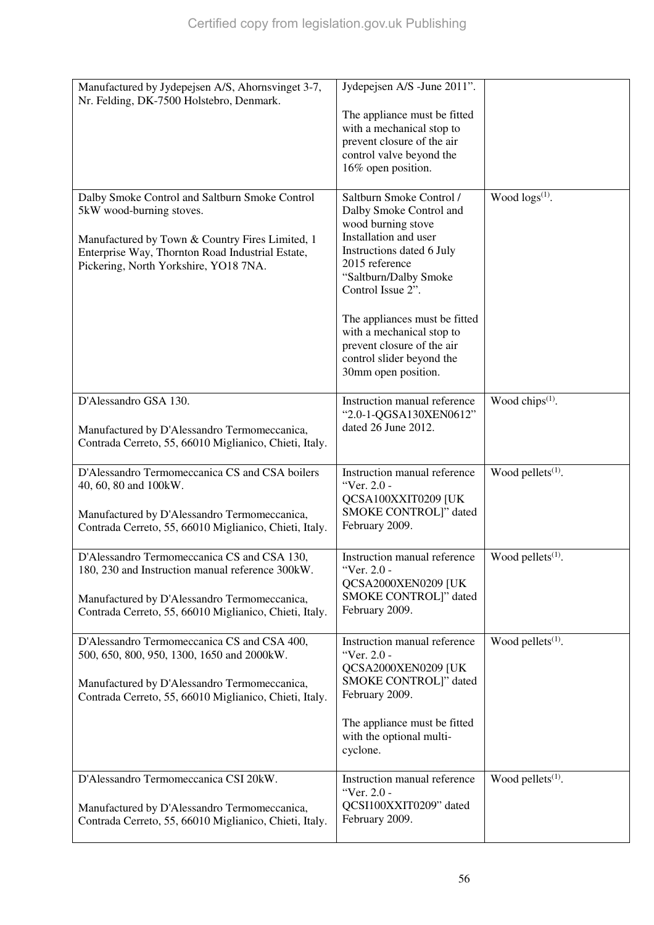| Manufactured by Jydepejsen A/S, Ahornsvinget 3-7,<br>Nr. Felding, DK-7500 Holstebro, Denmark.          | Jydepejsen A/S -June 2011".                              |                               |
|--------------------------------------------------------------------------------------------------------|----------------------------------------------------------|-------------------------------|
|                                                                                                        | The appliance must be fitted                             |                               |
|                                                                                                        | with a mechanical stop to                                |                               |
|                                                                                                        | prevent closure of the air<br>control valve beyond the   |                               |
|                                                                                                        | 16% open position.                                       |                               |
|                                                                                                        |                                                          |                               |
| Dalby Smoke Control and Saltburn Smoke Control                                                         | Saltburn Smoke Control /                                 | Wood $\log s^{(1)}$ .         |
| 5kW wood-burning stoves.                                                                               | Dalby Smoke Control and                                  |                               |
|                                                                                                        | wood burning stove<br>Installation and user              |                               |
| Manufactured by Town & Country Fires Limited, 1<br>Enterprise Way, Thornton Road Industrial Estate,    | Instructions dated 6 July                                |                               |
| Pickering, North Yorkshire, YO18 7NA.                                                                  | 2015 reference                                           |                               |
|                                                                                                        | "Saltburn/Dalby Smoke                                    |                               |
|                                                                                                        | Control Issue 2".                                        |                               |
|                                                                                                        | The appliances must be fitted                            |                               |
|                                                                                                        | with a mechanical stop to                                |                               |
|                                                                                                        | prevent closure of the air<br>control slider beyond the  |                               |
|                                                                                                        | 30mm open position.                                      |                               |
|                                                                                                        |                                                          |                               |
| D'Alessandro GSA 130.                                                                                  | Instruction manual reference                             | Wood chips $(1)$ .            |
|                                                                                                        | "2.0-1-QGSA130XEN0612"<br>dated 26 June 2012.            |                               |
| Manufactured by D'Alessandro Termomeccanica,<br>Contrada Cerreto, 55, 66010 Miglianico, Chieti, Italy. |                                                          |                               |
|                                                                                                        |                                                          |                               |
| D'Alessandro Termomeccanica CS and CSA boilers                                                         | Instruction manual reference                             | Wood pellets $(1)$ .          |
| 40, 60, 80 and 100kW.                                                                                  | "Ver. 2.0 -<br>QCSA100XXIT0209 [UK                       |                               |
| Manufactured by D'Alessandro Termomeccanica,                                                           | SMOKE CONTROL]" dated                                    |                               |
| Contrada Cerreto, 55, 66010 Miglianico, Chieti, Italy.                                                 | February 2009.                                           |                               |
|                                                                                                        |                                                          |                               |
| D'Alessandro Termomeccanica CS and CSA 130,                                                            | Instruction manual reference                             | Wood pellets $(1)$ .          |
| 180, 230 and Instruction manual reference 300kW.                                                       | "Ver. 2.0 -<br>QCSA2000XEN0209 [UK                       |                               |
| Manufactured by D'Alessandro Termomeccanica,                                                           | SMOKE CONTROL]" dated                                    |                               |
| Contrada Cerreto, 55, 66010 Miglianico, Chieti, Italy.                                                 | February 2009.                                           |                               |
|                                                                                                        |                                                          |                               |
| D'Alessandro Termomeccanica CS and CSA 400,                                                            | Instruction manual reference                             | Wood pellets $(1)$ .          |
| 500, 650, 800, 950, 1300, 1650 and 2000kW.                                                             | "Ver. 2.0 -<br>QCSA2000XEN0209 [UK                       |                               |
| Manufactured by D'Alessandro Termomeccanica,                                                           | SMOKE CONTROL]" dated                                    |                               |
| Contrada Cerreto, 55, 66010 Miglianico, Chieti, Italy.                                                 | February 2009.                                           |                               |
|                                                                                                        |                                                          |                               |
|                                                                                                        | The appliance must be fitted<br>with the optional multi- |                               |
|                                                                                                        | cyclone.                                                 |                               |
|                                                                                                        |                                                          |                               |
| D'Alessandro Termomeccanica CSI 20kW.                                                                  | Instruction manual reference                             | Wood pellets <sup>(1)</sup> . |
|                                                                                                        | "Ver. 2.0 -                                              |                               |
| Manufactured by D'Alessandro Termomeccanica,<br>Contrada Cerreto, 55, 66010 Miglianico, Chieti, Italy. | QCSI100XXIT0209" dated<br>February 2009.                 |                               |
|                                                                                                        |                                                          |                               |
|                                                                                                        |                                                          |                               |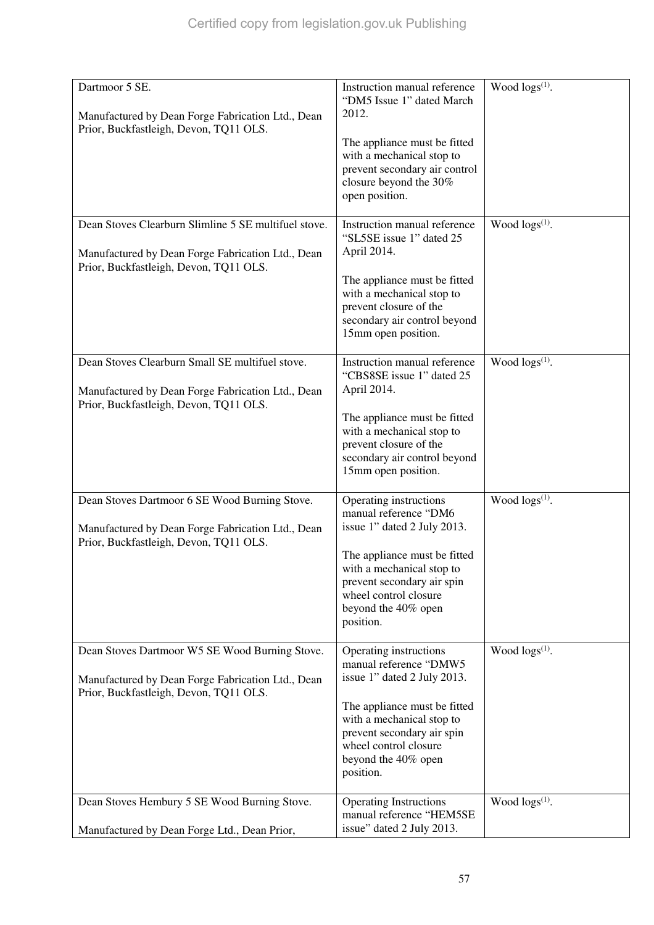| Dartmoor 5 SE.<br>Manufactured by Dean Forge Fabrication Ltd., Dean<br>Prior, Buckfastleigh, Devon, TQ11 OLS.                                       | Instruction manual reference<br>"DM5 Issue 1" dated March<br>2012.<br>The appliance must be fitted<br>with a mechanical stop to<br>prevent secondary air control<br>closure beyond the 30%<br>open position.                            | Wood $\log(s^{(1)})$ .     |
|-----------------------------------------------------------------------------------------------------------------------------------------------------|-----------------------------------------------------------------------------------------------------------------------------------------------------------------------------------------------------------------------------------------|----------------------------|
| Dean Stoves Clearburn Slimline 5 SE multifuel stove.<br>Manufactured by Dean Forge Fabrication Ltd., Dean<br>Prior, Buckfastleigh, Devon, TQ11 OLS. | Instruction manual reference<br>"SL5SE issue 1" dated 25<br>April 2014.<br>The appliance must be fitted<br>with a mechanical stop to<br>prevent closure of the<br>secondary air control beyond<br>15mm open position.                   | Wood $\log(s^{(1)})$ .     |
| Dean Stoves Clearburn Small SE multifuel stove.<br>Manufactured by Dean Forge Fabrication Ltd., Dean<br>Prior, Buckfastleigh, Devon, TQ11 OLS.      | Instruction manual reference<br>"CBS8SE issue 1" dated 25<br>April 2014.<br>The appliance must be fitted<br>with a mechanical stop to<br>prevent closure of the<br>secondary air control beyond<br>15mm open position.                  | Wood $\log(s^{(1)})$ .     |
| Dean Stoves Dartmoor 6 SE Wood Burning Stove.<br>Manufactured by Dean Forge Fabrication Ltd., Dean<br>Prior, Buckfastleigh, Devon, TQ11 OLS.        | Operating instructions<br>manual reference "DM6<br>issue 1" dated 2 July 2013.<br>The appliance must be fitted<br>with a mechanical stop to<br>prevent secondary air spin<br>wheel control closure<br>beyond the 40% open<br>position.  | Wood logs(1).              |
| Dean Stoves Dartmoor W5 SE Wood Burning Stove.<br>Manufactured by Dean Forge Fabrication Ltd., Dean<br>Prior, Buckfastleigh, Devon, TQ11 OLS.       | Operating instructions<br>manual reference "DMW5<br>issue 1" dated 2 July 2013.<br>The appliance must be fitted<br>with a mechanical stop to<br>prevent secondary air spin<br>wheel control closure<br>beyond the 40% open<br>position. | Wood logs <sup>(1)</sup> . |
| Dean Stoves Hembury 5 SE Wood Burning Stove.<br>Manufactured by Dean Forge Ltd., Dean Prior,                                                        | <b>Operating Instructions</b><br>manual reference "HEM5SE<br>issue" dated 2 July 2013.                                                                                                                                                  | Wood $\log(s^{(1)})$ .     |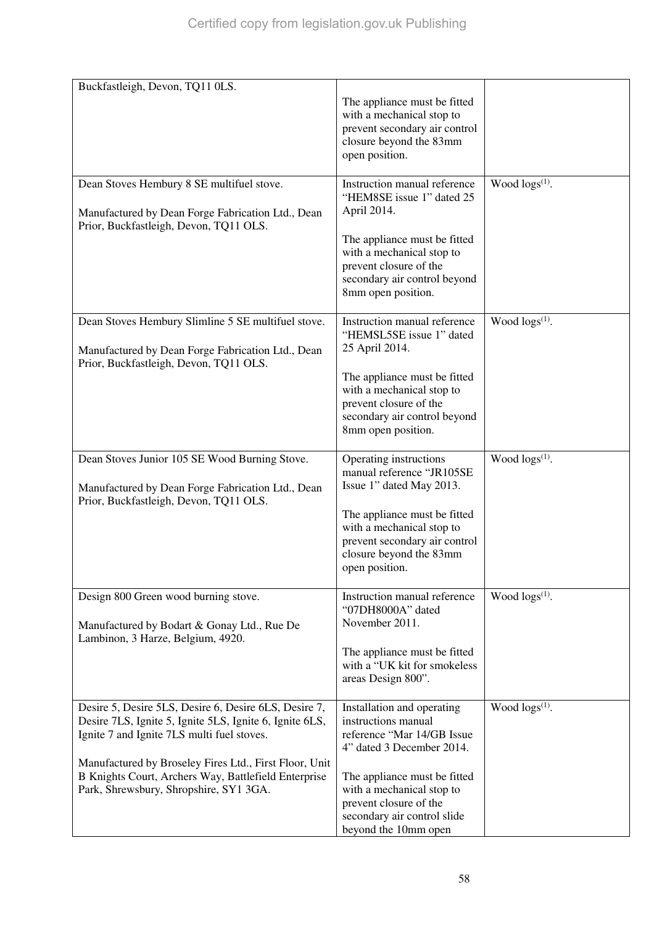| Buckfastleigh, Devon, TQ11 0LS.                                                                                                                                                                                                                                                                                            | The appliance must be fitted<br>with a mechanical stop to<br>prevent secondary air control<br>closure beyond the 83mm<br>open position.                                                                                                                    |                        |
|----------------------------------------------------------------------------------------------------------------------------------------------------------------------------------------------------------------------------------------------------------------------------------------------------------------------------|------------------------------------------------------------------------------------------------------------------------------------------------------------------------------------------------------------------------------------------------------------|------------------------|
| Dean Stoves Hembury 8 SE multifuel stove.<br>Manufactured by Dean Forge Fabrication Ltd., Dean<br>Prior, Buckfastleigh, Devon, TQ11 OLS.                                                                                                                                                                                   | Instruction manual reference<br>"HEM8SE issue 1" dated 25<br>April 2014.<br>The appliance must be fitted<br>with a mechanical stop to<br>prevent closure of the<br>secondary air control beyond<br>8mm open position.                                      | Wood $\log(s^{(1)})$ . |
| Dean Stoves Hembury Slimline 5 SE multifuel stove.<br>Manufactured by Dean Forge Fabrication Ltd., Dean<br>Prior, Buckfastleigh, Devon, TQ11 OLS.                                                                                                                                                                          | Instruction manual reference<br>"HEMSL5SE issue 1" dated<br>25 April 2014.<br>The appliance must be fitted<br>with a mechanical stop to<br>prevent closure of the<br>secondary air control beyond<br>8mm open position.                                    | Wood $\log(s^{(1)})$ . |
| Dean Stoves Junior 105 SE Wood Burning Stove.<br>Manufactured by Dean Forge Fabrication Ltd., Dean<br>Prior, Buckfastleigh, Devon, TQ11 OLS.                                                                                                                                                                               | Operating instructions<br>manual reference "JR105SE<br>Issue 1" dated May 2013.<br>The appliance must be fitted<br>with a mechanical stop to<br>prevent secondary air control<br>closure beyond the 83mm<br>open position.                                 | Wood $\log s^{(1)}$ .  |
| Design 800 Green wood burning stove.<br>Manufactured by Bodart & Gonay Ltd., Rue De<br>Lambinon, 3 Harze, Belgium, 4920.                                                                                                                                                                                                   | Instruction manual reference<br>"07DH8000A" dated<br>November 2011.<br>The appliance must be fitted<br>with a "UK kit for smokeless<br>areas Design 800".                                                                                                  | Wood $\log(s^{(1)})$ . |
| Desire 5, Desire 5LS, Desire 6, Desire 6LS, Desire 7,<br>Desire 7LS, Ignite 5, Ignite 5LS, Ignite 6, Ignite 6LS,<br>Ignite 7 and Ignite 7LS multi fuel stoves.<br>Manufactured by Broseley Fires Ltd., First Floor, Unit<br>B Knights Court, Archers Way, Battlefield Enterprise<br>Park, Shrewsbury, Shropshire, SY1 3GA. | Installation and operating<br>instructions manual<br>reference "Mar 14/GB Issue<br>4" dated 3 December 2014.<br>The appliance must be fitted<br>with a mechanical stop to<br>prevent closure of the<br>secondary air control slide<br>beyond the 10mm open | Wood $\log(s^{(1)})$ . |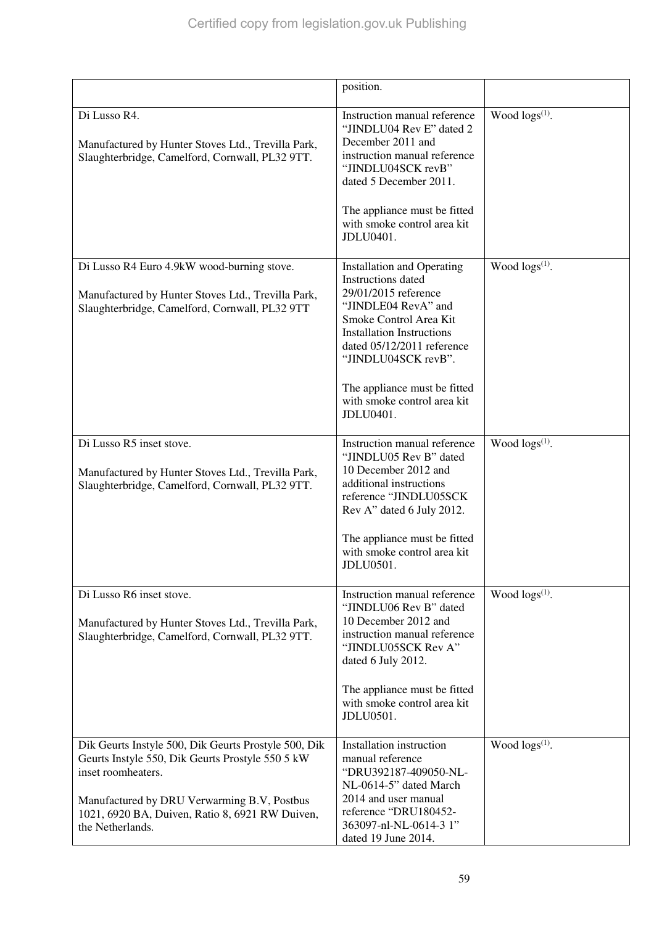|                                                                                                                                                                                                                                                      | position.                                                                                                                                                                                                                                                                                             |                        |
|------------------------------------------------------------------------------------------------------------------------------------------------------------------------------------------------------------------------------------------------------|-------------------------------------------------------------------------------------------------------------------------------------------------------------------------------------------------------------------------------------------------------------------------------------------------------|------------------------|
| Di Lusso R4.<br>Manufactured by Hunter Stoves Ltd., Trevilla Park,<br>Slaughterbridge, Camelford, Cornwall, PL32 9TT.                                                                                                                                | Instruction manual reference<br>"JINDLU04 Rev E" dated 2<br>December 2011 and<br>instruction manual reference<br>"JINDLU04SCK revB"<br>dated 5 December 2011.<br>The appliance must be fitted<br>with smoke control area kit<br>JDLU0401.                                                             | Wood $\log s^{(1)}$ .  |
| Di Lusso R4 Euro 4.9kW wood-burning stove.<br>Manufactured by Hunter Stoves Ltd., Trevilla Park,<br>Slaughterbridge, Camelford, Cornwall, PL32 9TT                                                                                                   | <b>Installation and Operating</b><br>Instructions dated<br>29/01/2015 reference<br>"JINDLE04 RevA" and<br>Smoke Control Area Kit<br><b>Installation Instructions</b><br>dated 05/12/2011 reference<br>"JINDLU04SCK revB".<br>The appliance must be fitted<br>with smoke control area kit<br>JDLU0401. | Wood $\log(s^{(1)})$ . |
| Di Lusso R5 inset stove.<br>Manufactured by Hunter Stoves Ltd., Trevilla Park,<br>Slaughterbridge, Camelford, Cornwall, PL32 9TT.                                                                                                                    | Instruction manual reference<br>"JINDLU05 Rev B" dated<br>10 December 2012 and<br>additional instructions<br>reference "JINDLU05SCK<br>Rev A" dated 6 July 2012.<br>The appliance must be fitted<br>with smoke control area kit<br>JDLU0501.                                                          | Wood $\log(s^{(1)})$ . |
| Di Lusso R6 inset stove.<br>Manufactured by Hunter Stoves Ltd., Trevilla Park,<br>Slaughterbridge, Camelford, Cornwall, PL32 9TT.                                                                                                                    | Instruction manual reference<br>"JINDLU06 Rev B" dated<br>10 December 2012 and<br>instruction manual reference<br>"JINDLU05SCK Rev A"<br>dated 6 July 2012.<br>The appliance must be fitted<br>with smoke control area kit<br>JDLU0501.                                                               | Wood $\log(s^{(1)})$ . |
| Dik Geurts Instyle 500, Dik Geurts Prostyle 500, Dik<br>Geurts Instyle 550, Dik Geurts Prostyle 550 5 kW<br>inset roomheaters.<br>Manufactured by DRU Verwarming B.V, Postbus<br>1021, 6920 BA, Duiven, Ratio 8, 6921 RW Duiven,<br>the Netherlands. | Installation instruction<br>manual reference<br>"DRU392187-409050-NL-<br>NL-0614-5" dated March<br>2014 and user manual<br>reference "DRU180452-<br>363097-nl-NL-0614-3 1"<br>dated 19 June 2014.                                                                                                     | Wood $\log s^{(1)}$ .  |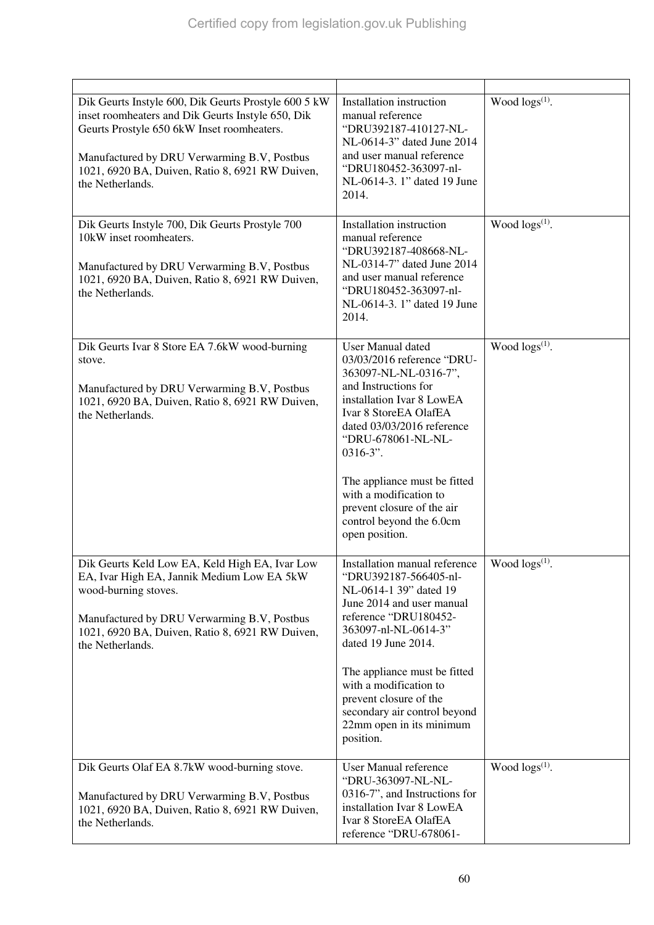| Dik Geurts Instyle 600, Dik Geurts Prostyle 600 5 kW<br>inset roomheaters and Dik Geurts Instyle 650, Dik<br>Geurts Prostyle 650 6kW Inset roomheaters.<br>Manufactured by DRU Verwarming B.V, Postbus<br>1021, 6920 BA, Duiven, Ratio 8, 6921 RW Duiven,<br>the Netherlands. | Installation instruction<br>manual reference<br>"DRU392187-410127-NL-<br>NL-0614-3" dated June 2014<br>and user manual reference<br>"DRU180452-363097-nl-<br>NL-0614-3. 1" dated 19 June<br>2014.                                                                                                                                                                      | Wood $\log s^{(1)}$ .  |
|-------------------------------------------------------------------------------------------------------------------------------------------------------------------------------------------------------------------------------------------------------------------------------|------------------------------------------------------------------------------------------------------------------------------------------------------------------------------------------------------------------------------------------------------------------------------------------------------------------------------------------------------------------------|------------------------|
| Dik Geurts Instyle 700, Dik Geurts Prostyle 700<br>10kW inset roomheaters.<br>Manufactured by DRU Verwarming B.V, Postbus<br>1021, 6920 BA, Duiven, Ratio 8, 6921 RW Duiven,<br>the Netherlands.                                                                              | Installation instruction<br>manual reference<br>"DRU392187-408668-NL-<br>NL-0314-7" dated June 2014<br>and user manual reference<br>"DRU180452-363097-nl-<br>NL-0614-3. 1" dated 19 June<br>2014.                                                                                                                                                                      | Wood $\log(s^{(1)})$ . |
| Dik Geurts Ivar 8 Store EA 7.6kW wood-burning<br>stove.<br>Manufactured by DRU Verwarming B.V, Postbus<br>1021, 6920 BA, Duiven, Ratio 8, 6921 RW Duiven,<br>the Netherlands.                                                                                                 | <b>User Manual dated</b><br>03/03/2016 reference "DRU-<br>363097-NL-NL-0316-7",<br>and Instructions for<br>installation Ivar 8 LowEA<br>Ivar 8 StoreEA OlafEA<br>dated 03/03/2016 reference<br>"DRU-678061-NL-NL-<br>$0316-3$ ".<br>The appliance must be fitted<br>with a modification to<br>prevent closure of the air<br>control beyond the 6.0cm<br>open position. | Wood $\log s^{(1)}$ .  |
| Dik Geurts Keld Low EA, Keld High EA, Ivar Low<br>EA, Ivar High EA, Jannik Medium Low EA 5kW<br>wood-burning stoves.<br>Manufactured by DRU Verwarming B.V, Postbus<br>1021, 6920 BA, Duiven, Ratio 8, 6921 RW Duiven,<br>the Netherlands.                                    | Installation manual reference<br>"DRU392187-566405-nl-<br>NL-0614-1 39" dated 19<br>June 2014 and user manual<br>reference "DRU180452-<br>363097-nl-NL-0614-3"<br>dated 19 June 2014.<br>The appliance must be fitted<br>with a modification to<br>prevent closure of the<br>secondary air control beyond<br>22mm open in its minimum<br>position.                     | Wood $\log s^{(1)}$ .  |
| Dik Geurts Olaf EA 8.7kW wood-burning stove.<br>Manufactured by DRU Verwarming B.V, Postbus<br>1021, 6920 BA, Duiven, Ratio 8, 6921 RW Duiven,<br>the Netherlands.                                                                                                            | User Manual reference<br>"DRU-363097-NL-NL-<br>0316-7", and Instructions for<br>installation Ivar 8 LowEA<br>Ivar 8 StoreEA OlafEA<br>reference "DRU-678061-                                                                                                                                                                                                           | Wood $\log s^{(1)}$ .  |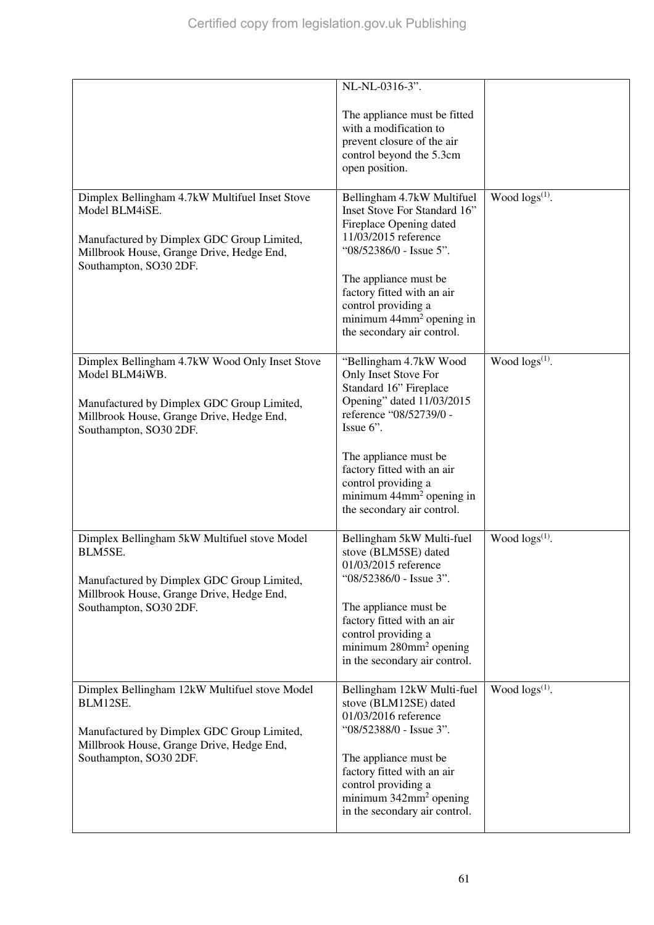|                                                                                                                                                                                       | NL-NL-0316-3".<br>The appliance must be fitted<br>with a modification to<br>prevent closure of the air<br>control beyond the 5.3cm<br>open position.                                                                                                                                              |                        |
|---------------------------------------------------------------------------------------------------------------------------------------------------------------------------------------|---------------------------------------------------------------------------------------------------------------------------------------------------------------------------------------------------------------------------------------------------------------------------------------------------|------------------------|
| Dimplex Bellingham 4.7kW Multifuel Inset Stove<br>Model BLM4iSE.<br>Manufactured by Dimplex GDC Group Limited,<br>Millbrook House, Grange Drive, Hedge End,<br>Southampton, SO30 2DF. | Bellingham 4.7kW Multifuel<br>Inset Stove For Standard 16"<br>Fireplace Opening dated<br>11/03/2015 reference<br>"08/52386/0 - Issue 5".<br>The appliance must be<br>factory fitted with an air<br>control providing a<br>minimum $44$ mm <sup>2</sup> opening in<br>the secondary air control.   | Wood $\log(s^{(1)})$ . |
| Dimplex Bellingham 4.7kW Wood Only Inset Stove<br>Model BLM4iWB.<br>Manufactured by Dimplex GDC Group Limited,<br>Millbrook House, Grange Drive, Hedge End,<br>Southampton, SO30 2DF. | "Bellingham 4.7kW Wood<br>Only Inset Stove For<br>Standard 16" Fireplace<br>Opening" dated 11/03/2015<br>reference "08/52739/0 -<br>Issue 6".<br>The appliance must be<br>factory fitted with an air<br>control providing a<br>minimum 44mm <sup>2</sup> opening in<br>the secondary air control. | Wood $\log(s^{(1)})$ . |
| Dimplex Bellingham 5kW Multifuel stove Model<br>BLM5SE.<br>Manufactured by Dimplex GDC Group Limited,<br>Millbrook House, Grange Drive, Hedge End,<br>Southampton, SO30 2DF.          | Bellingham 5kW Multi-fuel<br>stove (BLM5SE) dated<br>01/03/2015 reference<br>"08/52386/0 - Issue 3".<br>The appliance must be<br>factory fitted with an air<br>control providing a<br>minimum 280mm <sup>2</sup> opening<br>in the secondary air control.                                         | Wood $\log s^{(1)}$ .  |
| Dimplex Bellingham 12kW Multifuel stove Model<br>BLM12SE.<br>Manufactured by Dimplex GDC Group Limited,<br>Millbrook House, Grange Drive, Hedge End,<br>Southampton, SO30 2DF.        | Bellingham 12kW Multi-fuel<br>stove (BLM12SE) dated<br>01/03/2016 reference<br>"08/52388/0 - Issue 3".<br>The appliance must be<br>factory fitted with an air<br>control providing a<br>minimum 342mm <sup>2</sup> opening<br>in the secondary air control.                                       | Wood $\log s^{(1)}$ .  |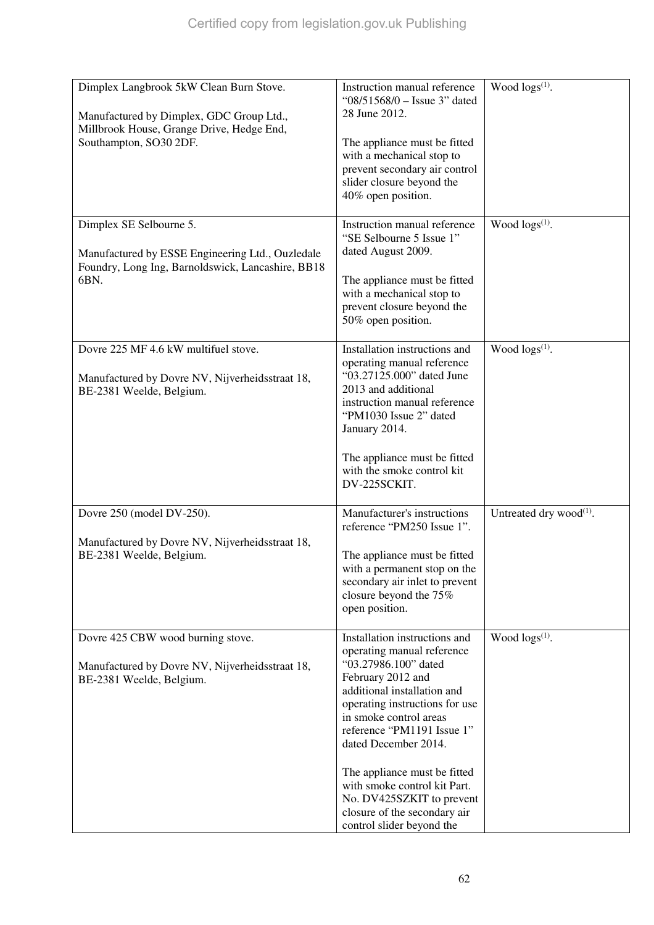| Dimplex Langbrook 5kW Clean Burn Stove.<br>Manufactured by Dimplex, GDC Group Ltd.,<br>Millbrook House, Grange Drive, Hedge End,<br>Southampton, SO30 2DF. | Instruction manual reference<br>"08/51568/0 - Issue 3" dated<br>28 June 2012.<br>The appliance must be fitted<br>with a mechanical stop to<br>prevent secondary air control<br>slider closure beyond the<br>40% open position.                                                                                                                                                                                      | Wood $\log s^{(1)}$ .               |
|------------------------------------------------------------------------------------------------------------------------------------------------------------|---------------------------------------------------------------------------------------------------------------------------------------------------------------------------------------------------------------------------------------------------------------------------------------------------------------------------------------------------------------------------------------------------------------------|-------------------------------------|
| Dimplex SE Selbourne 5.<br>Manufactured by ESSE Engineering Ltd., Ouzledale<br>Foundry, Long Ing, Barnoldswick, Lancashire, BB18<br>6BN.                   | Instruction manual reference<br>"SE Selbourne 5 Issue 1"<br>dated August 2009.<br>The appliance must be fitted<br>with a mechanical stop to<br>prevent closure beyond the<br>50% open position.                                                                                                                                                                                                                     | Wood logs <sup>(1)</sup> .          |
| Dovre 225 MF 4.6 kW multifuel stove.<br>Manufactured by Dovre NV, Nijverheidsstraat 18,<br>BE-2381 Weelde, Belgium.                                        | Installation instructions and<br>operating manual reference<br>"03.27125.000" dated June<br>2013 and additional<br>instruction manual reference<br>"PM1030 Issue 2" dated<br>January 2014.<br>The appliance must be fitted<br>with the smoke control kit<br>DV-225SCKIT.                                                                                                                                            | Wood $\log(s^{(1)})$ .              |
| Dovre 250 (model DV-250).<br>Manufactured by Dovre NV, Nijverheidsstraat 18,<br>BE-2381 Weelde, Belgium.                                                   | Manufacturer's instructions<br>reference "PM250 Issue 1".<br>The appliance must be fitted<br>with a permanent stop on the<br>secondary air inlet to prevent<br>closure beyond the 75%<br>open position.                                                                                                                                                                                                             | Untreated dry wood <sup>(1)</sup> . |
| Dovre 425 CBW wood burning stove.<br>Manufactured by Dovre NV, Nijverheidsstraat 18,<br>BE-2381 Weelde, Belgium.                                           | Installation instructions and<br>operating manual reference<br>"03.27986.100" dated<br>February 2012 and<br>additional installation and<br>operating instructions for use<br>in smoke control areas<br>reference "PM1191 Issue 1"<br>dated December 2014.<br>The appliance must be fitted<br>with smoke control kit Part.<br>No. DV425SZKIT to prevent<br>closure of the secondary air<br>control slider beyond the | Wood $\log(s^{(1)})$ .              |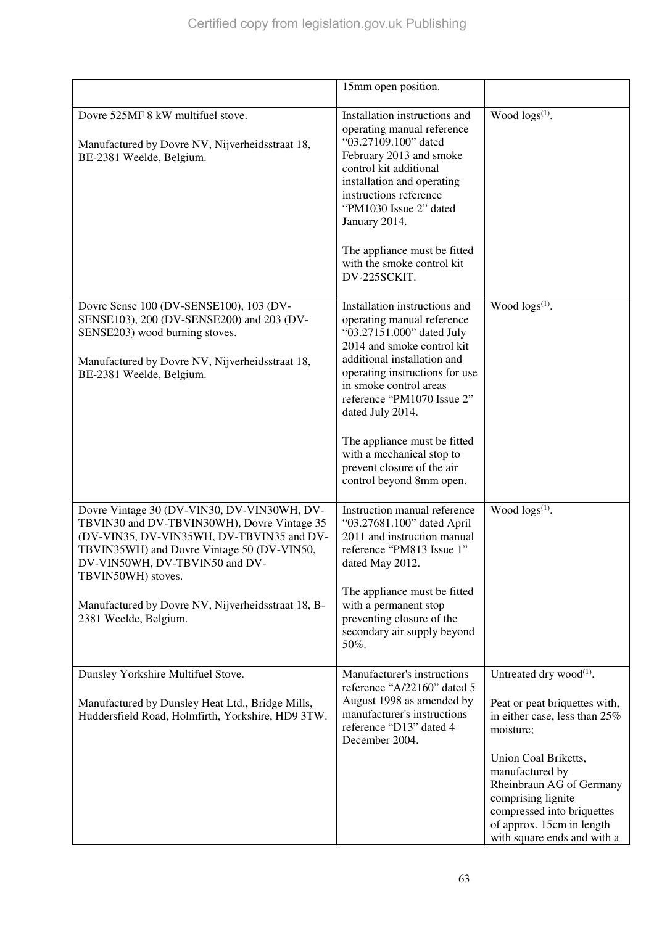|                                                                                                                                                                                                                                                                                                                              | 15mm open position.                                                                                                                                                                                                                                                                                                                                                                        |                                                                                                                                                                                                                                                                                                           |
|------------------------------------------------------------------------------------------------------------------------------------------------------------------------------------------------------------------------------------------------------------------------------------------------------------------------------|--------------------------------------------------------------------------------------------------------------------------------------------------------------------------------------------------------------------------------------------------------------------------------------------------------------------------------------------------------------------------------------------|-----------------------------------------------------------------------------------------------------------------------------------------------------------------------------------------------------------------------------------------------------------------------------------------------------------|
| Dovre 525MF 8 kW multifuel stove.<br>Manufactured by Dovre NV, Nijverheidsstraat 18,<br>BE-2381 Weelde, Belgium.                                                                                                                                                                                                             | Installation instructions and<br>operating manual reference<br>"03.27109.100" dated<br>February 2013 and smoke<br>control kit additional<br>installation and operating<br>instructions reference<br>"PM1030 Issue 2" dated<br>January 2014.<br>The appliance must be fitted<br>with the smoke control kit<br>DV-225SCKIT.                                                                  | Wood $\log s^{(1)}$ .                                                                                                                                                                                                                                                                                     |
| Dovre Sense 100 (DV-SENSE100), 103 (DV-<br>SENSE103), 200 (DV-SENSE200) and 203 (DV-<br>SENSE203) wood burning stoves.<br>Manufactured by Dovre NV, Nijverheidsstraat 18,<br>BE-2381 Weelde, Belgium.                                                                                                                        | Installation instructions and<br>operating manual reference<br>"03.27151.000" dated July<br>2014 and smoke control kit<br>additional installation and<br>operating instructions for use<br>in smoke control areas<br>reference "PM1070 Issue 2"<br>dated July 2014.<br>The appliance must be fitted<br>with a mechanical stop to<br>prevent closure of the air<br>control beyond 8mm open. | Wood $\log(s^{(1)})$ .                                                                                                                                                                                                                                                                                    |
| Dovre Vintage 30 (DV-VIN30, DV-VIN30WH, DV-<br>TBVIN30 and DV-TBVIN30WH), Dovre Vintage 35<br>(DV-VIN35, DV-VIN35WH, DV-TBVIN35 and DV-<br>TBVIN35WH) and Dovre Vintage 50 (DV-VIN50,<br>DV-VIN50WH, DV-TBVIN50 and DV-<br>TBVIN50WH) stoves.<br>Manufactured by Dovre NV, Nijverheidsstraat 18, B-<br>2381 Weelde, Belgium. | Instruction manual reference<br>"03.27681.100" dated April<br>2011 and instruction manual<br>reference "PM813 Issue 1"<br>dated May 2012.<br>The appliance must be fitted<br>with a permanent stop<br>preventing closure of the<br>secondary air supply beyond<br>50%.                                                                                                                     | Wood $\log(s^{(1)})$ .                                                                                                                                                                                                                                                                                    |
| Dunsley Yorkshire Multifuel Stove.<br>Manufactured by Dunsley Heat Ltd., Bridge Mills,<br>Huddersfield Road, Holmfirth, Yorkshire, HD9 3TW.                                                                                                                                                                                  | Manufacturer's instructions<br>reference "A/22160" dated 5<br>August 1998 as amended by<br>manufacturer's instructions<br>reference "D13" dated 4<br>December 2004.                                                                                                                                                                                                                        | Untreated dry wood <sup>(1)</sup> .<br>Peat or peat briquettes with,<br>in either case, less than 25%<br>moisture;<br>Union Coal Briketts,<br>manufactured by<br>Rheinbraun AG of Germany<br>comprising lignite<br>compressed into briquettes<br>of approx. 15cm in length<br>with square ends and with a |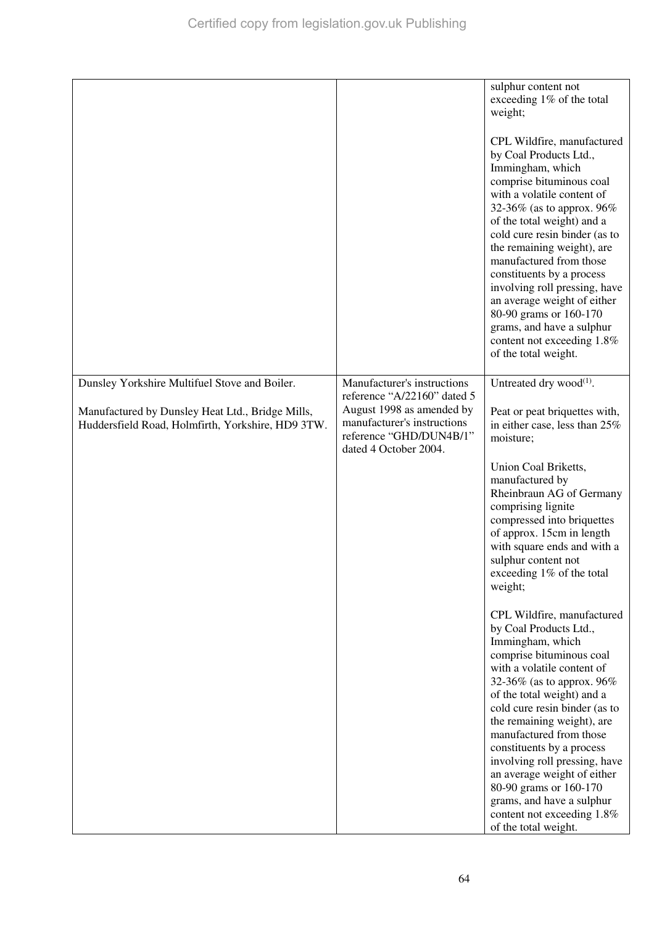|                                                                                                       |                                                                                                              | sulphur content not<br>exceeding 1% of the total<br>weight;                                                                                                                                                                                                                                                                                                                                                                                                                                       |
|-------------------------------------------------------------------------------------------------------|--------------------------------------------------------------------------------------------------------------|---------------------------------------------------------------------------------------------------------------------------------------------------------------------------------------------------------------------------------------------------------------------------------------------------------------------------------------------------------------------------------------------------------------------------------------------------------------------------------------------------|
|                                                                                                       |                                                                                                              | CPL Wildfire, manufactured<br>by Coal Products Ltd.,<br>Immingham, which<br>comprise bituminous coal<br>with a volatile content of<br>32-36% (as to approx. 96%<br>of the total weight) and a<br>cold cure resin binder (as to<br>the remaining weight), are<br>manufactured from those<br>constituents by a process<br>involving roll pressing, have<br>an average weight of either<br>80-90 grams or 160-170<br>grams, and have a sulphur<br>content not exceeding 1.8%<br>of the total weight. |
| Dunsley Yorkshire Multifuel Stove and Boiler.                                                         | Manufacturer's instructions<br>reference "A/22160" dated 5                                                   | Untreated dry wood <sup>(1)</sup> .                                                                                                                                                                                                                                                                                                                                                                                                                                                               |
| Manufactured by Dunsley Heat Ltd., Bridge Mills,<br>Huddersfield Road, Holmfirth, Yorkshire, HD9 3TW. | August 1998 as amended by<br>manufacturer's instructions<br>reference "GHD/DUN4B/1"<br>dated 4 October 2004. | Peat or peat briquettes with,<br>in either case, less than 25%<br>moisture;                                                                                                                                                                                                                                                                                                                                                                                                                       |
|                                                                                                       |                                                                                                              | Union Coal Briketts,<br>manufactured by<br>Rheinbraun AG of Germany<br>comprising lignite<br>compressed into briquettes<br>of approx. 15cm in length<br>with square ends and with a<br>sulphur content not<br>exceeding 1% of the total<br>weight;                                                                                                                                                                                                                                                |
|                                                                                                       |                                                                                                              | CPL Wildfire, manufactured<br>by Coal Products Ltd.,<br>Immingham, which<br>comprise bituminous coal<br>with a volatile content of<br>32-36% (as to approx. $96\%$<br>of the total weight) and a<br>cold cure resin binder (as to<br>the remaining weight), are                                                                                                                                                                                                                                   |
|                                                                                                       |                                                                                                              | manufactured from those<br>constituents by a process<br>involving roll pressing, have<br>an average weight of either<br>80-90 grams or 160-170<br>grams, and have a sulphur<br>content not exceeding 1.8%<br>of the total weight.                                                                                                                                                                                                                                                                 |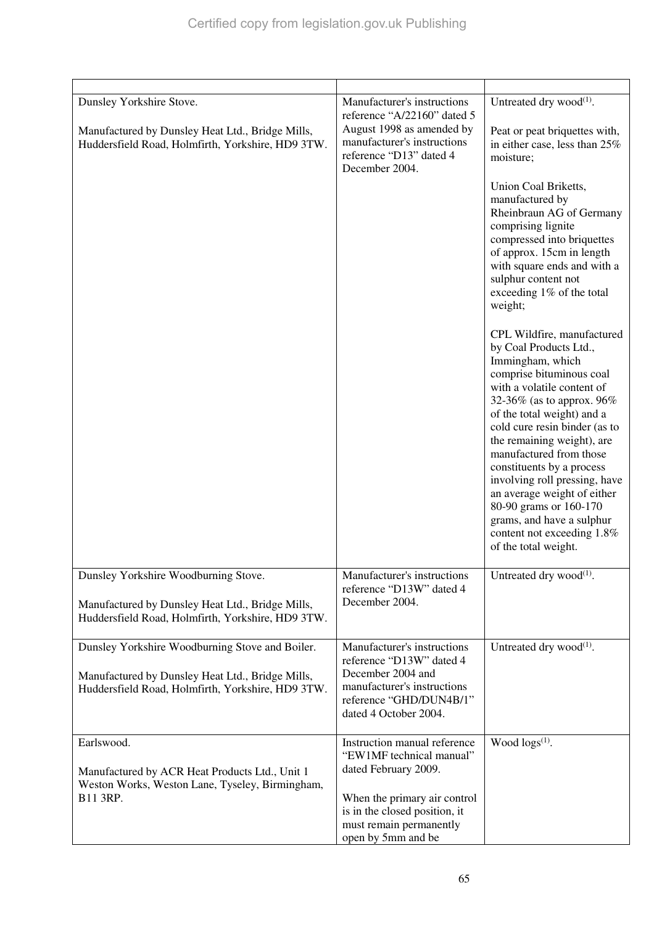| Dunsley Yorkshire Stove.<br>Manufactured by Dunsley Heat Ltd., Bridge Mills,<br>Huddersfield Road, Holmfirth, Yorkshire, HD9 3TW.                        | Manufacturer's instructions<br>reference "A/22160" dated 5<br>August 1998 as amended by<br>manufacturer's instructions<br>reference "D13" dated 4<br>December 2004.                                | Untreated dry wood <sup>(1)</sup> .<br>Peat or peat briquettes with,<br>in either case, less than 25%<br>moisture;<br>Union Coal Briketts,<br>manufactured by<br>Rheinbraun AG of Germany<br>comprising lignite<br>compressed into briquettes<br>of approx. 15cm in length<br>with square ends and with a<br>sulphur content not<br>exceeding 1% of the total<br>weight;<br>CPL Wildfire, manufactured<br>by Coal Products Ltd.,<br>Immingham, which<br>comprise bituminous coal<br>with a volatile content of<br>32-36% (as to approx. $96\%$<br>of the total weight) and a<br>cold cure resin binder (as to<br>the remaining weight), are<br>manufactured from those<br>constituents by a process<br>involving roll pressing, have<br>an average weight of either<br>80-90 grams or 160-170<br>grams, and have a sulphur<br>content not exceeding 1.8%<br>of the total weight. |
|----------------------------------------------------------------------------------------------------------------------------------------------------------|----------------------------------------------------------------------------------------------------------------------------------------------------------------------------------------------------|----------------------------------------------------------------------------------------------------------------------------------------------------------------------------------------------------------------------------------------------------------------------------------------------------------------------------------------------------------------------------------------------------------------------------------------------------------------------------------------------------------------------------------------------------------------------------------------------------------------------------------------------------------------------------------------------------------------------------------------------------------------------------------------------------------------------------------------------------------------------------------|
| Dunsley Yorkshire Woodburning Stove.<br>Manufactured by Dunsley Heat Ltd., Bridge Mills,<br>Huddersfield Road, Holmfirth, Yorkshire, HD9 3TW.            | Manufacturer's instructions<br>reference "D13W" dated 4<br>December 2004.                                                                                                                          | Untreated dry wood <sup>(1)</sup> .                                                                                                                                                                                                                                                                                                                                                                                                                                                                                                                                                                                                                                                                                                                                                                                                                                              |
| Dunsley Yorkshire Woodburning Stove and Boiler.<br>Manufactured by Dunsley Heat Ltd., Bridge Mills,<br>Huddersfield Road, Holmfirth, Yorkshire, HD9 3TW. | Manufacturer's instructions<br>reference "D13W" dated 4<br>December 2004 and<br>manufacturer's instructions<br>reference "GHD/DUN4B/1"<br>dated 4 October 2004.                                    | Untreated dry wood $^{(1)}$ .                                                                                                                                                                                                                                                                                                                                                                                                                                                                                                                                                                                                                                                                                                                                                                                                                                                    |
| Earlswood.<br>Manufactured by ACR Heat Products Ltd., Unit 1<br>Weston Works, Weston Lane, Tyseley, Birmingham,<br>B11 3RP.                              | Instruction manual reference<br>"EW1MF technical manual"<br>dated February 2009.<br>When the primary air control<br>is in the closed position, it<br>must remain permanently<br>open by 5mm and be | Wood $\log s^{(1)}$ .                                                                                                                                                                                                                                                                                                                                                                                                                                                                                                                                                                                                                                                                                                                                                                                                                                                            |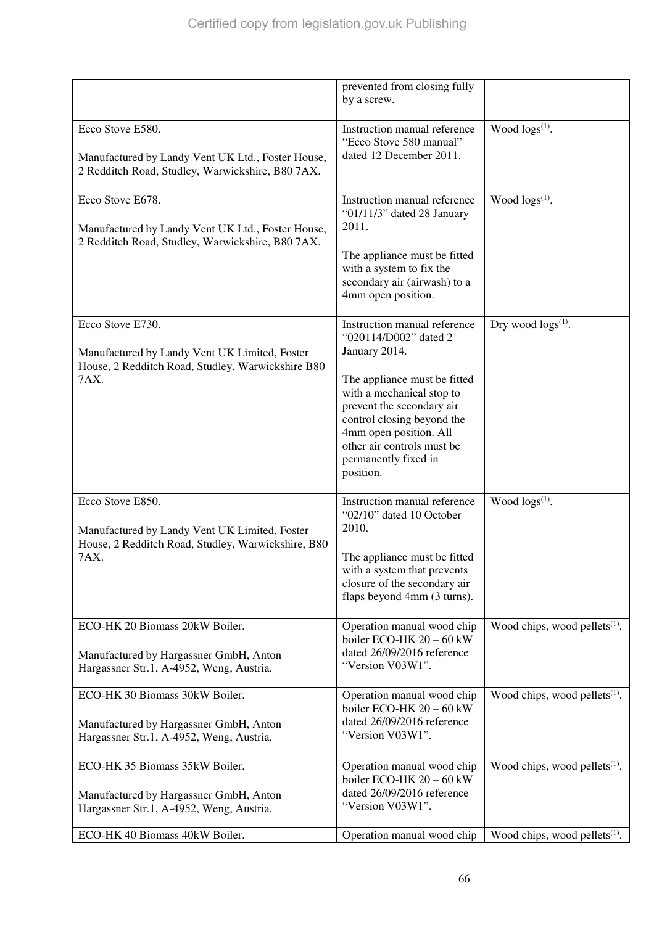|                                                                                                                                 | prevented from closing fully<br>by a screw.                                                                                                                                                                                                                                                 |                                  |
|---------------------------------------------------------------------------------------------------------------------------------|---------------------------------------------------------------------------------------------------------------------------------------------------------------------------------------------------------------------------------------------------------------------------------------------|----------------------------------|
| Ecco Stove E580.<br>Manufactured by Landy Vent UK Ltd., Foster House,<br>2 Redditch Road, Studley, Warwickshire, B80 7AX.       | Instruction manual reference<br>"Ecco Stove 580 manual"<br>dated 12 December 2011.                                                                                                                                                                                                          | Wood $\log(s^{(1)})$ .           |
| Ecco Stove E678.<br>Manufactured by Landy Vent UK Ltd., Foster House,<br>2 Redditch Road, Studley, Warwickshire, B80 7AX.       | Instruction manual reference<br>"01/11/3" dated 28 January<br>2011.<br>The appliance must be fitted<br>with a system to fix the<br>secondary air (airwash) to a<br>4mm open position.                                                                                                       | Wood $\log s^{(1)}$ .            |
| Ecco Stove E730.<br>Manufactured by Landy Vent UK Limited, Foster<br>House, 2 Redditch Road, Studley, Warwickshire B80<br>7AX.  | Instruction manual reference<br>"020114/D002" dated 2<br>January 2014.<br>The appliance must be fitted<br>with a mechanical stop to<br>prevent the secondary air<br>control closing beyond the<br>4mm open position. All<br>other air controls must be<br>permanently fixed in<br>position. | Dry wood $\log s^{(1)}$ .        |
| Ecco Stove E850.<br>Manufactured by Landy Vent UK Limited, Foster<br>House, 2 Redditch Road, Studley, Warwickshire, B80<br>7AX. | Instruction manual reference<br>"02/10" dated 10 October<br>2010.<br>The appliance must be fitted<br>with a system that prevents<br>closure of the secondary air<br>flaps beyond 4mm (3 turns).                                                                                             | Wood $\log(s^{(1)})$ .           |
| ECO-HK 20 Biomass 20kW Boiler.<br>Manufactured by Hargassner GmbH, Anton<br>Hargassner Str.1, A-4952, Weng, Austria.            | Operation manual wood chip<br>boiler ECO-HK $20 - 60$ kW<br>dated 26/09/2016 reference<br>"Version V03W1".                                                                                                                                                                                  | Wood chips, wood pellets $(1)$ . |
| ECO-HK 30 Biomass 30kW Boiler.<br>Manufactured by Hargassner GmbH, Anton<br>Hargassner Str.1, A-4952, Weng, Austria.            | Operation manual wood chip<br>boiler ECO-HK $20 - 60$ kW<br>dated 26/09/2016 reference<br>"Version V03W1".                                                                                                                                                                                  | Wood chips, wood pellets $(1)$ . |
| ECO-HK 35 Biomass 35kW Boiler.<br>Manufactured by Hargassner GmbH, Anton<br>Hargassner Str.1, A-4952, Weng, Austria.            | Operation manual wood chip<br>boiler ECO-HK $20 - 60$ kW<br>dated 26/09/2016 reference<br>"Version V03W1".                                                                                                                                                                                  | Wood chips, wood pellets $(1)$ . |
| ECO-HK 40 Biomass 40kW Boiler.                                                                                                  | Operation manual wood chip                                                                                                                                                                                                                                                                  | Wood chips, wood pellets $(1)$ . |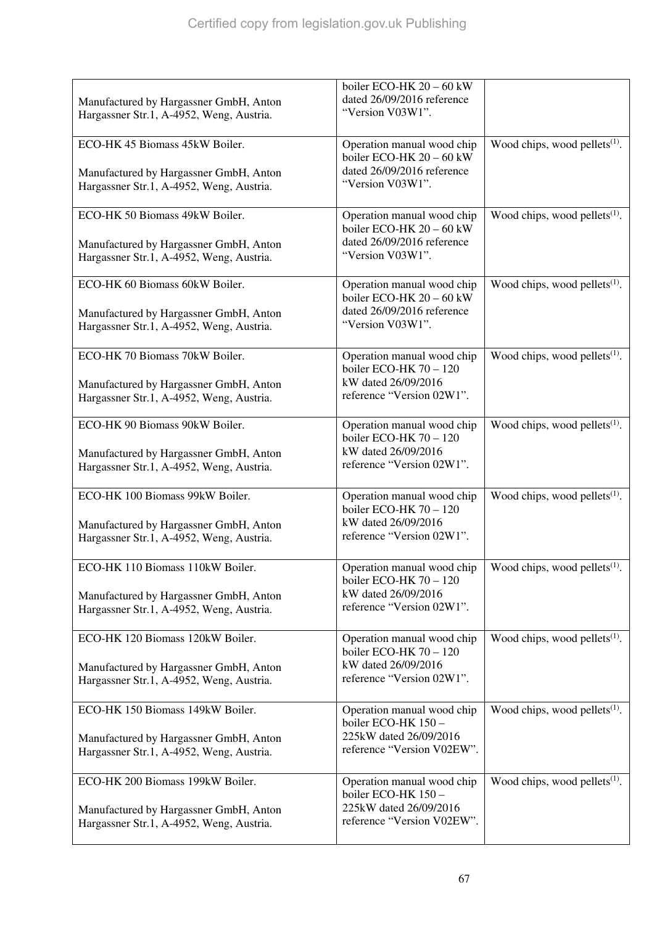| Manufactured by Hargassner GmbH, Anton<br>Hargassner Str.1, A-4952, Weng, Austria.                                     | boiler ECO-HK 20 - 60 kW<br>dated 26/09/2016 reference<br>"Version V03W1".                                 |                                           |
|------------------------------------------------------------------------------------------------------------------------|------------------------------------------------------------------------------------------------------------|-------------------------------------------|
| ECO-HK 45 Biomass 45kW Boiler.<br>Manufactured by Hargassner GmbH, Anton<br>Hargassner Str.1, A-4952, Weng, Austria.   | Operation manual wood chip<br>boiler ECO-HK $20 - 60$ kW<br>dated 26/09/2016 reference<br>"Version V03W1". | Wood chips, wood pellets $(1)$ .          |
| ECO-HK 50 Biomass 49kW Boiler.<br>Manufactured by Hargassner GmbH, Anton<br>Hargassner Str.1, A-4952, Weng, Austria.   | Operation manual wood chip<br>boiler ECO-HK 20 - 60 kW<br>dated 26/09/2016 reference<br>"Version V03W1".   | Wood chips, wood pellets $(1)$ .          |
| ECO-HK 60 Biomass 60kW Boiler.<br>Manufactured by Hargassner GmbH, Anton<br>Hargassner Str.1, A-4952, Weng, Austria.   | Operation manual wood chip<br>boiler ECO-HK 20 - 60 kW<br>dated 26/09/2016 reference<br>"Version V03W1".   | Wood chips, wood pellets $(1)$ .          |
| ECO-HK 70 Biomass 70kW Boiler.<br>Manufactured by Hargassner GmbH, Anton<br>Hargassner Str.1, A-4952, Weng, Austria.   | Operation manual wood chip<br>boiler ECO-HK $70 - 120$<br>kW dated 26/09/2016<br>reference "Version 02W1". | Wood chips, wood pellets $(1)$ .          |
| ECO-HK 90 Biomass 90kW Boiler.<br>Manufactured by Hargassner GmbH, Anton<br>Hargassner Str.1, A-4952, Weng, Austria.   | Operation manual wood chip<br>boiler ECO-HK $70 - 120$<br>kW dated 26/09/2016<br>reference "Version 02W1". | Wood chips, wood pellets $(1)$ .          |
| ECO-HK 100 Biomass 99kW Boiler.<br>Manufactured by Hargassner GmbH, Anton<br>Hargassner Str.1, A-4952, Weng, Austria.  | Operation manual wood chip<br>boiler ECO-HK $70 - 120$<br>kW dated 26/09/2016<br>reference "Version 02W1". | Wood chips, wood pellets $(1)$ .          |
| ECO-HK 110 Biomass 110kW Boiler.<br>Manufactured by Hargassner GmbH, Anton<br>Hargassner Str.1, A-4952, Weng, Austria. | Operation manual wood chip<br>boiler ECO-HK $70 - 120$<br>kW dated 26/09/2016<br>reference "Version 02W1". | Wood chips, wood pellets <sup>(1)</sup> . |
| ECO-HK 120 Biomass 120kW Boiler.<br>Manufactured by Hargassner GmbH, Anton<br>Hargassner Str.1, A-4952, Weng, Austria. | Operation manual wood chip<br>boiler ECO-HK $70 - 120$<br>kW dated 26/09/2016<br>reference "Version 02W1". | Wood chips, wood pellets $(1)$ .          |
| ECO-HK 150 Biomass 149kW Boiler.<br>Manufactured by Hargassner GmbH, Anton<br>Hargassner Str.1, A-4952, Weng, Austria. | Operation manual wood chip<br>boiler ECO-HK 150 -<br>225kW dated 26/09/2016<br>reference "Version V02EW".  | Wood chips, wood pellets $(1)$ .          |
| ECO-HK 200 Biomass 199kW Boiler.<br>Manufactured by Hargassner GmbH, Anton<br>Hargassner Str.1, A-4952, Weng, Austria. | Operation manual wood chip<br>boiler ECO-HK 150 -<br>225kW dated 26/09/2016<br>reference "Version V02EW".  | Wood chips, wood pellets $(1)$ .          |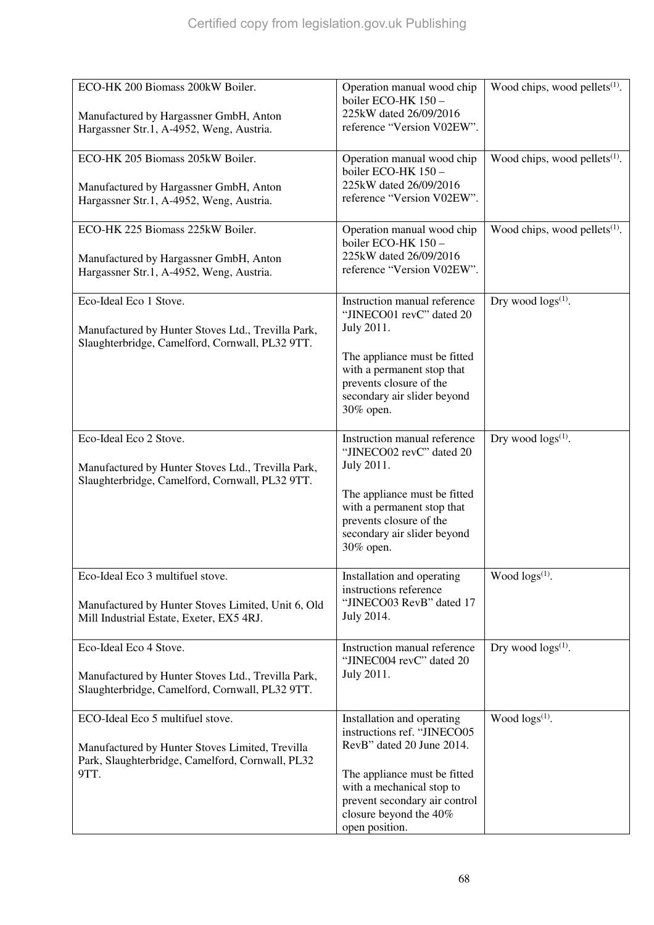| ECO-HK 200 Biomass 200kW Boiler.<br>Manufactured by Hargassner GmbH, Anton<br>Hargassner Str.1, A-4952, Weng, Austria.                          | Operation manual wood chip<br>boiler ECO-HK 150 -<br>225kW dated 26/09/2016<br>reference "Version V02EW".                                                                                                                        | Wood chips, wood pellets $(1)$ .          |
|-------------------------------------------------------------------------------------------------------------------------------------------------|----------------------------------------------------------------------------------------------------------------------------------------------------------------------------------------------------------------------------------|-------------------------------------------|
| ECO-HK 205 Biomass 205kW Boiler.<br>Manufactured by Hargassner GmbH, Anton<br>Hargassner Str.1, A-4952, Weng, Austria.                          | Operation manual wood chip<br>boiler ECO-HK 150 -<br>225kW dated 26/09/2016<br>reference "Version V02EW".                                                                                                                        | Wood chips, wood pellets $(1)$ .          |
| ECO-HK 225 Biomass 225kW Boiler.<br>Manufactured by Hargassner GmbH, Anton<br>Hargassner Str.1, A-4952, Weng, Austria.                          | Operation manual wood chip<br>boiler ECO-HK 150 -<br>225kW dated 26/09/2016<br>reference "Version V02EW".                                                                                                                        | Wood chips, wood pellets <sup>(1)</sup> . |
| Eco-Ideal Eco 1 Stove.<br>Manufactured by Hunter Stoves Ltd., Trevilla Park,<br>Slaughterbridge, Camelford, Cornwall, PL32 9TT.                 | Instruction manual reference<br>"JINECO01 revC" dated 20<br>July 2011.<br>The appliance must be fitted<br>with a permanent stop that<br>prevents closure of the<br>secondary air slider beyond<br>30% open.                      | Dry wood $\log s^{(1)}$ .                 |
| Eco-Ideal Eco 2 Stove.<br>Manufactured by Hunter Stoves Ltd., Trevilla Park,<br>Slaughterbridge, Camelford, Cornwall, PL32 9TT.                 | Instruction manual reference<br>"JINECO02 revC" dated 20<br>July 2011.<br>The appliance must be fitted<br>with a permanent stop that<br>prevents closure of the<br>secondary air slider beyond<br>30% open.                      | Dry wood $\log s^{(1)}$ .                 |
| Eco-Ideal Eco 3 multifuel stove.<br>Manufactured by Hunter Stoves Limited, Unit 6, Old<br>Mill Industrial Estate, Exeter, EX5 4RJ.              | Installation and operating<br>instructions reference<br>"JINECO03 RevB" dated 17<br>July 2014.                                                                                                                                   | Wood $\log(s^{(1)})$ .                    |
| Eco-Ideal Eco 4 Stove.<br>Manufactured by Hunter Stoves Ltd., Trevilla Park,<br>Slaughterbridge, Camelford, Cornwall, PL32 9TT.                 | Instruction manual reference<br>"JINEC004 revC" dated 20<br>July 2011.                                                                                                                                                           | Dry wood $\log s^{(1)}$ .                 |
| ECO-Ideal Eco 5 multifuel stove.<br>Manufactured by Hunter Stoves Limited, Trevilla<br>Park, Slaughterbridge, Camelford, Cornwall, PL32<br>9TT. | Installation and operating<br>instructions ref. "JINECO05<br>RevB" dated 20 June 2014.<br>The appliance must be fitted<br>with a mechanical stop to<br>prevent secondary air control<br>closure beyond the 40%<br>open position. | Wood logs(1).                             |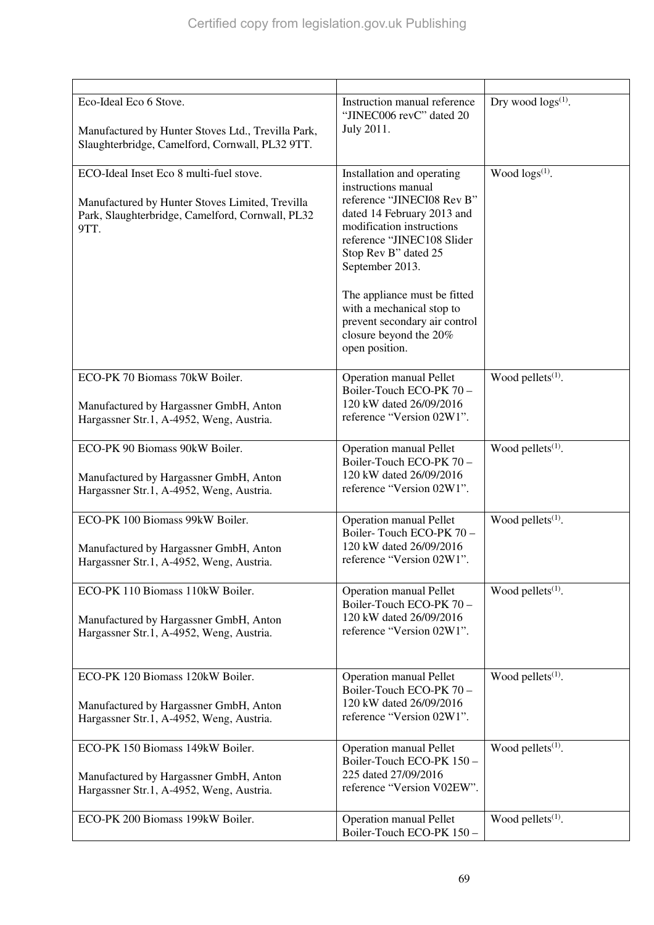| Eco-Ideal Eco 6 Stove.<br>Manufactured by Hunter Stoves Ltd., Trevilla Park,<br>Slaughterbridge, Camelford, Cornwall, PL32 9TT.                        | Instruction manual reference<br>"JINEC006 revC" dated 20<br>July 2011.                                                                                                                                                                                                                                                                                        | Dry wood $\log s^{(1)}$ . |
|--------------------------------------------------------------------------------------------------------------------------------------------------------|---------------------------------------------------------------------------------------------------------------------------------------------------------------------------------------------------------------------------------------------------------------------------------------------------------------------------------------------------------------|---------------------------|
| ECO-Ideal Inset Eco 8 multi-fuel stove.<br>Manufactured by Hunter Stoves Limited, Trevilla<br>Park, Slaughterbridge, Camelford, Cornwall, PL32<br>9TT. | Installation and operating<br>instructions manual<br>reference "JINECI08 Rev B"<br>dated 14 February 2013 and<br>modification instructions<br>reference "JINEC108 Slider<br>Stop Rev B" dated 25<br>September 2013.<br>The appliance must be fitted<br>with a mechanical stop to<br>prevent secondary air control<br>closure beyond the 20%<br>open position. | Wood $\log s^{(1)}$ .     |
| ECO-PK 70 Biomass 70kW Boiler.<br>Manufactured by Hargassner GmbH, Anton<br>Hargassner Str.1, A-4952, Weng, Austria.                                   | <b>Operation manual Pellet</b><br>Boiler-Touch ECO-PK 70 -<br>120 kW dated 26/09/2016<br>reference "Version 02W1".                                                                                                                                                                                                                                            | Wood pellets $(1)$ .      |
| ECO-PK 90 Biomass 90kW Boiler.<br>Manufactured by Hargassner GmbH, Anton<br>Hargassner Str.1, A-4952, Weng, Austria.                                   | <b>Operation manual Pellet</b><br>Boiler-Touch ECO-PK 70 -<br>120 kW dated 26/09/2016<br>reference "Version 02W1".                                                                                                                                                                                                                                            | Wood pellets $(1)$ .      |
| ECO-PK 100 Biomass 99kW Boiler.<br>Manufactured by Hargassner GmbH, Anton<br>Hargassner Str.1, A-4952, Weng, Austria.                                  | <b>Operation manual Pellet</b><br>Boiler-Touch ECO-PK 70 -<br>120 kW dated 26/09/2016<br>reference "Version 02W1".                                                                                                                                                                                                                                            | Wood pellets $(1)$ .      |
| ECO-PK 110 Biomass 110kW Boiler.<br>Manufactured by Hargassner GmbH, Anton<br>Hargassner Str.1, A-4952, Weng, Austria.                                 | <b>Operation manual Pellet</b><br>Boiler-Touch ECO-PK 70 -<br>120 kW dated 26/09/2016<br>reference "Version 02W1".                                                                                                                                                                                                                                            | Wood pellets $(1)$ .      |
| ECO-PK 120 Biomass 120kW Boiler.<br>Manufactured by Hargassner GmbH, Anton<br>Hargassner Str.1, A-4952, Weng, Austria.                                 | <b>Operation manual Pellet</b><br>Boiler-Touch ECO-PK 70 -<br>120 kW dated 26/09/2016<br>reference "Version 02W1".                                                                                                                                                                                                                                            | Wood pellets $(1)$ .      |
| ECO-PK 150 Biomass 149kW Boiler.<br>Manufactured by Hargassner GmbH, Anton<br>Hargassner Str.1, A-4952, Weng, Austria.                                 | <b>Operation manual Pellet</b><br>Boiler-Touch ECO-PK 150 -<br>225 dated 27/09/2016<br>reference "Version V02EW".                                                                                                                                                                                                                                             | Wood pellets $(1)$ .      |
| ECO-PK 200 Biomass 199kW Boiler.                                                                                                                       | <b>Operation manual Pellet</b><br>Boiler-Touch ECO-PK 150-                                                                                                                                                                                                                                                                                                    | Wood pellets $(1)$ .      |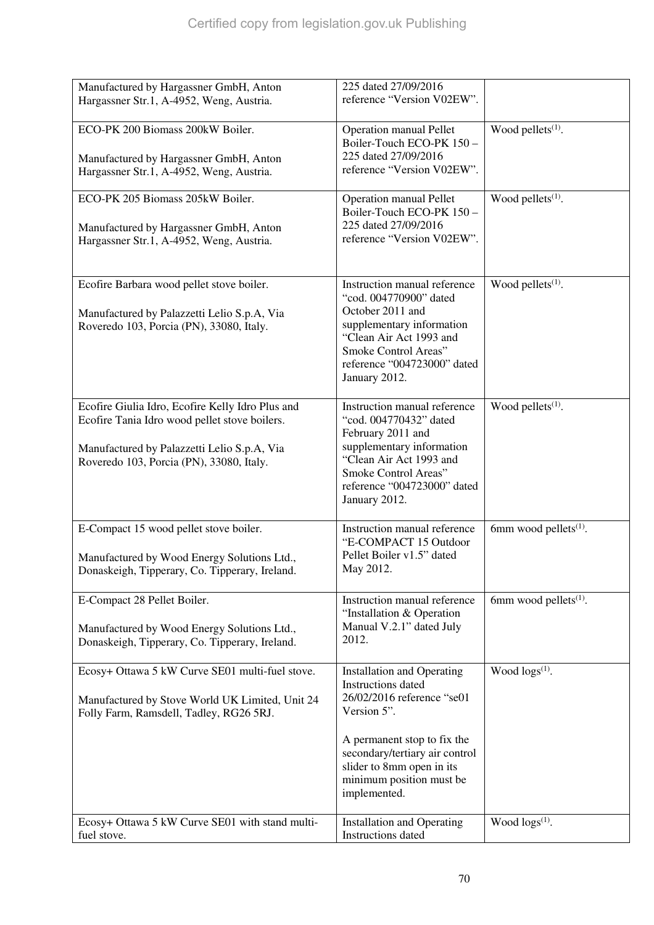| Manufactured by Hargassner GmbH, Anton           | 225 dated 27/09/2016                           |                               |
|--------------------------------------------------|------------------------------------------------|-------------------------------|
| Hargassner Str.1, A-4952, Weng, Austria.         | reference "Version V02EW".                     |                               |
|                                                  |                                                |                               |
| ECO-PK 200 Biomass 200kW Boiler.                 | <b>Operation manual Pellet</b>                 | Wood pellets $(1)$ .          |
|                                                  | Boiler-Touch ECO-PK 150 -                      |                               |
| Manufactured by Hargassner GmbH, Anton           | 225 dated 27/09/2016                           |                               |
| Hargassner Str.1, A-4952, Weng, Austria.         | reference "Version V02EW".                     |                               |
|                                                  |                                                |                               |
| ECO-PK 205 Biomass 205kW Boiler.                 | <b>Operation manual Pellet</b>                 | Wood pellets <sup>(1)</sup> . |
|                                                  | Boiler-Touch ECO-PK 150-                       |                               |
| Manufactured by Hargassner GmbH, Anton           | 225 dated 27/09/2016                           |                               |
| Hargassner Str.1, A-4952, Weng, Austria.         | reference "Version V02EW".                     |                               |
|                                                  |                                                |                               |
|                                                  |                                                |                               |
| Ecofire Barbara wood pellet stove boiler.        | Instruction manual reference                   | Wood pellets <sup>(1)</sup> . |
|                                                  | "cod. 004770900" dated                         |                               |
| Manufactured by Palazzetti Lelio S.p.A, Via      | October 2011 and                               |                               |
| Roveredo 103, Porcia (PN), 33080, Italy.         | supplementary information                      |                               |
|                                                  | "Clean Air Act 1993 and                        |                               |
|                                                  | Smoke Control Areas"                           |                               |
|                                                  | reference "004723000" dated                    |                               |
|                                                  | January 2012.                                  |                               |
|                                                  |                                                |                               |
| Ecofire Giulia Idro, Ecofire Kelly Idro Plus and | Instruction manual reference                   | Wood pellets $(1)$ .          |
| Ecofire Tania Idro wood pellet stove boilers.    | "cod. 004770432" dated                         |                               |
|                                                  | February 2011 and<br>supplementary information |                               |
| Manufactured by Palazzetti Lelio S.p.A, Via      | "Clean Air Act 1993 and                        |                               |
| Roveredo 103, Porcia (PN), 33080, Italy.         | Smoke Control Areas"                           |                               |
|                                                  | reference "004723000" dated                    |                               |
|                                                  | January 2012.                                  |                               |
|                                                  |                                                |                               |
| E-Compact 15 wood pellet stove boiler.           | Instruction manual reference                   | 6mm wood pellets $(1)$ .      |
|                                                  | "E-COMPACT 15 Outdoor                          |                               |
| Manufactured by Wood Energy Solutions Ltd.,      | Pellet Boiler v1.5" dated                      |                               |
| Donaskeigh, Tipperary, Co. Tipperary, Ireland.   | May 2012.                                      |                               |
|                                                  |                                                |                               |
| E-Compact 28 Pellet Boiler.                      | Instruction manual reference                   | 6mm wood pellets $(1)$ .      |
|                                                  | "Installation & Operation                      |                               |
| Manufactured by Wood Energy Solutions Ltd.,      | Manual V.2.1" dated July                       |                               |
| Donaskeigh, Tipperary, Co. Tipperary, Ireland.   | 2012.                                          |                               |
|                                                  |                                                |                               |
| Ecosy+ Ottawa 5 kW Curve SE01 multi-fuel stove.  | <b>Installation and Operating</b>              | Wood $\log(s^{(1)})$ .        |
|                                                  | Instructions dated                             |                               |
| Manufactured by Stove World UK Limited, Unit 24  | 26/02/2016 reference "se01                     |                               |
| Folly Farm, Ramsdell, Tadley, RG26 5RJ.          | Version 5".                                    |                               |
|                                                  |                                                |                               |
|                                                  | A permanent stop to fix the                    |                               |
|                                                  | secondary/tertiary air control                 |                               |
|                                                  | slider to 8mm open in its                      |                               |
|                                                  | minimum position must be<br>implemented.       |                               |
|                                                  |                                                |                               |
| Ecosy+ Ottawa 5 kW Curve SE01 with stand multi-  | <b>Installation and Operating</b>              | Wood $\log(s^{(1)})$ .        |
| fuel stove.                                      | Instructions dated                             |                               |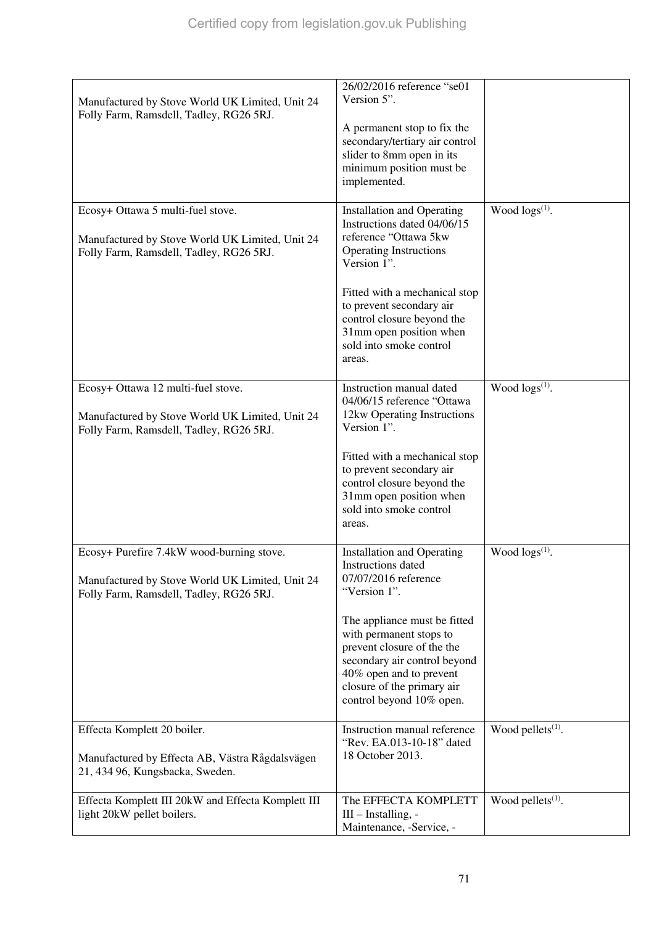| Manufactured by Stove World UK Limited, Unit 24<br>Folly Farm, Ramsdell, Tadley, RG26 5RJ.                                              | 26/02/2016 reference "se01<br>Version 5".                                                                                                                                                                  |                               |
|-----------------------------------------------------------------------------------------------------------------------------------------|------------------------------------------------------------------------------------------------------------------------------------------------------------------------------------------------------------|-------------------------------|
|                                                                                                                                         | A permanent stop to fix the<br>secondary/tertiary air control<br>slider to 8mm open in its<br>minimum position must be<br>implemented.                                                                     |                               |
| Ecosy+ Ottawa 5 multi-fuel stove.                                                                                                       | <b>Installation and Operating</b><br>Instructions dated 04/06/15                                                                                                                                           | Wood $\log s^{(1)}$ .         |
| Manufactured by Stove World UK Limited, Unit 24<br>Folly Farm, Ramsdell, Tadley, RG26 5RJ.                                              | reference "Ottawa 5kw<br><b>Operating Instructions</b><br>Version 1".                                                                                                                                      |                               |
|                                                                                                                                         | Fitted with a mechanical stop<br>to prevent secondary air<br>control closure beyond the<br>31mm open position when<br>sold into smoke control<br>areas.                                                    |                               |
| Ecosy+ Ottawa 12 multi-fuel stove.                                                                                                      | Instruction manual dated                                                                                                                                                                                   | Wood $\log s^{(1)}$ .         |
| Manufactured by Stove World UK Limited, Unit 24<br>Folly Farm, Ramsdell, Tadley, RG26 5RJ.                                              | 04/06/15 reference "Ottawa<br>12kw Operating Instructions<br>Version 1".                                                                                                                                   |                               |
|                                                                                                                                         | Fitted with a mechanical stop<br>to prevent secondary air<br>control closure beyond the<br>31mm open position when<br>sold into smoke control<br>areas.                                                    |                               |
| Ecosy+ Purefire 7.4kW wood-burning stove.<br>Manufactured by Stove World UK Limited, Unit 24<br>Folly Farm, Ramsdell, Tadley, RG26 5RJ. | <b>Installation and Operating</b><br>Instructions dated<br>07/07/2016 reference<br>"Version 1".                                                                                                            | Wood $\log(s^{(1)})$ .        |
|                                                                                                                                         | The appliance must be fitted<br>with permanent stops to<br>prevent closure of the the<br>secondary air control beyond<br>40% open and to prevent<br>closure of the primary air<br>control beyond 10% open. |                               |
| Effecta Komplett 20 boiler.                                                                                                             | Instruction manual reference<br>"Rev. EA.013-10-18" dated                                                                                                                                                  | Wood pellets $(1)$ .          |
| Manufactured by Effecta AB, Västra Rågdalsvägen<br>21, 434 96, Kungsbacka, Sweden.                                                      | 18 October 2013.                                                                                                                                                                                           |                               |
| Effecta Komplett III 20kW and Effecta Komplett III<br>light 20kW pellet boilers.                                                        | The EFFECTA KOMPLETT<br>III - Installing, -<br>Maintenance, -Service, -                                                                                                                                    | Wood pellets <sup>(1)</sup> . |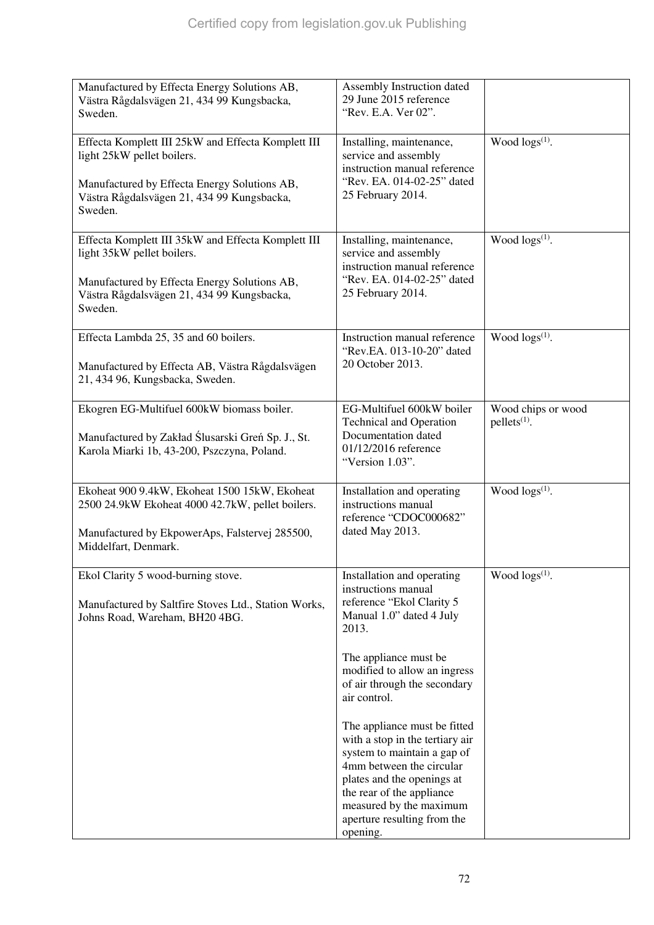| Manufactured by Effecta Energy Solutions AB,<br>Västra Rågdalsvägen 21, 434 99 Kungsbacka,<br>Sweden.                                                                                     | Assembly Instruction dated<br>29 June 2015 reference<br>"Rev. E.A. Ver 02".                                                                                                                                                                                                                                                                                                                                                                                                                 |                                      |
|-------------------------------------------------------------------------------------------------------------------------------------------------------------------------------------------|---------------------------------------------------------------------------------------------------------------------------------------------------------------------------------------------------------------------------------------------------------------------------------------------------------------------------------------------------------------------------------------------------------------------------------------------------------------------------------------------|--------------------------------------|
| Effecta Komplett III 25kW and Effecta Komplett III<br>light 25kW pellet boilers.<br>Manufactured by Effecta Energy Solutions AB,<br>Västra Rågdalsvägen 21, 434 99 Kungsbacka,<br>Sweden. | Installing, maintenance,<br>service and assembly<br>instruction manual reference<br>"Rev. EA. 014-02-25" dated<br>25 February 2014.                                                                                                                                                                                                                                                                                                                                                         | Wood logs <sup>(1)</sup> .           |
| Effecta Komplett III 35kW and Effecta Komplett III<br>light 35kW pellet boilers.<br>Manufactured by Effecta Energy Solutions AB,<br>Västra Rågdalsvägen 21, 434 99 Kungsbacka,<br>Sweden. | Installing, maintenance,<br>service and assembly<br>instruction manual reference<br>"Rev. EA. 014-02-25" dated<br>25 February 2014.                                                                                                                                                                                                                                                                                                                                                         | Wood $\log(s^{(1)})$ .               |
| Effecta Lambda 25, 35 and 60 boilers.<br>Manufactured by Effecta AB, Västra Rågdalsvägen<br>21, 434 96, Kungsbacka, Sweden.                                                               | Instruction manual reference<br>"Rev.EA. 013-10-20" dated<br>20 October 2013.                                                                                                                                                                                                                                                                                                                                                                                                               | Wood $\log(s^{(1)})$ .               |
| Ekogren EG-Multifuel 600kW biomass boiler.<br>Manufactured by Zakład Ślusarski Greń Sp. J., St.<br>Karola Miarki 1b, 43-200, Pszczyna, Poland.                                            | EG-Multifuel 600kW boiler<br><b>Technical and Operation</b><br>Documentation dated<br>01/12/2016 reference<br>"Version 1.03".                                                                                                                                                                                                                                                                                                                                                               | Wood chips or wood<br>$pellets(1)$ . |
| Ekoheat 900 9.4kW, Ekoheat 1500 15kW, Ekoheat<br>2500 24.9kW Ekoheat 4000 42.7kW, pellet boilers.<br>Manufactured by EkpowerAps, Falstervej 285500,<br>Middelfart, Denmark.               | Installation and operating<br>instructions manual<br>reference "CDOC000682"<br>dated May 2013.                                                                                                                                                                                                                                                                                                                                                                                              | Wood $\log(s^{(1)})$ .               |
| Ekol Clarity 5 wood-burning stove.<br>Manufactured by Saltfire Stoves Ltd., Station Works,<br>Johns Road, Wareham, BH20 4BG.                                                              | Installation and operating<br>instructions manual<br>reference "Ekol Clarity 5<br>Manual 1.0" dated 4 July<br>2013.<br>The appliance must be<br>modified to allow an ingress<br>of air through the secondary<br>air control.<br>The appliance must be fitted<br>with a stop in the tertiary air<br>system to maintain a gap of<br>4mm between the circular<br>plates and the openings at<br>the rear of the appliance<br>measured by the maximum<br>aperture resulting from the<br>opening. | Wood $\log(s^{(1)})$ .               |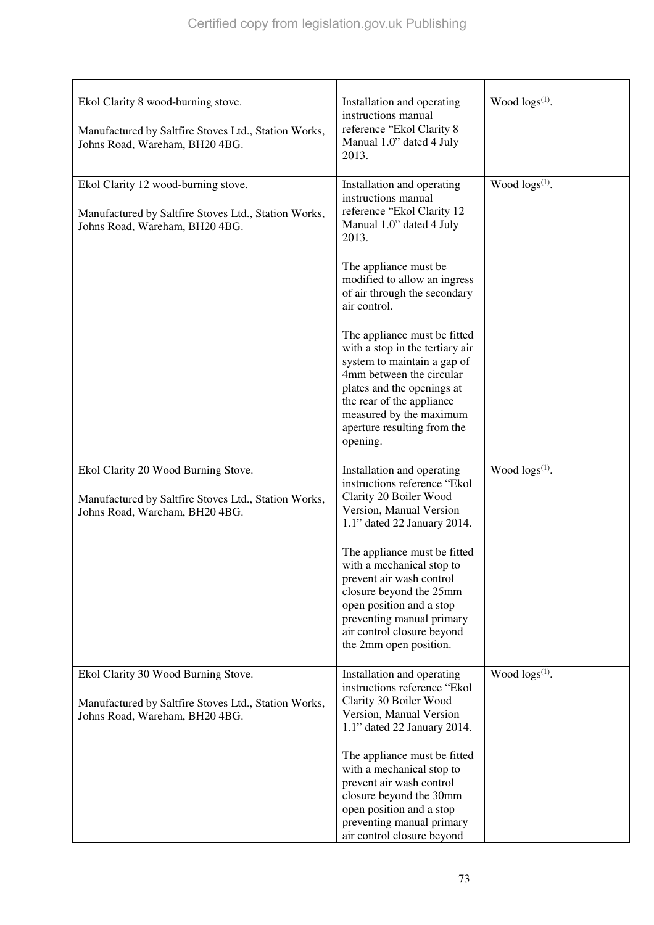| Ekol Clarity 8 wood-burning stove.<br>Manufactured by Saltfire Stoves Ltd., Station Works,<br>Johns Road, Wareham, BH20 4BG.  | Installation and operating<br>instructions manual<br>reference "Ekol Clarity 8<br>Manual 1.0" dated 4 July<br>2013.                                                                                                                                                                                                                                                                                                                                                                          | Wood $\log s^{(1)}$ .      |
|-------------------------------------------------------------------------------------------------------------------------------|----------------------------------------------------------------------------------------------------------------------------------------------------------------------------------------------------------------------------------------------------------------------------------------------------------------------------------------------------------------------------------------------------------------------------------------------------------------------------------------------|----------------------------|
| Ekol Clarity 12 wood-burning stove.<br>Manufactured by Saltfire Stoves Ltd., Station Works,<br>Johns Road, Wareham, BH20 4BG. | Installation and operating<br>instructions manual<br>reference "Ekol Clarity 12<br>Manual 1.0" dated 4 July<br>2013.<br>The appliance must be<br>modified to allow an ingress<br>of air through the secondary<br>air control.<br>The appliance must be fitted<br>with a stop in the tertiary air<br>system to maintain a gap of<br>4mm between the circular<br>plates and the openings at<br>the rear of the appliance<br>measured by the maximum<br>aperture resulting from the<br>opening. | Wood logs <sup>(1)</sup> . |
| Ekol Clarity 20 Wood Burning Stove.<br>Manufactured by Saltfire Stoves Ltd., Station Works,<br>Johns Road, Wareham, BH20 4BG. | Installation and operating<br>instructions reference "Ekol<br>Clarity 20 Boiler Wood<br>Version, Manual Version<br>1.1" dated 22 January 2014.<br>The appliance must be fitted<br>with a mechanical stop to<br>prevent air wash control<br>closure beyond the 25mm<br>open position and a stop<br>preventing manual primary<br>air control closure beyond<br>the 2mm open position.                                                                                                          | Wood $\log s^{(1)}$ .      |
| Ekol Clarity 30 Wood Burning Stove.<br>Manufactured by Saltfire Stoves Ltd., Station Works,<br>Johns Road, Wareham, BH20 4BG. | Installation and operating<br>instructions reference "Ekol<br>Clarity 30 Boiler Wood<br>Version, Manual Version<br>1.1" dated 22 January 2014.<br>The appliance must be fitted<br>with a mechanical stop to<br>prevent air wash control<br>closure beyond the 30mm<br>open position and a stop<br>preventing manual primary<br>air control closure beyond                                                                                                                                    | Wood $\log(s^{(1)})$ .     |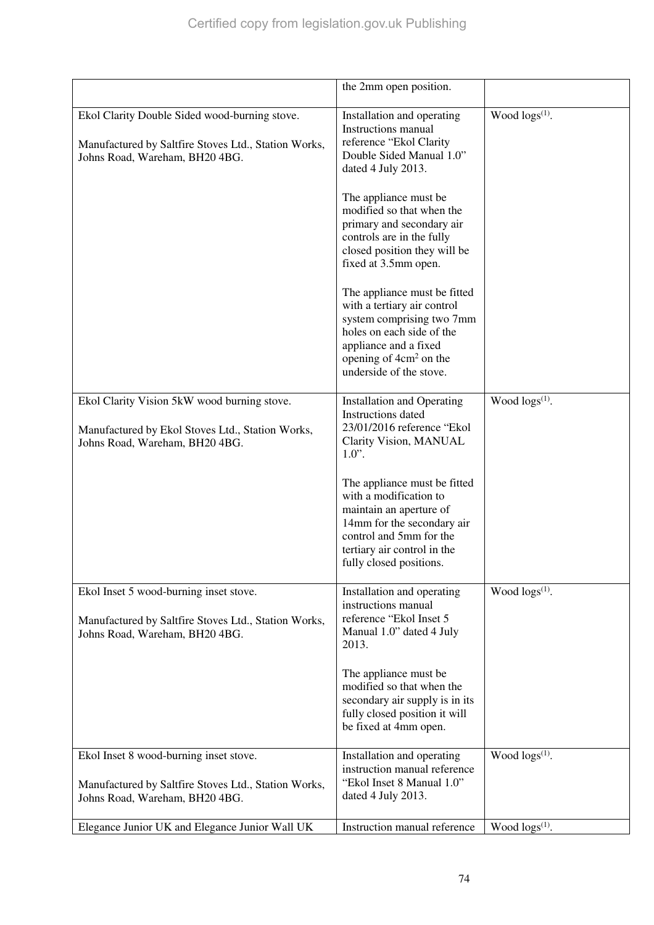|                                                                                                                                         | the 2mm open position.                                                                                                                                                                                                                                                                                                                                                                                                                                                                                                    |                        |
|-----------------------------------------------------------------------------------------------------------------------------------------|---------------------------------------------------------------------------------------------------------------------------------------------------------------------------------------------------------------------------------------------------------------------------------------------------------------------------------------------------------------------------------------------------------------------------------------------------------------------------------------------------------------------------|------------------------|
| Ekol Clarity Double Sided wood-burning stove.<br>Manufactured by Saltfire Stoves Ltd., Station Works,<br>Johns Road, Wareham, BH20 4BG. | Installation and operating<br>Instructions manual<br>reference "Ekol Clarity<br>Double Sided Manual 1.0"<br>dated 4 July 2013.<br>The appliance must be<br>modified so that when the<br>primary and secondary air<br>controls are in the fully<br>closed position they will be<br>fixed at 3.5mm open.<br>The appliance must be fitted<br>with a tertiary air control<br>system comprising two 7mm<br>holes on each side of the<br>appliance and a fixed<br>opening of 4cm <sup>2</sup> on the<br>underside of the stove. | Wood $\log(s^{(1)})$ . |
|                                                                                                                                         |                                                                                                                                                                                                                                                                                                                                                                                                                                                                                                                           |                        |
| Ekol Clarity Vision 5kW wood burning stove.<br>Manufactured by Ekol Stoves Ltd., Station Works,<br>Johns Road, Wareham, BH20 4BG.       | <b>Installation and Operating</b><br>Instructions dated<br>23/01/2016 reference "Ekol<br>Clarity Vision, MANUAL<br>$1.0$ ".<br>The appliance must be fitted<br>with a modification to<br>maintain an aperture of<br>14mm for the secondary air<br>control and 5mm for the<br>tertiary air control in the                                                                                                                                                                                                                  | Wood $\log s^{(1)}$ .  |
|                                                                                                                                         | fully closed positions.                                                                                                                                                                                                                                                                                                                                                                                                                                                                                                   |                        |
| Ekol Inset 5 wood-burning inset stove.<br>Manufactured by Saltfire Stoves Ltd., Station Works,<br>Johns Road, Wareham, BH20 4BG.        | Installation and operating<br>instructions manual<br>reference "Ekol Inset 5<br>Manual 1.0" dated 4 July<br>2013.<br>The appliance must be<br>modified so that when the                                                                                                                                                                                                                                                                                                                                                   | Wood $\log(s^{(1)})$ . |
|                                                                                                                                         | secondary air supply is in its<br>fully closed position it will<br>be fixed at 4mm open.                                                                                                                                                                                                                                                                                                                                                                                                                                  |                        |
| Ekol Inset 8 wood-burning inset stove.<br>Manufactured by Saltfire Stoves Ltd., Station Works,                                          | Installation and operating<br>instruction manual reference<br>"Ekol Inset 8 Manual 1.0"                                                                                                                                                                                                                                                                                                                                                                                                                                   | Wood $\log s^{(1)}$ .  |
| Johns Road, Wareham, BH20 4BG.                                                                                                          | dated 4 July 2013.                                                                                                                                                                                                                                                                                                                                                                                                                                                                                                        |                        |
| Elegance Junior UK and Elegance Junior Wall UK                                                                                          | Instruction manual reference                                                                                                                                                                                                                                                                                                                                                                                                                                                                                              | Wood $\log(s^{(1)})$ . |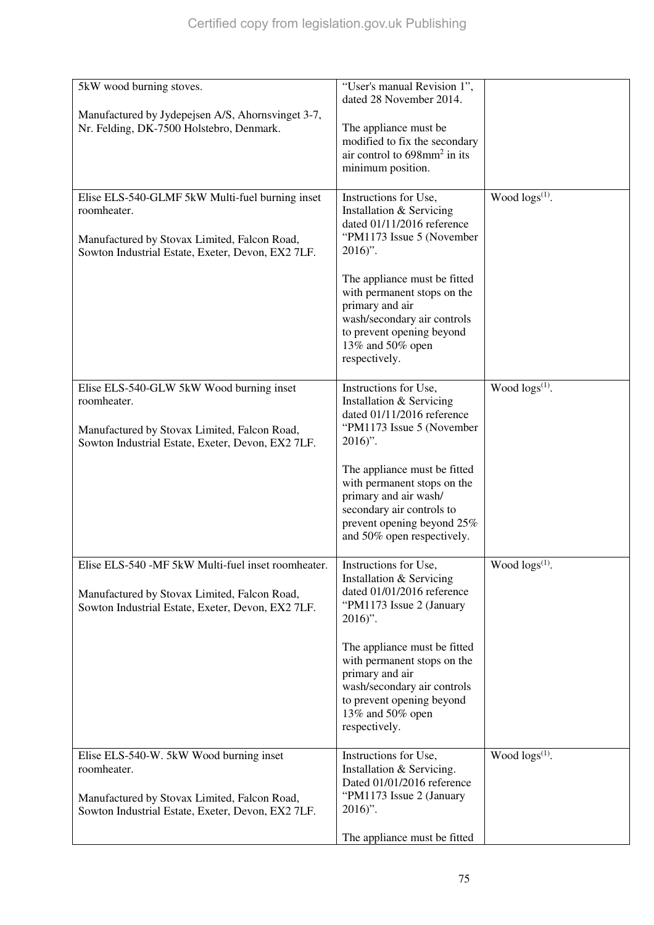| 5kW wood burning stoves.                                                                                                                                            | "User's manual Revision 1",<br>dated 28 November 2014.                                                                                                                                                                                                                                                      |                            |
|---------------------------------------------------------------------------------------------------------------------------------------------------------------------|-------------------------------------------------------------------------------------------------------------------------------------------------------------------------------------------------------------------------------------------------------------------------------------------------------------|----------------------------|
| Manufactured by Jydepejsen A/S, Ahornsvinget 3-7,<br>Nr. Felding, DK-7500 Holstebro, Denmark.                                                                       | The appliance must be<br>modified to fix the secondary<br>air control to $698$ mm <sup>2</sup> in its<br>minimum position.                                                                                                                                                                                  |                            |
| Elise ELS-540-GLMF 5kW Multi-fuel burning inset<br>roomheater.<br>Manufactured by Stovax Limited, Falcon Road,<br>Sowton Industrial Estate, Exeter, Devon, EX2 7LF. | Instructions for Use,<br>Installation & Servicing<br>dated 01/11/2016 reference<br>"PM1173 Issue 5 (November<br>$2016$ ".<br>The appliance must be fitted<br>with permanent stops on the<br>primary and air<br>wash/secondary air controls<br>to prevent opening beyond                                     | Wood $\log(s^{(1)})$ .     |
|                                                                                                                                                                     | 13% and 50% open<br>respectively.                                                                                                                                                                                                                                                                           |                            |
| Elise ELS-540-GLW 5kW Wood burning inset<br>roomheater.<br>Manufactured by Stovax Limited, Falcon Road,<br>Sowton Industrial Estate, Exeter, Devon, EX2 7LF.        | Instructions for Use,<br>Installation & Servicing<br>dated 01/11/2016 reference<br>"PM1173 Issue 5 (November<br>$2016$ ".<br>The appliance must be fitted<br>with permanent stops on the<br>primary and air wash/<br>secondary air controls to<br>prevent opening beyond 25%<br>and 50% open respectively.  | Wood logs <sup>(1)</sup> . |
| Elise ELS-540 -MF 5kW Multi-fuel inset roomheater.<br>Manufactured by Stovax Limited, Falcon Road,<br>Sowton Industrial Estate, Exeter, Devon, EX2 7LF.             | Instructions for Use,<br>Installation & Servicing<br>dated 01/01/2016 reference<br>"PM1173 Issue 2 (January<br>$2016$ ".<br>The appliance must be fitted<br>with permanent stops on the<br>primary and air<br>wash/secondary air controls<br>to prevent opening beyond<br>13% and 50% open<br>respectively. | Wood logs <sup>(1)</sup> . |
| Elise ELS-540-W. 5kW Wood burning inset<br>roomheater.<br>Manufactured by Stovax Limited, Falcon Road,<br>Sowton Industrial Estate, Exeter, Devon, EX2 7LF.         | Instructions for Use,<br>Installation & Servicing.<br>Dated 01/01/2016 reference<br>"PM1173 Issue 2 (January<br>$2016$ ".<br>The appliance must be fitted                                                                                                                                                   | Wood logs <sup>(1)</sup> . |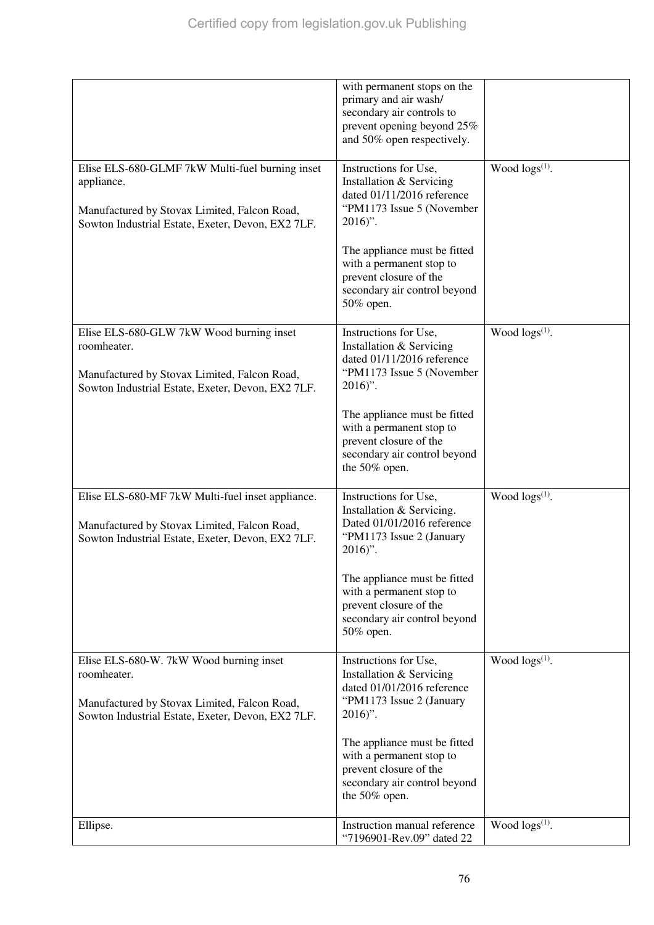|                                                                                                                                                                    | with permanent stops on the<br>primary and air wash/<br>secondary air controls to<br>prevent opening beyond 25%<br>and 50% open respectively. |                        |
|--------------------------------------------------------------------------------------------------------------------------------------------------------------------|-----------------------------------------------------------------------------------------------------------------------------------------------|------------------------|
| Elise ELS-680-GLMF 7kW Multi-fuel burning inset<br>appliance.<br>Manufactured by Stovax Limited, Falcon Road,<br>Sowton Industrial Estate, Exeter, Devon, EX2 7LF. | Instructions for Use,<br>Installation & Servicing<br>dated 01/11/2016 reference<br>"PM1173 Issue 5 (November<br>$2016$ ".                     | Wood $\log(s^{(1)})$ . |
|                                                                                                                                                                    | The appliance must be fitted<br>with a permanent stop to<br>prevent closure of the<br>secondary air control beyond<br>50% open.               |                        |
| Elise ELS-680-GLW 7kW Wood burning inset<br>roomheater.<br>Manufactured by Stovax Limited, Falcon Road,<br>Sowton Industrial Estate, Exeter, Devon, EX2 7LF.       | Instructions for Use,<br>Installation & Servicing<br>dated 01/11/2016 reference<br>"PM1173 Issue 5 (November<br>$2016$ ".                     | Wood $\log(s^{(1)})$ . |
|                                                                                                                                                                    | The appliance must be fitted<br>with a permanent stop to<br>prevent closure of the<br>secondary air control beyond<br>the 50% open.           |                        |
| Elise ELS-680-MF 7kW Multi-fuel inset appliance.<br>Manufactured by Stovax Limited, Falcon Road,<br>Sowton Industrial Estate, Exeter, Devon, EX2 7LF.              | Instructions for Use,<br>Installation & Servicing.<br>Dated 01/01/2016 reference<br>"PM1173 Issue 2 (January<br>$2016$ ".                     | Wood $\log(s^{(1)})$ . |
|                                                                                                                                                                    | The appliance must be fitted<br>with a permanent stop to<br>prevent closure of the<br>secondary air control beyond<br>50% open.               |                        |
| Elise ELS-680-W. 7kW Wood burning inset<br>roomheater.<br>Manufactured by Stovax Limited, Falcon Road,<br>Sowton Industrial Estate, Exeter, Devon, EX2 7LF.        | Instructions for Use,<br>Installation & Servicing<br>dated 01/01/2016 reference<br>"PM1173 Issue 2 (January<br>$2016$ ".                      | Wood $\log s^{(1)}$ .  |
|                                                                                                                                                                    | The appliance must be fitted<br>with a permanent stop to<br>prevent closure of the<br>secondary air control beyond<br>the 50% open.           |                        |
| Ellipse.                                                                                                                                                           | Instruction manual reference<br>"7196901-Rev.09" dated 22                                                                                     | Wood $\log s^{(1)}$ .  |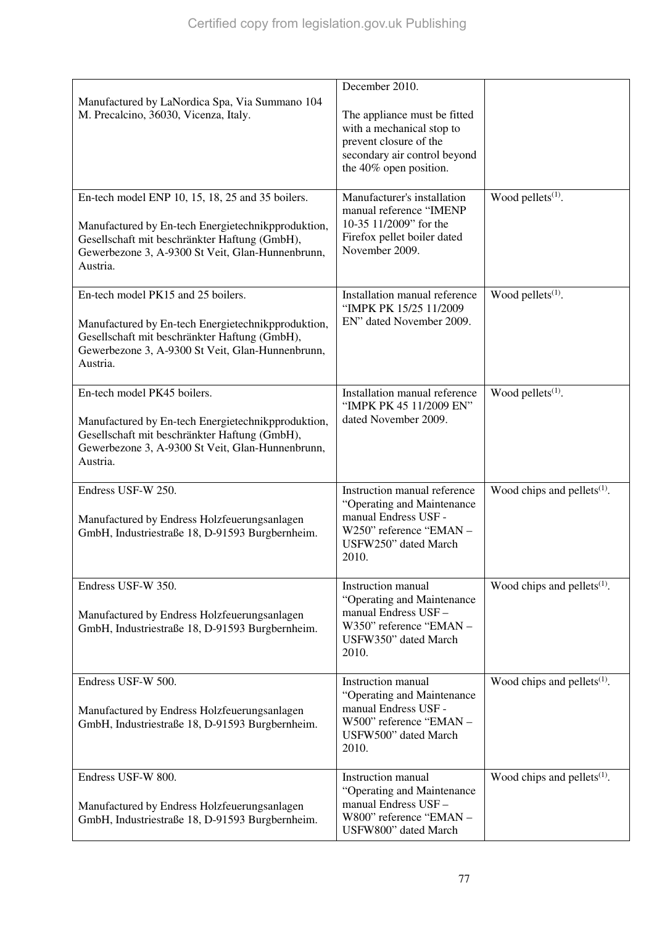| Manufactured by LaNordica Spa, Via Summano 104<br>M. Precalcino, 36030, Vicenza, Italy.                                                                                                                                 | December 2010.<br>The appliance must be fitted<br>with a mechanical stop to<br>prevent closure of the<br>secondary air control beyond<br>the 40% open position. |                                |
|-------------------------------------------------------------------------------------------------------------------------------------------------------------------------------------------------------------------------|-----------------------------------------------------------------------------------------------------------------------------------------------------------------|--------------------------------|
| En-tech model ENP 10, 15, 18, 25 and 35 boilers.<br>Manufactured by En-tech Energietechnikpproduktion,<br>Gesellschaft mit beschränkter Haftung (GmbH),<br>Gewerbezone 3, A-9300 St Veit, Glan-Hunnenbrunn,<br>Austria. | Manufacturer's installation<br>manual reference "IMENP<br>10-35 11/2009" for the<br>Firefox pellet boiler dated<br>November 2009.                               | Wood pellets <sup>(1)</sup> .  |
| En-tech model PK15 and 25 boilers.<br>Manufactured by En-tech Energietechnikpproduktion,<br>Gesellschaft mit beschränkter Haftung (GmbH),<br>Gewerbezone 3, A-9300 St Veit, Glan-Hunnenbrunn,<br>Austria.               | Installation manual reference<br>"IMPK PK 15/25 11/2009<br>EN" dated November 2009.                                                                             | Wood pellets <sup>(1)</sup> .  |
| En-tech model PK45 boilers.<br>Manufactured by En-tech Energietechnikpproduktion,<br>Gesellschaft mit beschränkter Haftung (GmbH),<br>Gewerbezone 3, A-9300 St Veit, Glan-Hunnenbrunn,<br>Austria.                      | Installation manual reference<br>"IMPK PK 45 11/2009 EN"<br>dated November 2009.                                                                                | Wood pellets <sup>(1)</sup> .  |
| Endress USF-W 250.<br>Manufactured by Endress Holzfeuerungsanlagen<br>GmbH, Industriestraße 18, D-91593 Burgbernheim.                                                                                                   | Instruction manual reference<br>"Operating and Maintenance<br>manual Endress USF -<br>W250" reference "EMAN -<br>USFW250" dated March<br>2010.                  | Wood chips and pellets $(1)$ . |
| Endress USF-W 350.<br>Manufactured by Endress Holzfeuerungsanlagen<br>GmbH, Industriestraße 18, D-91593 Burgbernheim.                                                                                                   | <b>Instruction</b> manual<br>"Operating and Maintenance"<br>manual Endress USF-<br>W350" reference "EMAN -<br>USFW350" dated March<br>2010.                     | Wood chips and pellets $(1)$ . |
| Endress USF-W 500.<br>Manufactured by Endress Holzfeuerungsanlagen<br>GmbH, Industriestraße 18, D-91593 Burgbernheim.                                                                                                   | Instruction manual<br>"Operating and Maintenance<br>manual Endress USF -<br>W500" reference "EMAN -<br>USFW500" dated March<br>2010.                            | Wood chips and pellets $(1)$ . |
| Endress USF-W 800.<br>Manufactured by Endress Holzfeuerungsanlagen<br>GmbH, Industriestraße 18, D-91593 Burgbernheim.                                                                                                   | <b>Instruction</b> manual<br>"Operating and Maintenance<br>manual Endress USF-<br>W800" reference "EMAN -<br>USFW800" dated March                               | Wood chips and pellets $(1)$ . |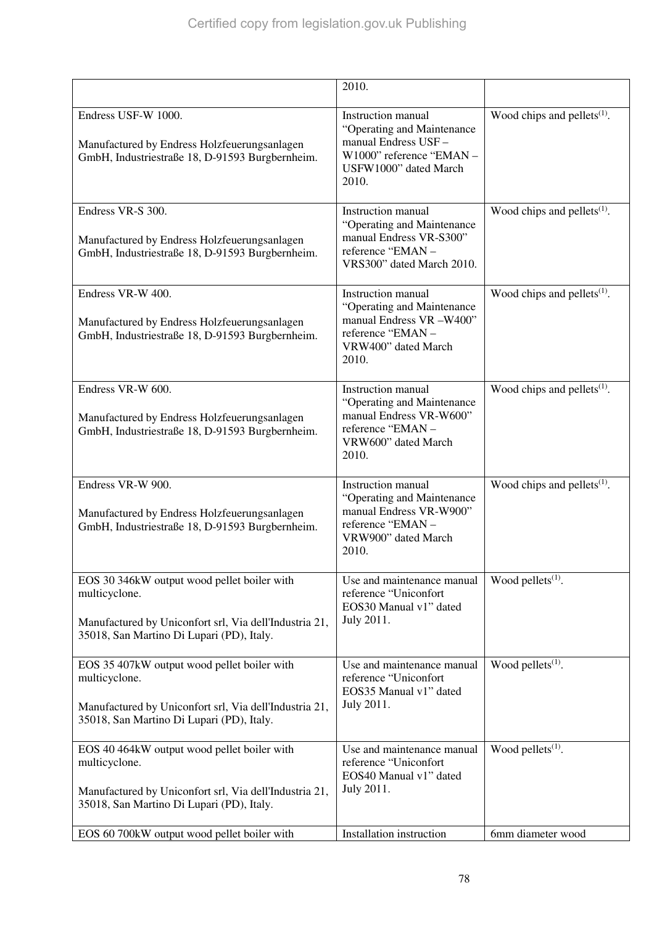|                                                                                                                                                                     | 2010.                                                                                                                                       |                                |
|---------------------------------------------------------------------------------------------------------------------------------------------------------------------|---------------------------------------------------------------------------------------------------------------------------------------------|--------------------------------|
| Endress USF-W 1000.<br>Manufactured by Endress Holzfeuerungsanlagen<br>GmbH, Industriestraße 18, D-91593 Burgbernheim.                                              | <b>Instruction manual</b><br>"Operating and Maintenance<br>manual Endress USF-<br>W1000" reference "EMAN-<br>USFW1000" dated March<br>2010. | Wood chips and pellets $(1)$ . |
| Endress VR-S 300.<br>Manufactured by Endress Holzfeuerungsanlagen<br>GmbH, Industriestraße 18, D-91593 Burgbernheim.                                                | Instruction manual<br>"Operating and Maintenance"<br>manual Endress VR-S300"<br>reference "EMAN -<br>VRS300" dated March 2010.              | Wood chips and pellets $(1)$ . |
| Endress VR-W 400.<br>Manufactured by Endress Holzfeuerungsanlagen<br>GmbH, Industriestraße 18, D-91593 Burgbernheim.                                                | <b>Instruction</b> manual<br>"Operating and Maintenance<br>manual Endress VR -W400"<br>reference "EMAN-<br>VRW400" dated March<br>2010.     | Wood chips and pellets $(1)$ . |
| Endress VR-W 600.<br>Manufactured by Endress Holzfeuerungsanlagen<br>GmbH, Industriestraße 18, D-91593 Burgbernheim.                                                | <b>Instruction</b> manual<br>"Operating and Maintenance<br>manual Endress VR-W600"<br>reference "EMAN-<br>VRW600" dated March<br>2010.      | Wood chips and pellets $(1)$ . |
| Endress VR-W 900.<br>Manufactured by Endress Holzfeuerungsanlagen<br>GmbH, Industriestraße 18, D-91593 Burgbernheim.                                                | <b>Instruction</b> manual<br>"Operating and Maintenance<br>manual Endress VR-W900"<br>reference "EMAN-<br>VRW900" dated March<br>2010.      | Wood chips and pellets $(1)$ . |
| EOS 30 346kW output wood pellet boiler with<br>multicyclone.<br>Manufactured by Uniconfort srl, Via dell'Industria 21,<br>35018, San Martino Di Lupari (PD), Italy. | Use and maintenance manual<br>reference "Uniconfort<br>EOS30 Manual v1" dated<br>July 2011.                                                 | Wood pellets <sup>(1)</sup> .  |
| EOS 35 407kW output wood pellet boiler with<br>multicyclone.<br>Manufactured by Uniconfort srl, Via dell'Industria 21,<br>35018, San Martino Di Lupari (PD), Italy. | Use and maintenance manual<br>reference "Uniconfort<br>EOS35 Manual v1" dated<br>July 2011.                                                 | Wood pellets <sup>(1)</sup> .  |
| EOS 40 464kW output wood pellet boiler with<br>multicyclone.<br>Manufactured by Uniconfort srl, Via dell'Industria 21,<br>35018, San Martino Di Lupari (PD), Italy. | Use and maintenance manual<br>reference "Uniconfort<br>EOS40 Manual v1" dated<br>July 2011.                                                 | Wood pellets <sup>(1)</sup> .  |
| EOS 60 700kW output wood pellet boiler with                                                                                                                         | Installation instruction                                                                                                                    | 6mm diameter wood              |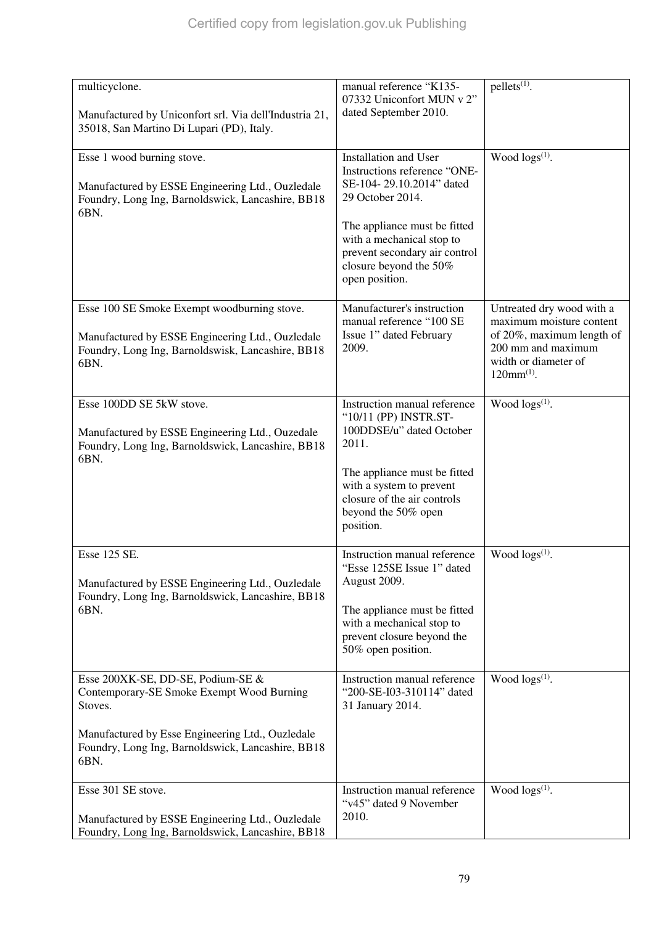| multicyclone.<br>Manufactured by Uniconfort srl. Via dell'Industria 21,<br>35018, San Martino Di Lupari (PD), Italy.                                                                                       | manual reference "K135-<br>07332 Uniconfort MUN v 2"<br>dated September 2010.                                                                                                                                                                   | $pellets^{(1)}$ .                                                                                                                                   |
|------------------------------------------------------------------------------------------------------------------------------------------------------------------------------------------------------------|-------------------------------------------------------------------------------------------------------------------------------------------------------------------------------------------------------------------------------------------------|-----------------------------------------------------------------------------------------------------------------------------------------------------|
| Esse 1 wood burning stove.<br>Manufactured by ESSE Engineering Ltd., Ouzledale<br>Foundry, Long Ing, Barnoldswick, Lancashire, BB18<br>6BN.                                                                | Installation and User<br>Instructions reference "ONE-<br>SE-104-29.10.2014" dated<br>29 October 2014.<br>The appliance must be fitted<br>with a mechanical stop to<br>prevent secondary air control<br>closure beyond the 50%<br>open position. | Wood logs <sup>(1)</sup> .                                                                                                                          |
| Esse 100 SE Smoke Exempt woodburning stove.<br>Manufactured by ESSE Engineering Ltd., Ouzledale<br>Foundry, Long Ing, Barnoldswisk, Lancashire, BB18<br>6BN.                                               | Manufacturer's instruction<br>manual reference "100 SE<br>Issue 1" dated February<br>2009.                                                                                                                                                      | Untreated dry wood with a<br>maximum moisture content<br>of 20%, maximum length of<br>200 mm and maximum<br>width or diameter of<br>$120mm^{(1)}$ . |
| Esse 100DD SE 5kW stove.<br>Manufactured by ESSE Engineering Ltd., Ouzedale<br>Foundry, Long Ing, Barnoldswick, Lancashire, BB18<br>6BN.                                                                   | Instruction manual reference<br>"10/11 (PP) INSTR.ST-<br>100DDSE/u" dated October<br>2011.<br>The appliance must be fitted<br>with a system to prevent<br>closure of the air controls<br>beyond the 50% open<br>position.                       | Wood $\log s^{(1)}$ .                                                                                                                               |
| Esse 125 SE.<br>Manufactured by ESSE Engineering Ltd., Ouzledale<br>Foundry, Long Ing, Barnoldswick, Lancashire, BB18<br>6BN.                                                                              | Instruction manual reference<br>"Esse 125SE Issue 1" dated<br>August 2009.<br>The appliance must be fitted<br>with a mechanical stop to<br>prevent closure beyond the<br>50% open position.                                                     | Wood $\log s^{(1)}$ .                                                                                                                               |
| Esse 200XK-SE, DD-SE, Podium-SE &<br>Contemporary-SE Smoke Exempt Wood Burning<br>Stoves.<br>Manufactured by Esse Engineering Ltd., Ouzledale<br>Foundry, Long Ing, Barnoldswick, Lancashire, BB18<br>6BN. | Instruction manual reference<br>"200-SE-I03-310114" dated<br>31 January 2014.                                                                                                                                                                   | Wood logs <sup>(1)</sup> .                                                                                                                          |
| Esse 301 SE stove.<br>Manufactured by ESSE Engineering Ltd., Ouzledale<br>Foundry, Long Ing, Barnoldswick, Lancashire, BB18                                                                                | Instruction manual reference<br>"v45" dated 9 November<br>2010.                                                                                                                                                                                 | Wood $\log(s^{(1)})$ .                                                                                                                              |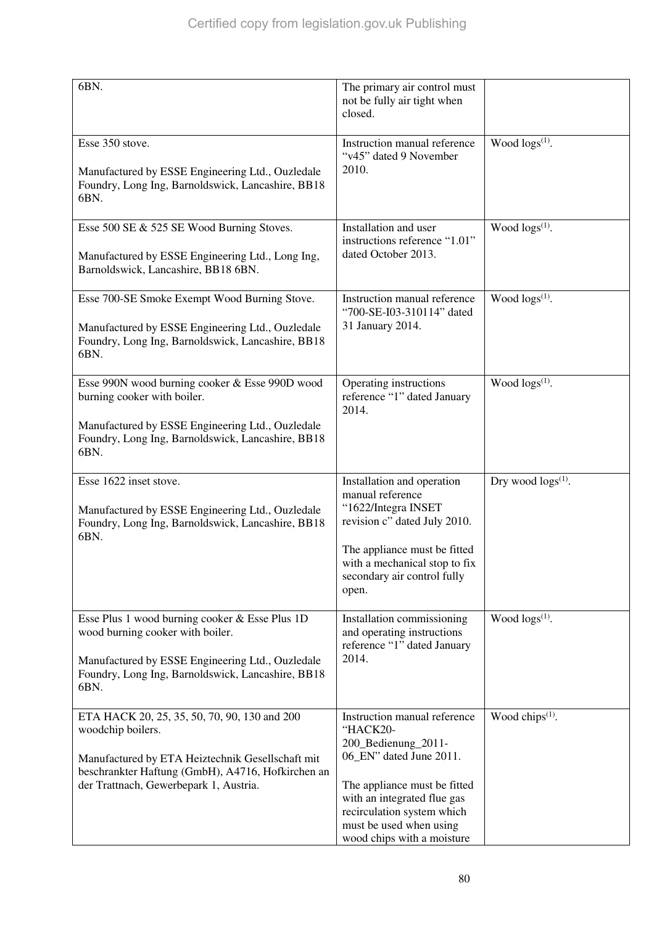| 6BN.                                                                                                                                                                                                                 | The primary air control must<br>not be fully air tight when<br>closed.                                                                                                                                                                           |                             |
|----------------------------------------------------------------------------------------------------------------------------------------------------------------------------------------------------------------------|--------------------------------------------------------------------------------------------------------------------------------------------------------------------------------------------------------------------------------------------------|-----------------------------|
| Esse 350 stove.<br>Manufactured by ESSE Engineering Ltd., Ouzledale<br>Foundry, Long Ing, Barnoldswick, Lancashire, BB18<br>6BN.                                                                                     | Instruction manual reference<br>"v45" dated 9 November<br>2010.                                                                                                                                                                                  | Wood $\log s^{(1)}$ .       |
| Esse 500 SE & 525 SE Wood Burning Stoves.<br>Manufactured by ESSE Engineering Ltd., Long Ing,<br>Barnoldswick, Lancashire, BB18 6BN.                                                                                 | Installation and user<br>instructions reference "1.01"<br>dated October 2013.                                                                                                                                                                    | Wood $\log(s^{(1)})$ .      |
| Esse 700-SE Smoke Exempt Wood Burning Stove.<br>Manufactured by ESSE Engineering Ltd., Ouzledale<br>Foundry, Long Ing, Barnoldswick, Lancashire, BB18<br>6BN.                                                        | Instruction manual reference<br>"700-SE-I03-310114" dated<br>31 January 2014.                                                                                                                                                                    | Wood $\log s^{(1)}$ .       |
| Esse 990N wood burning cooker & Esse 990D wood<br>burning cooker with boiler.<br>Manufactured by ESSE Engineering Ltd., Ouzledale<br>Foundry, Long Ing, Barnoldswick, Lancashire, BB18<br>6BN.                       | Operating instructions<br>reference "1" dated January<br>2014.                                                                                                                                                                                   | Wood $\log s^{(1)}$ .       |
| Esse 1622 inset stove.<br>Manufactured by ESSE Engineering Ltd., Ouzledale<br>Foundry, Long Ing, Barnoldswick, Lancashire, BB18<br>6BN.                                                                              | Installation and operation<br>manual reference<br>"1622/Integra INSET<br>revision c" dated July 2010.<br>The appliance must be fitted<br>with a mechanical stop to fix<br>secondary air control fully<br>open.                                   | Dry wood $\log s^{(1)}$ .   |
| Esse Plus 1 wood burning cooker & Esse Plus 1D<br>wood burning cooker with boiler.<br>Manufactured by ESSE Engineering Ltd., Ouzledale<br>Foundry, Long Ing, Barnoldswick, Lancashire, BB18<br>6BN.                  | Installation commissioning<br>and operating instructions<br>reference "1" dated January<br>2014.                                                                                                                                                 | Wood $\log s^{(1)}$ .       |
| ETA HACK 20, 25, 35, 50, 70, 90, 130 and 200<br>woodchip boilers.<br>Manufactured by ETA Heiztechnik Gesellschaft mit<br>beschrankter Haftung (GmbH), A4716, Hofkirchen an<br>der Trattnach, Gewerbepark 1, Austria. | Instruction manual reference<br>"HACK20-<br>200_Bedienung_2011-<br>06_EN" dated June 2011.<br>The appliance must be fitted<br>with an integrated flue gas<br>recirculation system which<br>must be used when using<br>wood chips with a moisture | Wood chips <sup>(1)</sup> . |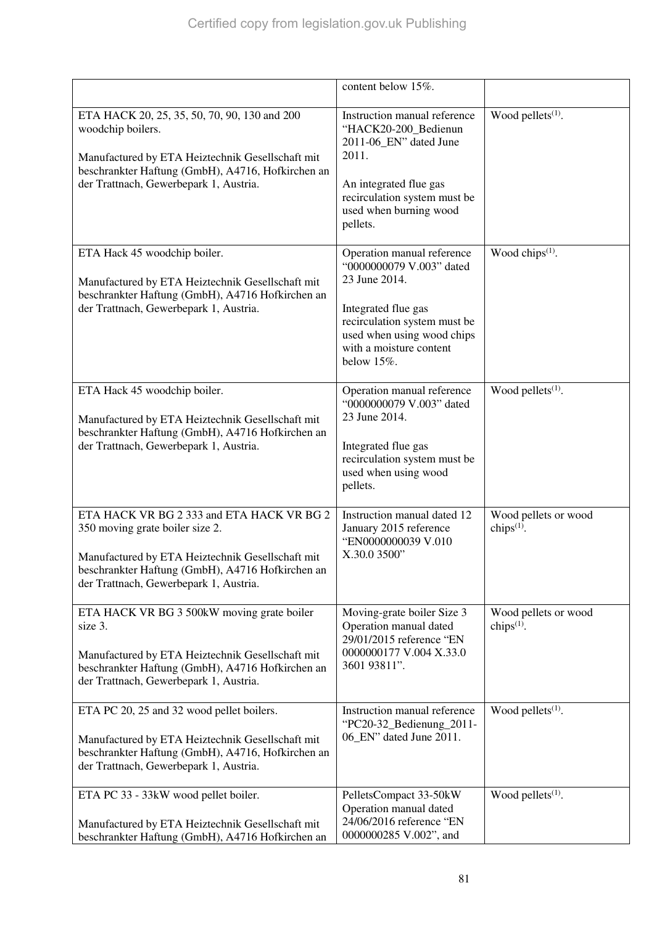|                                                                                                                                                                                                                                | content below $15\%$ .                                                                                                                                                                                |                                       |
|--------------------------------------------------------------------------------------------------------------------------------------------------------------------------------------------------------------------------------|-------------------------------------------------------------------------------------------------------------------------------------------------------------------------------------------------------|---------------------------------------|
| ETA HACK 20, 25, 35, 50, 70, 90, 130 and 200<br>woodchip boilers.<br>Manufactured by ETA Heiztechnik Gesellschaft mit<br>beschrankter Haftung (GmbH), A4716, Hofkirchen an<br>der Trattnach, Gewerbepark 1, Austria.           | Instruction manual reference<br>"HACK20-200_Bedienun<br>2011-06 EN" dated June<br>2011.<br>An integrated flue gas<br>recirculation system must be<br>used when burning wood<br>pellets.               | Wood pellets $(1)$ .                  |
| ETA Hack 45 woodchip boiler.<br>Manufactured by ETA Heiztechnik Gesellschaft mit<br>beschrankter Haftung (GmbH), A4716 Hofkirchen an<br>der Trattnach, Gewerbepark 1, Austria.                                                 | Operation manual reference<br>"0000000079 V.003" dated<br>23 June 2014.<br>Integrated flue gas<br>recirculation system must be<br>used when using wood chips<br>with a moisture content<br>below 15%. | Wood chips <sup>(1)</sup> .           |
| ETA Hack 45 woodchip boiler.<br>Manufactured by ETA Heiztechnik Gesellschaft mit<br>beschrankter Haftung (GmbH), A4716 Hofkirchen an<br>der Trattnach, Gewerbepark 1, Austria.                                                 | Operation manual reference<br>"0000000079 V.003" dated<br>23 June 2014.<br>Integrated flue gas<br>recirculation system must be<br>used when using wood<br>pellets.                                    | Wood pellets $(1)$ .                  |
| ETA HACK VR BG 2 333 and ETA HACK VR BG 2<br>350 moving grate boiler size 2.<br>Manufactured by ETA Heiztechnik Gesellschaft mit<br>beschrankter Haftung (GmbH), A4716 Hofkirchen an<br>der Trattnach, Gewerbepark 1, Austria. | Instruction manual dated 12<br>January 2015 reference<br>"EN0000000039 V.010<br>X.30.0 3500"                                                                                                          | Wood pellets or wood<br>chips $(1)$ . |
| ETA HACK VR BG 3 500kW moving grate boiler<br>size 3.<br>Manufactured by ETA Heiztechnik Gesellschaft mit<br>beschrankter Haftung (GmbH), A4716 Hofkirchen an<br>der Trattnach, Gewerbepark 1, Austria.                        | Moving-grate boiler Size 3<br>Operation manual dated<br>29/01/2015 reference "EN<br>0000000177 V.004 X.33.0<br>3601 93811".                                                                           | Wood pellets or wood<br>chips $(1)$ . |
| ETA PC 20, 25 and 32 wood pellet boilers.<br>Manufactured by ETA Heiztechnik Gesellschaft mit<br>beschrankter Haftung (GmbH), A4716, Hofkirchen an<br>der Trattnach, Gewerbepark 1, Austria.                                   | Instruction manual reference<br>"PC20-32_Bedienung_2011-<br>06_EN" dated June 2011.                                                                                                                   | Wood pellets <sup>(1)</sup> .         |
| ETA PC 33 - 33kW wood pellet boiler.<br>Manufactured by ETA Heiztechnik Gesellschaft mit<br>beschrankter Haftung (GmbH), A4716 Hofkirchen an                                                                                   | PelletsCompact 33-50kW<br>Operation manual dated<br>24/06/2016 reference "EN<br>0000000285 V.002", and                                                                                                | Wood pellets $(1)$ .                  |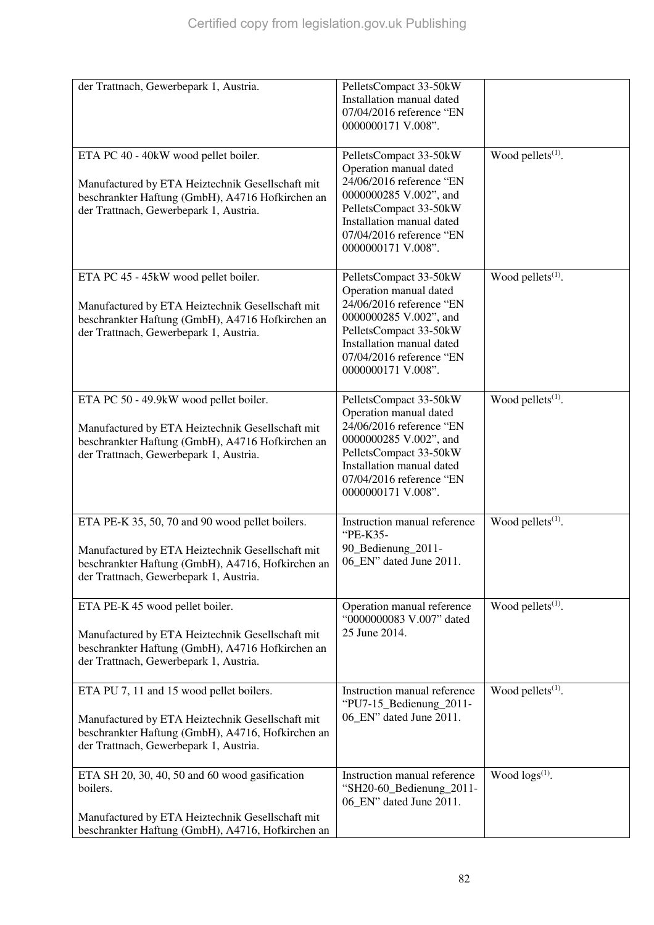| der Trattnach, Gewerbepark 1, Austria.                                                                                                                                                             | PelletsCompact 33-50kW<br>Installation manual dated<br>07/04/2016 reference "EN<br>0000000171 V.008".                                                                                                           |                               |
|----------------------------------------------------------------------------------------------------------------------------------------------------------------------------------------------------|-----------------------------------------------------------------------------------------------------------------------------------------------------------------------------------------------------------------|-------------------------------|
|                                                                                                                                                                                                    |                                                                                                                                                                                                                 |                               |
| ETA PC 40 - 40kW wood pellet boiler.<br>Manufactured by ETA Heiztechnik Gesellschaft mit<br>beschrankter Haftung (GmbH), A4716 Hofkirchen an<br>der Trattnach, Gewerbepark 1, Austria.             | PelletsCompact 33-50kW<br>Operation manual dated<br>24/06/2016 reference "EN<br>0000000285 V.002", and<br>PelletsCompact 33-50kW<br>Installation manual dated<br>07/04/2016 reference "EN<br>0000000171 V.008". | Wood pellets <sup>(1)</sup> . |
| ETA PC 45 - 45kW wood pellet boiler.<br>Manufactured by ETA Heiztechnik Gesellschaft mit<br>beschrankter Haftung (GmbH), A4716 Hofkirchen an<br>der Trattnach, Gewerbepark 1, Austria.             | PelletsCompact 33-50kW<br>Operation manual dated<br>24/06/2016 reference "EN<br>0000000285 V.002", and<br>PelletsCompact 33-50kW<br>Installation manual dated<br>07/04/2016 reference "EN<br>0000000171 V.008". | Wood pellets $(1)$ .          |
| ETA PC 50 - 49.9kW wood pellet boiler.<br>Manufactured by ETA Heiztechnik Gesellschaft mit<br>beschrankter Haftung (GmbH), A4716 Hofkirchen an<br>der Trattnach, Gewerbepark 1, Austria.           | PelletsCompact 33-50kW<br>Operation manual dated<br>24/06/2016 reference "EN<br>0000000285 V.002", and<br>PelletsCompact 33-50kW<br>Installation manual dated<br>07/04/2016 reference "EN<br>0000000171 V.008". | Wood pellets <sup>(1)</sup> . |
| ETA PE-K 35, 50, 70 and 90 wood pellet boilers.<br>Manufactured by ETA Heiztechnik Gesellschaft mit<br>beschrankter Haftung (GmbH), A4716, Hofkirchen an<br>der Trattnach, Gewerbepark 1, Austria. | Instruction manual reference<br>"PE-K35-<br>90_Bedienung_2011-<br>06 EN" dated June 2011.                                                                                                                       | Wood pellets <sup>(1)</sup> . |
| ETA PE-K 45 wood pellet boiler.<br>Manufactured by ETA Heiztechnik Gesellschaft mit<br>beschrankter Haftung (GmbH), A4716 Hofkirchen an<br>der Trattnach, Gewerbepark 1, Austria.                  | Operation manual reference<br>"0000000083 V.007" dated<br>25 June 2014.                                                                                                                                         | Wood pellets <sup>(1)</sup> . |
| ETA PU 7, 11 and 15 wood pellet boilers.<br>Manufactured by ETA Heiztechnik Gesellschaft mit<br>beschrankter Haftung (GmbH), A4716, Hofkirchen an<br>der Trattnach, Gewerbepark 1, Austria.        | Instruction manual reference<br>"PU7-15_Bedienung_2011-<br>06_EN" dated June 2011.                                                                                                                              | Wood pellets $(1)$ .          |
| ETA SH 20, 30, 40, 50 and 60 wood gasification<br>boilers.<br>Manufactured by ETA Heiztechnik Gesellschaft mit<br>beschrankter Haftung (GmbH), A4716, Hofkirchen an                                | Instruction manual reference<br>"SH20-60_Bedienung_2011-<br>06_EN" dated June 2011.                                                                                                                             | Wood $\log(s^{(1)})$ .        |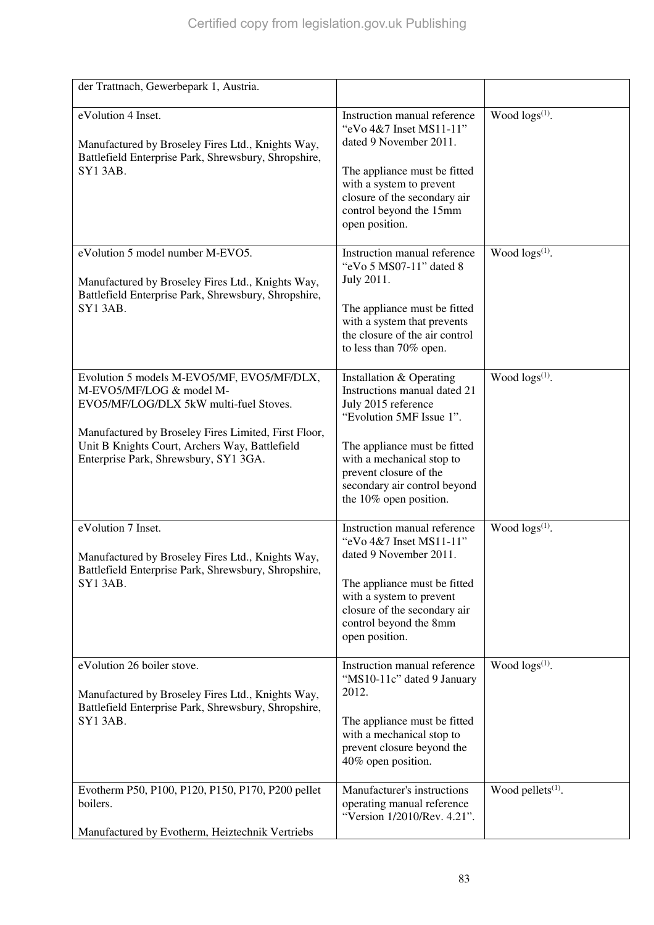| der Trattnach, Gewerbepark 1, Austria.                                                                                                                                                                                                                              |                                                                                                                                                                                                                                                              |                               |
|---------------------------------------------------------------------------------------------------------------------------------------------------------------------------------------------------------------------------------------------------------------------|--------------------------------------------------------------------------------------------------------------------------------------------------------------------------------------------------------------------------------------------------------------|-------------------------------|
| eVolution 4 Inset.<br>Manufactured by Broseley Fires Ltd., Knights Way,<br>Battlefield Enterprise Park, Shrewsbury, Shropshire,<br><b>SY13AB.</b>                                                                                                                   | Instruction manual reference<br>"eVo 4&7 Inset MS11-11"<br>dated 9 November 2011.<br>The appliance must be fitted<br>with a system to prevent<br>closure of the secondary air<br>control beyond the 15mm<br>open position.                                   | Wood logs <sup>(1)</sup> .    |
| eVolution 5 model number M-EVO5.<br>Manufactured by Broseley Fires Ltd., Knights Way,<br>Battlefield Enterprise Park, Shrewsbury, Shropshire,<br><b>SY13AB.</b>                                                                                                     | Instruction manual reference<br>"eVo 5 MS07-11" dated 8<br>July 2011.<br>The appliance must be fitted<br>with a system that prevents<br>the closure of the air control<br>to less than 70% open.                                                             | Wood $\log(s^{(1)})$ .        |
| Evolution 5 models M-EVO5/MF, EVO5/MF/DLX,<br>M-EVO5/MF/LOG & model M-<br>EVO5/MF/LOG/DLX 5kW multi-fuel Stoves.<br>Manufactured by Broseley Fires Limited, First Floor,<br>Unit B Knights Court, Archers Way, Battlefield<br>Enterprise Park, Shrewsbury, SY1 3GA. | Installation & Operating<br>Instructions manual dated 21<br>July 2015 reference<br>"Evolution 5MF Issue 1".<br>The appliance must be fitted<br>with a mechanical stop to<br>prevent closure of the<br>secondary air control beyond<br>the 10% open position. | Wood $\log s^{(1)}$ .         |
| eVolution 7 Inset.<br>Manufactured by Broseley Fires Ltd., Knights Way,<br>Battlefield Enterprise Park, Shrewsbury, Shropshire,<br>SY1 3AB.                                                                                                                         | Instruction manual reference<br>"eVo 4&7 Inset MS11-11"<br>dated 9 November 2011.<br>The appliance must be fitted<br>with a system to prevent<br>closure of the secondary air<br>control beyond the 8mm<br>open position.                                    | Wood $\log s^{(1)}$ .         |
| eVolution 26 boiler stove.<br>Manufactured by Broseley Fires Ltd., Knights Way,<br>Battlefield Enterprise Park, Shrewsbury, Shropshire,<br>SY1 3AB.                                                                                                                 | Instruction manual reference<br>"MS10-11c" dated 9 January<br>2012.<br>The appliance must be fitted<br>with a mechanical stop to<br>prevent closure beyond the<br>40% open position.                                                                         | Wood $\log(s^{(1)})$ .        |
| Evotherm P50, P100, P120, P150, P170, P200 pellet<br>boilers.<br>Manufactured by Evotherm, Heiztechnik Vertriebs                                                                                                                                                    | Manufacturer's instructions<br>operating manual reference<br>"Version 1/2010/Rev. 4.21".                                                                                                                                                                     | Wood pellets <sup>(1)</sup> . |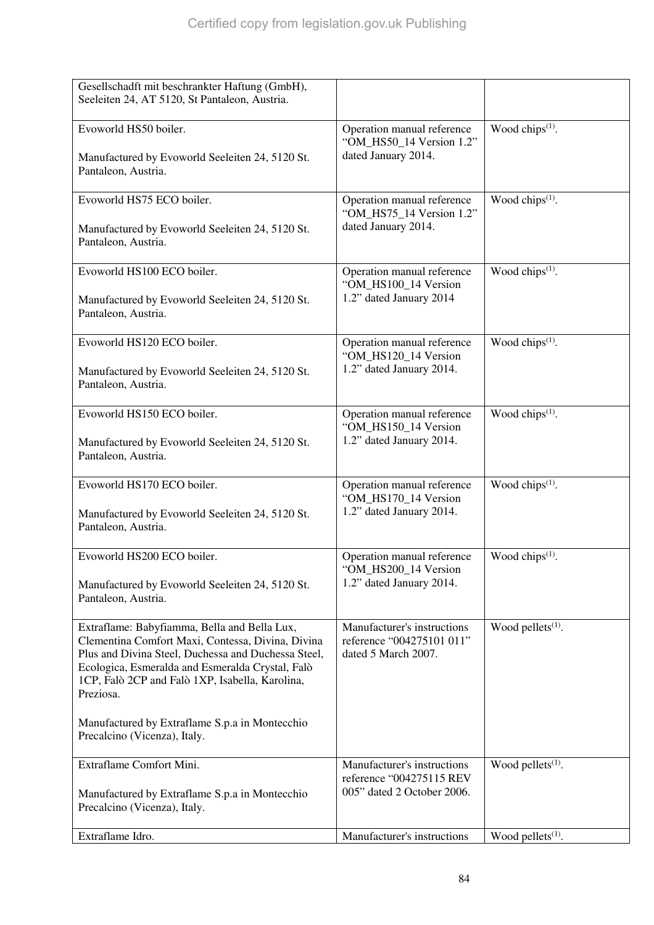| Gesellschadft mit beschrankter Haftung (GmbH),<br>Seeleiten 24, AT 5120, St Pantaleon, Austria.                                                                                                                                                                                                                                |                                                                                       |                               |
|--------------------------------------------------------------------------------------------------------------------------------------------------------------------------------------------------------------------------------------------------------------------------------------------------------------------------------|---------------------------------------------------------------------------------------|-------------------------------|
| Evoworld HS50 boiler.<br>Manufactured by Evoworld Seeleiten 24, 5120 St.<br>Pantaleon, Austria.                                                                                                                                                                                                                                | Operation manual reference<br>"OM HS50 14 Version 1.2"<br>dated January 2014.         | Wood chips <sup>(1)</sup> .   |
| Evoworld HS75 ECO boiler.<br>Manufactured by Evoworld Seeleiten 24, 5120 St.<br>Pantaleon, Austria.                                                                                                                                                                                                                            | Operation manual reference<br>"OM_HS75_14 Version 1.2"<br>dated January 2014.         | Wood chips $(1)$ .            |
| Evoworld HS100 ECO boiler.<br>Manufactured by Evoworld Seeleiten 24, 5120 St.<br>Pantaleon, Austria.                                                                                                                                                                                                                           | Operation manual reference<br>"OM_HS100_14 Version<br>1.2" dated January 2014         | Wood chips <sup>(1)</sup> .   |
| Evoworld HS120 ECO boiler.<br>Manufactured by Evoworld Seeleiten 24, 5120 St.<br>Pantaleon, Austria.                                                                                                                                                                                                                           | Operation manual reference<br>"OM_HS120_14 Version<br>1.2" dated January 2014.        | Wood chips <sup>(1)</sup> .   |
| Evoworld HS150 ECO boiler.<br>Manufactured by Evoworld Seeleiten 24, 5120 St.<br>Pantaleon, Austria.                                                                                                                                                                                                                           | Operation manual reference<br>"OM_HS150_14 Version<br>1.2" dated January 2014.        | Wood chips <sup>(1)</sup> .   |
| Evoworld HS170 ECO boiler.<br>Manufactured by Evoworld Seeleiten 24, 5120 St.<br>Pantaleon, Austria.                                                                                                                                                                                                                           | Operation manual reference<br>"OM_HS170_14 Version<br>1.2" dated January 2014.        | Wood chips <sup>(1)</sup> .   |
| Evoworld HS200 ECO boiler.<br>Manufactured by Evoworld Seeleiten 24, 5120 St.<br>Pantaleon, Austria.                                                                                                                                                                                                                           | Operation manual reference<br>"OM_HS200_14 Version<br>1.2" dated January 2014.        | Wood chips <sup>(1)</sup> .   |
| Extraflame: Babyfiamma, Bella and Bella Lux,<br>Clementina Comfort Maxi, Contessa, Divina, Divina<br>Plus and Divina Steel, Duchessa and Duchessa Steel,<br>Ecologica, Esmeralda and Esmeralda Crystal, Falò<br>1CP, Falò 2CP and Falò 1XP, Isabella, Karolina,<br>Preziosa.<br>Manufactured by Extraflame S.p.a in Montecchio | Manufacturer's instructions<br>reference "004275101 011"<br>dated 5 March 2007.       | Wood pellets <sup>(1)</sup> . |
| Precalcino (Vicenza), Italy.                                                                                                                                                                                                                                                                                                   |                                                                                       |                               |
| Extraflame Comfort Mini.<br>Manufactured by Extraflame S.p.a in Montecchio<br>Precalcino (Vicenza), Italy.                                                                                                                                                                                                                     | Manufacturer's instructions<br>reference "004275115 REV<br>005" dated 2 October 2006. | Wood pellets <sup>(1)</sup> . |
| Extraflame Idro.                                                                                                                                                                                                                                                                                                               | Manufacturer's instructions                                                           | Wood pellets $(1)$ .          |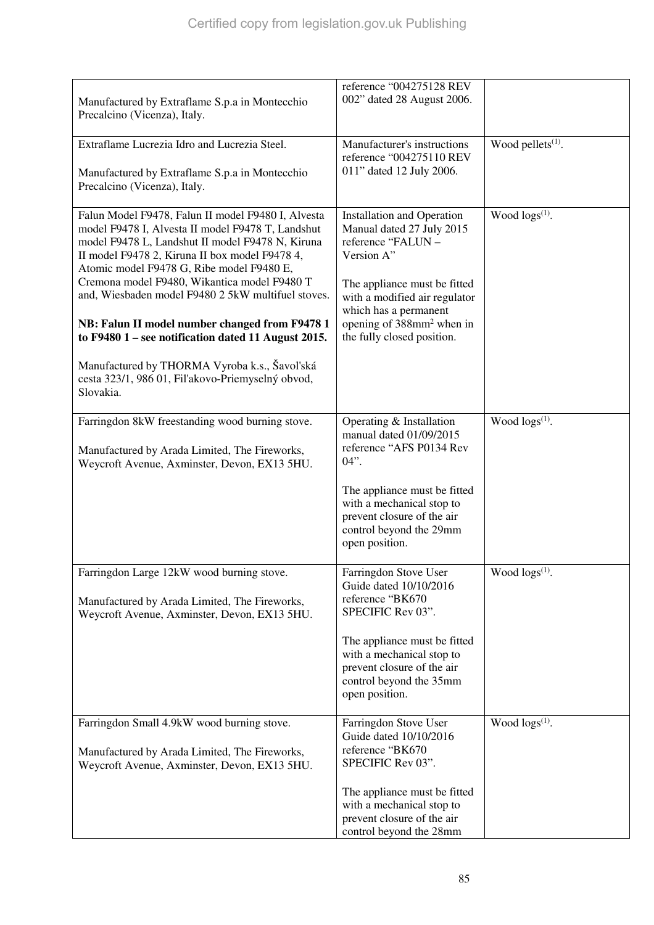| Manufactured by Extraflame S.p.a in Montecchio<br>Precalcino (Vicenza), Italy.                                                                                                                                                                                                                                                                                                                                                                                                                                                                                                               | reference "004275128 REV<br>002" dated 28 August 2006.                                                                                                                                                                                                              |                               |
|----------------------------------------------------------------------------------------------------------------------------------------------------------------------------------------------------------------------------------------------------------------------------------------------------------------------------------------------------------------------------------------------------------------------------------------------------------------------------------------------------------------------------------------------------------------------------------------------|---------------------------------------------------------------------------------------------------------------------------------------------------------------------------------------------------------------------------------------------------------------------|-------------------------------|
| Extraflame Lucrezia Idro and Lucrezia Steel.<br>Manufactured by Extraflame S.p.a in Montecchio<br>Precalcino (Vicenza), Italy.                                                                                                                                                                                                                                                                                                                                                                                                                                                               | Manufacturer's instructions<br>reference "004275110 REV<br>011" dated 12 July 2006.                                                                                                                                                                                 | Wood pellets <sup>(1)</sup> . |
| Falun Model F9478, Falun II model F9480 I, Alvesta<br>model F9478 I, Alvesta II model F9478 T, Landshut<br>model F9478 L, Landshut II model F9478 N, Kiruna<br>II model F9478 2, Kiruna II box model F9478 4,<br>Atomic model F9478 G, Ribe model F9480 E,<br>Cremona model F9480, Wikantica model F9480 T<br>and, Wiesbaden model F9480 2 5kW multifuel stoves.<br>NB: Falun II model number changed from F9478 1<br>to F9480 1 - see notification dated 11 August 2015.<br>Manufactured by THORMA Vyroba k.s., Šavol'ská<br>cesta 323/1, 986 01, Fil'akovo-Priemyselný obvod,<br>Slovakia. | <b>Installation and Operation</b><br>Manual dated 27 July 2015<br>reference "FALUN -<br>Version A"<br>The appliance must be fitted<br>with a modified air regulator<br>which has a permanent<br>opening of 388mm <sup>2</sup> when in<br>the fully closed position. | Wood $\log(s^{(1)})$ .        |
| Farringdon 8kW freestanding wood burning stove.<br>Manufactured by Arada Limited, The Fireworks,<br>Weycroft Avenue, Axminster, Devon, EX13 5HU.                                                                                                                                                                                                                                                                                                                                                                                                                                             | Operating & Installation<br>manual dated 01/09/2015<br>reference "AFS P0134 Rev<br>$04$ ".<br>The appliance must be fitted<br>with a mechanical stop to<br>prevent closure of the air<br>control beyond the 29mm<br>open position.                                  | Wood $\log s^{(1)}$ .         |
| Farringdon Large 12kW wood burning stove.<br>Manufactured by Arada Limited, The Fireworks,<br>Weycroft Avenue, Axminster, Devon, EX13 5HU.                                                                                                                                                                                                                                                                                                                                                                                                                                                   | Farringdon Stove User<br>Guide dated 10/10/2016<br>reference "BK670<br>SPECIFIC Rev 03".<br>The appliance must be fitted<br>with a mechanical stop to<br>prevent closure of the air<br>control beyond the 35mm<br>open position.                                    | Wood $\log s^{(1)}$ .         |
| Farringdon Small 4.9kW wood burning stove.<br>Manufactured by Arada Limited, The Fireworks,<br>Weycroft Avenue, Axminster, Devon, EX13 5HU.                                                                                                                                                                                                                                                                                                                                                                                                                                                  | Farringdon Stove User<br>Guide dated 10/10/2016<br>reference "BK670<br>SPECIFIC Rev 03".<br>The appliance must be fitted<br>with a mechanical stop to<br>prevent closure of the air<br>control beyond the 28mm                                                      | Wood $\log(s^{(1)})$ .        |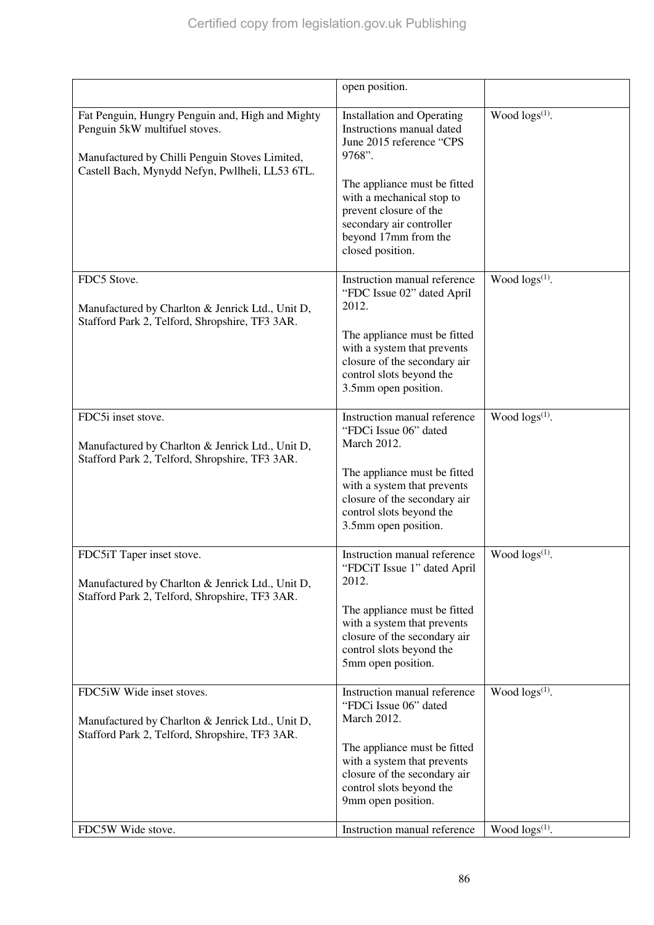|                                                                                                                                                                                        | open position.                                                                                                                                                                                                                                                      |                        |
|----------------------------------------------------------------------------------------------------------------------------------------------------------------------------------------|---------------------------------------------------------------------------------------------------------------------------------------------------------------------------------------------------------------------------------------------------------------------|------------------------|
| Fat Penguin, Hungry Penguin and, High and Mighty<br>Penguin 5kW multifuel stoves.<br>Manufactured by Chilli Penguin Stoves Limited,<br>Castell Bach, Mynydd Nefyn, Pwllheli, LL53 6TL. | <b>Installation and Operating</b><br>Instructions manual dated<br>June 2015 reference "CPS<br>9768".<br>The appliance must be fitted<br>with a mechanical stop to<br>prevent closure of the<br>secondary air controller<br>beyond 17mm from the<br>closed position. | Wood $\log s^{(1)}$ .  |
| FDC5 Stove.<br>Manufactured by Charlton & Jenrick Ltd., Unit D,<br>Stafford Park 2, Telford, Shropshire, TF3 3AR.                                                                      | Instruction manual reference<br>"FDC Issue 02" dated April<br>2012.<br>The appliance must be fitted<br>with a system that prevents<br>closure of the secondary air<br>control slots beyond the<br>3.5mm open position.                                              | Wood $\log(s^{(1)})$ . |
| FDC5i inset stove.<br>Manufactured by Charlton & Jenrick Ltd., Unit D,<br>Stafford Park 2, Telford, Shropshire, TF3 3AR.                                                               | Instruction manual reference<br>"FDCi Issue 06" dated<br><b>March 2012.</b><br>The appliance must be fitted<br>with a system that prevents<br>closure of the secondary air<br>control slots beyond the<br>3.5mm open position.                                      | Wood $\log s^{(1)}$ .  |
| FDC5iT Taper inset stove.<br>Manufactured by Charlton & Jenrick Ltd., Unit D,<br>Stafford Park 2, Telford, Shropshire, TF3 3AR.                                                        | Instruction manual reference<br>"FDCiT Issue 1" dated April<br>2012.<br>The appliance must be fitted<br>with a system that prevents<br>closure of the secondary air<br>control slots beyond the<br>5mm open position.                                               | Wood $\log s^{(1)}$ .  |
| FDC5iW Wide inset stoves.<br>Manufactured by Charlton & Jenrick Ltd., Unit D,<br>Stafford Park 2, Telford, Shropshire, TF3 3AR.                                                        | Instruction manual reference<br>"FDCi Issue 06" dated<br>March 2012.<br>The appliance must be fitted<br>with a system that prevents<br>closure of the secondary air<br>control slots beyond the<br>9mm open position.                                               | Wood $\log(s^{(1)})$ . |
| FDC5W Wide stove.                                                                                                                                                                      | Instruction manual reference                                                                                                                                                                                                                                        | Wood $\log(s^{(1)})$ . |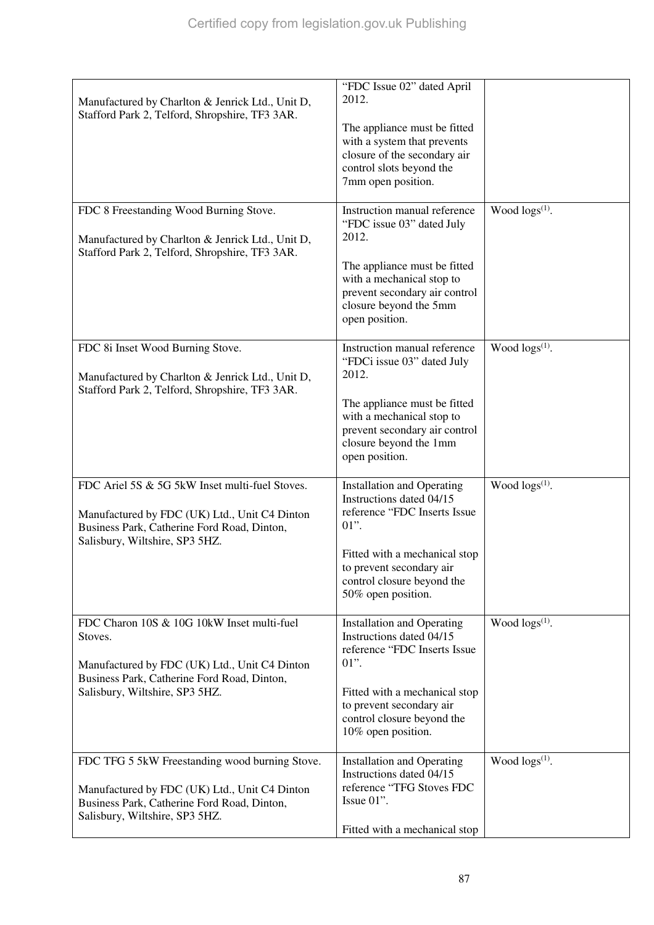| Manufactured by Charlton & Jenrick Ltd., Unit D,<br>Stafford Park 2, Telford, Shropshire, TF3 3AR.                                                                                      | "FDC Issue 02" dated April<br>2012.<br>The appliance must be fitted<br>with a system that prevents<br>closure of the secondary air<br>control slots beyond the<br>7mm open position.                                      |                            |
|-----------------------------------------------------------------------------------------------------------------------------------------------------------------------------------------|---------------------------------------------------------------------------------------------------------------------------------------------------------------------------------------------------------------------------|----------------------------|
| FDC 8 Freestanding Wood Burning Stove.<br>Manufactured by Charlton & Jenrick Ltd., Unit D,<br>Stafford Park 2, Telford, Shropshire, TF3 3AR.                                            | Instruction manual reference<br>"FDC issue 03" dated July<br>2012.<br>The appliance must be fitted<br>with a mechanical stop to<br>prevent secondary air control<br>closure beyond the 5mm<br>open position.              | Wood $\log s^{(1)}$ .      |
| FDC 8i Inset Wood Burning Stove.<br>Manufactured by Charlton & Jenrick Ltd., Unit D,<br>Stafford Park 2, Telford, Shropshire, TF3 3AR.                                                  | Instruction manual reference<br>"FDCi issue 03" dated July<br>2012.<br>The appliance must be fitted<br>with a mechanical stop to<br>prevent secondary air control<br>closure beyond the 1mm<br>open position.             | Wood $\log s^{(1)}$ .      |
| FDC Ariel 5S & 5G 5kW Inset multi-fuel Stoves.<br>Manufactured by FDC (UK) Ltd., Unit C4 Dinton<br>Business Park, Catherine Ford Road, Dinton,<br>Salisbury, Wiltshire, SP3 5HZ.        | <b>Installation and Operating</b><br>Instructions dated 04/15<br>reference "FDC Inserts Issue<br>$01$ ".<br>Fitted with a mechanical stop<br>to prevent secondary air<br>control closure beyond the<br>50% open position. | Wood $\log s^{(1)}$ .      |
| FDC Charon 10S & 10G 10kW Inset multi-fuel<br>Stoves.<br>Manufactured by FDC (UK) Ltd., Unit C4 Dinton<br>Business Park, Catherine Ford Road, Dinton,<br>Salisbury, Wiltshire, SP3 5HZ. | <b>Installation and Operating</b><br>Instructions dated 04/15<br>reference "FDC Inserts Issue<br>$01$ ".<br>Fitted with a mechanical stop<br>to prevent secondary air<br>control closure beyond the<br>10% open position. | Wood logs <sup>(1)</sup> . |
| FDC TFG 5 5kW Freestanding wood burning Stove.<br>Manufactured by FDC (UK) Ltd., Unit C4 Dinton<br>Business Park, Catherine Ford Road, Dinton,<br>Salisbury, Wiltshire, SP3 5HZ.        | <b>Installation and Operating</b><br>Instructions dated 04/15<br>reference "TFG Stoves FDC<br>Issue $01$ ".<br>Fitted with a mechanical stop                                                                              | Wood $\log s^{(1)}$ .      |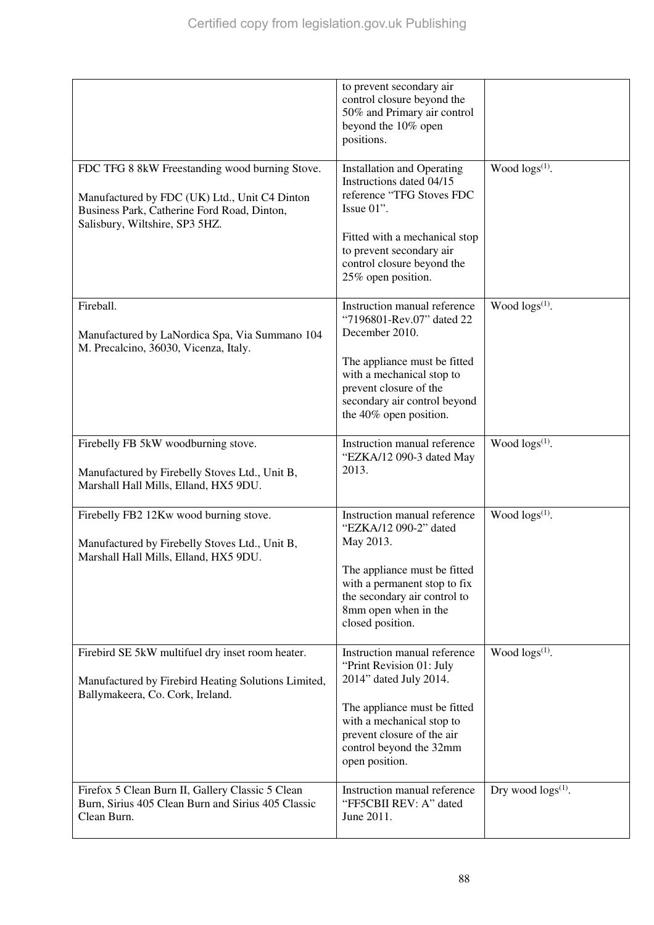|                                                                                                                                                                                  | to prevent secondary air<br>control closure beyond the<br>50% and Primary air control<br>beyond the 10% open<br>positions.                                                                                                   |                           |
|----------------------------------------------------------------------------------------------------------------------------------------------------------------------------------|------------------------------------------------------------------------------------------------------------------------------------------------------------------------------------------------------------------------------|---------------------------|
| FDC TFG 8 8kW Freestanding wood burning Stove.<br>Manufactured by FDC (UK) Ltd., Unit C4 Dinton<br>Business Park, Catherine Ford Road, Dinton,<br>Salisbury, Wiltshire, SP3 5HZ. | <b>Installation and Operating</b><br>Instructions dated 04/15<br>reference "TFG Stoves FDC<br>Issue 01".<br>Fitted with a mechanical stop<br>to prevent secondary air<br>control closure beyond the<br>25% open position.    | Wood logs(1).             |
| Fireball.<br>Manufactured by LaNordica Spa, Via Summano 104<br>M. Precalcino, 36030, Vicenza, Italy.                                                                             | Instruction manual reference<br>"7196801-Rev.07" dated 22<br>December 2010.<br>The appliance must be fitted<br>with a mechanical stop to<br>prevent closure of the<br>secondary air control beyond<br>the 40% open position. | Wood $\log(s^{(1)})$ .    |
| Firebelly FB 5kW woodburning stove.<br>Manufactured by Firebelly Stoves Ltd., Unit B,<br>Marshall Hall Mills, Elland, HX5 9DU.                                                   | Instruction manual reference<br>"EZKA/12 090-3 dated May<br>2013.                                                                                                                                                            | Wood $\log s^{(1)}$ .     |
| Firebelly FB2 12Kw wood burning stove.<br>Manufactured by Firebelly Stoves Ltd., Unit B,<br>Marshall Hall Mills, Elland, HX5 9DU.                                                | Instruction manual reference<br>"EZKA/12 090-2" dated<br>May 2013.<br>The appliance must be fitted<br>with a permanent stop to fix<br>the secondary air control to<br>8mm open when in the<br>closed position.               | Wood $\log s^{(1)}$ .     |
| Firebird SE 5kW multifuel dry inset room heater.<br>Manufactured by Firebird Heating Solutions Limited,<br>Ballymakeera, Co. Cork, Ireland.                                      | Instruction manual reference<br>"Print Revision 01: July<br>2014" dated July 2014.<br>The appliance must be fitted<br>with a mechanical stop to<br>prevent closure of the air<br>control beyond the 32mm<br>open position.   | Wood $\log(s^{(1)})$ .    |
| Firefox 5 Clean Burn II, Gallery Classic 5 Clean<br>Burn, Sirius 405 Clean Burn and Sirius 405 Classic<br>Clean Burn.                                                            | Instruction manual reference<br>"FF5CBII REV: A" dated<br>June 2011.                                                                                                                                                         | Dry wood $\log s^{(1)}$ . |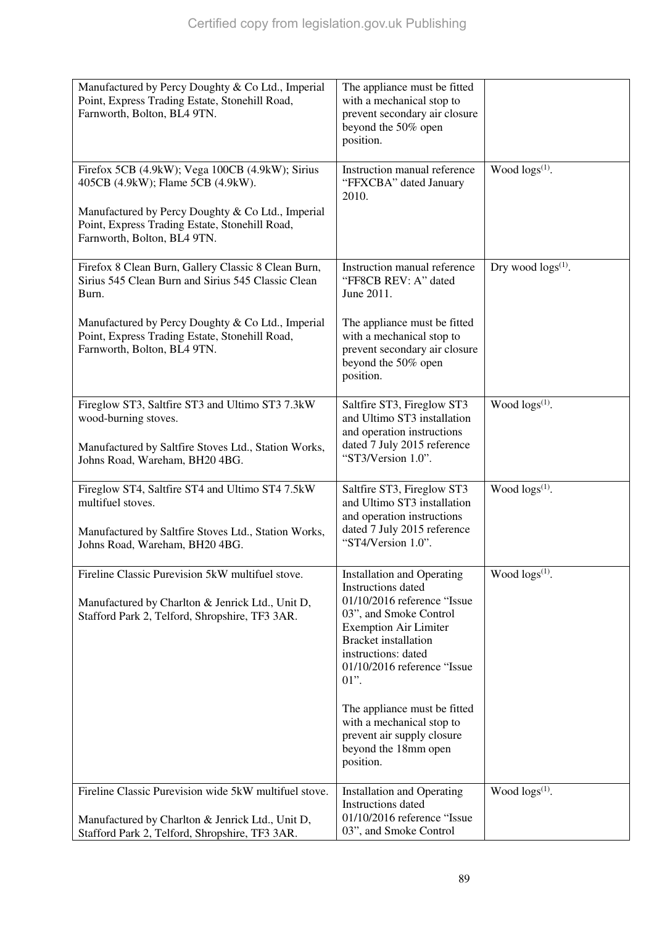| Manufactured by Percy Doughty & Co Ltd., Imperial<br>Point, Express Trading Estate, Stonehill Road,<br>Farnworth, Bolton, BL4 9TN.                                                          | The appliance must be fitted<br>with a mechanical stop to<br>prevent secondary air closure<br>beyond the 50% open<br>position.                                                                                                                                                                                                                                                          |                           |
|---------------------------------------------------------------------------------------------------------------------------------------------------------------------------------------------|-----------------------------------------------------------------------------------------------------------------------------------------------------------------------------------------------------------------------------------------------------------------------------------------------------------------------------------------------------------------------------------------|---------------------------|
| Firefox 5CB (4.9kW); Vega 100CB (4.9kW); Sirius<br>405CB (4.9kW); Flame 5CB (4.9kW).<br>Manufactured by Percy Doughty & Co Ltd., Imperial<br>Point, Express Trading Estate, Stonehill Road, | Instruction manual reference<br>"FFXCBA" dated January<br>2010.                                                                                                                                                                                                                                                                                                                         | Wood $\log s^{(1)}$ .     |
| Farnworth, Bolton, BL4 9TN.                                                                                                                                                                 |                                                                                                                                                                                                                                                                                                                                                                                         |                           |
| Firefox 8 Clean Burn, Gallery Classic 8 Clean Burn,<br>Sirius 545 Clean Burn and Sirius 545 Classic Clean<br>Burn.                                                                          | Instruction manual reference<br>"FF8CB REV: A" dated<br>June 2011.                                                                                                                                                                                                                                                                                                                      | Dry wood $\log s^{(1)}$ . |
| Manufactured by Percy Doughty & Co Ltd., Imperial<br>Point, Express Trading Estate, Stonehill Road,<br>Farnworth, Bolton, BL4 9TN.                                                          | The appliance must be fitted<br>with a mechanical stop to<br>prevent secondary air closure<br>beyond the 50% open<br>position.                                                                                                                                                                                                                                                          |                           |
| Fireglow ST3, Saltfire ST3 and Ultimo ST3 7.3kW<br>wood-burning stoves.<br>Manufactured by Saltfire Stoves Ltd., Station Works,<br>Johns Road, Wareham, BH20 4BG.                           | Saltfire ST3, Fireglow ST3<br>and Ultimo ST3 installation<br>and operation instructions<br>dated 7 July 2015 reference<br>"ST3/Version 1.0".                                                                                                                                                                                                                                            | Wood $\log s^{(1)}$ .     |
| Fireglow ST4, Saltfire ST4 and Ultimo ST4 7.5kW<br>multifuel stoves.<br>Manufactured by Saltfire Stoves Ltd., Station Works,<br>Johns Road, Wareham, BH20 4BG.                              | Saltfire ST3, Fireglow ST3<br>and Ultimo ST3 installation<br>and operation instructions<br>dated 7 July 2015 reference<br>"ST4/Version 1.0".                                                                                                                                                                                                                                            | Wood $\log(s^{(1)})$ .    |
| Fireline Classic Purevision 5kW multifuel stove.<br>Manufactured by Charlton & Jenrick Ltd., Unit D,<br>Stafford Park 2, Telford, Shropshire, TF3 3AR.                                      | <b>Installation and Operating</b><br><b>Instructions</b> dated<br>01/10/2016 reference "Issue<br>03", and Smoke Control<br><b>Exemption Air Limiter</b><br><b>Bracket</b> installation<br>instructions: dated<br>01/10/2016 reference "Issue<br>$01$ ".<br>The appliance must be fitted<br>with a mechanical stop to<br>prevent air supply closure<br>beyond the 18mm open<br>position. | Wood $\log(s^{(1)})$ .    |
| Fireline Classic Purevision wide 5kW multifuel stove.<br>Manufactured by Charlton & Jenrick Ltd., Unit D,<br>Stafford Park 2, Telford, Shropshire, TF3 3AR.                                 | <b>Installation and Operating</b><br>Instructions dated<br>01/10/2016 reference "Issue<br>03", and Smoke Control                                                                                                                                                                                                                                                                        | Wood $\log(s^{(1)})$ .    |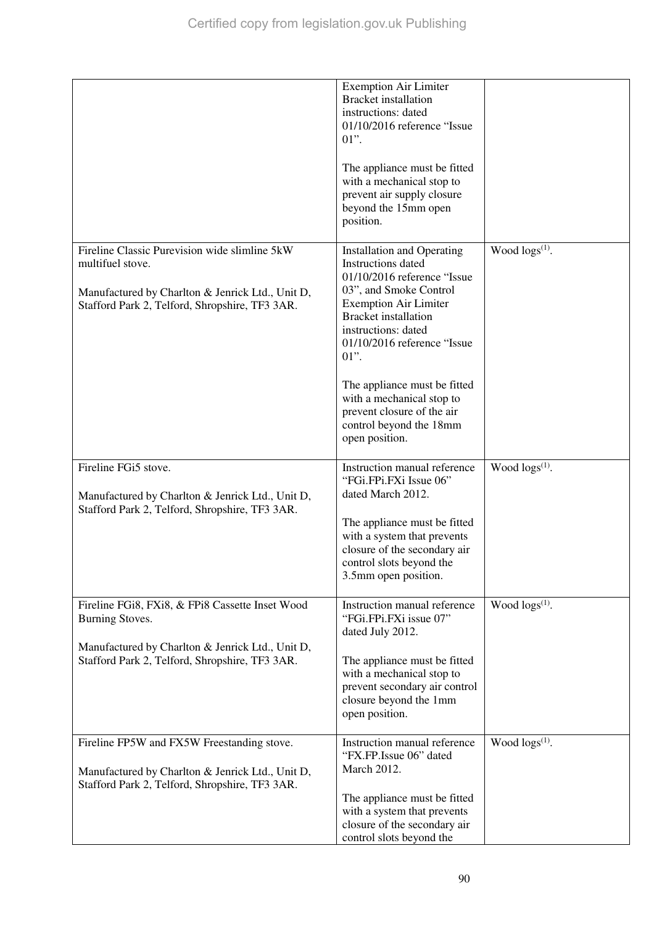|                                                                                                                                                                                 | <b>Exemption Air Limiter</b><br><b>Bracket</b> installation<br>instructions: dated<br>01/10/2016 reference "Issue<br>$01$ ".                                                                                                                                                                                                                                                             |                        |
|---------------------------------------------------------------------------------------------------------------------------------------------------------------------------------|------------------------------------------------------------------------------------------------------------------------------------------------------------------------------------------------------------------------------------------------------------------------------------------------------------------------------------------------------------------------------------------|------------------------|
|                                                                                                                                                                                 | The appliance must be fitted<br>with a mechanical stop to<br>prevent air supply closure<br>beyond the 15mm open<br>position.                                                                                                                                                                                                                                                             |                        |
| Fireline Classic Purevision wide slimline 5kW<br>multifuel stove.<br>Manufactured by Charlton & Jenrick Ltd., Unit D,<br>Stafford Park 2, Telford, Shropshire, TF3 3AR.         | <b>Installation and Operating</b><br>Instructions dated<br>01/10/2016 reference "Issue<br>03", and Smoke Control<br><b>Exemption Air Limiter</b><br><b>Bracket</b> installation<br>instructions: dated<br>01/10/2016 reference "Issue<br>$01$ ".<br>The appliance must be fitted<br>with a mechanical stop to<br>prevent closure of the air<br>control beyond the 18mm<br>open position. | Wood logs(1).          |
| Fireline FGi5 stove.<br>Manufactured by Charlton & Jenrick Ltd., Unit D,<br>Stafford Park 2, Telford, Shropshire, TF3 3AR.                                                      | Instruction manual reference<br>"FGi.FPi.FXi Issue 06"<br>dated March 2012.<br>The appliance must be fitted<br>with a system that prevents<br>closure of the secondary air<br>control slots beyond the<br>3.5mm open position.                                                                                                                                                           | Wood $\log(s^{(1)})$ . |
| Fireline FGi8, FXi8, & FPi8 Cassette Inset Wood<br><b>Burning Stoves.</b><br>Manufactured by Charlton & Jenrick Ltd., Unit D,<br>Stafford Park 2, Telford, Shropshire, TF3 3AR. | Instruction manual reference<br>"FGi.FPi.FXi issue 07"<br>dated July 2012.<br>The appliance must be fitted<br>with a mechanical stop to<br>prevent secondary air control<br>closure beyond the 1mm<br>open position.                                                                                                                                                                     | Wood $\log(s^{(1)})$ . |
| Fireline FP5W and FX5W Freestanding stove.<br>Manufactured by Charlton & Jenrick Ltd., Unit D,<br>Stafford Park 2, Telford, Shropshire, TF3 3AR.                                | Instruction manual reference<br>"FX.FP.Issue 06" dated<br>March 2012.<br>The appliance must be fitted<br>with a system that prevents<br>closure of the secondary air<br>control slots beyond the                                                                                                                                                                                         | Wood $\log(s^{(1)})$ . |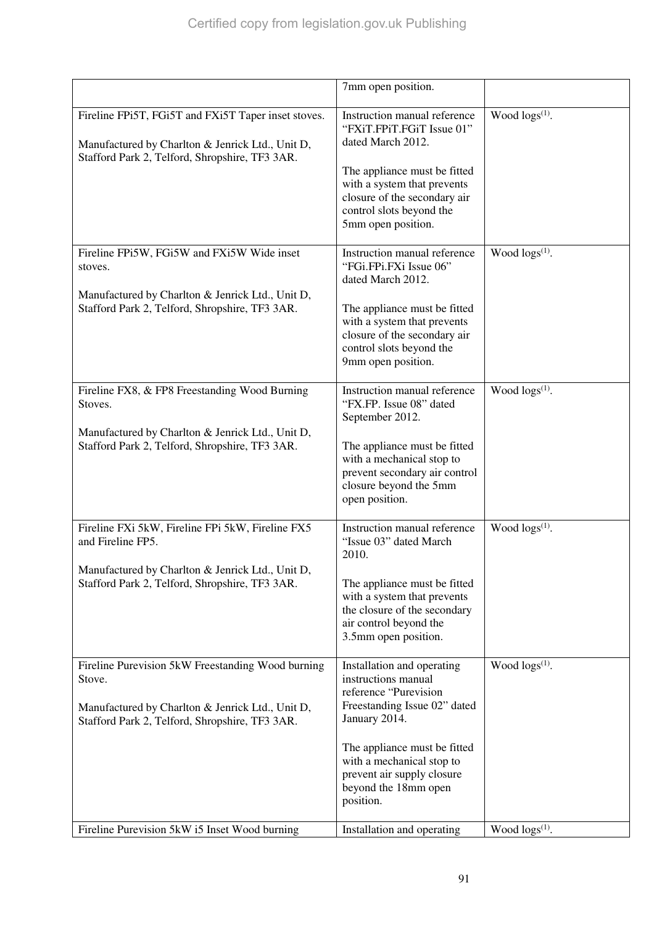|                                                                                                                                                                             | 7mm open position.                                                                                                                                                                                                                                          |                        |
|-----------------------------------------------------------------------------------------------------------------------------------------------------------------------------|-------------------------------------------------------------------------------------------------------------------------------------------------------------------------------------------------------------------------------------------------------------|------------------------|
| Fireline FPi5T, FGi5T and FXi5T Taper inset stoves.<br>Manufactured by Charlton & Jenrick Ltd., Unit D,<br>Stafford Park 2, Telford, Shropshire, TF3 3AR.                   | Instruction manual reference<br>"FXiT.FPiT.FGiT Issue 01"<br>dated March 2012.<br>The appliance must be fitted<br>with a system that prevents<br>closure of the secondary air<br>control slots beyond the<br>5mm open position.                             | Wood $\log s^{(1)}$ .  |
| Fireline FPi5W, FGi5W and FXi5W Wide inset<br>stoves.<br>Manufactured by Charlton & Jenrick Ltd., Unit D,<br>Stafford Park 2, Telford, Shropshire, TF3 3AR.                 | Instruction manual reference<br>"FGi.FPi.FXi Issue 06"<br>dated March 2012.<br>The appliance must be fitted<br>with a system that prevents<br>closure of the secondary air<br>control slots beyond the<br>9mm open position.                                | Wood $\log(s^{(1)})$ . |
| Fireline FX8, & FP8 Freestanding Wood Burning<br>Stoves.<br>Manufactured by Charlton & Jenrick Ltd., Unit D,<br>Stafford Park 2, Telford, Shropshire, TF3 3AR.              | Instruction manual reference<br>"FX.FP. Issue 08" dated<br>September 2012.<br>The appliance must be fitted<br>with a mechanical stop to<br>prevent secondary air control<br>closure beyond the 5mm<br>open position.                                        | Wood $\log(s^{(1)})$ . |
| Fireline FXi 5kW, Fireline FPi 5kW, Fireline FX5<br>and Fireline FP5.<br>Manufactured by Charlton & Jenrick Ltd., Unit D,<br>Stafford Park 2, Telford, Shropshire, TF3 3AR. | Instruction manual reference<br>"Issue 03" dated March<br>2010.<br>The appliance must be fitted<br>with a system that prevents<br>the closure of the secondary<br>air control beyond the<br>3.5mm open position.                                            | Wood $\log(s^{(1)})$ . |
| Fireline Purevision 5kW Freestanding Wood burning<br>Stove.<br>Manufactured by Charlton & Jenrick Ltd., Unit D,<br>Stafford Park 2, Telford, Shropshire, TF3 3AR.           | Installation and operating<br>instructions manual<br>reference "Purevision<br>Freestanding Issue 02" dated<br>January 2014.<br>The appliance must be fitted<br>with a mechanical stop to<br>prevent air supply closure<br>beyond the 18mm open<br>position. | Wood $\log(s^{(1)})$ . |
| Fireline Purevision 5kW i5 Inset Wood burning                                                                                                                               | Installation and operating                                                                                                                                                                                                                                  | Wood $\log(s^{(1)})$ . |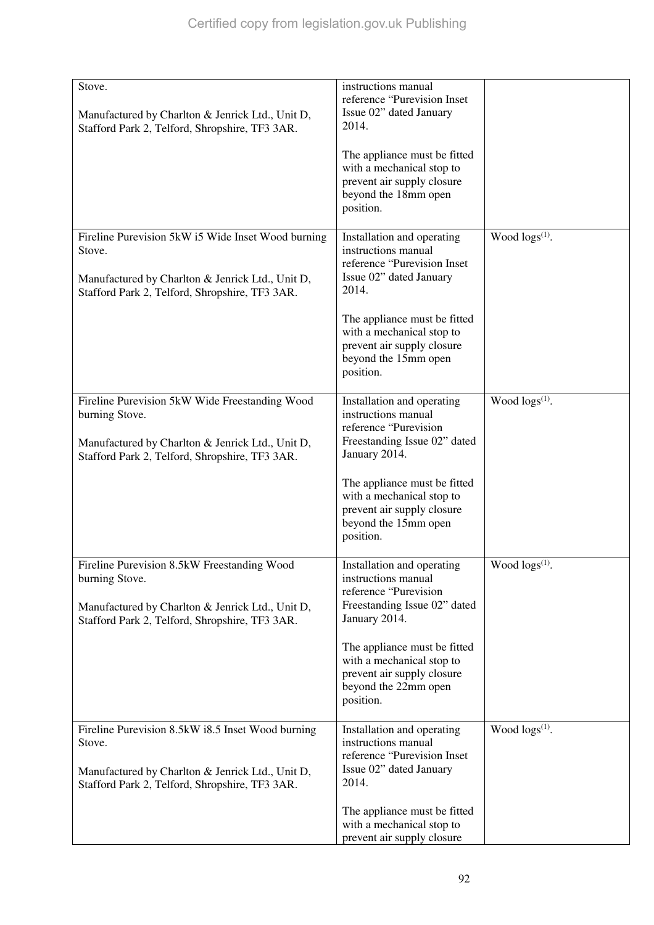| Stove.<br>Manufactured by Charlton & Jenrick Ltd., Unit D,<br>Stafford Park 2, Telford, Shropshire, TF3 3AR.                                                           | instructions manual<br>reference "Purevision Inset<br>Issue 02" dated January<br>2014.                                       |                        |
|------------------------------------------------------------------------------------------------------------------------------------------------------------------------|------------------------------------------------------------------------------------------------------------------------------|------------------------|
|                                                                                                                                                                        | The appliance must be fitted<br>with a mechanical stop to<br>prevent air supply closure<br>beyond the 18mm open<br>position. |                        |
| Fireline Purevision 5kW i5 Wide Inset Wood burning<br>Stove.<br>Manufactured by Charlton & Jenrick Ltd., Unit D,<br>Stafford Park 2, Telford, Shropshire, TF3 3AR.     | Installation and operating<br>instructions manual<br>reference "Purevision Inset<br>Issue 02" dated January<br>2014.         | Wood $\log(s^{(1)})$ . |
|                                                                                                                                                                        | The appliance must be fitted<br>with a mechanical stop to<br>prevent air supply closure<br>beyond the 15mm open<br>position. |                        |
| Fireline Purevision 5kW Wide Freestanding Wood<br>burning Stove.<br>Manufactured by Charlton & Jenrick Ltd., Unit D,<br>Stafford Park 2, Telford, Shropshire, TF3 3AR. | Installation and operating<br>instructions manual<br>reference "Purevision<br>Freestanding Issue 02" dated<br>January 2014.  | Wood $\log(s^{(1)})$ . |
|                                                                                                                                                                        | The appliance must be fitted<br>with a mechanical stop to<br>prevent air supply closure<br>beyond the 15mm open<br>position. |                        |
| Fireline Purevision 8.5kW Freestanding Wood<br>burning Stove.<br>Manufactured by Charlton & Jenrick Ltd., Unit D,<br>Stafford Park 2, Telford, Shropshire, TF3 3AR.    | Installation and operating<br>instructions manual<br>reference "Purevision<br>Freestanding Issue 02" dated<br>January 2014.  | Wood logs(1).          |
|                                                                                                                                                                        | The appliance must be fitted<br>with a mechanical stop to<br>prevent air supply closure<br>beyond the 22mm open<br>position. |                        |
| Fireline Purevision 8.5kW i8.5 Inset Wood burning<br>Stove.<br>Manufactured by Charlton & Jenrick Ltd., Unit D,<br>Stafford Park 2, Telford, Shropshire, TF3 3AR.      | Installation and operating<br>instructions manual<br>reference "Purevision Inset<br>Issue 02" dated January<br>2014.         | Wood $\log(s^{(1)})$ . |
|                                                                                                                                                                        | The appliance must be fitted<br>with a mechanical stop to<br>prevent air supply closure                                      |                        |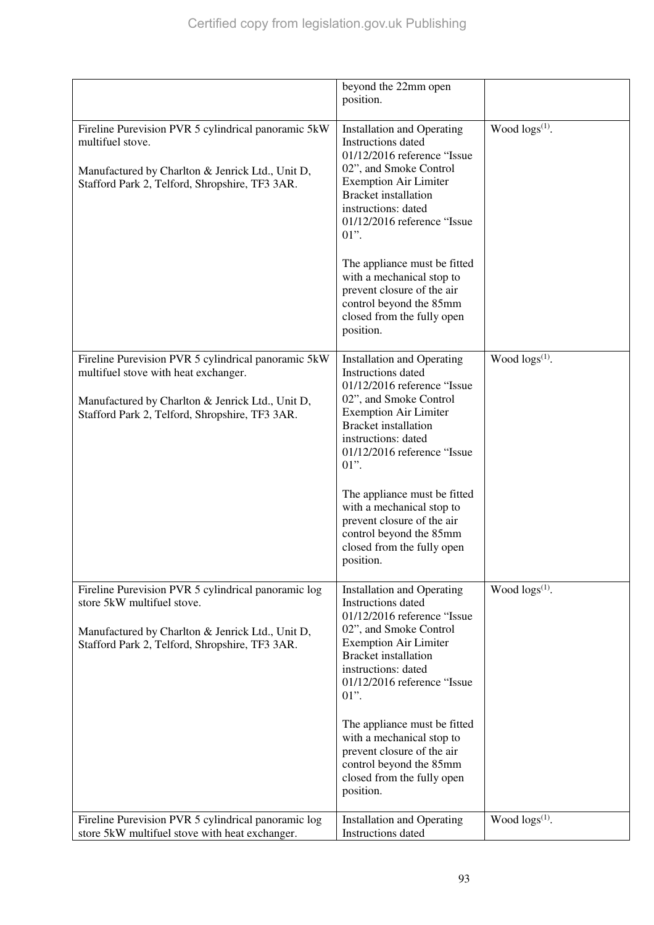|                                                                                                                                                                                                   | beyond the 22mm open<br>position.                                                                                                                                                                                                                                                                                                           |                       |
|---------------------------------------------------------------------------------------------------------------------------------------------------------------------------------------------------|---------------------------------------------------------------------------------------------------------------------------------------------------------------------------------------------------------------------------------------------------------------------------------------------------------------------------------------------|-----------------------|
| Fireline Purevision PVR 5 cylindrical panoramic 5kW<br>multifuel stove.<br>Manufactured by Charlton & Jenrick Ltd., Unit D,<br>Stafford Park 2, Telford, Shropshire, TF3 3AR.                     | <b>Installation and Operating</b><br>Instructions dated<br>01/12/2016 reference "Issue<br>02", and Smoke Control<br><b>Exemption Air Limiter</b><br><b>Bracket</b> installation<br>instructions: dated<br>01/12/2016 reference "Issue<br>$01$ ".                                                                                            | Wood $\log s^{(1)}$ . |
|                                                                                                                                                                                                   | The appliance must be fitted<br>with a mechanical stop to<br>prevent closure of the air<br>control beyond the 85mm<br>closed from the fully open<br>position.                                                                                                                                                                               |                       |
| Fireline Purevision PVR 5 cylindrical panoramic 5kW<br>multifuel stove with heat exchanger.<br>Manufactured by Charlton & Jenrick Ltd., Unit D,<br>Stafford Park 2, Telford, Shropshire, TF3 3AR. | <b>Installation and Operating</b><br>Instructions dated<br>01/12/2016 reference "Issue<br>02", and Smoke Control<br><b>Exemption Air Limiter</b><br><b>Bracket</b> installation<br>instructions: dated<br>01/12/2016 reference "Issue<br>$01$ ".                                                                                            | Wood $\log s^{(1)}$ . |
|                                                                                                                                                                                                   | The appliance must be fitted<br>with a mechanical stop to<br>prevent closure of the air<br>control beyond the 85mm<br>closed from the fully open<br>position.                                                                                                                                                                               |                       |
| Fireline Purevision PVR 5 cylindrical panoramic log<br>store 5kW multifuel stove.<br>Manufactured by Charlton & Jenrick Ltd., Unit D,<br>Stafford Park 2, Telford, Shropshire, TF3 3AR.           | <b>Installation and Operating</b><br>Instructions dated<br>01/12/2016 reference "Issue<br>02", and Smoke Control<br><b>Exemption Air Limiter</b><br><b>Bracket</b> installation<br>instructions: dated<br>01/12/2016 reference "Issue<br>$01$ ".<br>The appliance must be fitted<br>with a mechanical stop to<br>prevent closure of the air | Wood $\log s^{(1)}$ . |
| Fireline Purevision PVR 5 cylindrical panoramic log                                                                                                                                               | control beyond the 85mm<br>closed from the fully open<br>position.<br><b>Installation and Operating</b>                                                                                                                                                                                                                                     | Wood $\log s^{(1)}$ . |
| store 5kW multifuel stove with heat exchanger.                                                                                                                                                    | Instructions dated                                                                                                                                                                                                                                                                                                                          |                       |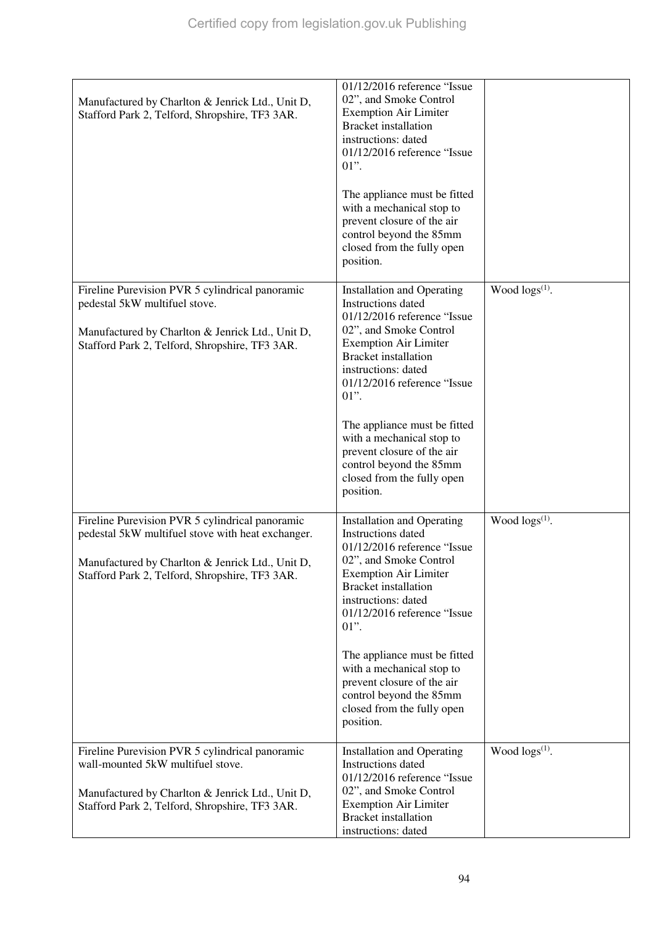| Manufactured by Charlton & Jenrick Ltd., Unit D,<br>Stafford Park 2, Telford, Shropshire, TF3 3AR.                                                                                                         | 01/12/2016 reference "Issue<br>02", and Smoke Control<br><b>Exemption Air Limiter</b><br><b>Bracket</b> installation<br>instructions: dated<br>01/12/2016 reference "Issue<br>$01$ ".<br>The appliance must be fitted<br>with a mechanical stop to<br>prevent closure of the air<br>control beyond the 85mm<br>closed from the fully open<br>position.                                                            |                        |
|------------------------------------------------------------------------------------------------------------------------------------------------------------------------------------------------------------|-------------------------------------------------------------------------------------------------------------------------------------------------------------------------------------------------------------------------------------------------------------------------------------------------------------------------------------------------------------------------------------------------------------------|------------------------|
| Fireline Purevision PVR 5 cylindrical panoramic<br>pedestal 5kW multifuel stove.<br>Manufactured by Charlton & Jenrick Ltd., Unit D,<br>Stafford Park 2, Telford, Shropshire, TF3 3AR.                     | <b>Installation and Operating</b><br>Instructions dated<br>01/12/2016 reference "Issue<br>02", and Smoke Control<br><b>Exemption Air Limiter</b><br><b>Bracket</b> installation<br>instructions: dated<br>01/12/2016 reference "Issue<br>$01$ ".<br>The appliance must be fitted<br>with a mechanical stop to<br>prevent closure of the air<br>control beyond the 85mm<br>closed from the fully open<br>position. | Wood $\log(s^{(1)})$ . |
| Fireline Purevision PVR 5 cylindrical panoramic<br>pedestal 5kW multifuel stove with heat exchanger.<br>Manufactured by Charlton & Jenrick Ltd., Unit D,<br>Stafford Park 2, Telford, Shropshire, TF3 3AR. | <b>Installation and Operating</b><br>Instructions dated<br>01/12/2016 reference "Issue<br>02", and Smoke Control<br><b>Exemption Air Limiter</b><br><b>Bracket</b> installation<br>instructions: dated<br>01/12/2016 reference "Issue<br>$01$ ".<br>The appliance must be fitted<br>with a mechanical stop to<br>prevent closure of the air<br>control beyond the 85mm<br>closed from the fully open<br>position. | Wood $\log(s^{(1)})$ . |
| Fireline Purevision PVR 5 cylindrical panoramic<br>wall-mounted 5kW multifuel stove.<br>Manufactured by Charlton & Jenrick Ltd., Unit D,<br>Stafford Park 2, Telford, Shropshire, TF3 3AR.                 | <b>Installation and Operating</b><br>Instructions dated<br>01/12/2016 reference "Issue<br>02", and Smoke Control<br><b>Exemption Air Limiter</b><br><b>Bracket</b> installation<br>instructions: dated                                                                                                                                                                                                            | Wood $\log(s^{(1)})$ . |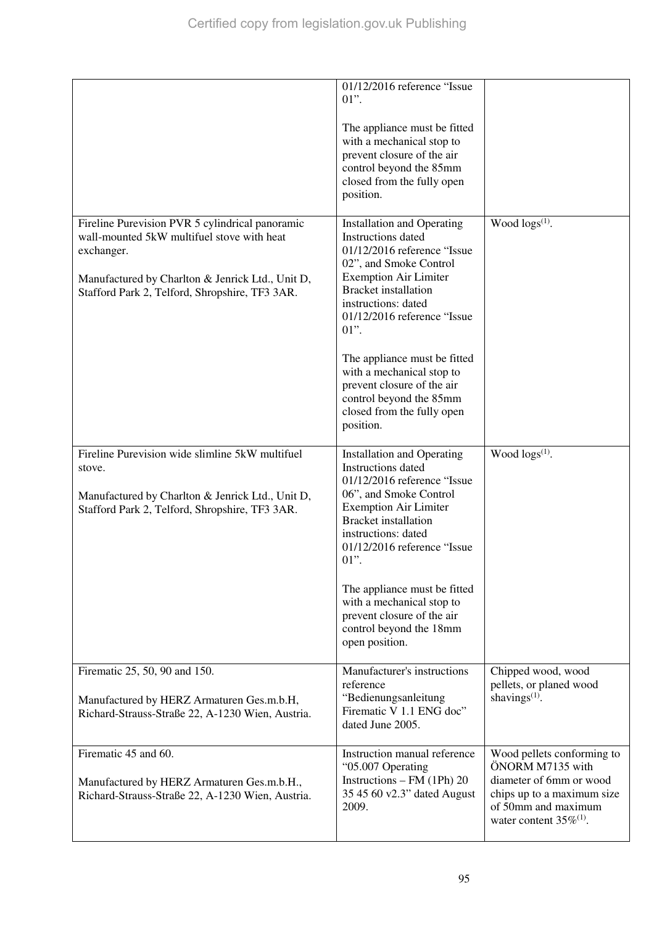|                                                                                                                                                                                                                   | 01/12/2016 reference "Issue<br>$01$ ".<br>The appliance must be fitted<br>with a mechanical stop to<br>prevent closure of the air<br>control beyond the 85mm<br>closed from the fully open<br>position.                                                                                                                                                                                                           |                                                                                                                                                                |
|-------------------------------------------------------------------------------------------------------------------------------------------------------------------------------------------------------------------|-------------------------------------------------------------------------------------------------------------------------------------------------------------------------------------------------------------------------------------------------------------------------------------------------------------------------------------------------------------------------------------------------------------------|----------------------------------------------------------------------------------------------------------------------------------------------------------------|
| Fireline Purevision PVR 5 cylindrical panoramic<br>wall-mounted 5kW multifuel stove with heat<br>exchanger.<br>Manufactured by Charlton & Jenrick Ltd., Unit D,<br>Stafford Park 2, Telford, Shropshire, TF3 3AR. | <b>Installation and Operating</b><br>Instructions dated<br>01/12/2016 reference "Issue<br>02", and Smoke Control<br><b>Exemption Air Limiter</b><br><b>Bracket</b> installation<br>instructions: dated<br>01/12/2016 reference "Issue<br>$01$ ".<br>The appliance must be fitted<br>with a mechanical stop to<br>prevent closure of the air<br>control beyond the 85mm<br>closed from the fully open<br>position. | Wood $\log(s^{(1)})$ .                                                                                                                                         |
| Fireline Purevision wide slimline 5kW multifuel<br>stove.<br>Manufactured by Charlton & Jenrick Ltd., Unit D,<br>Stafford Park 2, Telford, Shropshire, TF3 3AR.                                                   | <b>Installation and Operating</b><br>Instructions dated<br>01/12/2016 reference "Issue<br>06", and Smoke Control<br><b>Exemption Air Limiter</b><br><b>Bracket</b> installation<br>instructions: dated<br>01/12/2016 reference "Issue<br>$01$ ".<br>The appliance must be fitted<br>with a mechanical stop to<br>prevent closure of the air<br>control beyond the 18mm<br>open position.                          | Wood $\log s^{(1)}$ .                                                                                                                                          |
| Firematic 25, 50, 90 and 150.<br>Manufactured by HERZ Armaturen Ges.m.b.H,<br>Richard-Strauss-Straße 22, A-1230 Wien, Austria.                                                                                    | Manufacturer's instructions<br>reference<br>"Bedienungsanleitung<br>Firematic V 1.1 ENG doc"<br>dated June 2005.                                                                                                                                                                                                                                                                                                  | Chipped wood, wood<br>pellets, or planed wood<br>shavings $(1)$ .                                                                                              |
| Firematic 45 and 60.<br>Manufactured by HERZ Armaturen Ges.m.b.H.,<br>Richard-Strauss-Straße 22, A-1230 Wien, Austria.                                                                                            | Instruction manual reference<br>"05.007 Operating<br>Instructions - FM (1Ph) 20<br>35 45 60 v2.3" dated August<br>2009.                                                                                                                                                                                                                                                                                           | Wood pellets conforming to<br>ÖNORM M7135 with<br>diameter of 6mm or wood<br>chips up to a maximum size<br>of 50mm and maximum<br>water content $35\%^{(1)}$ . |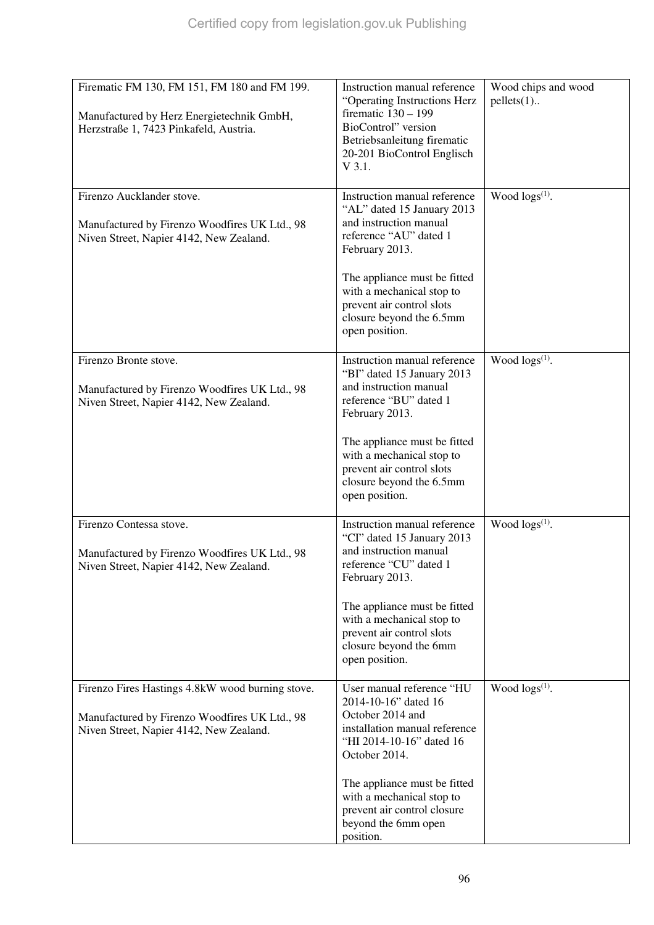| Firematic FM 130, FM 151, FM 180 and FM 199.<br>Manufactured by Herz Energietechnik GmbH,                                                    | Instruction manual reference<br>"Operating Instructions Herz<br>firematic $130 - 199$                                                               | Wood chips and wood<br>$pellets(1)$ |
|----------------------------------------------------------------------------------------------------------------------------------------------|-----------------------------------------------------------------------------------------------------------------------------------------------------|-------------------------------------|
| Herzstraße 1, 7423 Pinkafeld, Austria.                                                                                                       | BioControl" version<br>Betriebsanleitung firematic<br>20-201 BioControl Englisch<br>$V$ 3.1.                                                        |                                     |
| Firenzo Aucklander stove.<br>Manufactured by Firenzo Woodfires UK Ltd., 98<br>Niven Street, Napier 4142, New Zealand.                        | Instruction manual reference<br>"AL" dated 15 January 2013<br>and instruction manual<br>reference "AU" dated 1<br>February 2013.                    | Wood logs <sup>(1)</sup> .          |
|                                                                                                                                              | The appliance must be fitted<br>with a mechanical stop to<br>prevent air control slots<br>closure beyond the 6.5mm<br>open position.                |                                     |
| Firenzo Bronte stove.<br>Manufactured by Firenzo Woodfires UK Ltd., 98<br>Niven Street, Napier 4142, New Zealand.                            | Instruction manual reference<br>"BI" dated 15 January 2013<br>and instruction manual<br>reference "BU" dated 1<br>February 2013.                    | Wood $\log(s^{(1)})$ .              |
|                                                                                                                                              | The appliance must be fitted<br>with a mechanical stop to<br>prevent air control slots<br>closure beyond the 6.5mm<br>open position.                |                                     |
| Firenzo Contessa stove.<br>Manufactured by Firenzo Woodfires UK Ltd., 98<br>Niven Street, Napier 4142, New Zealand.                          | Instruction manual reference<br>"CI" dated 15 January 2013<br>and instruction manual<br>reference "CU" dated 1<br>February 2013.                    | Wood $\log(s^{(1)})$ .              |
|                                                                                                                                              | The appliance must be fitted<br>with a mechanical stop to<br>prevent air control slots<br>closure beyond the 6mm<br>open position.                  |                                     |
| Firenzo Fires Hastings 4.8kW wood burning stove.<br>Manufactured by Firenzo Woodfires UK Ltd., 98<br>Niven Street, Napier 4142, New Zealand. | User manual reference "HU<br>2014-10-16" dated 16<br>October 2014 and<br>installation manual reference<br>"HI 2014-10-16" dated 16<br>October 2014. | Wood logs <sup>(1)</sup> .          |
|                                                                                                                                              | The appliance must be fitted<br>with a mechanical stop to<br>prevent air control closure<br>beyond the 6mm open<br>position.                        |                                     |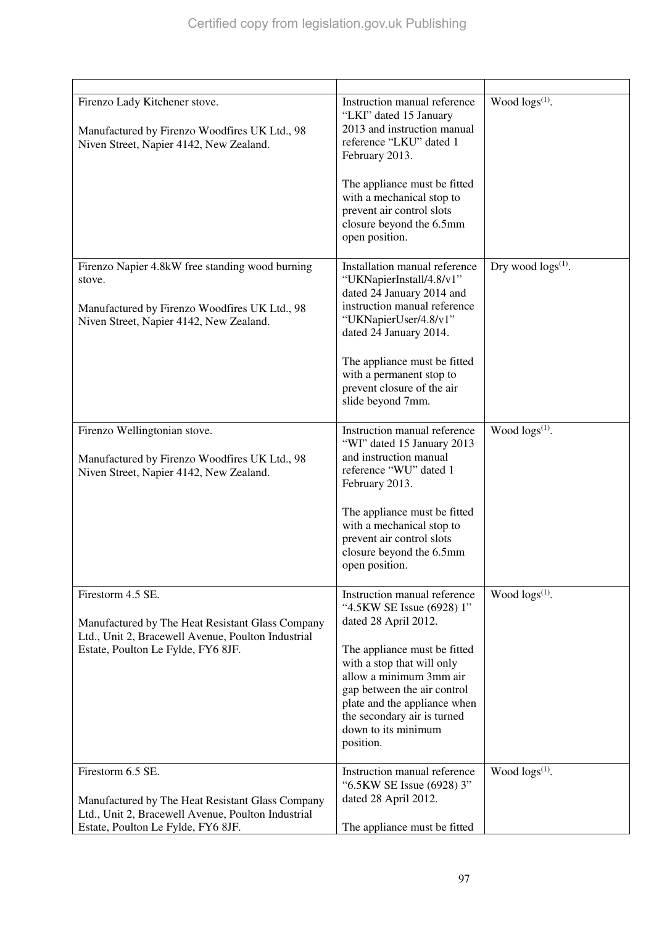| Firenzo Lady Kitchener stove.<br>Manufactured by Firenzo Woodfires UK Ltd., 98<br>Niven Street, Napier 4142, New Zealand.                                         | Instruction manual reference<br>"LKI" dated 15 January<br>2013 and instruction manual<br>reference "LKU" dated 1<br>February 2013.<br>The appliance must be fitted<br>with a mechanical stop to<br>prevent air control slots<br>closure beyond the 6.5mm<br>open position.                                   | Wood $\log(s^{(1)})$ .    |
|-------------------------------------------------------------------------------------------------------------------------------------------------------------------|--------------------------------------------------------------------------------------------------------------------------------------------------------------------------------------------------------------------------------------------------------------------------------------------------------------|---------------------------|
| Firenzo Napier 4.8kW free standing wood burning<br>stove.<br>Manufactured by Firenzo Woodfires UK Ltd., 98<br>Niven Street, Napier 4142, New Zealand.             | Installation manual reference<br>"UKNapierInstall/4.8/v1"<br>dated 24 January 2014 and<br>instruction manual reference<br>"UKNapierUser/4.8/v1"<br>dated 24 January 2014.<br>The appliance must be fitted<br>with a permanent stop to<br>prevent closure of the air<br>slide beyond 7mm.                     | Dry wood $\log s^{(1)}$ . |
| Firenzo Wellingtonian stove.<br>Manufactured by Firenzo Woodfires UK Ltd., 98<br>Niven Street, Napier 4142, New Zealand.                                          | Instruction manual reference<br>"WI" dated 15 January 2013<br>and instruction manual<br>reference "WU" dated 1<br>February 2013.<br>The appliance must be fitted<br>with a mechanical stop to<br>prevent air control slots<br>closure beyond the 6.5mm<br>open position.                                     | Wood $\log s^{(1)}$ .     |
| Firestorm 4.5 SE.<br>Manufactured by The Heat Resistant Glass Company<br>Ltd., Unit 2, Bracewell Avenue, Poulton Industrial<br>Estate, Poulton Le Fylde, FY6 8JF. | Instruction manual reference<br>"4.5KW SE Issue (6928) 1"<br>dated 28 April 2012.<br>The appliance must be fitted<br>with a stop that will only<br>allow a minimum 3mm air<br>gap between the air control<br>plate and the appliance when<br>the secondary air is turned<br>down to its minimum<br>position. | Wood logs(1).             |
| Firestorm 6.5 SE.<br>Manufactured by The Heat Resistant Glass Company<br>Ltd., Unit 2, Bracewell Avenue, Poulton Industrial<br>Estate, Poulton Le Fylde, FY6 8JF. | Instruction manual reference<br>"6.5KW SE Issue (6928) 3"<br>dated 28 April 2012.<br>The appliance must be fitted                                                                                                                                                                                            | Wood $\log(s^{(1)})$ .    |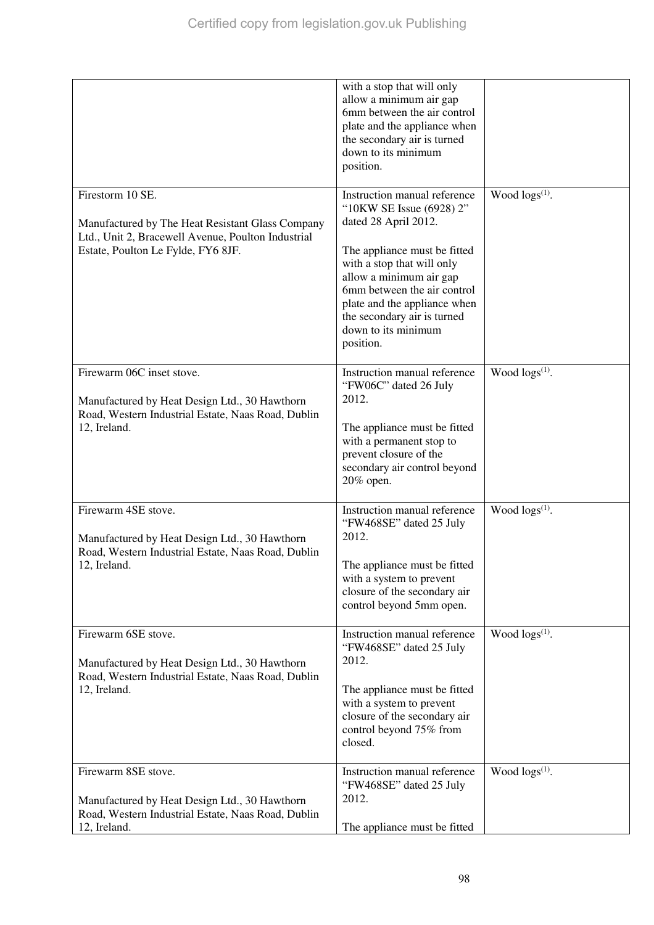|                                                                                                                                                                  | with a stop that will only<br>allow a minimum air gap<br>6mm between the air control<br>plate and the appliance when<br>the secondary air is turned<br>down to its minimum<br>position.                                                                                                                     |                        |
|------------------------------------------------------------------------------------------------------------------------------------------------------------------|-------------------------------------------------------------------------------------------------------------------------------------------------------------------------------------------------------------------------------------------------------------------------------------------------------------|------------------------|
| Firestorm 10 SE.<br>Manufactured by The Heat Resistant Glass Company<br>Ltd., Unit 2, Bracewell Avenue, Poulton Industrial<br>Estate, Poulton Le Fylde, FY6 8JF. | Instruction manual reference<br>"10KW SE Issue (6928) 2"<br>dated 28 April 2012.<br>The appliance must be fitted<br>with a stop that will only<br>allow a minimum air gap<br>6mm between the air control<br>plate and the appliance when<br>the secondary air is turned<br>down to its minimum<br>position. | Wood $\log s^{(1)}$ .  |
| Firewarm 06C inset stove.<br>Manufactured by Heat Design Ltd., 30 Hawthorn<br>Road, Western Industrial Estate, Naas Road, Dublin<br>12, Ireland.                 | Instruction manual reference<br>"FW06C" dated 26 July<br>2012.<br>The appliance must be fitted<br>with a permanent stop to<br>prevent closure of the<br>secondary air control beyond<br>20% open.                                                                                                           | Wood $\log(s^{(1)})$ . |
| Firewarm 4SE stove.<br>Manufactured by Heat Design Ltd., 30 Hawthorn<br>Road, Western Industrial Estate, Naas Road, Dublin<br>12, Ireland.                       | Instruction manual reference<br>"FW468SE" dated 25 July<br>2012.<br>The appliance must be fitted<br>with a system to prevent<br>closure of the secondary air<br>control beyond 5mm open.                                                                                                                    | Wood $\log(s^{(1)})$ . |
| Firewarm 6SE stove.<br>Manufactured by Heat Design Ltd., 30 Hawthorn<br>Road, Western Industrial Estate, Naas Road, Dublin<br>12, Ireland.                       | Instruction manual reference<br>"FW468SE" dated 25 July<br>2012.<br>The appliance must be fitted<br>with a system to prevent<br>closure of the secondary air<br>control beyond 75% from<br>closed.                                                                                                          | Wood $\log s^{(1)}$ .  |
| Firewarm 8SE stove.<br>Manufactured by Heat Design Ltd., 30 Hawthorn<br>Road, Western Industrial Estate, Naas Road, Dublin<br>12, Ireland.                       | Instruction manual reference<br>"FW468SE" dated 25 July<br>2012.<br>The appliance must be fitted                                                                                                                                                                                                            | Wood $\log(s^{(1)})$ . |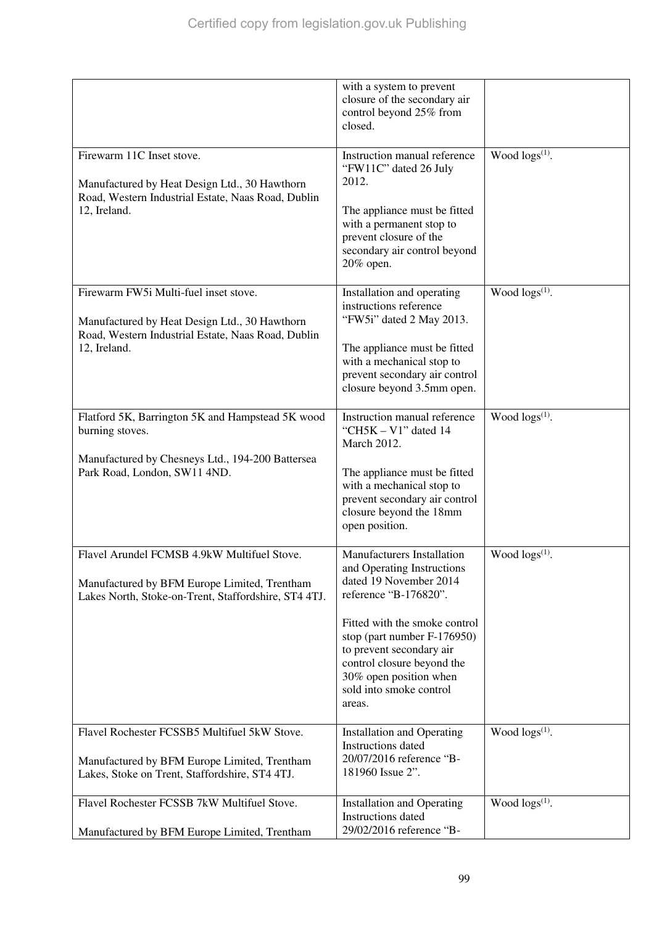|                                                                                                                                                     | with a system to prevent<br>closure of the secondary air<br>control beyond 25% from<br>closed.                                                                                        |                       |
|-----------------------------------------------------------------------------------------------------------------------------------------------------|---------------------------------------------------------------------------------------------------------------------------------------------------------------------------------------|-----------------------|
| Firewarm 11C Inset stove.<br>Manufactured by Heat Design Ltd., 30 Hawthorn<br>Road, Western Industrial Estate, Naas Road, Dublin<br>12, Ireland.    | Instruction manual reference<br>"FW11C" dated 26 July<br>2012.<br>The appliance must be fitted                                                                                        | Wood $\log s^{(1)}$ . |
|                                                                                                                                                     | with a permanent stop to<br>prevent closure of the<br>secondary air control beyond<br>20% open.                                                                                       |                       |
| Firewarm FW5i Multi-fuel inset stove.<br>Manufactured by Heat Design Ltd., 30 Hawthorn<br>Road, Western Industrial Estate, Naas Road, Dublin        | Installation and operating<br>instructions reference<br>"FW5i" dated 2 May 2013.                                                                                                      | Wood $\log s^{(1)}$ . |
| 12, Ireland.                                                                                                                                        | The appliance must be fitted<br>with a mechanical stop to<br>prevent secondary air control<br>closure beyond 3.5mm open.                                                              |                       |
| Flatford 5K, Barrington 5K and Hampstead 5K wood<br>burning stoves.                                                                                 | Instruction manual reference<br>"CH5K $-$ V1" dated 14<br>March 2012.                                                                                                                 | Wood $\log s^{(1)}$ . |
| Manufactured by Chesneys Ltd., 194-200 Battersea<br>Park Road, London, SW11 4ND.                                                                    | The appliance must be fitted<br>with a mechanical stop to<br>prevent secondary air control<br>closure beyond the 18mm<br>open position.                                               |                       |
| Flavel Arundel FCMSB 4.9kW Multifuel Stove.<br>Manufactured by BFM Europe Limited, Trentham<br>Lakes North, Stoke-on-Trent, Staffordshire, ST4 4TJ. | Manufacturers Installation<br>and Operating Instructions<br>dated 19 November 2014<br>reference "B-176820".                                                                           | Wood $\log s^{(1)}$ . |
|                                                                                                                                                     | Fitted with the smoke control<br>stop (part number F-176950)<br>to prevent secondary air<br>control closure beyond the<br>30% open position when<br>sold into smoke control<br>areas. |                       |
| Flavel Rochester FCSSB5 Multifuel 5kW Stove.<br>Manufactured by BFM Europe Limited, Trentham<br>Lakes, Stoke on Trent, Staffordshire, ST4 4TJ.      | <b>Installation and Operating</b><br>Instructions dated<br>20/07/2016 reference "B-<br>181960 Issue 2".                                                                               | Wood $\log s^{(1)}$ . |
| Flavel Rochester FCSSB 7kW Multifuel Stove.<br>Manufactured by BFM Europe Limited, Trentham                                                         | <b>Installation and Operating</b><br>Instructions dated<br>29/02/2016 reference "B-                                                                                                   | Wood $\log s^{(1)}$ . |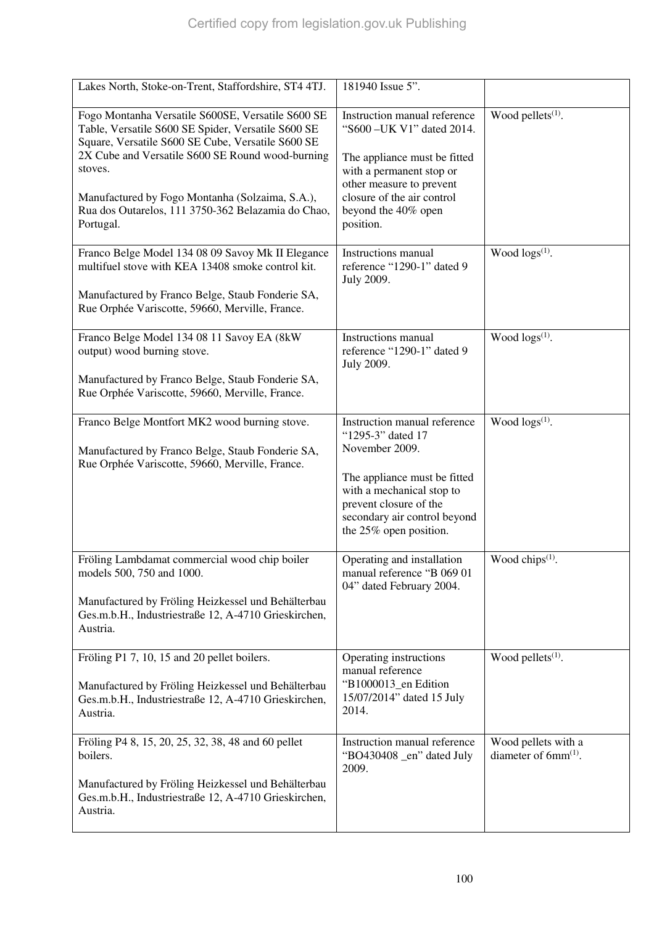| Lakes North, Stoke-on-Trent, Staffordshire, ST4 4TJ.                                                                                                                                                                                                                                                                                              | 181940 Issue 5".                                                                                                                                                                                                     |                                                           |
|---------------------------------------------------------------------------------------------------------------------------------------------------------------------------------------------------------------------------------------------------------------------------------------------------------------------------------------------------|----------------------------------------------------------------------------------------------------------------------------------------------------------------------------------------------------------------------|-----------------------------------------------------------|
|                                                                                                                                                                                                                                                                                                                                                   |                                                                                                                                                                                                                      |                                                           |
| Fogo Montanha Versatile S600SE, Versatile S600 SE<br>Table, Versatile S600 SE Spider, Versatile S600 SE<br>Square, Versatile S600 SE Cube, Versatile S600 SE<br>2X Cube and Versatile S600 SE Round wood-burning<br>stoves.<br>Manufactured by Fogo Montanha (Solzaima, S.A.),<br>Rua dos Outarelos, 111 3750-362 Belazamia do Chao,<br>Portugal. | Instruction manual reference<br>"S600 - UK V1" dated 2014.<br>The appliance must be fitted<br>with a permanent stop or<br>other measure to prevent<br>closure of the air control<br>beyond the 40% open<br>position. | Wood pellets <sup>(1)</sup> .                             |
| Franco Belge Model 134 08 09 Savoy Mk II Elegance<br>multifuel stove with KEA 13408 smoke control kit.<br>Manufactured by Franco Belge, Staub Fonderie SA,<br>Rue Orphée Variscotte, 59660, Merville, France.                                                                                                                                     | Instructions manual<br>reference "1290-1" dated 9<br>July 2009.                                                                                                                                                      | Wood $\log(s^{(1)})$ .                                    |
| Franco Belge Model 134 08 11 Savoy EA (8kW<br>output) wood burning stove.<br>Manufactured by Franco Belge, Staub Fonderie SA,<br>Rue Orphée Variscotte, 59660, Merville, France.                                                                                                                                                                  | Instructions manual<br>reference "1290-1" dated 9<br><b>July 2009.</b>                                                                                                                                               | Wood $\log s^{(1)}$ .                                     |
| Franco Belge Montfort MK2 wood burning stove.<br>Manufactured by Franco Belge, Staub Fonderie SA,<br>Rue Orphée Variscotte, 59660, Merville, France.                                                                                                                                                                                              | Instruction manual reference<br>"1295-3" dated 17<br>November 2009.<br>The appliance must be fitted<br>with a mechanical stop to<br>prevent closure of the<br>secondary air control beyond<br>the 25% open position. | Wood $\log(s^{(1)})$ .                                    |
| Fröling Lambdamat commercial wood chip boiler<br>models 500, 750 and 1000.<br>Manufactured by Fröling Heizkessel und Behälterbau<br>Ges.m.b.H., Industriestraße 12, A-4710 Grieskirchen,<br>Austria.                                                                                                                                              | Operating and installation<br>manual reference "B 069 01<br>04" dated February 2004.                                                                                                                                 | Wood chips <sup>(1)</sup> .                               |
| Fröling P1 7, 10, 15 and 20 pellet boilers.<br>Manufactured by Fröling Heizkessel und Behälterbau<br>Ges.m.b.H., Industriestraße 12, A-4710 Grieskirchen,<br>Austria.                                                                                                                                                                             | Operating instructions<br>manual reference<br>"B1000013_en Edition<br>15/07/2014" dated 15 July<br>2014.                                                                                                             | Wood pellets <sup>(1)</sup> .                             |
| Fröling P4 8, 15, 20, 25, 32, 38, 48 and 60 pellet<br>boilers.<br>Manufactured by Fröling Heizkessel und Behälterbau<br>Ges.m.b.H., Industriestraße 12, A-4710 Grieskirchen,<br>Austria.                                                                                                                                                          | Instruction manual reference<br>"BO430408 _en" dated July<br>2009.                                                                                                                                                   | Wood pellets with a<br>diameter of $6mm$ <sup>(1)</sup> . |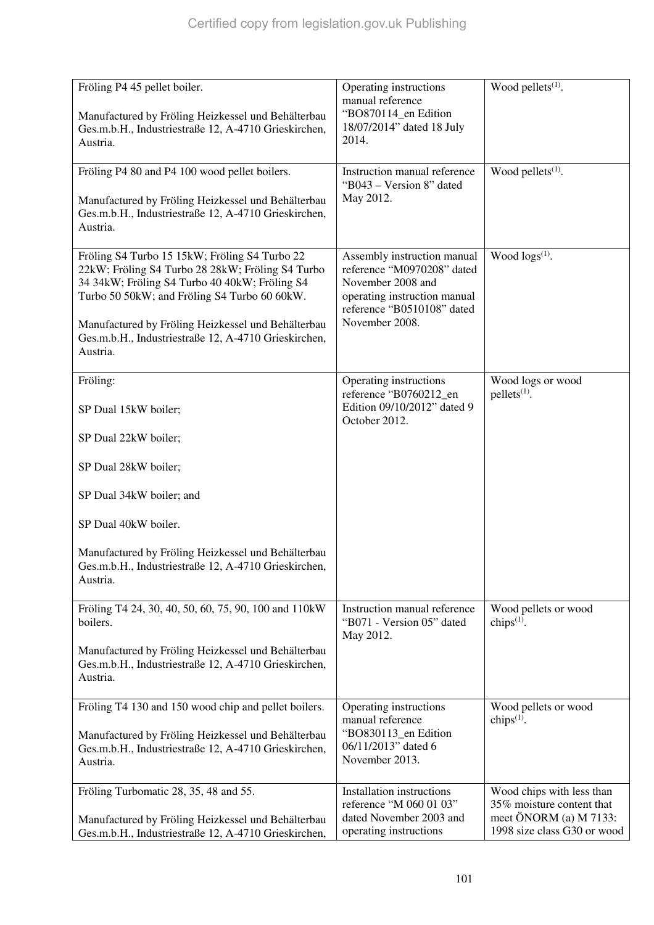| Fröling P4 45 pellet boiler.                                                                                                                                                                                                                                                                                                 | Operating instructions<br>manual reference                                                                                                                     | Wood pellets <sup>(1)</sup> .                          |
|------------------------------------------------------------------------------------------------------------------------------------------------------------------------------------------------------------------------------------------------------------------------------------------------------------------------------|----------------------------------------------------------------------------------------------------------------------------------------------------------------|--------------------------------------------------------|
| Manufactured by Fröling Heizkessel und Behälterbau<br>Ges.m.b.H., Industriestraße 12, A-4710 Grieskirchen,<br>Austria.                                                                                                                                                                                                       | "BO870114_en Edition<br>18/07/2014" dated 18 July<br>2014.                                                                                                     |                                                        |
| Fröling P4 80 and P4 100 wood pellet boilers.                                                                                                                                                                                                                                                                                | Instruction manual reference                                                                                                                                   | Wood pellets <sup>(1)</sup> .                          |
| Manufactured by Fröling Heizkessel und Behälterbau<br>Ges.m.b.H., Industriestraße 12, A-4710 Grieskirchen,<br>Austria.                                                                                                                                                                                                       | "B043 – Version 8" dated<br>May 2012.                                                                                                                          |                                                        |
| Fröling S4 Turbo 15 15kW; Fröling S4 Turbo 22<br>22kW; Fröling S4 Turbo 28 28kW; Fröling S4 Turbo<br>34 34kW; Fröling S4 Turbo 40 40kW; Fröling S4<br>Turbo 50 50kW; and Fröling S4 Turbo 60 60kW.<br>Manufactured by Fröling Heizkessel und Behälterbau<br>Ges.m.b.H., Industriestraße 12, A-4710 Grieskirchen,<br>Austria. | Assembly instruction manual<br>reference "M0970208" dated<br>November 2008 and<br>operating instruction manual<br>reference "B0510108" dated<br>November 2008. | Wood logs(1).                                          |
| Fröling:                                                                                                                                                                                                                                                                                                                     | Operating instructions<br>reference "B0760212_en                                                                                                               | Wood logs or wood<br>$pellets(1)$ .                    |
| SP Dual 15kW boiler;                                                                                                                                                                                                                                                                                                         | Edition 09/10/2012" dated 9<br>October 2012.                                                                                                                   |                                                        |
| SP Dual 22kW boiler;                                                                                                                                                                                                                                                                                                         |                                                                                                                                                                |                                                        |
| SP Dual 28kW boiler;                                                                                                                                                                                                                                                                                                         |                                                                                                                                                                |                                                        |
| SP Dual 34kW boiler; and                                                                                                                                                                                                                                                                                                     |                                                                                                                                                                |                                                        |
| SP Dual 40kW boiler.                                                                                                                                                                                                                                                                                                         |                                                                                                                                                                |                                                        |
| Manufactured by Fröling Heizkessel und Behälterbau<br>Ges.m.b.H., Industriestraße 12, A-4710 Grieskirchen,<br>Austria.                                                                                                                                                                                                       |                                                                                                                                                                |                                                        |
| Fröling T4 24, 30, 40, 50, 60, 75, 90, 100 and 110kW<br>boilers.                                                                                                                                                                                                                                                             | Instruction manual reference<br>"B071 - Version 05" dated                                                                                                      | Wood pellets or wood<br>chips $(1)$ .                  |
| Manufactured by Fröling Heizkessel und Behälterbau<br>Ges.m.b.H., Industriestraße 12, A-4710 Grieskirchen,<br>Austria.                                                                                                                                                                                                       | May 2012.                                                                                                                                                      |                                                        |
| Fröling T4 130 and 150 wood chip and pellet boilers.                                                                                                                                                                                                                                                                         | Operating instructions<br>manual reference                                                                                                                     | Wood pellets or wood<br>chips $(1)$ .                  |
| Manufactured by Fröling Heizkessel und Behälterbau<br>Ges.m.b.H., Industriestraße 12, A-4710 Grieskirchen,<br>Austria.                                                                                                                                                                                                       | "BO830113_en Edition<br>06/11/2013" dated 6<br>November 2013.                                                                                                  |                                                        |
| Fröling Turbomatic 28, 35, 48 and 55.                                                                                                                                                                                                                                                                                        | Installation instructions<br>reference "M 060 01 03"                                                                                                           | Wood chips with less than<br>35% moisture content that |
| Manufactured by Fröling Heizkessel und Behälterbau<br>Ges.m.b.H., Industriestraße 12, A-4710 Grieskirchen,                                                                                                                                                                                                                   | dated November 2003 and<br>operating instructions                                                                                                              | meet ÖNORM (a) M 7133:<br>1998 size class G30 or wood  |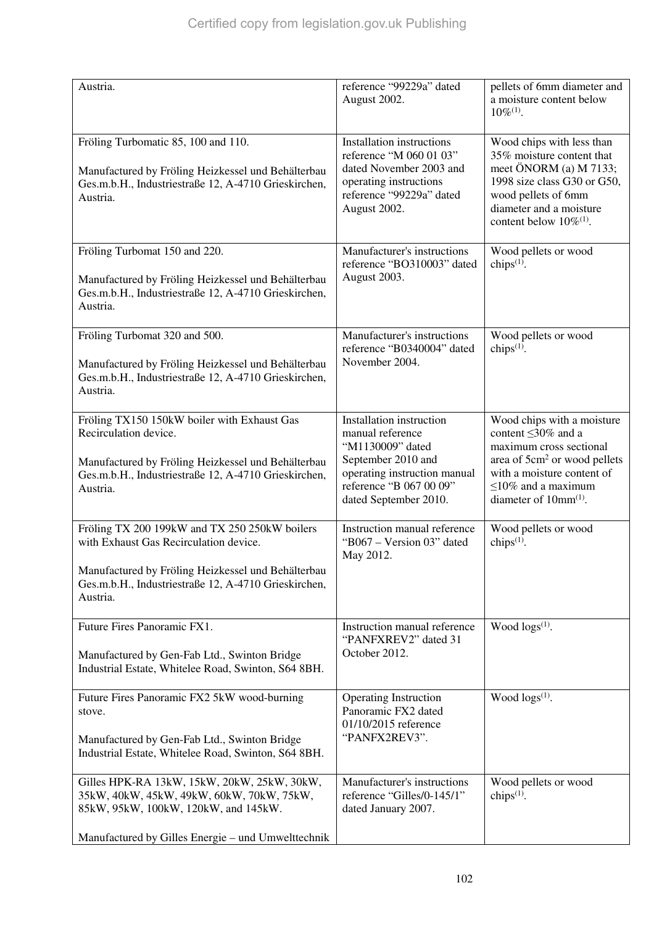| Austria.                                                                                                                                                                                                          | reference "99229a" dated<br>August 2002.                                                                                                                                   | pellets of 6mm diameter and<br>a moisture content below<br>$10\%^{(1)}$ .                                                                                                                                             |
|-------------------------------------------------------------------------------------------------------------------------------------------------------------------------------------------------------------------|----------------------------------------------------------------------------------------------------------------------------------------------------------------------------|-----------------------------------------------------------------------------------------------------------------------------------------------------------------------------------------------------------------------|
| Fröling Turbomatic 85, 100 and 110.<br>Manufactured by Fröling Heizkessel und Behälterbau<br>Ges.m.b.H., Industriestraße 12, A-4710 Grieskirchen,<br>Austria.                                                     | <b>Installation</b> instructions<br>reference "M 060 01 03"<br>dated November 2003 and<br>operating instructions<br>reference "99229a" dated<br>August 2002.               | Wood chips with less than<br>35% moisture content that<br>meet ÖNORM (a) M 7133;<br>1998 size class G30 or G50,<br>wood pellets of 6mm<br>diameter and a moisture<br>content below 10% <sup>(1)</sup> .               |
| Fröling Turbomat 150 and 220.<br>Manufactured by Fröling Heizkessel und Behälterbau<br>Ges.m.b.H., Industriestraße 12, A-4710 Grieskirchen,<br>Austria.                                                           | Manufacturer's instructions<br>reference "BO310003" dated<br>August 2003.                                                                                                  | Wood pellets or wood<br>chips $^{(1)}$ .                                                                                                                                                                              |
| Fröling Turbomat 320 and 500.<br>Manufactured by Fröling Heizkessel und Behälterbau<br>Ges.m.b.H., Industriestraße 12, A-4710 Grieskirchen,<br>Austria.                                                           | Manufacturer's instructions<br>reference "B0340004" dated<br>November 2004.                                                                                                | Wood pellets or wood<br>chips <sup>(1)</sup> .                                                                                                                                                                        |
| Fröling TX150 150kW boiler with Exhaust Gas<br>Recirculation device.<br>Manufactured by Fröling Heizkessel und Behälterbau<br>Ges.m.b.H., Industriestraße 12, A-4710 Grieskirchen,<br>Austria.                    | Installation instruction<br>manual reference<br>"M1130009" dated<br>September 2010 and<br>operating instruction manual<br>reference "B 067 00 09"<br>dated September 2010. | Wood chips with a moisture<br>content $\leq$ 30% and a<br>maximum cross sectional<br>area of 5cm <sup>2</sup> or wood pellets<br>with a moisture content of<br>$\leq$ 10% and a maximum<br>diameter of $10mm^{(1)}$ . |
| Fröling TX 200 199kW and TX 250 250kW boilers<br>with Exhaust Gas Recirculation device.<br>Manufactured by Fröling Heizkessel und Behälterbau<br>Ges.m.b.H., Industriestraße 12, A-4710 Grieskirchen,<br>Austria. | Instruction manual reference<br>"B067 – Version 03" dated<br>May 2012.                                                                                                     | Wood pellets or wood<br>chips $(1)$ .                                                                                                                                                                                 |
| Future Fires Panoramic FX1.<br>Manufactured by Gen-Fab Ltd., Swinton Bridge<br>Industrial Estate, Whitelee Road, Swinton, S64 8BH.                                                                                | Instruction manual reference<br>"PANFXREV2" dated 31<br>October 2012.                                                                                                      | Wood $\log(s^{(1)})$ .                                                                                                                                                                                                |
| Future Fires Panoramic FX2 5kW wood-burning<br>stove.<br>Manufactured by Gen-Fab Ltd., Swinton Bridge<br>Industrial Estate, Whitelee Road, Swinton, S64 8BH.                                                      | <b>Operating Instruction</b><br>Panoramic FX2 dated<br>01/10/2015 reference<br>"PANFX2REV3".                                                                               | Wood $\log(s^{(1)})$ .                                                                                                                                                                                                |
| Gilles HPK-RA 13kW, 15kW, 20kW, 25kW, 30kW,<br>35kW, 40kW, 45kW, 49kW, 60kW, 70kW, 75kW,<br>85kW, 95kW, 100kW, 120kW, and 145kW.<br>Manufactured by Gilles Energie - und Umwelttechnik                            | Manufacturer's instructions<br>reference "Gilles/0-145/1"<br>dated January 2007.                                                                                           | Wood pellets or wood<br>chips $(1)$ .                                                                                                                                                                                 |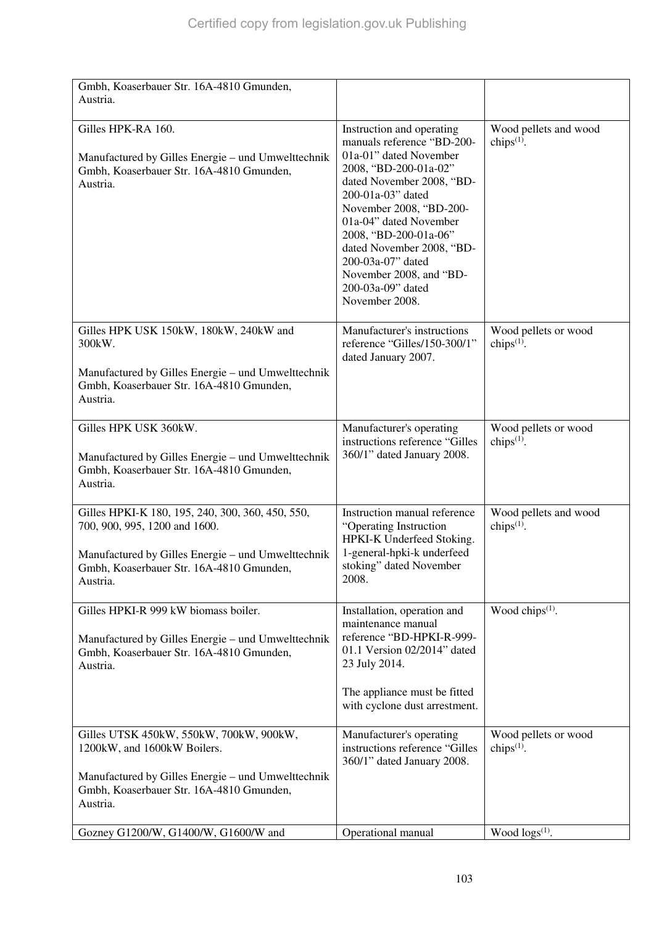| Gmbh, Koaserbauer Str. 16A-4810 Gmunden,<br>Austria.                                                                             |                                                                                                                                                                                                                                                                                                                                                                |                                                |
|----------------------------------------------------------------------------------------------------------------------------------|----------------------------------------------------------------------------------------------------------------------------------------------------------------------------------------------------------------------------------------------------------------------------------------------------------------------------------------------------------------|------------------------------------------------|
|                                                                                                                                  |                                                                                                                                                                                                                                                                                                                                                                |                                                |
| Gilles HPK-RA 160.<br>Manufactured by Gilles Energie – und Umwelttechnik<br>Gmbh, Koaserbauer Str. 16A-4810 Gmunden,<br>Austria. | Instruction and operating<br>manuals reference "BD-200-<br>01a-01" dated November<br>2008, "BD-200-01a-02"<br>dated November 2008, "BD-<br>200-01a-03" dated<br>November 2008, "BD-200-<br>01a-04" dated November<br>2008, "BD-200-01a-06"<br>dated November 2008, "BD-<br>200-03a-07" dated<br>November 2008, and "BD-<br>200-03a-09" dated<br>November 2008. | Wood pellets and wood<br>chips $(1)$ .         |
| Gilles HPK USK 150kW, 180kW, 240kW and<br>300kW.                                                                                 | Manufacturer's instructions<br>reference "Gilles/150-300/1"<br>dated January 2007.                                                                                                                                                                                                                                                                             | Wood pellets or wood<br>chips $(1)$ .          |
| Manufactured by Gilles Energie – und Umwelttechnik<br>Gmbh, Koaserbauer Str. 16A-4810 Gmunden,<br>Austria.                       |                                                                                                                                                                                                                                                                                                                                                                |                                                |
| Gilles HPK USK 360kW.                                                                                                            | Manufacturer's operating<br>instructions reference "Gilles                                                                                                                                                                                                                                                                                                     | Wood pellets or wood<br>chips <sup>(1)</sup> . |
| Manufactured by Gilles Energie – und Umwelttechnik<br>Gmbh, Koaserbauer Str. 16A-4810 Gmunden,<br>Austria.                       | 360/1" dated January 2008.                                                                                                                                                                                                                                                                                                                                     |                                                |
| Gilles HPKI-K 180, 195, 240, 300, 360, 450, 550,<br>700, 900, 995, 1200 and 1600.                                                | Instruction manual reference<br>"Operating Instruction<br>HPKI-K Underfeed Stoking.                                                                                                                                                                                                                                                                            | Wood pellets and wood<br>chips $(1)$ .         |
| Manufactured by Gilles Energie – und Umwelttechnik<br>Gmbh, Koaserbauer Str. 16A-4810 Gmunden,<br>Austria.                       | 1-general-hpki-k underfeed<br>stoking" dated November<br>2008.                                                                                                                                                                                                                                                                                                 |                                                |
| Gilles HPKI-R 999 kW biomass boiler.                                                                                             | Installation, operation and<br>maintenance manual                                                                                                                                                                                                                                                                                                              | Wood chips <sup>(1)</sup> .                    |
| Manufactured by Gilles Energie – und Umwelttechnik<br>Gmbh, Koaserbauer Str. 16A-4810 Gmunden,<br>Austria.                       | reference "BD-HPKI-R-999-<br>01.1 Version 02/2014" dated<br>23 July 2014.                                                                                                                                                                                                                                                                                      |                                                |
|                                                                                                                                  | The appliance must be fitted<br>with cyclone dust arrestment.                                                                                                                                                                                                                                                                                                  |                                                |
| Gilles UTSK 450kW, 550kW, 700kW, 900kW,<br>1200kW, and 1600kW Boilers.                                                           | Manufacturer's operating<br>instructions reference "Gilles<br>360/1" dated January 2008.                                                                                                                                                                                                                                                                       | Wood pellets or wood<br>chips $(1)$ .          |
| Manufactured by Gilles Energie – und Umwelttechnik<br>Gmbh, Koaserbauer Str. 16A-4810 Gmunden,<br>Austria.                       |                                                                                                                                                                                                                                                                                                                                                                |                                                |
| Gozney G1200/W, G1400/W, G1600/W and                                                                                             | Operational manual                                                                                                                                                                                                                                                                                                                                             | Wood $\log(s^{(1)})$ .                         |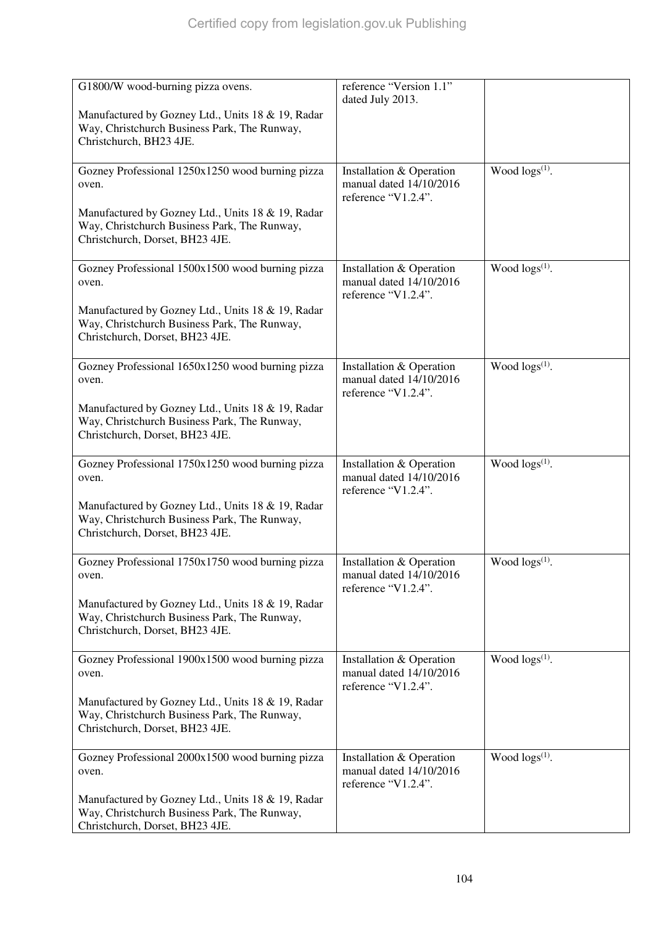| G1800/W wood-burning pizza ovens.                                                                                                    | reference "Version 1.1"<br>dated July 2013.                                |                            |
|--------------------------------------------------------------------------------------------------------------------------------------|----------------------------------------------------------------------------|----------------------------|
| Manufactured by Gozney Ltd., Units 18 & 19, Radar<br>Way, Christchurch Business Park, The Runway,<br>Christchurch, BH23 4JE.         |                                                                            |                            |
| Gozney Professional 1250x1250 wood burning pizza<br>oven.                                                                            | Installation & Operation<br>manual dated 14/10/2016<br>reference "V1.2.4". | Wood $\log s^{(1)}$ .      |
| Manufactured by Gozney Ltd., Units 18 & 19, Radar<br>Way, Christchurch Business Park, The Runway,<br>Christchurch, Dorset, BH23 4JE. |                                                                            |                            |
| Gozney Professional 1500x1500 wood burning pizza<br>oven.                                                                            | Installation & Operation<br>manual dated 14/10/2016<br>reference "V1.2.4". | Wood $\log s^{(1)}$ .      |
| Manufactured by Gozney Ltd., Units 18 & 19, Radar<br>Way, Christchurch Business Park, The Runway,<br>Christchurch, Dorset, BH23 4JE. |                                                                            |                            |
| Gozney Professional 1650x1250 wood burning pizza<br>oven.                                                                            | Installation & Operation<br>manual dated 14/10/2016<br>reference "V1.2.4". | Wood $\log s^{(1)}$ .      |
| Manufactured by Gozney Ltd., Units 18 & 19, Radar<br>Way, Christchurch Business Park, The Runway,<br>Christchurch, Dorset, BH23 4JE. |                                                                            |                            |
| Gozney Professional 1750x1250 wood burning pizza<br>oven.                                                                            | Installation & Operation<br>manual dated 14/10/2016<br>reference "V1.2.4". | Wood $\log s^{(1)}$ .      |
| Manufactured by Gozney Ltd., Units 18 & 19, Radar<br>Way, Christchurch Business Park, The Runway,<br>Christchurch, Dorset, BH23 4JE. |                                                                            |                            |
| Gozney Professional 1750x1750 wood burning pizza<br>oven.                                                                            | Installation & Operation<br>manual dated 14/10/2016<br>reference "V1.2.4". | Wood $\log s^{(1)}$ .      |
| Manufactured by Gozney Ltd., Units 18 & 19, Radar<br>Way, Christchurch Business Park, The Runway,<br>Christchurch, Dorset, BH23 4JE. |                                                                            |                            |
| Gozney Professional 1900x1500 wood burning pizza<br>oven.                                                                            | Installation & Operation<br>manual dated 14/10/2016<br>reference "V1.2.4". | Wood $\log s^{(1)}$ .      |
| Manufactured by Gozney Ltd., Units 18 & 19, Radar<br>Way, Christchurch Business Park, The Runway,<br>Christchurch, Dorset, BH23 4JE. |                                                                            |                            |
| Gozney Professional 2000x1500 wood burning pizza<br>oven.                                                                            | Installation & Operation<br>manual dated 14/10/2016<br>reference "V1.2.4". | Wood logs <sup>(1)</sup> . |
| Manufactured by Gozney Ltd., Units 18 & 19, Radar<br>Way, Christchurch Business Park, The Runway,<br>Christchurch, Dorset, BH23 4JE. |                                                                            |                            |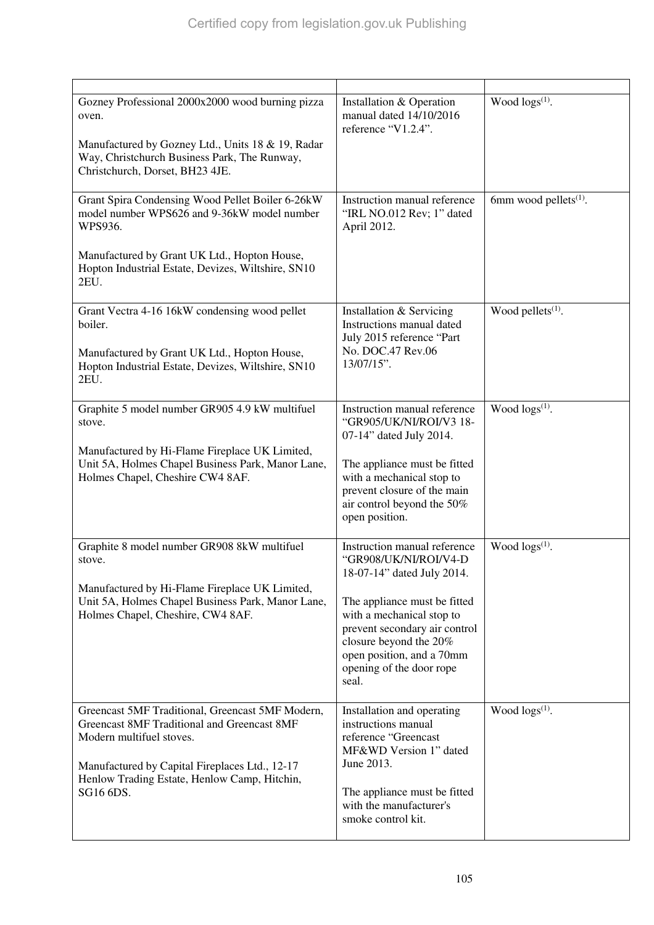| Gozney Professional 2000x2000 wood burning pizza<br>oven.<br>Manufactured by Gozney Ltd., Units 18 & 19, Radar<br>Way, Christchurch Business Park, The Runway,<br>Christchurch, Dorset, BH23 4JE.                                                 | Installation & Operation<br>manual dated 14/10/2016<br>reference "V1.2.4".                                                                                                                                                                                                    | Wood $\log(s^{(1)})$ .            |
|---------------------------------------------------------------------------------------------------------------------------------------------------------------------------------------------------------------------------------------------------|-------------------------------------------------------------------------------------------------------------------------------------------------------------------------------------------------------------------------------------------------------------------------------|-----------------------------------|
| Grant Spira Condensing Wood Pellet Boiler 6-26kW<br>model number WPS626 and 9-36kW model number<br>WPS936.<br>Manufactured by Grant UK Ltd., Hopton House,<br>Hopton Industrial Estate, Devizes, Wiltshire, SN10<br>2EU.                          | Instruction manual reference<br>"IRL NO.012 Rev; 1" dated<br>April 2012.                                                                                                                                                                                                      | 6mm wood pellets <sup>(1)</sup> . |
| Grant Vectra 4-16 16kW condensing wood pellet<br>boiler.<br>Manufactured by Grant UK Ltd., Hopton House,<br>Hopton Industrial Estate, Devizes, Wiltshire, SN10<br>2EU.                                                                            | Installation & Servicing<br>Instructions manual dated<br>July 2015 reference "Part<br>No. DOC.47 Rev.06<br>13/07/15".                                                                                                                                                         | Wood pellets $(1)$ .              |
| Graphite 5 model number GR905 4.9 kW multifuel<br>stove.<br>Manufactured by Hi-Flame Fireplace UK Limited,<br>Unit 5A, Holmes Chapel Business Park, Manor Lane,<br>Holmes Chapel, Cheshire CW4 8AF.                                               | Instruction manual reference<br>"GR905/UK/NI/ROI/V3 18-<br>07-14" dated July 2014.<br>The appliance must be fitted<br>with a mechanical stop to<br>prevent closure of the main<br>air control beyond the 50%<br>open position.                                                | Wood $\log(s^{(1)})$ .            |
| Graphite 8 model number GR908 8kW multifuel<br>stove.<br>Manufactured by Hi-Flame Fireplace UK Limited,<br>Unit 5A, Holmes Chapel Business Park, Manor Lane,<br>Holmes Chapel, Cheshire, CW4 8AF.                                                 | Instruction manual reference<br>"GR908/UK/NI/ROI/V4-D<br>18-07-14" dated July 2014.<br>The appliance must be fitted<br>with a mechanical stop to<br>prevent secondary air control<br>closure beyond the 20%<br>open position, and a 70mm<br>opening of the door rope<br>seal. | Wood $\log(s^{(1)})$ .            |
| Greencast 5MF Traditional, Greencast 5MF Modern,<br><b>Greencast 8MF Traditional and Greencast 8MF</b><br>Modern multifuel stoves.<br>Manufactured by Capital Fireplaces Ltd., 12-17<br>Henlow Trading Estate, Henlow Camp, Hitchin,<br>SG16 6DS. | Installation and operating<br>instructions manual<br>reference "Greencast<br>MF&WD Version 1" dated<br>June 2013.<br>The appliance must be fitted<br>with the manufacturer's<br>smoke control kit.                                                                            | Wood $\log(s^{(1)})$ .            |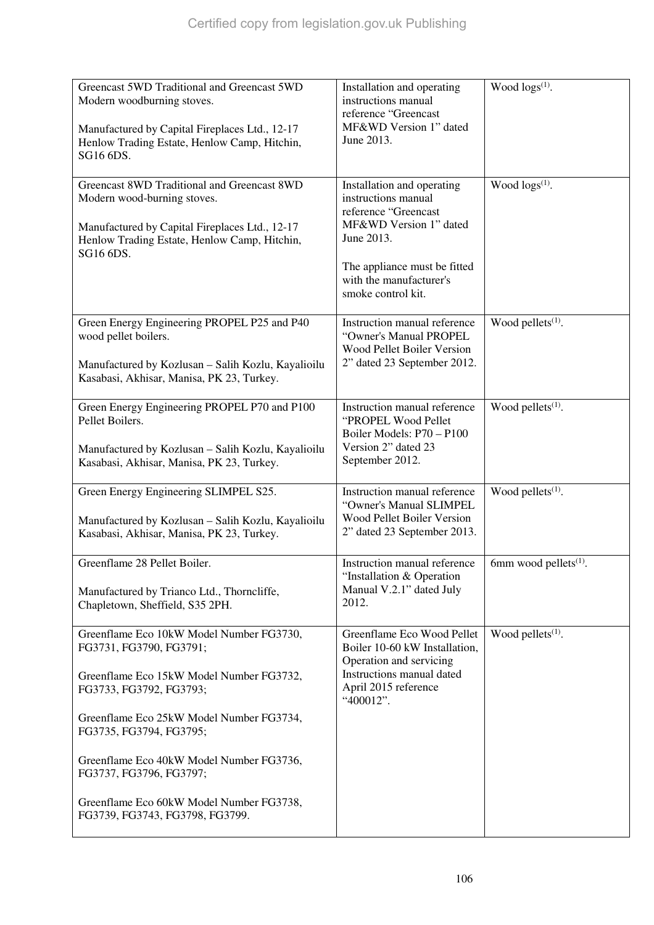| Greencast 5WD Traditional and Greencast 5WD<br>Modern woodburning stoves.<br>Manufactured by Capital Fireplaces Ltd., 12-17<br>Henlow Trading Estate, Henlow Camp, Hitchin,<br>SG16 6DS.                                                                                                                                                                                | Installation and operating<br>instructions manual<br>reference "Greencast<br>MF&WD Version 1" dated<br>June 2013.                                                                                  | Wood $\log s^{(1)}$ .             |
|-------------------------------------------------------------------------------------------------------------------------------------------------------------------------------------------------------------------------------------------------------------------------------------------------------------------------------------------------------------------------|----------------------------------------------------------------------------------------------------------------------------------------------------------------------------------------------------|-----------------------------------|
| Greencast 8WD Traditional and Greencast 8WD<br>Modern wood-burning stoves.<br>Manufactured by Capital Fireplaces Ltd., 12-17<br>Henlow Trading Estate, Henlow Camp, Hitchin,<br>SG16 6DS.                                                                                                                                                                               | Installation and operating<br>instructions manual<br>reference "Greencast<br>MF&WD Version 1" dated<br>June 2013.<br>The appliance must be fitted<br>with the manufacturer's<br>smoke control kit. | Wood logs(1).                     |
| Green Energy Engineering PROPEL P25 and P40<br>wood pellet boilers.<br>Manufactured by Kozlusan - Salih Kozlu, Kayalioilu<br>Kasabasi, Akhisar, Manisa, PK 23, Turkey.                                                                                                                                                                                                  | Instruction manual reference<br>"Owner's Manual PROPEL<br>Wood Pellet Boiler Version<br>2" dated 23 September 2012.                                                                                | Wood pellets <sup>(1)</sup> .     |
| Green Energy Engineering PROPEL P70 and P100<br>Pellet Boilers.<br>Manufactured by Kozlusan - Salih Kozlu, Kayalioilu<br>Kasabasi, Akhisar, Manisa, PK 23, Turkey.                                                                                                                                                                                                      | Instruction manual reference<br>"PROPEL Wood Pellet<br>Boiler Models: P70 - P100<br>Version 2" dated 23<br>September 2012.                                                                         | Wood pellets <sup>(1)</sup> .     |
| Green Energy Engineering SLIMPEL S25.<br>Manufactured by Kozlusan - Salih Kozlu, Kayalioilu<br>Kasabasi, Akhisar, Manisa, PK 23, Turkey.                                                                                                                                                                                                                                | Instruction manual reference<br>"Owner's Manual SLIMPEL<br><b>Wood Pellet Boiler Version</b><br>2" dated 23 September 2013.                                                                        | Wood pellets <sup>(1)</sup> .     |
| Greenflame 28 Pellet Boiler.<br>Manufactured by Trianco Ltd., Thorncliffe,<br>Chapletown, Sheffield, S35 2PH.                                                                                                                                                                                                                                                           | Instruction manual reference<br>"Installation & Operation"<br>Manual V.2.1" dated July<br>2012.                                                                                                    | 6mm wood pellets <sup>(1)</sup> . |
| Greenflame Eco 10kW Model Number FG3730,<br>FG3731, FG3790, FG3791;<br>Greenflame Eco 15kW Model Number FG3732,<br>FG3733, FG3792, FG3793;<br>Greenflame Eco 25kW Model Number FG3734,<br>FG3735, FG3794, FG3795;<br>Greenflame Eco 40kW Model Number FG3736,<br>FG3737, FG3796, FG3797;<br>Greenflame Eco 60kW Model Number FG3738,<br>FG3739, FG3743, FG3798, FG3799. | Greenflame Eco Wood Pellet<br>Boiler 10-60 kW Installation,<br>Operation and servicing<br>Instructions manual dated<br>April 2015 reference<br>"400012".                                           | Wood pellets $(1)$ .              |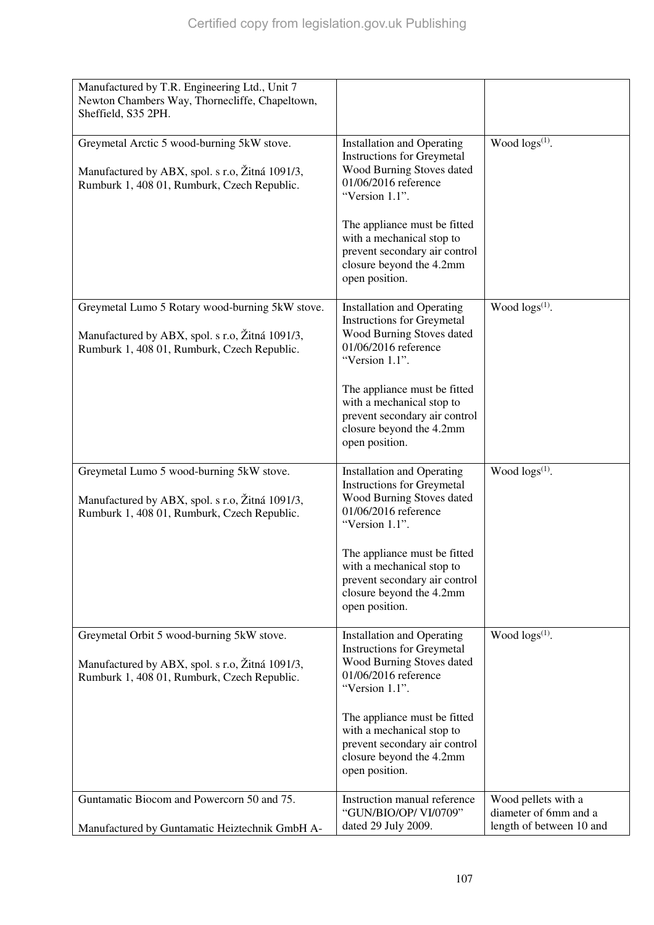| Manufactured by T.R. Engineering Ltd., Unit 7<br>Newton Chambers Way, Thornecliffe, Chapeltown,<br>Sheffield, S35 2PH.<br>Wood $\log(s^{(1)})$ .<br>Greymetal Arctic 5 wood-burning 5kW stove.<br><b>Installation and Operating</b><br><b>Instructions for Greymetal</b><br>Wood Burning Stoves dated<br>Manufactured by ABX, spol. s r.o, Žitná 1091/3,<br>01/06/2016 reference<br>Rumburk 1, 408 01, Rumburk, Czech Republic.<br>"Version 1.1".<br>The appliance must be fitted<br>with a mechanical stop to<br>prevent secondary air control<br>closure beyond the 4.2mm<br>open position.<br>Wood $\log(s^{(1)})$ .<br>Greymetal Lumo 5 Rotary wood-burning 5kW stove.<br><b>Installation and Operating</b><br><b>Instructions for Greymetal</b><br>Wood Burning Stoves dated<br>Manufactured by ABX, spol. s r.o, Žitná 1091/3,<br>01/06/2016 reference<br>Rumburk 1, 408 01, Rumburk, Czech Republic.<br>"Version 1.1".<br>The appliance must be fitted<br>with a mechanical stop to<br>prevent secondary air control<br>closure beyond the 4.2mm<br>open position.<br>Wood $\log s^{(1)}$ .<br>Greymetal Lumo 5 wood-burning 5kW stove.<br><b>Installation and Operating</b><br><b>Instructions for Greymetal</b><br>Wood Burning Stoves dated<br>Manufactured by ABX, spol. s r.o, Žitná 1091/3,<br>01/06/2016 reference<br>Rumburk 1, 408 01, Rumburk, Czech Republic.<br>"Version 1.1".<br>The appliance must be fitted<br>with a mechanical stop to<br>prevent secondary air control<br>closure beyond the 4.2mm<br>open position.<br>Wood $\log(s^{(1)})$ .<br>Greymetal Orbit 5 wood-burning 5kW stove.<br><b>Installation and Operating</b><br><b>Instructions for Greymetal</b><br>Wood Burning Stoves dated<br>Manufactured by ABX, spol. s r.o, Žitná 1091/3,<br>01/06/2016 reference<br>Rumburk 1, 408 01, Rumburk, Czech Republic.<br>"Version 1.1".<br>The appliance must be fitted<br>with a mechanical stop to<br>prevent secondary air control<br>closure beyond the 4.2mm<br>open position.<br>Guntamatic Biocom and Powercorn 50 and 75.<br>Instruction manual reference<br>Wood pellets with a<br>"GUN/BIO/OP/VI/0709"<br>diameter of 6mm and a<br>dated 29 July 2009.<br>length of between 10 and<br>Manufactured by Guntamatic Heiztechnik GmbH A- |  |  |
|--------------------------------------------------------------------------------------------------------------------------------------------------------------------------------------------------------------------------------------------------------------------------------------------------------------------------------------------------------------------------------------------------------------------------------------------------------------------------------------------------------------------------------------------------------------------------------------------------------------------------------------------------------------------------------------------------------------------------------------------------------------------------------------------------------------------------------------------------------------------------------------------------------------------------------------------------------------------------------------------------------------------------------------------------------------------------------------------------------------------------------------------------------------------------------------------------------------------------------------------------------------------------------------------------------------------------------------------------------------------------------------------------------------------------------------------------------------------------------------------------------------------------------------------------------------------------------------------------------------------------------------------------------------------------------------------------------------------------------------------------------------------------------------------------------------------------------------------------------------------------------------------------------------------------------------------------------------------------------------------------------------------------------------------------------------------------------------------------------------------------------------------------------------------------------------------------------------------------------------------------------------------------------|--|--|
|                                                                                                                                                                                                                                                                                                                                                                                                                                                                                                                                                                                                                                                                                                                                                                                                                                                                                                                                                                                                                                                                                                                                                                                                                                                                                                                                                                                                                                                                                                                                                                                                                                                                                                                                                                                                                                                                                                                                                                                                                                                                                                                                                                                                                                                                                |  |  |
|                                                                                                                                                                                                                                                                                                                                                                                                                                                                                                                                                                                                                                                                                                                                                                                                                                                                                                                                                                                                                                                                                                                                                                                                                                                                                                                                                                                                                                                                                                                                                                                                                                                                                                                                                                                                                                                                                                                                                                                                                                                                                                                                                                                                                                                                                |  |  |
|                                                                                                                                                                                                                                                                                                                                                                                                                                                                                                                                                                                                                                                                                                                                                                                                                                                                                                                                                                                                                                                                                                                                                                                                                                                                                                                                                                                                                                                                                                                                                                                                                                                                                                                                                                                                                                                                                                                                                                                                                                                                                                                                                                                                                                                                                |  |  |
|                                                                                                                                                                                                                                                                                                                                                                                                                                                                                                                                                                                                                                                                                                                                                                                                                                                                                                                                                                                                                                                                                                                                                                                                                                                                                                                                                                                                                                                                                                                                                                                                                                                                                                                                                                                                                                                                                                                                                                                                                                                                                                                                                                                                                                                                                |  |  |
|                                                                                                                                                                                                                                                                                                                                                                                                                                                                                                                                                                                                                                                                                                                                                                                                                                                                                                                                                                                                                                                                                                                                                                                                                                                                                                                                                                                                                                                                                                                                                                                                                                                                                                                                                                                                                                                                                                                                                                                                                                                                                                                                                                                                                                                                                |  |  |
|                                                                                                                                                                                                                                                                                                                                                                                                                                                                                                                                                                                                                                                                                                                                                                                                                                                                                                                                                                                                                                                                                                                                                                                                                                                                                                                                                                                                                                                                                                                                                                                                                                                                                                                                                                                                                                                                                                                                                                                                                                                                                                                                                                                                                                                                                |  |  |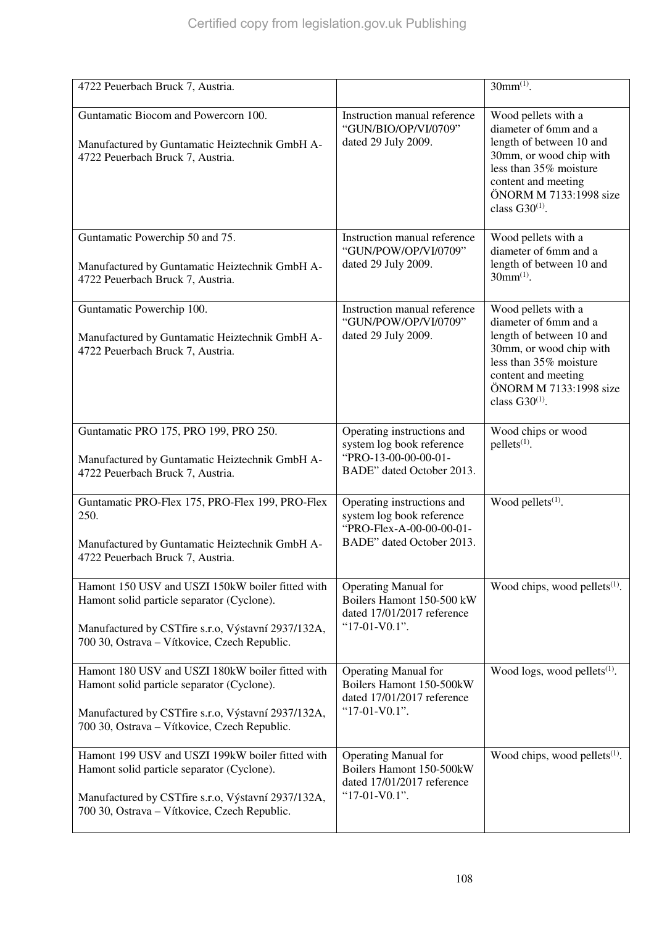| 4722 Peuerbach Bruck 7, Austria.                                                                                                                                                                     |                                                                                                                  | $30mm^{(1)}$ .                                                                                                                                                                                        |
|------------------------------------------------------------------------------------------------------------------------------------------------------------------------------------------------------|------------------------------------------------------------------------------------------------------------------|-------------------------------------------------------------------------------------------------------------------------------------------------------------------------------------------------------|
| Guntamatic Biocom and Powercorn 100.<br>Manufactured by Guntamatic Heiztechnik GmbH A-<br>4722 Peuerbach Bruck 7, Austria.                                                                           | Instruction manual reference<br>"GUN/BIO/OP/VI/0709"<br>dated 29 July 2009.                                      | Wood pellets with a<br>diameter of 6mm and a<br>length of between 10 and<br>30mm, or wood chip with<br>less than 35% moisture<br>content and meeting<br>ÖNORM M 7133:1998 size<br>class $G30^{(1)}$ . |
| Guntamatic Powerchip 50 and 75.<br>Manufactured by Guntamatic Heiztechnik GmbH A-<br>4722 Peuerbach Bruck 7, Austria.                                                                                | Instruction manual reference<br>"GUN/POW/OP/VI/0709"<br>dated 29 July 2009.                                      | Wood pellets with a<br>diameter of 6mm and a<br>length of between 10 and<br>$30mm^{(1)}$ .                                                                                                            |
| Guntamatic Powerchip 100.<br>Manufactured by Guntamatic Heiztechnik GmbH A-<br>4722 Peuerbach Bruck 7, Austria.                                                                                      | Instruction manual reference<br>"GUN/POW/OP/VI/0709"<br>dated 29 July 2009.                                      | Wood pellets with a<br>diameter of 6mm and a<br>length of between 10 and<br>30mm, or wood chip with<br>less than 35% moisture<br>content and meeting<br>ÖNORM M 7133:1998 size<br>class $G30^{(1)}$ . |
| Guntamatic PRO 175, PRO 199, PRO 250.<br>Manufactured by Guntamatic Heiztechnik GmbH A-<br>4722 Peuerbach Bruck 7, Austria.                                                                          | Operating instructions and<br>system log book reference<br>"PRO-13-00-00-00-01-<br>BADE" dated October 2013.     | Wood chips or wood<br>$pellets(1)$ .                                                                                                                                                                  |
| Guntamatic PRO-Flex 175, PRO-Flex 199, PRO-Flex<br>250.<br>Manufactured by Guntamatic Heiztechnik GmbH A-<br>4722 Peuerbach Bruck 7, Austria.                                                        | Operating instructions and<br>system log book reference<br>"PRO-Flex-A-00-00-00-01-<br>BADE" dated October 2013. | Wood pellets $(1)$ .                                                                                                                                                                                  |
| Hamont 150 USV and USZI 150kW boiler fitted with<br>Hamont solid particle separator (Cyclone).<br>Manufactured by CSTfire s.r.o, Výstavní 2937/132A,<br>700 30, Ostrava - Vítkovice, Czech Republic. | <b>Operating Manual for</b><br>Boilers Hamont 150-500 kW<br>dated 17/01/2017 reference<br>"17-01-V0.1".          | Wood chips, wood pellets $(1)$ .                                                                                                                                                                      |
| Hamont 180 USV and USZI 180kW boiler fitted with<br>Hamont solid particle separator (Cyclone).<br>Manufactured by CSTfire s.r.o, Výstavní 2937/132A,<br>700 30, Ostrava – Vítkovice, Czech Republic. | <b>Operating Manual for</b><br>Boilers Hamont 150-500kW<br>dated 17/01/2017 reference<br>"17-01-V0.1".           | Wood logs, wood pellets $(1)$ .                                                                                                                                                                       |
| Hamont 199 USV and USZI 199kW boiler fitted with<br>Hamont solid particle separator (Cyclone).<br>Manufactured by CSTfire s.r.o, Výstavní 2937/132A,<br>700 30, Ostrava - Vítkovice, Czech Republic. | <b>Operating Manual for</b><br>Boilers Hamont 150-500kW<br>dated 17/01/2017 reference<br>" $17-01-VO.1"$ .       | Wood chips, wood pellets $(1)$ .                                                                                                                                                                      |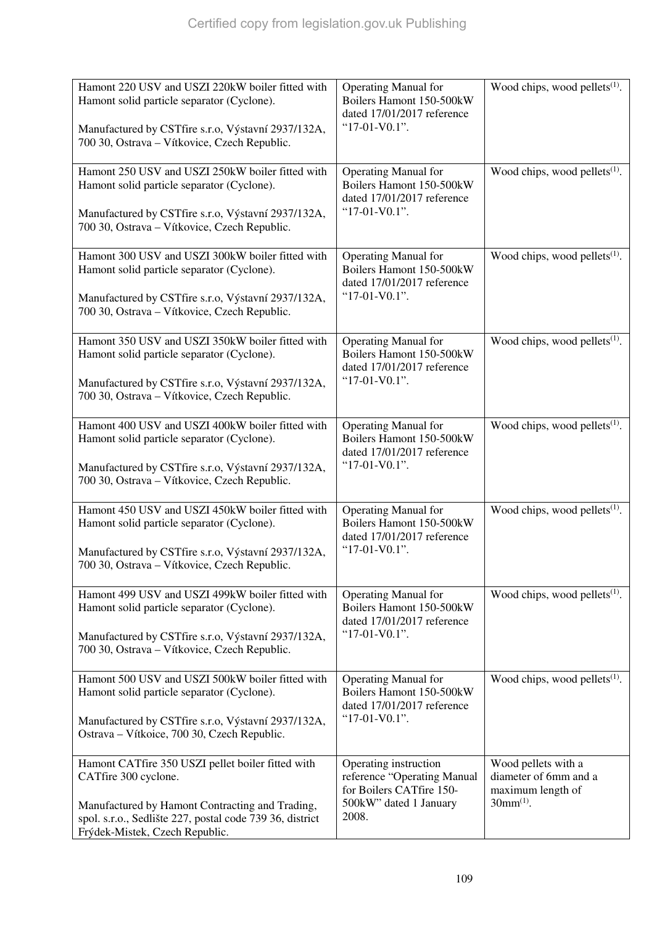| Hamont 220 USV and USZI 220kW boiler fitted with<br>Hamont solid particle separator (Cyclone).<br>Manufactured by CSTfire s.r.o, Výstavní 2937/132A,<br>700 30, Ostrava - Vítkovice, Czech Republic.                       | <b>Operating Manual for</b><br>Boilers Hamont 150-500kW<br>dated 17/01/2017 reference<br>"17-01-V0.1".              | Wood chips, wood pellets <sup>(1)</sup> .                                           |
|----------------------------------------------------------------------------------------------------------------------------------------------------------------------------------------------------------------------------|---------------------------------------------------------------------------------------------------------------------|-------------------------------------------------------------------------------------|
| Hamont 250 USV and USZI 250kW boiler fitted with<br>Hamont solid particle separator (Cyclone).<br>Manufactured by CSTfire s.r.o, Výstavní 2937/132A,<br>700 30, Ostrava - Vítkovice, Czech Republic.                       | <b>Operating Manual for</b><br>Boilers Hamont 150-500kW<br>dated 17/01/2017 reference<br>" $17-01-VO.1"$ .          | Wood chips, wood pellets $(1)$ .                                                    |
| Hamont 300 USV and USZI 300kW boiler fitted with<br>Hamont solid particle separator (Cyclone).<br>Manufactured by CSTfire s.r.o, Výstavní 2937/132A,<br>700 30, Ostrava - Vítkovice, Czech Republic.                       | <b>Operating Manual for</b><br>Boilers Hamont 150-500kW<br>dated 17/01/2017 reference<br>" $17-01-VO.1"$ .          | Wood chips, wood pellets $(1)$ .                                                    |
| Hamont 350 USV and USZI 350kW boiler fitted with<br>Hamont solid particle separator (Cyclone).<br>Manufactured by CSTfire s.r.o, Výstavní 2937/132A,<br>700 30, Ostrava - Vítkovice, Czech Republic.                       | <b>Operating Manual for</b><br>Boilers Hamont 150-500kW<br>dated 17/01/2017 reference<br>"17-01-V0.1".              | Wood chips, wood pellets $(1)$ .                                                    |
| Hamont 400 USV and USZI 400kW boiler fitted with<br>Hamont solid particle separator (Cyclone).<br>Manufactured by CSTfire s.r.o, Výstavní 2937/132A,<br>700 30, Ostrava - Vítkovice, Czech Republic.                       | <b>Operating Manual for</b><br>Boilers Hamont 150-500kW<br>dated 17/01/2017 reference<br>" $17-01-VO.1"$ .          | Wood chips, wood pellets <sup>(1)</sup> .                                           |
| Hamont 450 USV and USZI 450kW boiler fitted with<br>Hamont solid particle separator (Cyclone).<br>Manufactured by CSTfire s.r.o, Výstavní 2937/132A,<br>700 30, Ostrava - Vítkovice, Czech Republic.                       | <b>Operating Manual for</b><br>Boilers Hamont 150-500kW<br>dated 17/01/2017 reference<br>"17-01-V0.1".              | Wood chips, wood pellets $(1)$ .                                                    |
| Hamont 499 USV and USZI 499kW boiler fitted with<br>Hamont solid particle separator (Cyclone).<br>Manufactured by CSTfire s.r.o, Výstavní 2937/132A,<br>700 30, Ostrava - Vítkovice, Czech Republic.                       | <b>Operating Manual for</b><br>Boilers Hamont 150-500kW<br>dated 17/01/2017 reference<br>"17-01-V0.1".              | Wood chips, wood pellets $(1)$ .                                                    |
| Hamont 500 USV and USZI 500kW boiler fitted with<br>Hamont solid particle separator (Cyclone).<br>Manufactured by CSTfire s.r.o, Výstavní 2937/132A,<br>Ostrava - Vítkoice, 700 30, Czech Republic.                        | <b>Operating Manual for</b><br>Boilers Hamont 150-500kW<br>dated 17/01/2017 reference<br>" $17-01-VO.1"$ .          | Wood chips, wood pellets $(1)$ .                                                    |
| Hamont CATfire 350 USZI pellet boiler fitted with<br>CATfire 300 cyclone.<br>Manufactured by Hamont Contracting and Trading,<br>spol. s.r.o., Sedlište 227, postal code 739 36, district<br>Frýdek-Mistek, Czech Republic. | Operating instruction<br>reference "Operating Manual<br>for Boilers CATfire 150-<br>500kW" dated 1 January<br>2008. | Wood pellets with a<br>diameter of 6mm and a<br>maximum length of<br>$30mm^{(1)}$ . |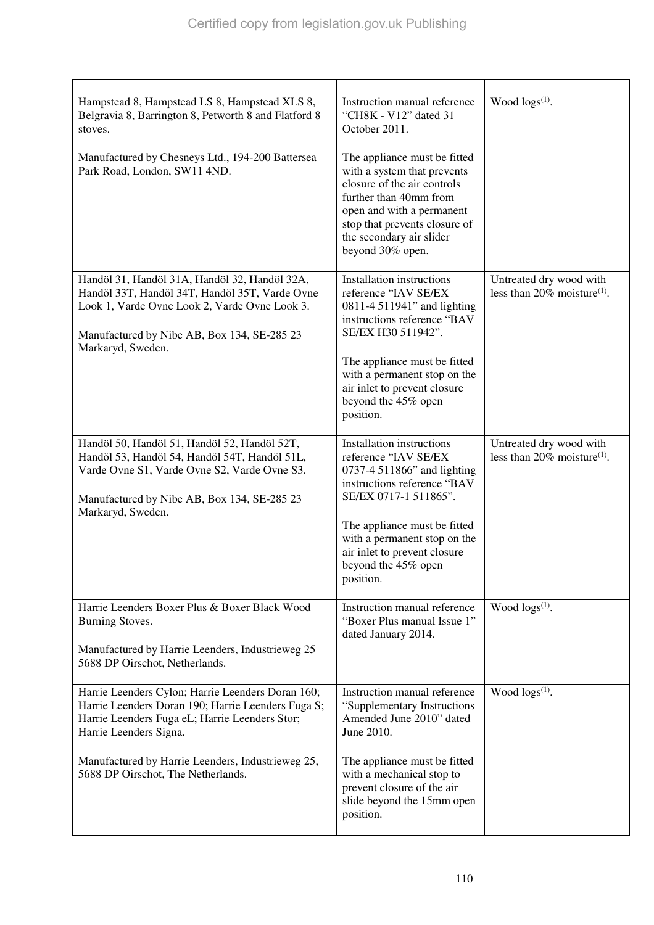| Hampstead 8, Hampstead LS 8, Hampstead XLS 8,<br>Belgravia 8, Barrington 8, Petworth 8 and Flatford 8<br>stoves.<br>Manufactured by Chesneys Ltd., 194-200 Battersea<br>Park Road, London, SW11 4ND.                                                                           | Instruction manual reference<br>"CH8K - V12" dated 31<br>October 2011.<br>The appliance must be fitted<br>with a system that prevents<br>closure of the air controls<br>further than 40mm from<br>open and with a permanent<br>stop that prevents closure of<br>the secondary air slider<br>beyond 30% open. | Wood $\log(s^{(1)})$ .                                                |
|--------------------------------------------------------------------------------------------------------------------------------------------------------------------------------------------------------------------------------------------------------------------------------|--------------------------------------------------------------------------------------------------------------------------------------------------------------------------------------------------------------------------------------------------------------------------------------------------------------|-----------------------------------------------------------------------|
| Handöl 31, Handöl 31A, Handöl 32, Handöl 32A,<br>Handöl 33T, Handöl 34T, Handöl 35T, Varde Ovne<br>Look 1, Varde Ovne Look 2, Varde Ovne Look 3.<br>Manufactured by Nibe AB, Box 134, SE-285 23<br>Markaryd, Sweden.                                                           | Installation instructions<br>reference "IAV SE/EX<br>0811-4 511941" and lighting<br>instructions reference "BAV<br>SE/EX H30 511942".<br>The appliance must be fitted<br>with a permanent stop on the<br>air inlet to prevent closure<br>beyond the 45% open<br>position.                                    | Untreated dry wood with<br>less than 20% moisture <sup>(1)</sup> .    |
| Handöl 50, Handöl 51, Handöl 52, Handöl 52T,<br>Handöl 53, Handöl 54, Handöl 54T, Handöl 51L,<br>Varde Ovne S1, Varde Ovne S2, Varde Ovne S3.<br>Manufactured by Nibe AB, Box 134, SE-285 23<br>Markaryd, Sweden.                                                              | Installation instructions<br>reference "IAV SE/EX<br>0737-4 511866" and lighting<br>instructions reference "BAV<br>SE/EX 0717-1 511865".<br>The appliance must be fitted<br>with a permanent stop on the<br>air inlet to prevent closure<br>beyond the 45% open<br>position.                                 | Untreated dry wood with<br>less than $20\%$ moisture <sup>(1)</sup> . |
| Harrie Leenders Boxer Plus & Boxer Black Wood<br>Burning Stoves.<br>Manufactured by Harrie Leenders, Industrieweg 25<br>5688 DP Oirschot, Netherlands.                                                                                                                         | Instruction manual reference<br>"Boxer Plus manual Issue 1"<br>dated January 2014.                                                                                                                                                                                                                           | Wood $\log s^{(1)}$ .                                                 |
| Harrie Leenders Cylon; Harrie Leenders Doran 160;<br>Harrie Leenders Doran 190; Harrie Leenders Fuga S;<br>Harrie Leenders Fuga eL; Harrie Leenders Stor;<br>Harrie Leenders Signa.<br>Manufactured by Harrie Leenders, Industrieweg 25,<br>5688 DP Oirschot, The Netherlands. | Instruction manual reference<br>"Supplementary Instructions<br>Amended June 2010" dated<br>June 2010.<br>The appliance must be fitted<br>with a mechanical stop to<br>prevent closure of the air<br>slide beyond the 15mm open<br>position.                                                                  | Wood $\log s^{(1)}$ .                                                 |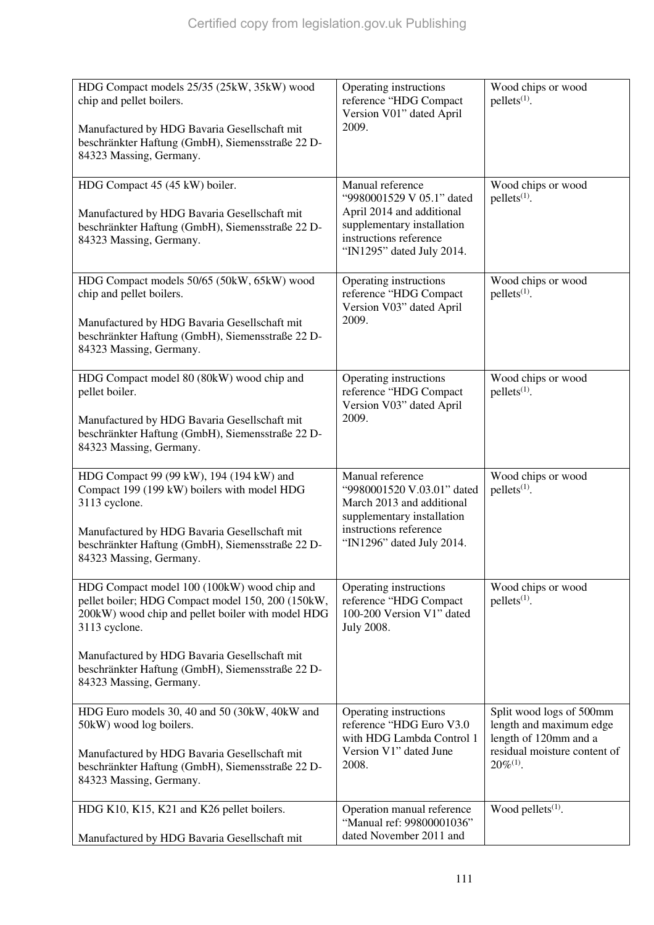| HDG Compact models 25/35 (25kW, 35kW) wood<br>chip and pellet boilers.<br>Manufactured by HDG Bavaria Gesellschaft mit<br>beschränkter Haftung (GmbH), Siemensstraße 22 D-<br>84323 Massing, Germany.                                                                                                 | Operating instructions<br>reference "HDG Compact<br>Version V01" dated April<br>2009.                                                                            | Wood chips or wood<br>pellets <sup>(1)</sup> .                                                                                 |
|-------------------------------------------------------------------------------------------------------------------------------------------------------------------------------------------------------------------------------------------------------------------------------------------------------|------------------------------------------------------------------------------------------------------------------------------------------------------------------|--------------------------------------------------------------------------------------------------------------------------------|
| HDG Compact 45 (45 kW) boiler.<br>Manufactured by HDG Bavaria Gesellschaft mit<br>beschränkter Haftung (GmbH), Siemensstraße 22 D-<br>84323 Massing, Germany.                                                                                                                                         | Manual reference<br>"9980001529 V 05.1" dated<br>April 2014 and additional<br>supplementary installation<br>instructions reference<br>"IN1295" dated July 2014.  | Wood chips or wood<br>$pellets(1)$ .                                                                                           |
| HDG Compact models 50/65 (50kW, 65kW) wood<br>chip and pellet boilers.<br>Manufactured by HDG Bavaria Gesellschaft mit<br>beschränkter Haftung (GmbH), Siemensstraße 22 D-<br>84323 Massing, Germany.                                                                                                 | Operating instructions<br>reference "HDG Compact<br>Version V03" dated April<br>2009.                                                                            | Wood chips or wood<br>$pellets(1)$ .                                                                                           |
| HDG Compact model 80 (80kW) wood chip and<br>pellet boiler.<br>Manufactured by HDG Bavaria Gesellschaft mit<br>beschränkter Haftung (GmbH), Siemensstraße 22 D-<br>84323 Massing, Germany.                                                                                                            | Operating instructions<br>reference "HDG Compact<br>Version V03" dated April<br>2009.                                                                            | Wood chips or wood<br>$pellets(1)$ .                                                                                           |
| HDG Compact 99 (99 kW), 194 (194 kW) and<br>Compact 199 (199 kW) boilers with model HDG<br>3113 cyclone.<br>Manufactured by HDG Bavaria Gesellschaft mit<br>beschränkter Haftung (GmbH), Siemensstraße 22 D-<br>84323 Massing, Germany.                                                               | Manual reference<br>"9980001520 V.03.01" dated<br>March 2013 and additional<br>supplementary installation<br>instructions reference<br>"IN1296" dated July 2014. | Wood chips or wood<br>pellets <sup>(1)</sup> .                                                                                 |
| HDG Compact model 100 (100kW) wood chip and<br>pellet boiler; HDG Compact model 150, 200 (150kW,<br>200kW) wood chip and pellet boiler with model HDG<br>3113 cyclone.<br>Manufactured by HDG Bavaria Gesellschaft mit<br>beschränkter Haftung (GmbH), Siemensstraße 22 D-<br>84323 Massing, Germany. | Operating instructions<br>reference "HDG Compact<br>100-200 Version V1" dated<br>July 2008.                                                                      | Wood chips or wood<br>$pellets(1)$ .                                                                                           |
| HDG Euro models 30, 40 and 50 (30kW, 40kW and<br>50kW) wood log boilers.<br>Manufactured by HDG Bavaria Gesellschaft mit<br>beschränkter Haftung (GmbH), Siemensstraße 22 D-<br>84323 Massing, Germany.                                                                                               | Operating instructions<br>reference "HDG Euro V3.0<br>with HDG Lambda Control 1<br>Version V1" dated June<br>2008.                                               | Split wood logs of 500mm<br>length and maximum edge<br>length of 120mm and a<br>residual moisture content of<br>$20\%^{(1)}$ . |
| HDG K10, K15, K21 and K26 pellet boilers.<br>Manufactured by HDG Bavaria Gesellschaft mit                                                                                                                                                                                                             | Operation manual reference<br>"Manual ref: 99800001036"<br>dated November 2011 and                                                                               | Wood pellets $(1)$ .                                                                                                           |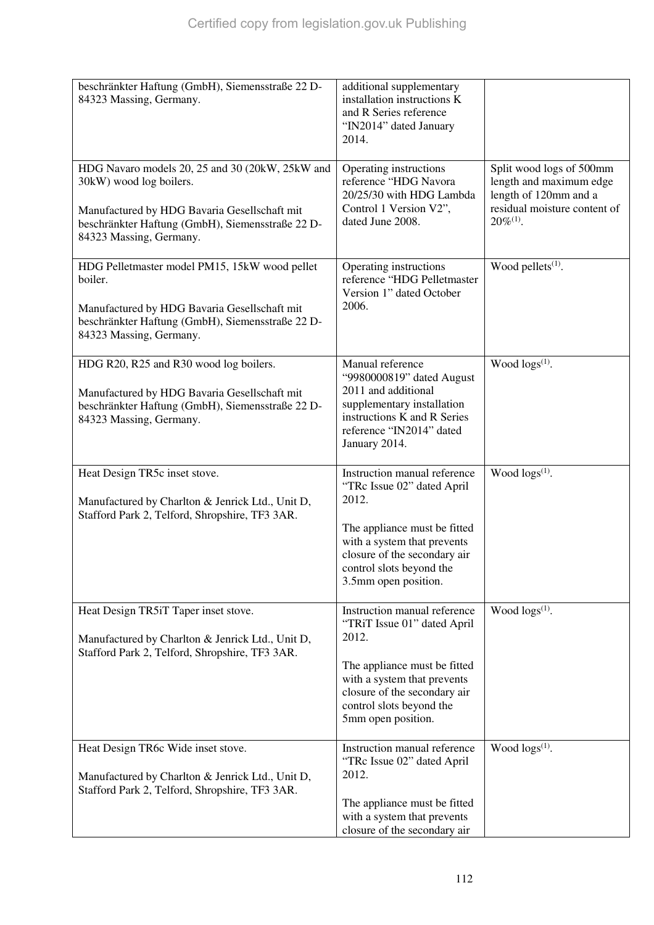| beschränkter Haftung (GmbH), Siemensstraße 22 D-<br>84323 Massing, Germany.                                                                                                                               | additional supplementary<br>installation instructions K<br>and R Series reference<br>"IN2014" dated January<br>2014.                                                                                                   |                                                                                                                                |
|-----------------------------------------------------------------------------------------------------------------------------------------------------------------------------------------------------------|------------------------------------------------------------------------------------------------------------------------------------------------------------------------------------------------------------------------|--------------------------------------------------------------------------------------------------------------------------------|
| HDG Navaro models 20, 25 and 30 (20kW, 25kW and<br>30kW) wood log boilers.<br>Manufactured by HDG Bavaria Gesellschaft mit<br>beschränkter Haftung (GmbH), Siemensstraße 22 D-<br>84323 Massing, Germany. | Operating instructions<br>reference "HDG Navora<br>20/25/30 with HDG Lambda<br>Control 1 Version V2",<br>dated June 2008.                                                                                              | Split wood logs of 500mm<br>length and maximum edge<br>length of 120mm and a<br>residual moisture content of<br>$20\%^{(1)}$ . |
| HDG Pelletmaster model PM15, 15kW wood pellet<br>boiler.<br>Manufactured by HDG Bavaria Gesellschaft mit<br>beschränkter Haftung (GmbH), Siemensstraße 22 D-<br>84323 Massing, Germany.                   | Operating instructions<br>reference "HDG Pelletmaster<br>Version 1" dated October<br>2006.                                                                                                                             | Wood pellets <sup>(1)</sup> .                                                                                                  |
| HDG R20, R25 and R30 wood log boilers.<br>Manufactured by HDG Bavaria Gesellschaft mit<br>beschränkter Haftung (GmbH), Siemensstraße 22 D-<br>84323 Massing, Germany.                                     | Manual reference<br>"9980000819" dated August<br>2011 and additional<br>supplementary installation<br>instructions K and R Series<br>reference "IN2014" dated<br>January 2014.                                         | Wood logs <sup>(1)</sup> .                                                                                                     |
| Heat Design TR5c inset stove.<br>Manufactured by Charlton & Jenrick Ltd., Unit D,<br>Stafford Park 2, Telford, Shropshire, TF3 3AR.                                                                       | Instruction manual reference<br>"TRc Issue 02" dated April<br>2012.<br>The appliance must be fitted<br>with a system that prevents<br>closure of the secondary air<br>control slots beyond the<br>3.5mm open position. | Wood $\log(s^{(1)})$ .                                                                                                         |
| Heat Design TR5iT Taper inset stove.<br>Manufactured by Charlton & Jenrick Ltd., Unit D,<br>Stafford Park 2, Telford, Shropshire, TF3 3AR.                                                                | Instruction manual reference<br>"TRiT Issue 01" dated April<br>2012.<br>The appliance must be fitted<br>with a system that prevents<br>closure of the secondary air<br>control slots beyond the<br>5mm open position.  | Wood $\log s^{(1)}$ .                                                                                                          |
| Heat Design TR6c Wide inset stove.<br>Manufactured by Charlton & Jenrick Ltd., Unit D,<br>Stafford Park 2, Telford, Shropshire, TF3 3AR.                                                                  | Instruction manual reference<br>"TRc Issue 02" dated April<br>2012.<br>The appliance must be fitted<br>with a system that prevents<br>closure of the secondary air                                                     | Wood $\log s^{(1)}$ .                                                                                                          |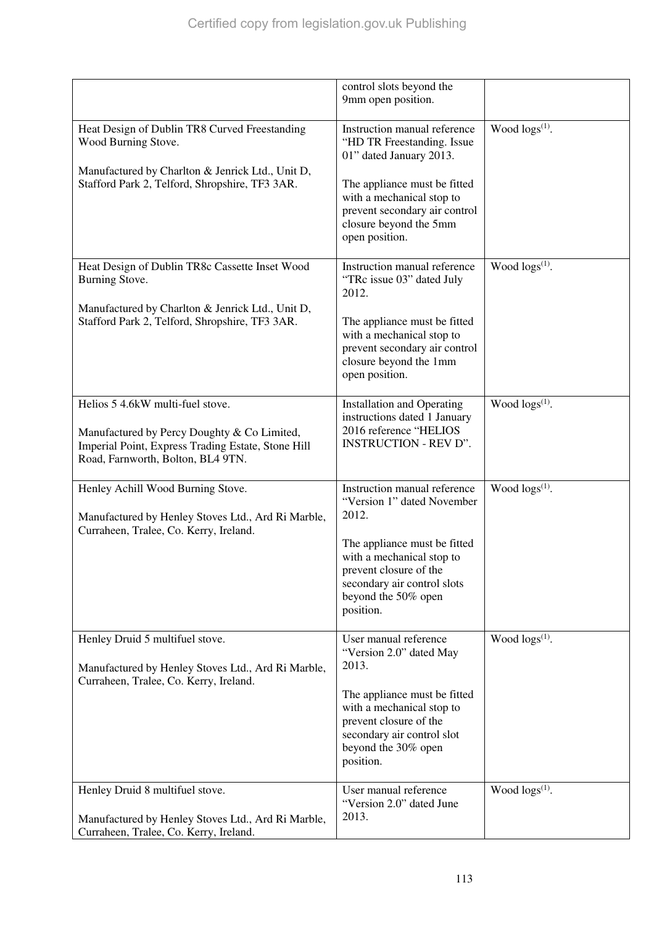|                                                                                                                                                                            | control slots beyond the<br>9mm open position.                                                                                                                                                                                              |                        |
|----------------------------------------------------------------------------------------------------------------------------------------------------------------------------|---------------------------------------------------------------------------------------------------------------------------------------------------------------------------------------------------------------------------------------------|------------------------|
| Heat Design of Dublin TR8 Curved Freestanding<br>Wood Burning Stove.<br>Manufactured by Charlton & Jenrick Ltd., Unit D,<br>Stafford Park 2, Telford, Shropshire, TF3 3AR. | Instruction manual reference<br>"HD TR Freestanding. Issue<br>01" dated January 2013.<br>The appliance must be fitted<br>with a mechanical stop to<br>prevent secondary air control<br>closure beyond the 5mm<br>open position.             | Wood $\log(s^{(1)})$ . |
| Heat Design of Dublin TR8c Cassette Inset Wood<br>Burning Stove.<br>Manufactured by Charlton & Jenrick Ltd., Unit D,<br>Stafford Park 2, Telford, Shropshire, TF3 3AR.     | Instruction manual reference<br>"TRc issue 03" dated July<br>2012.<br>The appliance must be fitted<br>with a mechanical stop to<br>prevent secondary air control<br>closure beyond the 1mm<br>open position.                                | Wood $\log(s^{(1)})$ . |
| Helios 5 4.6kW multi-fuel stove.<br>Manufactured by Percy Doughty & Co Limited,<br>Imperial Point, Express Trading Estate, Stone Hill<br>Road, Farnworth, Bolton, BL4 9TN. | <b>Installation and Operating</b><br>instructions dated 1 January<br>2016 reference "HELIOS<br><b>INSTRUCTION - REV D".</b>                                                                                                                 | Wood $\log s^{(1)}$ .  |
| Henley Achill Wood Burning Stove.<br>Manufactured by Henley Stoves Ltd., Ard Ri Marble,<br>Curraheen, Tralee, Co. Kerry, Ireland.                                          | Instruction manual reference<br>"Version 1" dated November<br>2012.<br>The appliance must be fitted<br>with a mechanical stop to<br>prevent closure of the<br>secondary air control slots<br>beyond the 50% open<br>position.               | Wood $\log(s^{(1)})$ . |
| Henley Druid 5 multifuel stove.<br>Manufactured by Henley Stoves Ltd., Ard Ri Marble,<br>Curraheen, Tralee, Co. Kerry, Ireland.                                            | User manual reference<br>"Version 2.0" dated May<br>2013.<br>The appliance must be fitted<br>with a mechanical stop to<br>prevent closure of the<br>secondary air control slot<br>beyond the 30% open<br>position.<br>User manual reference | Wood $\log s^{(1)}$ .  |
| Henley Druid 8 multifuel stove.<br>Manufactured by Henley Stoves Ltd., Ard Ri Marble,<br>Curraheen, Tralee, Co. Kerry, Ireland.                                            | "Version 2.0" dated June<br>2013.                                                                                                                                                                                                           | Wood $\log(s^{(1)})$ . |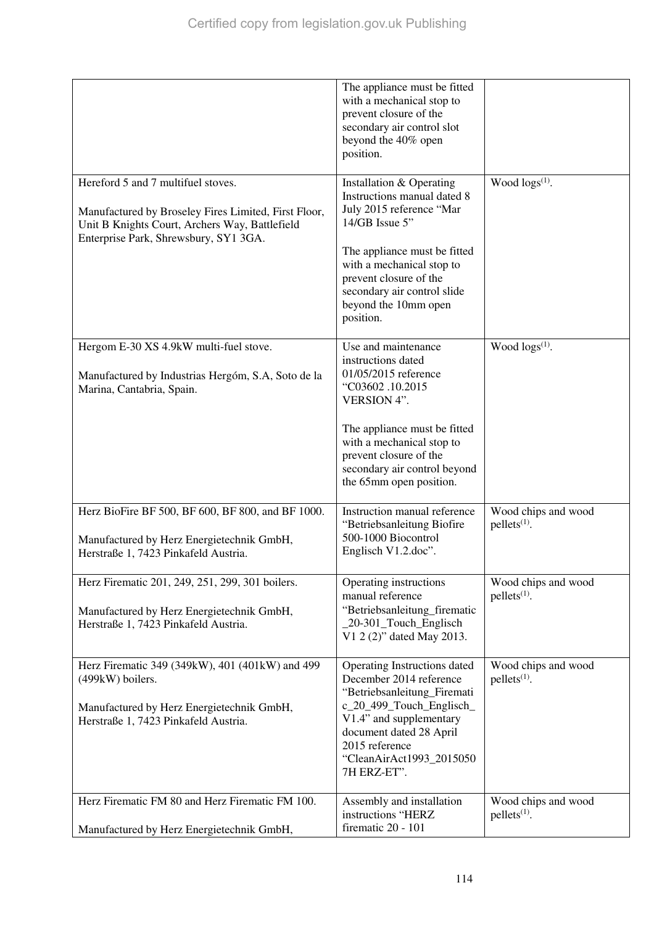|                                                                                                                                                                                       | The appliance must be fitted<br>with a mechanical stop to<br>prevent closure of the<br>secondary air control slot<br>beyond the 40% open<br>position.                                                                                                            |                                       |
|---------------------------------------------------------------------------------------------------------------------------------------------------------------------------------------|------------------------------------------------------------------------------------------------------------------------------------------------------------------------------------------------------------------------------------------------------------------|---------------------------------------|
| Hereford 5 and 7 multifuel stoves.<br>Manufactured by Broseley Fires Limited, First Floor,<br>Unit B Knights Court, Archers Way, Battlefield<br>Enterprise Park, Shrewsbury, SY1 3GA. | Installation & Operating<br>Instructions manual dated 8<br>July 2015 reference "Mar<br>14/GB Issue 5"<br>The appliance must be fitted<br>with a mechanical stop to<br>prevent closure of the<br>secondary air control slide<br>beyond the 10mm open<br>position. | Wood $\log(s^{(1)})$ .                |
| Hergom E-30 XS 4.9kW multi-fuel stove.<br>Manufactured by Industrias Hergóm, S.A, Soto de la<br>Marina, Cantabria, Spain.                                                             | Use and maintenance<br>instructions dated<br>01/05/2015 reference<br>"C03602.10.2015<br><b>VERSION 4".</b><br>The appliance must be fitted<br>with a mechanical stop to<br>prevent closure of the<br>secondary air control beyond<br>the 65mm open position.     | Wood $\log s^{(1)}$ .                 |
| Herz BioFire BF 500, BF 600, BF 800, and BF 1000.<br>Manufactured by Herz Energietechnik GmbH,<br>Herstraße 1, 7423 Pinkafeld Austria.                                                | Instruction manual reference<br>"Betriebsanleitung Biofire<br>500-1000 Biocontrol<br>Englisch V1.2.doc".                                                                                                                                                         | Wood chips and wood<br>$pellets(1)$ . |
| Herz Firematic 201, 249, 251, 299, 301 boilers.<br>Manufactured by Herz Energietechnik GmbH,<br>Herstraße 1, 7423 Pinkafeld Austria.                                                  | Operating instructions<br>manual reference<br>"Betriebsanleitung_firematic<br>_20-301_Touch_Englisch<br>V1 2 (2)" dated May 2013.                                                                                                                                | Wood chips and wood<br>$pellets(1)$ . |
| Herz Firematic 349 (349kW), 401 (401kW) and 499<br>(499kW) boilers.<br>Manufactured by Herz Energietechnik GmbH,<br>Herstraße 1, 7423 Pinkafeld Austria.                              | Operating Instructions dated<br>December 2014 reference<br>"Betriebsanleitung_Firemati<br>c_20_499_Touch_Englisch_<br>V1.4" and supplementary<br>document dated 28 April<br>2015 reference<br>"CleanAirAct1993_2015050<br>7H ERZ-ET".                            | Wood chips and wood<br>$pellets(1)$ . |
| Herz Firematic FM 80 and Herz Firematic FM 100.<br>Manufactured by Herz Energietechnik GmbH,                                                                                          | Assembly and installation<br>instructions "HERZ<br>firematic 20 - 101                                                                                                                                                                                            | Wood chips and wood<br>$pellets(1)$ . |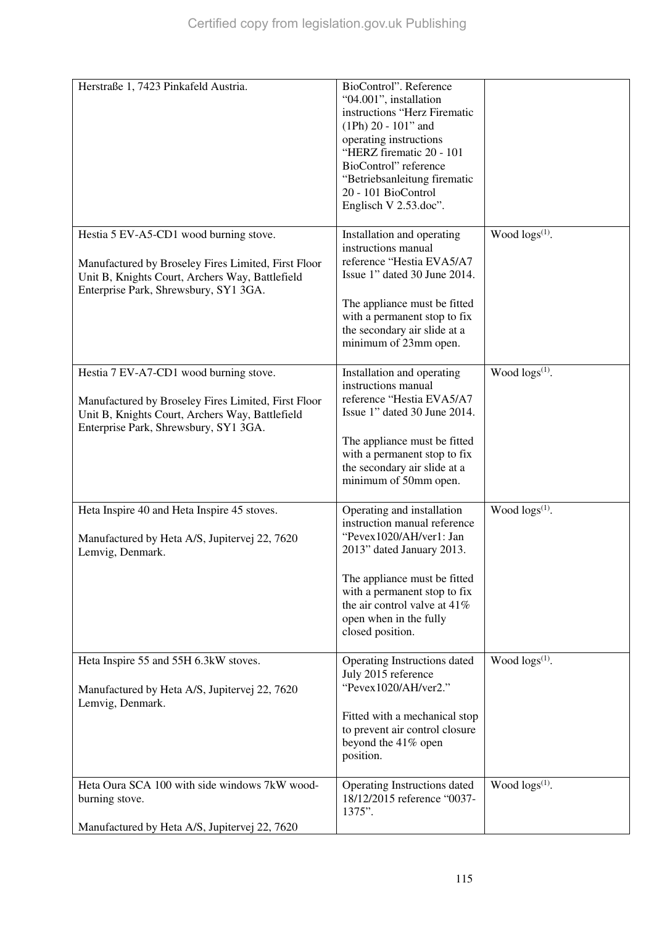| Herstraße 1, 7423 Pinkafeld Austria.                                                                                                                                                      | BioControl". Reference<br>"04.001", installation<br>instructions "Herz Firematic<br>$(1Ph) 20 - 101$ " and<br>operating instructions<br>"HERZ firematic 20 - 101<br>BioControl" reference<br>"Betriebsanleitung firematic<br>20 - 101 BioControl<br>Englisch V 2.53.doc". |                        |
|-------------------------------------------------------------------------------------------------------------------------------------------------------------------------------------------|---------------------------------------------------------------------------------------------------------------------------------------------------------------------------------------------------------------------------------------------------------------------------|------------------------|
| Hestia 5 EV-A5-CD1 wood burning stove.<br>Manufactured by Broseley Fires Limited, First Floor<br>Unit B, Knights Court, Archers Way, Battlefield<br>Enterprise Park, Shrewsbury, SY1 3GA. | Installation and operating<br>instructions manual<br>reference "Hestia EVA5/A7<br>Issue 1" dated 30 June 2014.<br>The appliance must be fitted<br>with a permanent stop to fix<br>the secondary air slide at a<br>minimum of 23mm open.                                   | Wood logs(1).          |
| Hestia 7 EV-A7-CD1 wood burning stove.<br>Manufactured by Broseley Fires Limited, First Floor<br>Unit B, Knights Court, Archers Way, Battlefield<br>Enterprise Park, Shrewsbury, SY1 3GA. | Installation and operating<br>instructions manual<br>reference "Hestia EVA5/A7<br>Issue 1" dated 30 June 2014.<br>The appliance must be fitted<br>with a permanent stop to fix<br>the secondary air slide at a<br>minimum of 50mm open.                                   | Wood $\log(s^{(1)})$ . |
| Heta Inspire 40 and Heta Inspire 45 stoves.<br>Manufactured by Heta A/S, Jupitervej 22, 7620<br>Lemvig, Denmark.                                                                          | Operating and installation<br>instruction manual reference<br>"Pevex1020/AH/ver1: Jan<br>2013" dated January 2013.<br>The appliance must be fitted<br>with a permanent stop to fix<br>the air control valve at $41\%$<br>open when in the fully<br>closed position.       | Wood $\log s^{(1)}$ .  |
| Heta Inspire 55 and 55H 6.3kW stoves.<br>Manufactured by Heta A/S, Jupitervej 22, 7620<br>Lemvig, Denmark.                                                                                | Operating Instructions dated<br>July 2015 reference<br>"Pevex1020/AH/ver2."<br>Fitted with a mechanical stop<br>to prevent air control closure<br>beyond the 41% open<br>position.                                                                                        | Wood $\log s^{(1)}$ .  |
| Heta Oura SCA 100 with side windows 7kW wood-<br>burning stove.<br>Manufactured by Heta A/S, Jupitervej 22, 7620                                                                          | Operating Instructions dated<br>18/12/2015 reference "0037-<br>1375".                                                                                                                                                                                                     | Wood $\log(s^{(1)})$ . |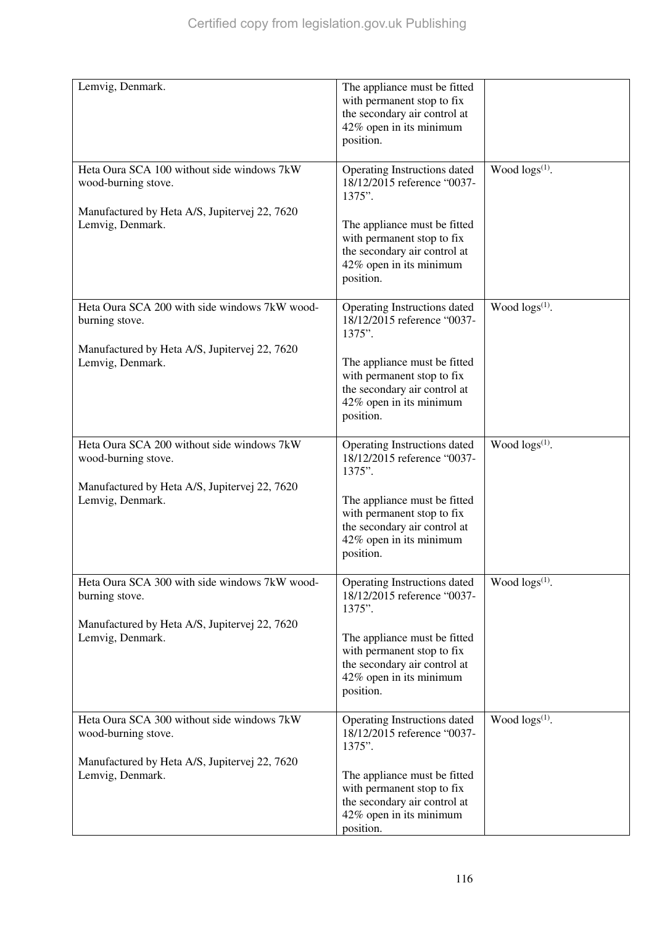| Lemvig, Denmark.                                                  | The appliance must be fitted<br>with permanent stop to fix<br>the secondary air control at<br>42% open in its minimum<br>position. |                        |
|-------------------------------------------------------------------|------------------------------------------------------------------------------------------------------------------------------------|------------------------|
| Heta Oura SCA 100 without side windows 7kW<br>wood-burning stove. | Operating Instructions dated<br>18/12/2015 reference "0037-<br>1375".                                                              | Wood $\log(s^{(1)})$ . |
| Manufactured by Heta A/S, Jupitervej 22, 7620<br>Lemvig, Denmark. | The appliance must be fitted<br>with permanent stop to fix<br>the secondary air control at<br>42% open in its minimum<br>position. |                        |
| Heta Oura SCA 200 with side windows 7kW wood-<br>burning stove.   | Operating Instructions dated<br>18/12/2015 reference "0037-<br>1375".                                                              | Wood $\log(s^{(1)})$ . |
| Manufactured by Heta A/S, Jupitervej 22, 7620<br>Lemvig, Denmark. | The appliance must be fitted<br>with permanent stop to fix<br>the secondary air control at<br>42% open in its minimum<br>position. |                        |
| Heta Oura SCA 200 without side windows 7kW<br>wood-burning stove. | Operating Instructions dated<br>18/12/2015 reference "0037-<br>1375".                                                              | Wood $\log s^{(1)}$ .  |
| Manufactured by Heta A/S, Jupitervej 22, 7620<br>Lemvig, Denmark. | The appliance must be fitted<br>with permanent stop to fix<br>the secondary air control at<br>42% open in its minimum<br>position. |                        |
| Heta Oura SCA 300 with side windows 7kW wood-<br>burning stove.   | Operating Instructions dated<br>18/12/2015 reference "0037-<br>1375".                                                              | Wood $\log(s^{(1)})$ . |
| Manufactured by Heta A/S, Jupitervej 22, 7620<br>Lemvig, Denmark. | The appliance must be fitted<br>with permanent stop to fix<br>the secondary air control at<br>42% open in its minimum<br>position. |                        |
| Heta Oura SCA 300 without side windows 7kW<br>wood-burning stove. | Operating Instructions dated<br>18/12/2015 reference "0037-<br>1375".                                                              | Wood $\log(s^{(1)})$ . |
| Manufactured by Heta A/S, Jupitervej 22, 7620<br>Lemvig, Denmark. | The appliance must be fitted<br>with permanent stop to fix<br>the secondary air control at<br>42% open in its minimum<br>position. |                        |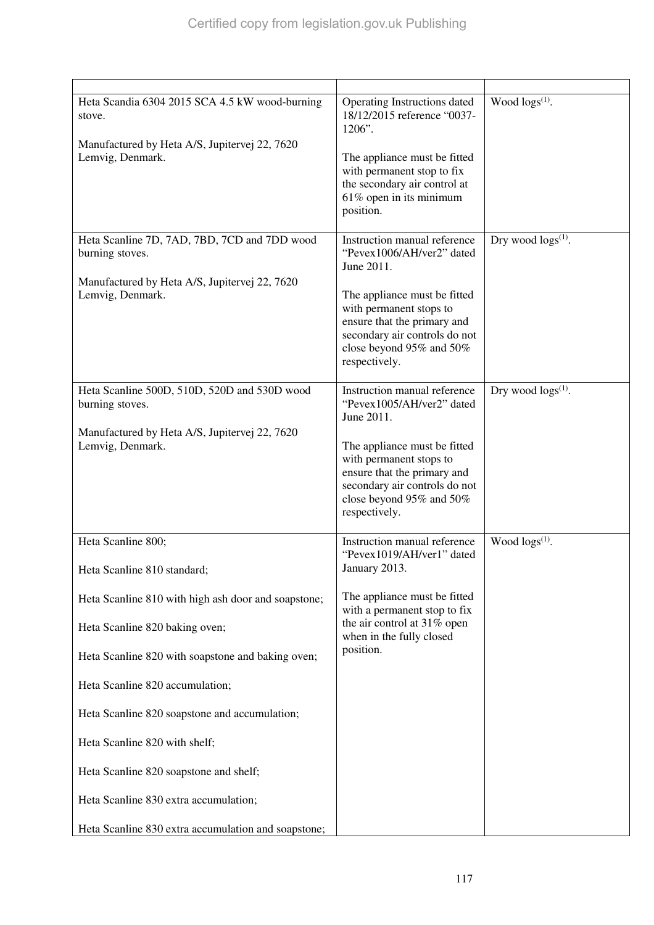| Heta Scandia 6304 2015 SCA 4.5 kW wood-burning<br>stove.<br>Manufactured by Heta A/S, Jupitervej 22, 7620<br>Lemvig, Denmark.        | Operating Instructions dated<br>18/12/2015 reference "0037-<br>1206".<br>The appliance must be fitted<br>with permanent stop to fix<br>the secondary air control at<br>61% open in its minimum<br>position.                                     | Wood $\log(s^{(1)})$ .    |
|--------------------------------------------------------------------------------------------------------------------------------------|-------------------------------------------------------------------------------------------------------------------------------------------------------------------------------------------------------------------------------------------------|---------------------------|
| Heta Scanline 7D, 7AD, 7BD, 7CD and 7DD wood<br>burning stoves.<br>Manufactured by Heta A/S, Jupitervej 22, 7620<br>Lemvig, Denmark. | Instruction manual reference<br>"Pevex1006/AH/ver2" dated<br>June 2011.<br>The appliance must be fitted<br>with permanent stops to<br>ensure that the primary and<br>secondary air controls do not<br>close beyond 95% and 50%<br>respectively. | Dry wood $\log s^{(1)}$ . |
| Heta Scanline 500D, 510D, 520D and 530D wood<br>burning stoves.<br>Manufactured by Heta A/S, Jupitervej 22, 7620<br>Lemvig, Denmark. | Instruction manual reference<br>"Pevex1005/AH/ver2" dated<br>June 2011.<br>The appliance must be fitted<br>with permanent stops to<br>ensure that the primary and<br>secondary air controls do not<br>close beyond 95% and 50%<br>respectively. | Dry wood $\log s^{(1)}$ . |
| Heta Scanline 800;<br>Heta Scanline 810 standard;<br>Heta Scanline 810 with high ash door and soapstone;                             | Instruction manual reference<br>"Pevex1019/AH/ver1" dated<br>January 2013.<br>The appliance must be fitted<br>with a permanent stop to fix                                                                                                      | Wood $\log(s^{(1)})$ .    |
| Heta Scanline 820 baking oven;<br>Heta Scanline 820 with soapstone and baking oven;                                                  | the air control at 31% open<br>when in the fully closed<br>position.                                                                                                                                                                            |                           |
| Heta Scanline 820 accumulation;                                                                                                      |                                                                                                                                                                                                                                                 |                           |
| Heta Scanline 820 soapstone and accumulation;                                                                                        |                                                                                                                                                                                                                                                 |                           |
| Heta Scanline 820 with shelf;<br>Heta Scanline 820 soapstone and shelf;                                                              |                                                                                                                                                                                                                                                 |                           |
| Heta Scanline 830 extra accumulation;                                                                                                |                                                                                                                                                                                                                                                 |                           |
| Heta Scanline 830 extra accumulation and soapstone;                                                                                  |                                                                                                                                                                                                                                                 |                           |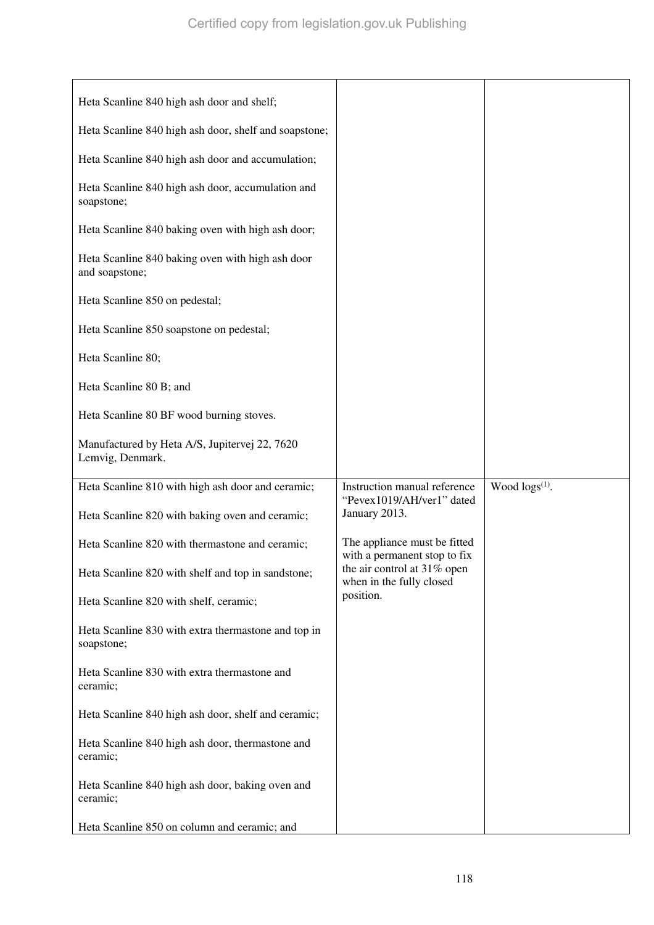| Heta Scanline 840 high ash door and shelf;                         |                                                                            |                        |
|--------------------------------------------------------------------|----------------------------------------------------------------------------|------------------------|
| Heta Scanline 840 high ash door, shelf and soapstone;              |                                                                            |                        |
| Heta Scanline 840 high ash door and accumulation;                  |                                                                            |                        |
| Heta Scanline 840 high ash door, accumulation and<br>soapstone;    |                                                                            |                        |
| Heta Scanline 840 baking oven with high ash door;                  |                                                                            |                        |
| Heta Scanline 840 baking oven with high ash door<br>and soapstone; |                                                                            |                        |
| Heta Scanline 850 on pedestal;                                     |                                                                            |                        |
| Heta Scanline 850 soapstone on pedestal;                           |                                                                            |                        |
| Heta Scanline 80;                                                  |                                                                            |                        |
| Heta Scanline 80 B; and                                            |                                                                            |                        |
| Heta Scanline 80 BF wood burning stoves.                           |                                                                            |                        |
| Manufactured by Heta A/S, Jupitervej 22, 7620<br>Lemvig, Denmark.  |                                                                            |                        |
|                                                                    |                                                                            |                        |
|                                                                    |                                                                            |                        |
| Heta Scanline 810 with high ash door and ceramic;                  | Instruction manual reference<br>"Pevex1019/AH/ver1" dated<br>January 2013. | Wood $\log(s^{(1)})$ . |
| Heta Scanline 820 with baking oven and ceramic;                    |                                                                            |                        |
| Heta Scanline 820 with thermastone and ceramic;                    | The appliance must be fitted<br>with a permanent stop to fix               |                        |
| Heta Scanline 820 with shelf and top in sandstone;                 | the air control at 31% open<br>when in the fully closed                    |                        |
| Heta Scanline 820 with shelf, ceramic;                             | position.                                                                  |                        |
| Heta Scanline 830 with extra thermastone and top in<br>soapstone;  |                                                                            |                        |
| Heta Scanline 830 with extra thermastone and<br>ceramic;           |                                                                            |                        |
| Heta Scanline 840 high ash door, shelf and ceramic;                |                                                                            |                        |
| Heta Scanline 840 high ash door, thermastone and<br>ceramic;       |                                                                            |                        |
| Heta Scanline 840 high ash door, baking oven and<br>ceramic;       |                                                                            |                        |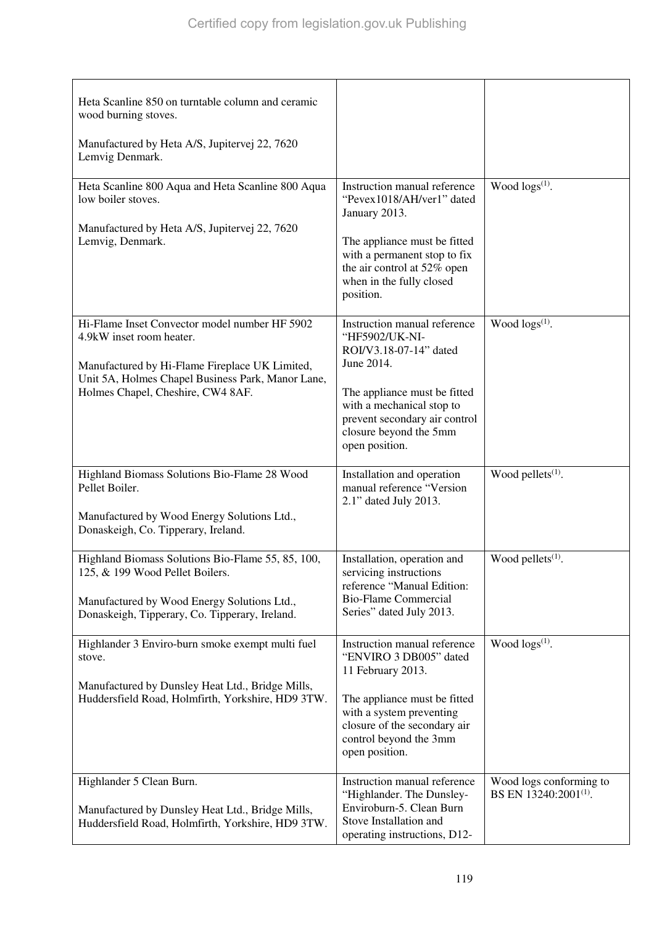| Heta Scanline 850 on turntable column and ceramic<br>wood burning stoves.<br>Manufactured by Heta A/S, Jupitervej 22, 7620<br>Lemvig Denmark.<br>Heta Scanline 800 Aqua and Heta Scanline 800 Aqua<br>low boiler stoves.<br>Manufactured by Heta A/S, Jupitervej 22, 7620<br>Lemvig, Denmark. | Instruction manual reference<br>"Pevex1018/AH/ver1" dated<br>January 2013.<br>The appliance must be fitted<br>with a permanent stop to fix<br>the air control at 52% open<br>when in the fully closed                                         | Wood $\log(s^{(1)})$ .                                       |
|-----------------------------------------------------------------------------------------------------------------------------------------------------------------------------------------------------------------------------------------------------------------------------------------------|-----------------------------------------------------------------------------------------------------------------------------------------------------------------------------------------------------------------------------------------------|--------------------------------------------------------------|
| Hi-Flame Inset Convector model number HF 5902<br>4.9kW inset room heater.<br>Manufactured by Hi-Flame Fireplace UK Limited,<br>Unit 5A, Holmes Chapel Business Park, Manor Lane,<br>Holmes Chapel, Cheshire, CW4 8AF.                                                                         | position.<br>Instruction manual reference<br>"HF5902/UK-NI-<br>ROI/V3.18-07-14" dated<br>June 2014.<br>The appliance must be fitted<br>with a mechanical stop to<br>prevent secondary air control<br>closure beyond the 5mm<br>open position. | Wood $\log(s^{(1)})$ .                                       |
| Highland Biomass Solutions Bio-Flame 28 Wood<br>Pellet Boiler.<br>Manufactured by Wood Energy Solutions Ltd.,<br>Donaskeigh, Co. Tipperary, Ireland.                                                                                                                                          | Installation and operation<br>manual reference "Version<br>2.1" dated July 2013.                                                                                                                                                              | Wood pellets $(1)$ .                                         |
| Highland Biomass Solutions Bio-Flame 55, 85, 100,<br>125, & 199 Wood Pellet Boilers.<br>Manufactured by Wood Energy Solutions Ltd.,<br>Donaskeigh, Tipperary, Co. Tipperary, Ireland.                                                                                                         | Installation, operation and<br>servicing instructions<br>reference "Manual Edition:<br><b>Bio-Flame Commercial</b><br>Series" dated July 2013.                                                                                                | Wood pellets $(1)$ .                                         |
| Highlander 3 Enviro-burn smoke exempt multi fuel<br>stove.<br>Manufactured by Dunsley Heat Ltd., Bridge Mills,<br>Huddersfield Road, Holmfirth, Yorkshire, HD9 3TW.                                                                                                                           | Instruction manual reference<br>"ENVIRO 3 DB005" dated<br>11 February 2013.<br>The appliance must be fitted<br>with a system preventing<br>closure of the secondary air<br>control beyond the 3mm<br>open position.                           | Wood $\log(s^{(1)})$ .                                       |
| Highlander 5 Clean Burn.<br>Manufactured by Dunsley Heat Ltd., Bridge Mills,<br>Huddersfield Road, Holmfirth, Yorkshire, HD9 3TW.                                                                                                                                                             | Instruction manual reference<br>"Highlander. The Dunsley-<br>Enviroburn-5. Clean Burn<br>Stove Installation and<br>operating instructions, D12-                                                                                               | Wood logs conforming to<br>BS EN 13240:2001 <sup>(1)</sup> . |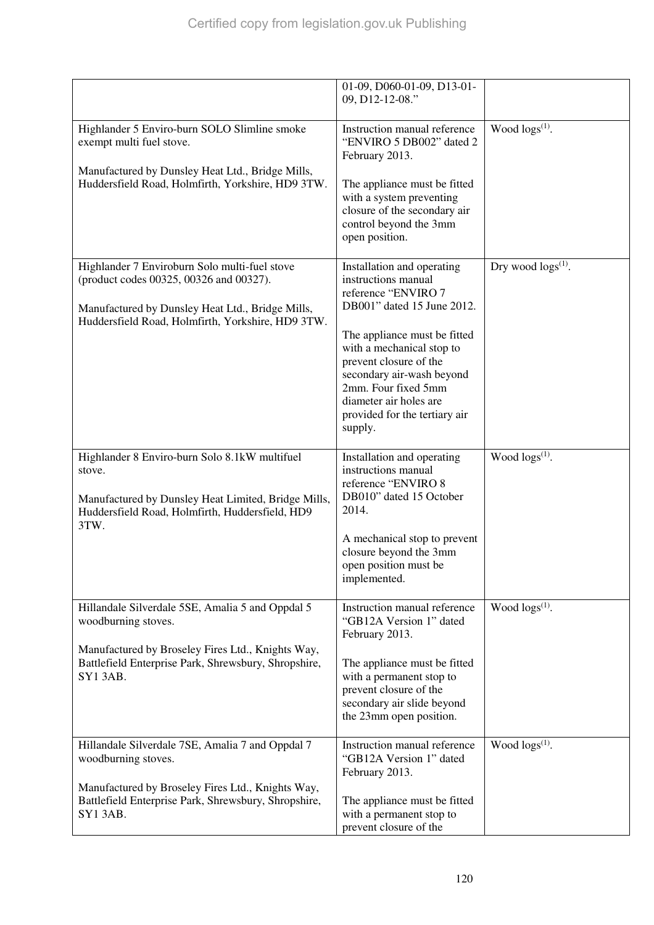|                                                                                                                                                                                   | 01-09, D060-01-09, D13-01-<br>09, D12-12-08."                                                                                                                                                                 |                           |
|-----------------------------------------------------------------------------------------------------------------------------------------------------------------------------------|---------------------------------------------------------------------------------------------------------------------------------------------------------------------------------------------------------------|---------------------------|
| Highlander 5 Enviro-burn SOLO Slimline smoke<br>exempt multi fuel stove.<br>Manufactured by Dunsley Heat Ltd., Bridge Mills,<br>Huddersfield Road, Holmfirth, Yorkshire, HD9 3TW. | Instruction manual reference<br>"ENVIRO 5 DB002" dated 2<br>February 2013.<br>The appliance must be fitted<br>with a system preventing                                                                        | Wood $\log(s^{(1)})$ .    |
|                                                                                                                                                                                   | closure of the secondary air<br>control beyond the 3mm<br>open position.                                                                                                                                      |                           |
| Highlander 7 Enviroburn Solo multi-fuel stove<br>(product codes 00325, 00326 and 00327).<br>Manufactured by Dunsley Heat Ltd., Bridge Mills,                                      | Installation and operating<br>instructions manual<br>reference "ENVIRO 7<br>DB001" dated 15 June 2012.                                                                                                        | Dry wood $\log s^{(1)}$ . |
| Huddersfield Road, Holmfirth, Yorkshire, HD9 3TW.                                                                                                                                 | The appliance must be fitted<br>with a mechanical stop to<br>prevent closure of the<br>secondary air-wash beyond<br>2mm. Four fixed 5mm<br>diameter air holes are<br>provided for the tertiary air<br>supply. |                           |
| Highlander 8 Enviro-burn Solo 8.1kW multifuel<br>stove.<br>Manufactured by Dunsley Heat Limited, Bridge Mills,<br>Huddersfield Road, Holmfirth, Huddersfield, HD9<br>3TW.         | Installation and operating<br>instructions manual<br>reference "ENVIRO 8<br>DB010" dated 15 October<br>2014.                                                                                                  | Wood $\log s^{(1)}$ .     |
|                                                                                                                                                                                   | A mechanical stop to prevent<br>closure beyond the 3mm<br>open position must be<br>implemented.                                                                                                               |                           |
| Hillandale Silverdale 5SE, Amalia 5 and Oppdal 5<br>woodburning stoves.                                                                                                           | Instruction manual reference<br>"GB12A Version 1" dated<br>February 2013.                                                                                                                                     | Wood $\log(s^{(1)})$ .    |
| Manufactured by Broseley Fires Ltd., Knights Way,<br>Battlefield Enterprise Park, Shrewsbury, Shropshire,<br>SY13AB.                                                              | The appliance must be fitted<br>with a permanent stop to<br>prevent closure of the<br>secondary air slide beyond<br>the 23mm open position.                                                                   |                           |
| Hillandale Silverdale 7SE, Amalia 7 and Oppdal 7<br>woodburning stoves.                                                                                                           | Instruction manual reference<br>"GB12A Version 1" dated<br>February 2013.                                                                                                                                     | Wood $\log(s^{(1)})$ .    |
| Manufactured by Broseley Fires Ltd., Knights Way,<br>Battlefield Enterprise Park, Shrewsbury, Shropshire,<br>SY1 3AB.                                                             | The appliance must be fitted<br>with a permanent stop to<br>prevent closure of the                                                                                                                            |                           |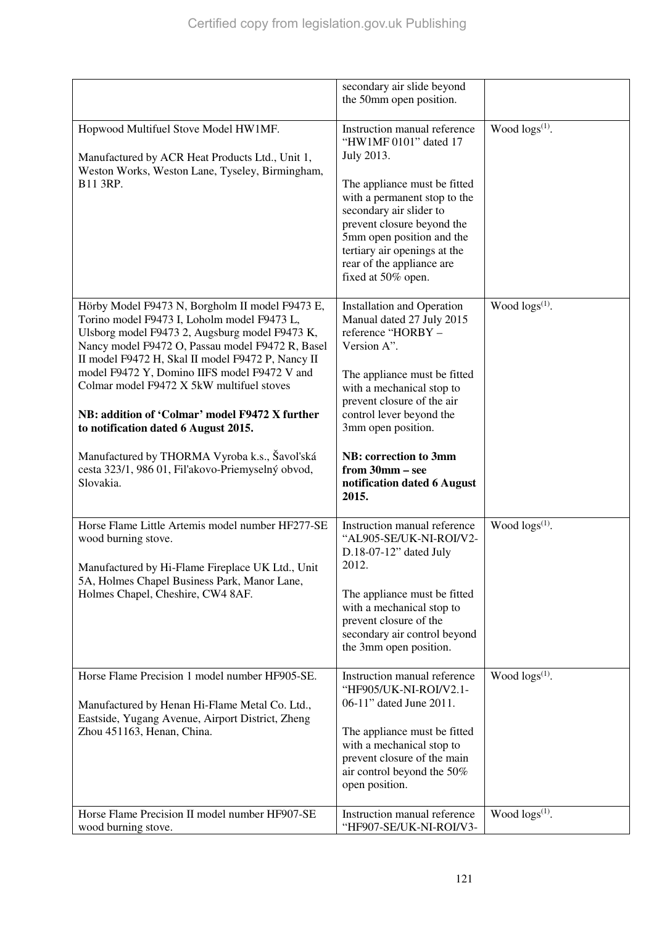|                                                                                                                                                                                                                                                                                                                                                                                                                                                                                                                                                                     | secondary air slide beyond<br>the 50mm open position.                                                                                                                                                                                                                                                                                |                        |
|---------------------------------------------------------------------------------------------------------------------------------------------------------------------------------------------------------------------------------------------------------------------------------------------------------------------------------------------------------------------------------------------------------------------------------------------------------------------------------------------------------------------------------------------------------------------|--------------------------------------------------------------------------------------------------------------------------------------------------------------------------------------------------------------------------------------------------------------------------------------------------------------------------------------|------------------------|
| Hopwood Multifuel Stove Model HW1MF.<br>Manufactured by ACR Heat Products Ltd., Unit 1,<br>Weston Works, Weston Lane, Tyseley, Birmingham,<br>B11 3RP.                                                                                                                                                                                                                                                                                                                                                                                                              | Instruction manual reference<br>"HW1MF 0101" dated 17<br>July 2013.<br>The appliance must be fitted<br>with a permanent stop to the<br>secondary air slider to<br>prevent closure beyond the<br>5mm open position and the<br>tertiary air openings at the<br>rear of the appliance are<br>fixed at 50% open.                         | Wood $\log(s^{(1)})$ . |
| Hörby Model F9473 N, Borgholm II model F9473 E,<br>Torino model F9473 I, Loholm model F9473 L,<br>Ulsborg model F9473 2, Augsburg model F9473 K,<br>Nancy model F9472 O, Passau model F9472 R, Basel<br>II model F9472 H, Skal II model F9472 P, Nancy II<br>model F9472 Y, Domino IIFS model F9472 V and<br>Colmar model F9472 X 5kW multifuel stoves<br>NB: addition of 'Colmar' model F9472 X further<br>to notification dated 6 August 2015.<br>Manufactured by THORMA Vyroba k.s., Šavol'ská<br>cesta 323/1, 986 01, Fil'akovo-Priemyselný obvod,<br>Slovakia. | <b>Installation and Operation</b><br>Manual dated 27 July 2015<br>reference "HORBY -<br>Version A".<br>The appliance must be fitted<br>with a mechanical stop to<br>prevent closure of the air<br>control lever beyond the<br>3mm open position.<br>NB: correction to 3mm<br>from 30mm - see<br>notification dated 6 August<br>2015. | Wood $\log(s^{(1)})$ . |
| Horse Flame Little Artemis model number HF277-SE<br>wood burning stove.<br>Manufactured by Hi-Flame Fireplace UK Ltd., Unit<br>5A, Holmes Chapel Business Park, Manor Lane,<br>Holmes Chapel, Cheshire, CW4 8AF.                                                                                                                                                                                                                                                                                                                                                    | Instruction manual reference<br>"AL905-SE/UK-NI-ROI/V2-<br>$D.18-07-12$ " dated July<br>2012.<br>The appliance must be fitted<br>with a mechanical stop to<br>prevent closure of the<br>secondary air control beyond<br>the 3mm open position.                                                                                       | Wood $\log(s^{(1)})$ . |
| Horse Flame Precision 1 model number HF905-SE.<br>Manufactured by Henan Hi-Flame Metal Co. Ltd.,<br>Eastside, Yugang Avenue, Airport District, Zheng<br>Zhou 451163, Henan, China.                                                                                                                                                                                                                                                                                                                                                                                  | Instruction manual reference<br>"HF905/UK-NI-ROI/V2.1-<br>06-11" dated June 2011.<br>The appliance must be fitted<br>with a mechanical stop to<br>prevent closure of the main<br>air control beyond the 50%<br>open position.                                                                                                        | Wood logs(1).          |
| Horse Flame Precision II model number HF907-SE<br>wood burning stove.                                                                                                                                                                                                                                                                                                                                                                                                                                                                                               | Instruction manual reference<br>"HF907-SE/UK-NI-ROI/V3-                                                                                                                                                                                                                                                                              | Wood $\log(s^{(1)})$ . |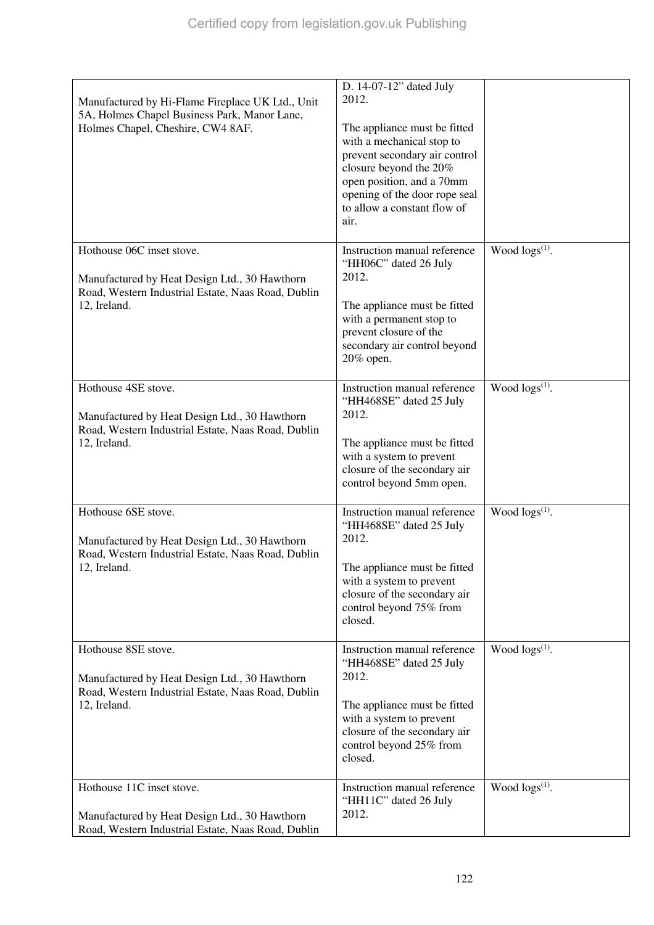| Manufactured by Hi-Flame Fireplace UK Ltd., Unit<br>5A, Holmes Chapel Business Park, Manor Lane,<br>Holmes Chapel, Cheshire, CW4 8AF. | D. 14-07-12" dated July<br>2012.<br>The appliance must be fitted<br>with a mechanical stop to                                   |                        |
|---------------------------------------------------------------------------------------------------------------------------------------|---------------------------------------------------------------------------------------------------------------------------------|------------------------|
|                                                                                                                                       | prevent secondary air control<br>closure beyond the 20%<br>open position, and a 70mm<br>opening of the door rope seal           |                        |
|                                                                                                                                       | to allow a constant flow of<br>air.                                                                                             |                        |
| Hothouse 06C inset stove.<br>Manufactured by Heat Design Ltd., 30 Hawthorn<br>Road, Western Industrial Estate, Naas Road, Dublin      | Instruction manual reference<br>"HH06C" dated 26 July<br>2012.                                                                  | Wood $\log(s^{(1)})$ . |
| 12, Ireland.                                                                                                                          | The appliance must be fitted<br>with a permanent stop to<br>prevent closure of the<br>secondary air control beyond<br>20% open. |                        |
| Hothouse 4SE stove.<br>Manufactured by Heat Design Ltd., 30 Hawthorn                                                                  | Instruction manual reference<br>"HH468SE" dated 25 July<br>2012.                                                                | Wood logs(1).          |
| Road, Western Industrial Estate, Naas Road, Dublin<br>12, Ireland.                                                                    | The appliance must be fitted<br>with a system to prevent<br>closure of the secondary air<br>control beyond 5mm open.            |                        |
| Hothouse 6SE stove.<br>Manufactured by Heat Design Ltd., 30 Hawthorn<br>Road, Western Industrial Estate, Naas Road, Dublin            | Instruction manual reference<br>"HH468SE" dated 25 July<br>2012.                                                                | Wood $\log(s^{(1)})$ . |
| 12, Ireland.                                                                                                                          | The appliance must be fitted<br>with a system to prevent<br>closure of the secondary air<br>control beyond 75% from<br>closed.  |                        |
| Hothouse 8SE stove.<br>Manufactured by Heat Design Ltd., 30 Hawthorn<br>Road, Western Industrial Estate, Naas Road, Dublin            | Instruction manual reference<br>"HH468SE" dated 25 July<br>2012.                                                                | Wood $\log(s^{(1)})$ . |
| 12, Ireland.                                                                                                                          | The appliance must be fitted<br>with a system to prevent<br>closure of the secondary air<br>control beyond 25% from<br>closed.  |                        |
| Hothouse 11C inset stove.<br>Manufactured by Heat Design Ltd., 30 Hawthorn<br>Road, Western Industrial Estate, Naas Road, Dublin      | Instruction manual reference<br>"HH11C" dated 26 July<br>2012.                                                                  | Wood $\log(s^{(1)})$ . |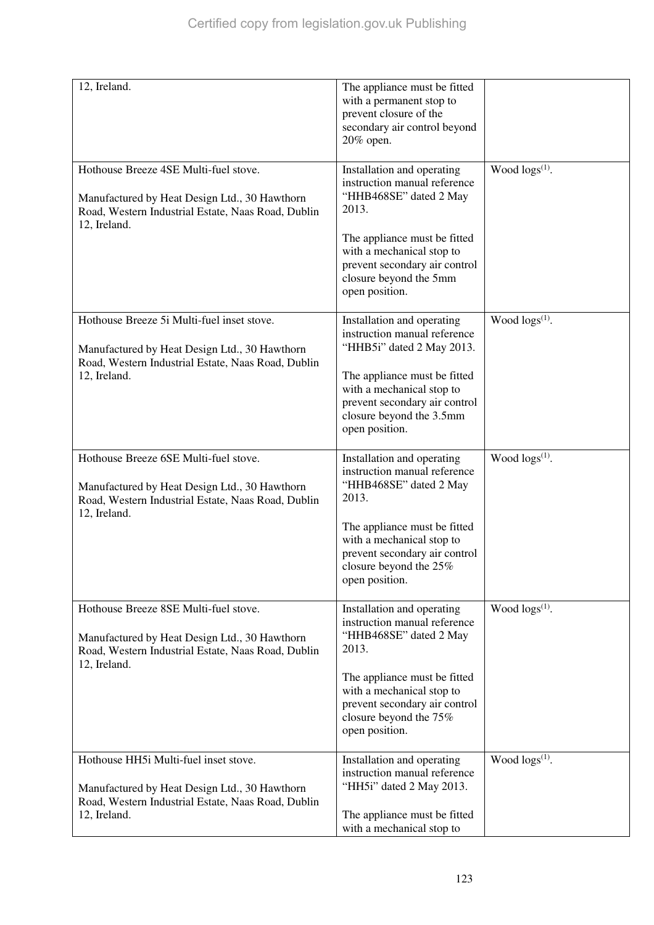| 12, Ireland.                                                                                                                                                      | The appliance must be fitted<br>with a permanent stop to<br>prevent closure of the<br>secondary air control beyond<br>20% open.                                                                                                         |                        |
|-------------------------------------------------------------------------------------------------------------------------------------------------------------------|-----------------------------------------------------------------------------------------------------------------------------------------------------------------------------------------------------------------------------------------|------------------------|
| Hothouse Breeze 4SE Multi-fuel stove.<br>Manufactured by Heat Design Ltd., 30 Hawthorn<br>Road, Western Industrial Estate, Naas Road, Dublin<br>12, Ireland.      | Installation and operating<br>instruction manual reference<br>"HHB468SE" dated 2 May<br>2013.<br>The appliance must be fitted<br>with a mechanical stop to<br>prevent secondary air control<br>closure beyond the 5mm<br>open position. | Wood $\log(s^{(1)})$ . |
| Hothouse Breeze 5i Multi-fuel inset stove.<br>Manufactured by Heat Design Ltd., 30 Hawthorn<br>Road, Western Industrial Estate, Naas Road, Dublin<br>12, Ireland. | Installation and operating<br>instruction manual reference<br>"HHB5i" dated 2 May 2013.<br>The appliance must be fitted<br>with a mechanical stop to<br>prevent secondary air control<br>closure beyond the 3.5mm<br>open position.     | Wood $\log(s^{(1)})$ . |
| Hothouse Breeze 6SE Multi-fuel stove.<br>Manufactured by Heat Design Ltd., 30 Hawthorn<br>Road, Western Industrial Estate, Naas Road, Dublin<br>12, Ireland.      | Installation and operating<br>instruction manual reference<br>"HHB468SE" dated 2 May<br>2013.<br>The appliance must be fitted<br>with a mechanical stop to<br>prevent secondary air control<br>closure beyond the 25%<br>open position. | Wood $\log s^{(1)}$ .  |
| Hothouse Breeze 8SE Multi-fuel stove.<br>Manufactured by Heat Design Ltd., 30 Hawthorn<br>Road, Western Industrial Estate, Naas Road, Dublin<br>12, Ireland.      | Installation and operating<br>instruction manual reference<br>"HHB468SE" dated 2 May<br>2013.<br>The appliance must be fitted<br>with a mechanical stop to<br>prevent secondary air control<br>closure beyond the 75%<br>open position. | Wood $\log(s^{(1)})$ . |
| Hothouse HH5i Multi-fuel inset stove.<br>Manufactured by Heat Design Ltd., 30 Hawthorn<br>Road, Western Industrial Estate, Naas Road, Dublin<br>12, Ireland.      | Installation and operating<br>instruction manual reference<br>"HH5i" dated 2 May 2013.<br>The appliance must be fitted<br>with a mechanical stop to                                                                                     | Wood $\log s^{(1)}$ .  |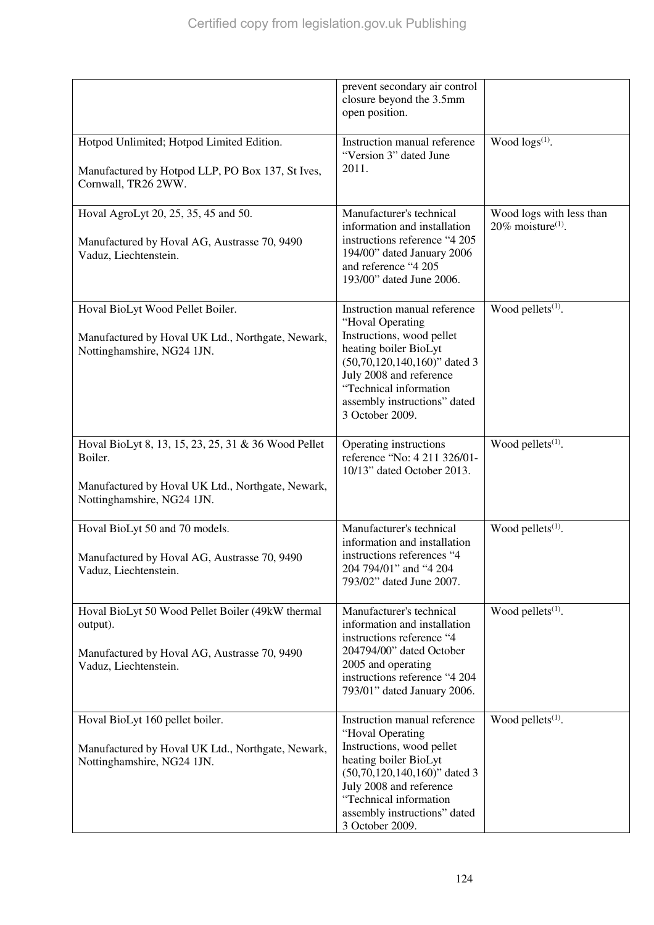|                                                                                                                                                   | prevent secondary air control<br>closure beyond the 3.5mm<br>open position.                                                                                                                                                                       |                                                              |
|---------------------------------------------------------------------------------------------------------------------------------------------------|---------------------------------------------------------------------------------------------------------------------------------------------------------------------------------------------------------------------------------------------------|--------------------------------------------------------------|
| Hotpod Unlimited; Hotpod Limited Edition.<br>Manufactured by Hotpod LLP, PO Box 137, St Ives,<br>Cornwall, TR26 2WW.                              | Instruction manual reference<br>"Version 3" dated June<br>2011.                                                                                                                                                                                   | Wood $\log s^{(1)}$ .                                        |
| Hoval AgroLyt 20, 25, 35, 45 and 50.<br>Manufactured by Hoval AG, Austrasse 70, 9490<br>Vaduz, Liechtenstein.                                     | Manufacturer's technical<br>information and installation<br>instructions reference "4 205<br>194/00" dated January 2006<br>and reference "4 205<br>193/00" dated June 2006.                                                                       | Wood logs with less than<br>$20\%$ moisture <sup>(1)</sup> . |
| Hoval BioLyt Wood Pellet Boiler.<br>Manufactured by Hoval UK Ltd., Northgate, Newark,<br>Nottinghamshire, NG24 1JN.                               | Instruction manual reference<br>"Hoval Operating<br>Instructions, wood pellet<br>heating boiler BioLyt<br>$(50,70,120,140,160)$ " dated 3<br>July 2008 and reference<br>"Technical information<br>assembly instructions" dated<br>3 October 2009. | Wood pellets <sup>(1)</sup> .                                |
| Hoval BioLyt 8, 13, 15, 23, 25, 31 & 36 Wood Pellet<br>Boiler.<br>Manufactured by Hoval UK Ltd., Northgate, Newark,<br>Nottinghamshire, NG24 1JN. | Operating instructions<br>reference "No: 4 211 326/01-<br>10/13" dated October 2013.                                                                                                                                                              | Wood pellets <sup>(1)</sup> .                                |
| Hoval BioLyt 50 and 70 models.<br>Manufactured by Hoval AG, Austrasse 70, 9490<br>Vaduz, Liechtenstein.                                           | Manufacturer's technical<br>information and installation<br>instructions references "4<br>204 794/01" and "4 204<br>793/02" dated June 2007.                                                                                                      | Wood pellets <sup>(1)</sup> .                                |
| Hoval BioLyt 50 Wood Pellet Boiler (49kW thermal<br>output).<br>Manufactured by Hoval AG, Austrasse 70, 9490<br>Vaduz, Liechtenstein.             | Manufacturer's technical<br>information and installation<br>instructions reference "4<br>204794/00" dated October<br>2005 and operating<br>instructions reference "4 204<br>793/01" dated January 2006.                                           | Wood pellets $(1)$ .                                         |
| Hoval BioLyt 160 pellet boiler.<br>Manufactured by Hoval UK Ltd., Northgate, Newark,<br>Nottinghamshire, NG24 1JN.                                | Instruction manual reference<br>"Hoval Operating<br>Instructions, wood pellet<br>heating boiler BioLyt<br>$(50,70,120,140,160)$ " dated 3<br>July 2008 and reference<br>"Technical information<br>assembly instructions" dated<br>3 October 2009. | Wood pellets <sup>(1)</sup> .                                |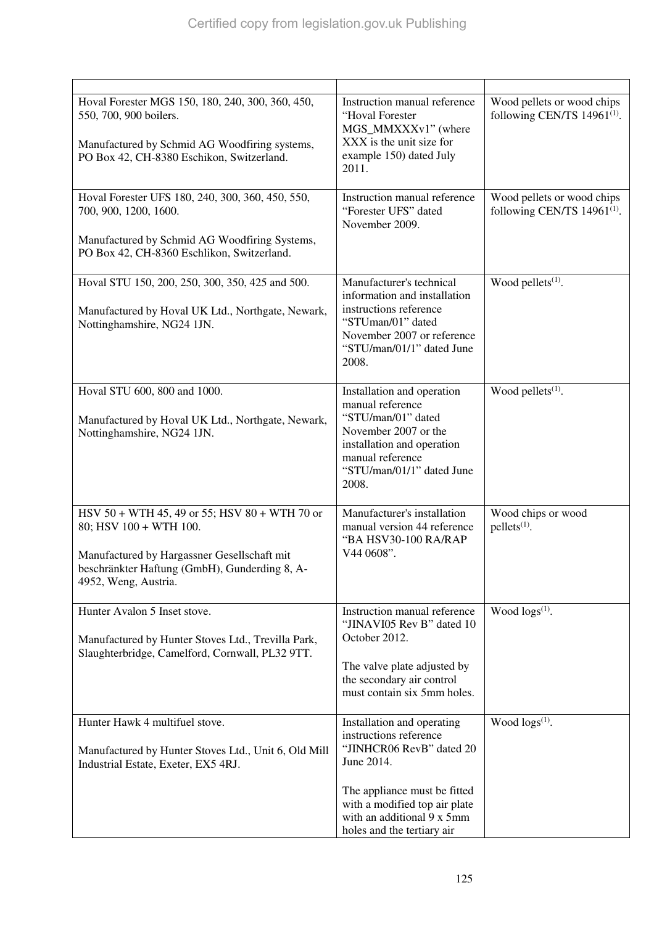| Hoval Forester MGS 150, 180, 240, 300, 360, 450,<br>550, 700, 900 boilers.<br>Manufactured by Schmid AG Woodfiring systems,<br>PO Box 42, CH-8380 Eschikon, Switzerland.                        | Instruction manual reference<br>"Hoval Forester<br>MGS_MMXXXv1" (where<br>XXX is the unit size for<br>example 150) dated July<br>2011.                                                                                      | Wood pellets or wood chips<br>following CEN/TS $14961^{(1)}$ . |
|-------------------------------------------------------------------------------------------------------------------------------------------------------------------------------------------------|-----------------------------------------------------------------------------------------------------------------------------------------------------------------------------------------------------------------------------|----------------------------------------------------------------|
| Hoval Forester UFS 180, 240, 300, 360, 450, 550,<br>700, 900, 1200, 1600.<br>Manufactured by Schmid AG Woodfiring Systems,<br>PO Box 42, CH-8360 Eschlikon, Switzerland.                        | Instruction manual reference<br>"Forester UFS" dated<br>November 2009.                                                                                                                                                      | Wood pellets or wood chips<br>following CEN/TS $14961^{(1)}$ . |
|                                                                                                                                                                                                 |                                                                                                                                                                                                                             |                                                                |
| Hoval STU 150, 200, 250, 300, 350, 425 and 500.<br>Manufactured by Hoval UK Ltd., Northgate, Newark,<br>Nottinghamshire, NG24 1JN.                                                              | Manufacturer's technical<br>information and installation<br>instructions reference<br>"STUman/01" dated<br>November 2007 or reference<br>"STU/man/01/1" dated June<br>2008.                                                 | Wood pellets <sup>(1)</sup> .                                  |
| Hoval STU 600, 800 and 1000.<br>Manufactured by Hoval UK Ltd., Northgate, Newark,<br>Nottinghamshire, NG24 1JN.                                                                                 | Installation and operation<br>manual reference<br>"STU/man/01" dated<br>November 2007 or the<br>installation and operation<br>manual reference<br>"STU/man/01/1" dated June<br>2008.                                        | Wood pellets <sup>(1)</sup> .                                  |
| HSV 50 + WTH 45, 49 or 55; HSV 80 + WTH 70 or<br>80; HSV 100 + WTH 100.<br>Manufactured by Hargassner Gesellschaft mit<br>beschränkter Haftung (GmbH), Gunderding 8, A-<br>4952, Weng, Austria. | Manufacturer's installation<br>manual version 44 reference<br>"BA HSV30-100 RA/RAP<br>V44 0608".                                                                                                                            | Wood chips or wood<br>$pellets(1)$ .                           |
| Hunter Avalon 5 Inset stove.<br>Manufactured by Hunter Stoves Ltd., Trevilla Park,<br>Slaughterbridge, Camelford, Cornwall, PL32 9TT.                                                           | Instruction manual reference<br>"JINAVI05 Rev B" dated 10<br>October 2012.<br>The valve plate adjusted by<br>the secondary air control<br>must contain six 5mm holes.                                                       | Wood $\log(s^{(1)})$ .                                         |
| Hunter Hawk 4 multifuel stove.<br>Manufactured by Hunter Stoves Ltd., Unit 6, Old Mill<br>Industrial Estate, Exeter, EX5 4RJ.                                                                   | Installation and operating<br>instructions reference<br>"JINHCR06 RevB" dated 20<br>June 2014.<br>The appliance must be fitted<br>with a modified top air plate<br>with an additional 9 x 5mm<br>holes and the tertiary air | Wood $\log(s^{(1)})$ .                                         |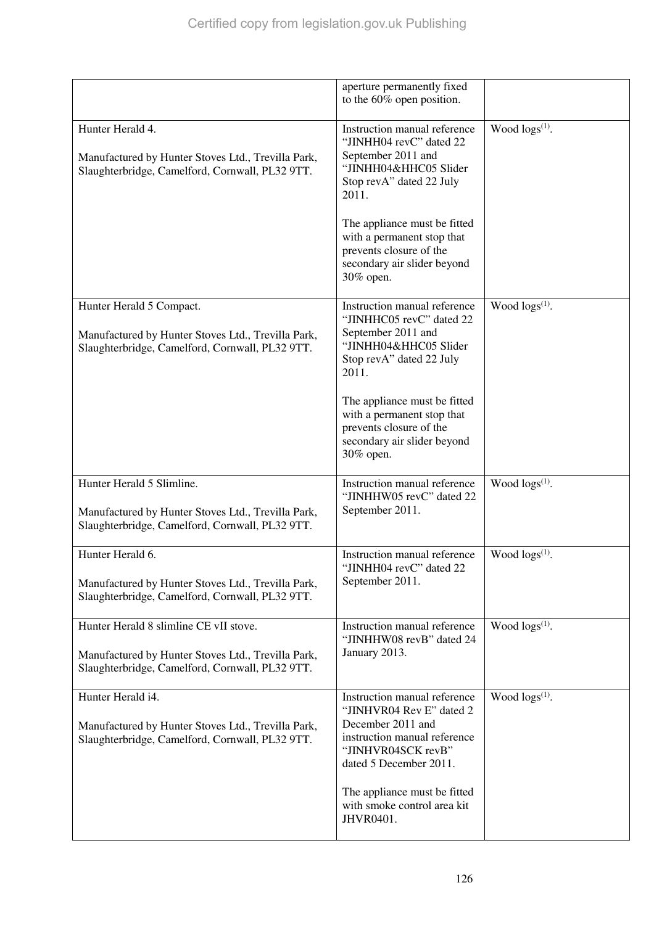|                                                                                                                                                 | aperture permanently fixed<br>to the 60% open position.                                                                                                                                                                                                                           |                        |
|-------------------------------------------------------------------------------------------------------------------------------------------------|-----------------------------------------------------------------------------------------------------------------------------------------------------------------------------------------------------------------------------------------------------------------------------------|------------------------|
| Hunter Herald 4.<br>Manufactured by Hunter Stoves Ltd., Trevilla Park,<br>Slaughterbridge, Camelford, Cornwall, PL32 9TT.                       | Instruction manual reference<br>"JINHH04 revC" dated 22<br>September 2011 and<br>"JINHH04&HHC05 Slider<br>Stop revA" dated 22 July<br>2011.<br>The appliance must be fitted<br>with a permanent stop that<br>prevents closure of the<br>secondary air slider beyond<br>30% open.  | Wood $\log(s^{(1)})$ . |
| Hunter Herald 5 Compact.<br>Manufactured by Hunter Stoves Ltd., Trevilla Park,<br>Slaughterbridge, Camelford, Cornwall, PL32 9TT.               | Instruction manual reference<br>"JINHHC05 revC" dated 22<br>September 2011 and<br>"JINHH04&HHC05 Slider<br>Stop revA" dated 22 July<br>2011.<br>The appliance must be fitted<br>with a permanent stop that<br>prevents closure of the<br>secondary air slider beyond<br>30% open. | Wood $\log s^{(1)}$ .  |
| Hunter Herald 5 Slimline.<br>Manufactured by Hunter Stoves Ltd., Trevilla Park,<br>Slaughterbridge, Camelford, Cornwall, PL32 9TT.              | Instruction manual reference<br>"JINHHW05 revC" dated 22<br>September 2011.                                                                                                                                                                                                       | Wood $\log s^{(1)}$ .  |
| Hunter Herald 6.<br>Manufactured by Hunter Stoves Ltd., Trevilla Park,<br>Slaughterbridge, Camelford, Cornwall, PL32 9TT.                       | Instruction manual reference<br>"JINHH04 revC" dated 22<br>September 2011.                                                                                                                                                                                                        | Wood $\log s^{(1)}$ .  |
| Hunter Herald 8 slimline CE vII stove.<br>Manufactured by Hunter Stoves Ltd., Trevilla Park,<br>Slaughterbridge, Camelford, Cornwall, PL32 9TT. | Instruction manual reference<br>"JINHHW08 revB" dated 24<br>January 2013.                                                                                                                                                                                                         | Wood $\log(s^{(1)})$ . |
| Hunter Herald i4.<br>Manufactured by Hunter Stoves Ltd., Trevilla Park,<br>Slaughterbridge, Camelford, Cornwall, PL32 9TT.                      | Instruction manual reference<br>"JINHVR04 Rev E" dated 2<br>December 2011 and<br>instruction manual reference<br>"JINHVR04SCK revB"<br>dated 5 December 2011.                                                                                                                     | Wood $\log(s^{(1)})$ . |
|                                                                                                                                                 | The appliance must be fitted<br>with smoke control area kit<br>JHVR0401.                                                                                                                                                                                                          |                        |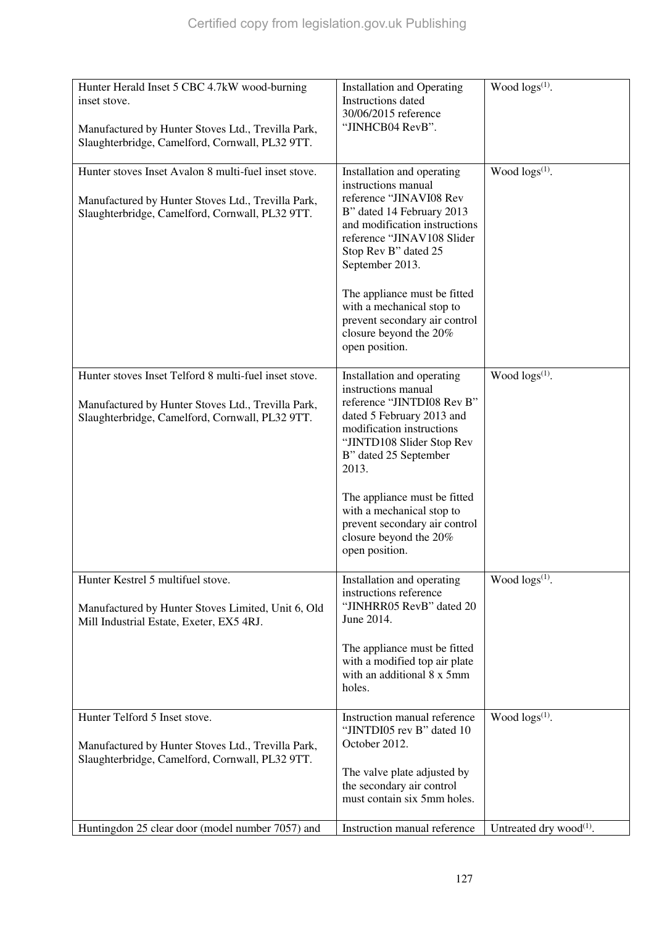| Hunter Herald Inset 5 CBC 4.7kW wood-burning<br>inset stove.<br>Manufactured by Hunter Stoves Ltd., Trevilla Park,<br>Slaughterbridge, Camelford, Cornwall, PL32 9TT. | <b>Installation and Operating</b><br>Instructions dated<br>30/06/2015 reference<br>"JINHCB04 RevB".                                                                                                                                                                                                                                                           | Wood $\log s^{(1)}$ .               |
|-----------------------------------------------------------------------------------------------------------------------------------------------------------------------|---------------------------------------------------------------------------------------------------------------------------------------------------------------------------------------------------------------------------------------------------------------------------------------------------------------------------------------------------------------|-------------------------------------|
| Hunter stoves Inset Avalon 8 multi-fuel inset stove.<br>Manufactured by Hunter Stoves Ltd., Trevilla Park,<br>Slaughterbridge, Camelford, Cornwall, PL32 9TT.         | Installation and operating<br>instructions manual<br>reference "JINAVI08 Rev<br>B" dated 14 February 2013<br>and modification instructions<br>reference "JINAV108 Slider<br>Stop Rev B" dated 25<br>September 2013.<br>The appliance must be fitted<br>with a mechanical stop to<br>prevent secondary air control<br>closure beyond the 20%<br>open position. | Wood $\log(s^{(1)})$ .              |
| Hunter stoves Inset Telford 8 multi-fuel inset stove.<br>Manufactured by Hunter Stoves Ltd., Trevilla Park,<br>Slaughterbridge, Camelford, Cornwall, PL32 9TT.        | Installation and operating<br>instructions manual<br>reference "JINTDI08 Rev B"<br>dated 5 February 2013 and<br>modification instructions<br>"JINTD108 Slider Stop Rev<br>B" dated 25 September<br>2013.<br>The appliance must be fitted<br>with a mechanical stop to<br>prevent secondary air control<br>closure beyond the 20%<br>open position.            | Wood $\log(s^{(1)})$ .              |
| Hunter Kestrel 5 multifuel stove.<br>Manufactured by Hunter Stoves Limited, Unit 6, Old<br>Mill Industrial Estate, Exeter, EX5 4RJ.                                   | Installation and operating<br>instructions reference<br>"JINHRR05 RevB" dated 20<br>June 2014.<br>The appliance must be fitted<br>with a modified top air plate<br>with an additional 8 x 5mm<br>holes.                                                                                                                                                       | Wood $\log s^{(1)}$ .               |
| Hunter Telford 5 Inset stove.<br>Manufactured by Hunter Stoves Ltd., Trevilla Park,<br>Slaughterbridge, Camelford, Cornwall, PL32 9TT.                                | Instruction manual reference<br>"JINTDI05 rev B" dated 10<br>October 2012.<br>The valve plate adjusted by<br>the secondary air control<br>must contain six 5mm holes.                                                                                                                                                                                         | Wood $\log(s^{(1)})$ .              |
| Huntingdon 25 clear door (model number 7057) and                                                                                                                      | Instruction manual reference                                                                                                                                                                                                                                                                                                                                  | Untreated dry wood <sup>(1)</sup> . |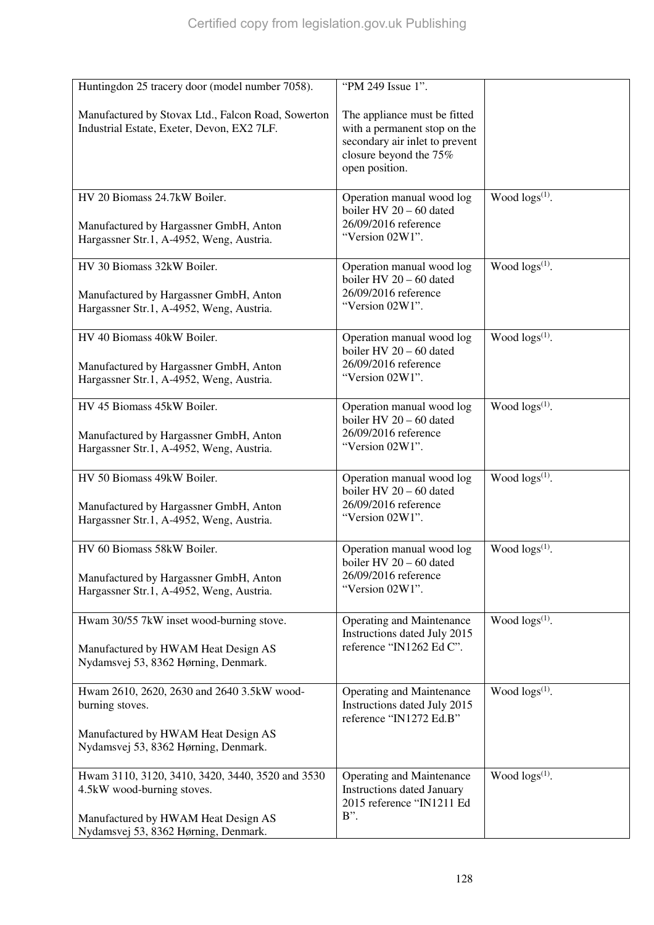| Huntingdon 25 tracery door (model number 7058).                                                                    | "PM 249 Issue 1".                                                                                                                          |                        |
|--------------------------------------------------------------------------------------------------------------------|--------------------------------------------------------------------------------------------------------------------------------------------|------------------------|
| Manufactured by Stovax Ltd., Falcon Road, Sowerton<br>Industrial Estate, Exeter, Devon, EX2 7LF.                   | The appliance must be fitted<br>with a permanent stop on the<br>secondary air inlet to prevent<br>closure beyond the 75%<br>open position. |                        |
|                                                                                                                    |                                                                                                                                            |                        |
| HV 20 Biomass 24.7kW Boiler.<br>Manufactured by Hargassner GmbH, Anton<br>Hargassner Str.1, A-4952, Weng, Austria. | Operation manual wood log<br>boiler HV $20 - 60$ dated<br>26/09/2016 reference<br>"Version 02W1".                                          | Wood $\log(s^{(1)})$ . |
| HV 30 Biomass 32kW Boiler.                                                                                         | Operation manual wood log<br>boiler HV 20 - 60 dated                                                                                       | Wood $\log(s^{(1)})$ . |
| Manufactured by Hargassner GmbH, Anton<br>Hargassner Str.1, A-4952, Weng, Austria.                                 | 26/09/2016 reference<br>"Version 02W1".                                                                                                    |                        |
| HV 40 Biomass 40kW Boiler.                                                                                         | Operation manual wood log<br>boiler HV 20 - 60 dated                                                                                       | Wood logs(1).          |
| Manufactured by Hargassner GmbH, Anton<br>Hargassner Str.1, A-4952, Weng, Austria.                                 | 26/09/2016 reference<br>"Version 02W1".                                                                                                    |                        |
| HV 45 Biomass 45kW Boiler.                                                                                         | Operation manual wood log<br>boiler HV 20 - 60 dated                                                                                       | Wood $\log s^{(1)}$ .  |
| Manufactured by Hargassner GmbH, Anton<br>Hargassner Str.1, A-4952, Weng, Austria.                                 | 26/09/2016 reference<br>"Version 02W1".                                                                                                    |                        |
| HV 50 Biomass 49kW Boiler.                                                                                         | Operation manual wood log<br>boiler HV 20 - 60 dated                                                                                       | Wood $\log(s^{(1)})$ . |
| Manufactured by Hargassner GmbH, Anton<br>Hargassner Str.1, A-4952, Weng, Austria.                                 | 26/09/2016 reference<br>"Version 02W1".                                                                                                    |                        |
| HV 60 Biomass 58kW Boiler.                                                                                         | Operation manual wood log<br>boiler HV 20 - 60 dated                                                                                       | Wood $\log(s^{(1)})$ . |
| Manufactured by Hargassner GmbH, Anton<br>Hargassner Str.1, A-4952, Weng, Austria.                                 | 26/09/2016 reference<br>"Version 02W1".                                                                                                    |                        |
| Hwam 30/55 7kW inset wood-burning stove.                                                                           | <b>Operating and Maintenance</b><br>Instructions dated July 2015                                                                           | Wood $\log(s^{(1)})$ . |
| Manufactured by HWAM Heat Design AS<br>Nydamsvej 53, 8362 Hørning, Denmark.                                        | reference "IN1262 Ed C".                                                                                                                   |                        |
| Hwam 2610, 2620, 2630 and 2640 3.5kW wood-<br>burning stoves.                                                      | <b>Operating and Maintenance</b><br>Instructions dated July 2015<br>reference "IN1272 Ed.B"                                                | Wood $\log(s^{(1)})$ . |
| Manufactured by HWAM Heat Design AS<br>Nydamsvej 53, 8362 Hørning, Denmark.                                        |                                                                                                                                            |                        |
| Hwam 3110, 3120, 3410, 3420, 3440, 3520 and 3530<br>4.5kW wood-burning stoves.                                     | <b>Operating and Maintenance</b><br><b>Instructions dated January</b><br>2015 reference "IN1211 Ed                                         | Wood $\log(s^{(1)})$ . |
| Manufactured by HWAM Heat Design AS<br>Nydamsvej 53, 8362 Hørning, Denmark.                                        | B".                                                                                                                                        |                        |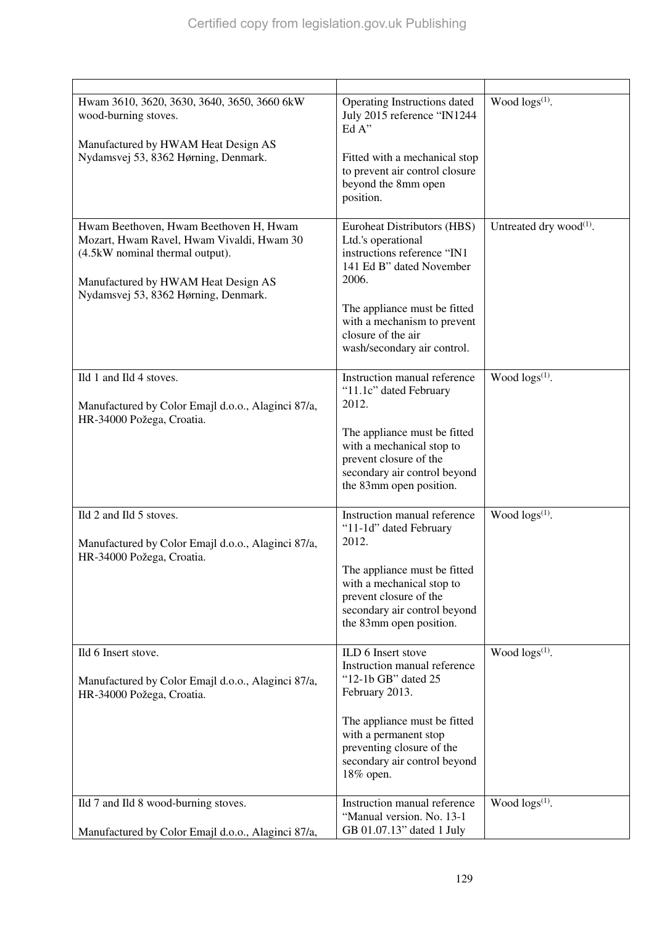| Hwam 3610, 3620, 3630, 3640, 3650, 3660 6kW<br>wood-burning stoves.<br>Manufactured by HWAM Heat Design AS<br>Nydamsvej 53, 8362 Hørning, Denmark.                                                    | Operating Instructions dated<br>July 2015 reference "IN1244<br>Ed A"<br>Fitted with a mechanical stop<br>to prevent air control closure<br>beyond the 8mm open<br>position.                                                               | Wood $\log(s^{(1)})$ .        |
|-------------------------------------------------------------------------------------------------------------------------------------------------------------------------------------------------------|-------------------------------------------------------------------------------------------------------------------------------------------------------------------------------------------------------------------------------------------|-------------------------------|
| Hwam Beethoven, Hwam Beethoven H, Hwam<br>Mozart, Hwam Ravel, Hwam Vivaldi, Hwam 30<br>(4.5kW nominal thermal output).<br>Manufactured by HWAM Heat Design AS<br>Nydamsvej 53, 8362 Hørning, Denmark. | Euroheat Distributors (HBS)<br>Ltd.'s operational<br>instructions reference "IN1<br>141 Ed B" dated November<br>2006.<br>The appliance must be fitted<br>with a mechanism to prevent<br>closure of the air<br>wash/secondary air control. | Untreated dry wood $^{(1)}$ . |
| Ild 1 and Ild 4 stoves.<br>Manufactured by Color Emajl d.o.o., Alaginci 87/a,<br>HR-34000 Požega, Croatia.                                                                                            | Instruction manual reference<br>"11.1c" dated February<br>2012.<br>The appliance must be fitted<br>with a mechanical stop to<br>prevent closure of the<br>secondary air control beyond<br>the 83mm open position.                         | Wood $\log(s^{(1)})$ .        |
| Ild 2 and Ild 5 stoves.<br>Manufactured by Color Emajl d.o.o., Alaginci 87/a,<br>HR-34000 Požega, Croatia.                                                                                            | Instruction manual reference<br>"11-1d" dated February<br>2012.<br>The appliance must be fitted<br>with a mechanical stop to<br>prevent closure of the<br>secondary air control beyond<br>the 83mm open position.                         | Wood $\log s^{(1)}$ .         |
| Ild 6 Insert stove.<br>Manufactured by Color Emajl d.o.o., Alaginci 87/a,<br>HR-34000 Požega, Croatia.                                                                                                | ILD 6 Insert stove<br>Instruction manual reference<br>"12-1b GB" dated 25<br>February 2013.<br>The appliance must be fitted<br>with a permanent stop<br>preventing closure of the<br>secondary air control beyond<br>18% open.            | Wood logs <sup>(1)</sup> .    |
| Ild 7 and Ild 8 wood-burning stoves.<br>Manufactured by Color Emajl d.o.o., Alaginci 87/a,                                                                                                            | Instruction manual reference<br>"Manual version. No. 13-1<br>GB 01.07.13" dated 1 July                                                                                                                                                    | Wood $\log(s^{(1)})$ .        |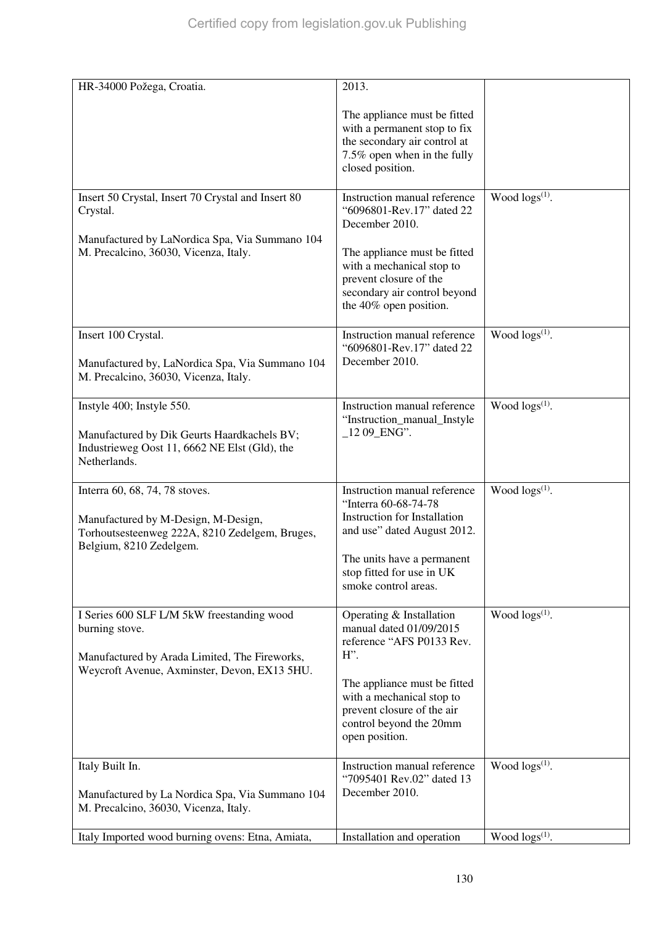| HR-34000 Požega, Croatia.                                                                                                                                     | 2013.                                                                                                                                           |                        |
|---------------------------------------------------------------------------------------------------------------------------------------------------------------|-------------------------------------------------------------------------------------------------------------------------------------------------|------------------------|
|                                                                                                                                                               | The appliance must be fitted<br>with a permanent stop to fix<br>the secondary air control at<br>7.5% open when in the fully<br>closed position. |                        |
| Insert 50 Crystal, Insert 70 Crystal and Insert 80<br>Crystal.                                                                                                | Instruction manual reference<br>"6096801-Rev.17" dated 22<br>December 2010.                                                                     | Wood $\log(s^{(1)})$ . |
| Manufactured by LaNordica Spa, Via Summano 104<br>M. Precalcino, 36030, Vicenza, Italy.                                                                       | The appliance must be fitted<br>with a mechanical stop to<br>prevent closure of the<br>secondary air control beyond<br>the 40% open position.   |                        |
| Insert 100 Crystal.<br>Manufactured by, LaNordica Spa, Via Summano 104<br>M. Precalcino, 36030, Vicenza, Italy.                                               | Instruction manual reference<br>"6096801-Rev.17" dated 22<br>December 2010.                                                                     | Wood $\log(s^{(1)})$ . |
| Instyle 400; Instyle 550.<br>Manufactured by Dik Geurts Haardkachels BV;<br>Industrieweg Oost 11, 6662 NE Elst (Gld), the                                     | Instruction manual reference<br>"Instruction_manual_Instyle<br>$1209$ _ENG".                                                                    | Wood $\log(s^{(1)})$ . |
| Netherlands.                                                                                                                                                  |                                                                                                                                                 |                        |
| Interra 60, 68, 74, 78 stoves.<br>Manufactured by M-Design, M-Design,<br>Torhoutsesteenweg 222A, 8210 Zedelgem, Bruges,<br>Belgium, 8210 Zedelgem.            | Instruction manual reference<br>"Interra 60-68-74-78<br><b>Instruction for Installation</b><br>and use" dated August 2012.                      | Wood $\log(s^{(1)})$ . |
|                                                                                                                                                               | The units have a permanent<br>stop fitted for use in UK<br>smoke control areas.                                                                 |                        |
| I Series 600 SLF L/M 5kW freestanding wood<br>burning stove.<br>Manufactured by Arada Limited, The Fireworks,<br>Weycroft Avenue, Axminster, Devon, EX13 5HU. | Operating & Installation<br>manual dated 01/09/2015<br>reference "AFS P0133 Rev.<br>$H$ ".                                                      | Wood $\log(s^{(1)})$ . |
|                                                                                                                                                               | The appliance must be fitted<br>with a mechanical stop to<br>prevent closure of the air<br>control beyond the 20mm<br>open position.            |                        |
| Italy Built In.<br>Manufactured by La Nordica Spa, Via Summano 104<br>M. Precalcino, 36030, Vicenza, Italy.                                                   | Instruction manual reference<br>"7095401 Rev.02" dated 13<br>December 2010.                                                                     | Wood $\log s^{(1)}$ .  |
| Italy Imported wood burning ovens: Etna, Amiata,                                                                                                              | Installation and operation                                                                                                                      | Wood $\log(s^{(1)})$ . |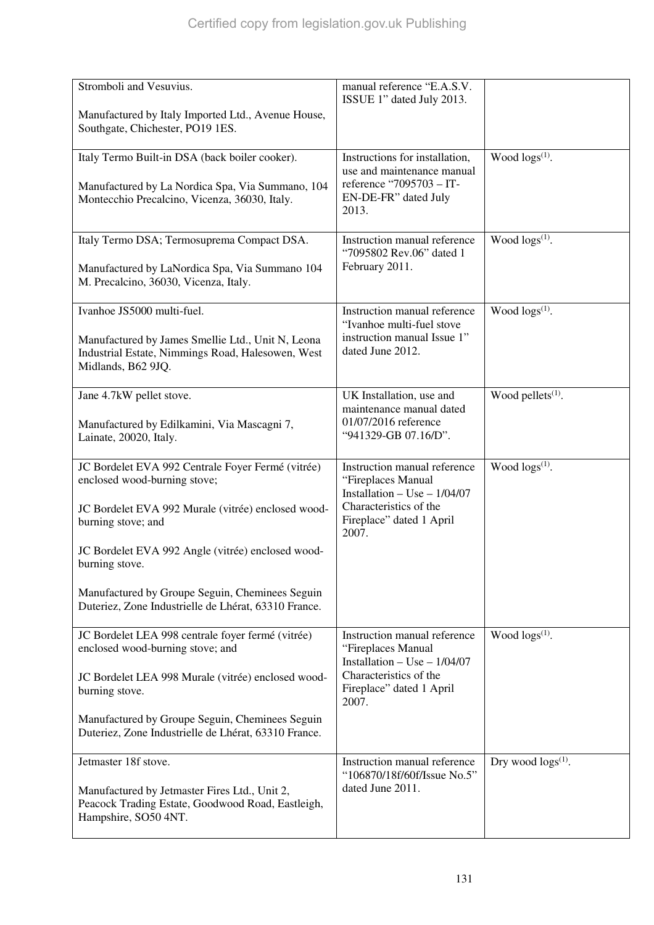| Stromboli and Vesuvius.                                                                                                      | manual reference "E.A.S.V.<br>ISSUE 1" dated July 2013.                                |                               |
|------------------------------------------------------------------------------------------------------------------------------|----------------------------------------------------------------------------------------|-------------------------------|
| Manufactured by Italy Imported Ltd., Avenue House,<br>Southgate, Chichester, PO19 1ES.                                       |                                                                                        |                               |
| Italy Termo Built-in DSA (back boiler cooker).                                                                               | Instructions for installation,<br>use and maintenance manual                           | Wood $\log s^{(1)}$ .         |
| Manufactured by La Nordica Spa, Via Summano, 104<br>Montecchio Precalcino, Vicenza, 36030, Italy.                            | reference "7095703 - IT-<br>EN-DE-FR" dated July<br>2013.                              |                               |
| Italy Termo DSA; Termosuprema Compact DSA.                                                                                   | Instruction manual reference<br>"7095802 Rev.06" dated 1                               | Wood $\log(s^{(1)})$ .        |
| Manufactured by LaNordica Spa, Via Summano 104<br>M. Precalcino, 36030, Vicenza, Italy.                                      | February 2011.                                                                         |                               |
| Ivanhoe JS5000 multi-fuel.                                                                                                   | Instruction manual reference<br>"Ivanhoe multi-fuel stove                              | Wood $\log(s^{(1)})$ .        |
| Manufactured by James Smellie Ltd., Unit N, Leona<br>Industrial Estate, Nimmings Road, Halesowen, West<br>Midlands, B62 9JQ. | instruction manual Issue 1"<br>dated June 2012.                                        |                               |
| Jane 4.7kW pellet stove.                                                                                                     | UK Installation, use and<br>maintenance manual dated                                   | Wood pellets <sup>(1)</sup> . |
| Manufactured by Edilkamini, Via Mascagni 7,<br>Lainate, 20020, Italy.                                                        | 01/07/2016 reference<br>"941329-GB 07.16/D".                                           |                               |
| JC Bordelet EVA 992 Centrale Foyer Fermé (vitrée)<br>enclosed wood-burning stove;                                            | Instruction manual reference<br>"Fireplaces Manual<br>Installation $-$ Use $-$ 1/04/07 | Wood $\log s^{(1)}$ .         |
| JC Bordelet EVA 992 Murale (vitrée) enclosed wood-<br>burning stove; and                                                     | Characteristics of the<br>Fireplace" dated 1 April<br>2007.                            |                               |
| JC Bordelet EVA 992 Angle (vitrée) enclosed wood-<br>burning stove.                                                          |                                                                                        |                               |
| Manufactured by Groupe Seguin, Cheminees Seguin<br>Duteriez, Zone Industrielle de Lhérat, 63310 France.                      |                                                                                        |                               |
| JC Bordelet LEA 998 centrale foyer fermé (vitrée)<br>enclosed wood-burning stove; and                                        | Instruction manual reference<br>"Fireplaces Manual<br>Installation $-$ Use $-$ 1/04/07 | Wood $\log(s^{(1)})$ .        |
| JC Bordelet LEA 998 Murale (vitrée) enclosed wood-<br>burning stove.                                                         | Characteristics of the<br>Fireplace" dated 1 April<br>2007.                            |                               |
| Manufactured by Groupe Seguin, Cheminees Seguin<br>Duteriez, Zone Industrielle de Lhérat, 63310 France.                      |                                                                                        |                               |
| Jetmaster 18f stove.                                                                                                         | Instruction manual reference<br>"106870/18f/60f/Issue No.5"                            | Dry wood $\log s^{(1)}$ .     |
| Manufactured by Jetmaster Fires Ltd., Unit 2,<br>Peacock Trading Estate, Goodwood Road, Eastleigh,<br>Hampshire, SO50 4NT.   | dated June 2011.                                                                       |                               |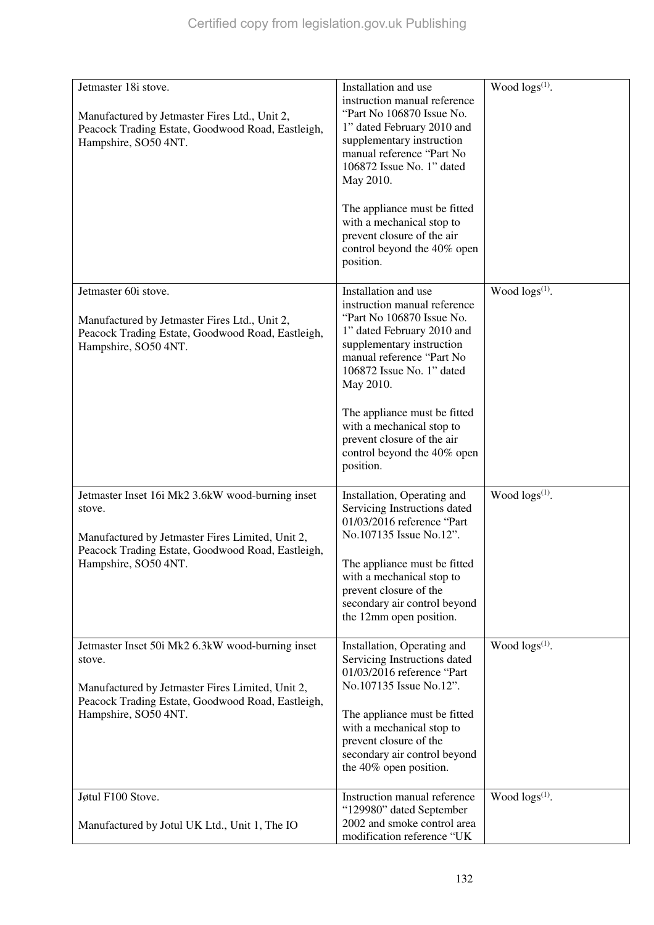| Jetmaster 18i stove.                                                                                                                                                                        | Installation and use                                                                                                                                                                                                | Wood $\log s^{(1)}$ .      |
|---------------------------------------------------------------------------------------------------------------------------------------------------------------------------------------------|---------------------------------------------------------------------------------------------------------------------------------------------------------------------------------------------------------------------|----------------------------|
| Manufactured by Jetmaster Fires Ltd., Unit 2,<br>Peacock Trading Estate, Goodwood Road, Eastleigh,<br>Hampshire, SO50 4NT.                                                                  | instruction manual reference<br>"Part No 106870 Issue No.<br>1" dated February 2010 and<br>supplementary instruction<br>manual reference "Part No<br>106872 Issue No. 1" dated<br>May 2010.                         |                            |
|                                                                                                                                                                                             | The appliance must be fitted<br>with a mechanical stop to<br>prevent closure of the air<br>control beyond the 40% open<br>position.                                                                                 |                            |
| Jetmaster 60i stove.<br>Manufactured by Jetmaster Fires Ltd., Unit 2,<br>Peacock Trading Estate, Goodwood Road, Eastleigh,<br>Hampshire, SO50 4NT.                                          | Installation and use<br>instruction manual reference<br>"Part No 106870 Issue No.<br>1" dated February 2010 and<br>supplementary instruction<br>manual reference "Part No<br>106872 Issue No. 1" dated<br>May 2010. | Wood $\log(s^{(1)})$ .     |
|                                                                                                                                                                                             | The appliance must be fitted<br>with a mechanical stop to<br>prevent closure of the air<br>control beyond the 40% open<br>position.                                                                                 |                            |
| Jetmaster Inset 16i Mk2 3.6kW wood-burning inset<br>stove.<br>Manufactured by Jetmaster Fires Limited, Unit 2,<br>Peacock Trading Estate, Goodwood Road, Eastleigh,<br>Hampshire, SO50 4NT. | Installation, Operating and<br>Servicing Instructions dated<br>01/03/2016 reference "Part<br>No.107135 Issue No.12".<br>The appliance must be fitted<br>with a mechanical stop to                                   | Wood $\log(s^{(1)})$ .     |
|                                                                                                                                                                                             | prevent closure of the<br>secondary air control beyond<br>the 12mm open position.                                                                                                                                   |                            |
| Jetmaster Inset 50i Mk2 6.3kW wood-burning inset<br>stove.<br>Manufactured by Jetmaster Fires Limited, Unit 2,<br>Peacock Trading Estate, Goodwood Road, Eastleigh,                         | Installation, Operating and<br>Servicing Instructions dated<br>01/03/2016 reference "Part<br>No.107135 Issue No.12".                                                                                                | Wood logs <sup>(1)</sup> . |
| Hampshire, SO50 4NT.                                                                                                                                                                        | The appliance must be fitted<br>with a mechanical stop to<br>prevent closure of the<br>secondary air control beyond<br>the 40% open position.                                                                       |                            |
| Jøtul F100 Stove.                                                                                                                                                                           | Instruction manual reference<br>"129980" dated September                                                                                                                                                            | Wood $\log s^{(1)}$ .      |
| Manufactured by Jotul UK Ltd., Unit 1, The IO                                                                                                                                               | 2002 and smoke control area<br>modification reference "UK                                                                                                                                                           |                            |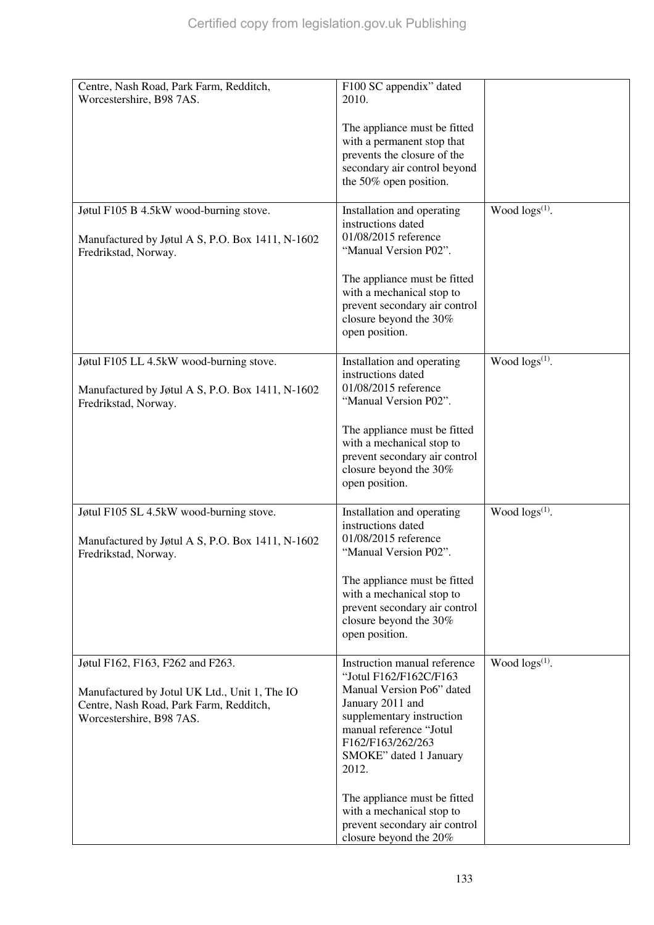| Centre, Nash Road, Park Farm, Redditch,<br>Worcestershire, B98 7AS. | F100 SC appendix" dated<br>2010.                           |                        |
|---------------------------------------------------------------------|------------------------------------------------------------|------------------------|
|                                                                     | The appliance must be fitted<br>with a permanent stop that |                        |
|                                                                     | prevents the closure of the                                |                        |
|                                                                     | secondary air control beyond<br>the 50% open position.     |                        |
|                                                                     |                                                            |                        |
| Jøtul F105 B 4.5kW wood-burning stove.                              | Installation and operating<br>instructions dated           | Wood $\log s^{(1)}$ .  |
| Manufactured by Jøtul A S, P.O. Box 1411, N-1602                    | 01/08/2015 reference                                       |                        |
| Fredrikstad, Norway.                                                | "Manual Version P02".                                      |                        |
|                                                                     | The appliance must be fitted                               |                        |
|                                                                     | with a mechanical stop to<br>prevent secondary air control |                        |
|                                                                     | closure beyond the 30%                                     |                        |
|                                                                     | open position.                                             |                        |
| Jøtul F105 LL 4.5kW wood-burning stove.                             | Installation and operating<br>instructions dated           | Wood $\log(s^{(1)})$ . |
| Manufactured by Jøtul A S, P.O. Box 1411, N-1602                    | 01/08/2015 reference                                       |                        |
| Fredrikstad, Norway.                                                | "Manual Version P02".                                      |                        |
|                                                                     | The appliance must be fitted                               |                        |
|                                                                     | with a mechanical stop to<br>prevent secondary air control |                        |
|                                                                     | closure beyond the 30%                                     |                        |
|                                                                     | open position.                                             |                        |
| Jøtul F105 SL 4.5kW wood-burning stove.                             | Installation and operating<br>instructions dated           | Wood $\log(s^{(1)})$ . |
| Manufactured by Jøtul A S, P.O. Box 1411, N-1602                    | 01/08/2015 reference                                       |                        |
| Fredrikstad, Norway.                                                | "Manual Version P02".                                      |                        |
|                                                                     | The appliance must be fitted                               |                        |
|                                                                     | with a mechanical stop to<br>prevent secondary air control |                        |
|                                                                     | closure beyond the 30%                                     |                        |
|                                                                     | open position.                                             |                        |
| Jøtul F162, F163, F262 and F263.                                    | Instruction manual reference                               | Wood $\log(s^{(1)})$ . |
| Manufactured by Jotul UK Ltd., Unit 1, The IO                       | "Jotul F162/F162C/F163<br>Manual Version Po6" dated        |                        |
| Centre, Nash Road, Park Farm, Redditch,                             | January 2011 and                                           |                        |
| Worcestershire, B98 7AS.                                            | supplementary instruction<br>manual reference "Jotul       |                        |
|                                                                     | F162/F163/262/263                                          |                        |
|                                                                     | SMOKE" dated 1 January<br>2012.                            |                        |
|                                                                     |                                                            |                        |
|                                                                     | The appliance must be fitted                               |                        |
|                                                                     | with a mechanical stop to<br>prevent secondary air control |                        |
|                                                                     | closure beyond the 20%                                     |                        |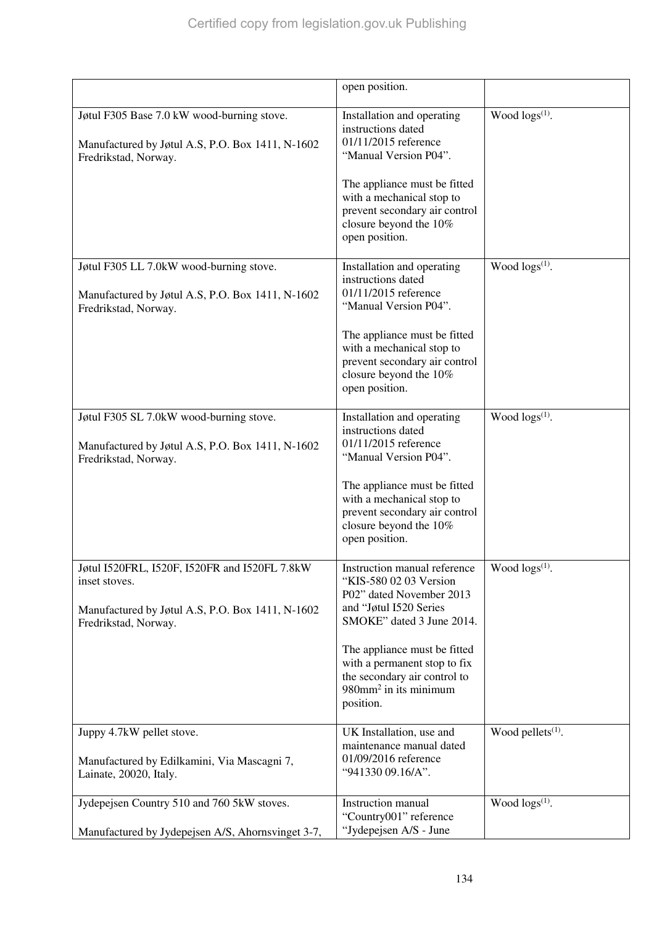|                                                                                                                                            | open position.                                                                                                                                                                                                                                                                                 |                               |
|--------------------------------------------------------------------------------------------------------------------------------------------|------------------------------------------------------------------------------------------------------------------------------------------------------------------------------------------------------------------------------------------------------------------------------------------------|-------------------------------|
| Jøtul F305 Base 7.0 kW wood-burning stove.<br>Manufactured by Jøtul A.S, P.O. Box 1411, N-1602<br>Fredrikstad, Norway.                     | Installation and operating<br>instructions dated<br>01/11/2015 reference<br>"Manual Version P04".<br>The appliance must be fitted<br>with a mechanical stop to<br>prevent secondary air control<br>closure beyond the 10%<br>open position.                                                    | Wood $\log s^{(1)}$ .         |
| Jøtul F305 LL 7.0kW wood-burning stove.<br>Manufactured by Jøtul A.S, P.O. Box 1411, N-1602<br>Fredrikstad, Norway.                        | Installation and operating<br>instructions dated<br>01/11/2015 reference<br>"Manual Version P04".<br>The appliance must be fitted<br>with a mechanical stop to<br>prevent secondary air control<br>closure beyond the 10%<br>open position.                                                    | Wood $\log(s^{(1)})$ .        |
| Jøtul F305 SL 7.0kW wood-burning stove.<br>Manufactured by Jøtul A.S, P.O. Box 1411, N-1602<br>Fredrikstad, Norway.                        | Installation and operating<br>instructions dated<br>01/11/2015 reference<br>"Manual Version P04".<br>The appliance must be fitted<br>with a mechanical stop to<br>prevent secondary air control<br>closure beyond the 10%<br>open position.                                                    | Wood $\log s^{(1)}$ .         |
| Jøtul I520FRL, I520F, I520FR and I520FL 7.8kW<br>inset stoves.<br>Manufactured by Jøtul A.S, P.O. Box 1411, N-1602<br>Fredrikstad, Norway. | Instruction manual reference<br>"KIS-580 02 03 Version<br>P02" dated November 2013<br>and "Jøtul I520 Series<br>SMOKE" dated 3 June 2014.<br>The appliance must be fitted<br>with a permanent stop to fix<br>the secondary air control to<br>$980$ mm <sup>2</sup> in its minimum<br>position. | Wood logs <sup>(1)</sup> .    |
| Juppy 4.7kW pellet stove.<br>Manufactured by Edilkamini, Via Mascagni 7,<br>Lainate, 20020, Italy.                                         | UK Installation, use and<br>maintenance manual dated<br>01/09/2016 reference<br>"941330 09.16/A".                                                                                                                                                                                              | Wood pellets <sup>(1)</sup> . |
| Jydepejsen Country 510 and 760 5kW stoves.<br>Manufactured by Jydepejsen A/S, Ahornsvinget 3-7,                                            | Instruction manual<br>"Country001" reference<br>"Jydepejsen A/S - June                                                                                                                                                                                                                         | Wood logs <sup>(1)</sup> .    |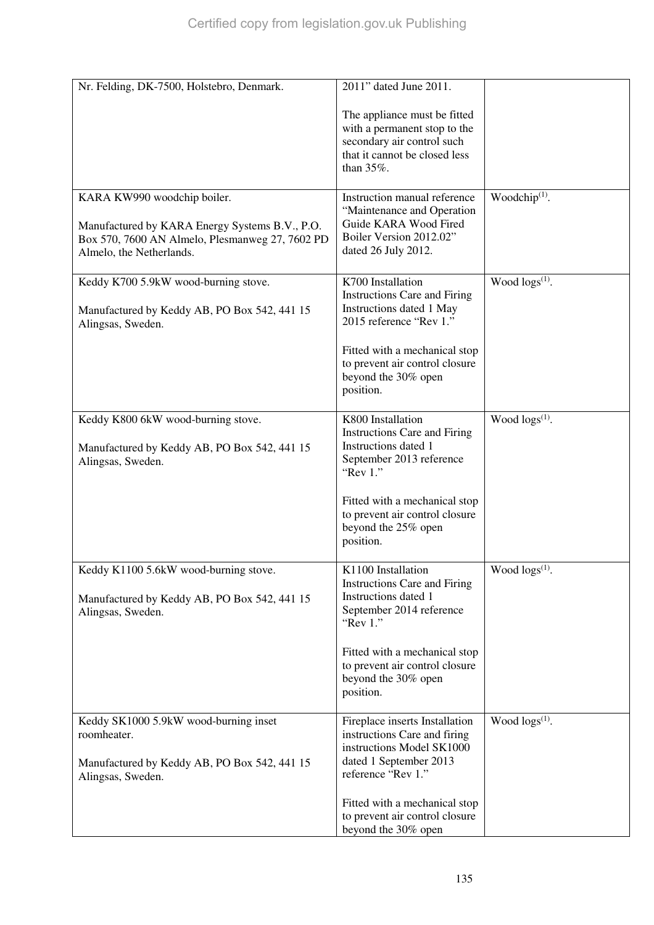| Nr. Felding, DK-7500, Holstebro, Denmark.                         | 2011" dated June 2011.                                          |                           |
|-------------------------------------------------------------------|-----------------------------------------------------------------|---------------------------|
|                                                                   | The appliance must be fitted                                    |                           |
|                                                                   | with a permanent stop to the<br>secondary air control such      |                           |
|                                                                   | that it cannot be closed less                                   |                           |
|                                                                   | than 35%.                                                       |                           |
| KARA KW990 woodchip boiler.                                       | Instruction manual reference                                    | Woodchip <sup>(1)</sup> . |
| Manufactured by KARA Energy Systems B.V., P.O.                    | "Maintenance and Operation<br>Guide KARA Wood Fired             |                           |
| Box 570, 7600 AN Almelo, Plesmanweg 27, 7602 PD                   | Boiler Version 2012.02"<br>dated 26 July 2012.                  |                           |
| Almelo, the Netherlands.                                          |                                                                 |                           |
| Keddy K700 5.9kW wood-burning stove.                              | K700 Installation                                               | Wood $\log s^{(1)}$ .     |
| Manufactured by Keddy AB, PO Box 542, 441 15                      | <b>Instructions Care and Firing</b><br>Instructions dated 1 May |                           |
| Alingsas, Sweden.                                                 | 2015 reference "Rev 1."                                         |                           |
|                                                                   | Fitted with a mechanical stop                                   |                           |
|                                                                   | to prevent air control closure<br>beyond the 30% open           |                           |
|                                                                   | position.                                                       |                           |
| Keddy K800 6kW wood-burning stove.                                | K800 Installation                                               | Wood $\log s^{(1)}$ .     |
|                                                                   | <b>Instructions Care and Firing</b><br>Instructions dated 1     |                           |
| Manufactured by Keddy AB, PO Box 542, 441 15<br>Alingsas, Sweden. | September 2013 reference                                        |                           |
|                                                                   | "Rev $1$ ."                                                     |                           |
|                                                                   | Fitted with a mechanical stop                                   |                           |
|                                                                   | to prevent air control closure<br>beyond the 25% open           |                           |
|                                                                   | position.                                                       |                           |
| Keddy K1100 5.6kW wood-burning stove.                             | K1100 Installation                                              | Wood $\log s^{(1)}$ .     |
|                                                                   | <b>Instructions Care and Firing</b><br>Instructions dated 1     |                           |
| Manufactured by Keddy AB, PO Box 542, 441 15<br>Alingsas, Sweden. | September 2014 reference                                        |                           |
|                                                                   | "Rev $1$ ."                                                     |                           |
|                                                                   | Fitted with a mechanical stop                                   |                           |
|                                                                   | to prevent air control closure<br>beyond the 30% open           |                           |
|                                                                   | position.                                                       |                           |
| Keddy SK1000 5.9kW wood-burning inset                             | Fireplace inserts Installation                                  | Wood $\log s^{(1)}$ .     |
| roomheater.                                                       | instructions Care and firing<br>instructions Model SK1000       |                           |
| Manufactured by Keddy AB, PO Box 542, 441 15                      | dated 1 September 2013                                          |                           |
| Alingsas, Sweden.                                                 | reference "Rev 1."                                              |                           |
|                                                                   | Fitted with a mechanical stop                                   |                           |
|                                                                   | to prevent air control closure<br>beyond the 30% open           |                           |
|                                                                   |                                                                 |                           |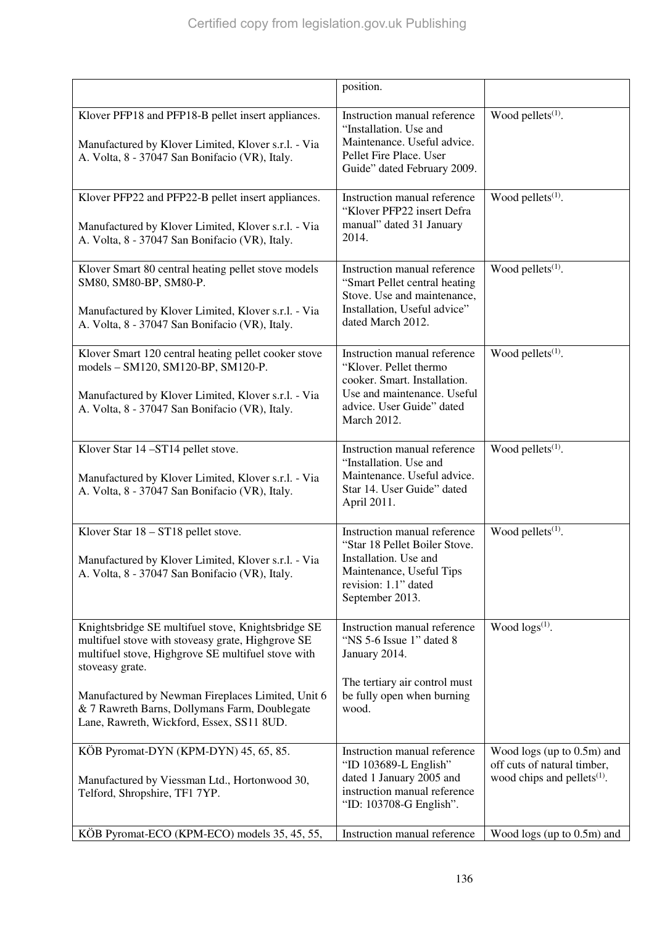|                                                                                                                                                                                                                                       | position.                                                                                                                                                         |                                                                                             |
|---------------------------------------------------------------------------------------------------------------------------------------------------------------------------------------------------------------------------------------|-------------------------------------------------------------------------------------------------------------------------------------------------------------------|---------------------------------------------------------------------------------------------|
| Klover PFP18 and PFP18-B pellet insert appliances.<br>Manufactured by Klover Limited, Klover s.r.l. - Via<br>A. Volta, 8 - 37047 San Bonifacio (VR), Italy.                                                                           | Instruction manual reference<br>"Installation. Use and<br>Maintenance. Useful advice.<br>Pellet Fire Place. User<br>Guide" dated February 2009.                   | Wood pellets $(1)$ .                                                                        |
| Klover PFP22 and PFP22-B pellet insert appliances.<br>Manufactured by Klover Limited, Klover s.r.l. - Via<br>A. Volta, 8 - 37047 San Bonifacio (VR), Italy.                                                                           | Instruction manual reference<br>"Klover PFP22 insert Defra<br>manual" dated 31 January<br>2014.                                                                   | Wood pellets <sup>(1)</sup> .                                                               |
| Klover Smart 80 central heating pellet stove models<br>SM80, SM80-BP, SM80-P.<br>Manufactured by Klover Limited, Klover s.r.l. - Via<br>A. Volta, 8 - 37047 San Bonifacio (VR), Italy.                                                | Instruction manual reference<br>"Smart Pellet central heating<br>Stove. Use and maintenance,<br>Installation, Useful advice"<br>dated March 2012.                 | Wood pellets $(1)$ .                                                                        |
| Klover Smart 120 central heating pellet cooker stove<br>models - SM120, SM120-BP, SM120-P.<br>Manufactured by Klover Limited, Klover s.r.l. - Via<br>A. Volta, 8 - 37047 San Bonifacio (VR), Italy.                                   | Instruction manual reference<br>"Klover. Pellet thermo<br>cooker. Smart. Installation.<br>Use and maintenance. Useful<br>advice. User Guide" dated<br>March 2012. | Wood pellets $(1)$ .                                                                        |
| Klover Star 14-ST14 pellet stove.<br>Manufactured by Klover Limited, Klover s.r.l. - Via<br>A. Volta, 8 - 37047 San Bonifacio (VR), Italy.                                                                                            | Instruction manual reference<br>"Installation. Use and<br>Maintenance. Useful advice.<br>Star 14. User Guide" dated<br>April 2011.                                | Wood pellets <sup>(1)</sup> .                                                               |
| Klover Star 18 - ST18 pellet stove.<br>Manufactured by Klover Limited, Klover s.r.l. - Via<br>A. Volta, 8 - 37047 San Bonifacio (VR), Italy.                                                                                          | Instruction manual reference<br>"Star 18 Pellet Boiler Stove.<br>Installation. Use and<br>Maintenance, Useful Tips<br>revision: 1.1" dated<br>September 2013.     | Wood pellets $(1)$ .                                                                        |
| Knightsbridge SE multifuel stove, Knightsbridge SE<br>multifuel stove with stoveasy grate, Highgrove SE<br>multifuel stove, Highgrove SE multifuel stove with<br>stoveasy grate.<br>Manufactured by Newman Fireplaces Limited, Unit 6 | Instruction manual reference<br>"NS 5-6 Issue 1" dated 8<br>January 2014.<br>The tertiary air control must<br>be fully open when burning                          | Wood $\log(s^{(1)})$ .                                                                      |
| & 7 Rawreth Barns, Dollymans Farm, Doublegate<br>Lane, Rawreth, Wickford, Essex, SS11 8UD.                                                                                                                                            | wood.                                                                                                                                                             |                                                                                             |
| KÖB Pyromat-DYN (KPM-DYN) 45, 65, 85.<br>Manufactured by Viessman Ltd., Hortonwood 30,<br>Telford, Shropshire, TF1 7YP.                                                                                                               | Instruction manual reference<br>"ID 103689-L English"<br>dated 1 January 2005 and<br>instruction manual reference<br>"ID: 103708-G English".                      | Wood logs (up to 0.5m) and<br>off cuts of natural timber,<br>wood chips and pellets $(1)$ . |
| KÖB Pyromat-ECO (KPM-ECO) models 35, 45, 55,                                                                                                                                                                                          | Instruction manual reference                                                                                                                                      | Wood logs (up to 0.5m) and                                                                  |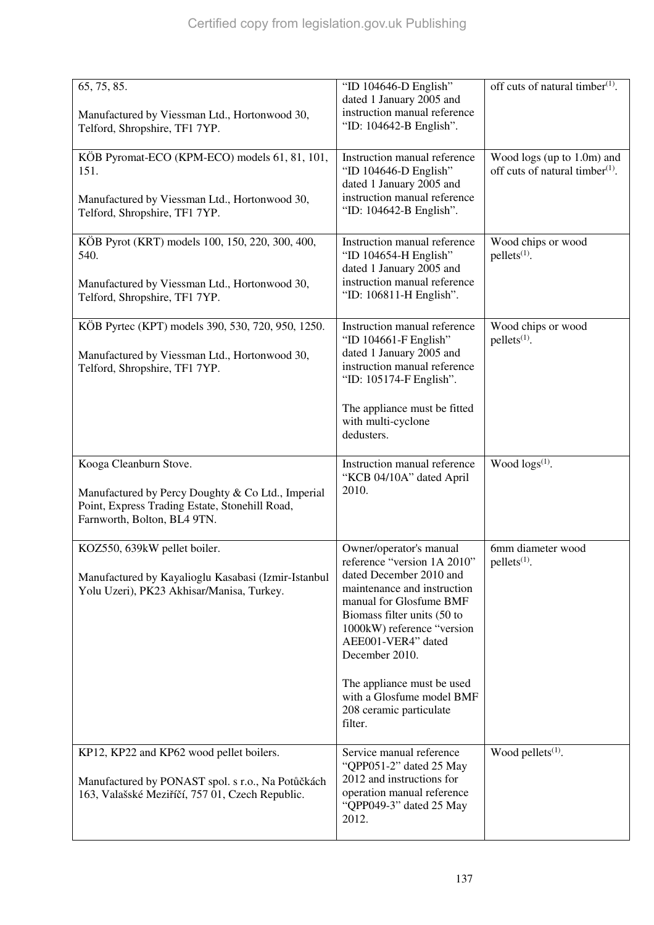| 65, 75, 85.                                                                                                                                      | "ID 104646-D English"                                                                                                                                                                  | off cuts of natural timber $(1)$ .                                        |
|--------------------------------------------------------------------------------------------------------------------------------------------------|----------------------------------------------------------------------------------------------------------------------------------------------------------------------------------------|---------------------------------------------------------------------------|
| Manufactured by Viessman Ltd., Hortonwood 30,<br>Telford, Shropshire, TF1 7YP.                                                                   | dated 1 January 2005 and<br>instruction manual reference<br>"ID: 104642-B English".                                                                                                    |                                                                           |
| KÖB Pyromat-ECO (KPM-ECO) models 61, 81, 101,<br>151.                                                                                            | Instruction manual reference<br>"ID 104646-D English"<br>dated 1 January 2005 and                                                                                                      | Wood logs (up to 1.0m) and<br>off cuts of natural timber <sup>(1)</sup> . |
| Manufactured by Viessman Ltd., Hortonwood 30,<br>Telford, Shropshire, TF1 7YP.                                                                   | instruction manual reference<br>"ID: 104642-B English".                                                                                                                                |                                                                           |
| KÖB Pyrot (KRT) models 100, 150, 220, 300, 400,<br>540.                                                                                          | Instruction manual reference<br>"ID 104654-H English"<br>dated 1 January 2005 and                                                                                                      | Wood chips or wood<br>$pellets(1)$ .                                      |
| Manufactured by Viessman Ltd., Hortonwood 30,<br>Telford, Shropshire, TF1 7YP.                                                                   | instruction manual reference<br>"ID: 106811-H English".                                                                                                                                |                                                                           |
| KÖB Pyrtec (KPT) models 390, 530, 720, 950, 1250.<br>Manufactured by Viessman Ltd., Hortonwood 30,                                               | Instruction manual reference<br>"ID 104661-F English"<br>dated 1 January 2005 and                                                                                                      | Wood chips or wood<br>$pellets(1)$ .                                      |
| Telford, Shropshire, TF1 7YP.                                                                                                                    | instruction manual reference<br>"ID: 105174-F English".                                                                                                                                |                                                                           |
|                                                                                                                                                  | The appliance must be fitted<br>with multi-cyclone<br>dedusters.                                                                                                                       |                                                                           |
| Kooga Cleanburn Stove.                                                                                                                           | Instruction manual reference<br>"KCB 04/10A" dated April                                                                                                                               | Wood $\log(s^{(1)})$ .                                                    |
| Manufactured by Percy Doughty & Co Ltd., Imperial<br>Point, Express Trading Estate, Stonehill Road,<br>Farnworth, Bolton, BL4 9TN.               | 2010.                                                                                                                                                                                  |                                                                           |
| KOZ550, 639kW pellet boiler.                                                                                                                     | Owner/operator's manual<br>reference "version 1A 2010"                                                                                                                                 | 6mm diameter wood<br>$pellets(1)$ .                                       |
| Manufactured by Kayalioglu Kasabasi (Izmir-Istanbul<br>Yolu Uzeri), PK23 Akhisar/Manisa, Turkey.                                                 | dated December 2010 and<br>maintenance and instruction<br>manual for Glosfume BMF<br>Biomass filter units (50 to<br>1000kW) reference "version<br>AEE001-VER4" dated<br>December 2010. |                                                                           |
|                                                                                                                                                  | The appliance must be used<br>with a Glosfume model BMF<br>208 ceramic particulate<br>filter.                                                                                          |                                                                           |
| KP12, KP22 and KP62 wood pellet boilers.<br>Manufactured by PONAST spol. s r.o., Na Potůčkách<br>163, Valašské Meziříčí, 757 01, Czech Republic. | Service manual reference<br>"QPP051-2" dated 25 May<br>2012 and instructions for<br>operation manual reference<br>"QPP049-3" dated 25 May<br>2012.                                     | Wood pellets <sup>(1)</sup> .                                             |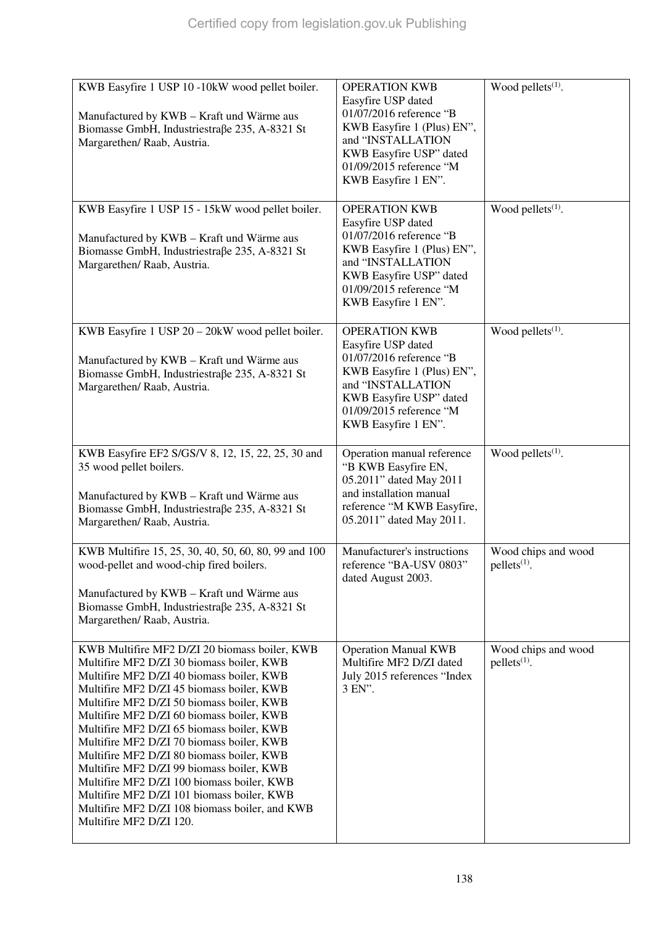| KWB Easyfire 1 USP 10 -10kW wood pellet boiler.<br>Manufactured by KWB - Kraft und Wärme aus<br>Biomasse GmbH, Industriestraße 235, A-8321 St<br>Margarethen/ Raab, Austria.                                                                                                                                                                                                                                                                                                                                                                                                                                                                | <b>OPERATION KWB</b><br>Easyfire USP dated<br>01/07/2016 reference "B<br>KWB Easyfire 1 (Plus) EN",<br>and "INSTALLATION<br>KWB Easyfire USP" dated<br>01/09/2015 reference "M<br>KWB Easyfire 1 EN". | Wood pellets <sup>(1)</sup> .                   |
|---------------------------------------------------------------------------------------------------------------------------------------------------------------------------------------------------------------------------------------------------------------------------------------------------------------------------------------------------------------------------------------------------------------------------------------------------------------------------------------------------------------------------------------------------------------------------------------------------------------------------------------------|-------------------------------------------------------------------------------------------------------------------------------------------------------------------------------------------------------|-------------------------------------------------|
| KWB Easyfire 1 USP 15 - 15kW wood pellet boiler.<br>Manufactured by KWB - Kraft und Wärme aus<br>Biomasse GmbH, Industriestraße 235, A-8321 St<br>Margarethen/Raab, Austria.                                                                                                                                                                                                                                                                                                                                                                                                                                                                | <b>OPERATION KWB</b><br>Easyfire USP dated<br>01/07/2016 reference "B<br>KWB Easyfire 1 (Plus) EN",<br>and "INSTALLATION<br>KWB Easyfire USP" dated<br>01/09/2015 reference "M<br>KWB Easyfire 1 EN". | Wood pellets $(1)$ .                            |
| KWB Easyfire 1 USP 20 - 20kW wood pellet boiler.<br>Manufactured by KWB - Kraft und Wärme aus<br>Biomasse GmbH, Industriestraße 235, A-8321 St<br>Margarethen/ Raab, Austria.                                                                                                                                                                                                                                                                                                                                                                                                                                                               | <b>OPERATION KWB</b><br>Easyfire USP dated<br>01/07/2016 reference "B<br>KWB Easyfire 1 (Plus) EN",<br>and "INSTALLATION<br>KWB Easyfire USP" dated<br>01/09/2015 reference "M<br>KWB Easyfire 1 EN". | Wood pellets <sup>(1)</sup> .                   |
| KWB Easyfire EF2 S/GS/V 8, 12, 15, 22, 25, 30 and<br>35 wood pellet boilers.<br>Manufactured by KWB - Kraft und Wärme aus<br>Biomasse GmbH, Industriestraße 235, A-8321 St<br>Margarethen/ Raab, Austria.                                                                                                                                                                                                                                                                                                                                                                                                                                   | Operation manual reference<br>"B KWB Easyfire EN,<br>05.2011" dated May 2011<br>and installation manual<br>reference "M KWB Easyfire,<br>05.2011" dated May 2011.                                     | Wood pellets $(1)$ .                            |
| KWB Multifire 15, 25, 30, 40, 50, 60, 80, 99 and 100<br>wood-pellet and wood-chip fired boilers.<br>Manufactured by KWB - Kraft und Wärme aus<br>Biomasse GmbH, Industriestraße 235, A-8321 St<br>Margarethen/Raab, Austria.                                                                                                                                                                                                                                                                                                                                                                                                                | Manufacturer's instructions<br>reference "BA-USV 0803"<br>dated August 2003.                                                                                                                          | Wood chips and wood<br>pellets <sup>(1)</sup> . |
| KWB Multifire MF2 D/ZI 20 biomass boiler, KWB<br>Multifire MF2 D/ZI 30 biomass boiler, KWB<br>Multifire MF2 D/ZI 40 biomass boiler, KWB<br>Multifire MF2 D/ZI 45 biomass boiler, KWB<br>Multifire MF2 D/ZI 50 biomass boiler, KWB<br>Multifire MF2 D/ZI 60 biomass boiler, KWB<br>Multifire MF2 D/ZI 65 biomass boiler, KWB<br>Multifire MF2 D/ZI 70 biomass boiler, KWB<br>Multifire MF2 D/ZI 80 biomass boiler, KWB<br>Multifire MF2 D/ZI 99 biomass boiler, KWB<br>Multifire MF2 D/ZI 100 biomass boiler, KWB<br>Multifire MF2 D/ZI 101 biomass boiler, KWB<br>Multifire MF2 D/ZI 108 biomass boiler, and KWB<br>Multifire MF2 D/ZI 120. | <b>Operation Manual KWB</b><br>Multifire MF2 D/ZI dated<br>July 2015 references "Index<br>3 EN".                                                                                                      | Wood chips and wood<br>pellets <sup>(1)</sup> . |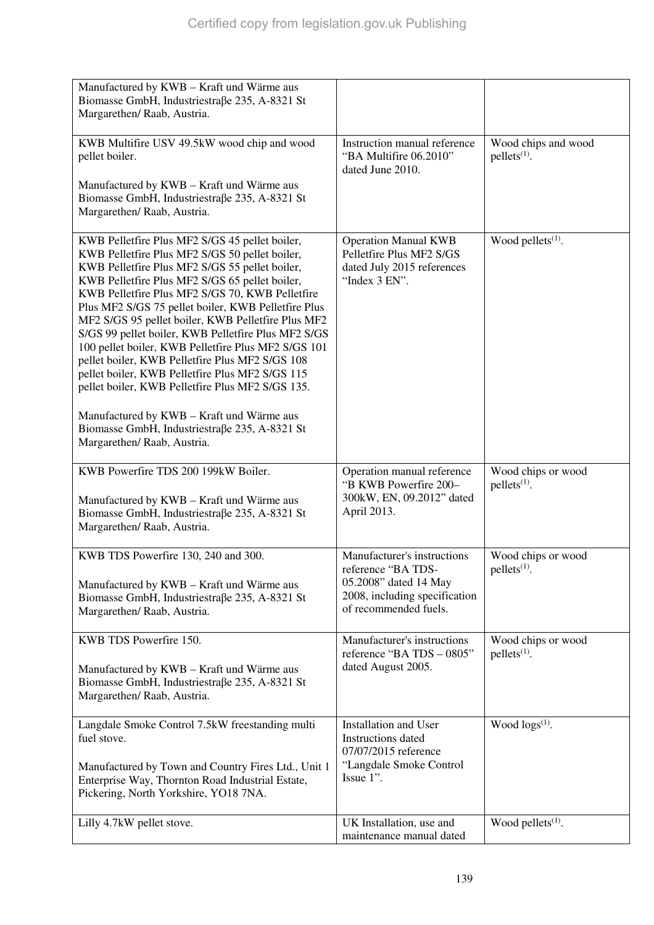| Manufactured by KWB - Kraft und Wärme aus<br>Biomasse GmbH, Industriestraße 235, A-8321 St<br>Margarethen/ Raab, Austria.                                                                                                                                                                                                                                                                                                                                                                                                                                                                                                                    |                                                                                                             |                                                |
|----------------------------------------------------------------------------------------------------------------------------------------------------------------------------------------------------------------------------------------------------------------------------------------------------------------------------------------------------------------------------------------------------------------------------------------------------------------------------------------------------------------------------------------------------------------------------------------------------------------------------------------------|-------------------------------------------------------------------------------------------------------------|------------------------------------------------|
| KWB Multifire USV 49.5kW wood chip and wood<br>pellet boiler.<br>Manufactured by KWB - Kraft und Wärme aus<br>Biomasse GmbH, Industriestraße 235, A-8321 St                                                                                                                                                                                                                                                                                                                                                                                                                                                                                  | Instruction manual reference<br>"BA Multifire 06.2010"<br>dated June 2010.                                  | Wood chips and wood<br>$pellets(1)$ .          |
| Margarethen/ Raab, Austria.                                                                                                                                                                                                                                                                                                                                                                                                                                                                                                                                                                                                                  |                                                                                                             |                                                |
| KWB Pelletfire Plus MF2 S/GS 45 pellet boiler,<br>KWB Pelletfire Plus MF2 S/GS 50 pellet boiler,<br>KWB Pelletfire Plus MF2 S/GS 55 pellet boiler,<br>KWB Pelletfire Plus MF2 S/GS 65 pellet boiler,<br>KWB Pelletfire Plus MF2 S/GS 70, KWB Pelletfire<br>Plus MF2 S/GS 75 pellet boiler, KWB Pelletfire Plus<br>MF2 S/GS 95 pellet boiler, KWB Pelletfire Plus MF2<br>S/GS 99 pellet boiler, KWB Pelletfire Plus MF2 S/GS<br>100 pellet boiler, KWB Pelletfire Plus MF2 S/GS 101<br>pellet boiler, KWB Pelletfire Plus MF2 S/GS 108<br>pellet boiler, KWB Pelletfire Plus MF2 S/GS 115<br>pellet boiler, KWB Pelletfire Plus MF2 S/GS 135. | <b>Operation Manual KWB</b><br>Pelletfire Plus MF2 S/GS<br>dated July 2015 references<br>"Index 3 EN".      | Wood pellets $(1)$ .                           |
| Manufactured by KWB - Kraft und Wärme aus<br>Biomasse GmbH, Industriestraße 235, A-8321 St<br>Margarethen/ Raab, Austria.                                                                                                                                                                                                                                                                                                                                                                                                                                                                                                                    |                                                                                                             |                                                |
| KWB Powerfire TDS 200 199kW Boiler.<br>Manufactured by KWB - Kraft und Wärme aus<br>Biomasse GmbH, Industriestraße 235, A-8321 St<br>Margarethen/ Raab, Austria.                                                                                                                                                                                                                                                                                                                                                                                                                                                                             | Operation manual reference<br>"B KWB Powerfire 200-<br>300kW, EN, 09.2012" dated<br>April 2013.             | Wood chips or wood<br>$pellets(1)$ .           |
| KWB TDS Powerfire 130, 240 and 300.                                                                                                                                                                                                                                                                                                                                                                                                                                                                                                                                                                                                          | Manufacturer's instructions<br>reference "BA TDS-                                                           | Wood chips or wood<br>pellets <sup>(1)</sup> . |
| Manufactured by KWB - Kraft und Wärme aus<br>Biomasse GmbH, Industriestraße 235, A-8321 St<br>Margarethen/Raab, Austria.                                                                                                                                                                                                                                                                                                                                                                                                                                                                                                                     | 05.2008" dated 14 May<br>2008, including specification<br>of recommended fuels.                             |                                                |
| KWB TDS Powerfire 150.<br>Manufactured by KWB - Kraft und Wärme aus<br>Biomasse GmbH, Industriestraße 235, A-8321 St<br>Margarethen/ Raab, Austria.                                                                                                                                                                                                                                                                                                                                                                                                                                                                                          | Manufacturer's instructions<br>reference "BA TDS - 0805"<br>dated August 2005.                              | Wood chips or wood<br>$pellets(1)$ .           |
| Langdale Smoke Control 7.5kW freestanding multi<br>fuel stove.<br>Manufactured by Town and Country Fires Ltd., Unit 1<br>Enterprise Way, Thornton Road Industrial Estate,<br>Pickering, North Yorkshire, YO18 7NA.                                                                                                                                                                                                                                                                                                                                                                                                                           | Installation and User<br>Instructions dated<br>07/07/2015 reference<br>"Langdale Smoke Control<br>Issue 1". | Wood $\log(s^{(1)})$ .                         |
| Lilly 4.7kW pellet stove.                                                                                                                                                                                                                                                                                                                                                                                                                                                                                                                                                                                                                    | UK Installation, use and<br>maintenance manual dated                                                        | Wood pellets <sup>(1)</sup> .                  |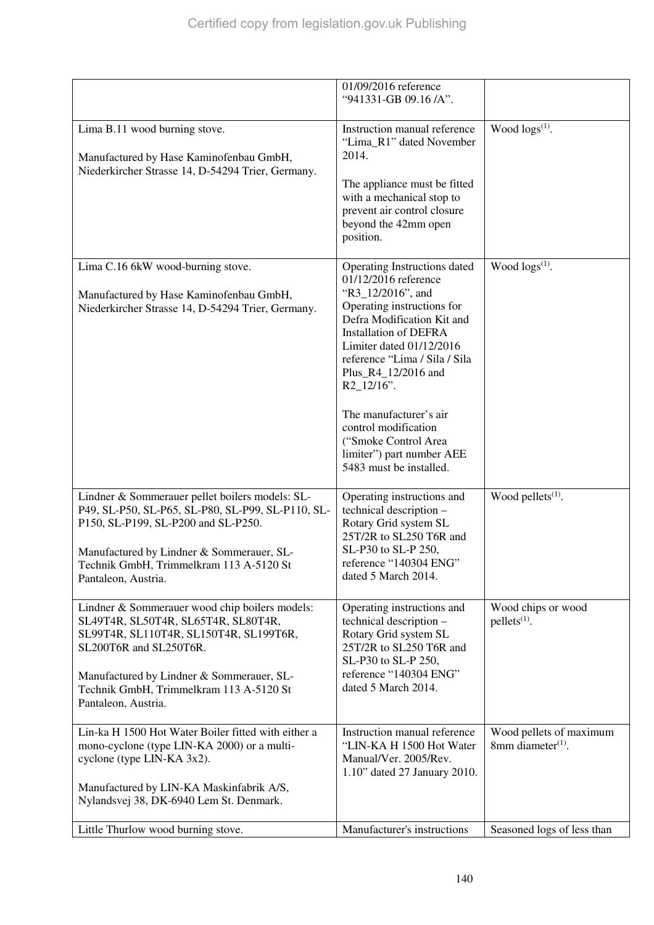|                                                                                                                                                                                                                                                                          | 01/09/2016 reference                                                                                                                                                                                                                                                                                                                                                                                         |                                                          |
|--------------------------------------------------------------------------------------------------------------------------------------------------------------------------------------------------------------------------------------------------------------------------|--------------------------------------------------------------------------------------------------------------------------------------------------------------------------------------------------------------------------------------------------------------------------------------------------------------------------------------------------------------------------------------------------------------|----------------------------------------------------------|
|                                                                                                                                                                                                                                                                          | "941331-GB 09.16 /A".                                                                                                                                                                                                                                                                                                                                                                                        |                                                          |
| Lima B.11 wood burning stove.<br>Manufactured by Hase Kaminofenbau GmbH,<br>Niederkircher Strasse 14, D-54294 Trier, Germany.                                                                                                                                            | Instruction manual reference<br>"Lima_R1" dated November<br>2014.<br>The appliance must be fitted<br>with a mechanical stop to<br>prevent air control closure<br>beyond the 42mm open<br>position.                                                                                                                                                                                                           | Wood logs(1).                                            |
| Lima C.16 6kW wood-burning stove.<br>Manufactured by Hase Kaminofenbau GmbH,<br>Niederkircher Strasse 14, D-54294 Trier, Germany.                                                                                                                                        | Operating Instructions dated<br>01/12/2016 reference<br>"R3_12/2016", and<br>Operating instructions for<br>Defra Modification Kit and<br><b>Installation of DEFRA</b><br>Limiter dated 01/12/2016<br>reference "Lima / Sila / Sila<br>Plus_R4_12/2016 and<br>$R2_12/16$ ".<br>The manufacturer's air<br>control modification<br>("Smoke Control Area<br>limiter") part number AEE<br>5483 must be installed. | Wood logs(1).                                            |
| Lindner & Sommerauer pellet boilers models: SL-<br>P49, SL-P50, SL-P65, SL-P80, SL-P99, SL-P110, SL-<br>P150, SL-P199, SL-P200 and SL-P250.<br>Manufactured by Lindner & Sommerauer, SL-<br>Technik GmbH, Trimmelkram 113 A-5120 St<br>Pantaleon, Austria.               | Operating instructions and<br>technical description -<br>Rotary Grid system SL<br>25T/2R to SL250 T6R and<br>SL-P30 to SL-P 250,<br>reference "140304 ENG"<br>dated 5 March 2014.                                                                                                                                                                                                                            | Wood pellets $(1)$ .                                     |
| Lindner & Sommerauer wood chip boilers models:<br>SL49T4R, SL50T4R, SL65T4R, SL80T4R,<br>SL99T4R, SL110T4R, SL150T4R, SL199T6R,<br>SL200T6R and SL250T6R.<br>Manufactured by Lindner & Sommerauer, SL-<br>Technik GmbH, Trimmelkram 113 A-5120 St<br>Pantaleon, Austria. | Operating instructions and<br>technical description -<br>Rotary Grid system SL<br>25T/2R to SL250 T6R and<br>SL-P30 to SL-P 250,<br>reference "140304 ENG"<br>dated 5 March 2014.                                                                                                                                                                                                                            | Wood chips or wood<br>$pellets(1)$ .                     |
| Lin-ka H 1500 Hot Water Boiler fitted with either a<br>mono-cyclone (type LIN-KA 2000) or a multi-<br>cyclone (type LIN-KA 3x2).<br>Manufactured by LIN-KA Maskinfabrik A/S,<br>Nylandsvej 38, DK-6940 Lem St. Denmark.                                                  | Instruction manual reference<br>"LIN-KA H 1500 Hot Water<br>Manual/Ver. 2005/Rev.<br>1.10" dated 27 January 2010.                                                                                                                                                                                                                                                                                            | Wood pellets of maximum<br>8mm diameter <sup>(1)</sup> . |
| Little Thurlow wood burning stove.                                                                                                                                                                                                                                       | Manufacturer's instructions                                                                                                                                                                                                                                                                                                                                                                                  | Seasoned logs of less than                               |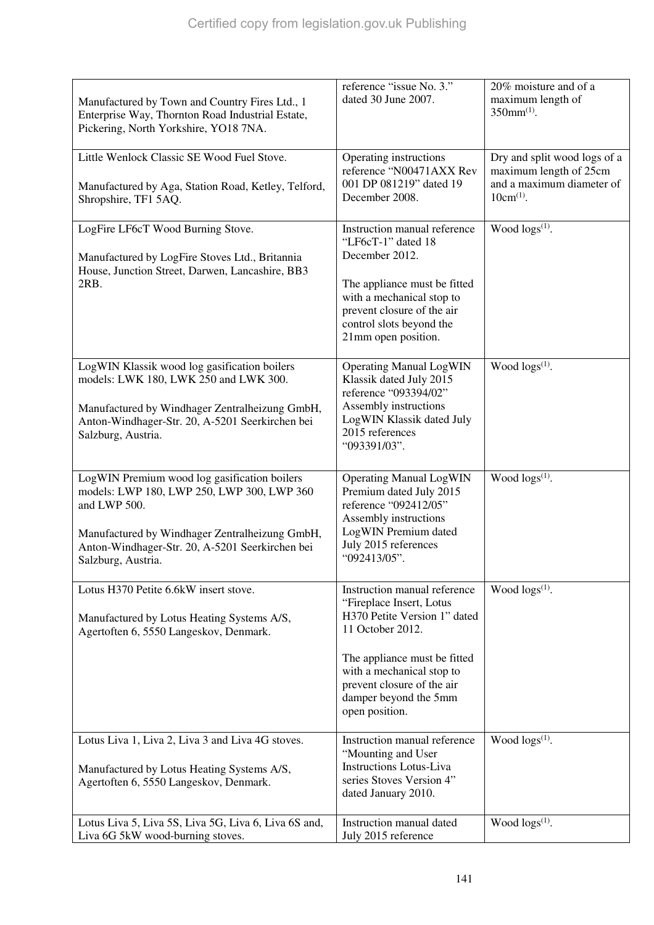| Manufactured by Town and Country Fires Ltd., 1<br>Enterprise Way, Thornton Road Industrial Estate,<br>Pickering, North Yorkshire, YO18 7NA.                                                                                           | reference "issue No. 3."<br>dated 30 June 2007.                                                                                                                                                                                                    | 20% moisture and of a<br>maximum length of<br>$350mm^{(1)}$ .                                         |
|---------------------------------------------------------------------------------------------------------------------------------------------------------------------------------------------------------------------------------------|----------------------------------------------------------------------------------------------------------------------------------------------------------------------------------------------------------------------------------------------------|-------------------------------------------------------------------------------------------------------|
| Little Wenlock Classic SE Wood Fuel Stove.<br>Manufactured by Aga, Station Road, Ketley, Telford,<br>Shropshire, TF1 5AQ.                                                                                                             | Operating instructions<br>reference "N00471AXX Rev<br>001 DP 081219" dated 19<br>December 2008.                                                                                                                                                    | Dry and split wood logs of a<br>maximum length of 25cm<br>and a maximum diameter of<br>$10cm^{(1)}$ . |
| LogFire LF6cT Wood Burning Stove.<br>Manufactured by LogFire Stoves Ltd., Britannia<br>House, Junction Street, Darwen, Lancashire, BB3<br>2RB.                                                                                        | Instruction manual reference<br>"LF6cT-1" dated 18<br>December 2012.<br>The appliance must be fitted<br>with a mechanical stop to<br>prevent closure of the air<br>control slots beyond the<br>21mm open position.                                 | Wood $\log(s^{(1)})$ .                                                                                |
| LogWIN Klassik wood log gasification boilers<br>models: LWK 180, LWK 250 and LWK 300.<br>Manufactured by Windhager Zentralheizung GmbH,<br>Anton-Windhager-Str. 20, A-5201 Seerkirchen bei<br>Salzburg, Austria.                      | <b>Operating Manual LogWIN</b><br>Klassik dated July 2015<br>reference "093394/02"<br>Assembly instructions<br>LogWIN Klassik dated July<br>2015 references<br>"093391/03".                                                                        | Wood $\log s^{(1)}$ .                                                                                 |
| LogWIN Premium wood log gasification boilers<br>models: LWP 180, LWP 250, LWP 300, LWP 360<br>and LWP 500.<br>Manufactured by Windhager Zentralheizung GmbH,<br>Anton-Windhager-Str. 20, A-5201 Seerkirchen bei<br>Salzburg, Austria. | <b>Operating Manual LogWIN</b><br>Premium dated July 2015<br>reference "092412/05"<br>Assembly instructions<br>LogWIN Premium dated<br>July 2015 references<br>"092413/05".                                                                        | Wood $\log s^{(1)}$ .                                                                                 |
| Lotus H370 Petite 6.6kW insert stove.<br>Manufactured by Lotus Heating Systems A/S,<br>Agertoften 6, 5550 Langeskov, Denmark.                                                                                                         | Instruction manual reference<br>"Fireplace Insert, Lotus<br>H370 Petite Version 1" dated<br>11 October 2012.<br>The appliance must be fitted<br>with a mechanical stop to<br>prevent closure of the air<br>damper beyond the 5mm<br>open position. | Wood $\log(s^{(1)})$ .                                                                                |
| Lotus Liva 1, Liva 2, Liva 3 and Liva 4G stoves.<br>Manufactured by Lotus Heating Systems A/S,<br>Agertoften 6, 5550 Langeskov, Denmark.                                                                                              | Instruction manual reference<br>"Mounting and User<br><b>Instructions Lotus-Liva</b><br>series Stoves Version 4"<br>dated January 2010.                                                                                                            | Wood $\log(s^{(1)})$ .                                                                                |
| Lotus Liva 5, Liva 5S, Liva 5G, Liva 6, Liva 6S and,<br>Liva 6G 5kW wood-burning stoves.                                                                                                                                              | Instruction manual dated<br>July 2015 reference                                                                                                                                                                                                    | Wood $\log(s^{(1)})$ .                                                                                |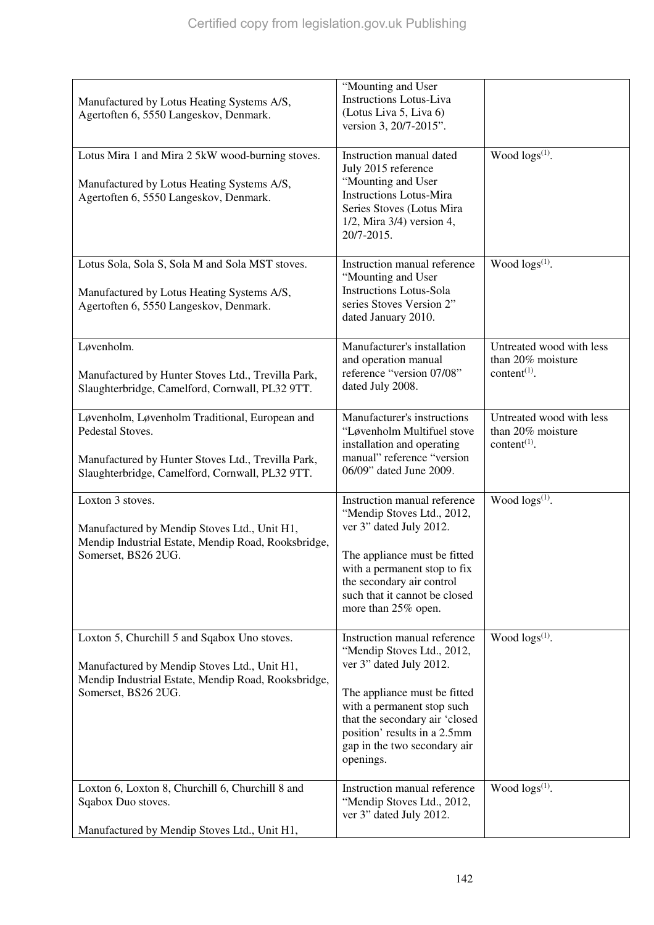| Manufactured by Lotus Heating Systems A/S,<br>Agertoften 6, 5550 Langeskov, Denmark.                                                                                        | "Mounting and User<br><b>Instructions Lotus-Liva</b><br>(Lotus Liva 5, Liva 6)<br>version 3, 20/7-2015".                                                                                                                                                           |                                                                                        |
|-----------------------------------------------------------------------------------------------------------------------------------------------------------------------------|--------------------------------------------------------------------------------------------------------------------------------------------------------------------------------------------------------------------------------------------------------------------|----------------------------------------------------------------------------------------|
| Lotus Mira 1 and Mira 2 5kW wood-burning stoves.<br>Manufactured by Lotus Heating Systems A/S,<br>Agertoften 6, 5550 Langeskov, Denmark.                                    | Instruction manual dated<br>July 2015 reference<br>"Mounting and User<br><b>Instructions Lotus-Mira</b><br>Series Stoves (Lotus Mira<br>$1/2$ , Mira $3/4$ ) version 4,<br>20/7-2015.                                                                              | Wood $\log(s^{(1)})$ .                                                                 |
| Lotus Sola, Sola S, Sola M and Sola MST stoves.<br>Manufactured by Lotus Heating Systems A/S,<br>Agertoften 6, 5550 Langeskov, Denmark.                                     | Instruction manual reference<br>"Mounting and User<br><b>Instructions Lotus-Sola</b><br>series Stoves Version 2"<br>dated January 2010.                                                                                                                            | Wood $\log(s^{(1)})$ .                                                                 |
| Løvenholm.<br>Manufactured by Hunter Stoves Ltd., Trevilla Park,<br>Slaughterbridge, Camelford, Cornwall, PL32 9TT.                                                         | Manufacturer's installation<br>and operation manual<br>reference "version 07/08"<br>dated July 2008.                                                                                                                                                               | Untreated wood with less<br>than 20% moisture<br>content <sup><math>(1)</math></sup> . |
| Løvenholm, Løvenholm Traditional, European and<br>Pedestal Stoves.<br>Manufactured by Hunter Stoves Ltd., Trevilla Park,<br>Slaughterbridge, Camelford, Cornwall, PL32 9TT. | Manufacturer's instructions<br>"Løvenholm Multifuel stove<br>installation and operating<br>manual" reference "version<br>06/09" dated June 2009.                                                                                                                   | Untreated wood with less<br>than 20% moisture<br>content $(1)$ .                       |
| Loxton 3 stoves.<br>Manufactured by Mendip Stoves Ltd., Unit H1,<br>Mendip Industrial Estate, Mendip Road, Rooksbridge,<br>Somerset, BS26 2UG.                              | Instruction manual reference<br>"Mendip Stoves Ltd., 2012,<br>ver 3" dated July 2012.<br>The appliance must be fitted<br>with a permanent stop to fix<br>the secondary air control<br>such that it cannot be closed<br>more than 25% open.                         | Wood $\log(s^{(1)})$ .                                                                 |
| Loxton 5, Churchill 5 and Sqabox Uno stoves.<br>Manufactured by Mendip Stoves Ltd., Unit H1,<br>Mendip Industrial Estate, Mendip Road, Rooksbridge,<br>Somerset, BS26 2UG.  | Instruction manual reference<br>"Mendip Stoves Ltd., 2012,<br>ver 3" dated July 2012.<br>The appliance must be fitted<br>with a permanent stop such<br>that the secondary air 'closed<br>position' results in a 2.5mm<br>gap in the two secondary air<br>openings. | Wood $\log s^{(1)}$ .                                                                  |
| Loxton 6, Loxton 8, Churchill 6, Churchill 8 and<br>Sqabox Duo stoves.<br>Manufactured by Mendip Stoves Ltd., Unit H1,                                                      | Instruction manual reference<br>"Mendip Stoves Ltd., 2012,<br>ver 3" dated July 2012.                                                                                                                                                                              | Wood $\log(s^{(1)})$ .                                                                 |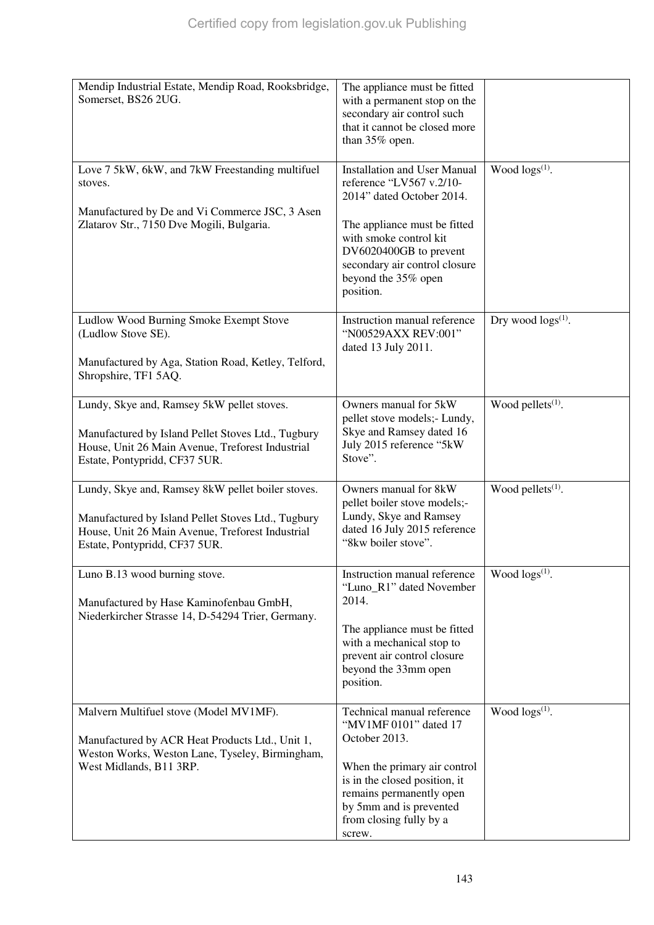| Mendip Industrial Estate, Mendip Road, Rooksbridge,<br>Somerset, BS26 2UG.                                                                                                                   | The appliance must be fitted<br>with a permanent stop on the<br>secondary air control such<br>that it cannot be closed more<br>than 35% open.                                                                                                         |                           |
|----------------------------------------------------------------------------------------------------------------------------------------------------------------------------------------------|-------------------------------------------------------------------------------------------------------------------------------------------------------------------------------------------------------------------------------------------------------|---------------------------|
| Love 7 5kW, 6kW, and 7kW Freestanding multifuel<br>stoves.<br>Manufactured by De and Vi Commerce JSC, 3 Asen<br>Zlatarov Str., 7150 Dve Mogili, Bulgaria.                                    | <b>Installation and User Manual</b><br>reference "LV567 v.2/10-<br>2014" dated October 2014.<br>The appliance must be fitted<br>with smoke control kit<br>DV6020400GB to prevent<br>secondary air control closure<br>beyond the 35% open<br>position. | Wood $\log s^{(1)}$ .     |
| Ludlow Wood Burning Smoke Exempt Stove<br>(Ludlow Stove SE).<br>Manufactured by Aga, Station Road, Ketley, Telford,<br>Shropshire, TF1 5AQ.                                                  | Instruction manual reference<br>"N00529AXX REV:001"<br>dated 13 July 2011.                                                                                                                                                                            | Dry wood $\log s^{(1)}$ . |
| Lundy, Skye and, Ramsey 5kW pellet stoves.<br>Manufactured by Island Pellet Stoves Ltd., Tugbury<br>House, Unit 26 Main Avenue, Treforest Industrial<br>Estate, Pontypridd, CF37 5UR.        | Owners manual for 5kW<br>pellet stove models;- Lundy,<br>Skye and Ramsey dated 16<br>July 2015 reference "5kW<br>Stove".                                                                                                                              | Wood pellets $(1)$ .      |
| Lundy, Skye and, Ramsey 8kW pellet boiler stoves.<br>Manufactured by Island Pellet Stoves Ltd., Tugbury<br>House, Unit 26 Main Avenue, Treforest Industrial<br>Estate, Pontypridd, CF37 5UR. | Owners manual for 8kW<br>pellet boiler stove models;-<br>Lundy, Skye and Ramsey<br>dated 16 July 2015 reference<br>"8kw boiler stove".                                                                                                                | Wood pellets $(1)$ .      |
| Luno B.13 wood burning stove.<br>Manufactured by Hase Kaminofenbau GmbH,<br>Niederkircher Strasse 14, D-54294 Trier, Germany.                                                                | Instruction manual reference<br>"Luno_R1" dated November<br>2014.<br>The appliance must be fitted<br>with a mechanical stop to<br>prevent air control closure<br>beyond the 33mm open<br>position.                                                    | Wood $\log(s^{(1)})$ .    |
| Malvern Multifuel stove (Model MV1MF).<br>Manufactured by ACR Heat Products Ltd., Unit 1,<br>Weston Works, Weston Lane, Tyseley, Birmingham,<br>West Midlands, B11 3RP.                      | Technical manual reference<br>"MV1MF 0101" dated 17<br>October 2013.<br>When the primary air control<br>is in the closed position, it<br>remains permanently open<br>by 5mm and is prevented<br>from closing fully by a<br>screw.                     | Wood $\log(s^{(1)})$ .    |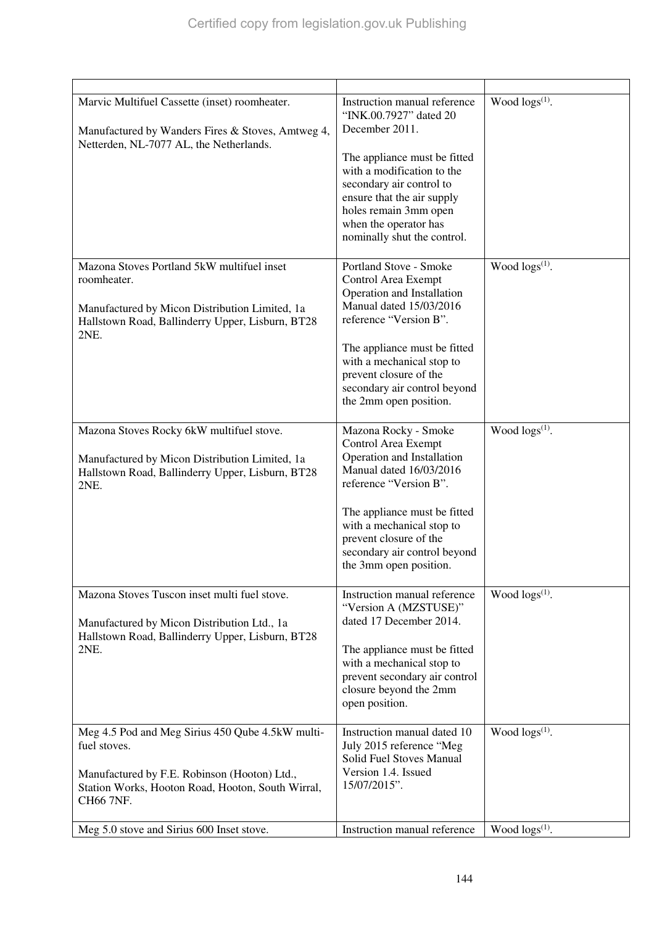| Marvic Multifuel Cassette (inset) roomheater.                                                      | Instruction manual reference<br>"INK.00.7927" dated 20     | Wood $\log(s^{(1)})$ . |
|----------------------------------------------------------------------------------------------------|------------------------------------------------------------|------------------------|
| Manufactured by Wanders Fires & Stoves, Amtweg 4,<br>Netterden, NL-7077 AL, the Netherlands.       | December 2011.                                             |                        |
|                                                                                                    | The appliance must be fitted                               |                        |
|                                                                                                    | with a modification to the<br>secondary air control to     |                        |
|                                                                                                    | ensure that the air supply                                 |                        |
|                                                                                                    | holes remain 3mm open<br>when the operator has             |                        |
|                                                                                                    | nominally shut the control.                                |                        |
|                                                                                                    |                                                            |                        |
| Mazona Stoves Portland 5kW multifuel inset                                                         | Portland Stove - Smoke                                     | Wood $\log s^{(1)}$ .  |
| roomheater.                                                                                        | Control Area Exempt<br>Operation and Installation          |                        |
| Manufactured by Micon Distribution Limited, 1a                                                     | Manual dated 15/03/2016                                    |                        |
| Hallstown Road, Ballinderry Upper, Lisburn, BT28<br>2NE.                                           | reference "Version B".                                     |                        |
|                                                                                                    | The appliance must be fitted<br>with a mechanical stop to  |                        |
|                                                                                                    | prevent closure of the                                     |                        |
|                                                                                                    | secondary air control beyond                               |                        |
|                                                                                                    | the 2mm open position.                                     |                        |
| Mazona Stoves Rocky 6kW multifuel stove.                                                           | Mazona Rocky - Smoke                                       | Wood $\log(s^{(1)})$ . |
|                                                                                                    | Control Area Exempt                                        |                        |
| Manufactured by Micon Distribution Limited, 1a<br>Hallstown Road, Ballinderry Upper, Lisburn, BT28 | Operation and Installation<br>Manual dated 16/03/2016      |                        |
| 2NE.                                                                                               | reference "Version B".                                     |                        |
|                                                                                                    | The appliance must be fitted                               |                        |
|                                                                                                    | with a mechanical stop to<br>prevent closure of the        |                        |
|                                                                                                    | secondary air control beyond                               |                        |
|                                                                                                    | the 3mm open position.                                     |                        |
| Mazona Stoves Tuscon inset multi fuel stove.                                                       | Instruction manual reference                               | Wood $\log(s^{(1)})$ . |
|                                                                                                    | "Version A (MZSTUSE)"<br>dated 17 December 2014.           |                        |
| Manufactured by Micon Distribution Ltd., 1a<br>Hallstown Road, Ballinderry Upper, Lisburn, BT28    |                                                            |                        |
| 2NE.                                                                                               | The appliance must be fitted                               |                        |
|                                                                                                    | with a mechanical stop to<br>prevent secondary air control |                        |
|                                                                                                    | closure beyond the 2mm                                     |                        |
|                                                                                                    | open position.                                             |                        |
| Meg 4.5 Pod and Meg Sirius 450 Qube 4.5kW multi-                                                   | Instruction manual dated 10                                | Wood $\log s^{(1)}$ .  |
| fuel stoves.                                                                                       | July 2015 reference "Meg<br>Solid Fuel Stoves Manual       |                        |
| Manufactured by F.E. Robinson (Hooton) Ltd.,                                                       | Version 1.4. Issued                                        |                        |
| Station Works, Hooton Road, Hooton, South Wirral,                                                  | 15/07/2015".                                               |                        |
| CH66 7NF.                                                                                          |                                                            |                        |
| Meg 5.0 stove and Sirius 600 Inset stove.                                                          | Instruction manual reference                               | Wood $\log(s^{(1)})$ . |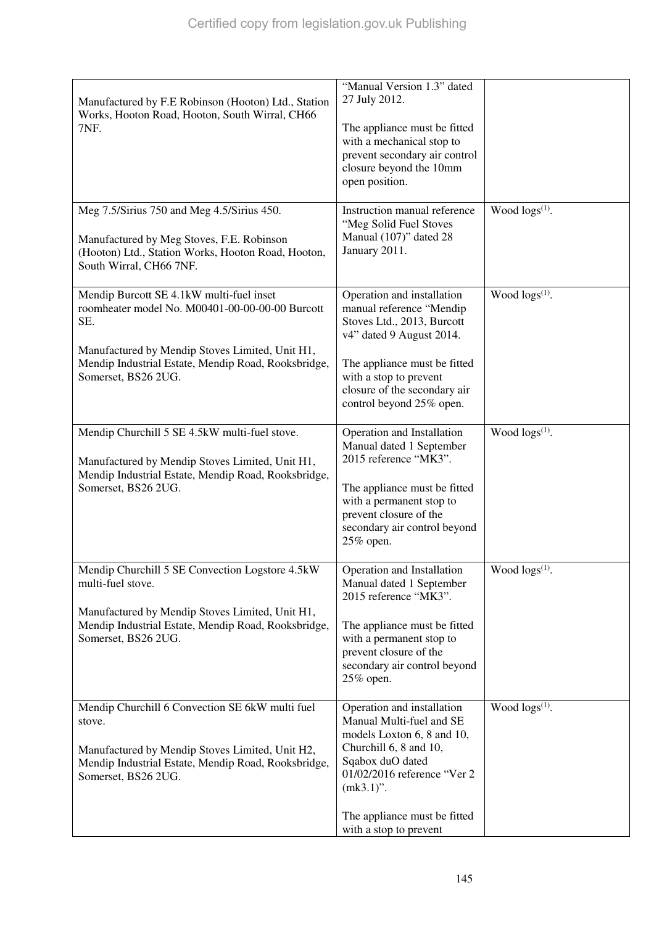| Manufactured by F.E Robinson (Hooton) Ltd., Station<br>Works, Hooton Road, Hooton, South Wirral, CH66<br>7NF.                                                                              | "Manual Version 1.3" dated<br>27 July 2012.<br>The appliance must be fitted<br>with a mechanical stop to<br>prevent secondary air control                                                                          |                        |
|--------------------------------------------------------------------------------------------------------------------------------------------------------------------------------------------|--------------------------------------------------------------------------------------------------------------------------------------------------------------------------------------------------------------------|------------------------|
|                                                                                                                                                                                            | closure beyond the 10mm<br>open position.                                                                                                                                                                          |                        |
| Meg 7.5/Sirius 750 and Meg 4.5/Sirius 450.<br>Manufactured by Meg Stoves, F.E. Robinson<br>(Hooton) Ltd., Station Works, Hooton Road, Hooton,<br>South Wirral, CH66 7NF.                   | Instruction manual reference<br>"Meg Solid Fuel Stoves<br>Manual (107)" dated 28<br>January 2011.                                                                                                                  | Wood $\log(s^{(1)})$ . |
| Mendip Burcott SE 4.1kW multi-fuel inset<br>roomheater model No. M00401-00-00-00-00 Burcott<br>SE.                                                                                         | Operation and installation<br>manual reference "Mendip<br>Stoves Ltd., 2013, Burcott<br>v4" dated 9 August 2014.                                                                                                   | Wood $\log s^{(1)}$ .  |
| Manufactured by Mendip Stoves Limited, Unit H1,<br>Mendip Industrial Estate, Mendip Road, Rooksbridge,<br>Somerset, BS26 2UG.                                                              | The appliance must be fitted<br>with a stop to prevent<br>closure of the secondary air<br>control beyond 25% open.                                                                                                 |                        |
| Mendip Churchill 5 SE 4.5kW multi-fuel stove.<br>Manufactured by Mendip Stoves Limited, Unit H1,<br>Mendip Industrial Estate, Mendip Road, Rooksbridge,<br>Somerset, BS26 2UG.             | Operation and Installation<br>Manual dated 1 September<br>2015 reference "MK3".<br>The appliance must be fitted<br>with a permanent stop to<br>prevent closure of the<br>secondary air control beyond<br>25% open. | Wood $\log(s^{(1)})$ . |
| Mendip Churchill 5 SE Convection Logstore 4.5kW<br>multi-fuel stove.<br>Manufactured by Mendip Stoves Limited, Unit H1,                                                                    | Operation and Installation<br>Manual dated 1 September<br>2015 reference "MK3".                                                                                                                                    | Wood $\log s^{(1)}.$   |
| Mendip Industrial Estate, Mendip Road, Rooksbridge,<br>Somerset, BS26 2UG.                                                                                                                 | The appliance must be fitted<br>with a permanent stop to<br>prevent closure of the<br>secondary air control beyond<br>25% open.                                                                                    |                        |
| Mendip Churchill 6 Convection SE 6kW multi fuel<br>stove.<br>Manufactured by Mendip Stoves Limited, Unit H2,<br>Mendip Industrial Estate, Mendip Road, Rooksbridge,<br>Somerset, BS26 2UG. | Operation and installation<br>Manual Multi-fuel and SE<br>models Loxton 6, 8 and 10,<br>Churchill 6, 8 and 10,<br>Sqabox duO dated<br>01/02/2016 reference "Ver 2<br>$(mk3.1)$ ".                                  | Wood logs(1).          |
|                                                                                                                                                                                            | The appliance must be fitted<br>with a stop to prevent                                                                                                                                                             |                        |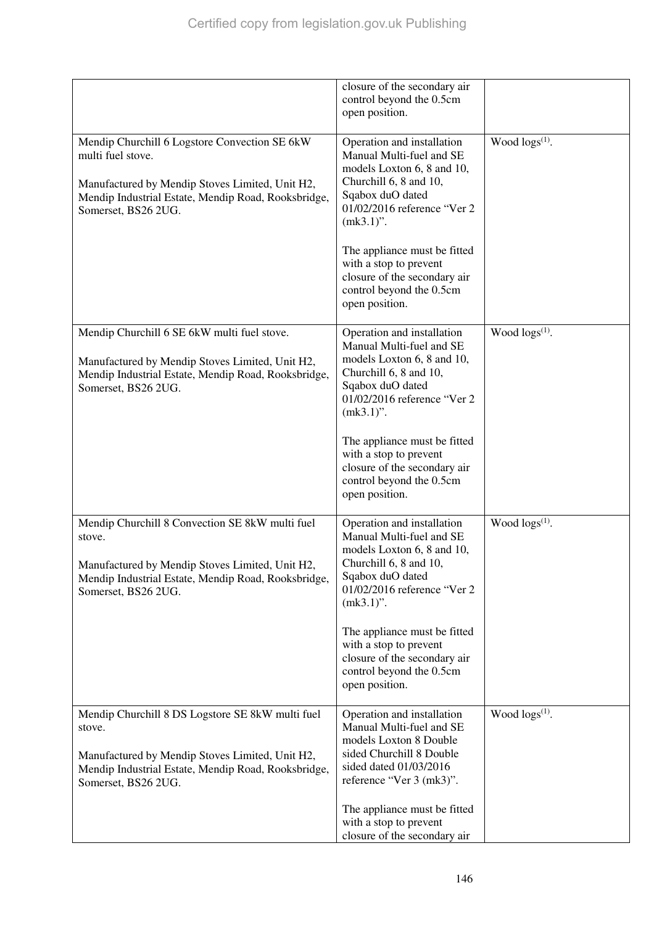|                                                                                                                                                                                                     | closure of the secondary air<br>control beyond the 0.5cm<br>open position.                                                                                                        |                        |
|-----------------------------------------------------------------------------------------------------------------------------------------------------------------------------------------------------|-----------------------------------------------------------------------------------------------------------------------------------------------------------------------------------|------------------------|
| Mendip Churchill 6 Logstore Convection SE 6kW<br>multi fuel stove.<br>Manufactured by Mendip Stoves Limited, Unit H2,<br>Mendip Industrial Estate, Mendip Road, Rooksbridge,<br>Somerset, BS26 2UG. | Operation and installation<br>Manual Multi-fuel and SE<br>models Loxton 6, 8 and 10,<br>Churchill 6, 8 and 10,<br>Sqabox duO dated<br>01/02/2016 reference "Ver 2<br>$(mk3.1)$ ". | Wood $\log(s^{(1)})$ . |
|                                                                                                                                                                                                     | The appliance must be fitted<br>with a stop to prevent<br>closure of the secondary air<br>control beyond the 0.5cm<br>open position.                                              |                        |
| Mendip Churchill 6 SE 6kW multi fuel stove.<br>Manufactured by Mendip Stoves Limited, Unit H2,<br>Mendip Industrial Estate, Mendip Road, Rooksbridge,<br>Somerset, BS26 2UG.                        | Operation and installation<br>Manual Multi-fuel and SE<br>models Loxton 6, 8 and 10,<br>Churchill 6, 8 and 10,<br>Sqabox duO dated<br>01/02/2016 reference "Ver 2<br>$(mk3.1)$ ". | Wood $\log(s^{(1)})$ . |
|                                                                                                                                                                                                     | The appliance must be fitted<br>with a stop to prevent<br>closure of the secondary air<br>control beyond the 0.5cm<br>open position.                                              |                        |
| Mendip Churchill 8 Convection SE 8kW multi fuel<br>stove.<br>Manufactured by Mendip Stoves Limited, Unit H2,<br>Mendip Industrial Estate, Mendip Road, Rooksbridge,<br>Somerset, BS26 2UG.          | Operation and installation<br>Manual Multi-fuel and SE<br>models Loxton 6, 8 and 10,<br>Churchill 6, 8 and 10,<br>Sqabox duO dated<br>01/02/2016 reference "Ver 2<br>$(mk3.1)$ ". | Wood $\log(s^{(1)})$ . |
|                                                                                                                                                                                                     | The appliance must be fitted<br>with a stop to prevent<br>closure of the secondary air<br>control beyond the 0.5cm<br>open position.                                              |                        |
| Mendip Churchill 8 DS Logstore SE 8kW multi fuel<br>stove.<br>Manufactured by Mendip Stoves Limited, Unit H2,<br>Mendip Industrial Estate, Mendip Road, Rooksbridge,<br>Somerset, BS26 2UG.         | Operation and installation<br>Manual Multi-fuel and SE<br>models Loxton 8 Double<br>sided Churchill 8 Double<br>sided dated 01/03/2016<br>reference "Ver 3 (mk3)".                | Wood $\log(s^{(1)})$ . |
|                                                                                                                                                                                                     | The appliance must be fitted<br>with a stop to prevent<br>closure of the secondary air                                                                                            |                        |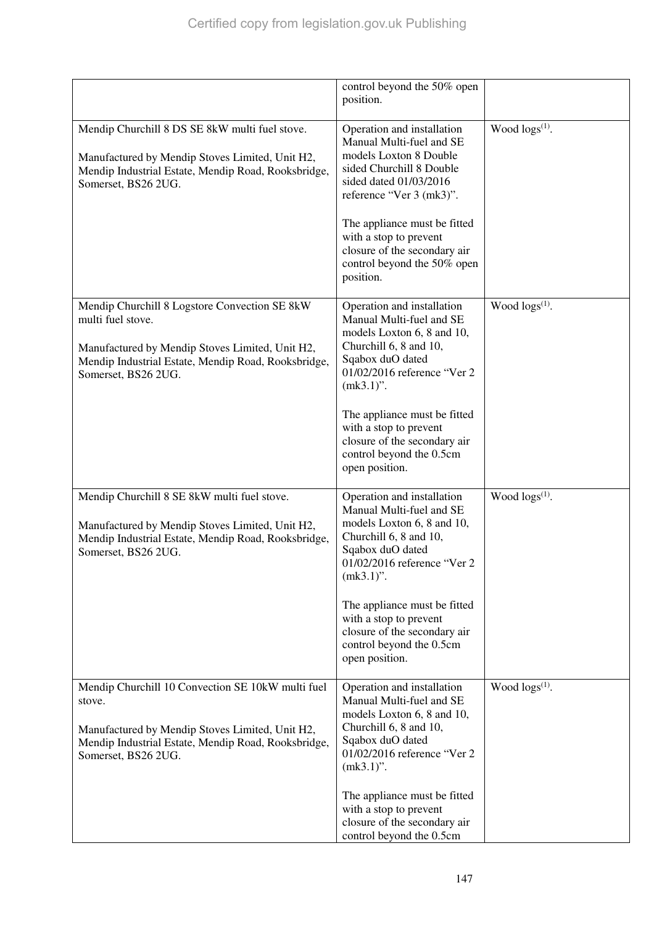|                                                                                                                                                                                                     | control beyond the 50% open<br>position.                                                                                                                                                                                                                                                                                  |                            |
|-----------------------------------------------------------------------------------------------------------------------------------------------------------------------------------------------------|---------------------------------------------------------------------------------------------------------------------------------------------------------------------------------------------------------------------------------------------------------------------------------------------------------------------------|----------------------------|
| Mendip Churchill 8 DS SE 8kW multi fuel stove.<br>Manufactured by Mendip Stoves Limited, Unit H2,<br>Mendip Industrial Estate, Mendip Road, Rooksbridge,<br>Somerset, BS26 2UG.                     | Operation and installation<br>Manual Multi-fuel and SE<br>models Loxton 8 Double<br>sided Churchill 8 Double<br>sided dated 01/03/2016<br>reference "Ver 3 (mk3)".<br>The appliance must be fitted<br>with a stop to prevent<br>closure of the secondary air<br>control beyond the 50% open<br>position.                  | Wood $\log(s^{(1)})$ .     |
| Mendip Churchill 8 Logstore Convection SE 8kW<br>multi fuel stove.<br>Manufactured by Mendip Stoves Limited, Unit H2,<br>Mendip Industrial Estate, Mendip Road, Rooksbridge,<br>Somerset, BS26 2UG. | Operation and installation<br>Manual Multi-fuel and SE<br>models Loxton 6, 8 and 10,<br>Churchill 6, 8 and 10,<br>Sqabox duO dated<br>01/02/2016 reference "Ver 2<br>$(mk3.1)$ ".<br>The appliance must be fitted<br>with a stop to prevent<br>closure of the secondary air<br>control beyond the 0.5cm<br>open position. | Wood logs <sup>(1)</sup> . |
| Mendip Churchill 8 SE 8kW multi fuel stove.<br>Manufactured by Mendip Stoves Limited, Unit H2,<br>Mendip Industrial Estate, Mendip Road, Rooksbridge,<br>Somerset, BS26 2UG.                        | Operation and installation<br>Manual Multi-fuel and SE<br>models Loxton 6, 8 and 10,<br>Churchill 6, 8 and 10,<br>Sqabox duO dated<br>01/02/2016 reference "Ver 2<br>$(mk3.1)$ ".<br>The appliance must be fitted<br>with a stop to prevent<br>closure of the secondary air<br>control beyond the 0.5cm<br>open position. | Wood $\log s^{(1)}$ .      |
| Mendip Churchill 10 Convection SE 10kW multi fuel<br>stove.<br>Manufactured by Mendip Stoves Limited, Unit H2,<br>Mendip Industrial Estate, Mendip Road, Rooksbridge,<br>Somerset, BS26 2UG.        | Operation and installation<br>Manual Multi-fuel and SE<br>models Loxton 6, 8 and 10,<br>Churchill 6, 8 and 10,<br>Sqabox duO dated<br>01/02/2016 reference "Ver 2<br>$(mk3.1)$ ".<br>The appliance must be fitted<br>with a stop to prevent<br>closure of the secondary air<br>control beyond the 0.5cm                   | Wood $\log s^{(1)}$ .      |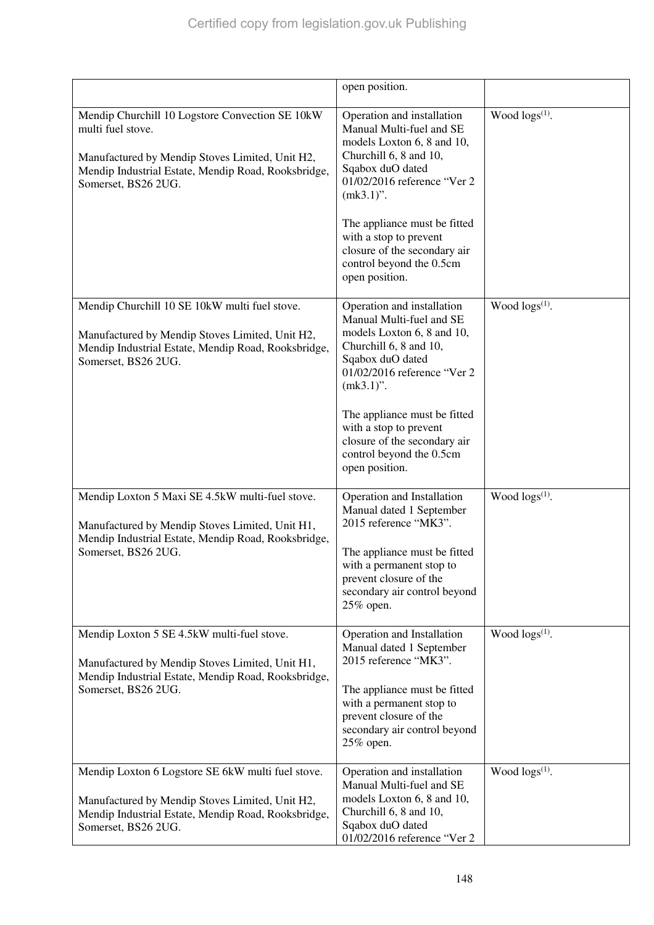|                                                                                                                                                                                                       | open position.                                                                                                                                                                                                                                                                                                            |                            |
|-------------------------------------------------------------------------------------------------------------------------------------------------------------------------------------------------------|---------------------------------------------------------------------------------------------------------------------------------------------------------------------------------------------------------------------------------------------------------------------------------------------------------------------------|----------------------------|
| Mendip Churchill 10 Logstore Convection SE 10kW<br>multi fuel stove.<br>Manufactured by Mendip Stoves Limited, Unit H2,<br>Mendip Industrial Estate, Mendip Road, Rooksbridge,<br>Somerset, BS26 2UG. | Operation and installation<br>Manual Multi-fuel and SE<br>models Loxton 6, 8 and 10,<br>Churchill 6, 8 and 10,<br>Sqabox duO dated<br>01/02/2016 reference "Ver 2<br>$(mk3.1)$ ".<br>The appliance must be fitted<br>with a stop to prevent<br>closure of the secondary air<br>control beyond the 0.5cm<br>open position. | Wood logs <sup>(1)</sup> . |
| Mendip Churchill 10 SE 10kW multi fuel stove.<br>Manufactured by Mendip Stoves Limited, Unit H2,<br>Mendip Industrial Estate, Mendip Road, Rooksbridge,<br>Somerset, BS26 2UG.                        | Operation and installation<br>Manual Multi-fuel and SE<br>models Loxton 6, 8 and 10,<br>Churchill 6, 8 and 10,<br>Sqabox duO dated<br>01/02/2016 reference "Ver 2<br>$(mk3.1)$ ".<br>The appliance must be fitted<br>with a stop to prevent<br>closure of the secondary air<br>control beyond the 0.5cm<br>open position. | Wood $\log(s^{(1)})$ .     |
| Mendip Loxton 5 Maxi SE 4.5kW multi-fuel stove.<br>Manufactured by Mendip Stoves Limited, Unit H1,<br>Mendip Industrial Estate, Mendip Road, Rooksbridge,<br>Somerset, BS26 2UG.                      | Operation and Installation<br>Manual dated 1 September<br>2015 reference "MK3".<br>The appliance must be fitted<br>with a permanent stop to<br>prevent closure of the<br>secondary air control beyond<br>25% open.                                                                                                        | Wood $\log(s^{(1)})$ .     |
| Mendip Loxton 5 SE 4.5kW multi-fuel stove.<br>Manufactured by Mendip Stoves Limited, Unit H1,<br>Mendip Industrial Estate, Mendip Road, Rooksbridge,<br>Somerset, BS26 2UG.                           | Operation and Installation<br>Manual dated 1 September<br>2015 reference "MK3".<br>The appliance must be fitted<br>with a permanent stop to<br>prevent closure of the<br>secondary air control beyond<br>25% open.                                                                                                        | Wood $\log s^{(1)}$ .      |
| Mendip Loxton 6 Logstore SE 6kW multi fuel stove.<br>Manufactured by Mendip Stoves Limited, Unit H2,<br>Mendip Industrial Estate, Mendip Road, Rooksbridge,<br>Somerset, BS26 2UG.                    | Operation and installation<br>Manual Multi-fuel and SE<br>models Loxton 6, 8 and 10,<br>Churchill 6, 8 and 10,<br>Sqabox duO dated<br>01/02/2016 reference "Ver 2                                                                                                                                                         | Wood $\log(s^{(1)})$ .     |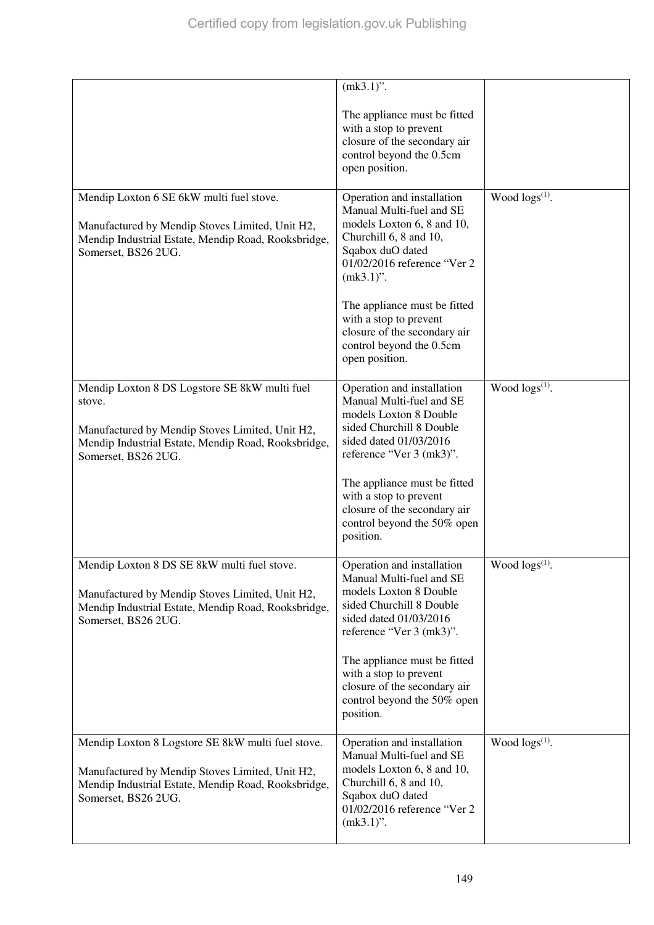|                                                                                                                                                                                          | $(mk3.1)$ ".<br>The appliance must be fitted<br>with a stop to prevent<br>closure of the secondary air<br>control beyond the 0.5cm<br>open position.                                                                                                                                                                      |                            |
|------------------------------------------------------------------------------------------------------------------------------------------------------------------------------------------|---------------------------------------------------------------------------------------------------------------------------------------------------------------------------------------------------------------------------------------------------------------------------------------------------------------------------|----------------------------|
| Mendip Loxton 6 SE 6kW multi fuel stove.<br>Manufactured by Mendip Stoves Limited, Unit H2,<br>Mendip Industrial Estate, Mendip Road, Rooksbridge,<br>Somerset, BS26 2UG.                | Operation and installation<br>Manual Multi-fuel and SE<br>models Loxton 6, 8 and 10,<br>Churchill 6, 8 and 10,<br>Sqabox duO dated<br>01/02/2016 reference "Ver 2<br>$(mk3.1)$ ".<br>The appliance must be fitted<br>with a stop to prevent<br>closure of the secondary air<br>control beyond the 0.5cm<br>open position. | Wood $\log(s^{(1)})$ .     |
| Mendip Loxton 8 DS Logstore SE 8kW multi fuel<br>stove.<br>Manufactured by Mendip Stoves Limited, Unit H2,<br>Mendip Industrial Estate, Mendip Road, Rooksbridge,<br>Somerset, BS26 2UG. | Operation and installation<br>Manual Multi-fuel and SE<br>models Loxton 8 Double<br>sided Churchill 8 Double<br>sided dated 01/03/2016<br>reference "Ver 3 (mk3)".<br>The appliance must be fitted<br>with a stop to prevent<br>closure of the secondary air<br>control beyond the 50% open<br>position.                  | Wood $\log(s^{(1)})$ .     |
| Mendip Loxton 8 DS SE 8kW multi fuel stove.<br>Manufactured by Mendip Stoves Limited, Unit H2,<br>Mendip Industrial Estate, Mendip Road, Rooksbridge,<br>Somerset, BS26 2UG.             | Operation and installation<br>Manual Multi-fuel and SE<br>models Loxton 8 Double<br>sided Churchill 8 Double<br>sided dated 01/03/2016<br>reference "Ver 3 (mk3)".<br>The appliance must be fitted<br>with a stop to prevent<br>closure of the secondary air<br>control beyond the 50% open<br>position.                  | Wood logs <sup>(1)</sup> . |
| Mendip Loxton 8 Logstore SE 8kW multi fuel stove.<br>Manufactured by Mendip Stoves Limited, Unit H2,<br>Mendip Industrial Estate, Mendip Road, Rooksbridge,<br>Somerset, BS26 2UG.       | Operation and installation<br>Manual Multi-fuel and SE<br>models Loxton 6, 8 and 10,<br>Churchill 6, 8 and 10,<br>Sqabox duO dated<br>01/02/2016 reference "Ver 2<br>$(mk3.1)$ ".                                                                                                                                         | Wood $\log(s^{(1)})$ .     |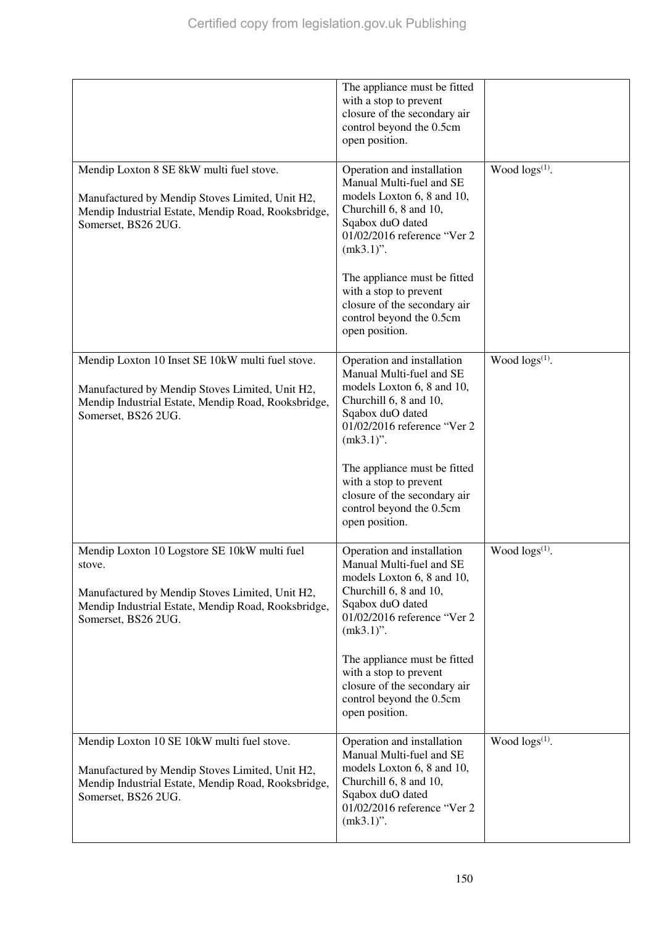|                                                                                                                                                                                         | The appliance must be fitted<br>with a stop to prevent<br>closure of the secondary air<br>control beyond the 0.5cm<br>open position.                                                                                                                                                                                      |                        |
|-----------------------------------------------------------------------------------------------------------------------------------------------------------------------------------------|---------------------------------------------------------------------------------------------------------------------------------------------------------------------------------------------------------------------------------------------------------------------------------------------------------------------------|------------------------|
| Mendip Loxton 8 SE 8kW multi fuel stove.<br>Manufactured by Mendip Stoves Limited, Unit H2,<br>Mendip Industrial Estate, Mendip Road, Rooksbridge,<br>Somerset, BS26 2UG.               | Operation and installation<br>Manual Multi-fuel and SE<br>models Loxton 6, 8 and 10,<br>Churchill 6, 8 and 10,<br>Sqabox duO dated<br>01/02/2016 reference "Ver 2<br>$(mk3.1)$ ".<br>The appliance must be fitted<br>with a stop to prevent<br>closure of the secondary air<br>control beyond the 0.5cm<br>open position. | Wood $\log(s^{(1)})$ . |
| Mendip Loxton 10 Inset SE 10kW multi fuel stove.<br>Manufactured by Mendip Stoves Limited, Unit H2,<br>Mendip Industrial Estate, Mendip Road, Rooksbridge,<br>Somerset, BS26 2UG.       | Operation and installation<br>Manual Multi-fuel and SE<br>models Loxton 6, 8 and 10,<br>Churchill 6, 8 and 10,<br>Sqabox duO dated<br>01/02/2016 reference "Ver 2<br>$(mk3.1)$ ".<br>The appliance must be fitted<br>with a stop to prevent<br>closure of the secondary air<br>control beyond the 0.5cm<br>open position. | Wood $\log(s^{(1)})$ . |
| Mendip Loxton 10 Logstore SE 10kW multi fuel<br>stove.<br>Manufactured by Mendip Stoves Limited, Unit H2,<br>Mendip Industrial Estate, Mendip Road, Rooksbridge,<br>Somerset, BS26 2UG. | Operation and installation<br>Manual Multi-fuel and SE<br>models Loxton 6, 8 and 10,<br>Churchill 6, 8 and 10,<br>Sqabox duO dated<br>01/02/2016 reference "Ver 2<br>$(mk3.1)$ ".<br>The appliance must be fitted<br>with a stop to prevent<br>closure of the secondary air<br>control beyond the 0.5cm<br>open position. | Wood $\log s^{(1)}$ .  |
| Mendip Loxton 10 SE 10kW multi fuel stove.<br>Manufactured by Mendip Stoves Limited, Unit H2,<br>Mendip Industrial Estate, Mendip Road, Rooksbridge,<br>Somerset, BS26 2UG.             | Operation and installation<br>Manual Multi-fuel and SE<br>models Loxton 6, 8 and 10,<br>Churchill 6, 8 and 10,<br>Sqabox duO dated<br>01/02/2016 reference "Ver 2<br>$(mk3.1)$ ".                                                                                                                                         | Wood $\log(s^{(1)})$ . |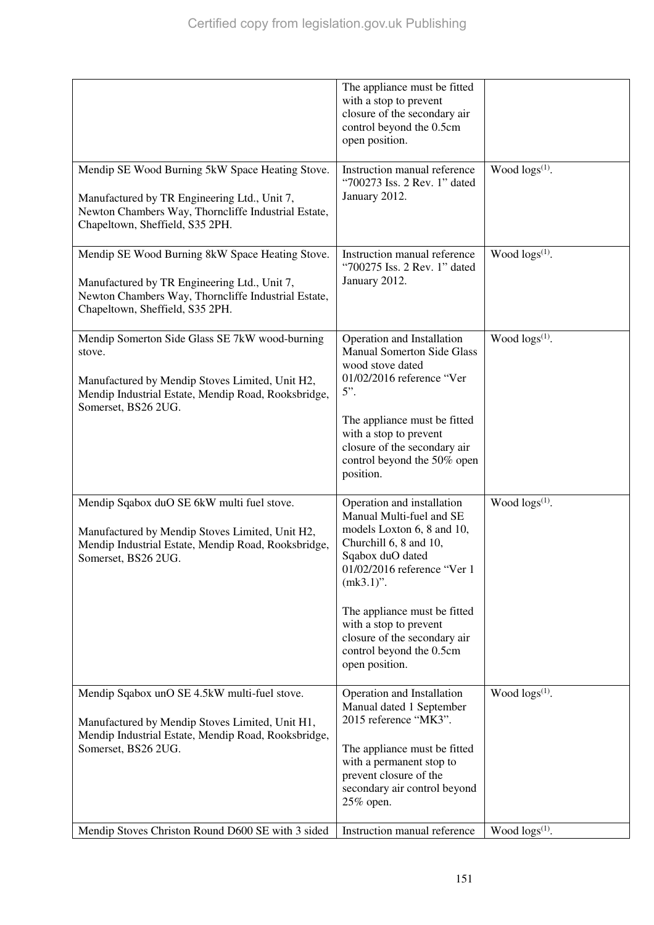|                                                                                                                                                                                           | The appliance must be fitted<br>with a stop to prevent<br>closure of the secondary air<br>control beyond the 0.5cm<br>open position.                                                                                                                                                                                      |                        |
|-------------------------------------------------------------------------------------------------------------------------------------------------------------------------------------------|---------------------------------------------------------------------------------------------------------------------------------------------------------------------------------------------------------------------------------------------------------------------------------------------------------------------------|------------------------|
| Mendip SE Wood Burning 5kW Space Heating Stove.<br>Manufactured by TR Engineering Ltd., Unit 7,<br>Newton Chambers Way, Thorncliffe Industrial Estate,<br>Chapeltown, Sheffield, S35 2PH. | Instruction manual reference<br>"700273 Iss. 2 Rev. 1" dated<br>January 2012.                                                                                                                                                                                                                                             | Wood logs(1).          |
| Mendip SE Wood Burning 8kW Space Heating Stove.<br>Manufactured by TR Engineering Ltd., Unit 7,<br>Newton Chambers Way, Thorncliffe Industrial Estate,<br>Chapeltown, Sheffield, S35 2PH. | Instruction manual reference<br>"700275 Iss. 2 Rev. 1" dated<br>January 2012.                                                                                                                                                                                                                                             | Wood $\log(s^{(1)})$ . |
| Mendip Somerton Side Glass SE 7kW wood-burning<br>stove.<br>Manufactured by Mendip Stoves Limited, Unit H2,<br>Mendip Industrial Estate, Mendip Road, Rooksbridge,<br>Somerset, BS26 2UG. | Operation and Installation<br><b>Manual Somerton Side Glass</b><br>wood stove dated<br>01/02/2016 reference "Ver<br>$5$ ".<br>The appliance must be fitted<br>with a stop to prevent<br>closure of the secondary air<br>control beyond the 50% open<br>position.                                                          | Wood $\log(s^{(1)})$ . |
| Mendip Sqabox duO SE 6kW multi fuel stove.<br>Manufactured by Mendip Stoves Limited, Unit H2,<br>Mendip Industrial Estate, Mendip Road, Rooksbridge,<br>Somerset, BS26 2UG.               | Operation and installation<br>Manual Multi-fuel and SE<br>models Loxton 6, 8 and 10,<br>Churchill 6, 8 and 10,<br>Sqabox duO dated<br>01/02/2016 reference "Ver 1<br>$(mk3.1)$ ".<br>The appliance must be fitted<br>with a stop to prevent<br>closure of the secondary air<br>control beyond the 0.5cm<br>open position. | Wood $\log s^{(1)}$ .  |
| Mendip Sqabox unO SE 4.5kW multi-fuel stove.<br>Manufactured by Mendip Stoves Limited, Unit H1,<br>Mendip Industrial Estate, Mendip Road, Rooksbridge,<br>Somerset, BS26 2UG.             | Operation and Installation<br>Manual dated 1 September<br>2015 reference "MK3".<br>The appliance must be fitted<br>with a permanent stop to<br>prevent closure of the<br>secondary air control beyond<br>25% open.                                                                                                        | Wood $\log(s^{(1)})$ . |
| Mendip Stoves Christon Round D600 SE with 3 sided                                                                                                                                         | Instruction manual reference                                                                                                                                                                                                                                                                                              | Wood $\log s^{(1)}$ .  |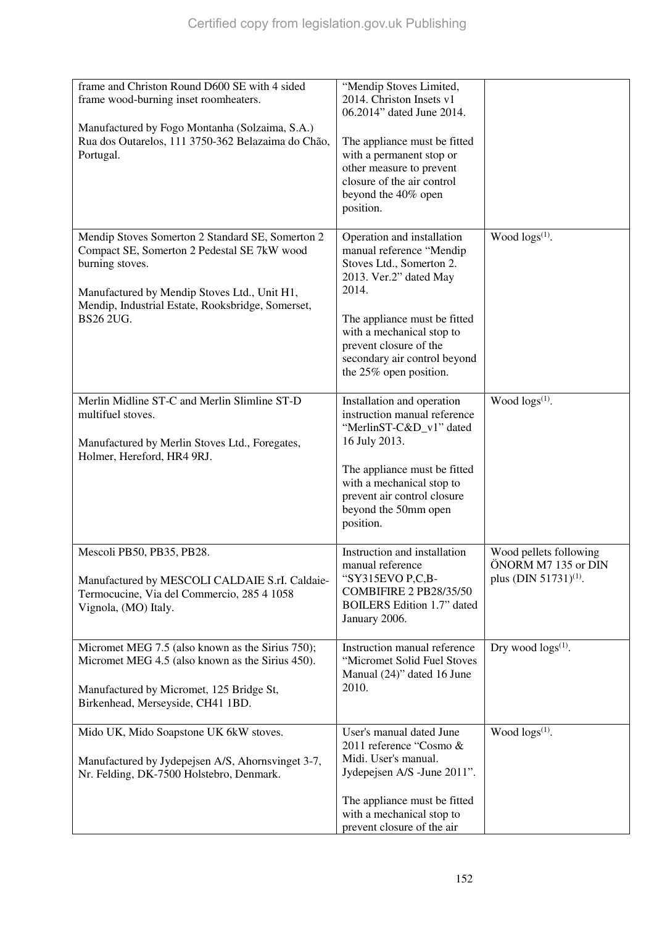| frame and Christon Round D600 SE with 4 sided                                                                                                                                                                                        | "Mendip Stoves Limited,                                                                                                                                                                                                                                                |                                                                                    |
|--------------------------------------------------------------------------------------------------------------------------------------------------------------------------------------------------------------------------------------|------------------------------------------------------------------------------------------------------------------------------------------------------------------------------------------------------------------------------------------------------------------------|------------------------------------------------------------------------------------|
| frame wood-burning inset roomheaters.                                                                                                                                                                                                | 2014. Christon Insets v1<br>06.2014" dated June 2014.                                                                                                                                                                                                                  |                                                                                    |
| Manufactured by Fogo Montanha (Solzaima, S.A.)<br>Rua dos Outarelos, 111 3750-362 Belazaima do Chão,<br>Portugal.                                                                                                                    | The appliance must be fitted<br>with a permanent stop or<br>other measure to prevent<br>closure of the air control<br>beyond the 40% open<br>position.                                                                                                                 |                                                                                    |
| Mendip Stoves Somerton 2 Standard SE, Somerton 2<br>Compact SE, Somerton 2 Pedestal SE 7kW wood<br>burning stoves.<br>Manufactured by Mendip Stoves Ltd., Unit H1,<br>Mendip, Industrial Estate, Rooksbridge, Somerset,<br>BS26 2UG. | Operation and installation<br>manual reference "Mendip<br>Stoves Ltd., Somerton 2.<br>2013. Ver.2" dated May<br>2014.<br>The appliance must be fitted<br>with a mechanical stop to<br>prevent closure of the<br>secondary air control beyond<br>the 25% open position. | Wood $\log(s^{(1)})$ .                                                             |
| Merlin Midline ST-C and Merlin Slimline ST-D<br>multifuel stoves.<br>Manufactured by Merlin Stoves Ltd., Foregates,<br>Holmer, Hereford, HR4 9RJ.                                                                                    | Installation and operation<br>instruction manual reference<br>"MerlinST-C&D_v1" dated<br>16 July 2013.<br>The appliance must be fitted<br>with a mechanical stop to<br>prevent air control closure<br>beyond the 50mm open<br>position.                                | Wood $\log(s^{(1)})$ .                                                             |
| Mescoli PB50, PB35, PB28.<br>Manufactured by MESCOLI CALDAIE S.rI. Caldaie-<br>Termocucine, Via del Commercio, 285 4 1058<br>Vignola, (MO) Italy.                                                                                    | Instruction and installation<br>manual reference<br>"SY315EVO P,C,B-<br><b>COMBIFIRE 2 PB28/35/50</b><br><b>BOILERS</b> Edition 1.7" dated<br>January 2006.                                                                                                            | Wood pellets following<br>ÖNORM M7 135 or DIN<br>plus (DIN 51731) <sup>(1)</sup> . |
| Micromet MEG 7.5 (also known as the Sirius 750);<br>Micromet MEG 4.5 (also known as the Sirius 450).<br>Manufactured by Micromet, 125 Bridge St,<br>Birkenhead, Merseyside, CH41 1BD.                                                | Instruction manual reference<br>"Micromet Solid Fuel Stoves<br>Manual (24)" dated 16 June<br>2010.                                                                                                                                                                     | Dry wood $\log s^{(1)}$ .                                                          |
| Mido UK, Mido Soapstone UK 6kW stoves.<br>Manufactured by Jydepejsen A/S, Ahornsvinget 3-7,<br>Nr. Felding, DK-7500 Holstebro, Denmark.                                                                                              | User's manual dated June<br>2011 reference "Cosmo &<br>Midi. User's manual.<br>Jydepejsen A/S -June 2011".<br>The appliance must be fitted<br>with a mechanical stop to<br>prevent closure of the air                                                                  | Wood $\log(s^{(1)})$ .                                                             |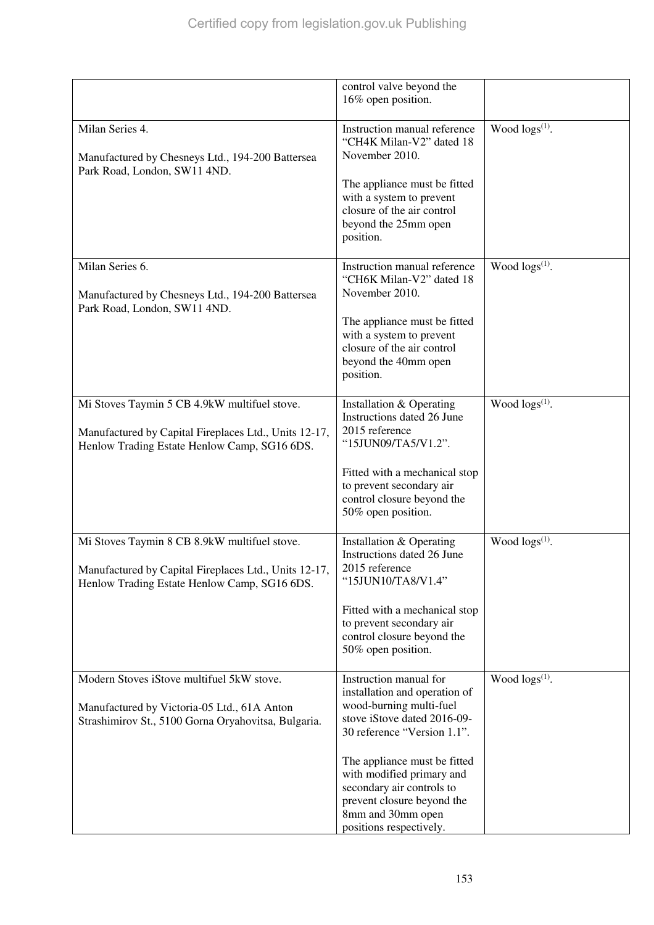|                                                                                                                                                       | control valve beyond the<br>16% open position.                                                                                                                                                                                                                                                                           |                        |
|-------------------------------------------------------------------------------------------------------------------------------------------------------|--------------------------------------------------------------------------------------------------------------------------------------------------------------------------------------------------------------------------------------------------------------------------------------------------------------------------|------------------------|
| Milan Series 4.<br>Manufactured by Chesneys Ltd., 194-200 Battersea<br>Park Road, London, SW11 4ND.                                                   | Instruction manual reference<br>"CH4K Milan-V2" dated 18<br>November 2010.<br>The appliance must be fitted<br>with a system to prevent<br>closure of the air control<br>beyond the 25mm open<br>position.                                                                                                                | Wood $\log(s^{(1)})$ . |
| Milan Series 6.<br>Manufactured by Chesneys Ltd., 194-200 Battersea<br>Park Road, London, SW11 4ND.                                                   | Instruction manual reference<br>"CH6K Milan-V2" dated 18<br>November 2010.<br>The appliance must be fitted<br>with a system to prevent<br>closure of the air control<br>beyond the 40mm open<br>position.                                                                                                                | Wood $\log s^{(1)}$ .  |
| Mi Stoves Taymin 5 CB 4.9kW multifuel stove.<br>Manufactured by Capital Fireplaces Ltd., Units 12-17,<br>Henlow Trading Estate Henlow Camp, SG16 6DS. | Installation & Operating<br>Instructions dated 26 June<br>2015 reference<br>"15JUN09/TA5/V1.2".<br>Fitted with a mechanical stop<br>to prevent secondary air<br>control closure beyond the<br>50% open position.                                                                                                         | Wood $\log s^{(1)}$ .  |
| Mi Stoves Taymin 8 CB 8.9kW multifuel stove.<br>Manufactured by Capital Fireplaces Ltd., Units 12-17,<br>Henlow Trading Estate Henlow Camp, SG16 6DS. | Installation & Operating<br>Instructions dated 26 June<br>2015 reference<br>"15JUN10/TA8/V1.4"<br>Fitted with a mechanical stop<br>to prevent secondary air<br>control closure beyond the<br>50% open position.                                                                                                          | Wood $\log s^{(1)}$ .  |
| Modern Stoves iStove multifuel 5kW stove.<br>Manufactured by Victoria-05 Ltd., 61A Anton<br>Strashimirov St., 5100 Gorna Oryahovitsa, Bulgaria.       | Instruction manual for<br>installation and operation of<br>wood-burning multi-fuel<br>stove iStove dated 2016-09-<br>30 reference "Version 1.1".<br>The appliance must be fitted<br>with modified primary and<br>secondary air controls to<br>prevent closure beyond the<br>8mm and 30mm open<br>positions respectively. | Wood $\log(s^{(1)})$ . |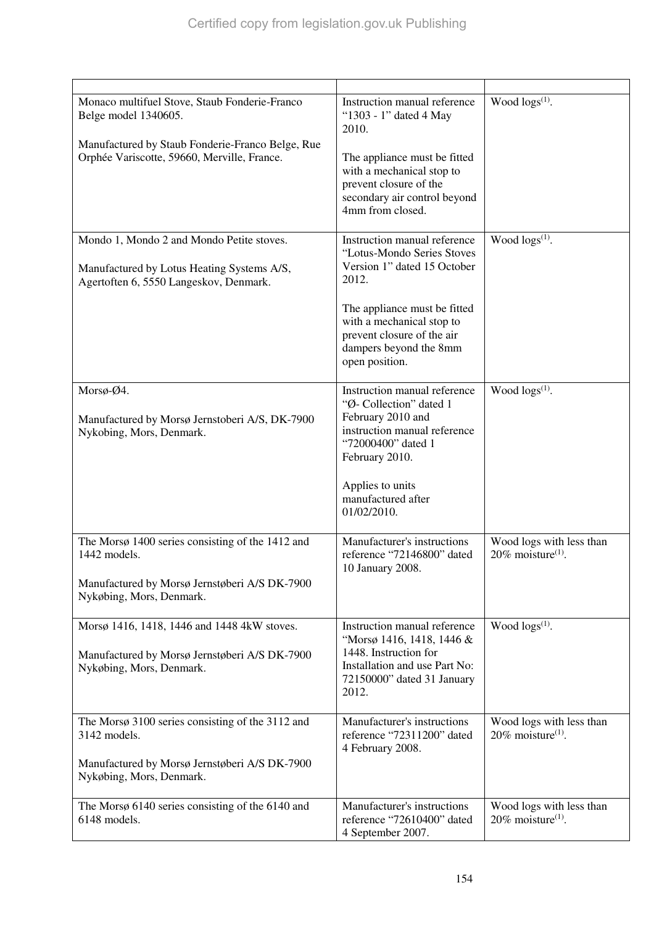| Monaco multifuel Stove, Staub Fonderie-Franco<br>Belge model 1340605.<br>Manufactured by Staub Fonderie-Franco Belge, Rue<br>Orphée Variscotte, 59660, Merville, France. | Instruction manual reference<br>"1303 - 1" dated 4 May<br>2010.<br>The appliance must be fitted<br>with a mechanical stop to<br>prevent closure of the<br>secondary air control beyond<br>4mm from closed.                                | Wood $\log(s^{(1)})$ .                                       |
|--------------------------------------------------------------------------------------------------------------------------------------------------------------------------|-------------------------------------------------------------------------------------------------------------------------------------------------------------------------------------------------------------------------------------------|--------------------------------------------------------------|
| Mondo 1, Mondo 2 and Mondo Petite stoves.<br>Manufactured by Lotus Heating Systems A/S,<br>Agertoften 6, 5550 Langeskov, Denmark.                                        | Instruction manual reference<br>"Lotus-Mondo Series Stoves<br>Version 1" dated 15 October<br>2012.<br>The appliance must be fitted<br>with a mechanical stop to<br>prevent closure of the air<br>dampers beyond the 8mm<br>open position. | Wood $\log(s^{(1)})$ .                                       |
| Morsø-Ø4.<br>Manufactured by Morsø Jernstoberi A/S, DK-7900<br>Nykobing, Mors, Denmark.                                                                                  | Instruction manual reference<br>"Ø- Collection" dated 1<br>February 2010 and<br>instruction manual reference<br>"72000400" dated 1<br>February 2010.<br>Applies to units<br>manufactured after<br>01/02/2010.                             | Wood $\log s^{(1)}$ .                                        |
| The Morsø 1400 series consisting of the 1412 and<br>1442 models.<br>Manufactured by Morsø Jernstøberi A/S DK-7900<br>Nykøbing, Mors, Denmark.                            | Manufacturer's instructions<br>reference "72146800" dated<br>10 January 2008.                                                                                                                                                             | Wood logs with less than<br>20% moisture <sup>(1)</sup> .    |
| Morsø 1416, 1418, 1446 and 1448 4kW stoves.<br>Manufactured by Morsø Jernstøberi A/S DK-7900<br>Nykøbing, Mors, Denmark.                                                 | Instruction manual reference<br>"Morsø 1416, 1418, 1446 &<br>1448. Instruction for<br>Installation and use Part No:<br>72150000" dated 31 January<br>2012.                                                                                | Wood $\log(s^{(1)})$ .                                       |
| The Morsø 3100 series consisting of the 3112 and<br>3142 models.<br>Manufactured by Morsø Jernstøberi A/S DK-7900<br>Nykøbing, Mors, Denmark.                            | Manufacturer's instructions<br>reference "72311200" dated<br>4 February 2008.                                                                                                                                                             | Wood logs with less than<br>$20\%$ moisture <sup>(1)</sup> . |
| The Morsø 6140 series consisting of the 6140 and<br>6148 models.                                                                                                         | Manufacturer's instructions<br>reference "72610400" dated<br>4 September 2007.                                                                                                                                                            | Wood logs with less than<br>$20\%$ moisture <sup>(1)</sup> . |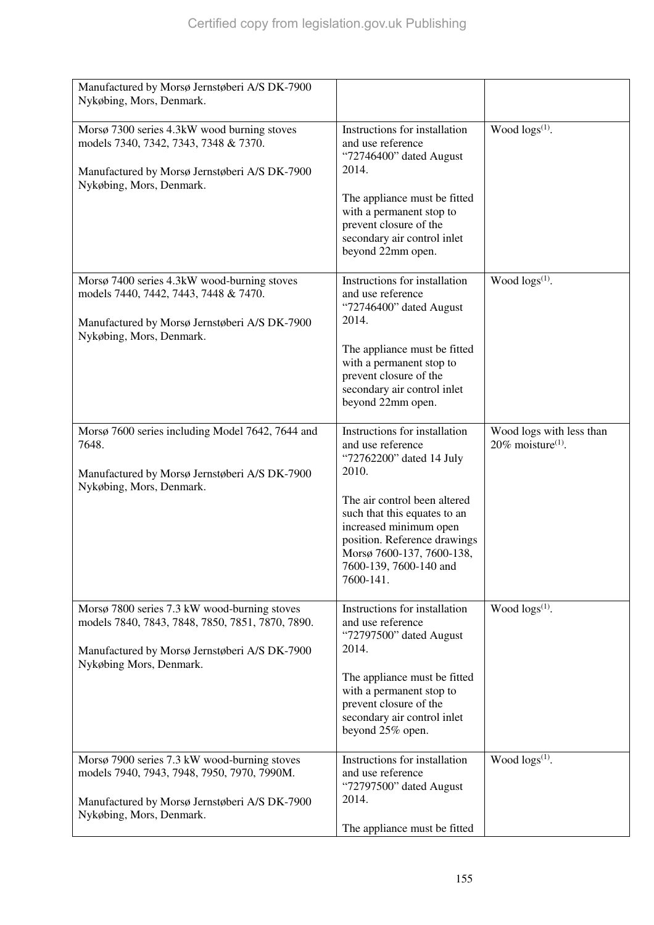| Manufactured by Morsø Jernstøberi A/S DK-7900<br>Nykøbing, Mors, Denmark.                                                                                                    |                                                                                                                                                                                                                                                                                       |                                                              |
|------------------------------------------------------------------------------------------------------------------------------------------------------------------------------|---------------------------------------------------------------------------------------------------------------------------------------------------------------------------------------------------------------------------------------------------------------------------------------|--------------------------------------------------------------|
| Morsø 7300 series 4.3kW wood burning stoves<br>models 7340, 7342, 7343, 7348 & 7370.<br>Manufactured by Morsø Jernstøberi A/S DK-7900<br>Nykøbing, Mors, Denmark.            | Instructions for installation<br>and use reference<br>"72746400" dated August<br>2014.<br>The appliance must be fitted<br>with a permanent stop to<br>prevent closure of the<br>secondary air control inlet<br>beyond 22mm open.                                                      | Wood logs <sup>(1)</sup> .                                   |
| Morsø 7400 series 4.3kW wood-burning stoves<br>models 7440, 7442, 7443, 7448 & 7470.<br>Manufactured by Morsø Jernstøberi A/S DK-7900<br>Nykøbing, Mors, Denmark.            | Instructions for installation<br>and use reference<br>"72746400" dated August<br>2014.<br>The appliance must be fitted<br>with a permanent stop to<br>prevent closure of the<br>secondary air control inlet<br>beyond 22mm open.                                                      | Wood $\log(s^{(1)})$ .                                       |
| Morsø 7600 series including Model 7642, 7644 and<br>7648.<br>Manufactured by Morsø Jernstøberi A/S DK-7900<br>Nykøbing, Mors, Denmark.                                       | Instructions for installation<br>and use reference<br>"72762200" dated 14 July<br>2010.<br>The air control been altered<br>such that this equates to an<br>increased minimum open<br>position. Reference drawings<br>Morsø 7600-137, 7600-138,<br>7600-139, 7600-140 and<br>7600-141. | Wood logs with less than<br>$20\%$ moisture <sup>(1)</sup> . |
| Morsø 7800 series 7.3 kW wood-burning stoves<br>models 7840, 7843, 7848, 7850, 7851, 7870, 7890.<br>Manufactured by Morsø Jernstøberi A/S DK-7900<br>Nykøbing Mors, Denmark. | Instructions for installation<br>and use reference<br>"72797500" dated August<br>2014.<br>The appliance must be fitted<br>with a permanent stop to<br>prevent closure of the<br>secondary air control inlet<br>beyond 25% open.                                                       | Wood $\log(s^{(1)})$ .                                       |
| Morsø 7900 series 7.3 kW wood-burning stoves<br>models 7940, 7943, 7948, 7950, 7970, 7990M.<br>Manufactured by Morsø Jernstøberi A/S DK-7900<br>Nykøbing, Mors, Denmark.     | Instructions for installation<br>and use reference<br>"72797500" dated August<br>2014.<br>The appliance must be fitted                                                                                                                                                                | Wood $\log(s^{(1)})$ .                                       |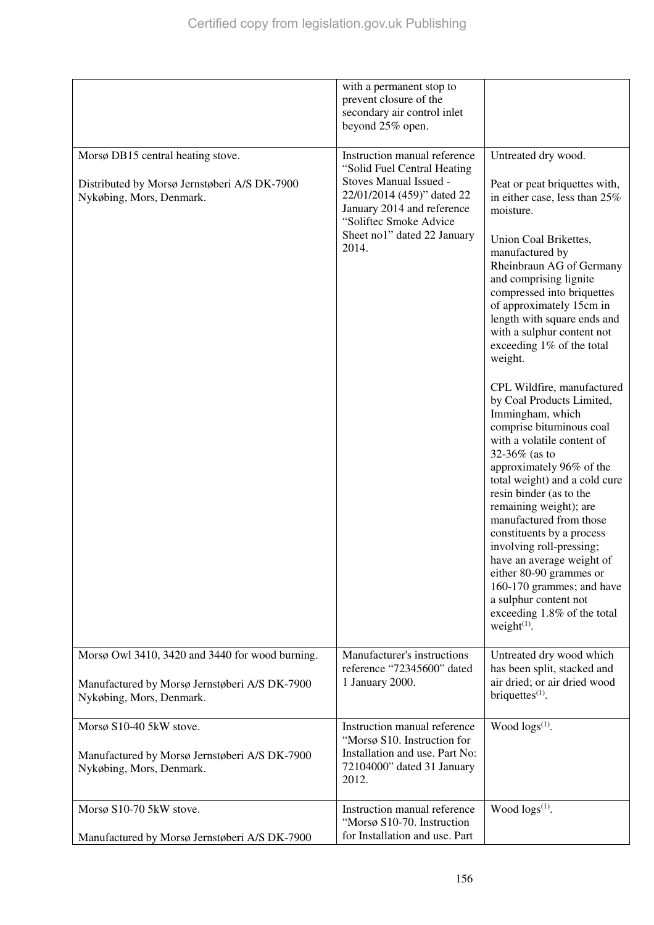|                                                                                                                              | with a permanent stop to<br>prevent closure of the<br>secondary air control inlet<br>beyond 25% open.                                                                                                               |                                                                                                                                                                                                                                                                                                                                                                                                                                                                                                                                                                                                                                                                                                                                                                                                                                                                                                    |
|------------------------------------------------------------------------------------------------------------------------------|---------------------------------------------------------------------------------------------------------------------------------------------------------------------------------------------------------------------|----------------------------------------------------------------------------------------------------------------------------------------------------------------------------------------------------------------------------------------------------------------------------------------------------------------------------------------------------------------------------------------------------------------------------------------------------------------------------------------------------------------------------------------------------------------------------------------------------------------------------------------------------------------------------------------------------------------------------------------------------------------------------------------------------------------------------------------------------------------------------------------------------|
| Morsø DB15 central heating stove.<br>Distributed by Morsø Jernstøberi A/S DK-7900<br>Nykøbing, Mors, Denmark.                | Instruction manual reference<br>"Solid Fuel Central Heating<br>Stoves Manual Issued -<br>22/01/2014 (459)" dated 22<br>January 2014 and reference<br>"Soliftec Smoke Advice<br>Sheet no1" dated 22 January<br>2014. | Untreated dry wood.<br>Peat or peat briquettes with,<br>in either case, less than 25%<br>moisture.<br>Union Coal Brikettes,<br>manufactured by<br>Rheinbraun AG of Germany<br>and comprising lignite<br>compressed into briquettes<br>of approximately 15cm in<br>length with square ends and<br>with a sulphur content not<br>exceeding 1% of the total<br>weight.<br>CPL Wildfire, manufactured<br>by Coal Products Limited,<br>Immingham, which<br>comprise bituminous coal<br>with a volatile content of<br>32-36% (as to<br>approximately 96% of the<br>total weight) and a cold cure<br>resin binder (as to the<br>remaining weight); are<br>manufactured from those<br>constituents by a process<br>involving roll-pressing;<br>have an average weight of<br>either 80-90 grammes or<br>160-170 grammes; and have<br>a sulphur content not<br>exceeding 1.8% of the total<br>weight $(1)$ . |
| Morsø Owl 3410, 3420 and 3440 for wood burning.<br>Manufactured by Morsø Jernstøberi A/S DK-7900<br>Nykøbing, Mors, Denmark. | Manufacturer's instructions<br>reference "72345600" dated<br>1 January 2000.                                                                                                                                        | Untreated dry wood which<br>has been split, stacked and<br>air dried; or air dried wood<br>briquettes $(1)$ .                                                                                                                                                                                                                                                                                                                                                                                                                                                                                                                                                                                                                                                                                                                                                                                      |
| Morsø S10-40 5kW stove.<br>Manufactured by Morsø Jernstøberi A/S DK-7900<br>Nykøbing, Mors, Denmark.                         | Instruction manual reference<br>"Morsø S10. Instruction for<br>Installation and use. Part No:<br>72104000" dated 31 January<br>2012.                                                                                | Wood $\log s^{(1)}$ .                                                                                                                                                                                                                                                                                                                                                                                                                                                                                                                                                                                                                                                                                                                                                                                                                                                                              |
| Morsø S10-70 5kW stove.<br>Manufactured by Morsø Jernstøberi A/S DK-7900                                                     | Instruction manual reference<br>"Morsø S10-70. Instruction<br>for Installation and use. Part                                                                                                                        | Wood logs <sup>(1)</sup> .                                                                                                                                                                                                                                                                                                                                                                                                                                                                                                                                                                                                                                                                                                                                                                                                                                                                         |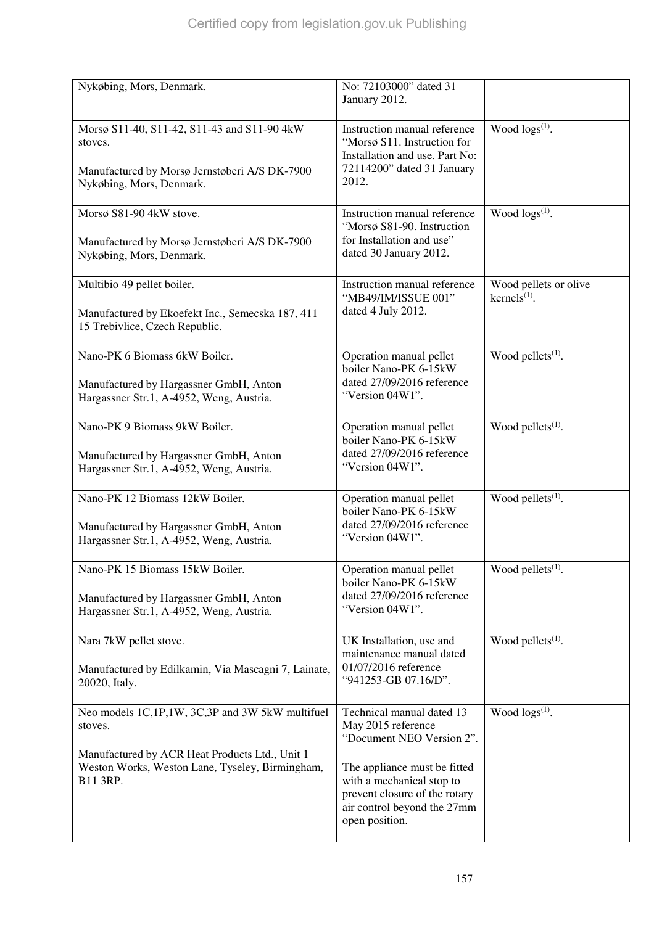| Nykøbing, Mors, Denmark.                                                                                                                                                    | No: 72103000" dated 31<br>January 2012.                                                                                                                                                                                     |                                                                   |
|-----------------------------------------------------------------------------------------------------------------------------------------------------------------------------|-----------------------------------------------------------------------------------------------------------------------------------------------------------------------------------------------------------------------------|-------------------------------------------------------------------|
| Morsø S11-40, S11-42, S11-43 and S11-90 4kW<br>stoves.<br>Manufactured by Morsø Jernstøberi A/S DK-7900<br>Nykøbing, Mors, Denmark.                                         | Instruction manual reference<br>"Morsø S11. Instruction for<br>Installation and use. Part No:<br>72114200" dated 31 January<br>2012.                                                                                        | Wood $\log s^{(1)}$ .                                             |
| Morsø S81-90 4kW stove.<br>Manufactured by Morsø Jernstøberi A/S DK-7900<br>Nykøbing, Mors, Denmark.                                                                        | Instruction manual reference<br>"Morsø S81-90. Instruction<br>for Installation and use"<br>dated 30 January 2012.                                                                                                           | Wood $\log(s^{(1)})$ .                                            |
| Multibio 49 pellet boiler.<br>Manufactured by Ekoefekt Inc., Semecska 187, 411<br>15 Trebivlice, Czech Republic.                                                            | Instruction manual reference<br>"MB49/IM/ISSUE 001"<br>dated 4 July 2012.                                                                                                                                                   | Wood pellets or olive<br>$k$ ernels <sup><math>(1)</math></sup> . |
| Nano-PK 6 Biomass 6kW Boiler.<br>Manufactured by Hargassner GmbH, Anton<br>Hargassner Str.1, A-4952, Weng, Austria.                                                         | Operation manual pellet<br>boiler Nano-PK 6-15kW<br>dated 27/09/2016 reference<br>"Version 04W1".                                                                                                                           | Wood pellets <sup>(1)</sup> .                                     |
| Nano-PK 9 Biomass 9kW Boiler.<br>Manufactured by Hargassner GmbH, Anton<br>Hargassner Str.1, A-4952, Weng, Austria.                                                         | Operation manual pellet<br>boiler Nano-PK 6-15kW<br>dated 27/09/2016 reference<br>"Version 04W1".                                                                                                                           | Wood pellets $(1)$ .                                              |
| Nano-PK 12 Biomass 12kW Boiler.<br>Manufactured by Hargassner GmbH, Anton<br>Hargassner Str.1, A-4952, Weng, Austria.                                                       | Operation manual pellet<br>boiler Nano-PK 6-15kW<br>dated 27/09/2016 reference<br>"Version 04W1".                                                                                                                           | Wood pellets <sup>(1)</sup> .                                     |
| Nano-PK 15 Biomass 15kW Boiler.<br>Manufactured by Hargassner GmbH, Anton<br>Hargassner Str.1, A-4952, Weng, Austria.                                                       | Operation manual pellet<br>boiler Nano-PK 6-15kW<br>dated 27/09/2016 reference<br>"Version 04W1".                                                                                                                           | Wood pellets <sup>(1)</sup> .                                     |
| Nara 7kW pellet stove.<br>Manufactured by Edilkamin, Via Mascagni 7, Lainate,<br>20020, Italy.                                                                              | UK Installation, use and<br>maintenance manual dated<br>01/07/2016 reference<br>"941253-GB 07.16/D".                                                                                                                        | Wood pellets <sup>(1)</sup> .                                     |
| Neo models 1C,1P,1W, 3C,3P and 3W 5kW multifuel<br>stoves.<br>Manufactured by ACR Heat Products Ltd., Unit 1<br>Weston Works, Weston Lane, Tyseley, Birmingham,<br>B11 3RP. | Technical manual dated 13<br>May 2015 reference<br>"Document NEO Version 2".<br>The appliance must be fitted<br>with a mechanical stop to<br>prevent closure of the rotary<br>air control beyond the 27mm<br>open position. | Wood $\log(s^{(1)})$ .                                            |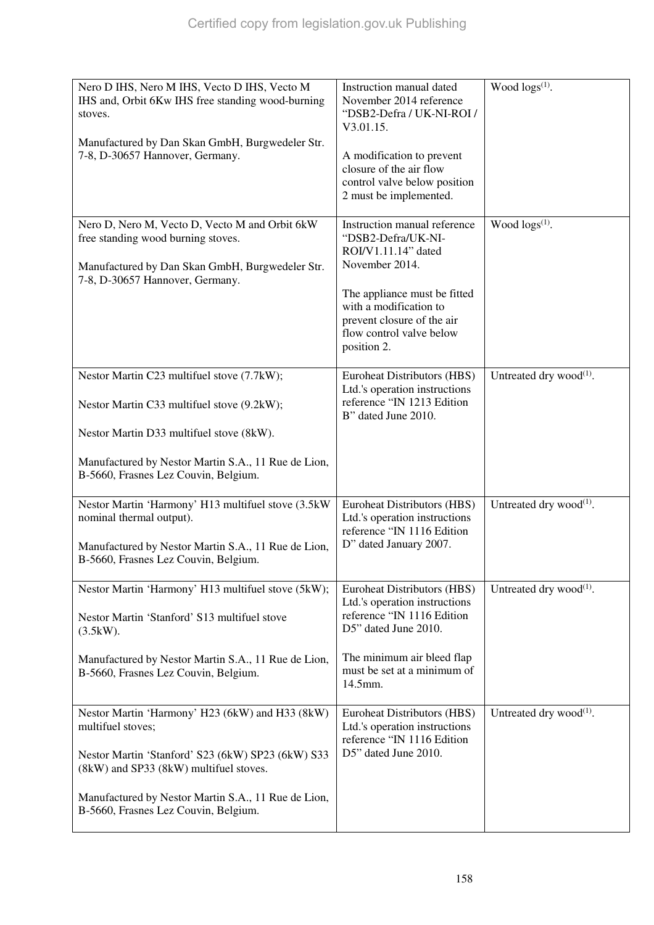| Nero D IHS, Nero M IHS, Vecto D IHS, Vecto M<br>IHS and, Orbit 6Kw IHS free standing wood-burning<br>stoves.<br>Manufactured by Dan Skan GmbH, Burgwedeler Str.<br>7-8, D-30657 Hannover, Germany.                                                                 | Instruction manual dated<br>November 2014 reference<br>"DSB2-Defra / UK-NI-ROI /<br>V3.01.15.<br>A modification to prevent<br>closure of the air flow<br>control valve below position<br>2 must be implemented.                | Wood $\log s^{(1)}$ .               |
|--------------------------------------------------------------------------------------------------------------------------------------------------------------------------------------------------------------------------------------------------------------------|--------------------------------------------------------------------------------------------------------------------------------------------------------------------------------------------------------------------------------|-------------------------------------|
| Nero D, Nero M, Vecto D, Vecto M and Orbit 6kW<br>free standing wood burning stoves.<br>Manufactured by Dan Skan GmbH, Burgwedeler Str.<br>7-8, D-30657 Hannover, Germany.                                                                                         | Instruction manual reference<br>"DSB2-Defra/UK-NI-<br>ROI/V1.11.14" dated<br>November 2014.<br>The appliance must be fitted<br>with a modification to<br>prevent closure of the air<br>flow control valve below<br>position 2. | Wood $\log(s^{(1)})$ .              |
| Nestor Martin C23 multifuel stove (7.7kW);<br>Nestor Martin C33 multifuel stove (9.2kW);<br>Nestor Martin D33 multifuel stove (8kW).<br>Manufactured by Nestor Martin S.A., 11 Rue de Lion,<br>B-5660, Frasnes Lez Couvin, Belgium.                                | Euroheat Distributors (HBS)<br>Ltd.'s operation instructions<br>reference "IN 1213 Edition<br>B" dated June 2010.                                                                                                              | Untreated dry wood $^{(1)}$ .       |
| Nestor Martin 'Harmony' H13 multifuel stove (3.5kW)<br>nominal thermal output).<br>Manufactured by Nestor Martin S.A., 11 Rue de Lion,<br>B-5660, Frasnes Lez Couvin, Belgium.                                                                                     | Euroheat Distributors (HBS)<br>Ltd.'s operation instructions<br>reference "IN 1116 Edition<br>D" dated January 2007.                                                                                                           | Untreated dry wood $^{(1)}$ .       |
| Nestor Martin 'Harmony' H13 multifuel stove (5kW);<br>Nestor Martin 'Stanford' S13 multifuel stove<br>(3.5kW).<br>Manufactured by Nestor Martin S.A., 11 Rue de Lion,<br>B-5660, Frasnes Lez Couvin, Belgium.                                                      | Euroheat Distributors (HBS)<br>Ltd.'s operation instructions<br>reference "IN 1116 Edition<br>D5" dated June 2010.<br>The minimum air bleed flap<br>must be set at a minimum of<br>14.5mm.                                     | Untreated dry wood <sup>(1)</sup> . |
| Nestor Martin 'Harmony' H23 (6kW) and H33 (8kW)<br>multifuel stoves;<br>Nestor Martin 'Stanford' S23 (6kW) SP23 (6kW) S33<br>(8kW) and SP33 (8kW) multifuel stoves.<br>Manufactured by Nestor Martin S.A., 11 Rue de Lion,<br>B-5660, Frasnes Lez Couvin, Belgium. | Euroheat Distributors (HBS)<br>Ltd.'s operation instructions<br>reference "IN 1116 Edition<br>D5" dated June 2010.                                                                                                             | Untreated dry wood $^{(1)}$ .       |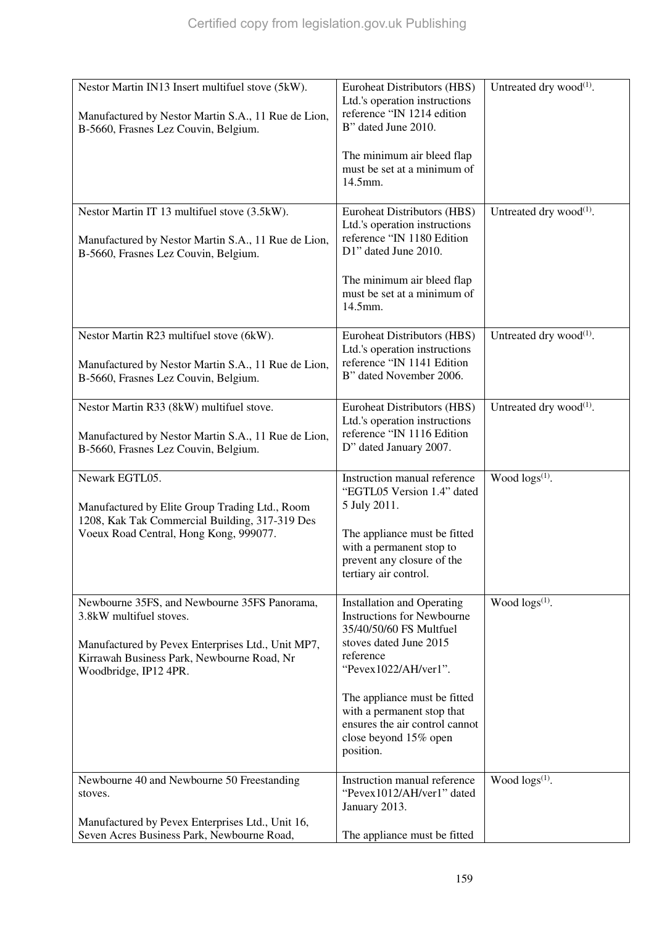| Nestor Martin IN13 Insert multifuel stove (5kW).                                                                                                                                                    | <b>Euroheat Distributors (HBS)</b>                                                                                                                                                                                             | Untreated dry wood <sup>(1)</sup> . |
|-----------------------------------------------------------------------------------------------------------------------------------------------------------------------------------------------------|--------------------------------------------------------------------------------------------------------------------------------------------------------------------------------------------------------------------------------|-------------------------------------|
| Manufactured by Nestor Martin S.A., 11 Rue de Lion,<br>B-5660, Frasnes Lez Couvin, Belgium.                                                                                                         | Ltd.'s operation instructions<br>reference "IN 1214 edition<br>B" dated June 2010.                                                                                                                                             |                                     |
|                                                                                                                                                                                                     | The minimum air bleed flap<br>must be set at a minimum of<br>14.5mm.                                                                                                                                                           |                                     |
| Nestor Martin IT 13 multifuel stove (3.5kW).<br>Manufactured by Nestor Martin S.A., 11 Rue de Lion,<br>B-5660, Frasnes Lez Couvin, Belgium.                                                         | Euroheat Distributors (HBS)<br>Ltd.'s operation instructions<br>reference "IN 1180 Edition<br>D1" dated June 2010.                                                                                                             | Untreated dry wood $^{(1)}$ .       |
|                                                                                                                                                                                                     | The minimum air bleed flap<br>must be set at a minimum of<br>14.5mm.                                                                                                                                                           |                                     |
| Nestor Martin R23 multifuel stove (6kW).<br>Manufactured by Nestor Martin S.A., 11 Rue de Lion,<br>B-5660, Frasnes Lez Couvin, Belgium.                                                             | <b>Euroheat Distributors (HBS)</b><br>Ltd.'s operation instructions<br>reference "IN 1141 Edition<br>B" dated November 2006.                                                                                                   | Untreated dry wood $^{(1)}$ .       |
| Nestor Martin R33 (8kW) multifuel stove.<br>Manufactured by Nestor Martin S.A., 11 Rue de Lion,<br>B-5660, Frasnes Lez Couvin, Belgium.                                                             | <b>Euroheat Distributors (HBS)</b><br>Ltd.'s operation instructions<br>reference "IN 1116 Edition<br>D" dated January 2007.                                                                                                    | Untreated dry wood $^{(1)}$ .       |
| Newark EGTL05.<br>Manufactured by Elite Group Trading Ltd., Room<br>1208, Kak Tak Commercial Building, 317-319 Des<br>Voeux Road Central, Hong Kong, 999077.                                        | Instruction manual reference<br>"EGTL05 Version 1.4" dated<br>5 July 2011.<br>The appliance must be fitted<br>with a permanent stop to<br>prevent any closure of the<br>tertiary air control.                                  | Wood $\log(s^{(1)})$ .              |
| Newbourne 35FS, and Newbourne 35FS Panorama,<br>3.8kW multifuel stoves.<br>Manufactured by Pevex Enterprises Ltd., Unit MP7,<br>Kirrawah Business Park, Newbourne Road, Nr<br>Woodbridge, IP12 4PR. | <b>Installation and Operating</b><br><b>Instructions for Newbourne</b><br>35/40/50/60 FS Multfuel<br>stoves dated June 2015<br>reference<br>"Pevex1022/AH/ver1".<br>The appliance must be fitted<br>with a permanent stop that | Wood $\log s^{(1)}$ .               |
|                                                                                                                                                                                                     | ensures the air control cannot<br>close beyond 15% open<br>position.                                                                                                                                                           |                                     |
| Newbourne 40 and Newbourne 50 Freestanding<br>stoves.<br>Manufactured by Pevex Enterprises Ltd., Unit 16,                                                                                           | Instruction manual reference<br>"Pevex1012/AH/ver1" dated<br>January 2013.                                                                                                                                                     | Wood logs <sup>(1)</sup> .          |
| Seven Acres Business Park, Newbourne Road,                                                                                                                                                          | The appliance must be fitted                                                                                                                                                                                                   |                                     |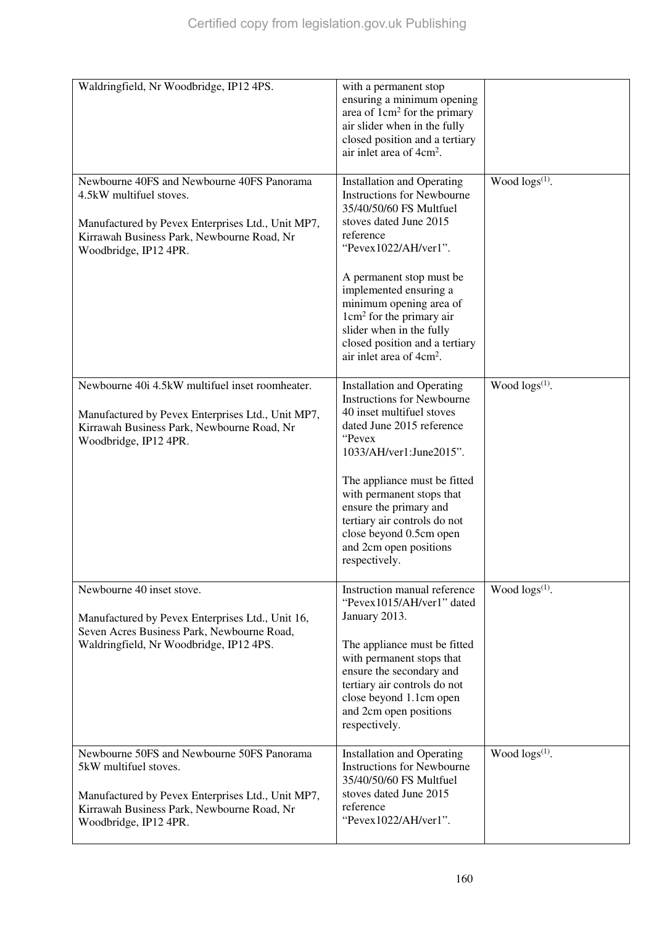| Waldringfield, Nr Woodbridge, IP12 4PS.                                                                                                                                                           | with a permanent stop<br>ensuring a minimum opening<br>area of 1cm <sup>2</sup> for the primary<br>air slider when in the fully<br>closed position and a tertiary<br>air inlet area of 4cm <sup>2</sup> .                                                                                                                                                                                      |                        |
|---------------------------------------------------------------------------------------------------------------------------------------------------------------------------------------------------|------------------------------------------------------------------------------------------------------------------------------------------------------------------------------------------------------------------------------------------------------------------------------------------------------------------------------------------------------------------------------------------------|------------------------|
| Newbourne 40FS and Newbourne 40FS Panorama<br>4.5kW multifuel stoves.<br>Manufactured by Pevex Enterprises Ltd., Unit MP7,<br>Kirrawah Business Park, Newbourne Road, Nr<br>Woodbridge, IP12 4PR. | <b>Installation and Operating</b><br><b>Instructions for Newbourne</b><br>35/40/50/60 FS Multfuel<br>stoves dated June 2015<br>reference<br>"Pevex1022/AH/ver1".<br>A permanent stop must be<br>implemented ensuring a<br>minimum opening area of<br>$1 \text{cm}^2$ for the primary air<br>slider when in the fully<br>closed position and a tertiary<br>air inlet area of 4cm <sup>2</sup> . | Wood $\log(s^{(1)})$ . |
| Newbourne 40i 4.5kW multifuel inset roomheater.<br>Manufactured by Pevex Enterprises Ltd., Unit MP7,<br>Kirrawah Business Park, Newbourne Road, Nr<br>Woodbridge, IP12 4PR.                       | <b>Installation and Operating</b><br><b>Instructions for Newbourne</b><br>40 inset multifuel stoves<br>dated June 2015 reference<br>"Pevex<br>1033/AH/ver1:June2015".<br>The appliance must be fitted<br>with permanent stops that<br>ensure the primary and<br>tertiary air controls do not<br>close beyond 0.5cm open<br>and 2cm open positions<br>respectively.                             | Wood $\log(s^{(1)})$ . |
| Newbourne 40 inset stove.<br>Manufactured by Pevex Enterprises Ltd., Unit 16,<br>Seven Acres Business Park, Newbourne Road,<br>Waldringfield, Nr Woodbridge, IP12 4PS.                            | Instruction manual reference<br>"Pevex1015/AH/ver1" dated<br>January 2013.<br>The appliance must be fitted<br>with permanent stops that<br>ensure the secondary and<br>tertiary air controls do not<br>close beyond 1.1cm open<br>and 2cm open positions<br>respectively.                                                                                                                      | Wood $\log s^{(1)}$ .  |
| Newbourne 50FS and Newbourne 50FS Panorama<br>5kW multifuel stoves.<br>Manufactured by Pevex Enterprises Ltd., Unit MP7,<br>Kirrawah Business Park, Newbourne Road, Nr<br>Woodbridge, IP12 4PR.   | <b>Installation and Operating</b><br><b>Instructions for Newbourne</b><br>35/40/50/60 FS Multfuel<br>stoves dated June 2015<br>reference<br>"Pevex1022/AH/ver1".                                                                                                                                                                                                                               | Wood $\log s^{(1)}$ .  |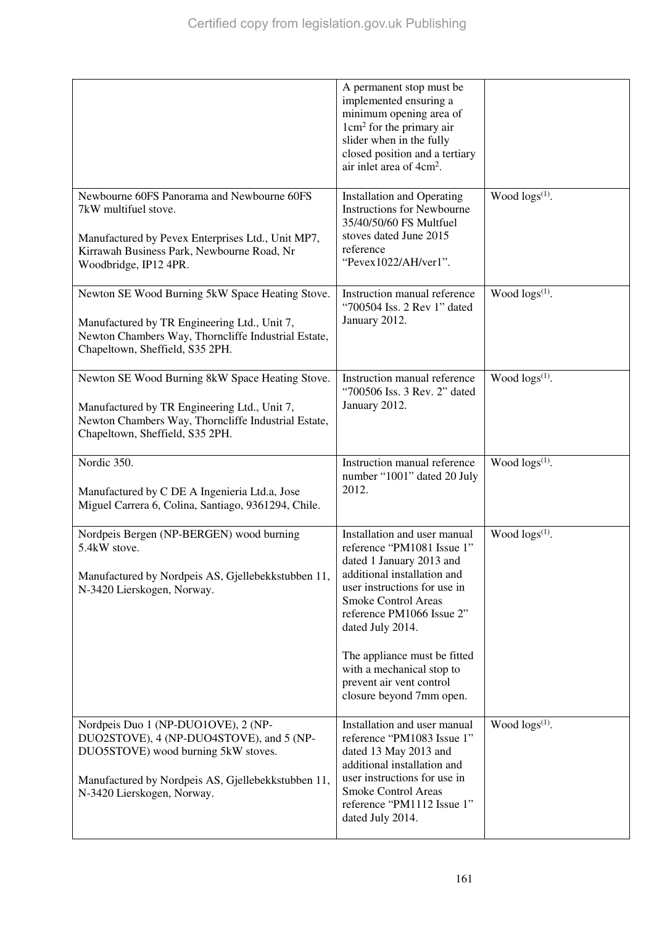|                                                                                                                                                                                                            | A permanent stop must be<br>implemented ensuring a<br>minimum opening area of<br>$1 \text{cm}^2$ for the primary air<br>slider when in the fully<br>closed position and a tertiary<br>air inlet area of $4cm2$ .            |                        |
|------------------------------------------------------------------------------------------------------------------------------------------------------------------------------------------------------------|-----------------------------------------------------------------------------------------------------------------------------------------------------------------------------------------------------------------------------|------------------------|
| Newbourne 60FS Panorama and Newbourne 60FS                                                                                                                                                                 | <b>Installation and Operating</b>                                                                                                                                                                                           | Wood $\log s^{(1)}$ .  |
| 7kW multifuel stove.<br>Manufactured by Pevex Enterprises Ltd., Unit MP7,<br>Kirrawah Business Park, Newbourne Road, Nr<br>Woodbridge, IP12 4PR.                                                           | <b>Instructions for Newbourne</b><br>35/40/50/60 FS Multfuel<br>stoves dated June 2015<br>reference<br>"Pevex1022/AH/ver1".                                                                                                 |                        |
| Newton SE Wood Burning 5kW Space Heating Stove.                                                                                                                                                            | Instruction manual reference                                                                                                                                                                                                | Wood $\log s^{(1)}$ .  |
| Manufactured by TR Engineering Ltd., Unit 7,<br>Newton Chambers Way, Thorncliffe Industrial Estate,<br>Chapeltown, Sheffield, S35 2PH.                                                                     | "700504 Iss. 2 Rev 1" dated<br>January 2012.                                                                                                                                                                                |                        |
| Newton SE Wood Burning 8kW Space Heating Stove.                                                                                                                                                            | Instruction manual reference                                                                                                                                                                                                | Wood $\log(s^{(1)})$ . |
| Manufactured by TR Engineering Ltd., Unit 7,<br>Newton Chambers Way, Thorncliffe Industrial Estate,<br>Chapeltown, Sheffield, S35 2PH.                                                                     | "700506 Iss. 3 Rev. 2" dated<br>January 2012.                                                                                                                                                                               |                        |
|                                                                                                                                                                                                            |                                                                                                                                                                                                                             |                        |
| Nordic 350.                                                                                                                                                                                                | Instruction manual reference                                                                                                                                                                                                | Wood $\log(s^{(1)})$ . |
| Manufactured by C DE A Ingenieria Ltd.a, Jose<br>Miguel Carrera 6, Colina, Santiago, 9361294, Chile.                                                                                                       | number "1001" dated 20 July<br>2012.                                                                                                                                                                                        |                        |
| Nordpeis Bergen (NP-BERGEN) wood burning<br>5.4kW stove.                                                                                                                                                   | Installation and user manual<br>reference "PM1081 Issue 1"                                                                                                                                                                  | Wood $\log s^{(1)}$ .  |
| Manufactured by Nordpeis AS, Gjellebekkstubben 11,<br>N-3420 Lierskogen, Norway.                                                                                                                           | dated 1 January 2013 and<br>additional installation and<br>user instructions for use in<br>Smoke Control Areas<br>reference PM1066 Issue 2"<br>dated July 2014.                                                             |                        |
|                                                                                                                                                                                                            | The appliance must be fitted<br>with a mechanical stop to<br>prevent air vent control<br>closure beyond 7mm open.                                                                                                           |                        |
| Nordpeis Duo 1 (NP-DUO1OVE), 2 (NP-<br>DUO2STOVE), 4 (NP-DUO4STOVE), and 5 (NP-<br>DUO5STOVE) wood burning 5kW stoves.<br>Manufactured by Nordpeis AS, Gjellebekkstubben 11,<br>N-3420 Lierskogen, Norway. | Installation and user manual<br>reference "PM1083 Issue 1"<br>dated 13 May 2013 and<br>additional installation and<br>user instructions for use in<br>Smoke Control Areas<br>reference "PM1112 Issue 1"<br>dated July 2014. | Wood $\log(s^{(1)})$ . |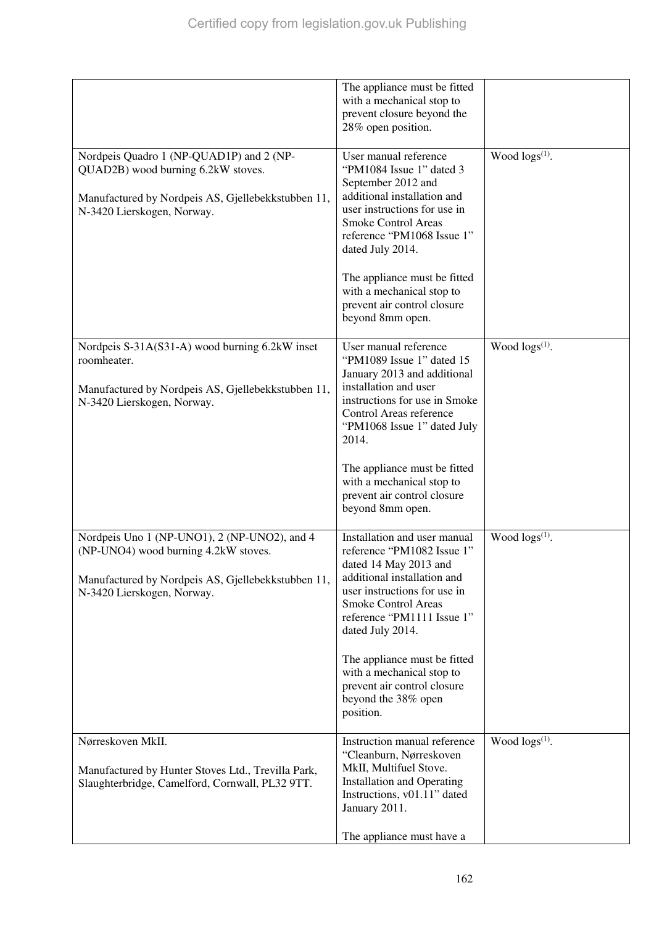|                                                                                                                                                                          | The appliance must be fitted<br>with a mechanical stop to<br>prevent closure beyond the<br>28% open position.                                                                                                                                                                                                                                                      |                        |
|--------------------------------------------------------------------------------------------------------------------------------------------------------------------------|--------------------------------------------------------------------------------------------------------------------------------------------------------------------------------------------------------------------------------------------------------------------------------------------------------------------------------------------------------------------|------------------------|
| Nordpeis Quadro 1 (NP-QUAD1P) and 2 (NP-<br>QUAD2B) wood burning 6.2kW stoves.<br>Manufactured by Nordpeis AS, Gjellebekkstubben 11,<br>N-3420 Lierskogen, Norway.       | User manual reference<br>"PM1084 Issue 1" dated 3<br>September 2012 and<br>additional installation and<br>user instructions for use in<br><b>Smoke Control Areas</b><br>reference "PM1068 Issue 1"<br>dated July 2014.<br>The appliance must be fitted<br>with a mechanical stop to<br>prevent air control closure<br>beyond 8mm open.                             | Wood $\log(s^{(1)})$ . |
| Nordpeis S-31A(S31-A) wood burning 6.2kW inset<br>roomheater.<br>Manufactured by Nordpeis AS, Gjellebekkstubben 11,<br>N-3420 Lierskogen, Norway.                        | User manual reference<br>"PM1089 Issue 1" dated 15<br>January 2013 and additional<br>installation and user<br>instructions for use in Smoke<br>Control Areas reference<br>"PM1068 Issue 1" dated July<br>2014.<br>The appliance must be fitted<br>with a mechanical stop to<br>prevent air control closure<br>beyond 8mm open.                                     | Wood $\log(s^{(1)})$ . |
| Nordpeis Uno 1 (NP-UNO1), 2 (NP-UNO2), and 4<br>(NP-UNO4) wood burning 4.2kW stoves.<br>Manufactured by Nordpeis AS, Gjellebekkstubben 11,<br>N-3420 Lierskogen, Norway. | Installation and user manual<br>reference "PM1082 Issue 1"<br>dated 14 May 2013 and<br>additional installation and<br>user instructions for use in<br><b>Smoke Control Areas</b><br>reference "PM1111 Issue 1"<br>dated July 2014.<br>The appliance must be fitted<br>with a mechanical stop to<br>prevent air control closure<br>beyond the 38% open<br>position. | Wood $\log(s^{(1)})$ . |
| Nørreskoven MkII.<br>Manufactured by Hunter Stoves Ltd., Trevilla Park,<br>Slaughterbridge, Camelford, Cornwall, PL32 9TT.                                               | Instruction manual reference<br>"Cleanburn, Nørreskoven<br>MkII, Multifuel Stove.<br><b>Installation and Operating</b><br>Instructions, v01.11" dated<br>January 2011.<br>The appliance must have a                                                                                                                                                                | Wood $\log(s^{(1)})$ . |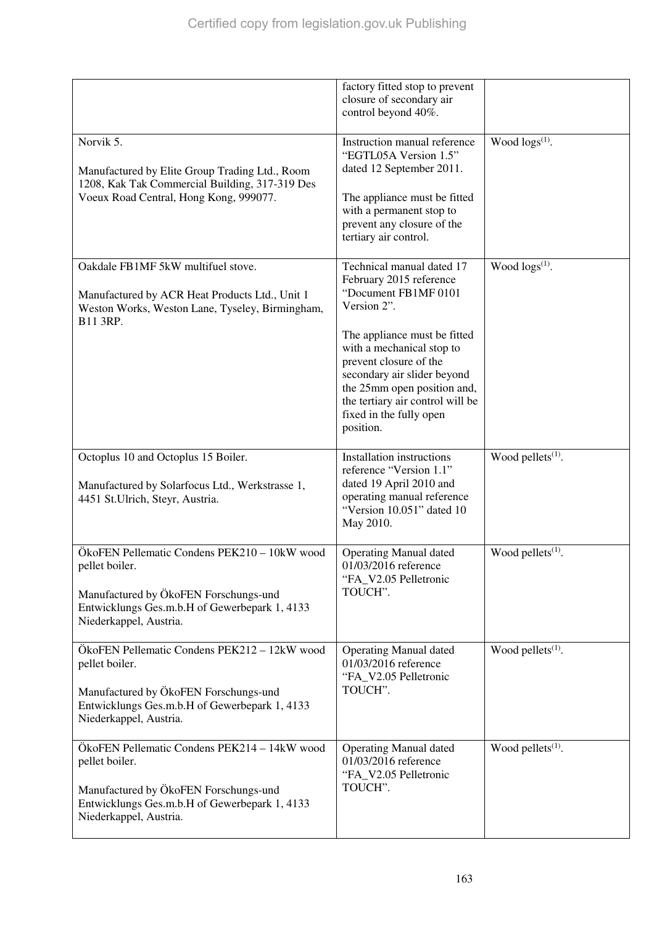|                                                                                                                                                                                    | factory fitted stop to prevent<br>closure of secondary air<br>control beyond 40%.                                                                                                                                                                                                                                            |                               |
|------------------------------------------------------------------------------------------------------------------------------------------------------------------------------------|------------------------------------------------------------------------------------------------------------------------------------------------------------------------------------------------------------------------------------------------------------------------------------------------------------------------------|-------------------------------|
| Norvik 5.<br>Manufactured by Elite Group Trading Ltd., Room<br>1208, Kak Tak Commercial Building, 317-319 Des<br>Voeux Road Central, Hong Kong, 999077.                            | Instruction manual reference<br>"EGTL05A Version 1.5"<br>dated 12 September 2011.<br>The appliance must be fitted<br>with a permanent stop to<br>prevent any closure of the<br>tertiary air control.                                                                                                                         | Wood $\log(s^{(1)})$ .        |
| Oakdale FB1MF 5kW multifuel stove.<br>Manufactured by ACR Heat Products Ltd., Unit 1<br>Weston Works, Weston Lane, Tyseley, Birmingham,<br>B11 3RP.                                | Technical manual dated 17<br>February 2015 reference<br>"Document FB1MF 0101<br>Version 2".<br>The appliance must be fitted<br>with a mechanical stop to<br>prevent closure of the<br>secondary air slider beyond<br>the 25mm open position and,<br>the tertiary air control will be<br>fixed in the fully open<br>position. | Wood logs <sup>(1)</sup> .    |
| Octoplus 10 and Octoplus 15 Boiler.<br>Manufactured by Solarfocus Ltd., Werkstrasse 1,<br>4451 St.Ulrich, Steyr, Austria.                                                          | Installation instructions<br>reference "Version 1.1"<br>dated 19 April 2010 and<br>operating manual reference<br>"Version 10.051" dated 10<br>May 2010.                                                                                                                                                                      | Wood pellets <sup>(1)</sup> . |
| ÖkoFEN Pellematic Condens PEK210 - 10kW wood<br>pellet boiler.<br>Manufactured by ÖkoFEN Forschungs-und<br>Entwicklungs Ges.m.b.H of Gewerbepark 1, 4133<br>Niederkappel, Austria. | <b>Operating Manual dated</b><br>01/03/2016 reference<br>"FA_V2.05 Pelletronic<br>TOUCH".                                                                                                                                                                                                                                    | Wood pellets $(1)$ .          |
| ÖkoFEN Pellematic Condens PEK212 – 12kW wood<br>pellet boiler.<br>Manufactured by ÖkoFEN Forschungs-und<br>Entwicklungs Ges.m.b.H of Gewerbepark 1, 4133<br>Niederkappel, Austria. | <b>Operating Manual dated</b><br>01/03/2016 reference<br>"FA_V2.05 Pelletronic<br>TOUCH".                                                                                                                                                                                                                                    | Wood pellets <sup>(1)</sup> . |
| ÖkoFEN Pellematic Condens PEK214 - 14kW wood<br>pellet boiler.<br>Manufactured by ÖkoFEN Forschungs-und<br>Entwicklungs Ges.m.b.H of Gewerbepark 1, 4133<br>Niederkappel, Austria. | <b>Operating Manual dated</b><br>01/03/2016 reference<br>"FA_V2.05 Pelletronic<br>TOUCH".                                                                                                                                                                                                                                    | Wood pellets <sup>(1)</sup> . |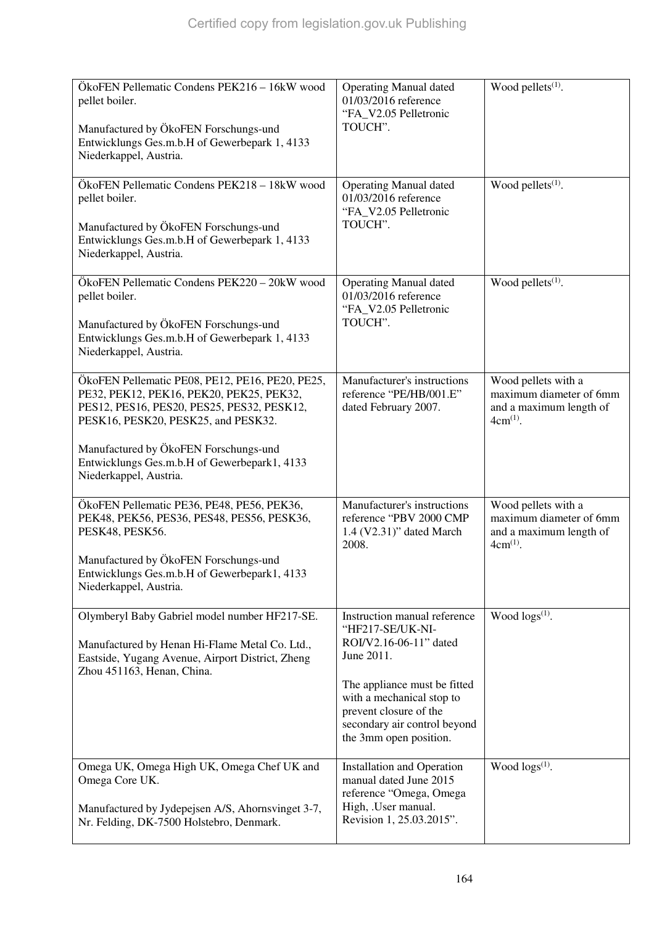| ÖkoFEN Pellematic Condens PEK216 - 16kW wood<br>pellet boiler.<br>Manufactured by ÖkoFEN Forschungs-und<br>Entwicklungs Ges.m.b.H of Gewerbepark 1, 4133<br>Niederkappel, Austria.                                                                                                                  | <b>Operating Manual dated</b><br>01/03/2016 reference<br>"FA V2.05 Pelletronic<br>TOUCH".                                                                                                                                                 | Wood pellets <sup>(1)</sup> .                                                              |
|-----------------------------------------------------------------------------------------------------------------------------------------------------------------------------------------------------------------------------------------------------------------------------------------------------|-------------------------------------------------------------------------------------------------------------------------------------------------------------------------------------------------------------------------------------------|--------------------------------------------------------------------------------------------|
| ÖkoFEN Pellematic Condens PEK218 - 18kW wood<br>pellet boiler.<br>Manufactured by ÖkoFEN Forschungs-und<br>Entwicklungs Ges.m.b.H of Gewerbepark 1, 4133<br>Niederkappel, Austria.                                                                                                                  | <b>Operating Manual dated</b><br>01/03/2016 reference<br>"FA V2.05 Pelletronic<br>TOUCH".                                                                                                                                                 | Wood pellets <sup>(1)</sup> .                                                              |
| ÖkoFEN Pellematic Condens PEK220 - 20kW wood<br>pellet boiler.<br>Manufactured by ÖkoFEN Forschungs-und<br>Entwicklungs Ges.m.b.H of Gewerbepark 1, 4133<br>Niederkappel, Austria.                                                                                                                  | <b>Operating Manual dated</b><br>01/03/2016 reference<br>"FA_V2.05 Pelletronic<br>TOUCH".                                                                                                                                                 | Wood pellets <sup>(1)</sup> .                                                              |
| ÖkoFEN Pellematic PE08, PE12, PE16, PE20, PE25,<br>PE32, PEK12, PEK16, PEK20, PEK25, PEK32,<br>PES12, PES16, PES20, PES25, PES32, PESK12,<br>PESK16, PESK20, PESK25, and PESK32.<br>Manufactured by ÖkoFEN Forschungs-und<br>Entwicklungs Ges.m.b.H of Gewerbepark1, 4133<br>Niederkappel, Austria. | Manufacturer's instructions<br>reference "PE/HB/001.E"<br>dated February 2007.                                                                                                                                                            | Wood pellets with a<br>maximum diameter of 6mm<br>and a maximum length of<br>$4cm^{(1)}$ . |
| ÖkoFEN Pellematic PE36, PE48, PE56, PEK36,<br>PEK48, PEK56, PES36, PES48, PES56, PESK36,<br>PESK48, PESK56.<br>Manufactured by ÖkoFEN Forschungs-und<br>Entwicklungs Ges.m.b.H of Gewerbepark1, 4133<br>Niederkappel, Austria.                                                                      | Manufacturer's instructions<br>reference "PBV 2000 CMP<br>1.4 (V2.31)" dated March<br>2008.                                                                                                                                               | Wood pellets with a<br>maximum diameter of 6mm<br>and a maximum length of<br>$4cm^{(1)}$ . |
| Olymberyl Baby Gabriel model number HF217-SE.<br>Manufactured by Henan Hi-Flame Metal Co. Ltd.,<br>Eastside, Yugang Avenue, Airport District, Zheng<br>Zhou 451163, Henan, China.                                                                                                                   | Instruction manual reference<br>"HF217-SE/UK-NI-<br>ROI/V2.16-06-11" dated<br>June 2011.<br>The appliance must be fitted<br>with a mechanical stop to<br>prevent closure of the<br>secondary air control beyond<br>the 3mm open position. | Wood $\log(s^{(1)})$ .                                                                     |
| Omega UK, Omega High UK, Omega Chef UK and<br>Omega Core UK.<br>Manufactured by Jydepejsen A/S, Ahornsvinget 3-7,<br>Nr. Felding, DK-7500 Holstebro, Denmark.                                                                                                                                       | <b>Installation and Operation</b><br>manual dated June 2015<br>reference "Omega, Omega<br>High, .User manual.<br>Revision 1, 25.03.2015".                                                                                                 | Wood $\log(s^{(1)})$ .                                                                     |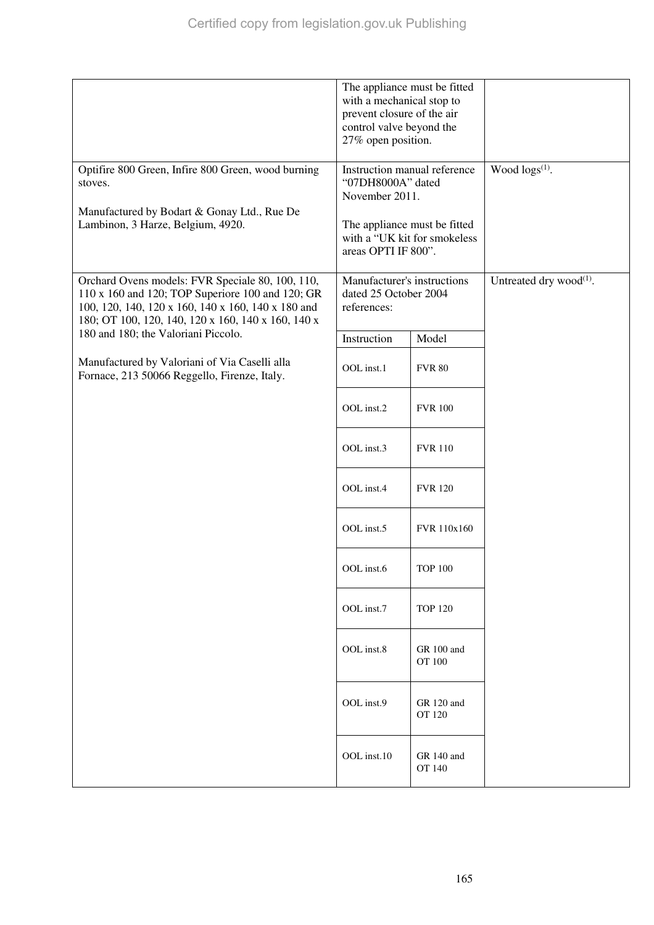|                                                                                                                                                                                                                  | The appliance must be fitted<br>with a mechanical stop to<br>prevent closure of the air<br>control valve beyond the<br>27% open position.                  |                             |                               |
|------------------------------------------------------------------------------------------------------------------------------------------------------------------------------------------------------------------|------------------------------------------------------------------------------------------------------------------------------------------------------------|-----------------------------|-------------------------------|
| Optifire 800 Green, Infire 800 Green, wood burning<br>stoves.<br>Manufactured by Bodart & Gonay Ltd., Rue De<br>Lambinon, 3 Harze, Belgium, 4920.                                                                | Instruction manual reference<br>"07DH8000A" dated<br>November 2011.<br>The appliance must be fitted<br>with a "UK kit for smokeless<br>areas OPTI IF 800". |                             | Wood $\log(s^{(1)})$ .        |
| Orchard Ovens models: FVR Speciale 80, 100, 110,<br>110 x 160 and 120; TOP Superiore 100 and 120; GR<br>100, 120, 140, 120 x 160, 140 x 160, 140 x 180 and<br>180; OT 100, 120, 140, 120 x 160, 140 x 160, 140 x | Manufacturer's instructions<br>dated 25 October 2004<br>references:                                                                                        |                             | Untreated dry wood $^{(1)}$ . |
| 180 and 180; the Valoriani Piccolo.                                                                                                                                                                              | Instruction                                                                                                                                                | Model                       |                               |
| Manufactured by Valoriani of Via Caselli alla<br>Fornace, 213 50066 Reggello, Firenze, Italy.                                                                                                                    | OOL inst.1                                                                                                                                                 | <b>FVR 80</b>               |                               |
|                                                                                                                                                                                                                  | OOL inst.2                                                                                                                                                 | <b>FVR 100</b>              |                               |
|                                                                                                                                                                                                                  | OOL inst.3                                                                                                                                                 | <b>FVR 110</b>              |                               |
|                                                                                                                                                                                                                  | OOL inst.4                                                                                                                                                 | <b>FVR 120</b>              |                               |
|                                                                                                                                                                                                                  | OOL inst.5                                                                                                                                                 | <b>FVR</b> 110x160          |                               |
|                                                                                                                                                                                                                  | OOL inst.6                                                                                                                                                 | <b>TOP 100</b>              |                               |
|                                                                                                                                                                                                                  | OOL inst.7                                                                                                                                                 | <b>TOP 120</b>              |                               |
|                                                                                                                                                                                                                  | OOL inst.8                                                                                                                                                 | GR 100 and<br><b>OT 100</b> |                               |
|                                                                                                                                                                                                                  | OOL inst.9                                                                                                                                                 | GR 120 and<br>OT 120        |                               |
|                                                                                                                                                                                                                  | OOL inst.10                                                                                                                                                | GR 140 and<br>OT 140        |                               |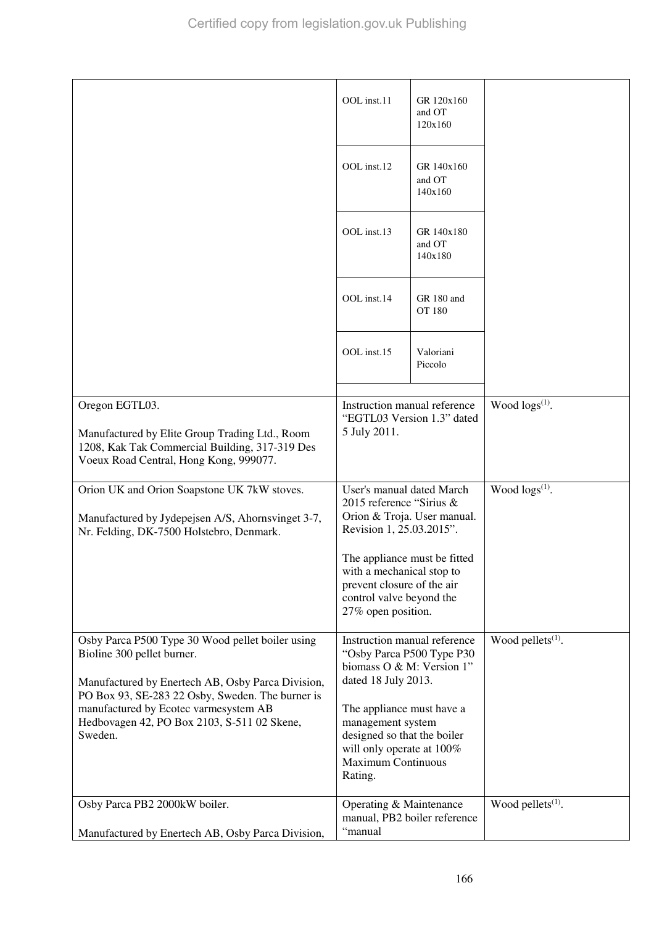|                                                                                                                                                                                                                                                                                            | OOL inst.11                                                                                                                                                                                                                                                         | GR 120x160<br>and OT<br>120x160 |                               |
|--------------------------------------------------------------------------------------------------------------------------------------------------------------------------------------------------------------------------------------------------------------------------------------------|---------------------------------------------------------------------------------------------------------------------------------------------------------------------------------------------------------------------------------------------------------------------|---------------------------------|-------------------------------|
|                                                                                                                                                                                                                                                                                            | OOL inst.12                                                                                                                                                                                                                                                         | GR 140x160<br>and OT<br>140x160 |                               |
|                                                                                                                                                                                                                                                                                            | OOL inst.13                                                                                                                                                                                                                                                         | GR 140x180<br>and OT<br>140x180 |                               |
|                                                                                                                                                                                                                                                                                            | OOL inst.14                                                                                                                                                                                                                                                         | GR 180 and<br><b>OT 180</b>     |                               |
|                                                                                                                                                                                                                                                                                            | OOL inst.15                                                                                                                                                                                                                                                         | Valoriani<br>Piccolo            |                               |
|                                                                                                                                                                                                                                                                                            |                                                                                                                                                                                                                                                                     |                                 |                               |
| Oregon EGTL03.<br>Manufactured by Elite Group Trading Ltd., Room<br>1208, Kak Tak Commercial Building, 317-319 Des<br>Voeux Road Central, Hong Kong, 999077.                                                                                                                               | Instruction manual reference<br>"EGTL03 Version 1.3" dated<br>5 July 2011.                                                                                                                                                                                          |                                 | Wood $\log(s^{(1)})$ .        |
| Orion UK and Orion Soapstone UK 7kW stoves.<br>Manufactured by Jydepejsen A/S, Ahornsvinget 3-7,<br>Nr. Felding, DK-7500 Holstebro, Denmark.                                                                                                                                               | User's manual dated March<br>2015 reference "Sirius &<br>Orion & Troja. User manual.<br>Revision 1, 25.03.2015".                                                                                                                                                    |                                 | Wood $\log s^{(1)}$ .         |
|                                                                                                                                                                                                                                                                                            | The appliance must be fitted<br>with a mechanical stop to<br>prevent closure of the air<br>control valve beyond the<br>27% open position.                                                                                                                           |                                 |                               |
| Osby Parca P500 Type 30 Wood pellet boiler using<br>Bioline 300 pellet burner.<br>Manufactured by Enertech AB, Osby Parca Division,<br>PO Box 93, SE-283 22 Osby, Sweden. The burner is<br>manufactured by Ecotec varmesystem AB<br>Hedbovagen 42, PO Box 2103, S-511 02 Skene,<br>Sweden. | Instruction manual reference<br>"Osby Parca P500 Type P30<br>biomass O & M: Version 1"<br>dated 18 July 2013.<br>The appliance must have a<br>management system<br>designed so that the boiler<br>will only operate at 100%<br><b>Maximum Continuous</b><br>Rating. |                                 | Wood pellets $(1)$ .          |
| Osby Parca PB2 2000kW boiler.<br>Manufactured by Enertech AB, Osby Parca Division,                                                                                                                                                                                                         | Operating & Maintenance<br>"manual                                                                                                                                                                                                                                  | manual, PB2 boiler reference    | Wood pellets <sup>(1)</sup> . |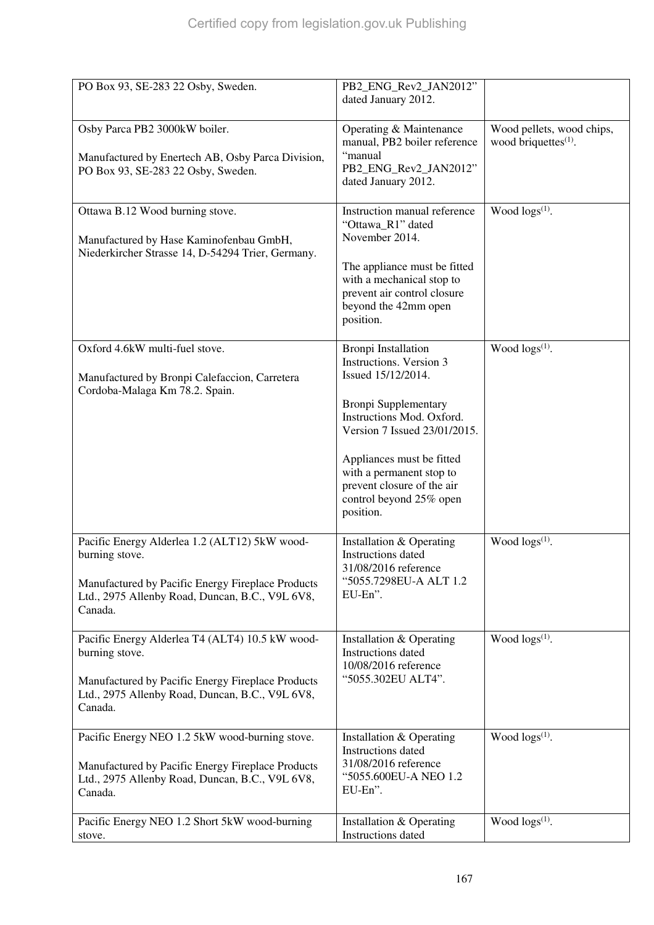| PO Box 93, SE-283 22 Osby, Sweden.                                                                                                                                                   | PB2_ENG_Rev2_JAN2012"<br>dated January 2012.                                                                                                                                                                                                                                                           |                                                               |
|--------------------------------------------------------------------------------------------------------------------------------------------------------------------------------------|--------------------------------------------------------------------------------------------------------------------------------------------------------------------------------------------------------------------------------------------------------------------------------------------------------|---------------------------------------------------------------|
| Osby Parca PB2 3000kW boiler.<br>Manufactured by Enertech AB, Osby Parca Division,<br>PO Box 93, SE-283 22 Osby, Sweden.                                                             | Operating & Maintenance<br>manual, PB2 boiler reference<br>"manual<br>PB2_ENG_Rev2_JAN2012"<br>dated January 2012.                                                                                                                                                                                     | Wood pellets, wood chips,<br>wood briquettes <sup>(1)</sup> . |
| Ottawa B.12 Wood burning stove.<br>Manufactured by Hase Kaminofenbau GmbH,<br>Niederkircher Strasse 14, D-54294 Trier, Germany.                                                      | Instruction manual reference<br>"Ottawa_R1" dated<br>November 2014.<br>The appliance must be fitted<br>with a mechanical stop to<br>prevent air control closure<br>beyond the 42mm open<br>position.                                                                                                   | Wood $\log s^{(1)}$ .                                         |
| Oxford 4.6kW multi-fuel stove.<br>Manufactured by Bronpi Calefaccion, Carretera<br>Cordoba-Malaga Km 78.2. Spain.                                                                    | <b>Bronpi</b> Installation<br>Instructions. Version 3<br>Issued 15/12/2014.<br><b>Bronpi Supplementary</b><br>Instructions Mod. Oxford.<br>Version 7 Issued 23/01/2015.<br>Appliances must be fitted<br>with a permanent stop to<br>prevent closure of the air<br>control beyond 25% open<br>position. | Wood $\log(s^{(1)})$ .                                        |
| Pacific Energy Alderlea 1.2 (ALT12) 5kW wood-<br>burning stove.<br>Manufactured by Pacific Energy Fireplace Products<br>Ltd., 2975 Allenby Road, Duncan, B.C., V9L 6V8,<br>Canada.   | Installation & Operating<br>Instructions dated<br>31/08/2016 reference<br>"5055.7298EU-A ALT 1.2<br>EU-En".                                                                                                                                                                                            | Wood $\log(s^{(1)})$ .                                        |
| Pacific Energy Alderlea T4 (ALT4) 10.5 kW wood-<br>burning stove.<br>Manufactured by Pacific Energy Fireplace Products<br>Ltd., 2975 Allenby Road, Duncan, B.C., V9L 6V8,<br>Canada. | Installation & Operating<br><b>Instructions</b> dated<br>10/08/2016 reference<br>"5055.302EU ALT4".                                                                                                                                                                                                    | Wood logs(1).                                                 |
| Pacific Energy NEO 1.2 5kW wood-burning stove.<br>Manufactured by Pacific Energy Fireplace Products<br>Ltd., 2975 Allenby Road, Duncan, B.C., V9L 6V8,<br>Canada.                    | Installation & Operating<br>Instructions dated<br>31/08/2016 reference<br>"5055.600EU-A NEO 1.2<br>$EU$ -En $"$ .                                                                                                                                                                                      | Wood $\log(s^{(1)})$ .                                        |
| Pacific Energy NEO 1.2 Short 5kW wood-burning<br>stove.                                                                                                                              | Installation & Operating<br><b>Instructions</b> dated                                                                                                                                                                                                                                                  | Wood logs <sup>(1)</sup> .                                    |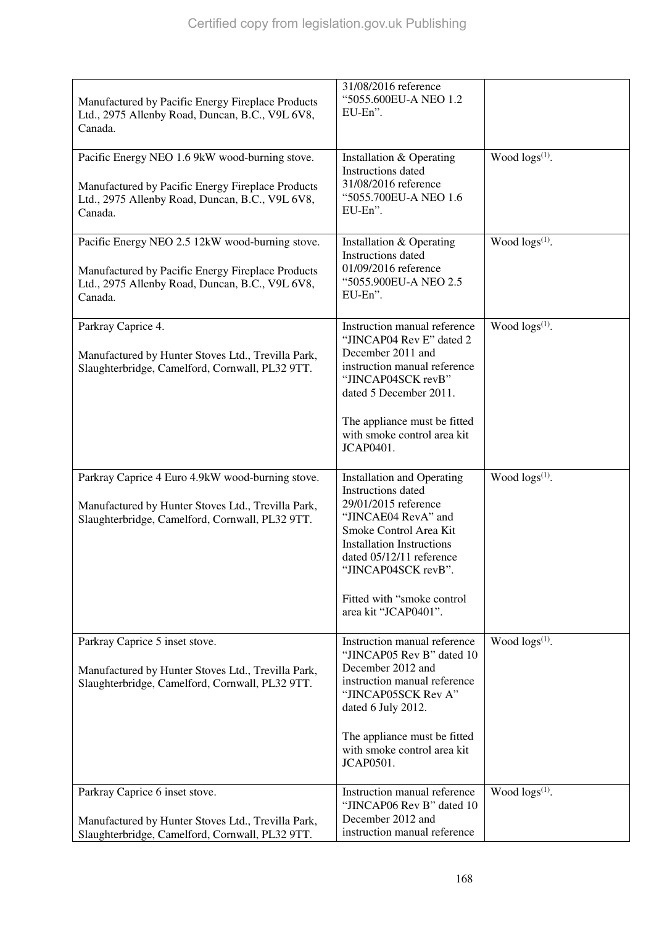| Manufactured by Pacific Energy Fireplace Products<br>Ltd., 2975 Allenby Road, Duncan, B.C., V9L 6V8,<br>Canada.                                                    | 31/08/2016 reference<br>"5055.600EU-A NEO 1.2<br>EU-En".                                                                                                                                                                                                                             |                        |
|--------------------------------------------------------------------------------------------------------------------------------------------------------------------|--------------------------------------------------------------------------------------------------------------------------------------------------------------------------------------------------------------------------------------------------------------------------------------|------------------------|
| Pacific Energy NEO 1.6 9kW wood-burning stove.<br>Manufactured by Pacific Energy Fireplace Products<br>Ltd., 2975 Allenby Road, Duncan, B.C., V9L 6V8,<br>Canada.  | Installation & Operating<br><b>Instructions</b> dated<br>31/08/2016 reference<br>"5055.700EU-A NEO 1.6<br>EU-En".                                                                                                                                                                    | Wood logs(1).          |
| Pacific Energy NEO 2.5 12kW wood-burning stove.<br>Manufactured by Pacific Energy Fireplace Products<br>Ltd., 2975 Allenby Road, Duncan, B.C., V9L 6V8,<br>Canada. | Installation & Operating<br>Instructions dated<br>01/09/2016 reference<br>"5055.900EU-A NEO 2.5<br>EU-En".                                                                                                                                                                           | Wood $\log(s^{(1)})$ . |
| Parkray Caprice 4.<br>Manufactured by Hunter Stoves Ltd., Trevilla Park,<br>Slaughterbridge, Camelford, Cornwall, PL32 9TT.                                        | Instruction manual reference<br>"JINCAP04 Rev E" dated 2<br>December 2011 and<br>instruction manual reference<br>"JINCAP04SCK revB"<br>dated 5 December 2011.                                                                                                                        | Wood $\log s^{(1)}$ .  |
|                                                                                                                                                                    | The appliance must be fitted<br>with smoke control area kit<br><b>JCAP0401.</b>                                                                                                                                                                                                      |                        |
| Parkray Caprice 4 Euro 4.9kW wood-burning stove.<br>Manufactured by Hunter Stoves Ltd., Trevilla Park,<br>Slaughterbridge, Camelford, Cornwall, PL32 9TT.          | <b>Installation and Operating</b><br><b>Instructions</b> dated<br>29/01/2015 reference<br>"JINCAE04 RevA" and<br>Smoke Control Area Kit<br><b>Installation Instructions</b><br>dated 05/12/11 reference<br>"JINCAP04SCK revB".<br>Fitted with "smoke control<br>area kit "JCAP0401". | Wood $\log s^{(1)}$ .  |
| Parkray Caprice 5 inset stove.<br>Manufactured by Hunter Stoves Ltd., Trevilla Park,<br>Slaughterbridge, Camelford, Cornwall, PL32 9TT.                            | Instruction manual reference<br>"JINCAP05 Rev B" dated 10<br>December 2012 and<br>instruction manual reference<br>"JINCAP05SCK Rev A"<br>dated 6 July 2012.<br>The appliance must be fitted                                                                                          | Wood $\log s^{(1)}$ .  |
|                                                                                                                                                                    | with smoke control area kit<br>JCAP0501.                                                                                                                                                                                                                                             |                        |
| Parkray Caprice 6 inset stove.<br>Manufactured by Hunter Stoves Ltd., Trevilla Park,<br>Slaughterbridge, Camelford, Cornwall, PL32 9TT.                            | Instruction manual reference<br>"JINCAP06 Rev B" dated 10<br>December 2012 and<br>instruction manual reference                                                                                                                                                                       | Wood $\log s^{(1)}$ .  |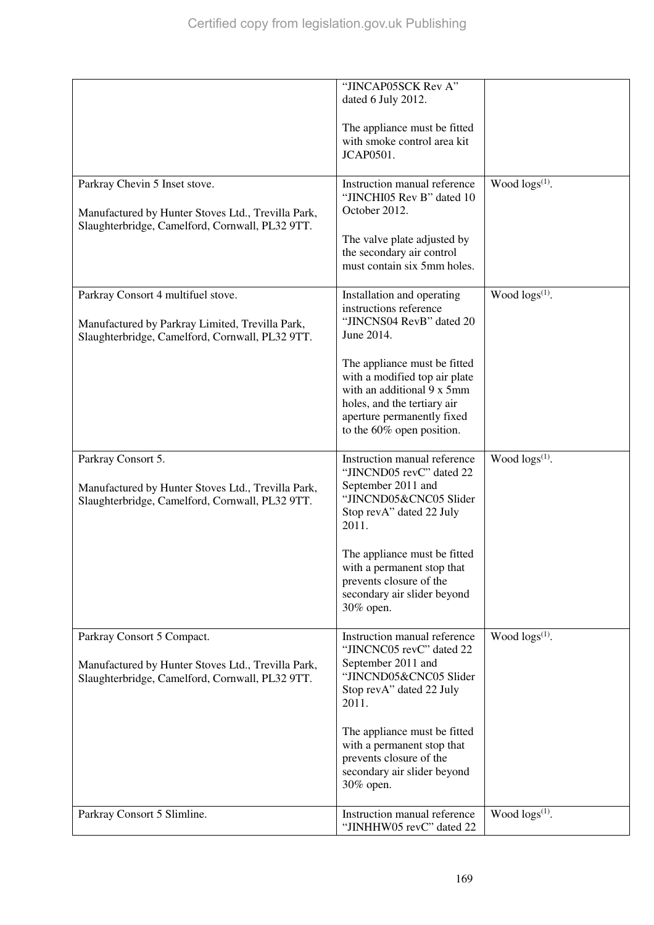|                                                                                                                                          | "JINCAP05SCK Rev A"<br>dated 6 July 2012.                                                                                                                                             |                        |
|------------------------------------------------------------------------------------------------------------------------------------------|---------------------------------------------------------------------------------------------------------------------------------------------------------------------------------------|------------------------|
|                                                                                                                                          | The appliance must be fitted<br>with smoke control area kit<br>JCAP0501.                                                                                                              |                        |
| Parkray Chevin 5 Inset stove.<br>Manufactured by Hunter Stoves Ltd., Trevilla Park,                                                      | Instruction manual reference<br>"JINCHI05 Rev B" dated 10<br>October 2012.                                                                                                            | Wood $\log(s^{(1)})$ . |
| Slaughterbridge, Camelford, Cornwall, PL32 9TT.                                                                                          | The valve plate adjusted by<br>the secondary air control<br>must contain six 5mm holes.                                                                                               |                        |
| Parkray Consort 4 multifuel stove.<br>Manufactured by Parkray Limited, Trevilla Park,<br>Slaughterbridge, Camelford, Cornwall, PL32 9TT. | Installation and operating<br>instructions reference<br>"JINCNS04 RevB" dated 20<br>June 2014.                                                                                        | Wood $\log s^{(1)}$ .  |
|                                                                                                                                          | The appliance must be fitted<br>with a modified top air plate<br>with an additional 9 x 5mm<br>holes, and the tertiary air<br>aperture permanently fixed<br>to the 60% open position. |                        |
| Parkray Consort 5.<br>Manufactured by Hunter Stoves Ltd., Trevilla Park,<br>Slaughterbridge, Camelford, Cornwall, PL32 9TT.              | Instruction manual reference<br>"JINCND05 revC" dated 22<br>September 2011 and<br>"JINCND05&CNC05 Slider<br>Stop revA" dated 22 July<br>2011.                                         | Wood $\log(s^{(1)})$ . |
|                                                                                                                                          | The appliance must be fitted<br>with a permanent stop that<br>prevents closure of the<br>secondary air slider beyond<br>30% open.                                                     |                        |
| Parkray Consort 5 Compact.                                                                                                               | Instruction manual reference<br>"JINCNC05 revC" dated 22<br>September 2011 and                                                                                                        | Wood $\log(s^{(1)})$ . |
| Manufactured by Hunter Stoves Ltd., Trevilla Park,<br>Slaughterbridge, Camelford, Cornwall, PL32 9TT.                                    | "JINCND05&CNC05 Slider<br>Stop revA" dated 22 July<br>2011.                                                                                                                           |                        |
|                                                                                                                                          | The appliance must be fitted<br>with a permanent stop that<br>prevents closure of the<br>secondary air slider beyond<br>30% open.                                                     |                        |
| Parkray Consort 5 Slimline.                                                                                                              | Instruction manual reference<br>"JINHHW05 revC" dated 22                                                                                                                              | Wood $\log(s^{(1)})$ . |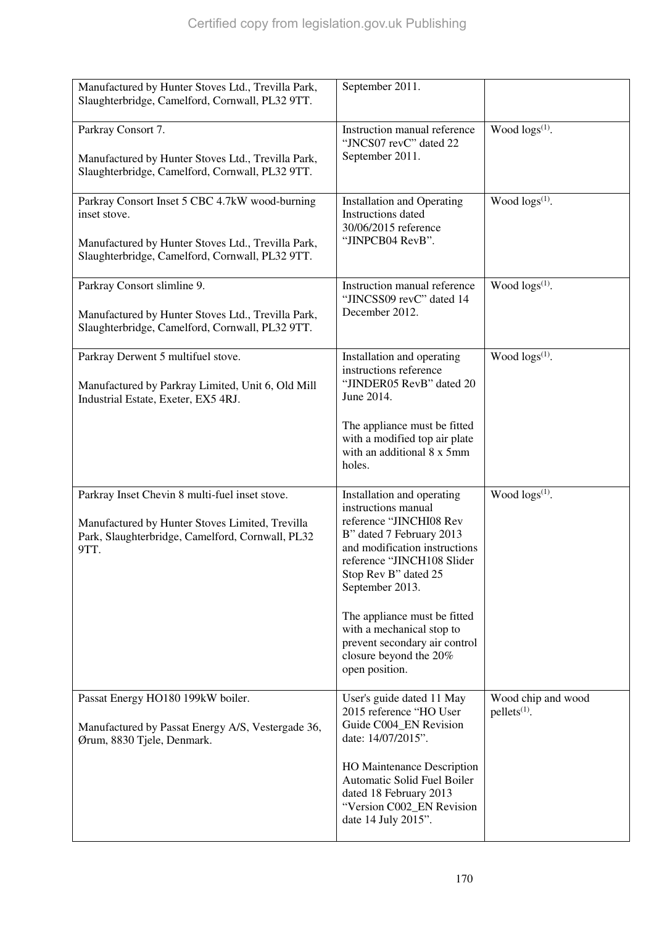| Manufactured by Hunter Stoves Ltd., Trevilla Park,<br>Slaughterbridge, Camelford, Cornwall, PL32 9TT.                                                                   | September 2011.                                                                                                                                                                                                                                                                                                                            |                                      |
|-------------------------------------------------------------------------------------------------------------------------------------------------------------------------|--------------------------------------------------------------------------------------------------------------------------------------------------------------------------------------------------------------------------------------------------------------------------------------------------------------------------------------------|--------------------------------------|
| Parkray Consort 7.<br>Manufactured by Hunter Stoves Ltd., Trevilla Park,<br>Slaughterbridge, Camelford, Cornwall, PL32 9TT.                                             | Instruction manual reference<br>"JNCS07 revC" dated 22<br>September 2011.                                                                                                                                                                                                                                                                  | Wood $\log s^{(1)}$ .                |
| Parkray Consort Inset 5 CBC 4.7kW wood-burning<br>inset stove.<br>Manufactured by Hunter Stoves Ltd., Trevilla Park,<br>Slaughterbridge, Camelford, Cornwall, PL32 9TT. | <b>Installation and Operating</b><br><b>Instructions</b> dated<br>30/06/2015 reference<br>"JINPCB04 RevB".                                                                                                                                                                                                                                 | Wood $\log s^{(1)}$ .                |
| Parkray Consort slimline 9.<br>Manufactured by Hunter Stoves Ltd., Trevilla Park,<br>Slaughterbridge, Camelford, Cornwall, PL32 9TT.                                    | Instruction manual reference<br>"JINCSS09 revC" dated 14<br>December 2012.                                                                                                                                                                                                                                                                 | Wood $\log(s^{(1)})$ .               |
| Parkray Derwent 5 multifuel stove.<br>Manufactured by Parkray Limited, Unit 6, Old Mill<br>Industrial Estate, Exeter, EX5 4RJ.                                          | Installation and operating<br>instructions reference<br>"JINDER05 RevB" dated 20<br>June 2014.                                                                                                                                                                                                                                             | Wood $\log s^{(1)}$ .                |
|                                                                                                                                                                         | The appliance must be fitted<br>with a modified top air plate<br>with an additional 8 x 5mm<br>holes.                                                                                                                                                                                                                                      |                                      |
| Parkray Inset Chevin 8 multi-fuel inset stove.<br>Manufactured by Hunter Stoves Limited, Trevilla<br>Park, Slaughterbridge, Camelford, Cornwall, PL32<br>9TT.           | Installation and operating<br>instructions manual<br>reference "JINCHI08 Rev<br>B" dated 7 February 2013<br>and modification instructions<br>reference "JINCH108 Slider<br>Stop Rev B" dated 25<br>September 2013.<br>The appliance must be fitted<br>with a mechanical stop to<br>prevent secondary air control<br>closure beyond the 20% | Wood $\log s^{(1)}$ .                |
|                                                                                                                                                                         | open position.                                                                                                                                                                                                                                                                                                                             |                                      |
| Passat Energy HO180 199kW boiler.<br>Manufactured by Passat Energy A/S, Vestergade 36,<br>Ørum, 8830 Tjele, Denmark.                                                    | User's guide dated 11 May<br>2015 reference "HO User<br>Guide C004_EN Revision<br>date: 14/07/2015".<br>HO Maintenance Description<br>Automatic Solid Fuel Boiler                                                                                                                                                                          | Wood chip and wood<br>$pellets(1)$ . |
|                                                                                                                                                                         | dated 18 February 2013<br>"Version C002_EN Revision<br>date 14 July 2015".                                                                                                                                                                                                                                                                 |                                      |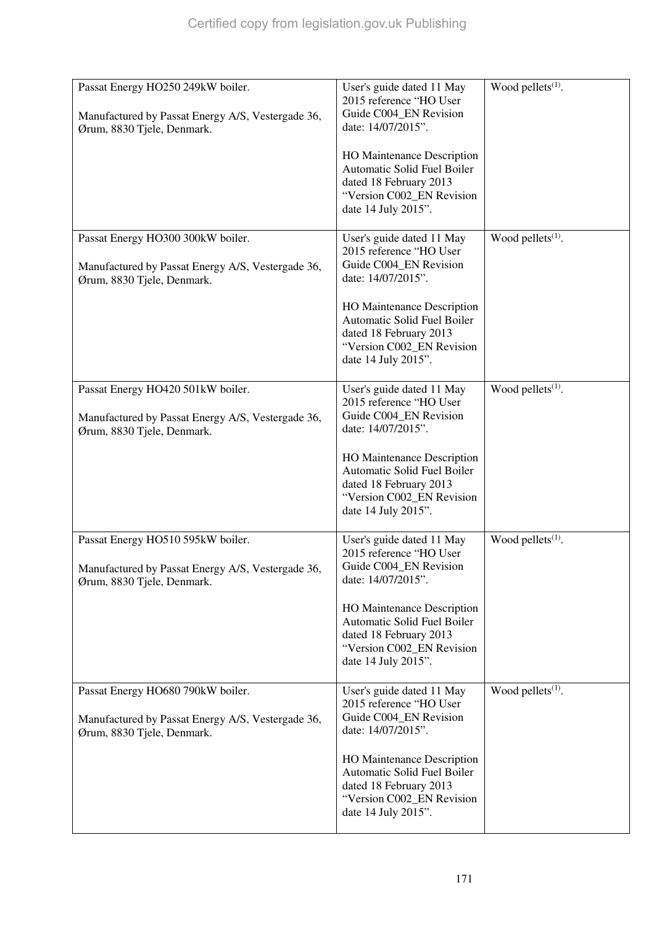| Passat Energy HO250 249kW boiler.<br>Manufactured by Passat Energy A/S, Vestergade 36,<br>Ørum, 8830 Tjele, Denmark. | User's guide dated 11 May<br>2015 reference "HO User<br>Guide C004_EN Revision<br>date: 14/07/2015".<br><b>HO</b> Maintenance Description<br>Automatic Solid Fuel Boiler<br>dated 18 February 2013<br>"Version C002_EN Revision<br>date 14 July 2015". | Wood pellets <sup>(1)</sup> . |
|----------------------------------------------------------------------------------------------------------------------|--------------------------------------------------------------------------------------------------------------------------------------------------------------------------------------------------------------------------------------------------------|-------------------------------|
| Passat Energy HO300 300kW boiler.<br>Manufactured by Passat Energy A/S, Vestergade 36,<br>Ørum, 8830 Tjele, Denmark. | User's guide dated 11 May<br>2015 reference "HO User<br>Guide C004_EN Revision<br>date: 14/07/2015".<br><b>HO</b> Maintenance Description<br>Automatic Solid Fuel Boiler<br>dated 18 February 2013<br>"Version C002_EN Revision<br>date 14 July 2015". | Wood pellets $(1)$ .          |
| Passat Energy HO420 501kW boiler.<br>Manufactured by Passat Energy A/S, Vestergade 36,<br>Ørum, 8830 Tjele, Denmark. | User's guide dated 11 May<br>2015 reference "HO User<br>Guide C004_EN Revision<br>date: 14/07/2015".<br><b>HO</b> Maintenance Description<br>Automatic Solid Fuel Boiler<br>dated 18 February 2013<br>"Version C002_EN Revision<br>date 14 July 2015". | Wood pellets <sup>(1)</sup> . |
| Passat Energy HO510 595kW boiler.<br>Manufactured by Passat Energy A/S, Vestergade 36,<br>Ørum, 8830 Tjele, Denmark. | User's guide dated 11 May<br>2015 reference "HO User<br>Guide C004_EN Revision<br>date: 14/07/2015".<br><b>HO</b> Maintenance Description<br>Automatic Solid Fuel Boiler<br>dated 18 February 2013<br>"Version C002_EN Revision<br>date 14 July 2015". | Wood pellets $(1)$ .          |
| Passat Energy HO680 790kW boiler.<br>Manufactured by Passat Energy A/S, Vestergade 36,<br>Ørum, 8830 Tjele, Denmark. | User's guide dated 11 May<br>2015 reference "HO User<br>Guide C004_EN Revision<br>date: 14/07/2015".<br><b>HO</b> Maintenance Description<br>Automatic Solid Fuel Boiler<br>dated 18 February 2013<br>"Version C002_EN Revision<br>date 14 July 2015". | Wood pellets <sup>(1)</sup> . |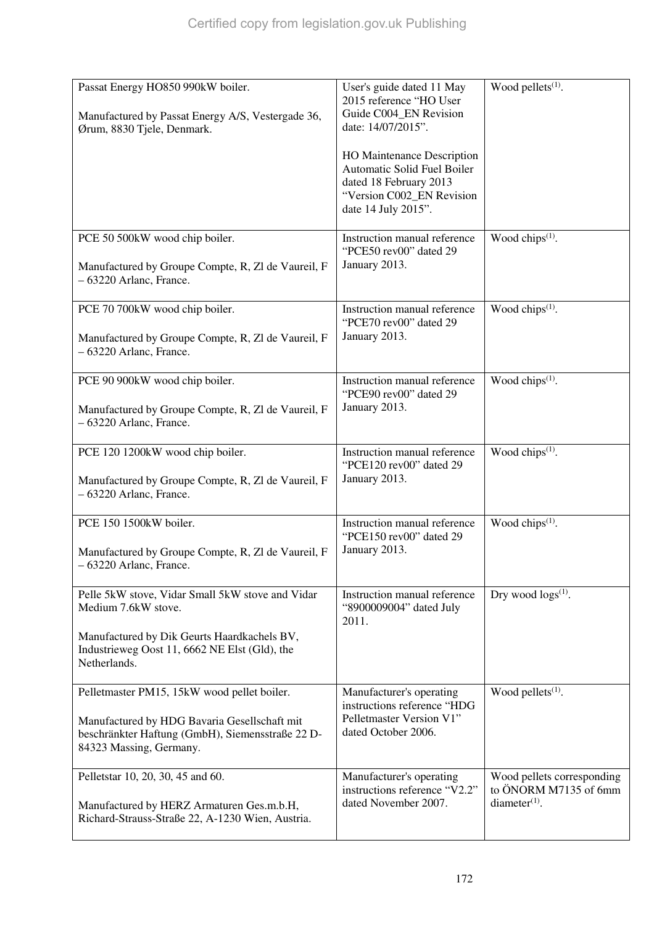| Passat Energy HO850 990kW boiler.<br>Manufactured by Passat Energy A/S, Vestergade 36,<br>Ørum, 8830 Tjele, Denmark.                                                                    | User's guide dated 11 May<br>2015 reference "HO User<br>Guide C004_EN Revision<br>date: 14/07/2015".<br>HO Maintenance Description<br>Automatic Solid Fuel Boiler<br>dated 18 February 2013<br>"Version C002_EN Revision<br>date 14 July 2015". | Wood pellets <sup>(1)</sup> .                                          |
|-----------------------------------------------------------------------------------------------------------------------------------------------------------------------------------------|-------------------------------------------------------------------------------------------------------------------------------------------------------------------------------------------------------------------------------------------------|------------------------------------------------------------------------|
| PCE 50 500kW wood chip boiler.<br>Manufactured by Groupe Compte, R, Zl de Vaureil, F<br>- 63220 Arlanc, France.                                                                         | Instruction manual reference<br>"PCE50 rev00" dated 29<br>January 2013.                                                                                                                                                                         | Wood chips <sup>(1)</sup> .                                            |
| PCE 70 700kW wood chip boiler.<br>Manufactured by Groupe Compte, R, Zl de Vaureil, F<br>- 63220 Arlanc, France.                                                                         | Instruction manual reference<br>"PCE70 rev00" dated 29<br>January 2013.                                                                                                                                                                         | Wood chips <sup>(1)</sup> .                                            |
| PCE 90 900kW wood chip boiler.<br>Manufactured by Groupe Compte, R, Zl de Vaureil, F<br>$-63220$ Arlanc, France.                                                                        | Instruction manual reference<br>"PCE90 rev00" dated 29<br>January 2013.                                                                                                                                                                         | Wood chips <sup>(1)</sup> .                                            |
| PCE 120 1200kW wood chip boiler.<br>Manufactured by Groupe Compte, R, Zl de Vaureil, F<br>$-63220$ Arlanc, France.                                                                      | Instruction manual reference<br>"PCE120 rev00" dated 29<br>January 2013.                                                                                                                                                                        | Wood chips <sup>(1)</sup> .                                            |
| PCE 150 1500kW boiler.<br>Manufactured by Groupe Compte, R, Zl de Vaureil, F<br>- 63220 Arlanc, France.                                                                                 | Instruction manual reference<br>"PCE150 rev00" dated 29<br>January 2013.                                                                                                                                                                        | Wood chips <sup>(1)</sup> .                                            |
| Pelle 5kW stove, Vidar Small 5kW stove and Vidar<br>Medium 7.6kW stove.<br>Manufactured by Dik Geurts Haardkachels BV,<br>Industrieweg Oost 11, 6662 NE Elst (Gld), the<br>Netherlands. | Instruction manual reference<br>"8900009004" dated July<br>2011.                                                                                                                                                                                | Dry wood $\log s^{(1)}$ .                                              |
| Pelletmaster PM15, 15kW wood pellet boiler.<br>Manufactured by HDG Bavaria Gesellschaft mit<br>beschränkter Haftung (GmbH), Siemensstraße 22 D-<br>84323 Massing, Germany.              | Manufacturer's operating<br>instructions reference "HDG<br>Pelletmaster Version V1"<br>dated October 2006.                                                                                                                                      | Wood pellets <sup>(1)</sup> .                                          |
| Pelletstar 10, 20, 30, 45 and 60.<br>Manufactured by HERZ Armaturen Ges.m.b.H,<br>Richard-Strauss-Straße 22, A-1230 Wien, Austria.                                                      | Manufacturer's operating<br>instructions reference "V2.2"<br>dated November 2007.                                                                                                                                                               | Wood pellets corresponding<br>to ÖNORM M7135 of 6mm<br>$diameter(1)$ . |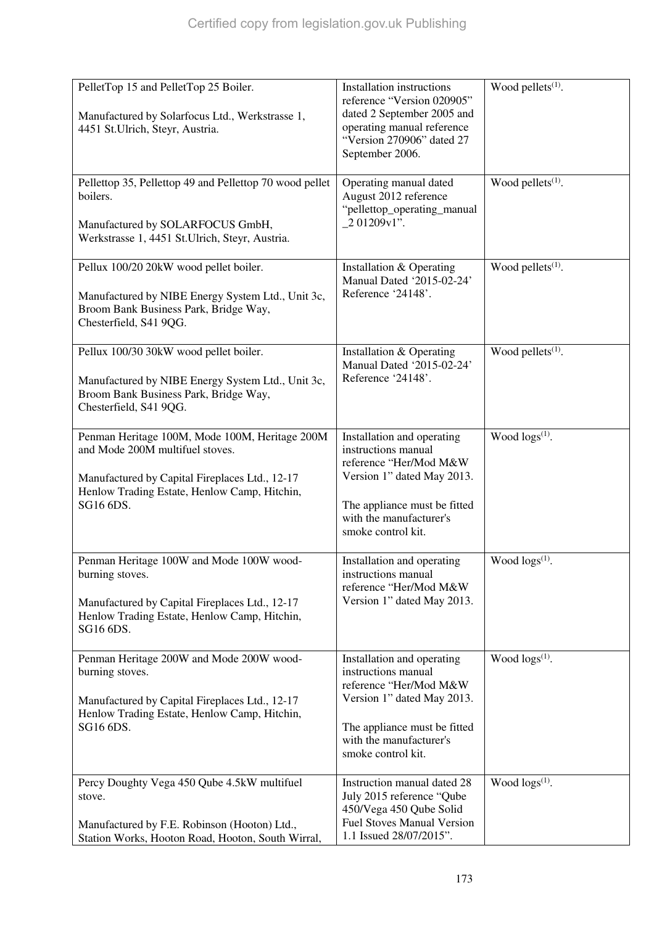| PelletTop 15 and PelletTop 25 Boiler.<br>Manufactured by Solarfocus Ltd., Werkstrasse 1,<br>4451 St.Ulrich, Steyr, Austria.                                                                      | Installation instructions<br>reference "Version 020905"<br>dated 2 September 2005 and<br>operating manual reference<br>"Version 270906" dated 27<br>September 2006.                        | Wood pellets <sup>(1)</sup> . |
|--------------------------------------------------------------------------------------------------------------------------------------------------------------------------------------------------|--------------------------------------------------------------------------------------------------------------------------------------------------------------------------------------------|-------------------------------|
| Pellettop 35, Pellettop 49 and Pellettop 70 wood pellet<br>boilers.<br>Manufactured by SOLARFOCUS GmbH,<br>Werkstrasse 1, 4451 St.Ulrich, Steyr, Austria.                                        | Operating manual dated<br>August 2012 reference<br>"pellettop_operating_manual<br>_2 01209v1".                                                                                             | Wood pellets <sup>(1)</sup> . |
| Pellux 100/20 20kW wood pellet boiler.<br>Manufactured by NIBE Energy System Ltd., Unit 3c,<br>Broom Bank Business Park, Bridge Way,<br>Chesterfield, S41 9QG.                                   | Installation & Operating<br>Manual Dated '2015-02-24'<br>Reference '24148'.                                                                                                                | Wood pellets $(1)$ .          |
| Pellux 100/30 30kW wood pellet boiler.<br>Manufactured by NIBE Energy System Ltd., Unit 3c,<br>Broom Bank Business Park, Bridge Way,<br>Chesterfield, S41 9QG.                                   | Installation & Operating<br>Manual Dated '2015-02-24'<br>Reference '24148'.                                                                                                                | Wood pellets <sup>(1)</sup> . |
| Penman Heritage 100M, Mode 100M, Heritage 200M<br>and Mode 200M multifuel stoves.<br>Manufactured by Capital Fireplaces Ltd., 12-17<br>Henlow Trading Estate, Henlow Camp, Hitchin,<br>SG16 6DS. | Installation and operating<br>instructions manual<br>reference "Her/Mod M&W<br>Version 1" dated May 2013.<br>The appliance must be fitted<br>with the manufacturer's<br>smoke control kit. | Wood $\log(s^{(1)})$ .        |
| Penman Heritage 100W and Mode 100W wood-<br>burning stoves.<br>Manufactured by Capital Fireplaces Ltd., 12-17<br>Henlow Trading Estate, Henlow Camp, Hitchin,<br>SG16 6DS.                       | Installation and operating<br>instructions manual<br>reference "Her/Mod M&W<br>Version 1" dated May 2013.                                                                                  | Wood $\log(s^{(1)})$ .        |
| Penman Heritage 200W and Mode 200W wood-<br>burning stoves.<br>Manufactured by Capital Fireplaces Ltd., 12-17<br>Henlow Trading Estate, Henlow Camp, Hitchin,<br>SG16 6DS.                       | Installation and operating<br>instructions manual<br>reference "Her/Mod M&W<br>Version 1" dated May 2013.<br>The appliance must be fitted<br>with the manufacturer's<br>smoke control kit. | Wood $\log(s^{(1)})$ .        |
| Percy Doughty Vega 450 Qube 4.5kW multifuel<br>stove.<br>Manufactured by F.E. Robinson (Hooton) Ltd.,<br>Station Works, Hooton Road, Hooton, South Wirral,                                       | Instruction manual dated 28<br>July 2015 reference "Qube<br>450/Vega 450 Qube Solid<br><b>Fuel Stoves Manual Version</b><br>1.1 Issued 28/07/2015".                                        | Wood $\log(s^{(1)})$ .        |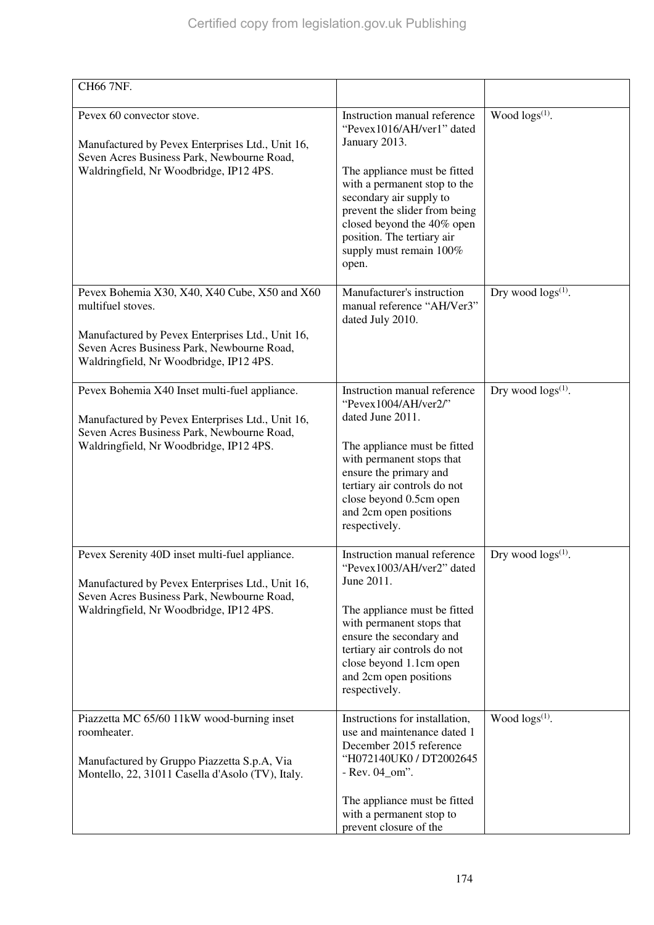| CH66 7NF.                                                                                                                                                                                                       |                                                                                                                                                                                                                                                                                                        |                            |
|-----------------------------------------------------------------------------------------------------------------------------------------------------------------------------------------------------------------|--------------------------------------------------------------------------------------------------------------------------------------------------------------------------------------------------------------------------------------------------------------------------------------------------------|----------------------------|
| Pevex 60 convector stove.<br>Manufactured by Pevex Enterprises Ltd., Unit 16,<br>Seven Acres Business Park, Newbourne Road,<br>Waldringfield, Nr Woodbridge, IP12 4PS.                                          | Instruction manual reference<br>"Pevex1016/AH/ver1" dated<br>January 2013.<br>The appliance must be fitted<br>with a permanent stop to the<br>secondary air supply to<br>prevent the slider from being<br>closed beyond the 40% open<br>position. The tertiary air<br>supply must remain 100%<br>open. | Wood logs <sup>(1)</sup> . |
| Pevex Bohemia X30, X40, X40 Cube, X50 and X60<br>multifuel stoves.<br>Manufactured by Pevex Enterprises Ltd., Unit 16,<br>Seven Acres Business Park, Newbourne Road,<br>Waldringfield, Nr Woodbridge, IP12 4PS. | Manufacturer's instruction<br>manual reference "AH/Ver3"<br>dated July 2010.                                                                                                                                                                                                                           | Dry wood $\log s^{(1)}$ .  |
| Pevex Bohemia X40 Inset multi-fuel appliance.<br>Manufactured by Pevex Enterprises Ltd., Unit 16,<br>Seven Acres Business Park, Newbourne Road,<br>Waldringfield, Nr Woodbridge, IP12 4PS.                      | Instruction manual reference<br>"Pevex1004/AH/ver2/"<br>dated June 2011.<br>The appliance must be fitted<br>with permanent stops that<br>ensure the primary and<br>tertiary air controls do not<br>close beyond 0.5cm open<br>and 2cm open positions<br>respectively.                                  | Dry wood $\log s^{(1)}$ .  |
| Pevex Serenity 40D inset multi-fuel appliance.<br>Manufactured by Pevex Enterprises Ltd., Unit 16,<br>Seven Acres Business Park, Newbourne Road,<br>Waldringfield, Nr Woodbridge, IP12 4PS.                     | Instruction manual reference<br>"Pevex1003/AH/ver2" dated<br>June 2011.<br>The appliance must be fitted<br>with permanent stops that<br>ensure the secondary and<br>tertiary air controls do not<br>close beyond 1.1cm open<br>and 2cm open positions<br>respectively.                                 | Dry wood $\log s^{(1)}$ .  |
| Piazzetta MC 65/60 11kW wood-burning inset<br>roomheater.<br>Manufactured by Gruppo Piazzetta S.p.A, Via<br>Montello, 22, 31011 Casella d'Asolo (TV), Italy.                                                    | Instructions for installation,<br>use and maintenance dated 1<br>December 2015 reference<br>"H072140UK0 / DT2002645<br>$-$ Rev. 04_om".<br>The appliance must be fitted<br>with a permanent stop to<br>prevent closure of the                                                                          | Wood $\log(s^{(1)})$ .     |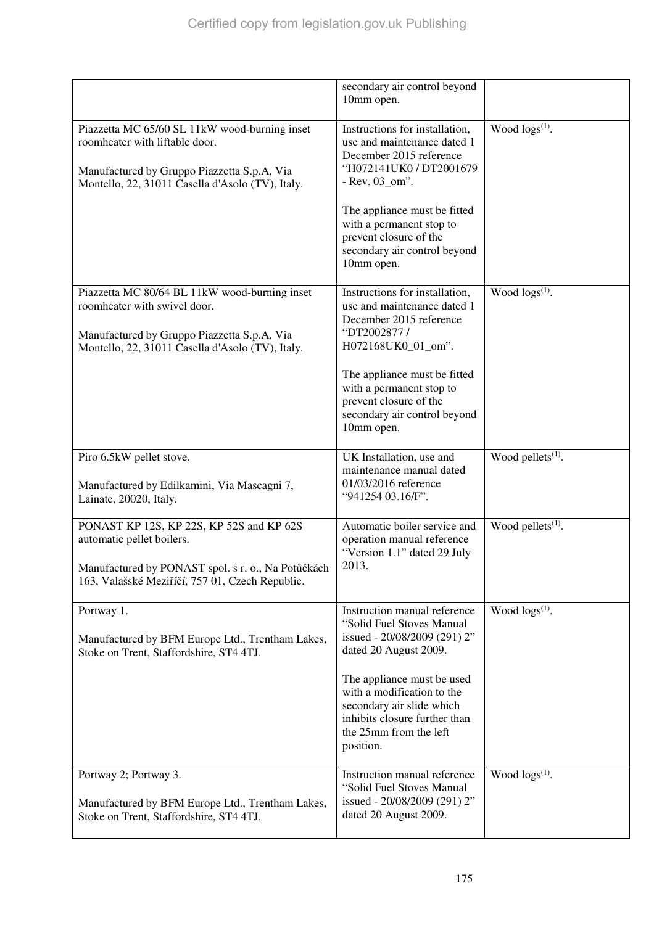|                                                                                                                                                                                    | secondary air control beyond<br>10mm open.                                                                                                                                                                                                                                          |                               |
|------------------------------------------------------------------------------------------------------------------------------------------------------------------------------------|-------------------------------------------------------------------------------------------------------------------------------------------------------------------------------------------------------------------------------------------------------------------------------------|-------------------------------|
| Piazzetta MC 65/60 SL 11kW wood-burning inset<br>roomheater with liftable door.<br>Manufactured by Gruppo Piazzetta S.p.A, Via<br>Montello, 22, 31011 Casella d'Asolo (TV), Italy. | Instructions for installation,<br>use and maintenance dated 1<br>December 2015 reference<br>"H072141UK0 / DT2001679<br>- Rev. 03_om".<br>The appliance must be fitted<br>with a permanent stop to<br>prevent closure of the<br>secondary air control beyond<br>10mm open.           | Wood $\log(s^{(1)})$ .        |
| Piazzetta MC 80/64 BL 11kW wood-burning inset<br>roomheater with swivel door.<br>Manufactured by Gruppo Piazzetta S.p.A, Via<br>Montello, 22, 31011 Casella d'Asolo (TV), Italy.   | Instructions for installation,<br>use and maintenance dated 1<br>December 2015 reference<br>"DT2002877 /<br>H072168UK0_01_om".<br>The appliance must be fitted<br>with a permanent stop to<br>prevent closure of the<br>secondary air control beyond<br>10mm open.                  | Wood $\log(s^{(1)})$ .        |
| Piro 6.5kW pellet stove.<br>Manufactured by Edilkamini, Via Mascagni 7,<br>Lainate, 20020, Italy.                                                                                  | UK Installation, use and<br>maintenance manual dated<br>01/03/2016 reference<br>"941254 03.16/F".                                                                                                                                                                                   | Wood pellets $(1)$ .          |
| PONAST KP 12S, KP 22S, KP 52S and KP 62S<br>automatic pellet boilers.<br>Manufactured by PONAST spol. s r. o., Na Potůčkách<br>163, Valašské Meziříčí, 757 01, Czech Republic.     | Automatic boiler service and<br>operation manual reference<br>"Version 1.1" dated 29 July<br>2013.                                                                                                                                                                                  | Wood pellets <sup>(1)</sup> . |
| Portway 1.<br>Manufactured by BFM Europe Ltd., Trentham Lakes,<br>Stoke on Trent, Staffordshire, ST4 4TJ.                                                                          | Instruction manual reference<br>"Solid Fuel Stoves Manual<br>issued - 20/08/2009 (291) 2"<br>dated 20 August 2009.<br>The appliance must be used<br>with a modification to the<br>secondary air slide which<br>inhibits closure further than<br>the 25mm from the left<br>position. | Wood $\log(s^{(1)})$ .        |
| Portway 2; Portway 3.<br>Manufactured by BFM Europe Ltd., Trentham Lakes,<br>Stoke on Trent, Staffordshire, ST4 4TJ.                                                               | Instruction manual reference<br>"Solid Fuel Stoves Manual<br>issued - 20/08/2009 (291) 2"<br>dated 20 August 2009.                                                                                                                                                                  | Wood $\log(s^{(1)})$ .        |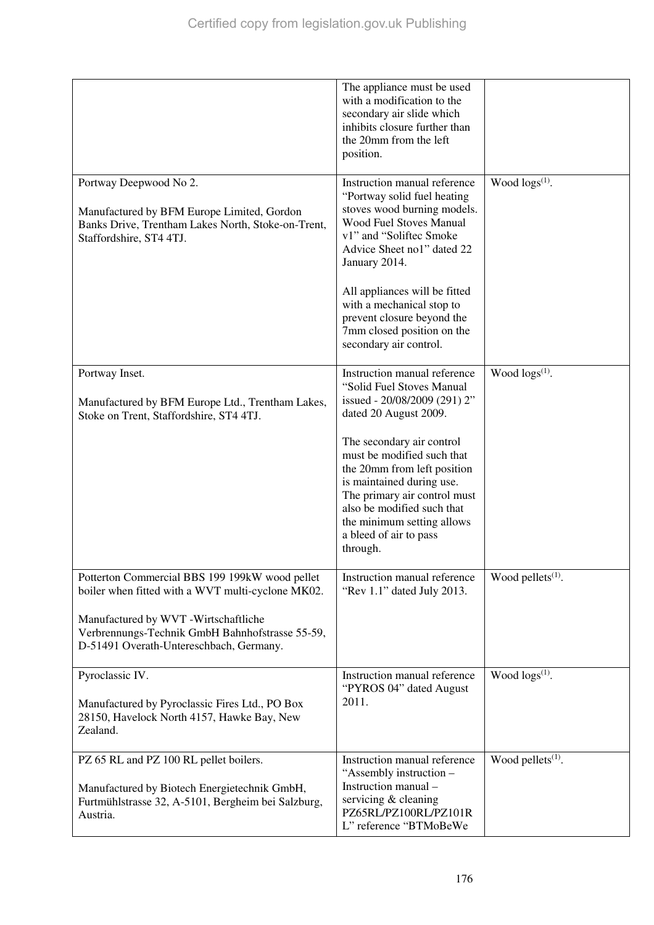|                                                                                                                                                                                                                                           | The appliance must be used<br>with a modification to the<br>secondary air slide which<br>inhibits closure further than<br>the 20mm from the left<br>position.                                                                                                                                                                                              |                               |
|-------------------------------------------------------------------------------------------------------------------------------------------------------------------------------------------------------------------------------------------|------------------------------------------------------------------------------------------------------------------------------------------------------------------------------------------------------------------------------------------------------------------------------------------------------------------------------------------------------------|-------------------------------|
| Portway Deepwood No 2.<br>Manufactured by BFM Europe Limited, Gordon<br>Banks Drive, Trentham Lakes North, Stoke-on-Trent,<br>Staffordshire, ST4 4TJ.                                                                                     | Instruction manual reference<br>"Portway solid fuel heating<br>stoves wood burning models.<br><b>Wood Fuel Stoves Manual</b><br>v1" and "Soliftec Smoke<br>Advice Sheet no1" dated 22<br>January 2014.<br>All appliances will be fitted<br>with a mechanical stop to<br>prevent closure beyond the<br>7mm closed position on the<br>secondary air control. | Wood $\log(s^{(1)})$ .        |
| Portway Inset.<br>Manufactured by BFM Europe Ltd., Trentham Lakes,<br>Stoke on Trent, Staffordshire, ST4 4TJ.                                                                                                                             | Instruction manual reference<br>"Solid Fuel Stoves Manual<br>issued - 20/08/2009 (291) 2"<br>dated 20 August 2009.<br>The secondary air control<br>must be modified such that                                                                                                                                                                              | Wood $\log s^{(1)}$ .         |
|                                                                                                                                                                                                                                           | the 20mm from left position<br>is maintained during use.<br>The primary air control must<br>also be modified such that<br>the minimum setting allows<br>a bleed of air to pass<br>through.                                                                                                                                                                 |                               |
| Potterton Commercial BBS 199 199kW wood pellet<br>boiler when fitted with a WVT multi-cyclone MK02.<br>Manufactured by WVT -Wirtschaftliche<br>Verbrennungs-Technik GmbH Bahnhofstrasse 55-59,<br>D-51491 Overath-Untereschbach, Germany. | Instruction manual reference<br>"Rev 1.1" dated July 2013.                                                                                                                                                                                                                                                                                                 | Wood pellets <sup>(1)</sup> . |
| Pyroclassic IV.<br>Manufactured by Pyroclassic Fires Ltd., PO Box<br>28150, Havelock North 4157, Hawke Bay, New<br>Zealand.                                                                                                               | Instruction manual reference<br>"PYROS 04" dated August<br>2011.                                                                                                                                                                                                                                                                                           | Wood $\log(s^{(1)})$ .        |
| PZ 65 RL and PZ 100 RL pellet boilers.<br>Manufactured by Biotech Energietechnik GmbH,<br>Furtmühlstrasse 32, A-5101, Bergheim bei Salzburg,<br>Austria.                                                                                  | Instruction manual reference<br>"Assembly instruction -<br>Instruction manual -<br>servicing & cleaning<br>PZ65RL/PZ100RL/PZ101R<br>L" reference "BTMoBeWe                                                                                                                                                                                                 | Wood pellets $(1)$ .          |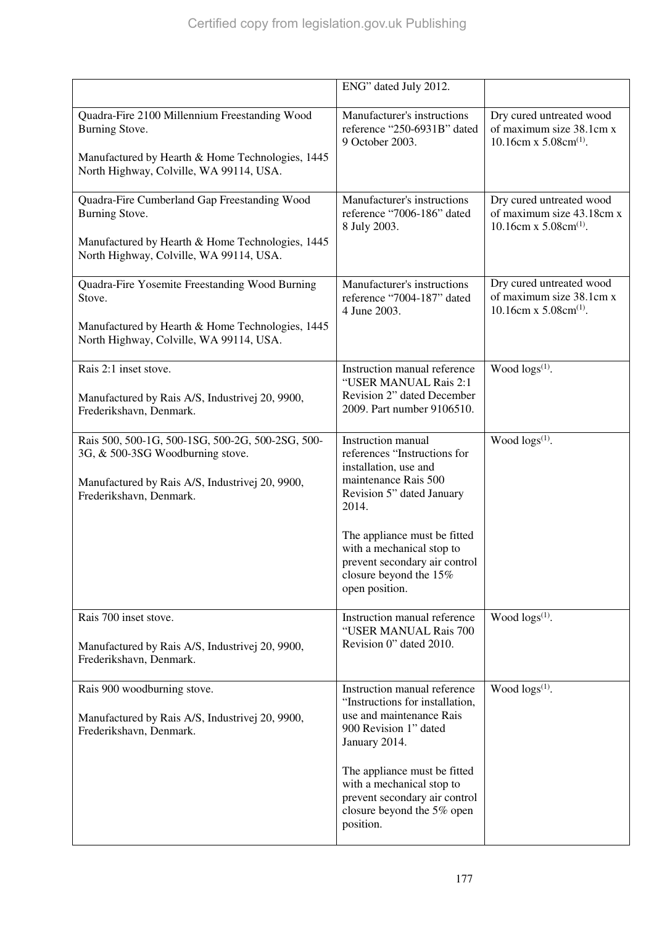|                                                                                                                                                                    | ENG" dated July 2012.                                                                                                                  |                                                                                              |
|--------------------------------------------------------------------------------------------------------------------------------------------------------------------|----------------------------------------------------------------------------------------------------------------------------------------|----------------------------------------------------------------------------------------------|
| Quadra-Fire 2100 Millennium Freestanding Wood<br>Burning Stove.                                                                                                    | Manufacturer's instructions<br>reference "250-6931B" dated<br>9 October 2003.                                                          | Dry cured untreated wood<br>of maximum size 38.1cm x<br>10.16cm x $5.08$ cm <sup>(1)</sup> . |
| Manufactured by Hearth & Home Technologies, 1445<br>North Highway, Colville, WA 99114, USA.                                                                        |                                                                                                                                        |                                                                                              |
| Quadra-Fire Cumberland Gap Freestanding Wood<br>Burning Stove.                                                                                                     | Manufacturer's instructions<br>reference "7006-186" dated<br>8 July 2003.                                                              | Dry cured untreated wood<br>of maximum size 43.18cm x<br>10.16cm x $5.08cm^{(1)}$ .          |
| Manufactured by Hearth & Home Technologies, 1445<br>North Highway, Colville, WA 99114, USA.                                                                        |                                                                                                                                        |                                                                                              |
| Quadra-Fire Yosemite Freestanding Wood Burning<br>Stove.                                                                                                           | Manufacturer's instructions<br>reference "7004-187" dated<br>4 June 2003.                                                              | Dry cured untreated wood<br>of maximum size 38.1cm x<br>10.16cm x $5.08$ cm <sup>(1)</sup> . |
| Manufactured by Hearth & Home Technologies, 1445<br>North Highway, Colville, WA 99114, USA.                                                                        |                                                                                                                                        |                                                                                              |
| Rais 2:1 inset stove.                                                                                                                                              | Instruction manual reference<br>"USER MANUAL Rais 2:1                                                                                  | Wood $\log(s^{(1)})$ .                                                                       |
| Manufactured by Rais A/S, Industrivej 20, 9900,<br>Frederikshavn, Denmark.                                                                                         | Revision 2" dated December<br>2009. Part number 9106510.                                                                               |                                                                                              |
| Rais 500, 500-1G, 500-1SG, 500-2G, 500-2SG, 500-<br>3G, & 500-3SG Woodburning stove.<br>Manufactured by Rais A/S, Industrivej 20, 9900,<br>Frederikshavn, Denmark. | Instruction manual<br>references "Instructions for<br>installation, use and<br>maintenance Rais 500<br>Revision 5" dated January       | Wood $\log(s^{(1)})$ .                                                                       |
|                                                                                                                                                                    | 2014.                                                                                                                                  |                                                                                              |
|                                                                                                                                                                    | The appliance must be fitted<br>with a mechanical stop to<br>prevent secondary air control<br>closure beyond the 15%<br>open position. |                                                                                              |
| Rais 700 inset stove.                                                                                                                                              | Instruction manual reference<br>"USER MANUAL Rais 700                                                                                  | Wood $\log(s^{(1)})$ .                                                                       |
| Manufactured by Rais A/S, Industrivej 20, 9900,<br>Frederikshavn, Denmark.                                                                                         | Revision 0" dated 2010.                                                                                                                |                                                                                              |
| Rais 900 woodburning stove.                                                                                                                                        | Instruction manual reference<br>"Instructions for installation,                                                                        | Wood $\log(s^{(1)})$ .                                                                       |
| Manufactured by Rais A/S, Industrivej 20, 9900,<br>Frederikshavn, Denmark.                                                                                         | use and maintenance Rais<br>900 Revision 1" dated<br>January 2014.                                                                     |                                                                                              |
|                                                                                                                                                                    | The appliance must be fitted<br>with a mechanical stop to<br>prevent secondary air control<br>closure beyond the 5% open<br>position.  |                                                                                              |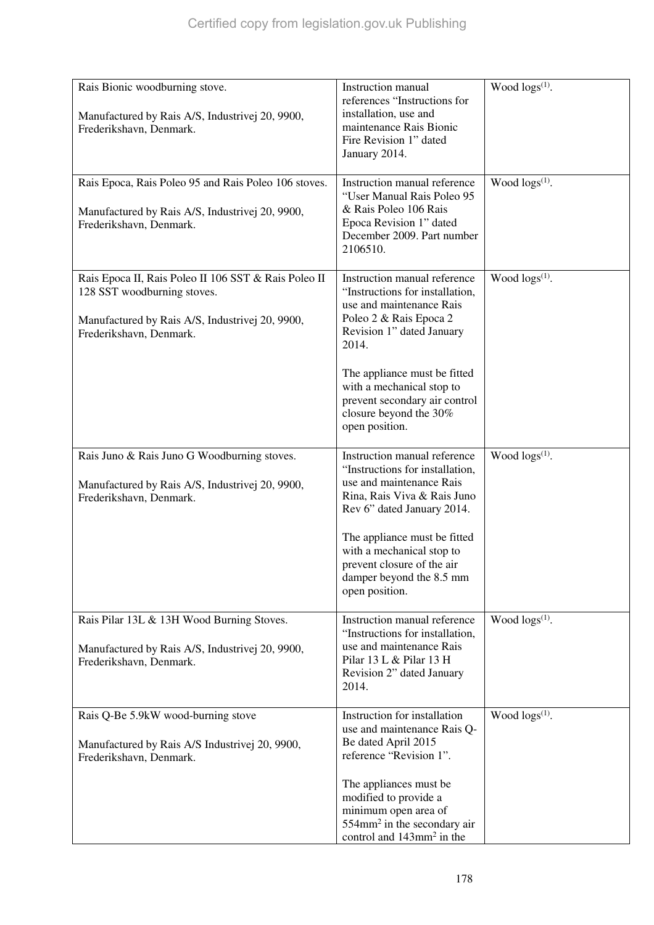| Rais Bionic woodburning stove.                                                                                                                                    | Instruction manual                                                                                                                                                                                                                                                                                    | Wood logs(1).              |
|-------------------------------------------------------------------------------------------------------------------------------------------------------------------|-------------------------------------------------------------------------------------------------------------------------------------------------------------------------------------------------------------------------------------------------------------------------------------------------------|----------------------------|
| Manufactured by Rais A/S, Industrivej 20, 9900,<br>Frederikshavn, Denmark.                                                                                        | references "Instructions for<br>installation, use and<br>maintenance Rais Bionic<br>Fire Revision 1" dated<br>January 2014.                                                                                                                                                                           |                            |
| Rais Epoca, Rais Poleo 95 and Rais Poleo 106 stoves.<br>Manufactured by Rais A/S, Industrivej 20, 9900,<br>Frederikshavn, Denmark.                                | Instruction manual reference<br>"User Manual Rais Poleo 95<br>& Rais Poleo 106 Rais<br>Epoca Revision 1" dated<br>December 2009. Part number<br>2106510.                                                                                                                                              | Wood logs <sup>(1)</sup> . |
| Rais Epoca II, Rais Poleo II 106 SST & Rais Poleo II<br>128 SST woodburning stoves.<br>Manufactured by Rais A/S, Industrivej 20, 9900,<br>Frederikshavn, Denmark. | Instruction manual reference<br>"Instructions for installation,<br>use and maintenance Rais<br>Poleo 2 & Rais Epoca 2<br>Revision 1" dated January<br>2014.<br>The appliance must be fitted<br>with a mechanical stop to<br>prevent secondary air control<br>closure beyond the 30%<br>open position. | Wood $\log(s^{(1)})$ .     |
| Rais Juno & Rais Juno G Woodburning stoves.<br>Manufactured by Rais A/S, Industrivej 20, 9900,<br>Frederikshavn, Denmark.                                         | Instruction manual reference<br>"Instructions for installation,<br>use and maintenance Rais<br>Rina, Rais Viva & Rais Juno<br>Rev 6" dated January 2014.<br>The appliance must be fitted<br>with a mechanical stop to<br>prevent closure of the air<br>damper beyond the 8.5 mm<br>open position.     | Wood $\log s^{(1)}$ .      |
| Rais Pilar 13L & 13H Wood Burning Stoves.<br>Manufactured by Rais A/S, Industrivej 20, 9900,<br>Frederikshavn, Denmark.                                           | Instruction manual reference<br>"Instructions for installation,<br>use and maintenance Rais<br>Pilar 13 L & Pilar 13 H<br>Revision 2" dated January<br>2014.                                                                                                                                          | Wood logs(1).              |
| Rais Q-Be 5.9kW wood-burning stove<br>Manufactured by Rais A/S Industrivej 20, 9900,<br>Frederikshavn, Denmark.                                                   | Instruction for installation<br>use and maintenance Rais Q-<br>Be dated April 2015<br>reference "Revision 1".                                                                                                                                                                                         | Wood $\log(s^{(1)})$ .     |
|                                                                                                                                                                   | The appliances must be<br>modified to provide a<br>minimum open area of<br>554mm <sup>2</sup> in the secondary air<br>control and 143mm <sup>2</sup> in the                                                                                                                                           |                            |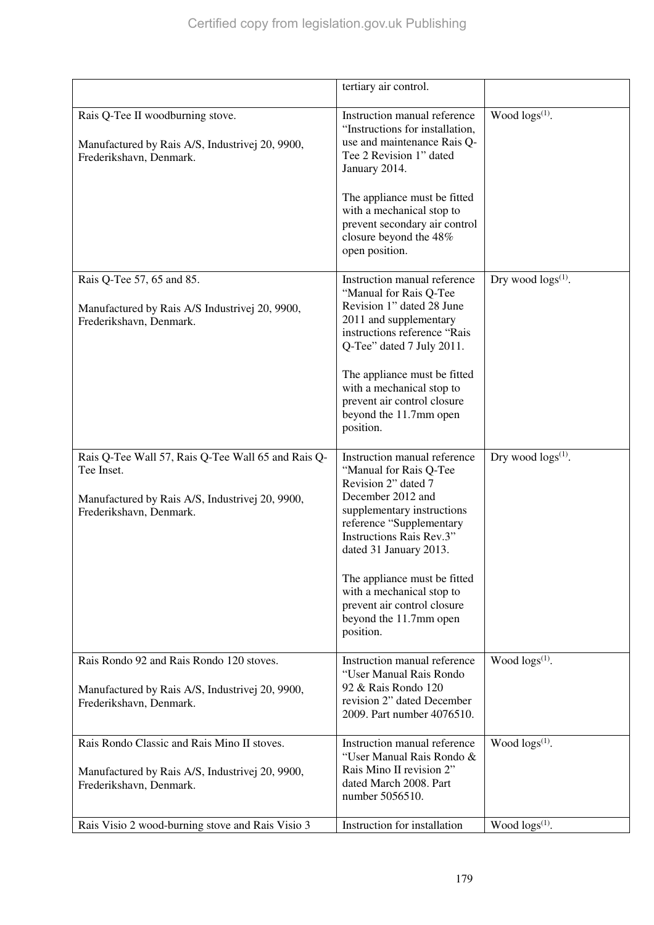|                                                                                                                                                | tertiary air control.                                                                                                                                                                                              |                           |
|------------------------------------------------------------------------------------------------------------------------------------------------|--------------------------------------------------------------------------------------------------------------------------------------------------------------------------------------------------------------------|---------------------------|
| Rais Q-Tee II woodburning stove.<br>Manufactured by Rais A/S, Industrivej 20, 9900,<br>Frederikshavn, Denmark.                                 | Instruction manual reference<br>"Instructions for installation,<br>use and maintenance Rais Q-<br>Tee 2 Revision 1" dated<br>January 2014.                                                                         | Wood $\log(s^{(1)})$ .    |
|                                                                                                                                                | The appliance must be fitted<br>with a mechanical stop to<br>prevent secondary air control<br>closure beyond the 48%<br>open position.                                                                             |                           |
| Rais Q-Tee 57, 65 and 85.<br>Manufactured by Rais A/S Industrivej 20, 9900,<br>Frederikshavn, Denmark.                                         | Instruction manual reference<br>"Manual for Rais Q-Tee<br>Revision 1" dated 28 June<br>2011 and supplementary<br>instructions reference "Rais<br>Q-Tee" dated 7 July 2011.                                         | Dry wood $\log s^{(1)}$ . |
|                                                                                                                                                | The appliance must be fitted<br>with a mechanical stop to<br>prevent air control closure<br>beyond the 11.7mm open<br>position.                                                                                    |                           |
| Rais Q-Tee Wall 57, Rais Q-Tee Wall 65 and Rais Q-<br>Tee Inset.<br>Manufactured by Rais A/S, Industrivej 20, 9900,<br>Frederikshavn, Denmark. | Instruction manual reference<br>"Manual for Rais Q-Tee<br>Revision 2" dated 7<br>December 2012 and<br>supplementary instructions<br>reference "Supplementary<br>Instructions Rais Rev.3"<br>dated 31 January 2013. | Dry wood $\log s^{(1)}$ . |
|                                                                                                                                                | The appliance must be fitted<br>with a mechanical stop to<br>prevent air control closure<br>beyond the 11.7mm open<br>position.                                                                                    |                           |
| Rais Rondo 92 and Rais Rondo 120 stoves.<br>Manufactured by Rais A/S, Industrivej 20, 9900,<br>Frederikshavn, Denmark.                         | Instruction manual reference<br>"User Manual Rais Rondo<br>92 & Rais Rondo 120<br>revision 2" dated December<br>2009. Part number 4076510.                                                                         | Wood $\log(s^{(1)})$ .    |
| Rais Rondo Classic and Rais Mino II stoves.<br>Manufactured by Rais A/S, Industrivej 20, 9900,<br>Frederikshavn, Denmark.                      | Instruction manual reference<br>"User Manual Rais Rondo &<br>Rais Mino II revision 2"<br>dated March 2008. Part<br>number 5056510.                                                                                 | Wood $\log(s^{(1)})$ .    |
| Rais Visio 2 wood-burning stove and Rais Visio 3                                                                                               | Instruction for installation                                                                                                                                                                                       | Wood $\log s^{(1)}$ .     |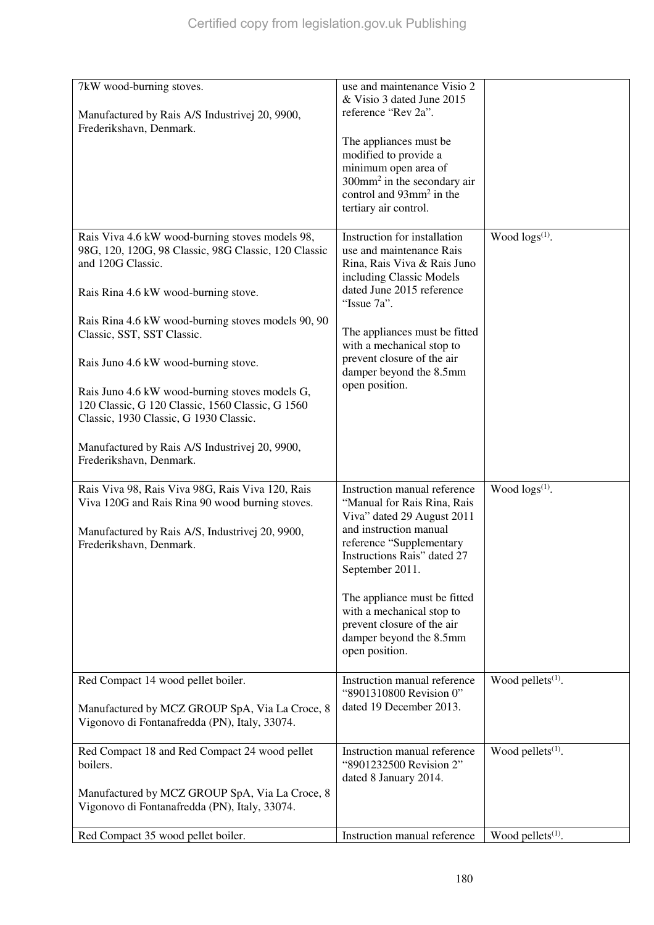| 7kW wood-burning stoves.<br>Manufactured by Rais A/S Industrivej 20, 9900,<br>Frederikshavn, Denmark.                                                                             | use and maintenance Visio 2<br>& Visio 3 dated June 2015<br>reference "Rev 2a".<br>The appliances must be<br>modified to provide a<br>minimum open area of<br>$300$ mm <sup>2</sup> in the secondary air<br>control and 93mm <sup>2</sup> in the<br>tertiary air control. |                               |
|-----------------------------------------------------------------------------------------------------------------------------------------------------------------------------------|---------------------------------------------------------------------------------------------------------------------------------------------------------------------------------------------------------------------------------------------------------------------------|-------------------------------|
| Rais Viva 4.6 kW wood-burning stoves models 98,<br>98G, 120, 120G, 98 Classic, 98G Classic, 120 Classic<br>and 120G Classic.<br>Rais Rina 4.6 kW wood-burning stove.              | Instruction for installation<br>use and maintenance Rais<br>Rina, Rais Viva & Rais Juno<br>including Classic Models<br>dated June 2015 reference<br>"Issue 7a".                                                                                                           | Wood $\log(s^{(1)})$ .        |
| Rais Rina 4.6 kW wood-burning stoves models 90, 90<br>Classic, SST, SST Classic.                                                                                                  | The appliances must be fitted                                                                                                                                                                                                                                             |                               |
| Rais Juno 4.6 kW wood-burning stove.<br>Rais Juno 4.6 kW wood-burning stoves models G,<br>120 Classic, G 120 Classic, 1560 Classic, G 1560                                        | with a mechanical stop to<br>prevent closure of the air<br>damper beyond the 8.5mm<br>open position.                                                                                                                                                                      |                               |
| Classic, 1930 Classic, G 1930 Classic.                                                                                                                                            |                                                                                                                                                                                                                                                                           |                               |
| Manufactured by Rais A/S Industrivej 20, 9900,<br>Frederikshavn, Denmark.                                                                                                         |                                                                                                                                                                                                                                                                           |                               |
| Rais Viva 98, Rais Viva 98G, Rais Viva 120, Rais<br>Viva 120G and Rais Rina 90 wood burning stoves.<br>Manufactured by Rais A/S, Industrivej 20, 9900,<br>Frederikshavn, Denmark. | Instruction manual reference<br>"Manual for Rais Rina, Rais<br>Viva" dated 29 August 2011<br>and instruction manual<br>reference "Supplementary<br>Instructions Rais" dated 27<br>September 2011.<br>The appliance must be fitted<br>with a mechanical stop to            | Wood $\log(s^{(1)})$ .        |
|                                                                                                                                                                                   | prevent closure of the air<br>damper beyond the 8.5mm<br>open position.                                                                                                                                                                                                   |                               |
| Red Compact 14 wood pellet boiler.                                                                                                                                                | Instruction manual reference<br>"8901310800 Revision 0"                                                                                                                                                                                                                   | Wood pellets <sup>(1)</sup> . |
| Manufactured by MCZ GROUP SpA, Via La Croce, 8<br>Vigonovo di Fontanafredda (PN), Italy, 33074.                                                                                   | dated 19 December 2013.                                                                                                                                                                                                                                                   |                               |
| Red Compact 18 and Red Compact 24 wood pellet<br>boilers.                                                                                                                         | Instruction manual reference<br>"8901232500 Revision 2"<br>dated 8 January 2014.                                                                                                                                                                                          | Wood pellets <sup>(1)</sup> . |
| Manufactured by MCZ GROUP SpA, Via La Croce, 8                                                                                                                                    |                                                                                                                                                                                                                                                                           |                               |
| Vigonovo di Fontanafredda (PN), Italy, 33074.                                                                                                                                     | Instruction manual reference                                                                                                                                                                                                                                              |                               |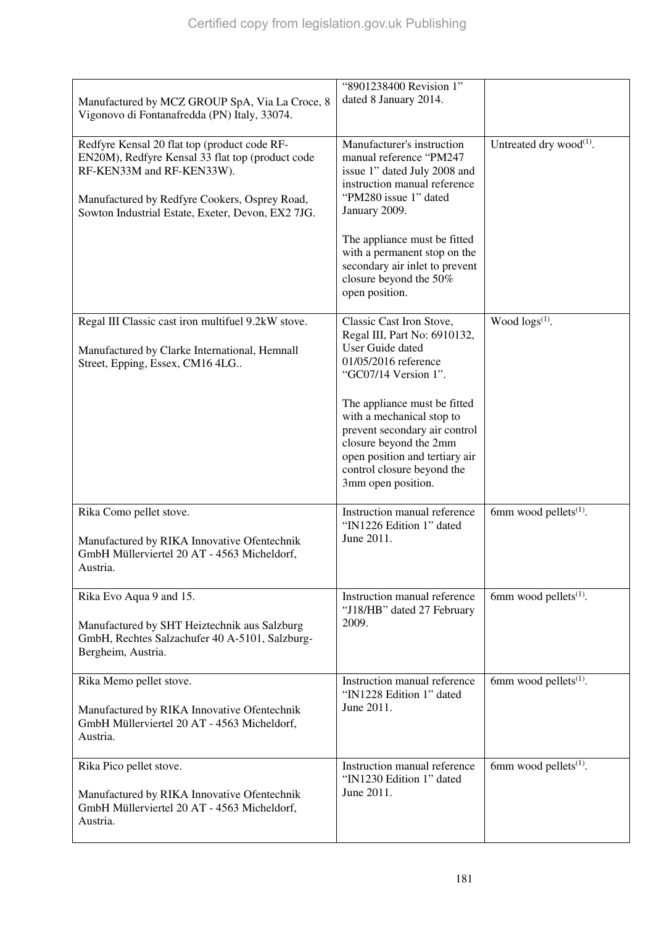| Manufactured by MCZ GROUP SpA, Via La Croce, 8<br>Vigonovo di Fontanafredda (PN) Italy, 33074.                                                                                                                                      | "8901238400 Revision 1"<br>dated 8 January 2014.                                                                                                                                                                                                                                                                                           |                                     |
|-------------------------------------------------------------------------------------------------------------------------------------------------------------------------------------------------------------------------------------|--------------------------------------------------------------------------------------------------------------------------------------------------------------------------------------------------------------------------------------------------------------------------------------------------------------------------------------------|-------------------------------------|
| Redfyre Kensal 20 flat top (product code RF-<br>EN20M), Redfyre Kensal 33 flat top (product code<br>RF-KEN33M and RF-KEN33W).<br>Manufactured by Redfyre Cookers, Osprey Road,<br>Sowton Industrial Estate, Exeter, Devon, EX2 7JG. | Manufacturer's instruction<br>manual reference "PM247<br>issue 1" dated July 2008 and<br>instruction manual reference<br>"PM280 issue 1" dated<br>January 2009.<br>The appliance must be fitted<br>with a permanent stop on the<br>secondary air inlet to prevent<br>closure beyond the 50%<br>open position.                              | Untreated dry wood <sup>(1)</sup> . |
| Regal III Classic cast iron multifuel 9.2kW stove.<br>Manufactured by Clarke International, Hemnall<br>Street, Epping, Essex, CM16 4LG                                                                                              | Classic Cast Iron Stove,<br>Regal III, Part No: 6910132,<br>User Guide dated<br>01/05/2016 reference<br>"GC07/14 Version 1".<br>The appliance must be fitted<br>with a mechanical stop to<br>prevent secondary air control<br>closure beyond the 2mm<br>open position and tertiary air<br>control closure beyond the<br>3mm open position. | Wood $\log s^{(1)}$ .               |
| Rika Como pellet stove.<br>Manufactured by RIKA Innovative Ofentechnik<br>GmbH Müllerviertel 20 AT - 4563 Micheldorf,<br>Austria.                                                                                                   | Instruction manual reference<br>"IN1226 Edition 1" dated<br>June 2011.                                                                                                                                                                                                                                                                     | 6mm wood pellets $(1)$ .            |
| Rika Evo Aqua 9 and 15.<br>Manufactured by SHT Heiztechnik aus Salzburg<br>GmbH, Rechtes Salzachufer 40 A-5101, Salzburg-<br>Bergheim, Austria.                                                                                     | Instruction manual reference<br>"J18/HB" dated 27 February<br>2009.                                                                                                                                                                                                                                                                        | 6mm wood pellets $(1)$ .            |
| Rika Memo pellet stove.<br>Manufactured by RIKA Innovative Ofentechnik<br>GmbH Müllerviertel 20 AT - 4563 Micheldorf,<br>Austria.                                                                                                   | Instruction manual reference<br>"IN1228 Edition 1" dated<br>June 2011.                                                                                                                                                                                                                                                                     | 6mm wood pellets $(1)$ .            |
| Rika Pico pellet stove.<br>Manufactured by RIKA Innovative Ofentechnik<br>GmbH Müllerviertel 20 AT - 4563 Micheldorf,<br>Austria.                                                                                                   | Instruction manual reference<br>"IN1230 Edition 1" dated<br>June 2011.                                                                                                                                                                                                                                                                     | 6mm wood pellets $(1)$ .            |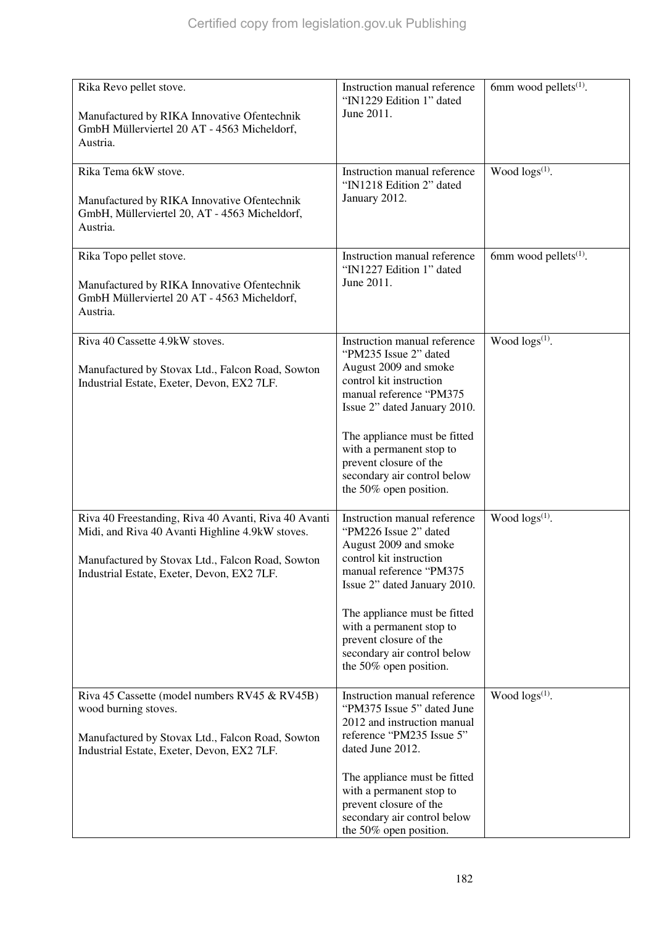| Rika Revo pellet stove.<br>Manufactured by RIKA Innovative Ofentechnik<br>GmbH Müllerviertel 20 AT - 4563 Micheldorf,<br>Austria.                                                                         | Instruction manual reference<br>"IN1229 Edition 1" dated<br>June 2011.                                                                                                                                                                                                                                              | 6mm wood pellets <sup>(1)</sup> . |
|-----------------------------------------------------------------------------------------------------------------------------------------------------------------------------------------------------------|---------------------------------------------------------------------------------------------------------------------------------------------------------------------------------------------------------------------------------------------------------------------------------------------------------------------|-----------------------------------|
| Rika Tema 6kW stove.<br>Manufactured by RIKA Innovative Ofentechnik<br>GmbH, Müllerviertel 20, AT - 4563 Micheldorf,<br>Austria.                                                                          | Instruction manual reference<br>"IN1218 Edition 2" dated<br>January 2012.                                                                                                                                                                                                                                           | Wood logs(1).                     |
| Rika Topo pellet stove.<br>Manufactured by RIKA Innovative Ofentechnik<br>GmbH Müllerviertel 20 AT - 4563 Micheldorf,<br>Austria.                                                                         | Instruction manual reference<br>"IN1227 Edition 1" dated<br>June 2011.                                                                                                                                                                                                                                              | 6mm wood pellets <sup>(1)</sup> . |
| Riva 40 Cassette 4.9kW stoves.<br>Manufactured by Stovax Ltd., Falcon Road, Sowton<br>Industrial Estate, Exeter, Devon, EX2 7LF.                                                                          | Instruction manual reference<br>"PM235 Issue 2" dated<br>August 2009 and smoke<br>control kit instruction<br>manual reference "PM375<br>Issue 2" dated January 2010.<br>The appliance must be fitted<br>with a permanent stop to<br>prevent closure of the<br>secondary air control below<br>the 50% open position. | Wood logs <sup>(1)</sup> .        |
| Riva 40 Freestanding, Riva 40 Avanti, Riva 40 Avanti<br>Midi, and Riva 40 Avanti Highline 4.9kW stoves.<br>Manufactured by Stovax Ltd., Falcon Road, Sowton<br>Industrial Estate, Exeter, Devon, EX2 7LF. | Instruction manual reference<br>"PM226 Issue 2" dated<br>August 2009 and smoke<br>control kit instruction<br>manual reference "PM375<br>Issue 2" dated January 2010.<br>The appliance must be fitted<br>with a permanent stop to<br>prevent closure of the<br>secondary air control below<br>the 50% open position. | Wood $\log(s^{(1)})$ .            |
| Riva 45 Cassette (model numbers RV45 & RV45B)<br>wood burning stoves.<br>Manufactured by Stovax Ltd., Falcon Road, Sowton<br>Industrial Estate, Exeter, Devon, EX2 7LF.                                   | Instruction manual reference<br>"PM375 Issue 5" dated June<br>2012 and instruction manual<br>reference "PM235 Issue 5"<br>dated June 2012.<br>The appliance must be fitted<br>with a permanent stop to<br>prevent closure of the<br>secondary air control below<br>the 50% open position.                           | Wood $\log(s^{(1)})$ .            |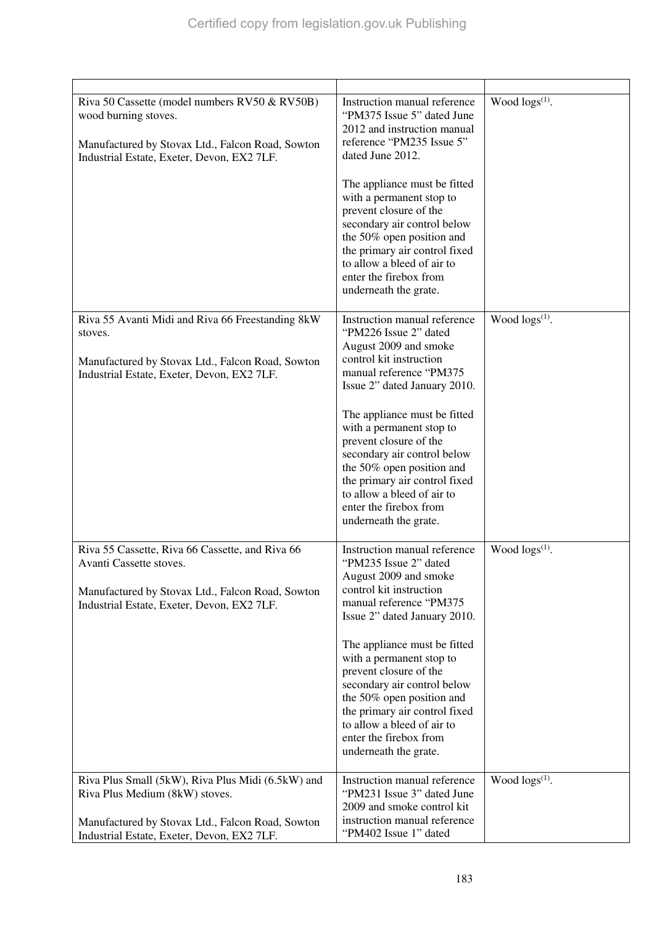| Riva 50 Cassette (model numbers RV50 & RV50B)<br>wood burning stoves.<br>Manufactured by Stovax Ltd., Falcon Road, Sowton<br>Industrial Estate, Exeter, Devon, EX2 7LF.               | Instruction manual reference<br>"PM375 Issue 5" dated June<br>2012 and instruction manual<br>reference "PM235 Issue 5"<br>dated June 2012.<br>The appliance must be fitted<br>with a permanent stop to<br>prevent closure of the<br>secondary air control below<br>the 50% open position and<br>the primary air control fixed<br>to allow a bleed of air to<br>enter the firebox from<br>underneath the grate.                           | Wood $\log(s^{(1)})$ . |
|---------------------------------------------------------------------------------------------------------------------------------------------------------------------------------------|------------------------------------------------------------------------------------------------------------------------------------------------------------------------------------------------------------------------------------------------------------------------------------------------------------------------------------------------------------------------------------------------------------------------------------------|------------------------|
| Riva 55 Avanti Midi and Riva 66 Freestanding 8kW<br>stoves.<br>Manufactured by Stovax Ltd., Falcon Road, Sowton<br>Industrial Estate, Exeter, Devon, EX2 7LF.                         | Instruction manual reference<br>"PM226 Issue 2" dated<br>August 2009 and smoke<br>control kit instruction<br>manual reference "PM375<br>Issue 2" dated January 2010.<br>The appliance must be fitted<br>with a permanent stop to<br>prevent closure of the<br>secondary air control below<br>the 50% open position and<br>the primary air control fixed<br>to allow a bleed of air to<br>enter the firebox from<br>underneath the grate. | Wood $\log(s^{(1)})$ . |
| Riva 55 Cassette, Riva 66 Cassette, and Riva 66<br>Avanti Cassette stoves.<br>Manufactured by Stovax Ltd., Falcon Road, Sowton<br>Industrial Estate, Exeter, Devon, EX2 7LF.          | Instruction manual reference<br>"PM235 Issue 2" dated<br>August 2009 and smoke<br>control kit instruction<br>manual reference "PM375<br>Issue 2" dated January 2010.<br>The appliance must be fitted<br>with a permanent stop to<br>prevent closure of the<br>secondary air control below<br>the 50% open position and<br>the primary air control fixed<br>to allow a bleed of air to<br>enter the firebox from<br>underneath the grate. | Wood $\log s^{(1)}$ .  |
| Riva Plus Small (5kW), Riva Plus Midi (6.5kW) and<br>Riva Plus Medium (8kW) stoves.<br>Manufactured by Stovax Ltd., Falcon Road, Sowton<br>Industrial Estate, Exeter, Devon, EX2 7LF. | Instruction manual reference<br>"PM231 Issue 3" dated June<br>2009 and smoke control kit<br>instruction manual reference<br>"PM402 Issue 1" dated                                                                                                                                                                                                                                                                                        | Wood $\log s^{(1)}$ .  |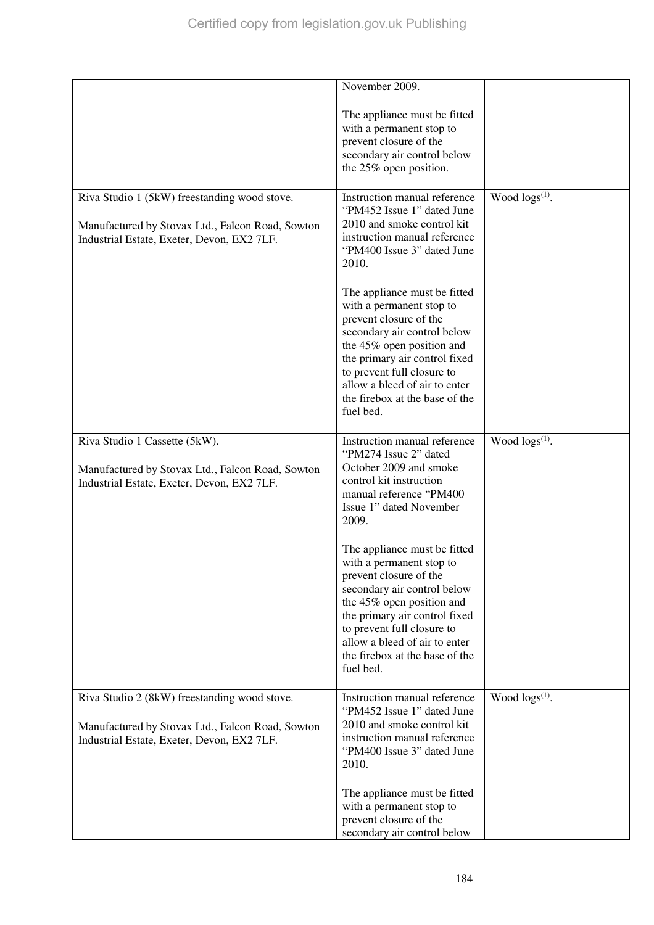|                                                                                                | November 2009.                                                                                                                                                                                                                                                                                |                       |
|------------------------------------------------------------------------------------------------|-----------------------------------------------------------------------------------------------------------------------------------------------------------------------------------------------------------------------------------------------------------------------------------------------|-----------------------|
|                                                                                                | The appliance must be fitted<br>with a permanent stop to<br>prevent closure of the<br>secondary air control below<br>the 25% open position.                                                                                                                                                   |                       |
| Riva Studio 1 (5kW) freestanding wood stove.                                                   | Instruction manual reference                                                                                                                                                                                                                                                                  | Wood $\log s^{(1)}$ . |
| Manufactured by Stovax Ltd., Falcon Road, Sowton<br>Industrial Estate, Exeter, Devon, EX2 7LF. | "PM452 Issue 1" dated June<br>2010 and smoke control kit<br>instruction manual reference<br>"PM400 Issue 3" dated June<br>2010.                                                                                                                                                               |                       |
|                                                                                                | The appliance must be fitted<br>with a permanent stop to<br>prevent closure of the<br>secondary air control below<br>the 45% open position and<br>the primary air control fixed<br>to prevent full closure to<br>allow a bleed of air to enter<br>the firebox at the base of the<br>fuel bed. |                       |
| Riva Studio 1 Cassette (5kW).                                                                  | Instruction manual reference                                                                                                                                                                                                                                                                  | Wood $\log s^{(1)}$ . |
| Manufactured by Stovax Ltd., Falcon Road, Sowton<br>Industrial Estate, Exeter, Devon, EX2 7LF. | "PM274 Issue 2" dated<br>October 2009 and smoke<br>control kit instruction<br>manual reference "PM400<br>Issue 1" dated November<br>2009.                                                                                                                                                     |                       |
|                                                                                                | The appliance must be fitted<br>with a permanent stop to<br>prevent closure of the<br>secondary air control below<br>the 45% open position and<br>the primary air control fixed<br>to prevent full closure to<br>allow a bleed of air to enter<br>the firebox at the base of the<br>fuel bed. |                       |
| Riva Studio 2 (8kW) freestanding wood stove.                                                   | Instruction manual reference                                                                                                                                                                                                                                                                  | Wood $\log s^{(1)}$ . |
| Manufactured by Stovax Ltd., Falcon Road, Sowton<br>Industrial Estate, Exeter, Devon, EX2 7LF. | "PM452 Issue 1" dated June<br>2010 and smoke control kit<br>instruction manual reference<br>"PM400 Issue 3" dated June<br>2010.                                                                                                                                                               |                       |
|                                                                                                | The appliance must be fitted                                                                                                                                                                                                                                                                  |                       |
|                                                                                                | with a permanent stop to                                                                                                                                                                                                                                                                      |                       |
|                                                                                                | prevent closure of the<br>secondary air control below                                                                                                                                                                                                                                         |                       |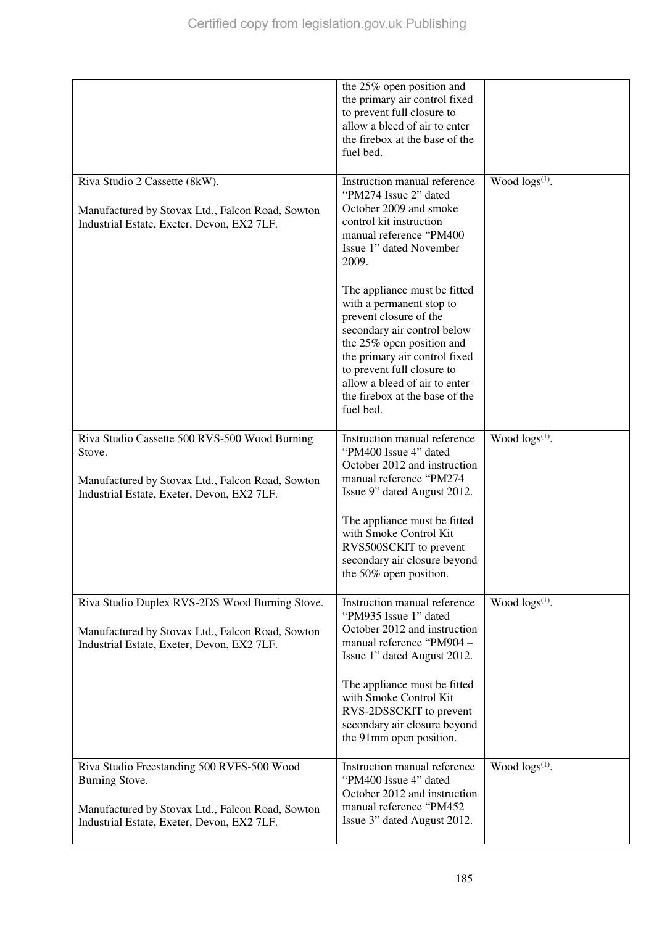|                                                                                                                                                                | the 25% open position and<br>the primary air control fixed<br>to prevent full closure to<br>allow a bleed of air to enter<br>the firebox at the base of the<br>fuel bed.                                                                                                                                                                                                                                                                                                   |                        |
|----------------------------------------------------------------------------------------------------------------------------------------------------------------|----------------------------------------------------------------------------------------------------------------------------------------------------------------------------------------------------------------------------------------------------------------------------------------------------------------------------------------------------------------------------------------------------------------------------------------------------------------------------|------------------------|
| Riva Studio 2 Cassette (8kW).<br>Manufactured by Stovax Ltd., Falcon Road, Sowton<br>Industrial Estate, Exeter, Devon, EX2 7LF.                                | Instruction manual reference<br>"PM274 Issue 2" dated<br>October 2009 and smoke<br>control kit instruction<br>manual reference "PM400<br>Issue 1" dated November<br>2009.<br>The appliance must be fitted<br>with a permanent stop to<br>prevent closure of the<br>secondary air control below<br>the 25% open position and<br>the primary air control fixed<br>to prevent full closure to<br>allow a bleed of air to enter<br>the firebox at the base of the<br>fuel bed. | Wood $\log s^{(1)}$ .  |
| Riva Studio Cassette 500 RVS-500 Wood Burning<br>Stove.<br>Manufactured by Stovax Ltd., Falcon Road, Sowton<br>Industrial Estate, Exeter, Devon, EX2 7LF.      | Instruction manual reference<br>"PM400 Issue 4" dated<br>October 2012 and instruction<br>manual reference "PM274<br>Issue 9" dated August 2012.<br>The appliance must be fitted<br>with Smoke Control Kit<br>RVS500SCKIT to prevent<br>secondary air closure beyond<br>the $50\%$ open position.                                                                                                                                                                           | Wood $\log(s^{(1)})$ . |
| Riva Studio Duplex RVS-2DS Wood Burning Stove.<br>Manufactured by Stovax Ltd., Falcon Road, Sowton<br>Industrial Estate, Exeter, Devon, EX2 7LF.               | Instruction manual reference<br>"PM935 Issue 1" dated<br>October 2012 and instruction<br>manual reference "PM904 -<br>Issue 1" dated August 2012.<br>The appliance must be fitted<br>with Smoke Control Kit<br>RVS-2DSSCKIT to prevent<br>secondary air closure beyond<br>the 91mm open position.                                                                                                                                                                          | Wood $\log s^{(1)}$ .  |
| Riva Studio Freestanding 500 RVFS-500 Wood<br>Burning Stove.<br>Manufactured by Stovax Ltd., Falcon Road, Sowton<br>Industrial Estate, Exeter, Devon, EX2 7LF. | Instruction manual reference<br>"PM400 Issue 4" dated<br>October 2012 and instruction<br>manual reference "PM452<br>Issue 3" dated August 2012.                                                                                                                                                                                                                                                                                                                            | Wood $\log s^{(1)}$ .  |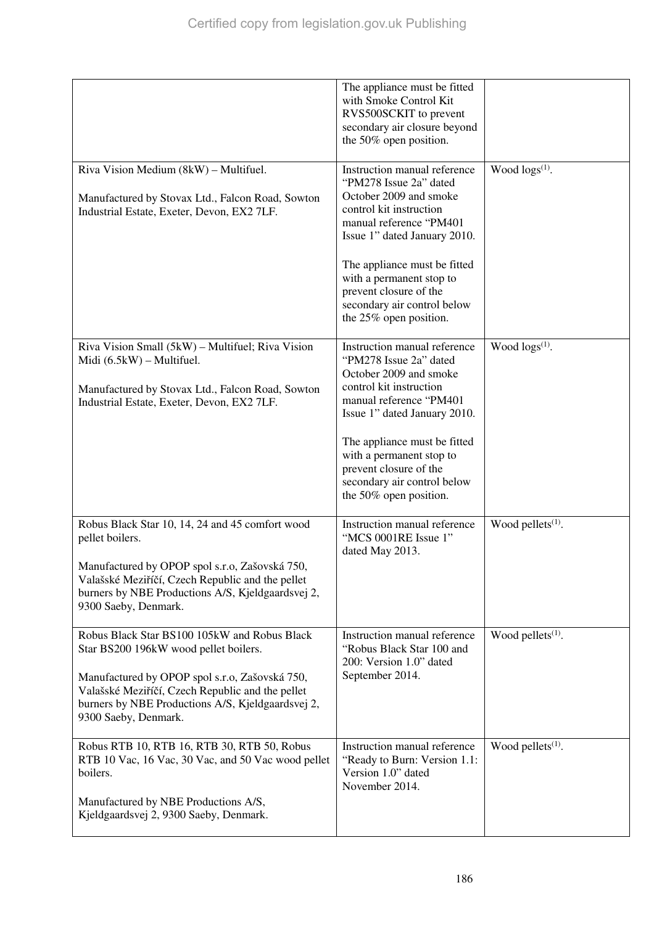|                                                                                                                                                                                                                                                                          | The appliance must be fitted<br>with Smoke Control Kit<br>RVS500SCKIT to prevent<br>secondary air closure beyond<br>the 50% open position.                                                                                                                                                                            |                               |
|--------------------------------------------------------------------------------------------------------------------------------------------------------------------------------------------------------------------------------------------------------------------------|-----------------------------------------------------------------------------------------------------------------------------------------------------------------------------------------------------------------------------------------------------------------------------------------------------------------------|-------------------------------|
| Riva Vision Medium (8kW) - Multifuel.<br>Manufactured by Stovax Ltd., Falcon Road, Sowton<br>Industrial Estate, Exeter, Devon, EX2 7LF.                                                                                                                                  | Instruction manual reference<br>"PM278 Issue 2a" dated<br>October 2009 and smoke<br>control kit instruction<br>manual reference "PM401<br>Issue 1" dated January 2010.<br>The appliance must be fitted<br>with a permanent stop to<br>prevent closure of the<br>secondary air control below<br>the 25% open position. | Wood logs <sup>(1)</sup> .    |
| Riva Vision Small (5kW) – Multifuel; Riva Vision<br>Midi $(6.5kW)$ – Multifuel.<br>Manufactured by Stovax Ltd., Falcon Road, Sowton<br>Industrial Estate, Exeter, Devon, EX2 7LF.                                                                                        | Instruction manual reference<br>"PM278 Issue 2a" dated<br>October 2009 and smoke<br>control kit instruction<br>manual reference "PM401<br>Issue 1" dated January 2010.<br>The appliance must be fitted<br>with a permanent stop to<br>prevent closure of the<br>secondary air control below<br>the 50% open position. | Wood $\log(s^{(1)})$ .        |
| Robus Black Star 10, 14, 24 and 45 comfort wood<br>pellet boilers.<br>Manufactured by OPOP spol s.r.o, Zašovská 750,<br>Valašské Meziříčí, Czech Republic and the pellet<br>burners by NBE Productions A/S, Kjeldgaardsvej 2,<br>9300 Saeby, Denmark.                    | Instruction manual reference<br>"MCS 0001RE Issue 1"<br>dated May 2013.                                                                                                                                                                                                                                               | Wood pellets $(1)$ .          |
| Robus Black Star BS100 105kW and Robus Black<br>Star BS200 196kW wood pellet boilers.<br>Manufactured by OPOP spol s.r.o, Zašovská 750,<br>Valašské Meziříčí, Czech Republic and the pellet<br>burners by NBE Productions A/S, Kjeldgaardsvej 2,<br>9300 Saeby, Denmark. | Instruction manual reference<br>"Robus Black Star 100 and<br>200: Version 1.0" dated<br>September 2014.                                                                                                                                                                                                               | Wood pellets <sup>(1)</sup> . |
| Robus RTB 10, RTB 16, RTB 30, RTB 50, Robus<br>RTB 10 Vac, 16 Vac, 30 Vac, and 50 Vac wood pellet<br>boilers.<br>Manufactured by NBE Productions A/S,<br>Kjeldgaardsvej 2, 9300 Saeby, Denmark.                                                                          | Instruction manual reference<br>"Ready to Burn: Version 1.1:<br>Version 1.0" dated<br>November 2014.                                                                                                                                                                                                                  | Wood pellets $(1)$ .          |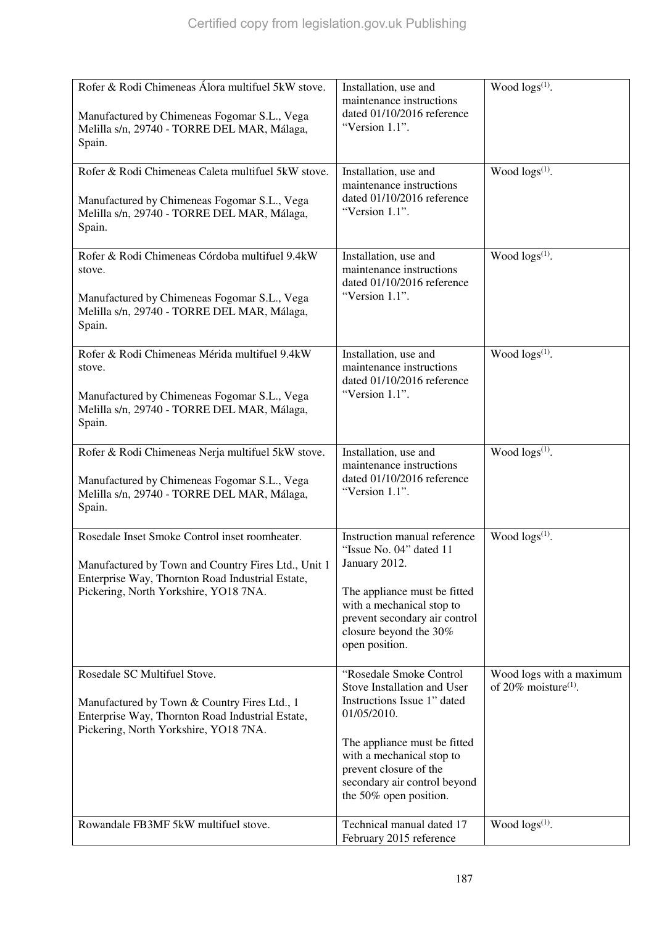| Rofer & Rodi Chimeneas Álora multifuel 5kW stove.<br>Manufactured by Chimeneas Fogomar S.L., Vega<br>Melilla s/n, 29740 - TORRE DEL MAR, Málaga,<br>Spain.                                         | Installation, use and<br>maintenance instructions<br>dated 01/10/2016 reference<br>"Version 1.1".                                                                                                                                                     | Wood logs <sup>(1)</sup> .                                      |
|----------------------------------------------------------------------------------------------------------------------------------------------------------------------------------------------------|-------------------------------------------------------------------------------------------------------------------------------------------------------------------------------------------------------------------------------------------------------|-----------------------------------------------------------------|
| Rofer & Rodi Chimeneas Caleta multifuel 5kW stove.<br>Manufactured by Chimeneas Fogomar S.L., Vega<br>Melilla s/n, 29740 - TORRE DEL MAR, Málaga,<br>Spain.                                        | Installation, use and<br>maintenance instructions<br>dated 01/10/2016 reference<br>"Version 1.1".                                                                                                                                                     | Wood logs(1).                                                   |
| Rofer & Rodi Chimeneas Córdoba multifuel 9.4kW<br>stove.<br>Manufactured by Chimeneas Fogomar S.L., Vega<br>Melilla s/n, 29740 - TORRE DEL MAR, Málaga,<br>Spain.                                  | Installation, use and<br>maintenance instructions<br>dated 01/10/2016 reference<br>"Version 1.1".                                                                                                                                                     | Wood $\log(s^{(1)})$ .                                          |
| Rofer & Rodi Chimeneas Mérida multifuel 9.4kW<br>stove.<br>Manufactured by Chimeneas Fogomar S.L., Vega<br>Melilla s/n, 29740 - TORRE DEL MAR, Málaga,<br>Spain.                                   | Installation, use and<br>maintenance instructions<br>dated 01/10/2016 reference<br>"Version 1.1".                                                                                                                                                     | Wood logs <sup>(1)</sup> .                                      |
| Rofer & Rodi Chimeneas Nerja multifuel 5kW stove.<br>Manufactured by Chimeneas Fogomar S.L., Vega<br>Melilla s/n, 29740 - TORRE DEL MAR, Málaga,<br>Spain.                                         | Installation, use and<br>maintenance instructions<br>dated 01/10/2016 reference<br>"Version 1.1".                                                                                                                                                     | Wood $\log(s^{(1)})$ .                                          |
| Rosedale Inset Smoke Control inset roomheater.<br>Manufactured by Town and Country Fires Ltd., Unit 1<br>Enterprise Way, Thornton Road Industrial Estate,<br>Pickering, North Yorkshire, YO18 7NA. | Instruction manual reference<br>"Issue No. 04" dated 11<br>January 2012.<br>The appliance must be fitted<br>with a mechanical stop to<br>prevent secondary air control<br>closure beyond the 30%<br>open position.                                    | Wood $\log(s^{(1)})$ .                                          |
| Rosedale SC Multifuel Stove.<br>Manufactured by Town & Country Fires Ltd., 1<br>Enterprise Way, Thornton Road Industrial Estate,<br>Pickering, North Yorkshire, YO18 7NA.                          | "Rosedale Smoke Control<br>Stove Installation and User<br>Instructions Issue 1" dated<br>01/05/2010.<br>The appliance must be fitted<br>with a mechanical stop to<br>prevent closure of the<br>secondary air control beyond<br>the 50% open position. | Wood logs with a maximum<br>of $20\%$ moisture <sup>(1)</sup> . |
| Rowandale FB3MF 5kW multifuel stove.                                                                                                                                                               | Technical manual dated 17<br>February 2015 reference                                                                                                                                                                                                  | Wood $\log(s^{(1)})$ .                                          |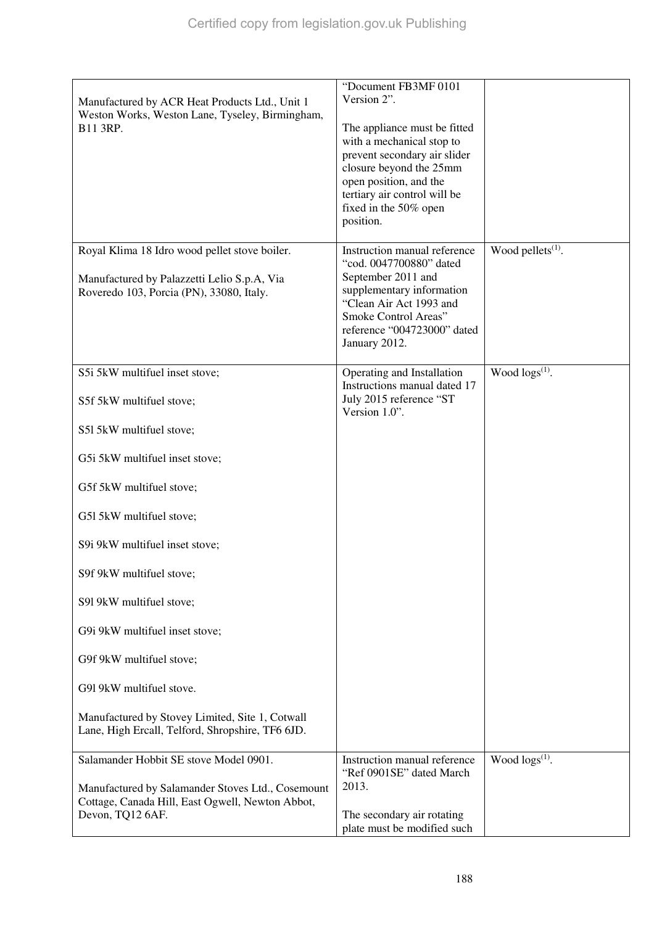| Manufactured by ACR Heat Products Ltd., Unit 1                                                      | "Document FB3MF 0101<br>Version 2".                                                       |                        |
|-----------------------------------------------------------------------------------------------------|-------------------------------------------------------------------------------------------|------------------------|
| Weston Works, Weston Lane, Tyseley, Birmingham,<br>B11 3RP.                                         | The appliance must be fitted<br>with a mechanical stop to<br>prevent secondary air slider |                        |
|                                                                                                     | closure beyond the 25mm<br>open position, and the                                         |                        |
|                                                                                                     | tertiary air control will be                                                              |                        |
|                                                                                                     | fixed in the 50% open<br>position.                                                        |                        |
| Royal Klima 18 Idro wood pellet stove boiler.                                                       | Instruction manual reference<br>"cod. 0047700880" dated                                   | Wood pellets $(1)$ .   |
| Manufactured by Palazzetti Lelio S.p.A, Via                                                         | September 2011 and<br>supplementary information                                           |                        |
| Roveredo 103, Porcia (PN), 33080, Italy.                                                            | "Clean Air Act 1993 and                                                                   |                        |
|                                                                                                     | Smoke Control Areas"<br>reference "004723000" dated                                       |                        |
|                                                                                                     | January 2012.                                                                             |                        |
| S5i 5kW multifuel inset stove;                                                                      | Operating and Installation<br>Instructions manual dated 17                                | Wood $\log s^{(1)}$ .  |
| S5f 5kW multifuel stove;                                                                            | July 2015 reference "ST<br>Version 1.0".                                                  |                        |
| S51 5kW multifuel stove;                                                                            |                                                                                           |                        |
| G5i 5kW multifuel inset stove;                                                                      |                                                                                           |                        |
| G5f 5kW multifuel stove;                                                                            |                                                                                           |                        |
| G51 5kW multifuel stove;                                                                            |                                                                                           |                        |
| S9i 9kW multifuel inset stove;                                                                      |                                                                                           |                        |
| S9f 9kW multifuel stove;                                                                            |                                                                                           |                        |
| S91 9kW multifuel stove;                                                                            |                                                                                           |                        |
| G9i 9kW multifuel inset stove;                                                                      |                                                                                           |                        |
| G9f 9kW multifuel stove;                                                                            |                                                                                           |                        |
| G91 9kW multifuel stove.                                                                            |                                                                                           |                        |
| Manufactured by Stovey Limited, Site 1, Cotwall<br>Lane, High Ercall, Telford, Shropshire, TF6 6JD. |                                                                                           |                        |
| Salamander Hobbit SE stove Model 0901.                                                              | Instruction manual reference<br>"Ref 0901SE" dated March                                  | Wood $\log(s^{(1)})$ . |
| Manufactured by Salamander Stoves Ltd., Cosemount                                                   | 2013.                                                                                     |                        |
| Cottage, Canada Hill, East Ogwell, Newton Abbot,<br>Devon, TQ12 6AF.                                | The secondary air rotating<br>plate must be modified such                                 |                        |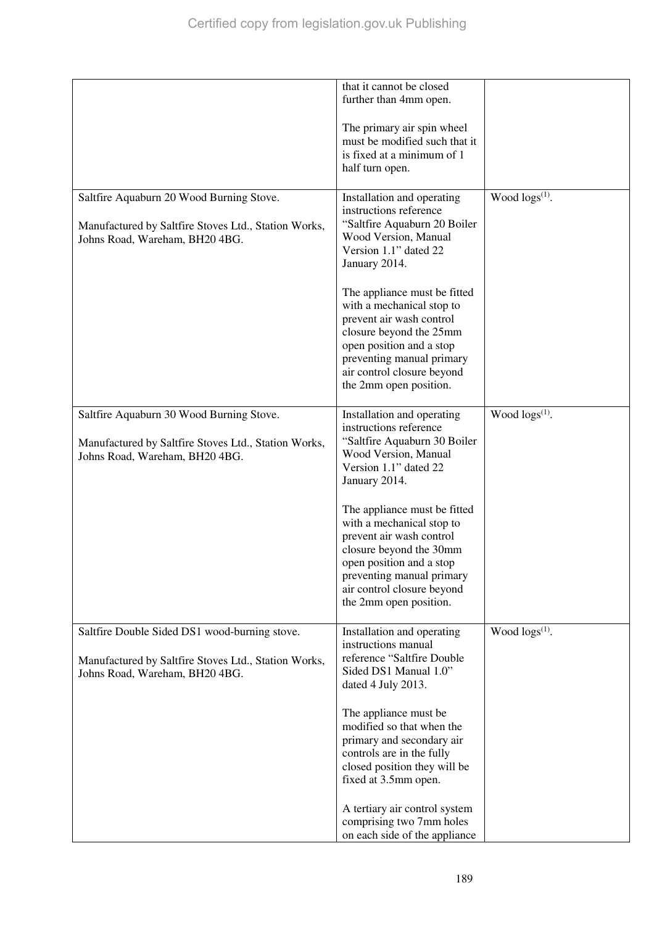|                                                                                                                                         | that it cannot be closed<br>further than 4mm open.                                                                                                                                                                                                                                                                                                                                                   |                        |
|-----------------------------------------------------------------------------------------------------------------------------------------|------------------------------------------------------------------------------------------------------------------------------------------------------------------------------------------------------------------------------------------------------------------------------------------------------------------------------------------------------------------------------------------------------|------------------------|
|                                                                                                                                         | The primary air spin wheel<br>must be modified such that it<br>is fixed at a minimum of 1<br>half turn open.                                                                                                                                                                                                                                                                                         |                        |
| Saltfire Aquaburn 20 Wood Burning Stove.<br>Manufactured by Saltfire Stoves Ltd., Station Works,<br>Johns Road, Wareham, BH20 4BG.      | Installation and operating<br>instructions reference<br>"Saltfire Aquaburn 20 Boiler<br>Wood Version, Manual<br>Version 1.1" dated 22<br>January 2014.<br>The appliance must be fitted<br>with a mechanical stop to<br>prevent air wash control<br>closure beyond the 25mm<br>open position and a stop<br>preventing manual primary<br>air control closure beyond<br>the 2mm open position.          | Wood $\log(s^{(1)})$ . |
| Saltfire Aquaburn 30 Wood Burning Stove.<br>Manufactured by Saltfire Stoves Ltd., Station Works,<br>Johns Road, Wareham, BH20 4BG.      | Installation and operating<br>instructions reference<br>"Saltfire Aquaburn 30 Boiler<br>Wood Version, Manual<br>Version 1.1" dated 22<br>January 2014.<br>The appliance must be fitted<br>with a mechanical stop to<br>prevent air wash control<br>closure beyond the 30mm<br>open position and a stop<br>preventing manual primary<br>air control closure beyond<br>the 2mm open position.          | Wood $\log s^{(1)}$ .  |
| Saltfire Double Sided DS1 wood-burning stove.<br>Manufactured by Saltfire Stoves Ltd., Station Works,<br>Johns Road, Wareham, BH20 4BG. | Installation and operating<br>instructions manual<br>reference "Saltfire Double<br>Sided DS1 Manual 1.0"<br>dated 4 July 2013.<br>The appliance must be<br>modified so that when the<br>primary and secondary air<br>controls are in the fully<br>closed position they will be<br>fixed at 3.5mm open.<br>A tertiary air control system<br>comprising two 7mm holes<br>on each side of the appliance | Wood $\log(s^{(1)})$ . |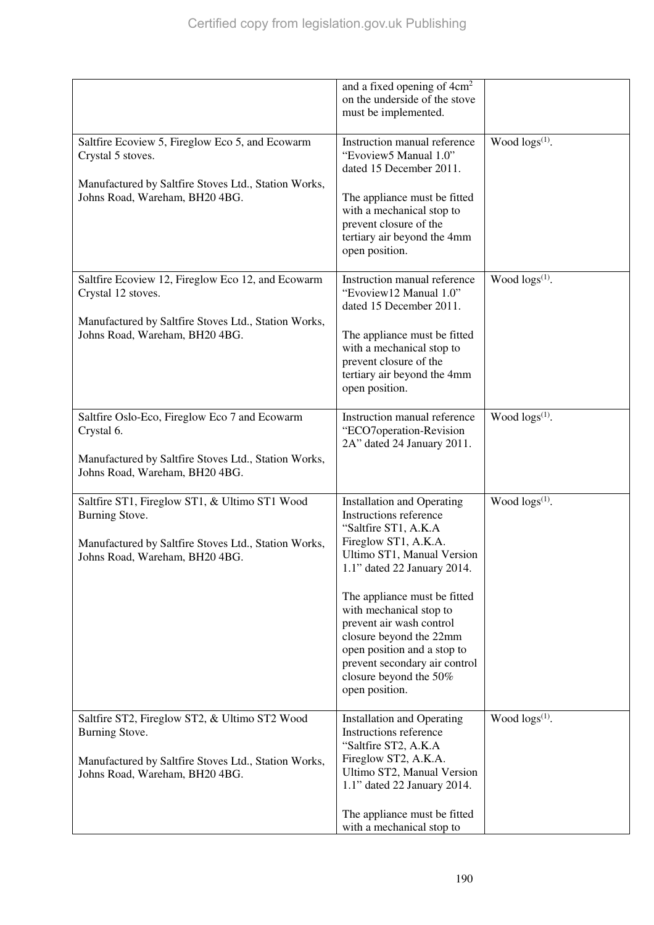|                                                                                                                                                           | and a fixed opening of 4cm <sup>2</sup><br>on the underside of the stove<br>must be implemented.                                                                                                                           |                        |
|-----------------------------------------------------------------------------------------------------------------------------------------------------------|----------------------------------------------------------------------------------------------------------------------------------------------------------------------------------------------------------------------------|------------------------|
| Saltfire Ecoview 5, Fireglow Eco 5, and Ecowarm<br>Crystal 5 stoves.                                                                                      | Instruction manual reference<br>"Evoview5 Manual 1.0"<br>dated 15 December 2011.                                                                                                                                           | Wood $\log(s^{(1)})$ . |
| Manufactured by Saltfire Stoves Ltd., Station Works,<br>Johns Road, Wareham, BH20 4BG.                                                                    | The appliance must be fitted<br>with a mechanical stop to<br>prevent closure of the<br>tertiary air beyond the 4mm<br>open position.                                                                                       |                        |
| Saltfire Ecoview 12, Fireglow Eco 12, and Ecowarm<br>Crystal 12 stoves.                                                                                   | Instruction manual reference<br>"Evoview12 Manual 1.0"<br>dated 15 December 2011.                                                                                                                                          | Wood $\log s^{(1)}$ .  |
| Manufactured by Saltfire Stoves Ltd., Station Works,<br>Johns Road, Wareham, BH20 4BG.                                                                    | The appliance must be fitted<br>with a mechanical stop to<br>prevent closure of the<br>tertiary air beyond the 4mm<br>open position.                                                                                       |                        |
| Saltfire Oslo-Eco, Fireglow Eco 7 and Ecowarm<br>Crystal 6.<br>Manufactured by Saltfire Stoves Ltd., Station Works,                                       | Instruction manual reference<br>"ECO7operation-Revision<br>2A" dated 24 January 2011.                                                                                                                                      | Wood $\log s^{(1)}$ .  |
| Johns Road, Wareham, BH20 4BG.                                                                                                                            |                                                                                                                                                                                                                            |                        |
| Saltfire ST1, Fireglow ST1, & Ultimo ST1 Wood<br>Burning Stove.<br>Manufactured by Saltfire Stoves Ltd., Station Works,<br>Johns Road, Wareham, BH20 4BG. | <b>Installation and Operating</b><br>Instructions reference<br>"Saltfire ST1, A.K.A<br>Fireglow ST1, A.K.A.<br>Ultimo ST1, Manual Version<br>1.1" dated 22 January 2014.                                                   | Wood $\log(s^{(1)})$ . |
|                                                                                                                                                           | The appliance must be fitted<br>with mechanical stop to<br>prevent air wash control<br>closure beyond the 22mm<br>open position and a stop to<br>prevent secondary air control<br>closure beyond the 50%<br>open position. |                        |
| Saltfire ST2, Fireglow ST2, & Ultimo ST2 Wood<br>Burning Stove.<br>Manufactured by Saltfire Stoves Ltd., Station Works,<br>Johns Road, Wareham, BH20 4BG. | <b>Installation and Operating</b><br>Instructions reference<br>"Saltfire ST2, A.K.A<br>Fireglow ST2, A.K.A.<br>Ultimo ST2, Manual Version<br>1.1" dated 22 January 2014.                                                   | Wood $\log(s^{(1)})$ . |
|                                                                                                                                                           | The appliance must be fitted<br>with a mechanical stop to                                                                                                                                                                  |                        |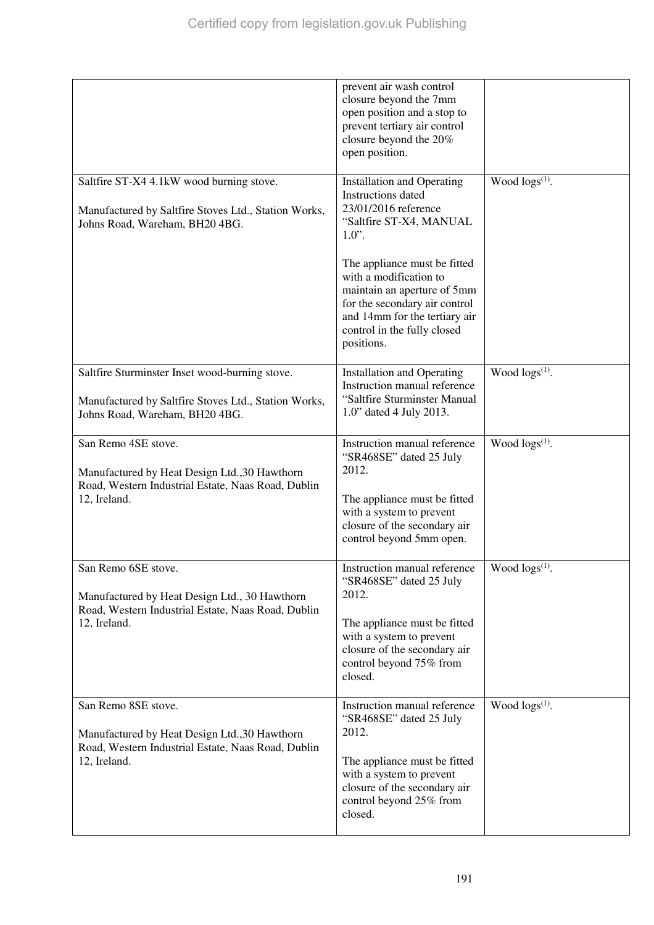|                                                                                                                                            | prevent air wash control<br>closure beyond the 7mm<br>open position and a stop to<br>prevent tertiary air control<br>closure beyond the 20%<br>open position.                                                                                                                                                                         |                       |
|--------------------------------------------------------------------------------------------------------------------------------------------|---------------------------------------------------------------------------------------------------------------------------------------------------------------------------------------------------------------------------------------------------------------------------------------------------------------------------------------|-----------------------|
| Saltfire ST-X4 4.1kW wood burning stove.<br>Manufactured by Saltfire Stoves Ltd., Station Works,<br>Johns Road, Wareham, BH20 4BG.         | <b>Installation and Operating</b><br><b>Instructions</b> dated<br>23/01/2016 reference<br>"Saltfire ST-X4, MANUAL<br>$1.0$ ".<br>The appliance must be fitted<br>with a modification to<br>maintain an aperture of 5mm<br>for the secondary air control<br>and 14mm for the tertiary air<br>control in the fully closed<br>positions. | Wood $\log s^{(1)}$ . |
| Saltfire Sturminster Inset wood-burning stove.<br>Manufactured by Saltfire Stoves Ltd., Station Works,<br>Johns Road, Wareham, BH20 4BG.   | <b>Installation and Operating</b><br>Instruction manual reference<br>"Saltfire Sturminster Manual<br>1.0" dated 4 July 2013.                                                                                                                                                                                                          | Wood $\log s^{(1)}$ . |
| San Remo 4SE stove.<br>Manufactured by Heat Design Ltd., 30 Hawthorn<br>Road, Western Industrial Estate, Naas Road, Dublin<br>12, Ireland. | Instruction manual reference<br>"SR468SE" dated 25 July<br>2012.<br>The appliance must be fitted<br>with a system to prevent<br>closure of the secondary air<br>control beyond 5mm open.                                                                                                                                              | Wood $\log s^{(1)}$ . |
| San Remo 6SE stove.<br>Manufactured by Heat Design Ltd., 30 Hawthorn<br>Road, Western Industrial Estate, Naas Road, Dublin<br>12, Ireland. | Instruction manual reference<br>"SR468SE" dated 25 July<br>2012.<br>The appliance must be fitted<br>with a system to prevent<br>closure of the secondary air<br>control beyond 75% from<br>closed.                                                                                                                                    | Wood $\log s^{(1)}$ . |
| San Remo 8SE stove.<br>Manufactured by Heat Design Ltd., 30 Hawthorn<br>Road, Western Industrial Estate, Naas Road, Dublin<br>12, Ireland. | Instruction manual reference<br>"SR468SE" dated 25 July<br>2012.<br>The appliance must be fitted<br>with a system to prevent<br>closure of the secondary air<br>control beyond 25% from<br>closed.                                                                                                                                    | Wood $\log s^{(1)}$ . |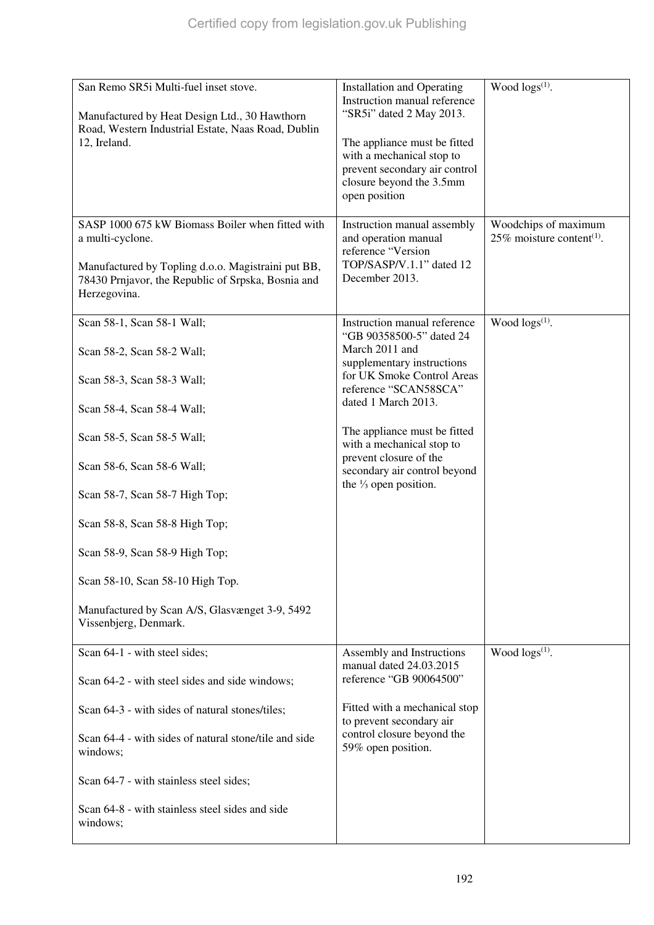| San Remo SR5i Multi-fuel inset stove.<br>Manufactured by Heat Design Ltd., 30 Hawthorn<br>Road, Western Industrial Estate, Naas Road, Dublin<br>12, Ireland.<br>SASP 1000 675 kW Biomass Boiler when fitted with<br>a multi-cyclone.<br>Manufactured by Topling d.o.o. Magistraini put BB,<br>78430 Prnjavor, the Republic of Srpska, Bosnia and<br>Herzegovina.                                      | <b>Installation and Operating</b><br>Instruction manual reference<br>"SR5i" dated 2 May 2013.<br>The appliance must be fitted<br>with a mechanical stop to<br>prevent secondary air control<br>closure beyond the 3.5mm<br>open position<br>Instruction manual assembly<br>and operation manual<br>reference "Version<br>TOP/SASP/V.1.1" dated 12<br>December 2013. | Wood $\log s^{(1)}$ .<br>Woodchips of maximum<br>25% moisture content <sup>(1)</sup> . |
|-------------------------------------------------------------------------------------------------------------------------------------------------------------------------------------------------------------------------------------------------------------------------------------------------------------------------------------------------------------------------------------------------------|---------------------------------------------------------------------------------------------------------------------------------------------------------------------------------------------------------------------------------------------------------------------------------------------------------------------------------------------------------------------|----------------------------------------------------------------------------------------|
| Scan 58-1, Scan 58-1 Wall;<br>Scan 58-2, Scan 58-2 Wall;<br>Scan 58-3, Scan 58-3 Wall;<br>Scan 58-4, Scan 58-4 Wall;<br>Scan 58-5, Scan 58-5 Wall;<br>Scan 58-6, Scan 58-6 Wall;<br>Scan 58-7, Scan 58-7 High Top;<br>Scan 58-8, Scan 58-8 High Top;<br>Scan 58-9, Scan 58-9 High Top;<br>Scan 58-10, Scan 58-10 High Top.<br>Manufactured by Scan A/S, Glasvænget 3-9, 5492<br>Vissenbjerg, Denmark. | Instruction manual reference<br>"GB 90358500-5" dated 24<br>March 2011 and<br>supplementary instructions<br>for UK Smoke Control Areas<br>reference "SCAN58SCA"<br>dated 1 March 2013.<br>The appliance must be fitted<br>with a mechanical stop to<br>prevent closure of the<br>secondary air control beyond<br>the $\frac{1}{3}$ open position.                   | Wood $\log(s^{(1)})$ .                                                                 |
| Scan 64-1 - with steel sides;<br>Scan 64-2 - with steel sides and side windows;                                                                                                                                                                                                                                                                                                                       | Assembly and Instructions<br>manual dated 24.03.2015<br>reference "GB 90064500"                                                                                                                                                                                                                                                                                     | Wood $\log(s^{(1)})$ .                                                                 |
| Scan 64-3 - with sides of natural stones/tiles;<br>Scan 64-4 - with sides of natural stone/tile and side<br>windows;<br>Scan 64-7 - with stainless steel sides;<br>Scan 64-8 - with stainless steel sides and side<br>windows;                                                                                                                                                                        | Fitted with a mechanical stop<br>to prevent secondary air<br>control closure beyond the<br>59% open position.                                                                                                                                                                                                                                                       |                                                                                        |
|                                                                                                                                                                                                                                                                                                                                                                                                       |                                                                                                                                                                                                                                                                                                                                                                     |                                                                                        |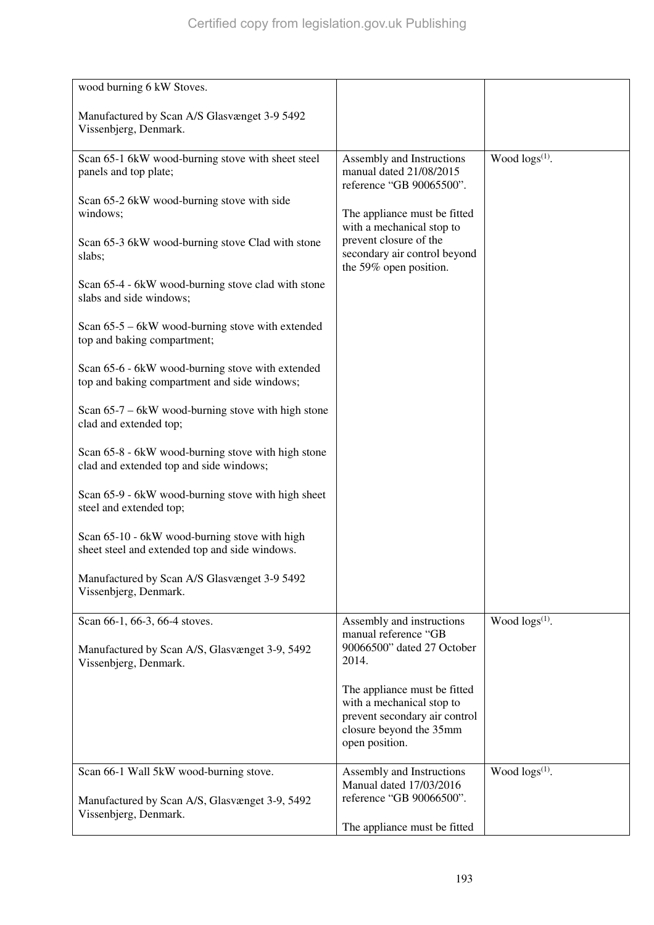| wood burning 6 kW Stoves.                                                                        |                                                                                  |                       |
|--------------------------------------------------------------------------------------------------|----------------------------------------------------------------------------------|-----------------------|
| Manufactured by Scan A/S Glasvænget 3-9 5492<br>Vissenbjerg, Denmark.                            |                                                                                  |                       |
| Scan 65-1 6kW wood-burning stove with sheet steel<br>panels and top plate;                       | Assembly and Instructions<br>manual dated 21/08/2015<br>reference "GB 90065500". | Wood $\log s^{(1)}$ . |
| Scan 65-2 6kW wood-burning stove with side<br>windows;                                           | The appliance must be fitted<br>with a mechanical stop to                        |                       |
| Scan 65-3 6kW wood-burning stove Clad with stone<br>slabs;                                       | prevent closure of the<br>secondary air control beyond<br>the 59% open position. |                       |
| Scan 65-4 - 6kW wood-burning stove clad with stone<br>slabs and side windows;                    |                                                                                  |                       |
| Scan $65-5 - 6kW$ wood-burning stove with extended<br>top and baking compartment;                |                                                                                  |                       |
| Scan 65-6 - 6kW wood-burning stove with extended<br>top and baking compartment and side windows; |                                                                                  |                       |
| Scan $65-7 - 6kW$ wood-burning stove with high stone<br>clad and extended top;                   |                                                                                  |                       |
| Scan 65-8 - 6kW wood-burning stove with high stone<br>clad and extended top and side windows;    |                                                                                  |                       |
| Scan 65-9 - 6kW wood-burning stove with high sheet<br>steel and extended top;                    |                                                                                  |                       |
| Scan 65-10 - 6kW wood-burning stove with high<br>sheet steel and extended top and side windows.  |                                                                                  |                       |
| Manufactured by Scan A/S Glasvænget 3-9 5492<br>Vissenbjerg, Denmark.                            |                                                                                  |                       |
| Scan 66-1, 66-3, 66-4 stoves.                                                                    | Assembly and instructions<br>manual reference "GB                                | Wood $\log s^{(1)}$ . |
| Manufactured by Scan A/S, Glasvænget 3-9, 5492<br>Vissenbjerg, Denmark.                          | 90066500" dated 27 October<br>2014.                                              |                       |
|                                                                                                  | The appliance must be fitted<br>with a mechanical stop to                        |                       |
|                                                                                                  | prevent secondary air control<br>closure beyond the 35mm<br>open position.       |                       |
| Scan 66-1 Wall 5kW wood-burning stove.                                                           | Assembly and Instructions<br>Manual dated 17/03/2016                             | Wood $\log s^{(1)}$ . |
| Manufactured by Scan A/S, Glasvænget 3-9, 5492<br>Vissenbjerg, Denmark.                          | reference "GB 90066500".                                                         |                       |
|                                                                                                  | The appliance must be fitted                                                     |                       |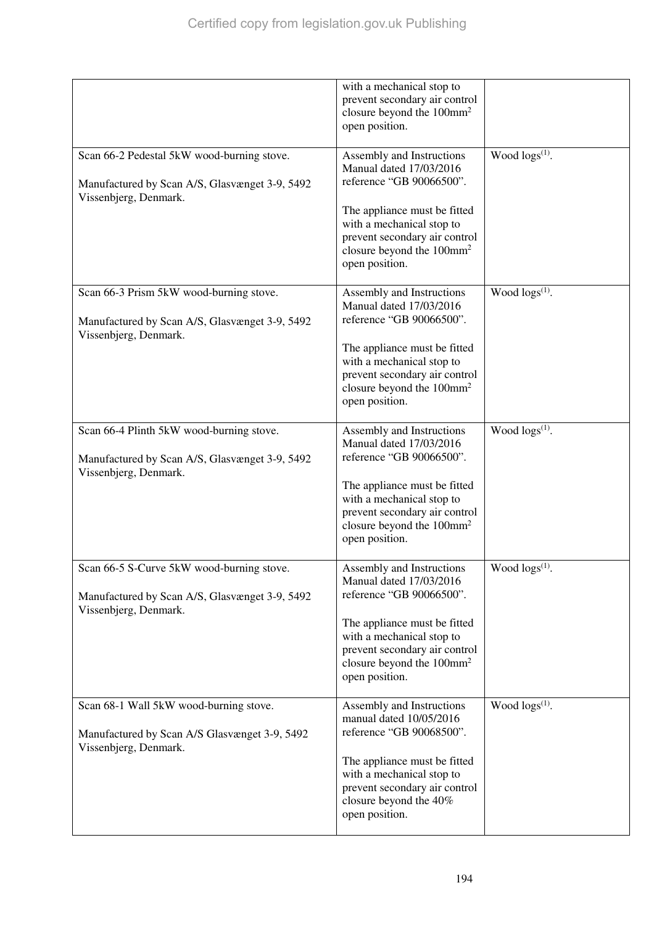|                                                                                                                       | with a mechanical stop to<br>prevent secondary air control<br>closure beyond the 100mm <sup>2</sup><br>open position.                                                                                                                     |                            |
|-----------------------------------------------------------------------------------------------------------------------|-------------------------------------------------------------------------------------------------------------------------------------------------------------------------------------------------------------------------------------------|----------------------------|
| Scan 66-2 Pedestal 5kW wood-burning stove.<br>Manufactured by Scan A/S, Glasvænget 3-9, 5492<br>Vissenbjerg, Denmark. | Assembly and Instructions<br>Manual dated 17/03/2016<br>reference "GB 90066500".<br>The appliance must be fitted<br>with a mechanical stop to<br>prevent secondary air control<br>closure beyond the 100mm <sup>2</sup><br>open position. | Wood $\log s^{(1)}$ .      |
| Scan 66-3 Prism 5kW wood-burning stove.<br>Manufactured by Scan A/S, Glasvænget 3-9, 5492<br>Vissenbjerg, Denmark.    | Assembly and Instructions<br>Manual dated 17/03/2016<br>reference "GB 90066500".<br>The appliance must be fitted<br>with a mechanical stop to<br>prevent secondary air control<br>closure beyond the 100mm <sup>2</sup><br>open position. | Wood $\log s^{(1)}$ .      |
| Scan 66-4 Plinth 5kW wood-burning stove.<br>Manufactured by Scan A/S, Glasvænget 3-9, 5492<br>Vissenbjerg, Denmark.   | Assembly and Instructions<br>Manual dated 17/03/2016<br>reference "GB 90066500".<br>The appliance must be fitted<br>with a mechanical stop to<br>prevent secondary air control<br>closure beyond the 100mm <sup>2</sup><br>open position. | Wood $\log s^{(1)}$ .      |
| Scan 66-5 S-Curve 5kW wood-burning stove.<br>Manufactured by Scan A/S, Glasvænget 3-9, 5492<br>Vissenbjerg, Denmark.  | Assembly and Instructions<br>Manual dated 17/03/2016<br>reference "GB 90066500".<br>The appliance must be fitted<br>with a mechanical stop to<br>prevent secondary air control<br>closure beyond the 100mm <sup>2</sup><br>open position. | Wood logs <sup>(1)</sup> . |
| Scan 68-1 Wall 5kW wood-burning stove.<br>Manufactured by Scan A/S Glasvænget 3-9, 5492<br>Vissenbjerg, Denmark.      | Assembly and Instructions<br>manual dated 10/05/2016<br>reference "GB 90068500".<br>The appliance must be fitted<br>with a mechanical stop to<br>prevent secondary air control<br>closure beyond the 40%<br>open position.                | Wood $\log s^{(1)}$ .      |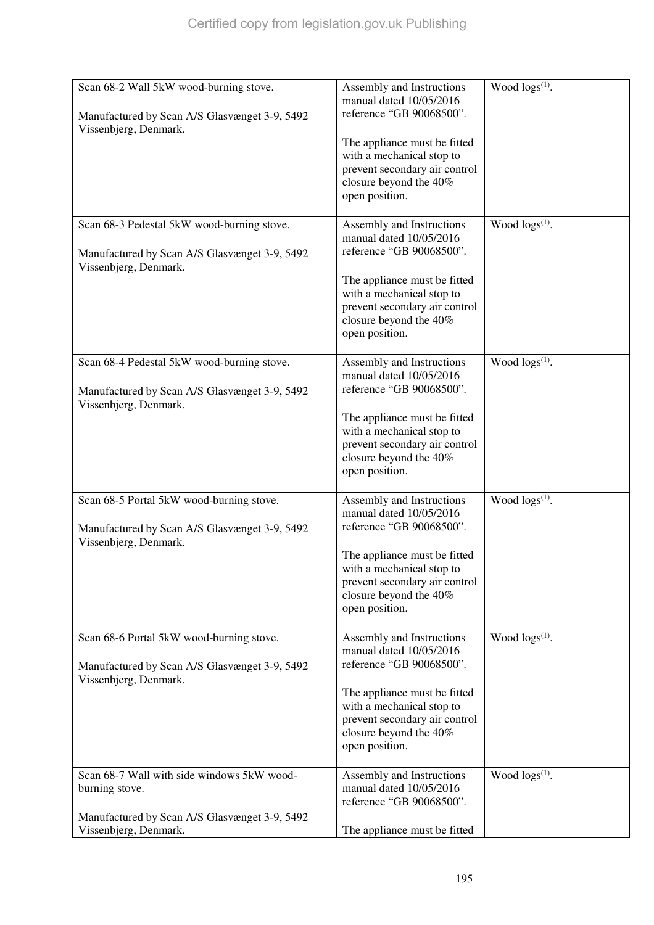| Scan 68-2 Wall 5kW wood-burning stove.<br>Manufactured by Scan A/S Glasvænget 3-9, 5492<br>Vissenbjerg, Denmark.                       | Assembly and Instructions<br>manual dated 10/05/2016<br>reference "GB 90068500".<br>The appliance must be fitted<br>with a mechanical stop to<br>prevent secondary air control<br>closure beyond the 40%<br>open position. | Wood logs <sup>(1)</sup> . |
|----------------------------------------------------------------------------------------------------------------------------------------|----------------------------------------------------------------------------------------------------------------------------------------------------------------------------------------------------------------------------|----------------------------|
| Scan 68-3 Pedestal 5kW wood-burning stove.<br>Manufactured by Scan A/S Glasvænget 3-9, 5492<br>Vissenbjerg, Denmark.                   | Assembly and Instructions<br>manual dated 10/05/2016<br>reference "GB 90068500".<br>The appliance must be fitted<br>with a mechanical stop to<br>prevent secondary air control<br>closure beyond the 40%<br>open position. | Wood $\log s^{(1)}$ .      |
| Scan 68-4 Pedestal 5kW wood-burning stove.<br>Manufactured by Scan A/S Glasvænget 3-9, 5492<br>Vissenbjerg, Denmark.                   | Assembly and Instructions<br>manual dated 10/05/2016<br>reference "GB 90068500".<br>The appliance must be fitted<br>with a mechanical stop to<br>prevent secondary air control<br>closure beyond the 40%<br>open position. | Wood $\log(s^{(1)})$ .     |
| Scan 68-5 Portal 5kW wood-burning stove.<br>Manufactured by Scan A/S Glasvænget 3-9, 5492<br>Vissenbjerg, Denmark.                     | Assembly and Instructions<br>manual dated 10/05/2016<br>reference "GB 90068500".<br>The appliance must be fitted<br>with a mechanical stop to<br>prevent secondary air control<br>closure beyond the 40%<br>open position. | Wood $\log(s^{(1)})$ .     |
| Scan 68-6 Portal 5kW wood-burning stove.<br>Manufactured by Scan A/S Glasvænget 3-9, 5492<br>Vissenbjerg, Denmark.                     | Assembly and Instructions<br>manual dated 10/05/2016<br>reference "GB 90068500".<br>The appliance must be fitted<br>with a mechanical stop to<br>prevent secondary air control<br>closure beyond the 40%<br>open position. | Wood $\log s^{(1)}$ .      |
| Scan 68-7 Wall with side windows 5kW wood-<br>burning stove.<br>Manufactured by Scan A/S Glasvænget 3-9, 5492<br>Vissenbjerg, Denmark. | Assembly and Instructions<br>manual dated 10/05/2016<br>reference "GB 90068500".<br>The appliance must be fitted                                                                                                           | Wood $\log s^{(1)}$ .      |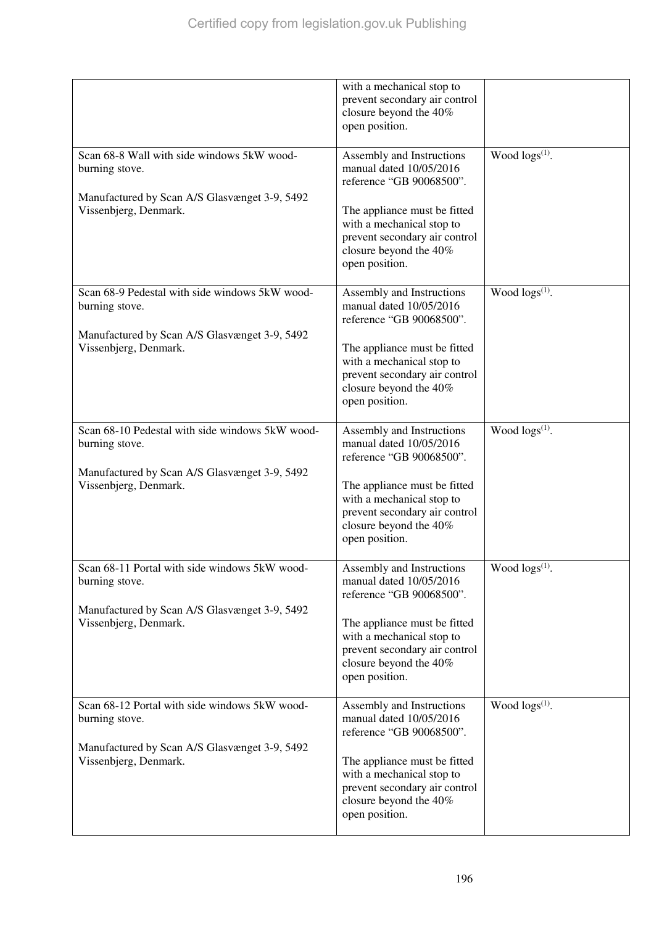|                                                                        | with a mechanical stop to<br>prevent secondary air control<br>closure beyond the 40%<br>open position.                                 |                        |
|------------------------------------------------------------------------|----------------------------------------------------------------------------------------------------------------------------------------|------------------------|
| Scan 68-8 Wall with side windows 5kW wood-<br>burning stove.           | Assembly and Instructions<br>manual dated 10/05/2016<br>reference "GB 90068500".                                                       | Wood $\log s^{(1)}$ .  |
| Manufactured by Scan A/S Glasvænget 3-9, 5492<br>Vissenbjerg, Denmark. | The appliance must be fitted<br>with a mechanical stop to<br>prevent secondary air control<br>closure beyond the 40%<br>open position. |                        |
| Scan 68-9 Pedestal with side windows 5kW wood-<br>burning stove.       | Assembly and Instructions<br>manual dated 10/05/2016<br>reference "GB 90068500".                                                       | Wood $\log s^{(1)}$ .  |
| Manufactured by Scan A/S Glasvænget 3-9, 5492<br>Vissenbjerg, Denmark. | The appliance must be fitted<br>with a mechanical stop to<br>prevent secondary air control<br>closure beyond the 40%<br>open position. |                        |
| Scan 68-10 Pedestal with side windows 5kW wood-<br>burning stove.      | Assembly and Instructions<br>manual dated 10/05/2016<br>reference "GB 90068500".                                                       | Wood $\log s^{(1)}$ .  |
| Manufactured by Scan A/S Glasvænget 3-9, 5492<br>Vissenbjerg, Denmark. | The appliance must be fitted<br>with a mechanical stop to<br>prevent secondary air control<br>closure beyond the 40%<br>open position. |                        |
| Scan 68-11 Portal with side windows 5kW wood-<br>burning stove.        | Assembly and Instructions<br>manual dated 10/05/2016<br>reference "GB 90068500".                                                       | Wood $\log s^{(1)}$ .  |
| Manufactured by Scan A/S Glasvænget 3-9, 5492<br>Vissenbjerg, Denmark. | The appliance must be fitted<br>with a mechanical stop to<br>prevent secondary air control<br>closure beyond the 40%<br>open position. |                        |
| Scan 68-12 Portal with side windows 5kW wood-<br>burning stove.        | Assembly and Instructions<br>manual dated 10/05/2016<br>reference "GB 90068500".                                                       | Wood $\log(s^{(1)})$ . |
| Manufactured by Scan A/S Glasvænget 3-9, 5492<br>Vissenbjerg, Denmark. | The appliance must be fitted<br>with a mechanical stop to<br>prevent secondary air control<br>closure beyond the 40%<br>open position. |                        |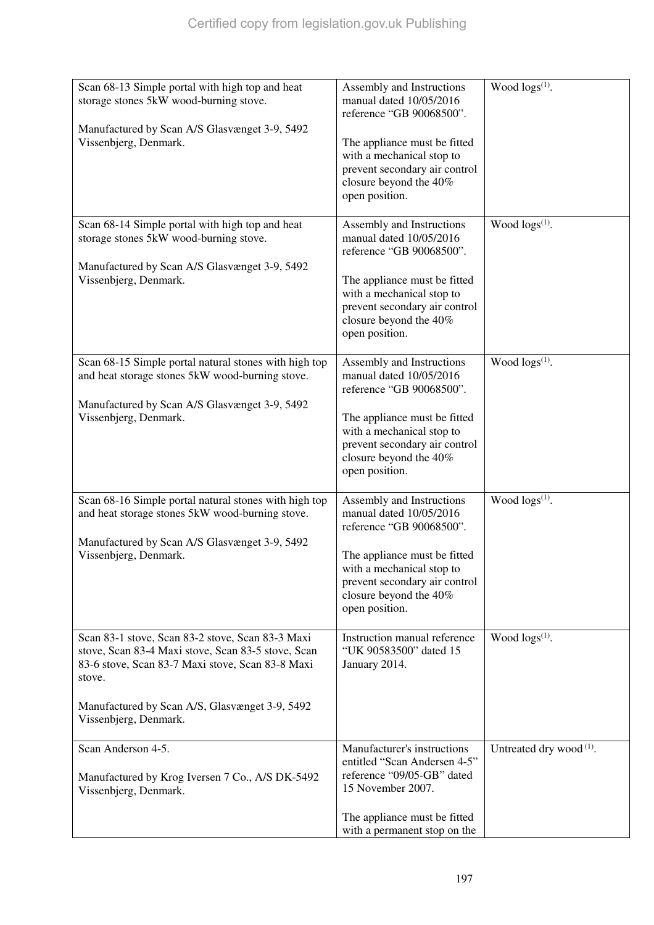| Scan 68-13 Simple portal with high top and heat<br>storage stones 5kW wood-burning stove.<br>Manufactured by Scan A/S Glasvænget 3-9, 5492<br>Vissenbjerg, Denmark.                                                                             | Assembly and Instructions<br>manual dated 10/05/2016<br>reference "GB 90068500".<br>The appliance must be fitted<br>with a mechanical stop to<br>prevent secondary air control<br>closure beyond the 40%<br>open position. | Wood $\log s^{(1)}$ .               |
|-------------------------------------------------------------------------------------------------------------------------------------------------------------------------------------------------------------------------------------------------|----------------------------------------------------------------------------------------------------------------------------------------------------------------------------------------------------------------------------|-------------------------------------|
| Scan 68-14 Simple portal with high top and heat<br>storage stones 5kW wood-burning stove.<br>Manufactured by Scan A/S Glasvænget 3-9, 5492<br>Vissenbjerg, Denmark.                                                                             | Assembly and Instructions<br>manual dated 10/05/2016<br>reference "GB 90068500".<br>The appliance must be fitted<br>with a mechanical stop to<br>prevent secondary air control<br>closure beyond the 40%<br>open position. | Wood logs(1).                       |
| Scan 68-15 Simple portal natural stones with high top<br>and heat storage stones 5kW wood-burning stove.<br>Manufactured by Scan A/S Glasvænget 3-9, 5492<br>Vissenbjerg, Denmark.                                                              | Assembly and Instructions<br>manual dated 10/05/2016<br>reference "GB 90068500".<br>The appliance must be fitted<br>with a mechanical stop to<br>prevent secondary air control<br>closure beyond the 40%<br>open position. | Wood $\log(s^{(1)})$ .              |
| Scan 68-16 Simple portal natural stones with high top<br>and heat storage stones 5kW wood-burning stove.<br>Manufactured by Scan A/S Glasvænget 3-9, 5492<br>Vissenbjerg, Denmark.                                                              | Assembly and Instructions<br>manual dated 10/05/2016<br>reference "GB 90068500".<br>The appliance must be fitted<br>with a mechanical stop to<br>prevent secondary air control<br>closure beyond the 40%<br>open position. | Wood $\log(s^{(1)})$ .              |
| Scan 83-1 stove, Scan 83-2 stove, Scan 83-3 Maxi<br>stove, Scan 83-4 Maxi stove, Scan 83-5 stove, Scan<br>83-6 stove, Scan 83-7 Maxi stove, Scan 83-8 Maxi<br>stove.<br>Manufactured by Scan A/S, Glasvænget 3-9, 5492<br>Vissenbjerg, Denmark. | Instruction manual reference<br>"UK 90583500" dated 15<br>January 2014.                                                                                                                                                    | Wood $\log(s^{(1)})$ .              |
| Scan Anderson 4-5.<br>Manufactured by Krog Iversen 7 Co., A/S DK-5492<br>Vissenbjerg, Denmark.                                                                                                                                                  | Manufacturer's instructions<br>entitled "Scan Andersen 4-5"<br>reference "09/05-GB" dated<br>15 November 2007.<br>The appliance must be fitted<br>with a permanent stop on the                                             | Untreated dry wood <sup>(1)</sup> . |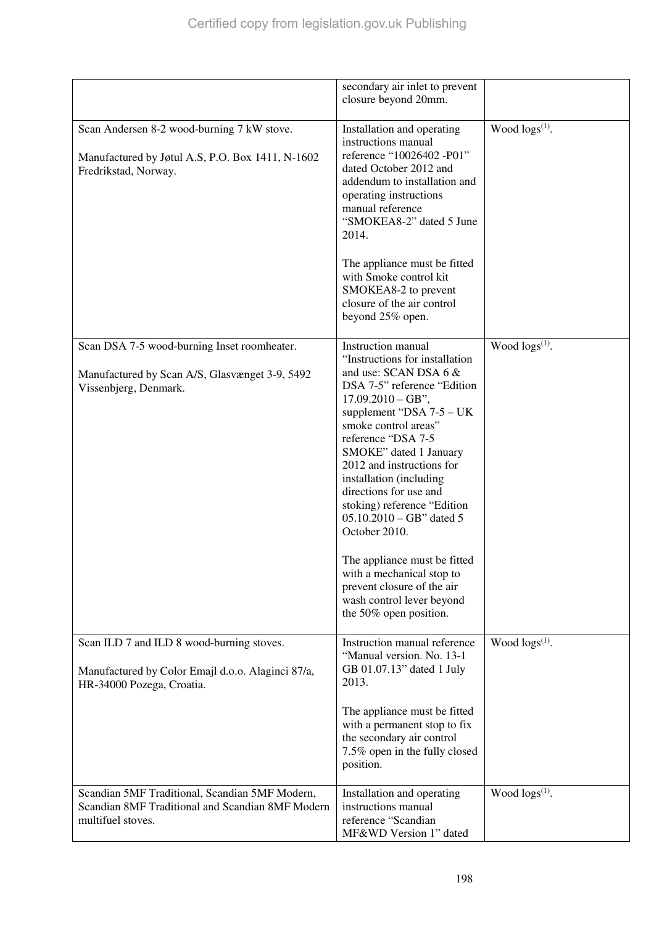|                                                                                                                             | secondary air inlet to prevent<br>closure beyond 20mm.                                                                                                                                                                                                                                                                                                                                                                                                                                                                                                     |                        |
|-----------------------------------------------------------------------------------------------------------------------------|------------------------------------------------------------------------------------------------------------------------------------------------------------------------------------------------------------------------------------------------------------------------------------------------------------------------------------------------------------------------------------------------------------------------------------------------------------------------------------------------------------------------------------------------------------|------------------------|
| Scan Andersen 8-2 wood-burning 7 kW stove.<br>Manufactured by Jøtul A.S, P.O. Box 1411, N-1602<br>Fredrikstad, Norway.      | Installation and operating<br>instructions manual<br>reference "10026402 -P01"<br>dated October 2012 and<br>addendum to installation and<br>operating instructions<br>manual reference<br>"SMOKEA8-2" dated 5 June<br>2014.                                                                                                                                                                                                                                                                                                                                | Wood $\log(s^{(1)})$ . |
|                                                                                                                             | The appliance must be fitted<br>with Smoke control kit<br>SMOKEA8-2 to prevent<br>closure of the air control<br>beyond 25% open.                                                                                                                                                                                                                                                                                                                                                                                                                           |                        |
| Scan DSA 7-5 wood-burning Inset roomheater.<br>Manufactured by Scan A/S, Glasvænget 3-9, 5492<br>Vissenbjerg, Denmark.      | Instruction manual<br>"Instructions for installation<br>and use: SCAN DSA 6 &<br>DSA 7-5" reference "Edition<br>$17.09.2010 - GB$ ",<br>supplement "DSA 7-5 - UK<br>smoke control areas"<br>reference "DSA 7-5<br>SMOKE" dated 1 January<br>2012 and instructions for<br>installation (including<br>directions for use and<br>stoking) reference "Edition<br>$05.10.2010 - GB"$ dated 5<br>October 2010.<br>The appliance must be fitted<br>with a mechanical stop to<br>prevent closure of the air<br>wash control lever beyond<br>the 50% open position. | Wood $\log(s^{(1)})$ . |
| Scan ILD 7 and ILD 8 wood-burning stoves.<br>Manufactured by Color Emajl d.o.o. Alaginci 87/a,<br>HR-34000 Pozega, Croatia. | Instruction manual reference<br>"Manual version. No. 13-1<br>GB 01.07.13" dated 1 July<br>2013.<br>The appliance must be fitted<br>with a permanent stop to fix<br>the secondary air control<br>7.5% open in the fully closed<br>position.                                                                                                                                                                                                                                                                                                                 | Wood $\log(s^{(1)})$ . |
| Scandian 5MF Traditional, Scandian 5MF Modern,<br>Scandian 8MF Traditional and Scandian 8MF Modern<br>multifuel stoves.     | Installation and operating<br>instructions manual<br>reference "Scandian<br>MF&WD Version 1" dated                                                                                                                                                                                                                                                                                                                                                                                                                                                         | Wood $\log(s^{(1)})$ . |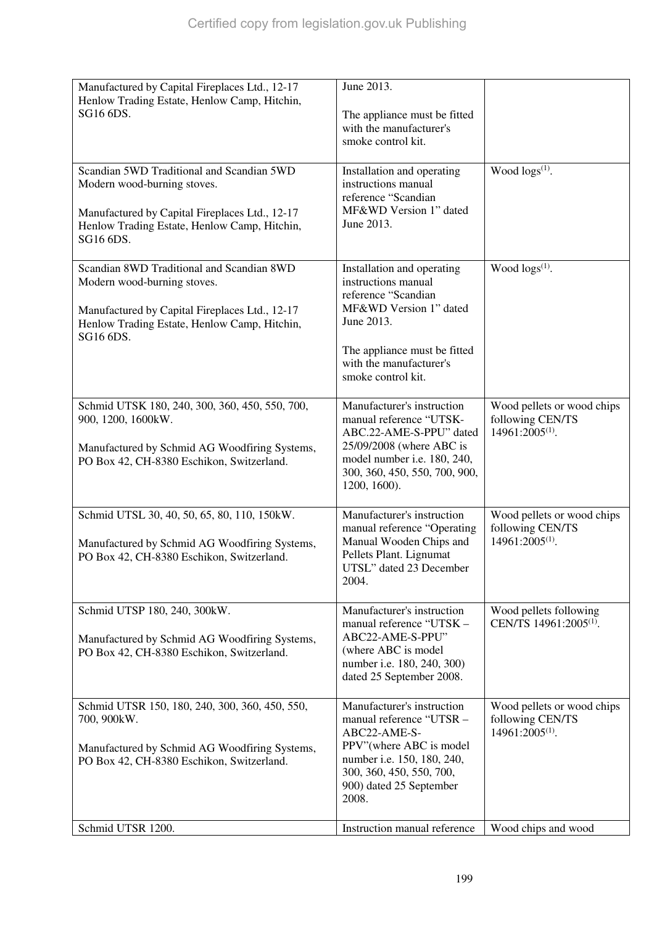| Manufactured by Capital Fireplaces Ltd., 12-17<br>Henlow Trading Estate, Henlow Camp, Hitchin,<br>SG16 6DS.                                                                             | June 2013.<br>The appliance must be fitted<br>with the manufacturer's<br>smoke control kit.                                                                                                       |                                                                               |
|-----------------------------------------------------------------------------------------------------------------------------------------------------------------------------------------|---------------------------------------------------------------------------------------------------------------------------------------------------------------------------------------------------|-------------------------------------------------------------------------------|
| Scandian 5WD Traditional and Scandian 5WD<br>Modern wood-burning stoves.<br>Manufactured by Capital Fireplaces Ltd., 12-17<br>Henlow Trading Estate, Henlow Camp, Hitchin,<br>SG16 6DS. | Installation and operating<br>instructions manual<br>reference "Scandian<br>MF&WD Version 1" dated<br>June 2013.                                                                                  | Wood $\log(s^{(1)})$ .                                                        |
| Scandian 8WD Traditional and Scandian 8WD<br>Modern wood-burning stoves.<br>Manufactured by Capital Fireplaces Ltd., 12-17<br>Henlow Trading Estate, Henlow Camp, Hitchin,<br>SG16 6DS. | Installation and operating<br>instructions manual<br>reference "Scandian<br>MF&WD Version 1" dated<br>June 2013.<br>The appliance must be fitted<br>with the manufacturer's<br>smoke control kit. | Wood $\log(s^{(1)})$ .                                                        |
| Schmid UTSK 180, 240, 300, 360, 450, 550, 700,<br>900, 1200, 1600kW.<br>Manufactured by Schmid AG Woodfiring Systems,<br>PO Box 42, CH-8380 Eschikon, Switzerland.                      | Manufacturer's instruction<br>manual reference "UTSK-<br>ABC.22-AME-S-PPU" dated<br>25/09/2008 (where ABC is<br>model number i.e. 180, 240,<br>300, 360, 450, 550, 700, 900,<br>1200, 1600).      | Wood pellets or wood chips<br>following CEN/TS<br>$14961:2005^{(1)}$ .        |
| Schmid UTSL 30, 40, 50, 65, 80, 110, 150kW.<br>Manufactured by Schmid AG Woodfiring Systems,<br>PO Box 42, CH-8380 Eschikon, Switzerland.                                               | Manufacturer's instruction<br>manual reference "Operating<br>Manual Wooden Chips and<br>Pellets Plant. Lignumat<br>UTSL" dated 23 December<br>2004.                                               | Wood pellets or wood chips<br>following CEN/TS<br>14961:2005 <sup>(1)</sup> . |
| Schmid UTSP 180, 240, 300kW.<br>Manufactured by Schmid AG Woodfiring Systems,<br>PO Box 42, CH-8380 Eschikon, Switzerland.                                                              | Manufacturer's instruction<br>manual reference "UTSK -<br>ABC22-AME-S-PPU"<br>(where ABC is model<br>number i.e. 180, 240, 300)<br>dated 25 September 2008.                                       | Wood pellets following<br>CEN/TS 14961:2005 <sup>(1)</sup> .                  |
| Schmid UTSR 150, 180, 240, 300, 360, 450, 550,<br>700, 900kW.<br>Manufactured by Schmid AG Woodfiring Systems,<br>PO Box 42, CH-8380 Eschikon, Switzerland.                             | Manufacturer's instruction<br>manual reference "UTSR -<br>ABC22-AME-S-<br>PPV"(where ABC is model<br>number i.e. 150, 180, 240,<br>300, 360, 450, 550, 700,<br>900) dated 25 September<br>2008.   | Wood pellets or wood chips<br>following CEN/TS<br>14961:2005 <sup>(1)</sup> . |
| Schmid UTSR 1200.                                                                                                                                                                       | Instruction manual reference                                                                                                                                                                      | Wood chips and wood                                                           |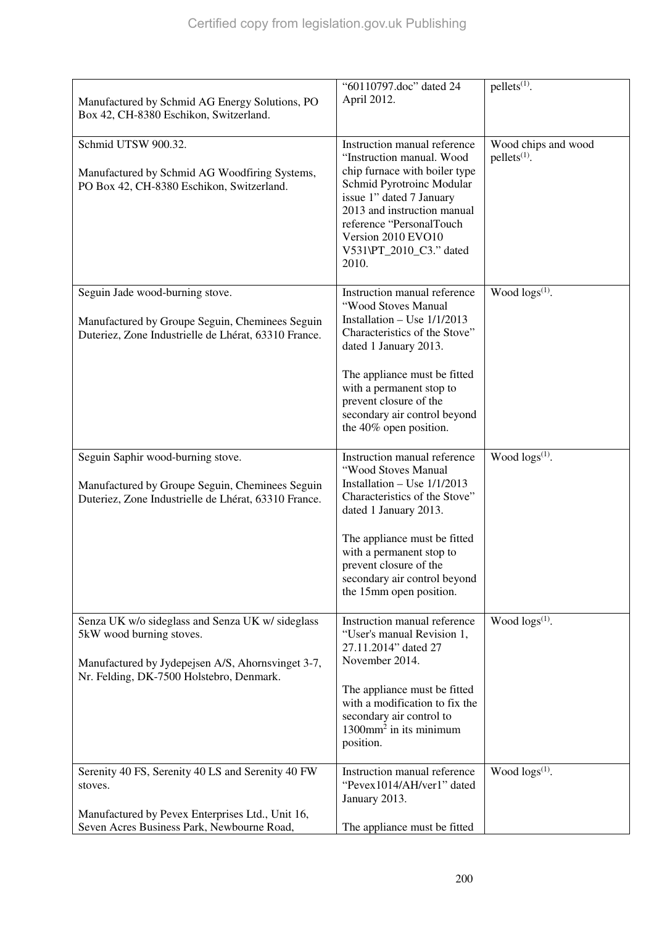| Manufactured by Schmid AG Energy Solutions, PO<br>Box 42, CH-8380 Eschikon, Switzerland.                                                                                      | "60110797.doc" dated 24<br>April 2012.                                                                                                                                                                                                                                                          | $pellets^{(1)}$ .                               |
|-------------------------------------------------------------------------------------------------------------------------------------------------------------------------------|-------------------------------------------------------------------------------------------------------------------------------------------------------------------------------------------------------------------------------------------------------------------------------------------------|-------------------------------------------------|
| Schmid UTSW 900.32.<br>Manufactured by Schmid AG Woodfiring Systems,<br>PO Box 42, CH-8380 Eschikon, Switzerland.                                                             | Instruction manual reference<br>"Instruction manual. Wood<br>chip furnace with boiler type<br>Schmid Pyrotroinc Modular<br>issue 1" dated 7 January<br>2013 and instruction manual<br>reference "PersonalTouch<br>Version 2010 EVO10<br>V531\PT_2010_C3." dated<br>2010.                        | Wood chips and wood<br>pellets <sup>(1)</sup> . |
| Seguin Jade wood-burning stove.<br>Manufactured by Groupe Seguin, Cheminees Seguin<br>Duteriez, Zone Industrielle de Lhérat, 63310 France.                                    | Instruction manual reference<br>"Wood Stoves Manual<br>Installation – Use $1/1/2013$<br>Characteristics of the Stove"<br>dated 1 January 2013.<br>The appliance must be fitted<br>with a permanent stop to<br>prevent closure of the<br>secondary air control beyond<br>the 40% open position.  | Wood $\log(s^{(1)})$ .                          |
| Seguin Saphir wood-burning stove.<br>Manufactured by Groupe Seguin, Cheminees Seguin<br>Duteriez, Zone Industrielle de Lhérat, 63310 France.                                  | Instruction manual reference<br>"Wood Stoves Manual<br>Installation – Use $1/1/2013$<br>Characteristics of the Stove"<br>dated 1 January 2013.<br>The appliance must be fitted<br>with a permanent stop to<br>prevent closure of the<br>secondary air control beyond<br>the 15mm open position. | Wood $\log s^{(1)}$ .                           |
| Senza UK w/o sideglass and Senza UK w/ sideglass<br>5kW wood burning stoves.<br>Manufactured by Jydepejsen A/S, Ahornsvinget 3-7,<br>Nr. Felding, DK-7500 Holstebro, Denmark. | Instruction manual reference<br>"User's manual Revision 1,<br>27.11.2014" dated 27<br>November 2014.<br>The appliance must be fitted<br>with a modification to fix the<br>secondary air control to<br>$1300$ mm <sup>2</sup> in its minimum<br>position.                                        | Wood $\log(s^{(1)})$ .                          |
| Serenity 40 FS, Serenity 40 LS and Serenity 40 FW<br>stoves.<br>Manufactured by Pevex Enterprises Ltd., Unit 16,                                                              | Instruction manual reference<br>"Pevex1014/AH/ver1" dated<br>January 2013.                                                                                                                                                                                                                      | Wood $\log(s^{(1)})$ .                          |
| Seven Acres Business Park, Newbourne Road,                                                                                                                                    | The appliance must be fitted                                                                                                                                                                                                                                                                    |                                                 |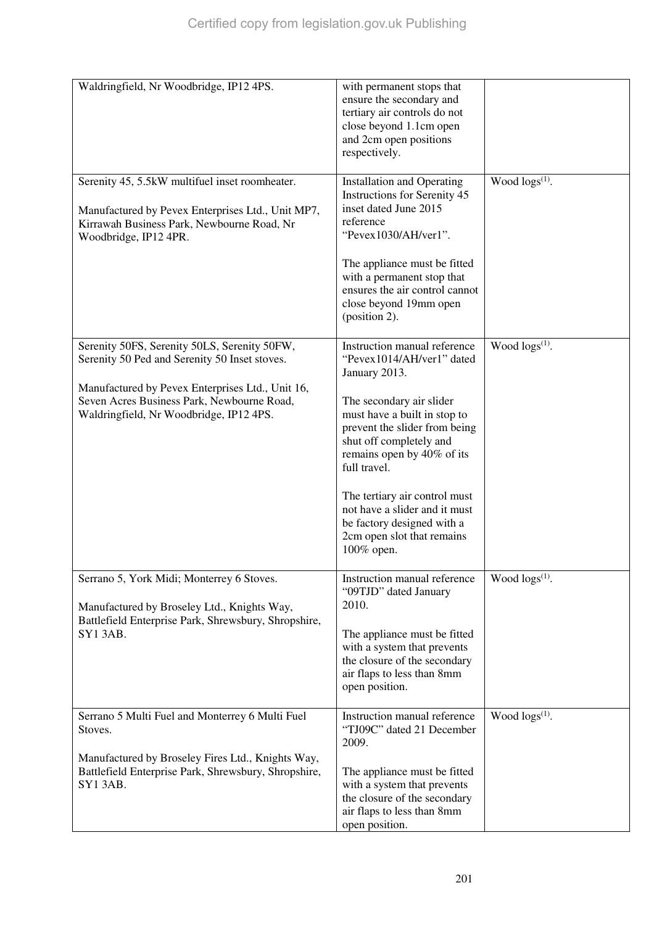| Waldringfield, Nr Woodbridge, IP12 4PS.                                                                                                                                                                                                    | with permanent stops that<br>ensure the secondary and<br>tertiary air controls do not<br>close beyond 1.1cm open<br>and 2cm open positions<br>respectively.                                                                                                                                                                                                                                  |                            |
|--------------------------------------------------------------------------------------------------------------------------------------------------------------------------------------------------------------------------------------------|----------------------------------------------------------------------------------------------------------------------------------------------------------------------------------------------------------------------------------------------------------------------------------------------------------------------------------------------------------------------------------------------|----------------------------|
| Serenity 45, 5.5kW multifuel inset roomheater.<br>Manufactured by Pevex Enterprises Ltd., Unit MP7,<br>Kirrawah Business Park, Newbourne Road, Nr<br>Woodbridge, IP12 4PR.                                                                 | <b>Installation and Operating</b><br>Instructions for Serenity 45<br>inset dated June 2015<br>reference<br>"Pevex1030/AH/ver1".<br>The appliance must be fitted<br>with a permanent stop that<br>ensures the air control cannot<br>close beyond 19mm open<br>(position 2).                                                                                                                   | Wood logs <sup>(1)</sup> . |
| Serenity 50FS, Serenity 50LS, Serenity 50FW,<br>Serenity 50 Ped and Serenity 50 Inset stoves.<br>Manufactured by Pevex Enterprises Ltd., Unit 16,<br>Seven Acres Business Park, Newbourne Road,<br>Waldringfield, Nr Woodbridge, IP12 4PS. | Instruction manual reference<br>"Pevex1014/AH/ver1" dated<br>January 2013.<br>The secondary air slider<br>must have a built in stop to<br>prevent the slider from being<br>shut off completely and<br>remains open by 40% of its<br>full travel.<br>The tertiary air control must<br>not have a slider and it must<br>be factory designed with a<br>2cm open slot that remains<br>100% open. | Wood $\log(s^{(1)})$ .     |
| Serrano 5, York Midi; Monterrey 6 Stoves.<br>Manufactured by Broseley Ltd., Knights Way,<br>Battlefield Enterprise Park, Shrewsbury, Shropshire,<br><b>SY13AB.</b>                                                                         | Instruction manual reference<br>"09TJD" dated January<br>2010.<br>The appliance must be fitted<br>with a system that prevents<br>the closure of the secondary<br>air flaps to less than 8mm<br>open position.                                                                                                                                                                                | Wood $\log s^{(1)}$ .      |
| Serrano 5 Multi Fuel and Monterrey 6 Multi Fuel<br>Stoves.<br>Manufactured by Broseley Fires Ltd., Knights Way,<br>Battlefield Enterprise Park, Shrewsbury, Shropshire,<br>SY13AB.                                                         | Instruction manual reference<br>"TJ09C" dated 21 December<br>2009.<br>The appliance must be fitted<br>with a system that prevents<br>the closure of the secondary<br>air flaps to less than 8mm<br>open position.                                                                                                                                                                            | Wood $\log s^{(1)}$ .      |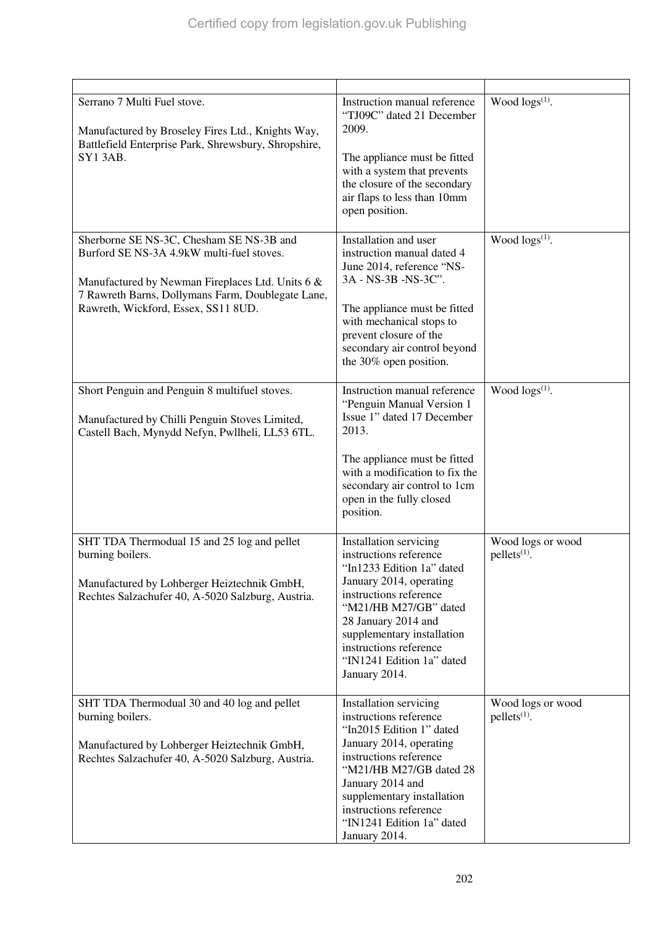| Serrano 7 Multi Fuel stove.<br>Manufactured by Broseley Fires Ltd., Knights Way,<br>Battlefield Enterprise Park, Shrewsbury, Shropshire,<br><b>SY13AB.</b>                                                                            | Instruction manual reference<br>"TJ09C" dated 21 December<br>2009.<br>The appliance must be fitted<br>with a system that prevents<br>the closure of the secondary<br>air flaps to less than 10mm<br>open position.                                                                       | Wood $\log(s^{(1)})$ .              |
|---------------------------------------------------------------------------------------------------------------------------------------------------------------------------------------------------------------------------------------|------------------------------------------------------------------------------------------------------------------------------------------------------------------------------------------------------------------------------------------------------------------------------------------|-------------------------------------|
| Sherborne SE NS-3C, Chesham SE NS-3B and<br>Burford SE NS-3A 4.9kW multi-fuel stoves.<br>Manufactured by Newman Fireplaces Ltd. Units 6 &<br>7 Rawreth Barns, Dollymans Farm, Doublegate Lane,<br>Rawreth, Wickford, Essex, SS11 8UD. | Installation and user<br>instruction manual dated 4<br>June 2014, reference "NS-<br>3A - NS-3B - NS-3C".<br>The appliance must be fitted<br>with mechanical stops to<br>prevent closure of the<br>secondary air control beyond<br>the 30% open position.                                 | Wood logs <sup>(1)</sup> .          |
| Short Penguin and Penguin 8 multifuel stoves.<br>Manufactured by Chilli Penguin Stoves Limited,<br>Castell Bach, Mynydd Nefyn, Pwllheli, LL53 6TL.                                                                                    | Instruction manual reference<br>"Penguin Manual Version 1<br>Issue 1" dated 17 December<br>2013.<br>The appliance must be fitted<br>with a modification to fix the<br>secondary air control to 1cm<br>open in the fully closed<br>position.                                              | Wood $\log s^{(1)}$ .               |
| SHT TDA Thermodual 15 and 25 log and pellet<br>burning boilers.<br>Manufactured by Lohberger Heiztechnik GmbH,<br>Rechtes Salzachufer 40, A-5020 Salzburg, Austria.                                                                   | Installation servicing<br>instructions reference<br>"In1233 Edition 1a" dated<br>January 2014, operating<br>instructions reference<br>"M21/HB M27/GB" dated<br>28 January 2014 and<br>supplementary installation<br>instructions reference<br>"IN1241 Edition 1a" dated<br>January 2014. | Wood logs or wood<br>$pellets(1)$ . |
| SHT TDA Thermodual 30 and 40 log and pellet<br>burning boilers.<br>Manufactured by Lohberger Heiztechnik GmbH,<br>Rechtes Salzachufer 40, A-5020 Salzburg, Austria.                                                                   | Installation servicing<br>instructions reference<br>"In2015 Edition 1" dated<br>January 2014, operating<br>instructions reference<br>"M21/HB M27/GB dated 28<br>January 2014 and<br>supplementary installation<br>instructions reference<br>"IN1241 Edition 1a" dated<br>January 2014.   | Wood logs or wood<br>$pellets(1)$ . |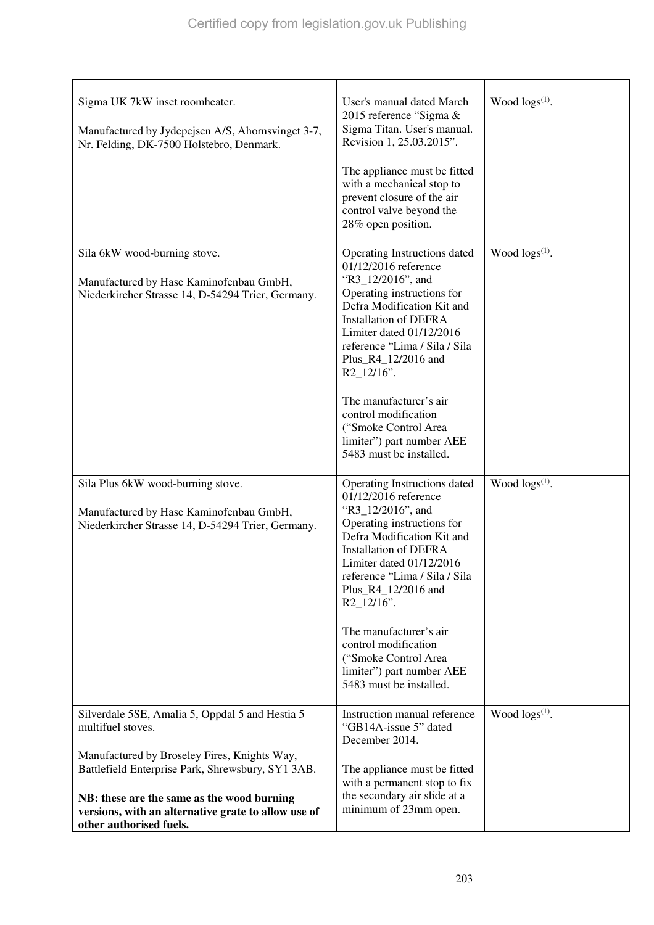| Sigma UK 7kW inset roomheater.<br>Manufactured by Jydepejsen A/S, Ahornsvinget 3-7,<br>Nr. Felding, DK-7500 Holstebro, Denmark.                                                                                                                                                                           | User's manual dated March<br>2015 reference "Sigma &<br>Sigma Titan. User's manual.<br>Revision 1, 25.03.2015".<br>The appliance must be fitted<br>with a mechanical stop to<br>prevent closure of the air<br>control valve beyond the<br>28% open position.                                                                                                                                                   | Wood $\log(s^{(1)})$ . |
|-----------------------------------------------------------------------------------------------------------------------------------------------------------------------------------------------------------------------------------------------------------------------------------------------------------|----------------------------------------------------------------------------------------------------------------------------------------------------------------------------------------------------------------------------------------------------------------------------------------------------------------------------------------------------------------------------------------------------------------|------------------------|
| Sila 6kW wood-burning stove.<br>Manufactured by Hase Kaminofenbau GmbH,<br>Niederkircher Strasse 14, D-54294 Trier, Germany.                                                                                                                                                                              | Operating Instructions dated<br>01/12/2016 reference<br>"R3_12/2016", and<br>Operating instructions for<br>Defra Modification Kit and<br><b>Installation of DEFRA</b><br>Limiter dated 01/12/2016<br>reference "Lima / Sila / Sila<br>Plus_R4_12/2016 and<br>$R2_12/16$ ".<br>The manufacturer's air<br>control modification<br>("Smoke Control Area<br>limiter") part number AEE<br>5483 must be installed.   | Wood $\log(s^{(1)})$ . |
| Sila Plus 6kW wood-burning stove.<br>Manufactured by Hase Kaminofenbau GmbH,<br>Niederkircher Strasse 14, D-54294 Trier, Germany.                                                                                                                                                                         | Operating Instructions dated<br>01/12/2016 reference<br>"R3_12/2016", and<br>Operating instructions for<br>Defra Modification Kit and<br><b>Installation of DEFRA</b><br>Limiter dated $01/12/2016$<br>reference "Lima / Sila / Sila<br>Plus_R4_12/2016 and<br>$R2_12/16$ ".<br>The manufacturer's air<br>control modification<br>("Smoke Control Area<br>limiter") part number AEE<br>5483 must be installed. | Wood $\log s^{(1)}$ .  |
| Silverdale 5SE, Amalia 5, Oppdal 5 and Hestia 5<br>multifuel stoves.<br>Manufactured by Broseley Fires, Knights Way,<br>Battlefield Enterprise Park, Shrewsbury, SY1 3AB.<br>NB: these are the same as the wood burning<br>versions, with an alternative grate to allow use of<br>other authorised fuels. | Instruction manual reference<br>"GB14A-issue 5" dated<br>December 2014.<br>The appliance must be fitted<br>with a permanent stop to fix<br>the secondary air slide at a<br>minimum of 23mm open.                                                                                                                                                                                                               | Wood $\log(s^{(1)})$ . |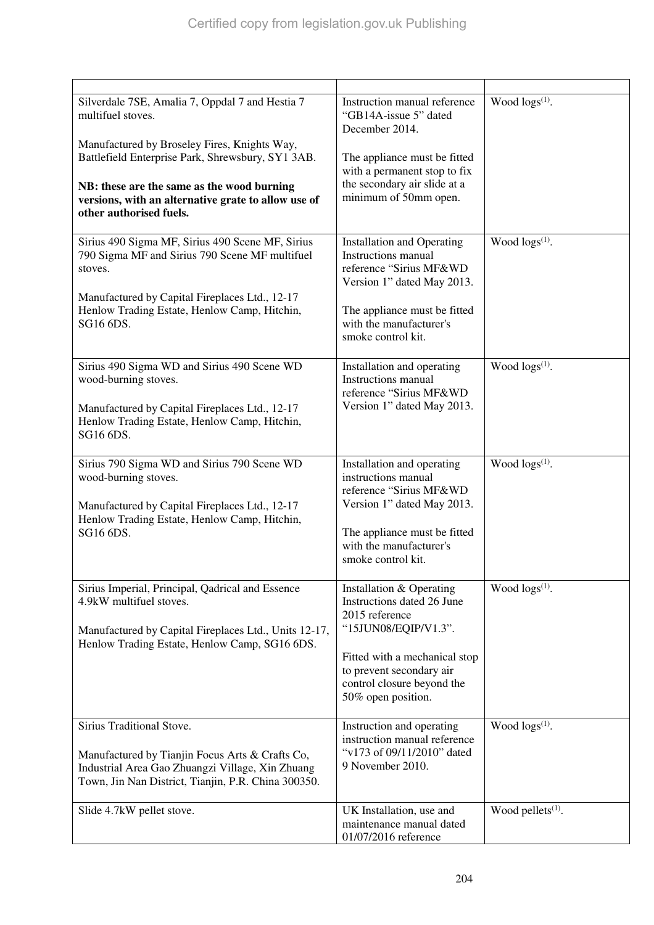| Silverdale 7SE, Amalia 7, Oppdal 7 and Hestia 7<br>multifuel stoves.<br>Manufactured by Broseley Fires, Knights Way,<br>Battlefield Enterprise Park, Shrewsbury, SY1 3AB.<br>NB: these are the same as the wood burning<br>versions, with an alternative grate to allow use of<br>other authorised fuels. | Instruction manual reference<br>"GB14A-issue 5" dated<br>December 2014.<br>The appliance must be fitted<br>with a permanent stop to fix<br>the secondary air slide at a<br>minimum of 50mm open.                  | Wood $\log(s^{(1)})$ . |
|-----------------------------------------------------------------------------------------------------------------------------------------------------------------------------------------------------------------------------------------------------------------------------------------------------------|-------------------------------------------------------------------------------------------------------------------------------------------------------------------------------------------------------------------|------------------------|
| Sirius 490 Sigma MF, Sirius 490 Scene MF, Sirius<br>790 Sigma MF and Sirius 790 Scene MF multifuel<br>stoves.<br>Manufactured by Capital Fireplaces Ltd., 12-17<br>Henlow Trading Estate, Henlow Camp, Hitchin,<br>SG16 6DS.                                                                              | <b>Installation and Operating</b><br><b>Instructions</b> manual<br>reference "Sirius MF&WD<br>Version 1" dated May 2013.<br>The appliance must be fitted<br>with the manufacturer's<br>smoke control kit.         | Wood $\log s^{(1)}$ .  |
| Sirius 490 Sigma WD and Sirius 490 Scene WD<br>wood-burning stoves.<br>Manufactured by Capital Fireplaces Ltd., 12-17<br>Henlow Trading Estate, Henlow Camp, Hitchin,<br>SG16 6DS.                                                                                                                        | Installation and operating<br>Instructions manual<br>reference "Sirius MF&WD<br>Version 1" dated May 2013.                                                                                                        | Wood $\log s^{(1)}$ .  |
| Sirius 790 Sigma WD and Sirius 790 Scene WD<br>wood-burning stoves.<br>Manufactured by Capital Fireplaces Ltd., 12-17<br>Henlow Trading Estate, Henlow Camp, Hitchin,<br>SG16 6DS.                                                                                                                        | Installation and operating<br>instructions manual<br>reference "Sirius MF&WD<br>Version 1" dated May 2013.<br>The appliance must be fitted<br>with the manufacturer's<br>smoke control kit.                       | Wood $\log s^{(1)}$ .  |
| Sirius Imperial, Principal, Qadrical and Essence<br>4.9kW multifuel stoves.<br>Manufactured by Capital Fireplaces Ltd., Units 12-17,<br>Henlow Trading Estate, Henlow Camp, SG16 6DS.                                                                                                                     | Installation & Operating<br>Instructions dated 26 June<br>2015 reference<br>"15JUN08/EQIP/V1.3".<br>Fitted with a mechanical stop<br>to prevent secondary air<br>control closure beyond the<br>50% open position. | Wood $\log s^{(1)}$ .  |
| Sirius Traditional Stove.<br>Manufactured by Tianjin Focus Arts & Crafts Co,<br>Industrial Area Gao Zhuangzi Village, Xin Zhuang<br>Town, Jin Nan District, Tianjin, P.R. China 300350.                                                                                                                   | Instruction and operating<br>instruction manual reference<br>"v173 of 09/11/2010" dated<br>9 November 2010.                                                                                                       | Wood $\log(s^{(1)})$ . |
| Slide 4.7kW pellet stove.                                                                                                                                                                                                                                                                                 | UK Installation, use and<br>maintenance manual dated<br>01/07/2016 reference                                                                                                                                      | Wood pellets $(1)$ .   |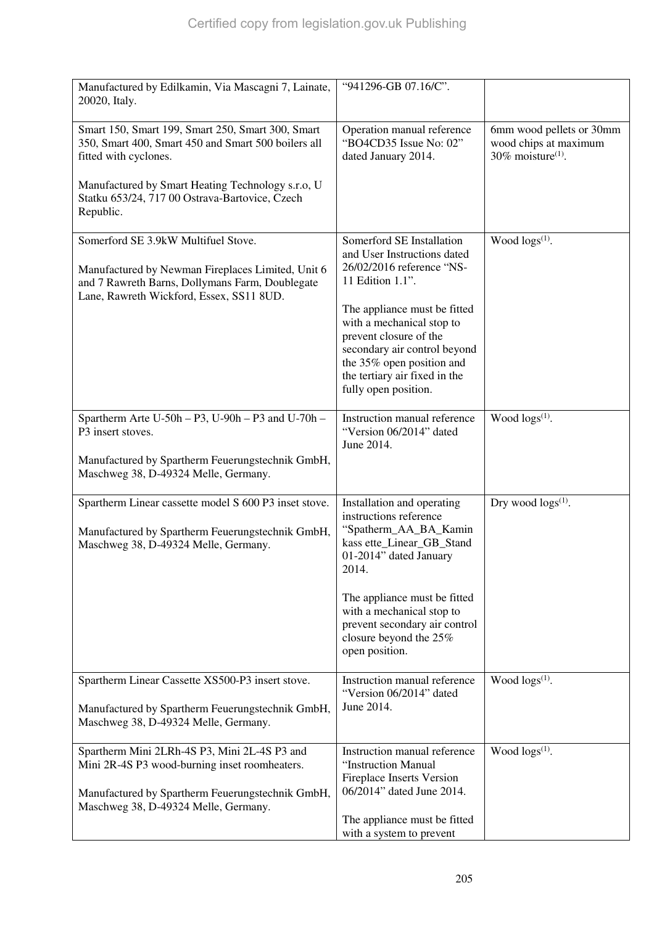| Manufactured by Edilkamin, Via Mascagni 7, Lainate,<br>20020, Italy.                                                                                                                                                                                  | "941296-GB 07.16/C".                                                                                                                                                                                                                                                                                                   |                                                                                       |
|-------------------------------------------------------------------------------------------------------------------------------------------------------------------------------------------------------------------------------------------------------|------------------------------------------------------------------------------------------------------------------------------------------------------------------------------------------------------------------------------------------------------------------------------------------------------------------------|---------------------------------------------------------------------------------------|
| Smart 150, Smart 199, Smart 250, Smart 300, Smart<br>350, Smart 400, Smart 450 and Smart 500 boilers all<br>fitted with cyclones.<br>Manufactured by Smart Heating Technology s.r.o, U<br>Statku 653/24, 717 00 Ostrava-Bartovice, Czech<br>Republic. | Operation manual reference<br>"BO4CD35 Issue No: 02"<br>dated January 2014.                                                                                                                                                                                                                                            | 6mm wood pellets or 30mm<br>wood chips at maximum<br>$30\%$ moisture <sup>(1)</sup> . |
| Somerford SE 3.9kW Multifuel Stove.<br>Manufactured by Newman Fireplaces Limited, Unit 6<br>and 7 Rawreth Barns, Dollymans Farm, Doublegate<br>Lane, Rawreth Wickford, Essex, SS11 8UD.                                                               | Somerford SE Installation<br>and User Instructions dated<br>26/02/2016 reference "NS-<br>11 Edition 1.1".<br>The appliance must be fitted<br>with a mechanical stop to<br>prevent closure of the<br>secondary air control beyond<br>the 35% open position and<br>the tertiary air fixed in the<br>fully open position. | Wood $\log(s^{(1)})$ .                                                                |
| Spartherm Arte U-50h $-$ P3, U-90h $-$ P3 and U-70h $-$<br>P3 insert stoves.<br>Manufactured by Spartherm Feuerungstechnik GmbH,<br>Maschweg 38, D-49324 Melle, Germany.                                                                              | Instruction manual reference<br>"Version 06/2014" dated<br>June 2014.                                                                                                                                                                                                                                                  | Wood $\log(s^{(1)})$ .                                                                |
| Spartherm Linear cassette model S 600 P3 inset stove.<br>Manufactured by Spartherm Feuerungstechnik GmbH,<br>Maschweg 38, D-49324 Melle, Germany.                                                                                                     | Installation and operating<br>instructions reference<br>"Spatherm_AA_BA_Kamin<br>kass ette_Linear_GB_Stand<br>01-2014" dated January<br>2014.<br>The appliance must be fitted<br>with a mechanical stop to<br>prevent secondary air control<br>closure beyond the 25%<br>open position.                                | Dry wood $\log s^{(1)}$ .                                                             |
| Spartherm Linear Cassette XS500-P3 insert stove.<br>Manufactured by Spartherm Feuerungstechnik GmbH,<br>Maschweg 38, D-49324 Melle, Germany.                                                                                                          | Instruction manual reference<br>"Version 06/2014" dated<br>June 2014.                                                                                                                                                                                                                                                  | Wood $\log(s^{(1)})$ .                                                                |
| Spartherm Mini 2LRh-4S P3, Mini 2L-4S P3 and<br>Mini 2R-4S P3 wood-burning inset roomheaters.<br>Manufactured by Spartherm Feuerungstechnik GmbH,<br>Maschweg 38, D-49324 Melle, Germany.                                                             | Instruction manual reference<br>"Instruction Manual<br><b>Fireplace Inserts Version</b><br>06/2014" dated June 2014.<br>The appliance must be fitted<br>with a system to prevent                                                                                                                                       | Wood $\log(s^{(1)})$ .                                                                |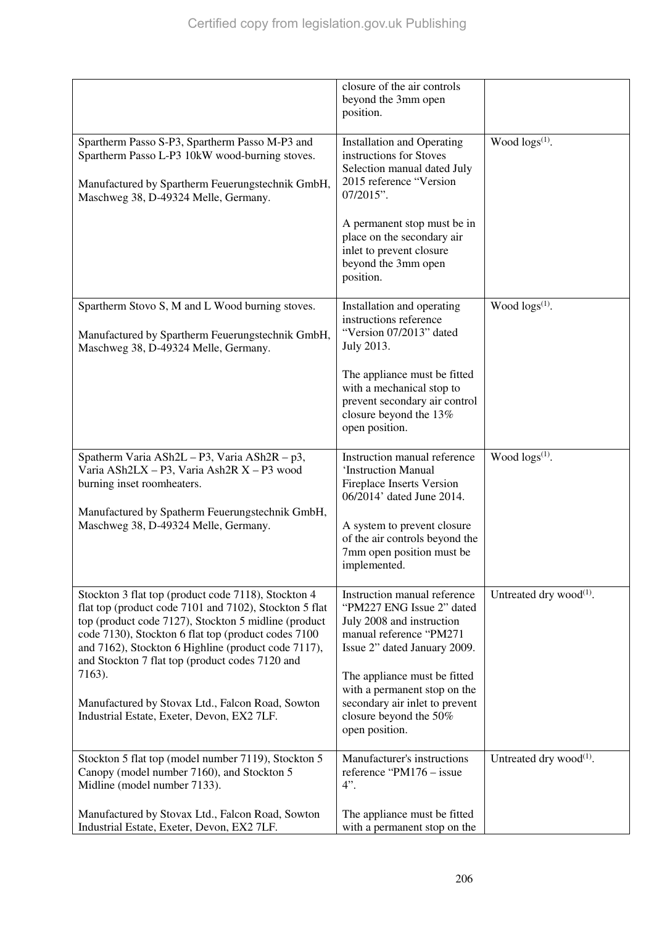|                                                                                                                                                                                                                                                                                                                                                                                                                                                    | closure of the air controls<br>beyond the 3mm open<br>position.                                                                                                                                                                                                                                 |                               |
|----------------------------------------------------------------------------------------------------------------------------------------------------------------------------------------------------------------------------------------------------------------------------------------------------------------------------------------------------------------------------------------------------------------------------------------------------|-------------------------------------------------------------------------------------------------------------------------------------------------------------------------------------------------------------------------------------------------------------------------------------------------|-------------------------------|
| Spartherm Passo S-P3, Spartherm Passo M-P3 and<br>Spartherm Passo L-P3 10kW wood-burning stoves.<br>Manufactured by Spartherm Feuerungstechnik GmbH,<br>Maschweg 38, D-49324 Melle, Germany.                                                                                                                                                                                                                                                       | <b>Installation and Operating</b><br>instructions for Stoves<br>Selection manual dated July<br>2015 reference "Version<br>07/2015".<br>A permanent stop must be in<br>place on the secondary air<br>inlet to prevent closure<br>beyond the 3mm open<br>position.                                | Wood $\log(s^{(1)})$ .        |
| Spartherm Stovo S, M and L Wood burning stoves.<br>Manufactured by Spartherm Feuerungstechnik GmbH,<br>Maschweg 38, D-49324 Melle, Germany.                                                                                                                                                                                                                                                                                                        | Installation and operating<br>instructions reference<br>"Version 07/2013" dated<br>July 2013.<br>The appliance must be fitted<br>with a mechanical stop to<br>prevent secondary air control<br>closure beyond the 13%<br>open position.                                                         | Wood $\log(s^{(1)})$ .        |
| Spatherm Varia ASh2L - P3, Varia ASh2R - p3,<br>Varia ASh2LX - P3, Varia Ash2R X - P3 wood<br>burning inset roomheaters.<br>Manufactured by Spatherm Feuerungstechnik GmbH,<br>Maschweg 38, D-49324 Melle, Germany.                                                                                                                                                                                                                                | Instruction manual reference<br>'Instruction Manual<br><b>Fireplace Inserts Version</b><br>06/2014' dated June 2014.<br>A system to prevent closure<br>of the air controls beyond the<br>7mm open position must be<br>implemented.                                                              | Wood $\log s^{(1)}$ .         |
| Stockton 3 flat top (product code 7118), Stockton 4<br>flat top (product code 7101 and 7102), Stockton 5 flat<br>top (product code 7127), Stockton 5 midline (product<br>code 7130), Stockton 6 flat top (product codes 7100<br>and 7162), Stockton 6 Highline (product code 7117),<br>and Stockton 7 flat top (product codes 7120 and<br>7163).<br>Manufactured by Stovax Ltd., Falcon Road, Sowton<br>Industrial Estate, Exeter, Devon, EX2 7LF. | Instruction manual reference<br>"PM227 ENG Issue 2" dated<br>July 2008 and instruction<br>manual reference "PM271<br>Issue 2" dated January 2009.<br>The appliance must be fitted<br>with a permanent stop on the<br>secondary air inlet to prevent<br>closure beyond the 50%<br>open position. | Untreated dry wood $^{(1)}$ . |
| Stockton 5 flat top (model number 7119), Stockton 5<br>Canopy (model number 7160), and Stockton 5<br>Midline (model number 7133).<br>Manufactured by Stovax Ltd., Falcon Road, Sowton<br>Industrial Estate, Exeter, Devon, EX2 7LF.                                                                                                                                                                                                                | Manufacturer's instructions<br>reference "PM176 – issue<br>$4$ ".<br>The appliance must be fitted<br>with a permanent stop on the                                                                                                                                                               | Untreated dry wood $^{(1)}$ . |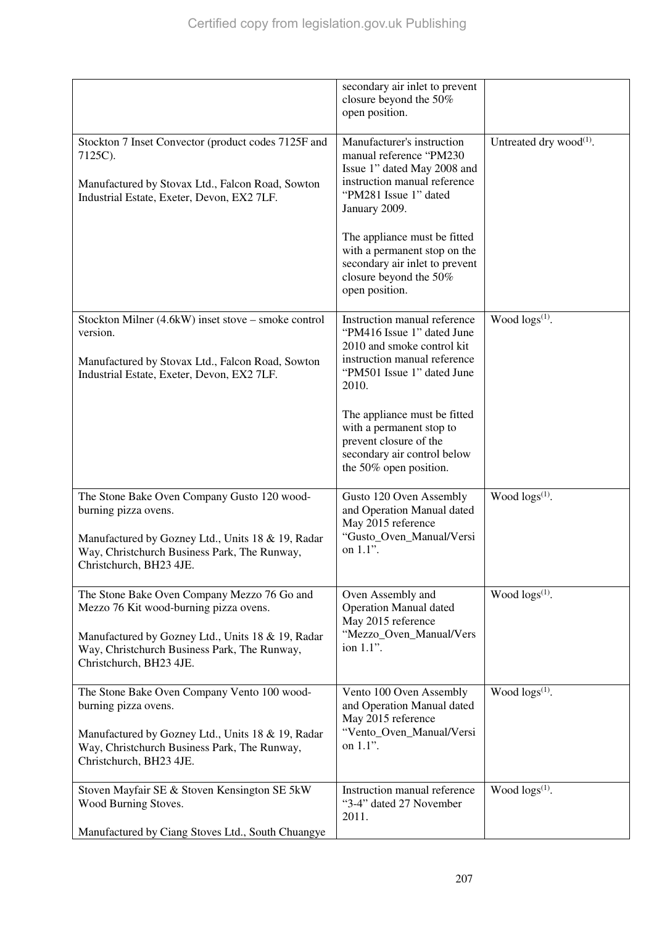|                                                                                                                                                                                                                       | secondary air inlet to prevent<br>closure beyond the 50%<br>open position.                                                                                      |                               |
|-----------------------------------------------------------------------------------------------------------------------------------------------------------------------------------------------------------------------|-----------------------------------------------------------------------------------------------------------------------------------------------------------------|-------------------------------|
| Stockton 7 Inset Convector (product codes 7125F and<br>7125C).<br>Manufactured by Stovax Ltd., Falcon Road, Sowton<br>Industrial Estate, Exeter, Devon, EX2 7LF.                                                      | Manufacturer's instruction<br>manual reference "PM230<br>Issue 1" dated May 2008 and<br>instruction manual reference<br>"PM281 Issue 1" dated<br>January 2009.  | Untreated dry wood $^{(1)}$ . |
|                                                                                                                                                                                                                       | The appliance must be fitted<br>with a permanent stop on the<br>secondary air inlet to prevent<br>closure beyond the 50%<br>open position.                      |                               |
| Stockton Milner (4.6kW) inset stove – smoke control<br>version.<br>Manufactured by Stovax Ltd., Falcon Road, Sowton<br>Industrial Estate, Exeter, Devon, EX2 7LF.                                                     | Instruction manual reference<br>"PM416 Issue 1" dated June<br>2010 and smoke control kit<br>instruction manual reference<br>"PM501 Issue 1" dated June<br>2010. | Wood $\log s^{(1)}$ .         |
|                                                                                                                                                                                                                       | The appliance must be fitted<br>with a permanent stop to<br>prevent closure of the<br>secondary air control below<br>the 50% open position.                     |                               |
| The Stone Bake Oven Company Gusto 120 wood-<br>burning pizza ovens.<br>Manufactured by Gozney Ltd., Units 18 & 19, Radar<br>Way, Christchurch Business Park, The Runway,<br>Christchurch, BH23 4JE.                   | Gusto 120 Oven Assembly<br>and Operation Manual dated<br>May 2015 reference<br>"Gusto_Oven_Manual/Versi<br>on 1.1".                                             | Wood $\log s^{(1)}$ .         |
| The Stone Bake Oven Company Mezzo 76 Go and<br>Mezzo 76 Kit wood-burning pizza ovens.<br>Manufactured by Gozney Ltd., Units 18 & 19, Radar<br>Way, Christchurch Business Park, The Runway,<br>Christchurch, BH23 4JE. | Oven Assembly and<br><b>Operation Manual dated</b><br>May 2015 reference<br>"Mezzo_Oven_Manual/Vers<br>ion 1.1".                                                | Wood $\log(s^{(1)})$ .        |
| The Stone Bake Oven Company Vento 100 wood-<br>burning pizza ovens.<br>Manufactured by Gozney Ltd., Units 18 & 19, Radar<br>Way, Christchurch Business Park, The Runway,<br>Christchurch, BH23 4JE.                   | Vento 100 Oven Assembly<br>and Operation Manual dated<br>May 2015 reference<br>"Vento_Oven_Manual/Versi<br>on 1.1".                                             | Wood $\log s^{(1)}$ .         |
| Stoven Mayfair SE & Stoven Kensington SE 5kW<br>Wood Burning Stoves.<br>Manufactured by Ciang Stoves Ltd., South Chuangye                                                                                             | Instruction manual reference<br>"3-4" dated 27 November<br>2011.                                                                                                | Wood $\log s^{(1)}$ .         |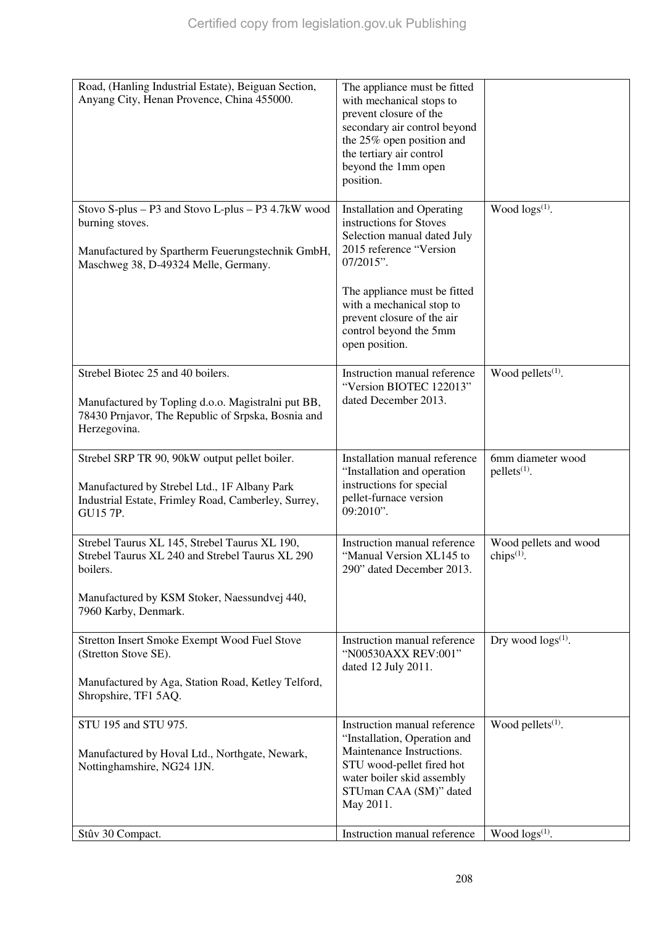| Road, (Hanling Industrial Estate), Beiguan Section,                                                      | The appliance must be fitted                                 |                                     |
|----------------------------------------------------------------------------------------------------------|--------------------------------------------------------------|-------------------------------------|
| Anyang City, Henan Provence, China 455000.                                                               | with mechanical stops to                                     |                                     |
|                                                                                                          | prevent closure of the<br>secondary air control beyond       |                                     |
|                                                                                                          | the 25% open position and                                    |                                     |
|                                                                                                          | the tertiary air control                                     |                                     |
|                                                                                                          | beyond the 1mm open<br>position.                             |                                     |
|                                                                                                          |                                                              |                                     |
| Stovo S-plus - P3 and Stovo L-plus - P3 4.7kW wood                                                       | <b>Installation and Operating</b>                            | Wood $\log(s^{(1)})$ .              |
| burning stoves.                                                                                          | instructions for Stoves<br>Selection manual dated July       |                                     |
| Manufactured by Spartherm Feuerungstechnik GmbH,                                                         | 2015 reference "Version                                      |                                     |
| Maschweg 38, D-49324 Melle, Germany.                                                                     | $07/2015$ ".                                                 |                                     |
|                                                                                                          | The appliance must be fitted                                 |                                     |
|                                                                                                          | with a mechanical stop to                                    |                                     |
|                                                                                                          | prevent closure of the air                                   |                                     |
|                                                                                                          | control beyond the 5mm<br>open position.                     |                                     |
|                                                                                                          |                                                              |                                     |
| Strebel Biotec 25 and 40 boilers.                                                                        | Instruction manual reference                                 | Wood pellets <sup>(1)</sup> .       |
|                                                                                                          | "Version BIOTEC 122013"<br>dated December 2013.              |                                     |
| Manufactured by Topling d.o.o. Magistralni put BB,<br>78430 Prnjavor, The Republic of Srpska, Bosnia and |                                                              |                                     |
| Herzegovina.                                                                                             |                                                              |                                     |
|                                                                                                          |                                                              |                                     |
| Strebel SRP TR 90, 90kW output pellet boiler.                                                            | Installation manual reference<br>"Installation and operation | 6mm diameter wood<br>$pellets(1)$ . |
| Manufactured by Strebel Ltd., 1F Albany Park                                                             | instructions for special                                     |                                     |
| Industrial Estate, Frimley Road, Camberley, Surrey,                                                      | pellet-furnace version<br>09:2010".                          |                                     |
| GU15 7P.                                                                                                 |                                                              |                                     |
| Strebel Taurus XL 145, Strebel Taurus XL 190,                                                            | Instruction manual reference                                 | Wood pellets and wood               |
| Strebel Taurus XL 240 and Strebel Taurus XL 290                                                          | "Manual Version XL145 to                                     | chips $(1)$ .                       |
| boilers.                                                                                                 | 290" dated December 2013.                                    |                                     |
| Manufactured by KSM Stoker, Naessundvej 440,                                                             |                                                              |                                     |
| 7960 Karby, Denmark.                                                                                     |                                                              |                                     |
| Stretton Insert Smoke Exempt Wood Fuel Stove                                                             | Instruction manual reference                                 | Dry wood $\log s^{(1)}$ .           |
| (Stretton Stove SE).                                                                                     | "N00530AXX REV:001"                                          |                                     |
|                                                                                                          | dated 12 July 2011.                                          |                                     |
| Manufactured by Aga, Station Road, Ketley Telford,<br>Shropshire, TF1 5AQ.                               |                                                              |                                     |
|                                                                                                          |                                                              |                                     |
| STU 195 and STU 975.                                                                                     | Instruction manual reference                                 | Wood pellets <sup>(1)</sup> .       |
|                                                                                                          | "Installation, Operation and<br>Maintenance Instructions.    |                                     |
| Manufactured by Hoval Ltd., Northgate, Newark,<br>Nottinghamshire, NG24 1JN.                             | STU wood-pellet fired hot                                    |                                     |
|                                                                                                          | water boiler skid assembly                                   |                                     |
|                                                                                                          | STUman CAA (SM)" dated<br>May 2011.                          |                                     |
|                                                                                                          |                                                              |                                     |
| Stûv 30 Compact.                                                                                         | Instruction manual reference                                 | Wood $\log(s^{(1)})$ .              |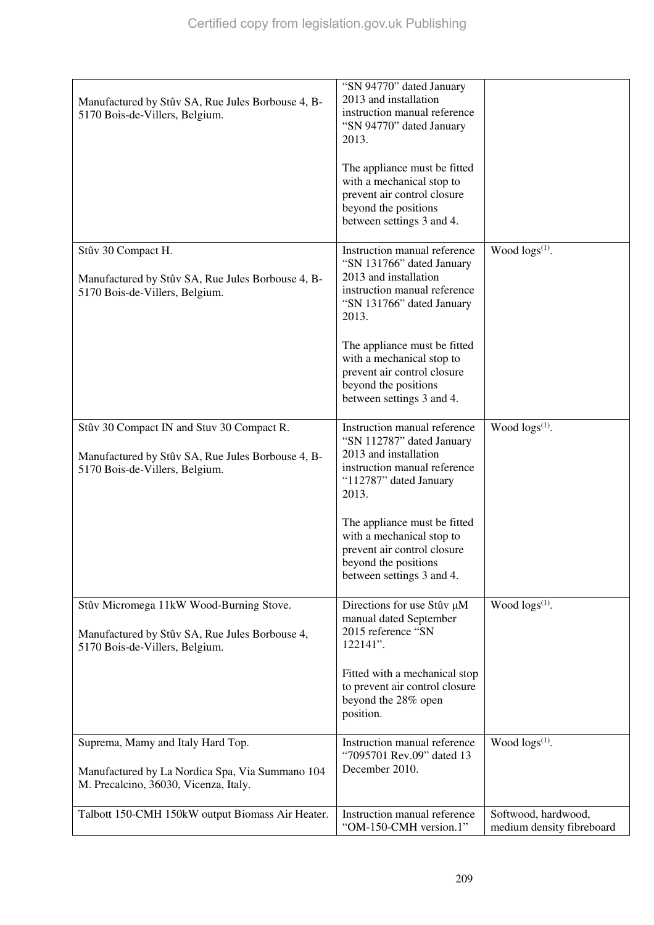| Manufactured by Stûv SA, Rue Jules Borbouse 4, B-<br>5170 Bois-de-Villers, Belgium.                                              | "SN 94770" dated January<br>2013 and installation<br>instruction manual reference<br>"SN 94770" dated January<br>2013.<br>The appliance must be fitted<br>with a mechanical stop to<br>prevent air control closure<br>beyond the positions<br>between settings 3 and 4.                                   |                                                  |
|----------------------------------------------------------------------------------------------------------------------------------|-----------------------------------------------------------------------------------------------------------------------------------------------------------------------------------------------------------------------------------------------------------------------------------------------------------|--------------------------------------------------|
| Stûv 30 Compact H.<br>Manufactured by Stûv SA, Rue Jules Borbouse 4, B-<br>5170 Bois-de-Villers, Belgium.                        | Instruction manual reference<br>"SN 131766" dated January<br>2013 and installation<br>instruction manual reference<br>"SN 131766" dated January<br>2013.<br>The appliance must be fitted<br>with a mechanical stop to<br>prevent air control closure<br>beyond the positions<br>between settings 3 and 4. | Wood $\log(s^{(1)})$ .                           |
| Stûv 30 Compact IN and Stuv 30 Compact R.<br>Manufactured by Stûv SA, Rue Jules Borbouse 4, B-<br>5170 Bois-de-Villers, Belgium. | Instruction manual reference<br>"SN 112787" dated January<br>2013 and installation<br>instruction manual reference<br>"112787" dated January<br>2013.<br>The appliance must be fitted<br>with a mechanical stop to<br>prevent air control closure<br>beyond the positions<br>between settings 3 and 4.    | Wood $\log(s^{(1)})$ .                           |
| Stûv Micromega 11kW Wood-Burning Stove.<br>Manufactured by Stûv SA, Rue Jules Borbouse 4,<br>5170 Bois-de-Villers, Belgium.      | Directions for use Stûv µM<br>manual dated September<br>2015 reference "SN<br>122141".<br>Fitted with a mechanical stop<br>to prevent air control closure<br>beyond the 28% open<br>position.                                                                                                             | Wood $\log(s^{(1)})$ .                           |
| Suprema, Mamy and Italy Hard Top.<br>Manufactured by La Nordica Spa, Via Summano 104<br>M. Precalcino, 36030, Vicenza, Italy.    | Instruction manual reference<br>"7095701 Rev.09" dated 13<br>December 2010.                                                                                                                                                                                                                               | Wood $\log(s^{(1)})$ .                           |
| Talbott 150-CMH 150kW output Biomass Air Heater.                                                                                 | Instruction manual reference<br>"OM-150-CMH version.1"                                                                                                                                                                                                                                                    | Softwood, hardwood,<br>medium density fibreboard |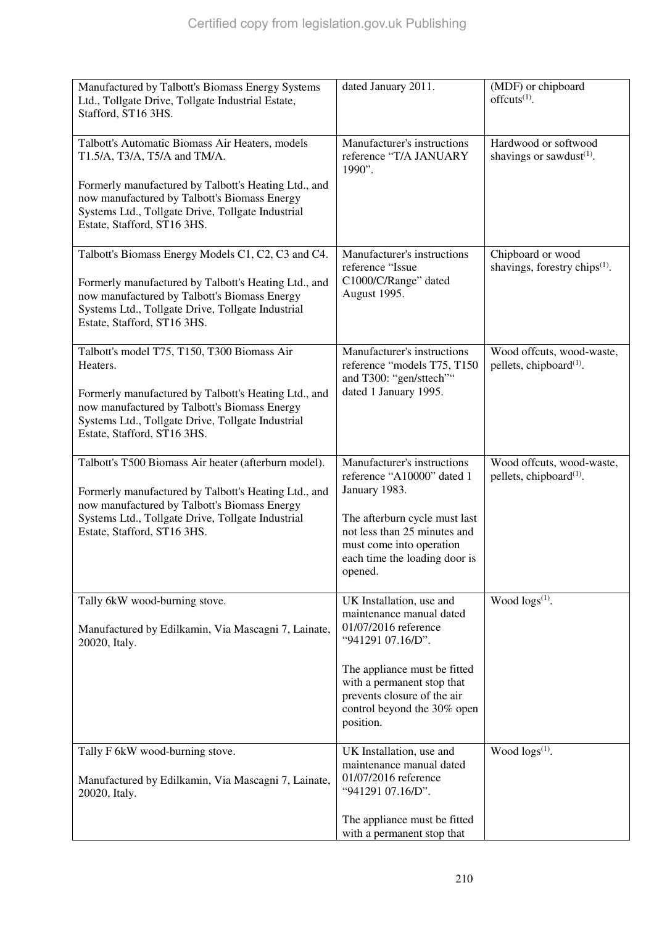| Manufactured by Talbott's Biomass Energy Systems<br>Ltd., Tollgate Drive, Tollgate Industrial Estate,<br>Stafford, ST16 3HS.                                                                                                                        | dated January 2011.                                                                                                                                                                                                                        | (MDF) or chipboard<br>offcuts $(1)$ .                                       |
|-----------------------------------------------------------------------------------------------------------------------------------------------------------------------------------------------------------------------------------------------------|--------------------------------------------------------------------------------------------------------------------------------------------------------------------------------------------------------------------------------------------|-----------------------------------------------------------------------------|
| Talbott's Automatic Biomass Air Heaters, models<br>T1.5/A, T3/A, T5/A and TM/A.<br>Formerly manufactured by Talbott's Heating Ltd., and                                                                                                             | Manufacturer's instructions<br>reference "T/A JANUARY<br>1990".                                                                                                                                                                            | Hardwood or softwood<br>shavings or sawdust <sup>(1)</sup> .                |
| now manufactured by Talbott's Biomass Energy<br>Systems Ltd., Tollgate Drive, Tollgate Industrial<br>Estate, Stafford, ST16 3HS.                                                                                                                    |                                                                                                                                                                                                                                            |                                                                             |
| Talbott's Biomass Energy Models C1, C2, C3 and C4.<br>Formerly manufactured by Talbott's Heating Ltd., and<br>now manufactured by Talbott's Biomass Energy<br>Systems Ltd., Tollgate Drive, Tollgate Industrial<br>Estate, Stafford, ST16 3HS.      | Manufacturer's instructions<br>reference "Issue<br>C1000/C/Range" dated<br>August 1995.                                                                                                                                                    | Chipboard or wood<br>shavings, forestry chips <sup><math>(1)</math></sup> . |
| Talbott's model T75, T150, T300 Biomass Air<br>Heaters.<br>Formerly manufactured by Talbott's Heating Ltd., and<br>now manufactured by Talbott's Biomass Energy<br>Systems Ltd., Tollgate Drive, Tollgate Industrial<br>Estate, Stafford, ST16 3HS. | Manufacturer's instructions<br>reference "models T75, T150<br>and T300: "gen/sttech""<br>dated 1 January 1995.                                                                                                                             | Wood offcuts, wood-waste,<br>pellets, chipboard <sup>(1)</sup> .            |
| Talbott's T500 Biomass Air heater (afterburn model).<br>Formerly manufactured by Talbott's Heating Ltd., and<br>now manufactured by Talbott's Biomass Energy<br>Systems Ltd., Tollgate Drive, Tollgate Industrial<br>Estate, Stafford, ST16 3HS.    | Manufacturer's instructions<br>reference "A10000" dated 1<br>January 1983.<br>The afterburn cycle must last<br>not less than 25 minutes and<br>must come into operation<br>each time the loading door is<br>opened.                        | Wood offcuts, wood-waste,<br>pellets, chipboard <sup>(1)</sup> .            |
| Tally 6kW wood-burning stove.<br>Manufactured by Edilkamin, Via Mascagni 7, Lainate,<br>20020, Italy.                                                                                                                                               | UK Installation, use and<br>maintenance manual dated<br>01/07/2016 reference<br>"941291 07.16/D".<br>The appliance must be fitted<br>with a permanent stop that<br>prevents closure of the air<br>control beyond the 30% open<br>position. | Wood $\log s^{(1)}$ .                                                       |
| Tally F 6kW wood-burning stove.<br>Manufactured by Edilkamin, Via Mascagni 7, Lainate,<br>20020, Italy.                                                                                                                                             | UK Installation, use and<br>maintenance manual dated<br>01/07/2016 reference<br>"941291 07.16/D".<br>The appliance must be fitted<br>with a permanent stop that                                                                            | Wood $\log(s^{(1)})$ .                                                      |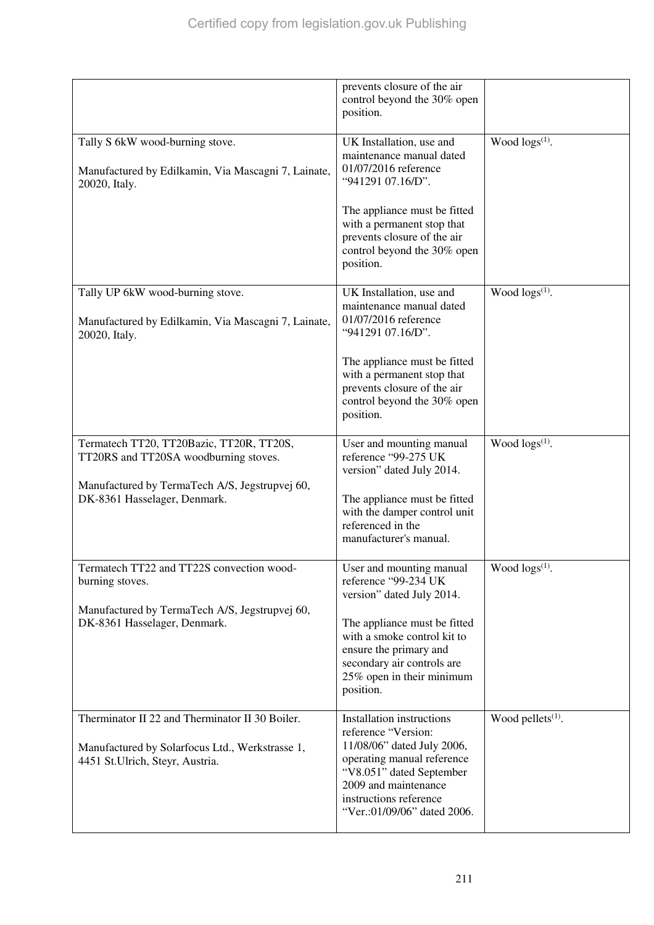|                                                                                                                                       | prevents closure of the air<br>control beyond the 30% open<br>position.                                                                                                                                                   |                            |
|---------------------------------------------------------------------------------------------------------------------------------------|---------------------------------------------------------------------------------------------------------------------------------------------------------------------------------------------------------------------------|----------------------------|
| Tally S 6kW wood-burning stove.<br>Manufactured by Edilkamin, Via Mascagni 7, Lainate,<br>20020, Italy.                               | UK Installation, use and<br>maintenance manual dated<br>01/07/2016 reference<br>"941291 07.16/D".                                                                                                                         | Wood $\log(s^{(1)})$ .     |
|                                                                                                                                       | The appliance must be fitted<br>with a permanent stop that<br>prevents closure of the air<br>control beyond the 30% open<br>position.                                                                                     |                            |
| Tally UP 6kW wood-burning stove.<br>Manufactured by Edilkamin, Via Mascagni 7, Lainate,<br>20020, Italy.                              | UK Installation, use and<br>maintenance manual dated<br>01/07/2016 reference<br>"941291 07.16/D".                                                                                                                         | Wood $\log(s^{(1)})$ .     |
|                                                                                                                                       | The appliance must be fitted<br>with a permanent stop that<br>prevents closure of the air<br>control beyond the 30% open<br>position.                                                                                     |                            |
| Termatech TT20, TT20Bazic, TT20R, TT20S,<br>TT20RS and TT20SA woodburning stoves.<br>Manufactured by TermaTech A/S, Jegstrupvej 60,   | User and mounting manual<br>reference "99-275 UK<br>version" dated July 2014.                                                                                                                                             | Wood $\log s^{(1)}$ .      |
| DK-8361 Hasselager, Denmark.                                                                                                          | The appliance must be fitted<br>with the damper control unit<br>referenced in the<br>manufacturer's manual.                                                                                                               |                            |
| Termatech TT22 and TT22S convection wood-<br>burning stoves.                                                                          | User and mounting manual<br>reference "99-234 UK<br>version" dated July 2014.                                                                                                                                             | Wood logs <sup>(1)</sup> . |
| Manufactured by TermaTech A/S, Jegstrupvej 60,<br>DK-8361 Hasselager, Denmark.                                                        | The appliance must be fitted<br>with a smoke control kit to<br>ensure the primary and<br>secondary air controls are<br>25% open in their minimum<br>position.                                                             |                            |
| Therminator II 22 and Therminator II 30 Boiler.<br>Manufactured by Solarfocus Ltd., Werkstrasse 1,<br>4451 St.Ulrich, Steyr, Austria. | Installation instructions<br>reference "Version:<br>11/08/06" dated July 2006,<br>operating manual reference<br>"V8.051" dated September<br>2009 and maintenance<br>instructions reference<br>"Ver.:01/09/06" dated 2006. | Wood pellets $(1)$ .       |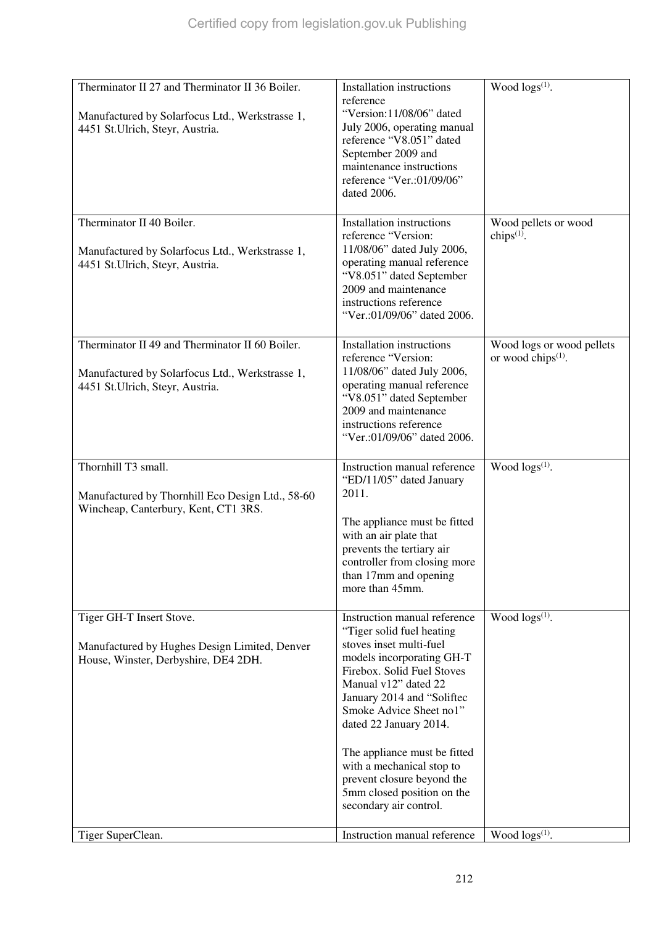| Therminator II 40 Boiler.<br>Manufactured by Solarfocus Ltd., Werkstrasse 1,<br>4451 St.Ulrich, Steyr, Austria.<br>Therminator II 49 and Therminator II 60 Boiler.<br>Manufactured by Solarfocus Ltd., Werkstrasse 1,<br>4451 St.Ulrich, Steyr, Austria.<br>Thornhill T3 small.<br>2011.<br>Manufactured by Thornhill Eco Design Ltd., 58-60<br>Wincheap, Canterbury, Kent, CT1 3RS. | Installation instructions<br>reference "Version:<br>11/08/06" dated July 2006,<br>operating manual reference<br>"V8.051" dated September<br>2009 and maintenance<br>instructions reference<br>"Ver.:01/09/06" dated 2006.<br><b>Installation instructions</b><br>reference "Version:                                                                                                                                                          | Wood pellets or wood<br>chips $(1)$ .<br>Wood logs or wood pellets |
|--------------------------------------------------------------------------------------------------------------------------------------------------------------------------------------------------------------------------------------------------------------------------------------------------------------------------------------------------------------------------------------|-----------------------------------------------------------------------------------------------------------------------------------------------------------------------------------------------------------------------------------------------------------------------------------------------------------------------------------------------------------------------------------------------------------------------------------------------|--------------------------------------------------------------------|
|                                                                                                                                                                                                                                                                                                                                                                                      |                                                                                                                                                                                                                                                                                                                                                                                                                                               |                                                                    |
|                                                                                                                                                                                                                                                                                                                                                                                      | 11/08/06" dated July 2006,<br>operating manual reference<br>"V8.051" dated September<br>2009 and maintenance<br>instructions reference<br>"Ver.:01/09/06" dated 2006.                                                                                                                                                                                                                                                                         | or wood chips $(1)$ .                                              |
|                                                                                                                                                                                                                                                                                                                                                                                      | Instruction manual reference<br>"ED/11/05" dated January<br>The appliance must be fitted<br>with an air plate that<br>prevents the tertiary air<br>controller from closing more<br>than 17mm and opening<br>more than 45mm.                                                                                                                                                                                                                   | Wood $\log(s^{(1)})$ .                                             |
| Tiger GH-T Insert Stove.<br>Manufactured by Hughes Design Limited, Denver<br>House, Winster, Derbyshire, DE4 2DH.<br>Tiger SuperClean.                                                                                                                                                                                                                                               | Instruction manual reference<br>"Tiger solid fuel heating<br>stoves inset multi-fuel<br>models incorporating GH-T<br>Firebox. Solid Fuel Stoves<br>Manual v12" dated 22<br>January 2014 and "Soliftec<br>Smoke Advice Sheet no1"<br>dated 22 January 2014.<br>The appliance must be fitted<br>with a mechanical stop to<br>prevent closure beyond the<br>5mm closed position on the<br>secondary air control.<br>Instruction manual reference | Wood $\log(s^{(1)})$ .<br>Wood $\log(s^{(1)})$ .                   |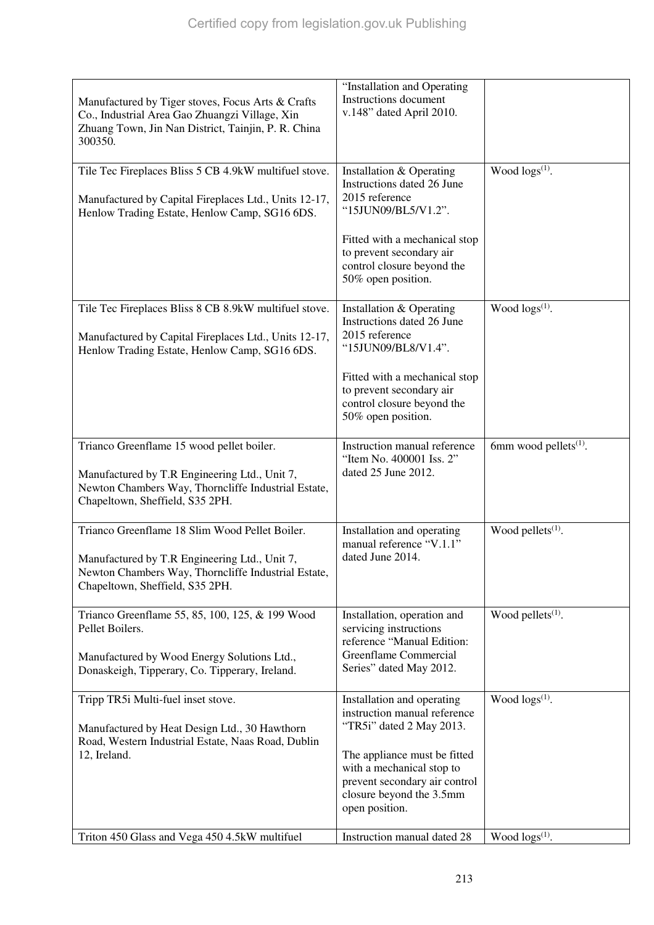| Manufactured by Tiger stoves, Focus Arts & Crafts<br>Co., Industrial Area Gao Zhuangzi Village, Xin<br>Zhuang Town, Jin Nan District, Tainjin, P. R. China<br>300350.                     | "Installation and Operating<br>Instructions document<br>v.148" dated April 2010.                                                                                                                                                   |                                   |
|-------------------------------------------------------------------------------------------------------------------------------------------------------------------------------------------|------------------------------------------------------------------------------------------------------------------------------------------------------------------------------------------------------------------------------------|-----------------------------------|
| Tile Tec Fireplaces Bliss 5 CB 4.9kW multifuel stove.<br>Manufactured by Capital Fireplaces Ltd., Units 12-17,<br>Henlow Trading Estate, Henlow Camp, SG16 6DS.                           | Installation & Operating<br>Instructions dated 26 June<br>2015 reference<br>"15JUN09/BL5/V1.2".<br>Fitted with a mechanical stop<br>to prevent secondary air<br>control closure beyond the<br>50% open position.                   | Wood $\log(s^{(1)})$ .            |
| Tile Tec Fireplaces Bliss 8 CB 8.9kW multifuel stove.<br>Manufactured by Capital Fireplaces Ltd., Units 12-17,<br>Henlow Trading Estate, Henlow Camp, SG16 6DS.                           | Installation & Operating<br>Instructions dated 26 June<br>2015 reference<br>"15JUN09/BL8/V1.4".<br>Fitted with a mechanical stop<br>to prevent secondary air<br>control closure beyond the<br>50% open position.                   | Wood $\log(s^{(1)})$ .            |
| Trianco Greenflame 15 wood pellet boiler.<br>Manufactured by T.R Engineering Ltd., Unit 7,<br>Newton Chambers Way, Thorncliffe Industrial Estate,<br>Chapeltown, Sheffield, S35 2PH.      | Instruction manual reference<br>"Item No. 400001 Iss. 2"<br>dated 25 June 2012.                                                                                                                                                    | 6mm wood pellets <sup>(1)</sup> . |
| Trianco Greenflame 18 Slim Wood Pellet Boiler.<br>Manufactured by T.R Engineering Ltd., Unit 7,<br>Newton Chambers Way, Thorncliffe Industrial Estate,<br>Chapeltown, Sheffield, S35 2PH. | Installation and operating<br>manual reference "V.1.1"<br>dated June 2014.                                                                                                                                                         | Wood pellets <sup>(1)</sup> .     |
| Trianco Greenflame 55, 85, 100, 125, & 199 Wood<br>Pellet Boilers.<br>Manufactured by Wood Energy Solutions Ltd.,<br>Donaskeigh, Tipperary, Co. Tipperary, Ireland.                       | Installation, operation and<br>servicing instructions<br>reference "Manual Edition:<br>Greenflame Commercial<br>Series" dated May 2012.                                                                                            | Wood pellets $(1)$ .              |
| Tripp TR5i Multi-fuel inset stove.<br>Manufactured by Heat Design Ltd., 30 Hawthorn<br>Road, Western Industrial Estate, Naas Road, Dublin<br>12, Ireland.                                 | Installation and operating<br>instruction manual reference<br>"TR5i" dated 2 May 2013.<br>The appliance must be fitted<br>with a mechanical stop to<br>prevent secondary air control<br>closure beyond the 3.5mm<br>open position. | Wood $\log(s^{(1)})$ .            |
| Triton 450 Glass and Vega 450 4.5kW multifuel                                                                                                                                             | Instruction manual dated 28                                                                                                                                                                                                        | Wood $\log(s^{(1)})$ .            |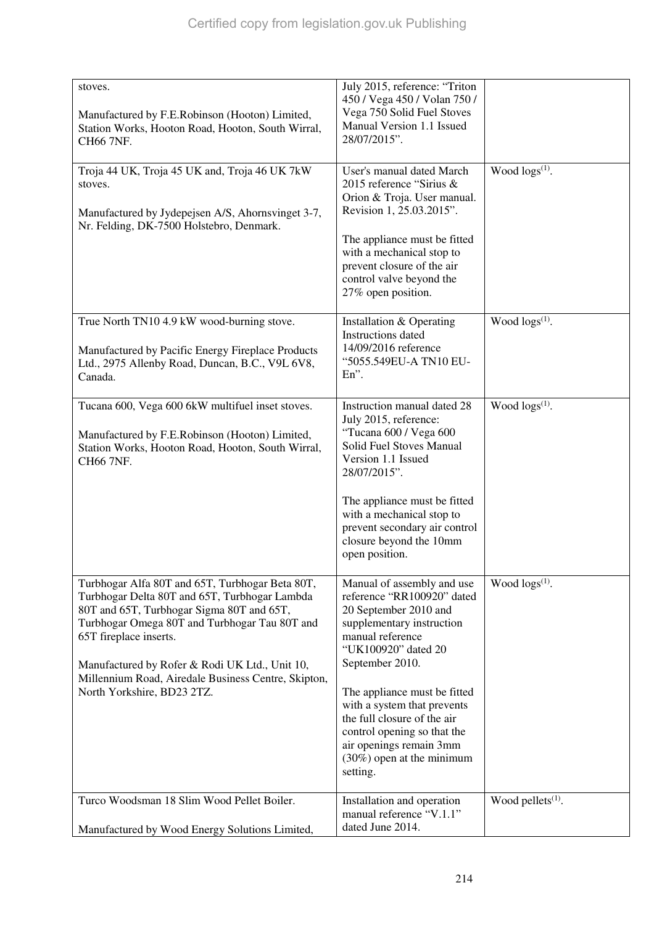| stoves.<br>Manufactured by F.E.Robinson (Hooton) Limited,<br>Station Works, Hooton Road, Hooton, South Wirral,<br>CH66 7NF.                                                                                                                                                                                                                                     | July 2015, reference: "Triton<br>450 / Vega 450 / Volan 750 /<br>Vega 750 Solid Fuel Stoves<br>Manual Version 1.1 Issued<br>28/07/2015".                                                                                                                                                                                                                                         |                       |
|-----------------------------------------------------------------------------------------------------------------------------------------------------------------------------------------------------------------------------------------------------------------------------------------------------------------------------------------------------------------|----------------------------------------------------------------------------------------------------------------------------------------------------------------------------------------------------------------------------------------------------------------------------------------------------------------------------------------------------------------------------------|-----------------------|
| Troja 44 UK, Troja 45 UK and, Troja 46 UK 7kW<br>stoves.<br>Manufactured by Jydepejsen A/S, Ahornsvinget 3-7,<br>Nr. Felding, DK-7500 Holstebro, Denmark.                                                                                                                                                                                                       | User's manual dated March<br>2015 reference "Sirius &<br>Orion & Troja. User manual.<br>Revision 1, 25.03.2015".<br>The appliance must be fitted<br>with a mechanical stop to<br>prevent closure of the air<br>control valve beyond the<br>27% open position.                                                                                                                    | Wood $\log s^{(1)}$ . |
| True North TN10 4.9 kW wood-burning stove.<br>Manufactured by Pacific Energy Fireplace Products<br>Ltd., 2975 Allenby Road, Duncan, B.C., V9L 6V8,<br>Canada.                                                                                                                                                                                                   | Installation & Operating<br><b>Instructions</b> dated<br>14/09/2016 reference<br>"5055.549EU-A TN10 EU-<br>$En$ ".                                                                                                                                                                                                                                                               | Wood $\log s^{(1)}$ . |
| Tucana 600, Vega 600 6kW multifuel inset stoves.<br>Manufactured by F.E.Robinson (Hooton) Limited,<br>Station Works, Hooton Road, Hooton, South Wirral,<br>CH66 7NF.                                                                                                                                                                                            | Instruction manual dated 28<br>July 2015, reference:<br>"Tucana 600 / Vega 600<br>Solid Fuel Stoves Manual<br>Version 1.1 Issued<br>28/07/2015".<br>The appliance must be fitted<br>with a mechanical stop to<br>prevent secondary air control<br>closure beyond the 10mm<br>open position.                                                                                      | Wood $\log s^{(1)}$ . |
| Turbhogar Alfa 80T and 65T, Turbhogar Beta 80T,<br>Turbhogar Delta 80T and 65T, Turbhogar Lambda<br>80T and 65T, Turbhogar Sigma 80T and 65T,<br>Turbhogar Omega 80T and Turbhogar Tau 80T and<br>65T fireplace inserts.<br>Manufactured by Rofer & Rodi UK Ltd., Unit 10,<br>Millennium Road, Airedale Business Centre, Skipton,<br>North Yorkshire, BD23 2TZ. | Manual of assembly and use<br>reference "RR100920" dated<br>20 September 2010 and<br>supplementary instruction<br>manual reference<br>"UK100920" dated 20<br>September 2010.<br>The appliance must be fitted<br>with a system that prevents<br>the full closure of the air<br>control opening so that the<br>air openings remain 3mm<br>$(30\%)$ open at the minimum<br>setting. | Wood $\log s^{(1)}$ . |
| Turco Woodsman 18 Slim Wood Pellet Boiler.                                                                                                                                                                                                                                                                                                                      | Installation and operation<br>manual reference "V.1.1"<br>dated June 2014.                                                                                                                                                                                                                                                                                                       | Wood pellets $(1)$ .  |
| Manufactured by Wood Energy Solutions Limited,                                                                                                                                                                                                                                                                                                                  |                                                                                                                                                                                                                                                                                                                                                                                  |                       |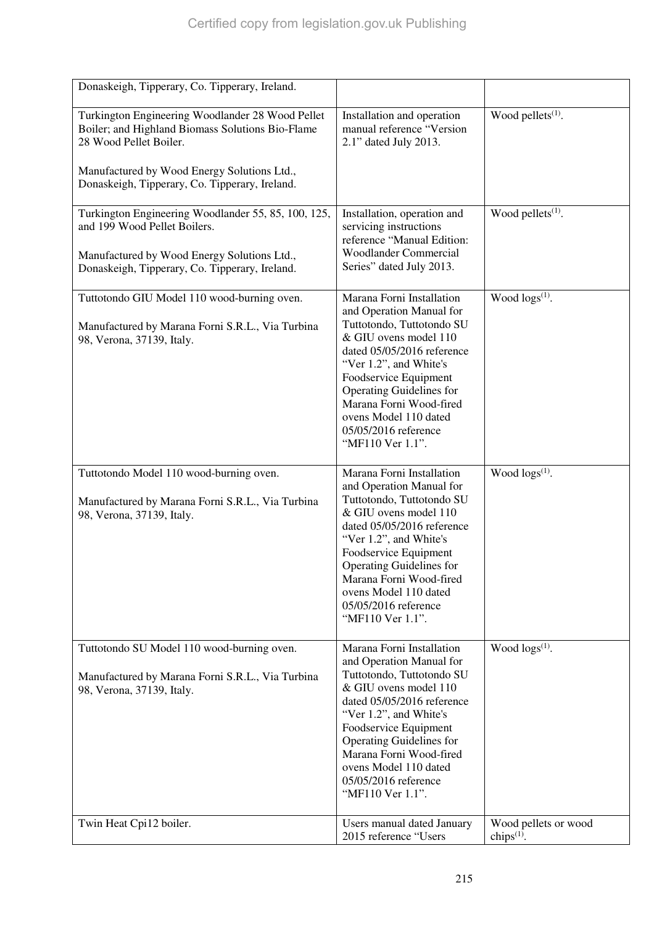| Donaskeigh, Tipperary, Co. Tipperary, Ireland.                                                                                                                                |                                                                                                                                                                                                                                                                                                                                 |                                       |
|-------------------------------------------------------------------------------------------------------------------------------------------------------------------------------|---------------------------------------------------------------------------------------------------------------------------------------------------------------------------------------------------------------------------------------------------------------------------------------------------------------------------------|---------------------------------------|
| Turkington Engineering Woodlander 28 Wood Pellet<br>Boiler; and Highland Biomass Solutions Bio-Flame<br>28 Wood Pellet Boiler.<br>Manufactured by Wood Energy Solutions Ltd., | Installation and operation<br>manual reference "Version<br>2.1" dated July 2013.                                                                                                                                                                                                                                                | Wood pellets <sup>(1)</sup> .         |
| Donaskeigh, Tipperary, Co. Tipperary, Ireland.                                                                                                                                |                                                                                                                                                                                                                                                                                                                                 |                                       |
| Turkington Engineering Woodlander 55, 85, 100, 125,<br>and 199 Wood Pellet Boilers.                                                                                           | Installation, operation and<br>servicing instructions<br>reference "Manual Edition:<br><b>Woodlander Commercial</b>                                                                                                                                                                                                             | Wood pellets <sup>(1)</sup> .         |
| Manufactured by Wood Energy Solutions Ltd.,<br>Donaskeigh, Tipperary, Co. Tipperary, Ireland.                                                                                 | Series" dated July 2013.                                                                                                                                                                                                                                                                                                        |                                       |
| Tuttotondo GIU Model 110 wood-burning oven.<br>Manufactured by Marana Forni S.R.L., Via Turbina<br>98, Verona, 37139, Italy.                                                  | Marana Forni Installation<br>and Operation Manual for<br>Tuttotondo, Tuttotondo SU<br>& GIU ovens model 110<br>dated 05/05/2016 reference<br>"Ver 1.2", and White's<br>Foodservice Equipment<br><b>Operating Guidelines for</b><br>Marana Forni Wood-fired<br>ovens Model 110 dated<br>05/05/2016 reference<br>"MF110 Ver 1.1". | Wood $\log s^{(1)}$ .                 |
| Tuttotondo Model 110 wood-burning oven.<br>Manufactured by Marana Forni S.R.L., Via Turbina<br>98, Verona, 37139, Italy.                                                      | Marana Forni Installation<br>and Operation Manual for<br>Tuttotondo, Tuttotondo SU<br>& GIU ovens model 110<br>dated 05/05/2016 reference<br>"Ver 1.2", and White's<br>Foodservice Equipment<br><b>Operating Guidelines for</b><br>Marana Forni Wood-fired<br>ovens Model 110 dated<br>05/05/2016 reference<br>"MF110 Ver 1.1". | Wood $\log(s^{(1)})$ .                |
| Tuttotondo SU Model 110 wood-burning oven.<br>Manufactured by Marana Forni S.R.L., Via Turbina<br>98, Verona, 37139, Italy.                                                   | Marana Forni Installation<br>and Operation Manual for<br>Tuttotondo, Tuttotondo SU<br>& GIU ovens model 110<br>dated 05/05/2016 reference<br>"Ver 1.2", and White's<br>Foodservice Equipment<br><b>Operating Guidelines for</b><br>Marana Forni Wood-fired<br>ovens Model 110 dated<br>05/05/2016 reference<br>"MF110 Ver 1.1". | Wood $\log(s^{(1)})$ .                |
| Twin Heat Cpi12 boiler.                                                                                                                                                       | Users manual dated January<br>2015 reference "Users                                                                                                                                                                                                                                                                             | Wood pellets or wood<br>chips $(1)$ . |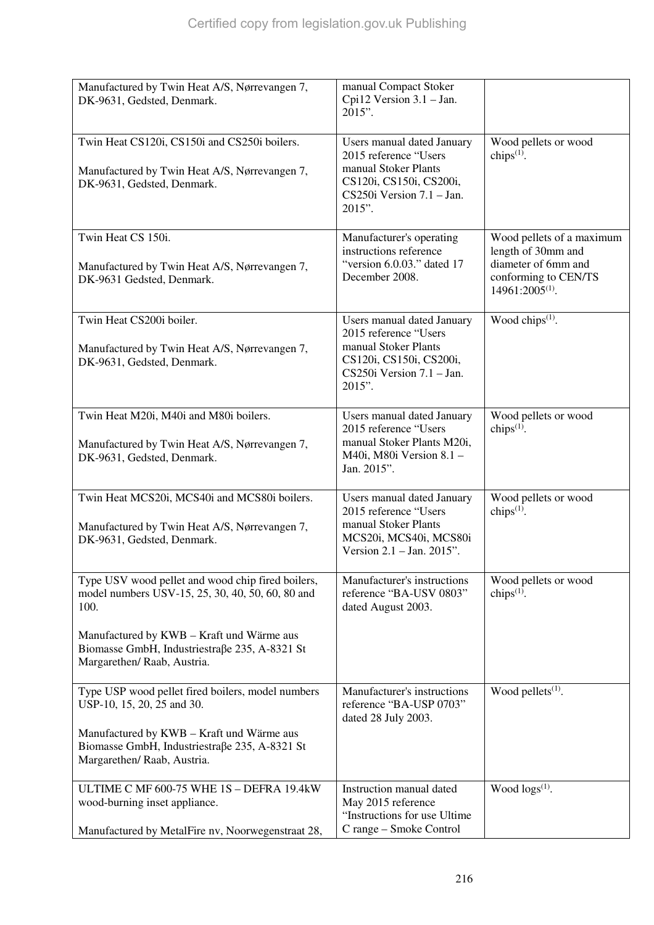| Manufactured by Twin Heat A/S, Nørrevangen 7,<br>DK-9631, Gedsted, Denmark.                                                                                                                                                                 | manual Compact Stoker<br>Cpi12 Version 3.1 - Jan.<br>$2015$ ".                                                                                     |                                                                                                                        |
|---------------------------------------------------------------------------------------------------------------------------------------------------------------------------------------------------------------------------------------------|----------------------------------------------------------------------------------------------------------------------------------------------------|------------------------------------------------------------------------------------------------------------------------|
| Twin Heat CS120i, CS150i and CS250i boilers.<br>Manufactured by Twin Heat A/S, Nørrevangen 7,<br>DK-9631, Gedsted, Denmark.                                                                                                                 | Users manual dated January<br>2015 reference "Users<br>manual Stoker Plants<br>CS120i, CS150i, CS200i,<br>$CS250i$ Version $7.1$ – Jan.<br>2015".  | Wood pellets or wood<br>chips $(1)$ .                                                                                  |
| Twin Heat CS 150i.<br>Manufactured by Twin Heat A/S, Nørrevangen 7,<br>DK-9631 Gedsted, Denmark.                                                                                                                                            | Manufacturer's operating<br>instructions reference<br>"version 6.0.03." dated 17<br>December 2008.                                                 | Wood pellets of a maximum<br>length of 30mm and<br>diameter of 6mm and<br>conforming to CEN/TS<br>$14961:2005^{(1)}$ . |
| Twin Heat CS200i boiler.<br>Manufactured by Twin Heat A/S, Nørrevangen 7,<br>DK-9631, Gedsted, Denmark.                                                                                                                                     | Users manual dated January<br>2015 reference "Users<br>manual Stoker Plants<br>CS120i, CS150i, CS200i,<br>$CS250i$ Version $7.1 - Jan$ .<br>2015". | Wood chips $(1)$ .                                                                                                     |
| Twin Heat M20i, M40i and M80i boilers.<br>Manufactured by Twin Heat A/S, Nørrevangen 7,<br>DK-9631, Gedsted, Denmark.                                                                                                                       | Users manual dated January<br>2015 reference "Users<br>manual Stoker Plants M20i,<br>M40i, M80i Version 8.1 -<br>Jan. 2015".                       | Wood pellets or wood<br>chips $(1)$ .                                                                                  |
| Twin Heat MCS20i, MCS40i and MCS80i boilers.<br>Manufactured by Twin Heat A/S, Nørrevangen 7,<br>DK-9631, Gedsted, Denmark.                                                                                                                 | Users manual dated January<br>2015 reference "Users<br>manual Stoker Plants<br>MCS20i, MCS40i, MCS80i<br>Version $2.1 -$ Jan. $2015$ ".            | Wood pellets or wood<br>chips $(1)$ .                                                                                  |
| Type USV wood pellet and wood chip fired boilers,<br>model numbers USV-15, 25, 30, 40, 50, 60, 80 and<br>100.<br>Manufactured by KWB - Kraft und Wärme aus<br>Biomasse GmbH, Industriestraße 235, A-8321 St                                 | Manufacturer's instructions<br>reference "BA-USV 0803"<br>dated August 2003.                                                                       | Wood pellets or wood<br>chips <sup>(1)</sup> .                                                                         |
| Margarethen/ Raab, Austria.<br>Type USP wood pellet fired boilers, model numbers<br>USP-10, 15, 20, 25 and 30.<br>Manufactured by KWB - Kraft und Wärme aus<br>Biomasse GmbH, Industriestraße 235, A-8321 St<br>Margarethen/ Raab, Austria. | Manufacturer's instructions<br>reference "BA-USP 0703"<br>dated 28 July 2003.                                                                      | Wood pellets $(1)$ .                                                                                                   |
| ULTIME C MF 600-75 WHE 1S - DEFRA 19.4kW<br>wood-burning inset appliance.<br>Manufactured by MetalFire nv, Noorwegenstraat 28,                                                                                                              | Instruction manual dated<br>May 2015 reference<br>"Instructions for use Ultime<br>C range - Smoke Control                                          | Wood $\log(s^{(1)})$ .                                                                                                 |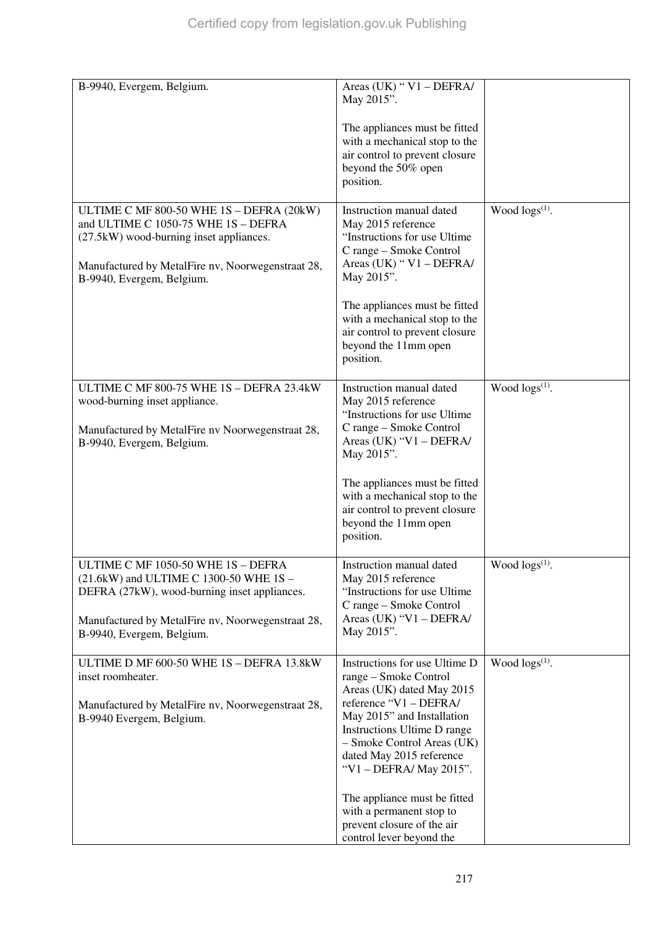| B-9940, Evergem, Belgium.                                                                                                  | Areas (UK) " $V1 - DEFRA/$<br>May 2015".                                                                                 |                            |
|----------------------------------------------------------------------------------------------------------------------------|--------------------------------------------------------------------------------------------------------------------------|----------------------------|
|                                                                                                                            | The appliances must be fitted<br>with a mechanical stop to the                                                           |                            |
|                                                                                                                            | air control to prevent closure<br>beyond the 50% open<br>position.                                                       |                            |
|                                                                                                                            |                                                                                                                          |                            |
| ULTIME C MF 800-50 WHE 1S - DEFRA (20kW)<br>and ULTIME C 1050-75 WHE 1S - DEFRA<br>(27.5kW) wood-burning inset appliances. | Instruction manual dated<br>May 2015 reference<br>"Instructions for use Ultime<br>C range - Smoke Control                | Wood $\log(s^{(1)})$ .     |
| Manufactured by MetalFire nv, Noorwegenstraat 28,<br>B-9940, Evergem, Belgium.                                             | Areas (UK) " V1 - DEFRA/<br>May 2015".                                                                                   |                            |
|                                                                                                                            | The appliances must be fitted<br>with a mechanical stop to the<br>air control to prevent closure<br>beyond the 11mm open |                            |
|                                                                                                                            | position.                                                                                                                |                            |
| ULTIME C MF 800-75 WHE 1S - DEFRA 23.4kW<br>wood-burning inset appliance.                                                  | Instruction manual dated<br>May 2015 reference                                                                           | Wood $\log s^{(1)}$ .      |
| Manufactured by MetalFire nv Noorwegenstraat 28,<br>B-9940, Evergem, Belgium.                                              | "Instructions for use Ultime<br>C range - Smoke Control<br>Areas (UK) "V1 - DEFRA/<br>May 2015".                         |                            |
|                                                                                                                            | The appliances must be fitted                                                                                            |                            |
|                                                                                                                            | with a mechanical stop to the<br>air control to prevent closure<br>beyond the 11mm open<br>position.                     |                            |
| ULTIME C MF 1050-50 WHE 1S - DEFRA<br>(21.6kW) and ULTIME C 1300-50 WHE 1S -                                               | Instruction manual dated<br>May 2015 reference                                                                           | Wood logs <sup>(1)</sup> . |
| DEFRA (27kW), wood-burning inset appliances.                                                                               | "Instructions for use Ultime<br>C range – Smoke Control                                                                  |                            |
| Manufactured by MetalFire nv, Noorwegenstraat 28,<br>B-9940, Evergem, Belgium.                                             | Areas (UK) "V1 - DEFRA/<br>May 2015".                                                                                    |                            |
| ULTIME D MF 600-50 WHE 1S - DEFRA 13.8kW                                                                                   | Instructions for use Ultime D                                                                                            | Wood logs <sup>(1)</sup> . |
| inset roomheater.                                                                                                          | range - Smoke Control<br>Areas (UK) dated May 2015                                                                       |                            |
| Manufactured by MetalFire nv, Noorwegenstraat 28,<br>B-9940 Evergem, Belgium.                                              | reference "V1 - DEFRA/<br>May 2015" and Installation                                                                     |                            |
|                                                                                                                            | Instructions Ultime D range<br>- Smoke Control Areas (UK)<br>dated May 2015 reference                                    |                            |
|                                                                                                                            | "V1 - DEFRA/ May 2015".                                                                                                  |                            |
|                                                                                                                            | The appliance must be fitted                                                                                             |                            |
|                                                                                                                            | with a permanent stop to<br>prevent closure of the air                                                                   |                            |
|                                                                                                                            | control lever beyond the                                                                                                 |                            |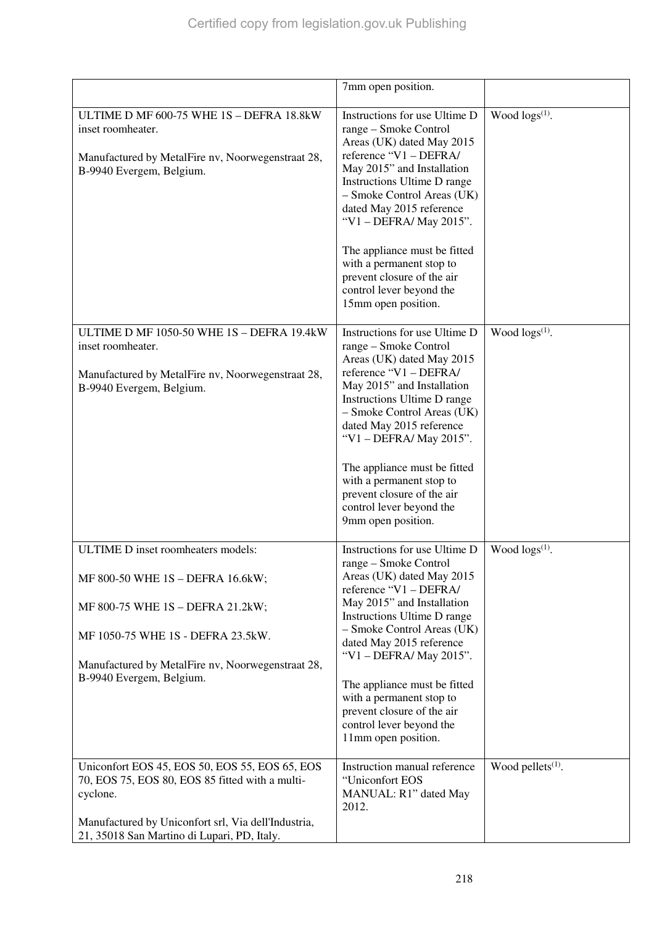|                                                                                                                                                                                                                     | 7mm open position.                                                                                                                                                                                                                                                                                                                                                                                          |                        |
|---------------------------------------------------------------------------------------------------------------------------------------------------------------------------------------------------------------------|-------------------------------------------------------------------------------------------------------------------------------------------------------------------------------------------------------------------------------------------------------------------------------------------------------------------------------------------------------------------------------------------------------------|------------------------|
| ULTIME D MF 600-75 WHE 1S - DEFRA 18.8kW<br>inset roomheater.<br>Manufactured by MetalFire nv, Noorwegenstraat 28,<br>B-9940 Evergem, Belgium.                                                                      | Instructions for use Ultime D<br>range – Smoke Control<br>Areas (UK) dated May 2015<br>reference "V1 - DEFRA/<br>May 2015" and Installation<br>Instructions Ultime D range<br>- Smoke Control Areas (UK)<br>dated May 2015 reference<br>"V1 - DEFRA/ May 2015".<br>The appliance must be fitted<br>with a permanent stop to<br>prevent closure of the air<br>control lever beyond the                       | Wood $\log s^{(1)}$ .  |
|                                                                                                                                                                                                                     | 15mm open position.                                                                                                                                                                                                                                                                                                                                                                                         |                        |
| ULTIME D MF 1050-50 WHE 1S - DEFRA 19.4kW<br>inset roomheater.<br>Manufactured by MetalFire nv, Noorwegenstraat 28,<br>B-9940 Evergem, Belgium.                                                                     | Instructions for use Ultime D<br>range – Smoke Control<br>Areas (UK) dated May 2015<br>reference "V1 - DEFRA/<br>May 2015" and Installation<br>Instructions Ultime D range<br>- Smoke Control Areas (UK)<br>dated May 2015 reference<br>"V1 - DEFRA/ May 2015".<br>The appliance must be fitted<br>with a permanent stop to<br>prevent closure of the air<br>control lever beyond the<br>9mm open position. | Wood $\log(s^{(1)})$ . |
| ULTIME D inset roomheaters models:                                                                                                                                                                                  | Instructions for use Ultime D                                                                                                                                                                                                                                                                                                                                                                               | Wood $\log s^{(1)}$ .  |
| MF 800-50 WHE 1S - DEFRA 16.6kW;<br>MF 800-75 WHE 1S - DEFRA 21.2kW;<br>MF 1050-75 WHE 1S - DEFRA 23.5kW.<br>Manufactured by MetalFire nv, Noorwegenstraat 28,<br>B-9940 Evergem, Belgium.                          | range – Smoke Control<br>Areas (UK) dated May 2015<br>reference "V1 - DEFRA/<br>May 2015" and Installation<br>Instructions Ultime D range<br>- Smoke Control Areas (UK)<br>dated May 2015 reference<br>"V1 - DEFRA/ May 2015".<br>The appliance must be fitted<br>with a permanent stop to<br>prevent closure of the air<br>control lever beyond the<br>11mm open position.                                 |                        |
| Uniconfort EOS 45, EOS 50, EOS 55, EOS 65, EOS<br>70, EOS 75, EOS 80, EOS 85 fitted with a multi-<br>cyclone.<br>Manufactured by Uniconfort srl, Via dell'Industria,<br>21, 35018 San Martino di Lupari, PD, Italy. | Instruction manual reference<br>"Uniconfort EOS<br>MANUAL: R1" dated May<br>2012.                                                                                                                                                                                                                                                                                                                           | Wood pellets $(1)$ .   |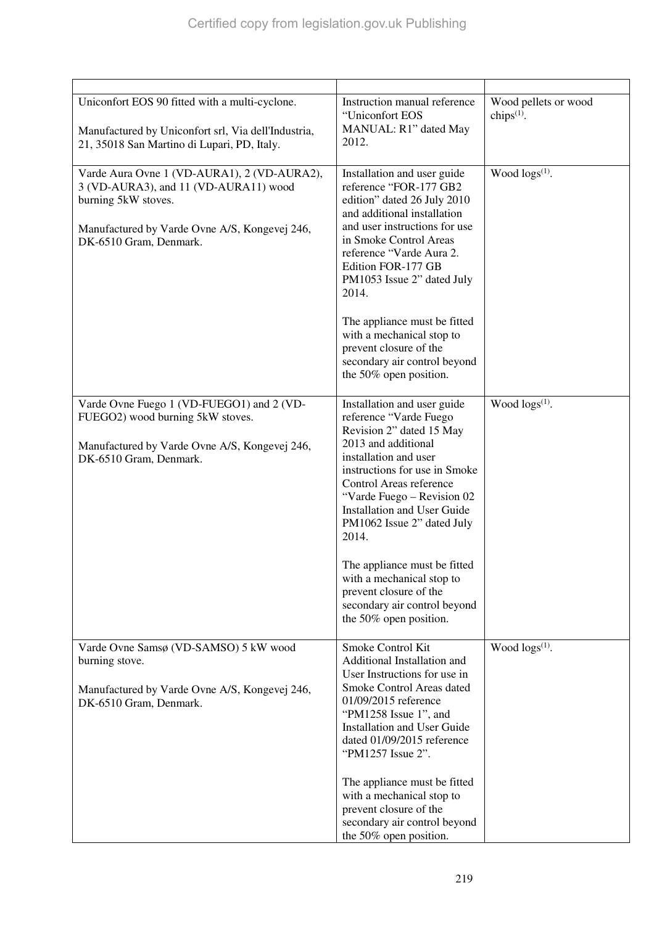| Uniconfort EOS 90 fitted with a multi-cyclone.<br>Manufactured by Uniconfort srl, Via dell'Industria,<br>21, 35018 San Martino di Lupari, PD, Italy.                                   | Instruction manual reference<br>"Uniconfort EOS<br>MANUAL: R1" dated May<br>2012.                                                                                                                                                                                                                                                                                                                                                                         | Wood pellets or wood<br>chips $(1)$ . |
|----------------------------------------------------------------------------------------------------------------------------------------------------------------------------------------|-----------------------------------------------------------------------------------------------------------------------------------------------------------------------------------------------------------------------------------------------------------------------------------------------------------------------------------------------------------------------------------------------------------------------------------------------------------|---------------------------------------|
| Varde Aura Ovne 1 (VD-AURA1), 2 (VD-AURA2),<br>3 (VD-AURA3), and 11 (VD-AURA11) wood<br>burning 5kW stoves.<br>Manufactured by Varde Ovne A/S, Kongevej 246,<br>DK-6510 Gram, Denmark. | Installation and user guide<br>reference "FOR-177 GB2<br>edition" dated 26 July 2010<br>and additional installation<br>and user instructions for use<br>in Smoke Control Areas<br>reference "Varde Aura 2.<br>Edition FOR-177 GB<br>PM1053 Issue 2" dated July<br>2014.<br>The appliance must be fitted<br>with a mechanical stop to<br>prevent closure of the<br>secondary air control beyond<br>the 50% open position.                                  | Wood $\log s^{(1)}$ .                 |
| Varde Ovne Fuego 1 (VD-FUEGO1) and 2 (VD-<br>FUEGO2) wood burning 5kW stoves.<br>Manufactured by Varde Ovne A/S, Kongevej 246,<br>DK-6510 Gram, Denmark.                               | Installation and user guide<br>reference "Varde Fuego<br>Revision 2" dated 15 May<br>2013 and additional<br>installation and user<br>instructions for use in Smoke<br>Control Areas reference<br>"Varde Fuego – Revision 02<br><b>Installation and User Guide</b><br>PM1062 Issue 2" dated July<br>2014.<br>The appliance must be fitted<br>with a mechanical stop to<br>prevent closure of the<br>secondary air control beyond<br>the 50% open position. | Wood $\log(s^{(1)})$ .                |
| Varde Ovne Samsø (VD-SAMSO) 5 kW wood<br>burning stove.<br>Manufactured by Varde Ovne A/S, Kongevej 246,<br>DK-6510 Gram, Denmark.                                                     | Smoke Control Kit<br>Additional Installation and<br>User Instructions for use in<br>Smoke Control Areas dated<br>01/09/2015 reference<br>"PM1258 Issue 1", and<br><b>Installation and User Guide</b><br>dated 01/09/2015 reference<br>"PM1257 Issue 2".<br>The appliance must be fitted<br>with a mechanical stop to<br>prevent closure of the<br>secondary air control beyond<br>the 50% open position.                                                  | Wood $\log(s^{(1)})$ .                |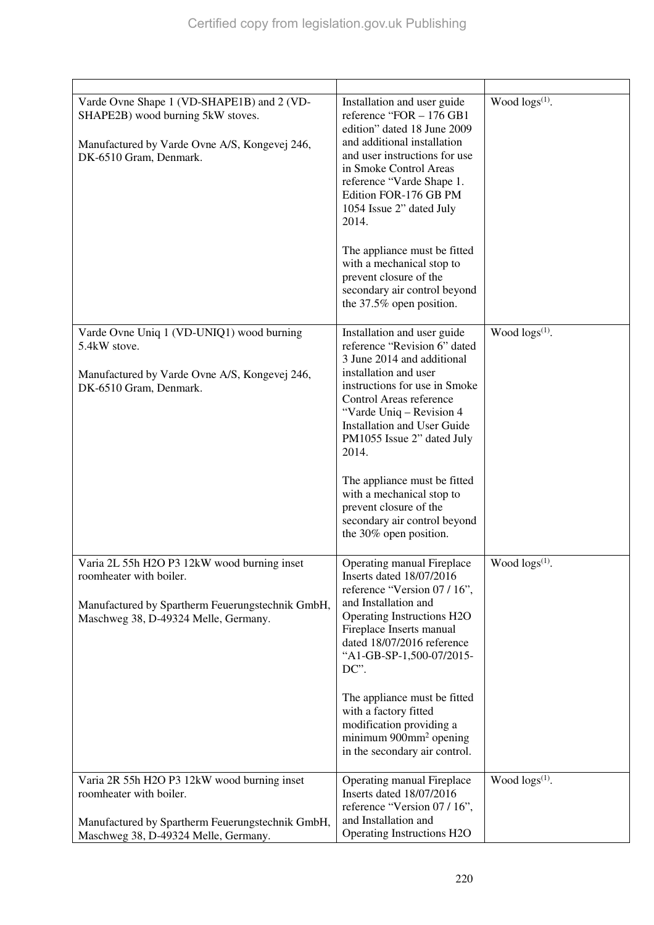| Varde Ovne Shape 1 (VD-SHAPE1B) and 2 (VD-<br>SHAPE2B) wood burning 5kW stoves.<br>Manufactured by Varde Ovne A/S, Kongevej 246,<br>DK-6510 Gram, Denmark.         | Installation and user guide<br>reference "FOR - 176 GB1<br>edition" dated 18 June 2009<br>and additional installation<br>and user instructions for use<br>in Smoke Control Areas<br>reference "Varde Shape 1.<br>Edition FOR-176 GB PM<br>1054 Issue 2" dated July<br>2014.<br>The appliance must be fitted<br>with a mechanical stop to<br>prevent closure of the<br>secondary air control beyond<br>the 37.5% open position. | Wood $\log(s^{(1)})$ . |
|--------------------------------------------------------------------------------------------------------------------------------------------------------------------|--------------------------------------------------------------------------------------------------------------------------------------------------------------------------------------------------------------------------------------------------------------------------------------------------------------------------------------------------------------------------------------------------------------------------------|------------------------|
| Varde Ovne Uniq 1 (VD-UNIQ1) wood burning<br>5.4kW stove.                                                                                                          | Installation and user guide<br>reference "Revision 6" dated<br>3 June 2014 and additional                                                                                                                                                                                                                                                                                                                                      | Wood $\log s^{(1)}$ .  |
| Manufactured by Varde Ovne A/S, Kongevej 246,<br>DK-6510 Gram, Denmark.                                                                                            | installation and user<br>instructions for use in Smoke<br>Control Areas reference<br>"Varde Uniq – Revision 4<br><b>Installation and User Guide</b><br>PM1055 Issue 2" dated July<br>2014.                                                                                                                                                                                                                                     |                        |
|                                                                                                                                                                    | The appliance must be fitted<br>with a mechanical stop to<br>prevent closure of the<br>secondary air control beyond<br>the 30% open position.                                                                                                                                                                                                                                                                                  |                        |
| Varia 2L 55h H2O P3 12kW wood burning inset<br>roomheater with boiler.<br>Manufactured by Spartherm Feuerungstechnik GmbH,<br>Maschweg 38, D-49324 Melle, Germany. | Operating manual Fireplace<br>Inserts dated 18/07/2016<br>reference "Version 07 / 16",<br>and Installation and<br>Operating Instructions H2O<br>Fireplace Inserts manual<br>dated 18/07/2016 reference<br>"A1-GB-SP-1,500-07/2015-<br>DC".                                                                                                                                                                                     | Wood $\log s^{(1)}$ .  |
|                                                                                                                                                                    | The appliance must be fitted<br>with a factory fitted<br>modification providing a<br>minimum $900$ mm <sup>2</sup> opening<br>in the secondary air control.                                                                                                                                                                                                                                                                    |                        |
| Varia 2R 55h H2O P3 12kW wood burning inset<br>roomheater with boiler.<br>Manufactured by Spartherm Feuerungstechnik GmbH,                                         | Operating manual Fireplace<br>Inserts dated 18/07/2016<br>reference "Version 07 / 16",<br>and Installation and                                                                                                                                                                                                                                                                                                                 | Wood $\log s^{(1)}$ .  |
| Maschweg 38, D-49324 Melle, Germany.                                                                                                                               | Operating Instructions H2O                                                                                                                                                                                                                                                                                                                                                                                                     |                        |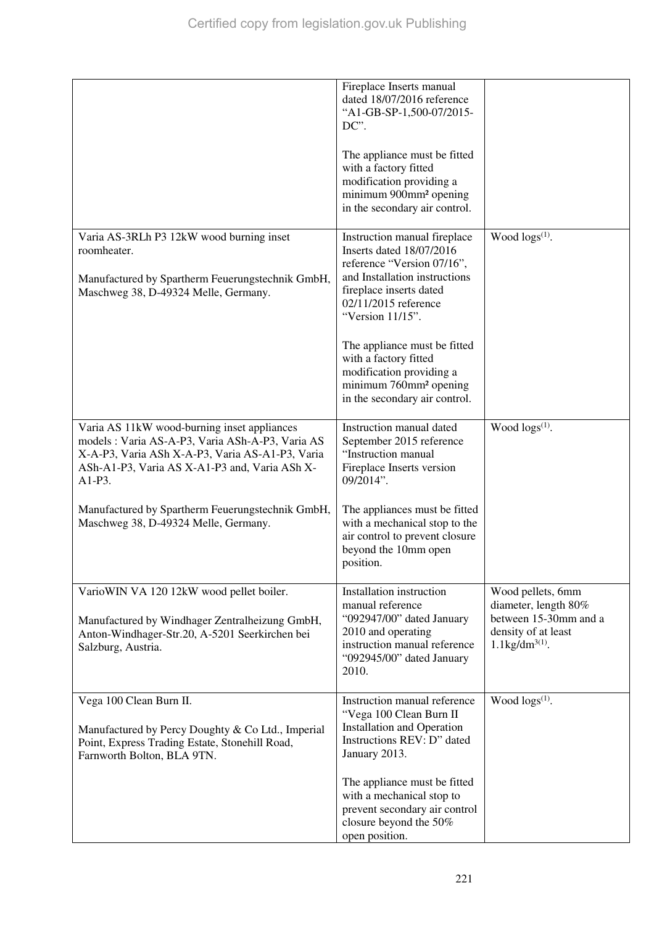|                                                                                                                                                                                                               | Fireplace Inserts manual<br>dated 18/07/2016 reference<br>"A1-GB-SP-1,500-07/2015-<br>DC".                                                                                                     |                                                                                                                            |
|---------------------------------------------------------------------------------------------------------------------------------------------------------------------------------------------------------------|------------------------------------------------------------------------------------------------------------------------------------------------------------------------------------------------|----------------------------------------------------------------------------------------------------------------------------|
|                                                                                                                                                                                                               | The appliance must be fitted<br>with a factory fitted<br>modification providing a<br>minimum 900mm <sup>2</sup> opening<br>in the secondary air control.                                       |                                                                                                                            |
| Varia AS-3RLh P3 12kW wood burning inset<br>roomheater.<br>Manufactured by Spartherm Feuerungstechnik GmbH,<br>Maschweg 38, D-49324 Melle, Germany.                                                           | Instruction manual fireplace<br>Inserts dated 18/07/2016<br>reference "Version 07/16",<br>and Installation instructions<br>fireplace inserts dated<br>02/11/2015 reference<br>"Version 11/15". | Wood $\log(s^{(1)})$ .                                                                                                     |
|                                                                                                                                                                                                               | The appliance must be fitted<br>with a factory fitted<br>modification providing a<br>minimum 760mm <sup>2</sup> opening<br>in the secondary air control.                                       |                                                                                                                            |
| Varia AS 11kW wood-burning inset appliances<br>models : Varia AS-A-P3, Varia ASh-A-P3, Varia AS<br>X-A-P3, Varia ASh X-A-P3, Varia AS-A1-P3, Varia<br>ASh-A1-P3, Varia AS X-A1-P3 and, Varia ASh X-<br>A1-P3. | Instruction manual dated<br>September 2015 reference<br>"Instruction manual<br>Fireplace Inserts version<br>09/2014".                                                                          | Wood $\log(s^{(1)})$ .                                                                                                     |
| Manufactured by Spartherm Feuerungstechnik GmbH,<br>Maschweg 38, D-49324 Melle, Germany.                                                                                                                      | The appliances must be fitted<br>with a mechanical stop to the<br>air control to prevent closure<br>beyond the 10mm open<br>position.                                                          |                                                                                                                            |
| VarioWIN VA 120 12kW wood pellet boiler.<br>Manufactured by Windhager Zentralheizung GmbH,<br>Anton-Windhager-Str.20, A-5201 Seerkirchen bei<br>Salzburg, Austria.                                            | Installation instruction<br>manual reference<br>"092947/00" dated January<br>2010 and operating<br>instruction manual reference<br>"092945/00" dated January<br>2010.                          | Wood pellets, 6mm<br>diameter, length 80%<br>between 15-30mm and a<br>density of at least<br>$1.1$ kg/dm <sup>3(1)</sup> . |
| Vega 100 Clean Burn II.<br>Manufactured by Percy Doughty & Co Ltd., Imperial<br>Point, Express Trading Estate, Stonehill Road,<br>Farnworth Bolton, BLA 9TN.                                                  | Instruction manual reference<br>"Vega 100 Clean Burn II<br><b>Installation and Operation</b><br>Instructions REV: D" dated<br>January 2013.                                                    | Wood $\log s^{(1)}$ .                                                                                                      |
|                                                                                                                                                                                                               | The appliance must be fitted<br>with a mechanical stop to<br>prevent secondary air control<br>closure beyond the 50%<br>open position.                                                         |                                                                                                                            |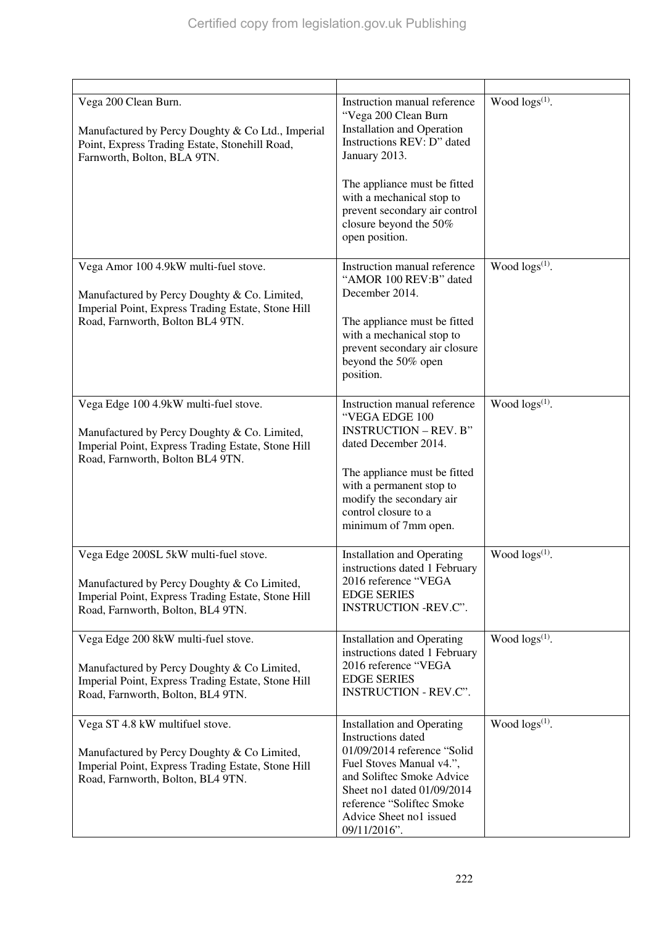| Vega 200 Clean Burn.<br>Manufactured by Percy Doughty & Co Ltd., Imperial<br>Point, Express Trading Estate, Stonehill Road,<br>Farnworth, Bolton, BLA 9TN.                      | Instruction manual reference<br>"Vega 200 Clean Burn<br><b>Installation and Operation</b><br>Instructions REV: D" dated<br>January 2013.<br>The appliance must be fitted<br>with a mechanical stop to<br>prevent secondary air control<br>closure beyond the 50%<br>open position. | Wood $\log(s^{(1)})$ . |
|---------------------------------------------------------------------------------------------------------------------------------------------------------------------------------|------------------------------------------------------------------------------------------------------------------------------------------------------------------------------------------------------------------------------------------------------------------------------------|------------------------|
| Vega Amor 100 4.9kW multi-fuel stove.<br>Manufactured by Percy Doughty & Co. Limited,<br>Imperial Point, Express Trading Estate, Stone Hill<br>Road, Farnworth, Bolton BL4 9TN. | Instruction manual reference<br>"AMOR 100 REV:B" dated<br>December 2014.<br>The appliance must be fitted<br>with a mechanical stop to<br>prevent secondary air closure<br>beyond the 50% open<br>position.                                                                         | Wood $\log(s^{(1)})$ . |
| Vega Edge 100 4.9kW multi-fuel stove.<br>Manufactured by Percy Doughty & Co. Limited,<br>Imperial Point, Express Trading Estate, Stone Hill<br>Road, Farnworth, Bolton BL4 9TN. | Instruction manual reference<br>"VEGA EDGE 100<br><b>INSTRUCTION - REV. B"</b><br>dated December 2014.<br>The appliance must be fitted<br>with a permanent stop to<br>modify the secondary air<br>control closure to a<br>minimum of 7mm open.                                     | Wood $\log(s^{(1)})$ . |
| Vega Edge 200SL 5kW multi-fuel stove.<br>Manufactured by Percy Doughty & Co Limited,<br>Imperial Point, Express Trading Estate, Stone Hill<br>Road, Farnworth, Bolton, BL4 9TN. | <b>Installation and Operating</b><br>instructions dated 1 February<br>2016 reference "VEGA<br><b>EDGE SERIES</b><br>INSTRUCTION -REV.C".                                                                                                                                           | Wood $\log(s^{(1)})$ . |
| Vega Edge 200 8kW multi-fuel stove.<br>Manufactured by Percy Doughty & Co Limited,<br>Imperial Point, Express Trading Estate, Stone Hill<br>Road, Farnworth, Bolton, BL4 9TN.   | <b>Installation and Operating</b><br>instructions dated 1 February<br>2016 reference "VEGA<br><b>EDGE SERIES</b><br>INSTRUCTION - REV.C".                                                                                                                                          | Wood $\log(s^{(1)})$ . |
| Vega ST 4.8 kW multifuel stove.<br>Manufactured by Percy Doughty & Co Limited,<br>Imperial Point, Express Trading Estate, Stone Hill<br>Road, Farnworth, Bolton, BL4 9TN.       | <b>Installation and Operating</b><br>Instructions dated<br>01/09/2014 reference "Solid<br>Fuel Stoves Manual v4.",<br>and Soliftec Smoke Advice<br>Sheet no1 dated 01/09/2014<br>reference "Soliftec Smoke<br>Advice Sheet no1 issued<br>09/11/2016".                              | Wood $\log(s^{(1)})$ . |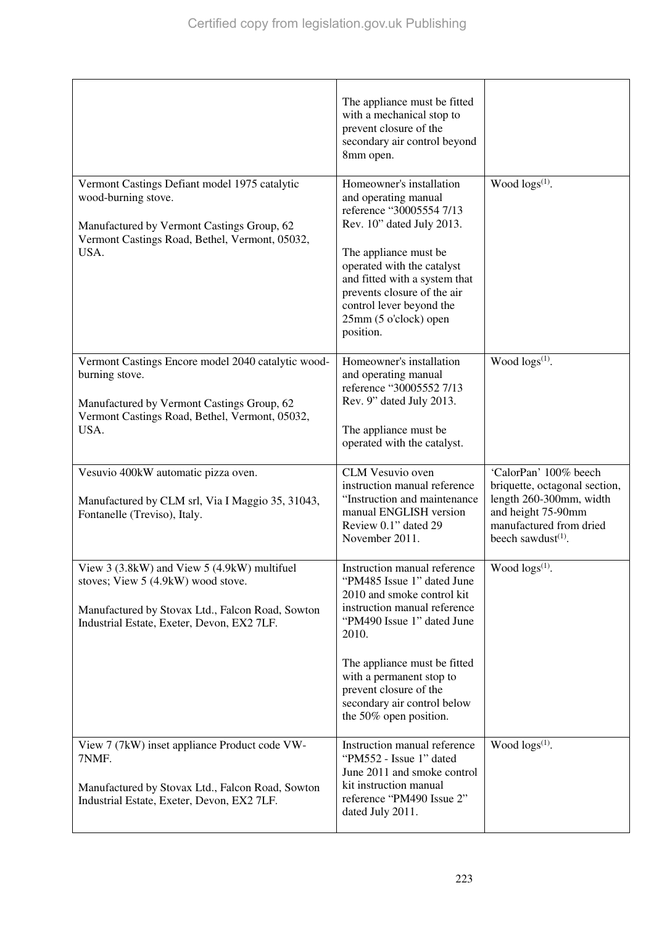|                                                                                                                                                                                     | The appliance must be fitted<br>with a mechanical stop to<br>prevent closure of the<br>secondary air control beyond<br>8mm open.                                                                                                                                                                               |                                                                                                                                                             |
|-------------------------------------------------------------------------------------------------------------------------------------------------------------------------------------|----------------------------------------------------------------------------------------------------------------------------------------------------------------------------------------------------------------------------------------------------------------------------------------------------------------|-------------------------------------------------------------------------------------------------------------------------------------------------------------|
| Vermont Castings Defiant model 1975 catalytic<br>wood-burning stove.<br>Manufactured by Vermont Castings Group, 62<br>Vermont Castings Road, Bethel, Vermont, 05032,<br>USA.        | Homeowner's installation<br>and operating manual<br>reference "30005554 7/13<br>Rev. 10" dated July 2013.<br>The appliance must be<br>operated with the catalyst<br>and fitted with a system that<br>prevents closure of the air<br>control lever beyond the<br>25mm (5 o'clock) open<br>position.             | Wood $\log(s^{(1)})$ .                                                                                                                                      |
| Vermont Castings Encore model 2040 catalytic wood-<br>burning stove.<br>Manufactured by Vermont Castings Group, 62<br>Vermont Castings Road, Bethel, Vermont, 05032,<br>USA.        | Homeowner's installation<br>and operating manual<br>reference "30005552 7/13<br>Rev. 9" dated July 2013.<br>The appliance must be<br>operated with the catalyst.                                                                                                                                               | Wood $\log(s^{(1)})$ .                                                                                                                                      |
| Vesuvio 400kW automatic pizza oven.<br>Manufactured by CLM srl, Via I Maggio 35, 31043,<br>Fontanelle (Treviso), Italy.                                                             | CLM Vesuvio oven<br>instruction manual reference<br>"Instruction and maintenance<br>manual ENGLISH version<br>Review 0.1" dated 29<br>November 2011.                                                                                                                                                           | 'CalorPan' 100% beech<br>briquette, octagonal section,<br>length 260-300mm, width<br>and height 75-90mm<br>manufactured from dried<br>beech sawdust $(1)$ . |
| View 3 (3.8kW) and View 5 (4.9kW) multifuel<br>stoves; View 5 (4.9kW) wood stove.<br>Manufactured by Stovax Ltd., Falcon Road, Sowton<br>Industrial Estate, Exeter, Devon, EX2 7LF. | Instruction manual reference<br>"PM485 Issue 1" dated June<br>2010 and smoke control kit<br>instruction manual reference<br>"PM490 Issue 1" dated June<br>2010.<br>The appliance must be fitted<br>with a permanent stop to<br>prevent closure of the<br>secondary air control below<br>the 50% open position. | Wood logs <sup>(1)</sup> .                                                                                                                                  |
| View 7 (7kW) inset appliance Product code VW-<br>7NMF.<br>Manufactured by Stovax Ltd., Falcon Road, Sowton<br>Industrial Estate, Exeter, Devon, EX2 7LF.                            | Instruction manual reference<br>"PM552 - Issue 1" dated<br>June 2011 and smoke control<br>kit instruction manual<br>reference "PM490 Issue 2"<br>dated July 2011.                                                                                                                                              | Wood $\log(s^{(1)})$ .                                                                                                                                      |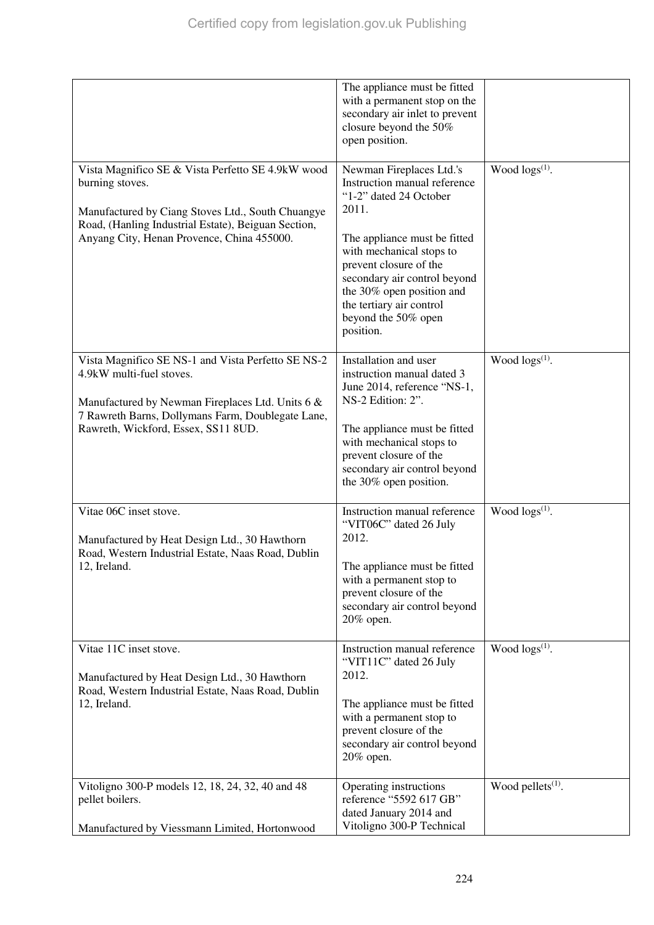|                                                                                                                                                                                                                                | The appliance must be fitted<br>with a permanent stop on the<br>secondary air inlet to prevent<br>closure beyond the 50%<br>open position.                                                                                                                                                                     |                        |
|--------------------------------------------------------------------------------------------------------------------------------------------------------------------------------------------------------------------------------|----------------------------------------------------------------------------------------------------------------------------------------------------------------------------------------------------------------------------------------------------------------------------------------------------------------|------------------------|
| Vista Magnifico SE & Vista Perfetto SE 4.9kW wood<br>burning stoves.<br>Manufactured by Ciang Stoves Ltd., South Chuangye<br>Road, (Hanling Industrial Estate), Beiguan Section,<br>Anyang City, Henan Provence, China 455000. | Newman Fireplaces Ltd.'s<br>Instruction manual reference<br>"1-2" dated 24 October<br>2011.<br>The appliance must be fitted<br>with mechanical stops to<br>prevent closure of the<br>secondary air control beyond<br>the 30% open position and<br>the tertiary air control<br>beyond the 50% open<br>position. | Wood $\log(s^{(1)})$ . |
| Vista Magnifico SE NS-1 and Vista Perfetto SE NS-2<br>4.9kW multi-fuel stoves.<br>Manufactured by Newman Fireplaces Ltd. Units 6 &<br>7 Rawreth Barns, Dollymans Farm, Doublegate Lane,<br>Rawreth, Wickford, Essex, SS11 8UD. | Installation and user<br>instruction manual dated 3<br>June 2014, reference "NS-1,<br>NS-2 Edition: 2".<br>The appliance must be fitted<br>with mechanical stops to<br>prevent closure of the<br>secondary air control beyond<br>the 30% open position.                                                        | Wood $\log(s^{(1)})$ . |
| Vitae 06C inset stove.<br>Manufactured by Heat Design Ltd., 30 Hawthorn<br>Road, Western Industrial Estate, Naas Road, Dublin<br>12, Ireland.                                                                                  | Instruction manual reference<br>"VIT06C" dated 26 July<br>2012.<br>The appliance must be fitted<br>with a permanent stop to<br>prevent closure of the<br>secondary air control beyond<br>20% open.                                                                                                             | Wood $\log s^{(1)}$ .  |
| Vitae 11C inset stove.<br>Manufactured by Heat Design Ltd., 30 Hawthorn<br>Road, Western Industrial Estate, Naas Road, Dublin<br>12, Ireland.                                                                                  | Instruction manual reference<br>"VIT11C" dated 26 July<br>2012.<br>The appliance must be fitted<br>with a permanent stop to<br>prevent closure of the<br>secondary air control beyond<br>20% open.                                                                                                             | Wood $\log(s^{(1)})$ . |
| Vitoligno 300-P models 12, 18, 24, 32, 40 and 48<br>pellet boilers.<br>Manufactured by Viessmann Limited, Hortonwood                                                                                                           | Operating instructions<br>reference "5592 617 GB"<br>dated January 2014 and<br>Vitoligno 300-P Technical                                                                                                                                                                                                       | Wood pellets $(1)$ .   |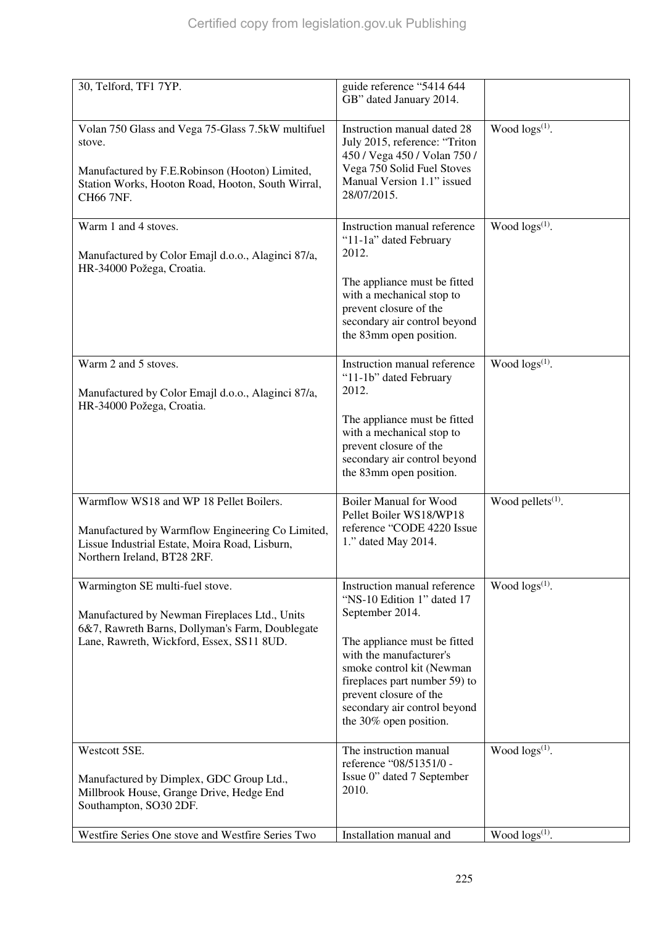| 30, Telford, TF1 7YP.                                                                                                                                                            | guide reference "5414 644<br>GB" dated January 2014.                                                                                                                                                                                                                                       |                        |
|----------------------------------------------------------------------------------------------------------------------------------------------------------------------------------|--------------------------------------------------------------------------------------------------------------------------------------------------------------------------------------------------------------------------------------------------------------------------------------------|------------------------|
| Volan 750 Glass and Vega 75-Glass 7.5kW multifuel<br>stove.<br>Manufactured by F.E.Robinson (Hooton) Limited,<br>Station Works, Hooton Road, Hooton, South Wirral,<br>CH66 7NF.  | Instruction manual dated 28<br>July 2015, reference: "Triton<br>450 / Vega 450 / Volan 750 /<br>Vega 750 Solid Fuel Stoves<br>Manual Version 1.1" issued<br>28/07/2015.                                                                                                                    | Wood $\log(s^{(1)})$ . |
| Warm 1 and 4 stoves.<br>Manufactured by Color Emajl d.o.o., Alaginci 87/a,<br>HR-34000 Požega, Croatia.                                                                          | Instruction manual reference<br>"11-1a" dated February<br>2012.<br>The appliance must be fitted<br>with a mechanical stop to<br>prevent closure of the<br>secondary air control beyond<br>the 83mm open position.                                                                          | Wood $\log(s^{(1)})$ . |
| Warm 2 and 5 stoves.<br>Manufactured by Color Emajl d.o.o., Alaginci 87/a,<br>HR-34000 Požega, Croatia.                                                                          | Instruction manual reference<br>"11-1b" dated February<br>2012.<br>The appliance must be fitted<br>with a mechanical stop to<br>prevent closure of the<br>secondary air control beyond<br>the 83mm open position.                                                                          | Wood $logs^{(1)}$ .    |
| Warmflow WS18 and WP 18 Pellet Boilers.<br>Manufactured by Warmflow Engineering Co Limited,<br>Lissue Industrial Estate, Moira Road, Lisburn,<br>Northern Ireland, BT28 2RF.     | <b>Boiler Manual for Wood</b><br>Pellet Boiler WS18/WP18<br>reference "CODE 4220 Issue<br>1." dated May 2014.                                                                                                                                                                              | Wood pellets $(1)$ .   |
| Warmington SE multi-fuel stove.<br>Manufactured by Newman Fireplaces Ltd., Units<br>6&7, Rawreth Barns, Dollyman's Farm, Doublegate<br>Lane, Rawreth, Wickford, Essex, SS11 8UD. | Instruction manual reference<br>"NS-10 Edition 1" dated 17<br>September 2014.<br>The appliance must be fitted<br>with the manufacturer's<br>smoke control kit (Newman<br>fireplaces part number 59) to<br>prevent closure of the<br>secondary air control beyond<br>the 30% open position. | Wood $\log s^{(1)}$ .  |
| Westcott 5SE.<br>Manufactured by Dimplex, GDC Group Ltd.,<br>Millbrook House, Grange Drive, Hedge End<br>Southampton, SO30 2DF.                                                  | The instruction manual<br>reference "08/51351/0 -<br>Issue 0" dated 7 September<br>2010.                                                                                                                                                                                                   | Wood $\log s^{(1)}$ .  |
| Westfire Series One stove and Westfire Series Two                                                                                                                                | Installation manual and                                                                                                                                                                                                                                                                    | Wood $\log(s^{(1)})$ . |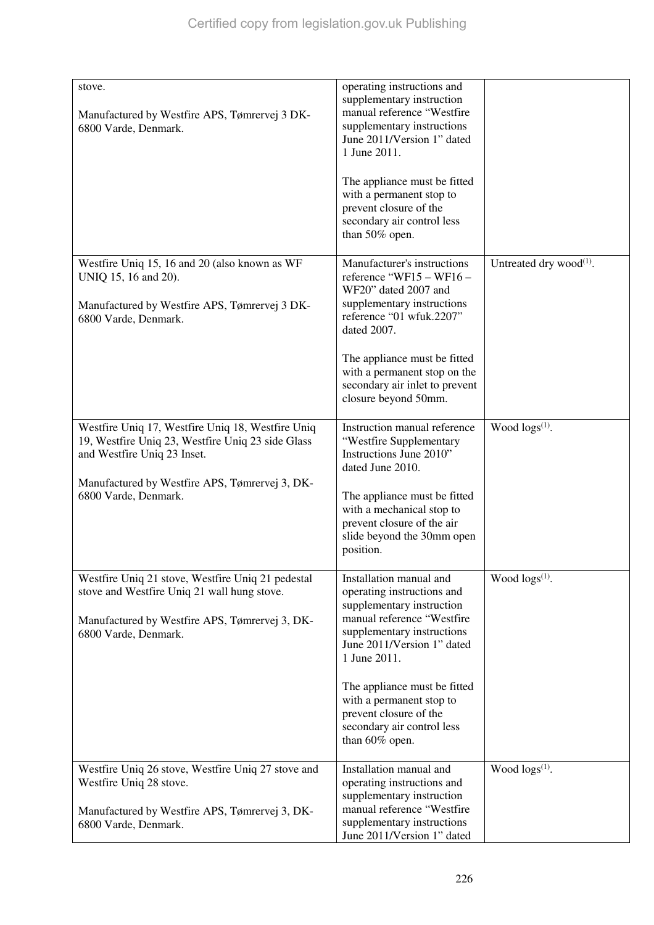| stove.<br>Manufactured by Westfire APS, Tømrervej 3 DK-<br>6800 Varde, Denmark.                                                                                            | operating instructions and<br>supplementary instruction<br>manual reference "Westfire<br>supplementary instructions<br>June 2011/Version 1" dated<br>1 June 2011.                            |                               |
|----------------------------------------------------------------------------------------------------------------------------------------------------------------------------|----------------------------------------------------------------------------------------------------------------------------------------------------------------------------------------------|-------------------------------|
|                                                                                                                                                                            | The appliance must be fitted<br>with a permanent stop to<br>prevent closure of the<br>secondary air control less<br>than 50% open.                                                           |                               |
| Westfire Uniq 15, 16 and 20 (also known as WF<br>UNIQ 15, 16 and 20).<br>Manufactured by Westfire APS, Tømrervej 3 DK-<br>6800 Varde, Denmark.                             | Manufacturer's instructions<br>reference "WF15 - WF16 -<br>WF20" dated 2007 and<br>supplementary instructions<br>reference "01 wfuk.2207"<br>dated 2007.                                     | Untreated dry wood $^{(1)}$ . |
|                                                                                                                                                                            | The appliance must be fitted<br>with a permanent stop on the<br>secondary air inlet to prevent<br>closure beyond 50mm.                                                                       |                               |
| Westfire Uniq 17, Westfire Uniq 18, Westfire Uniq<br>19, Westfire Uniq 23, Westfire Uniq 23 side Glass<br>and Westfire Uniq 23 Inset.                                      | Instruction manual reference<br>"Westfire Supplementary<br>Instructions June 2010"<br>dated June 2010.                                                                                       | Wood $\log s^{(1)}$ .         |
| Manufactured by Westfire APS, Tømrervej 3, DK-<br>6800 Varde, Denmark.                                                                                                     | The appliance must be fitted<br>with a mechanical stop to<br>prevent closure of the air<br>slide beyond the 30mm open<br>position.                                                           |                               |
| Westfire Uniq 21 stove, Westfire Uniq 21 pedestal<br>stove and Westfire Uniq 21 wall hung stove.<br>Manufactured by Westfire APS, Tømrervej 3, DK-<br>6800 Varde, Denmark. | Installation manual and<br>operating instructions and<br>supplementary instruction<br>manual reference "Westfire<br>supplementary instructions<br>June 2011/Version 1" dated<br>1 June 2011. | Wood $\log s^{(1)}$ .         |
|                                                                                                                                                                            | The appliance must be fitted<br>with a permanent stop to<br>prevent closure of the<br>secondary air control less<br>than 60% open.                                                           |                               |
| Westfire Uniq 26 stove, Westfire Uniq 27 stove and<br>Westfire Uniq 28 stove.<br>Manufactured by Westfire APS, Tømrervej 3, DK-<br>6800 Varde, Denmark.                    | Installation manual and<br>operating instructions and<br>supplementary instruction<br>manual reference "Westfire<br>supplementary instructions<br>June 2011/Version 1" dated                 | Wood $\log(s^{(1)})$ .        |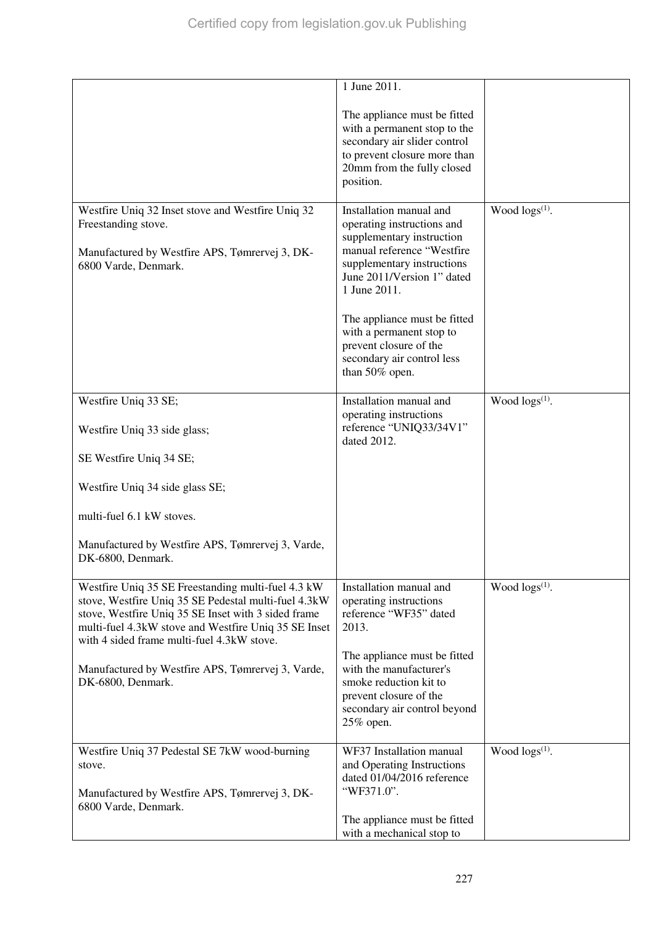|                                                                                                                                                                                                                                                                         | 1 June 2011.                                                                                                                                                                                                                                                                                                                       |                       |
|-------------------------------------------------------------------------------------------------------------------------------------------------------------------------------------------------------------------------------------------------------------------------|------------------------------------------------------------------------------------------------------------------------------------------------------------------------------------------------------------------------------------------------------------------------------------------------------------------------------------|-----------------------|
|                                                                                                                                                                                                                                                                         | The appliance must be fitted<br>with a permanent stop to the<br>secondary air slider control<br>to prevent closure more than<br>20mm from the fully closed<br>position.                                                                                                                                                            |                       |
| Westfire Uniq 32 Inset stove and Westfire Uniq 32<br>Freestanding stove.<br>Manufactured by Westfire APS, Tømrervej 3, DK-<br>6800 Varde, Denmark.                                                                                                                      | Installation manual and<br>operating instructions and<br>supplementary instruction<br>manual reference "Westfire<br>supplementary instructions<br>June 2011/Version 1" dated<br>1 June 2011.<br>The appliance must be fitted<br>with a permanent stop to<br>prevent closure of the<br>secondary air control less<br>than 50% open. | Wood $\log s^{(1)}$ . |
| Westfire Uniq 33 SE;<br>Westfire Uniq 33 side glass;<br>SE Westfire Uniq 34 SE;                                                                                                                                                                                         | Installation manual and<br>operating instructions<br>reference "UNIQ33/34V1"<br>dated 2012.                                                                                                                                                                                                                                        | Wood $\log s^{(1)}$ . |
| Westfire Uniq 34 side glass SE;<br>multi-fuel 6.1 kW stoves.                                                                                                                                                                                                            |                                                                                                                                                                                                                                                                                                                                    |                       |
| Manufactured by Westfire APS, Tømrervej 3, Varde,<br>DK-6800, Denmark.                                                                                                                                                                                                  |                                                                                                                                                                                                                                                                                                                                    |                       |
| Westfire Uniq 35 SE Freestanding multi-fuel 4.3 kW<br>stove, Westfire Uniq 35 SE Pedestal multi-fuel 4.3kW<br>stove, Westfire Uniq 35 SE Inset with 3 sided frame<br>multi-fuel 4.3kW stove and Westfire Uniq 35 SE Inset<br>with 4 sided frame multi-fuel 4.3kW stove. | Installation manual and<br>operating instructions<br>reference "WF35" dated<br>2013.                                                                                                                                                                                                                                               | Wood $\log s^{(1)}$ . |
| Manufactured by Westfire APS, Tømrervej 3, Varde,<br>DK-6800, Denmark.                                                                                                                                                                                                  | The appliance must be fitted<br>with the manufacturer's<br>smoke reduction kit to<br>prevent closure of the<br>secondary air control beyond<br>25% open.                                                                                                                                                                           |                       |
| Westfire Uniq 37 Pedestal SE 7kW wood-burning<br>stove.<br>Manufactured by Westfire APS, Tømrervej 3, DK-<br>6800 Varde, Denmark.                                                                                                                                       | WF37 Installation manual<br>and Operating Instructions<br>dated 01/04/2016 reference<br>"WF371.0".                                                                                                                                                                                                                                 | Wood $\log s^{(1)}$ . |
|                                                                                                                                                                                                                                                                         | The appliance must be fitted<br>with a mechanical stop to                                                                                                                                                                                                                                                                          |                       |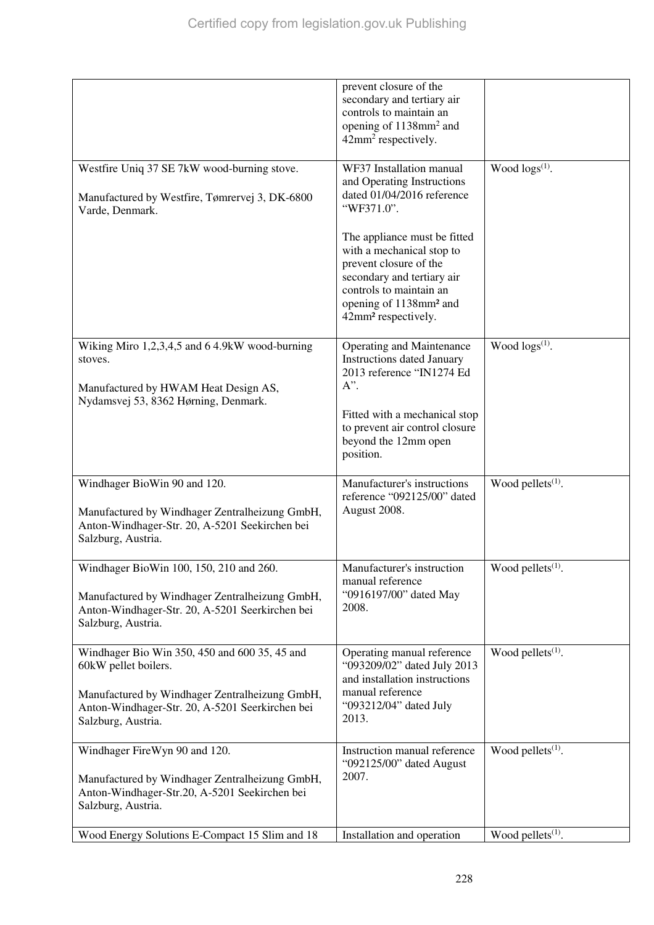|                                                                                                                                                                    | prevent closure of the<br>secondary and tertiary air<br>controls to maintain an<br>opening of 1138mm <sup>2</sup> and<br>42mm <sup>2</sup> respectively.                                                              |                               |
|--------------------------------------------------------------------------------------------------------------------------------------------------------------------|-----------------------------------------------------------------------------------------------------------------------------------------------------------------------------------------------------------------------|-------------------------------|
| Westfire Uniq 37 SE 7kW wood-burning stove.<br>Manufactured by Westfire, Tømrervej 3, DK-6800<br>Varde, Denmark.                                                   | WF37 Installation manual<br>and Operating Instructions<br>dated 01/04/2016 reference<br>"WF371.0".                                                                                                                    | Wood $\log(s^{(1)})$ .        |
|                                                                                                                                                                    | The appliance must be fitted<br>with a mechanical stop to<br>prevent closure of the<br>secondary and tertiary air<br>controls to maintain an<br>opening of 1138mm <sup>2</sup> and<br>42mm <sup>2</sup> respectively. |                               |
| Wiking Miro 1,2,3,4,5 and 6 4.9kW wood-burning<br>stoves.<br>Manufactured by HWAM Heat Design AS,                                                                  | <b>Operating and Maintenance</b><br><b>Instructions dated January</b><br>2013 reference "IN1274 Ed<br>$A$ ".                                                                                                          | Wood $\log(s^{(1)})$ .        |
| Nydamsvej 53, 8362 Hørning, Denmark.                                                                                                                               | Fitted with a mechanical stop<br>to prevent air control closure<br>beyond the 12mm open<br>position.                                                                                                                  |                               |
| Windhager BioWin 90 and 120.<br>Manufactured by Windhager Zentralheizung GmbH,<br>Anton-Windhager-Str. 20, A-5201 Seekirchen bei<br>Salzburg, Austria.             | Manufacturer's instructions<br>reference "092125/00" dated<br>August 2008.                                                                                                                                            | Wood pellets <sup>(1)</sup> . |
| Windhager BioWin 100, 150, 210 and 260.<br>Manufactured by Windhager Zentralheizung GmbH,<br>Anton-Windhager-Str. 20, A-5201 Seerkirchen bei<br>Salzburg, Austria. | Manufacturer's instruction<br>manual reference<br>"0916197/00" dated May<br>2008.                                                                                                                                     | Wood pellets <sup>(1)</sup> . |
| Windhager Bio Win 350, 450 and 600 35, 45 and<br>60kW pellet boilers.                                                                                              | Operating manual reference<br>"093209/02" dated July 2013<br>and installation instructions<br>manual reference                                                                                                        | Wood pellets $(1)$ .          |
| Manufactured by Windhager Zentralheizung GmbH,<br>Anton-Windhager-Str. 20, A-5201 Seerkirchen bei<br>Salzburg, Austria.                                            | "093212/04" dated July<br>2013.                                                                                                                                                                                       |                               |
| Windhager FireWyn 90 and 120.<br>Manufactured by Windhager Zentralheizung GmbH,<br>Anton-Windhager-Str.20, A-5201 Seekirchen bei<br>Salzburg, Austria.             | Instruction manual reference<br>"092125/00" dated August<br>2007.                                                                                                                                                     | Wood pellets $(1)$ .          |
| Wood Energy Solutions E-Compact 15 Slim and 18                                                                                                                     | Installation and operation                                                                                                                                                                                            | Wood pellets <sup>(1)</sup> . |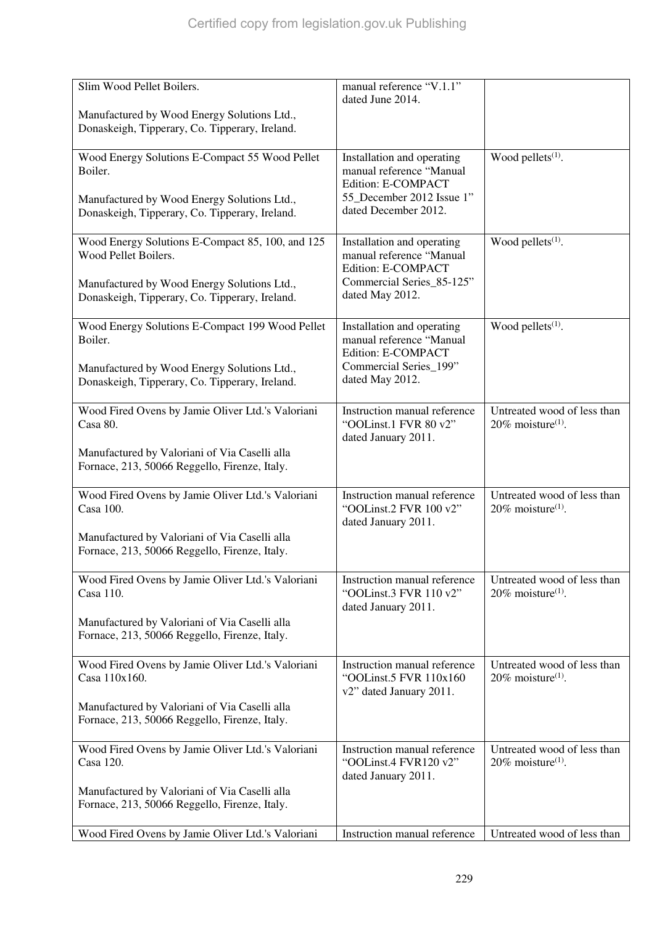| Slim Wood Pellet Boilers.                                                                      | manual reference "V.1.1"<br>dated June 2014.                                      |                                                                 |
|------------------------------------------------------------------------------------------------|-----------------------------------------------------------------------------------|-----------------------------------------------------------------|
| Manufactured by Wood Energy Solutions Ltd.,<br>Donaskeigh, Tipperary, Co. Tipperary, Ireland.  |                                                                                   |                                                                 |
| Wood Energy Solutions E-Compact 55 Wood Pellet<br>Boiler.                                      | Installation and operating<br>manual reference "Manual<br>Edition: E-COMPACT      | Wood pellets $(1)$ .                                            |
| Manufactured by Wood Energy Solutions Ltd.,<br>Donaskeigh, Tipperary, Co. Tipperary, Ireland.  | 55_December 2012 Issue 1"<br>dated December 2012.                                 |                                                                 |
| Wood Energy Solutions E-Compact 85, 100, and 125<br>Wood Pellet Boilers.                       | Installation and operating<br>manual reference "Manual<br>Edition: E-COMPACT      | Wood pellets $(1)$ .                                            |
| Manufactured by Wood Energy Solutions Ltd.,<br>Donaskeigh, Tipperary, Co. Tipperary, Ireland.  | Commercial Series_85-125"<br>dated May 2012.                                      |                                                                 |
| Wood Energy Solutions E-Compact 199 Wood Pellet<br>Boiler.                                     | Installation and operating<br>manual reference "Manual<br>Edition: E-COMPACT      | Wood pellets <sup>(1)</sup> .                                   |
| Manufactured by Wood Energy Solutions Ltd.,<br>Donaskeigh, Tipperary, Co. Tipperary, Ireland.  | Commercial Series_199"<br>dated May 2012.                                         |                                                                 |
| Wood Fired Ovens by Jamie Oliver Ltd.'s Valoriani<br>Casa 80.                                  | Instruction manual reference<br>"OOLinst.1 FVR 80 v2"<br>dated January 2011.      | Untreated wood of less than<br>$20\%$ moisture <sup>(1)</sup> . |
| Manufactured by Valoriani of Via Caselli alla<br>Fornace, 213, 50066 Reggello, Firenze, Italy. |                                                                                   |                                                                 |
| Wood Fired Ovens by Jamie Oliver Ltd.'s Valoriani<br>Casa 100.                                 | Instruction manual reference<br>"OOLinst.2 FVR 100 v2"<br>dated January 2011.     | Untreated wood of less than<br>$20\%$ moisture <sup>(1)</sup> . |
| Manufactured by Valoriani of Via Caselli alla<br>Fornace, 213, 50066 Reggello, Firenze, Italy. |                                                                                   |                                                                 |
| Wood Fired Ovens by Jamie Oliver Ltd.'s Valoriani<br>Casa 110.                                 | Instruction manual reference<br>"OOLinst.3 FVR 110 v2"<br>dated January 2011.     | Untreated wood of less than<br>20% moisture <sup>(1)</sup> .    |
| Manufactured by Valoriani of Via Caselli alla<br>Fornace, 213, 50066 Reggello, Firenze, Italy. |                                                                                   |                                                                 |
| Wood Fired Ovens by Jamie Oliver Ltd.'s Valoriani<br>Casa 110x160.                             | Instruction manual reference<br>"OOLinst.5 FVR 110x160<br>v2" dated January 2011. | Untreated wood of less than<br>$20\%$ moisture <sup>(1)</sup> . |
| Manufactured by Valoriani of Via Caselli alla<br>Fornace, 213, 50066 Reggello, Firenze, Italy. |                                                                                   |                                                                 |
| Wood Fired Ovens by Jamie Oliver Ltd.'s Valoriani<br>Casa 120.                                 | Instruction manual reference<br>"OOLinst.4 FVR120 v2"<br>dated January 2011.      | Untreated wood of less than<br>$20\%$ moisture <sup>(1)</sup> . |
| Manufactured by Valoriani of Via Caselli alla<br>Fornace, 213, 50066 Reggello, Firenze, Italy. |                                                                                   |                                                                 |
| Wood Fired Ovens by Jamie Oliver Ltd.'s Valoriani                                              | Instruction manual reference                                                      | Untreated wood of less than                                     |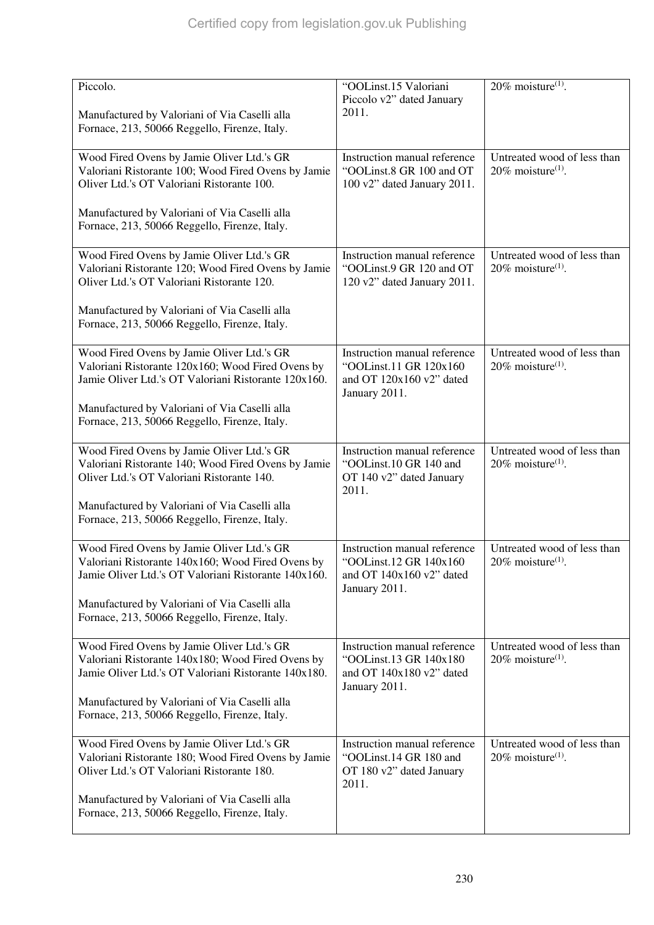| Piccolo.<br>Manufactured by Valoriani of Via Caselli alla<br>Fornace, 213, 50066 Reggello, Firenze, Italy.                                              | "OOLinst.15 Valoriani<br>Piccolo v2" dated January<br>2011.                                         | $20\%$ moisture <sup>(1)</sup> .                                |
|---------------------------------------------------------------------------------------------------------------------------------------------------------|-----------------------------------------------------------------------------------------------------|-----------------------------------------------------------------|
| Wood Fired Ovens by Jamie Oliver Ltd.'s GR<br>Valoriani Ristorante 100; Wood Fired Ovens by Jamie<br>Oliver Ltd.'s OT Valoriani Ristorante 100.         | Instruction manual reference<br>"OOLinst.8 GR 100 and OT<br>100 v2" dated January 2011.             | Untreated wood of less than<br>$20\%$ moisture <sup>(1)</sup> . |
| Manufactured by Valoriani of Via Caselli alla<br>Fornace, 213, 50066 Reggello, Firenze, Italy.                                                          |                                                                                                     |                                                                 |
| Wood Fired Ovens by Jamie Oliver Ltd.'s GR<br>Valoriani Ristorante 120; Wood Fired Ovens by Jamie<br>Oliver Ltd.'s OT Valoriani Ristorante 120.         | Instruction manual reference<br>"OOLinst.9 GR 120 and OT<br>120 v2" dated January 2011.             | Untreated wood of less than<br>$20\%$ moisture <sup>(1)</sup> . |
| Manufactured by Valoriani of Via Caselli alla<br>Fornace, 213, 50066 Reggello, Firenze, Italy.                                                          |                                                                                                     |                                                                 |
| Wood Fired Ovens by Jamie Oliver Ltd.'s GR<br>Valoriani Ristorante 120x160; Wood Fired Ovens by<br>Jamie Oliver Ltd.'s OT Valoriani Ristorante 120x160. | Instruction manual reference<br>"OOLinst.11 GR 120x160<br>and OT 120x160 v2" dated<br>January 2011. | Untreated wood of less than<br>$20\%$ moisture <sup>(1)</sup> . |
| Manufactured by Valoriani of Via Caselli alla<br>Fornace, 213, 50066 Reggello, Firenze, Italy.                                                          |                                                                                                     |                                                                 |
| Wood Fired Ovens by Jamie Oliver Ltd.'s GR<br>Valoriani Ristorante 140; Wood Fired Ovens by Jamie<br>Oliver Ltd.'s OT Valoriani Ristorante 140.         | Instruction manual reference<br>"OOLinst.10 GR 140 and<br>OT 140 v2" dated January<br>2011.         | Untreated wood of less than<br>$20\%$ moisture <sup>(1)</sup> . |
| Manufactured by Valoriani of Via Caselli alla<br>Fornace, 213, 50066 Reggello, Firenze, Italy.                                                          |                                                                                                     |                                                                 |
| Wood Fired Ovens by Jamie Oliver Ltd.'s GR<br>Valoriani Ristorante 140x160; Wood Fired Ovens by<br>Jamie Oliver Ltd.'s OT Valoriani Ristorante 140x160. | Instruction manual reference<br>"OOLinst.12 GR 140x160<br>and OT 140x160 v2" dated<br>January 2011. | Untreated wood of less than<br>$20\%$ moisture <sup>(1)</sup> . |
| Manufactured by Valoriani of Via Caselli alla<br>Fornace, 213, 50066 Reggello, Firenze, Italy.                                                          |                                                                                                     |                                                                 |
| Wood Fired Ovens by Jamie Oliver Ltd.'s GR<br>Valoriani Ristorante 140x180; Wood Fired Ovens by<br>Jamie Oliver Ltd.'s OT Valoriani Ristorante 140x180. | Instruction manual reference<br>"OOLinst.13 GR 140x180<br>and OT 140x180 v2" dated<br>January 2011. | Untreated wood of less than<br>$20\%$ moisture <sup>(1)</sup> . |
| Manufactured by Valoriani of Via Caselli alla<br>Fornace, 213, 50066 Reggello, Firenze, Italy.                                                          |                                                                                                     |                                                                 |
| Wood Fired Ovens by Jamie Oliver Ltd.'s GR<br>Valoriani Ristorante 180; Wood Fired Ovens by Jamie<br>Oliver Ltd.'s OT Valoriani Ristorante 180.         | Instruction manual reference<br>"OOLinst.14 GR 180 and<br>OT 180 v2" dated January<br>2011.         | Untreated wood of less than<br>$20\%$ moisture <sup>(1)</sup> . |
| Manufactured by Valoriani of Via Caselli alla<br>Fornace, 213, 50066 Reggello, Firenze, Italy.                                                          |                                                                                                     |                                                                 |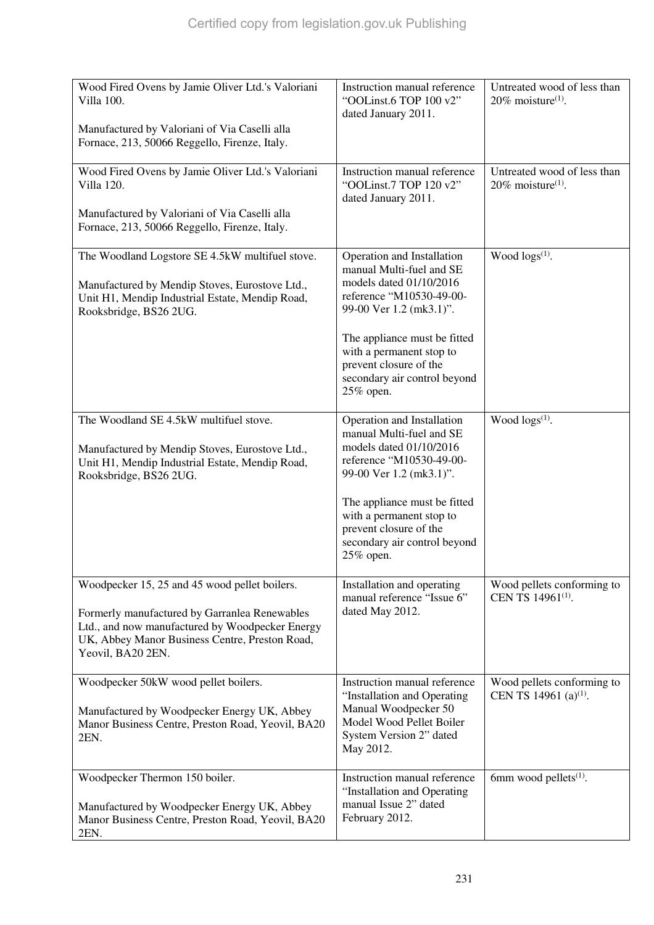| Wood Fired Ovens by Jamie Oliver Ltd.'s Valoriani<br>Villa 100.<br>Manufactured by Valoriani of Via Caselli alla<br>Fornace, 213, 50066 Reggello, Firenze, Italy.                                                        | Instruction manual reference<br>"OOLinst.6 TOP 100 v2"<br>dated January 2011.                                                                                                                                                                                               | Untreated wood of less than<br>$20\%$ moisture <sup>(1)</sup> . |
|--------------------------------------------------------------------------------------------------------------------------------------------------------------------------------------------------------------------------|-----------------------------------------------------------------------------------------------------------------------------------------------------------------------------------------------------------------------------------------------------------------------------|-----------------------------------------------------------------|
| Wood Fired Ovens by Jamie Oliver Ltd.'s Valoriani<br>Villa 120.<br>Manufactured by Valoriani of Via Caselli alla<br>Fornace, 213, 50066 Reggello, Firenze, Italy.                                                        | Instruction manual reference<br>"OOLinst.7 TOP 120 v2"<br>dated January 2011.                                                                                                                                                                                               | Untreated wood of less than<br>$20\%$ moisture <sup>(1)</sup> . |
| The Woodland Logstore SE 4.5kW multifuel stove.<br>Manufactured by Mendip Stoves, Eurostove Ltd.,<br>Unit H1, Mendip Industrial Estate, Mendip Road,<br>Rooksbridge, BS26 2UG.                                           | Operation and Installation<br>manual Multi-fuel and SE<br>models dated 01/10/2016<br>reference "M10530-49-00-<br>99-00 Ver 1.2 (mk3.1)".<br>The appliance must be fitted<br>with a permanent stop to<br>prevent closure of the<br>secondary air control beyond<br>25% open. | Wood $\log(s^{(1)})$ .                                          |
| The Woodland SE 4.5kW multifuel stove.<br>Manufactured by Mendip Stoves, Eurostove Ltd.,<br>Unit H1, Mendip Industrial Estate, Mendip Road,<br>Rooksbridge, BS26 2UG.                                                    | Operation and Installation<br>manual Multi-fuel and SE<br>models dated 01/10/2016<br>reference "M10530-49-00-<br>99-00 Ver 1.2 (mk3.1)".<br>The appliance must be fitted<br>with a permanent stop to<br>prevent closure of the<br>secondary air control beyond<br>25% open. | Wood $\log(s^{(1)})$ .                                          |
| Woodpecker 15, 25 and 45 wood pellet boilers.<br>Formerly manufactured by Garranlea Renewables<br>Ltd., and now manufactured by Woodpecker Energy<br>UK, Abbey Manor Business Centre, Preston Road,<br>Yeovil, BA20 2EN. | Installation and operating<br>manual reference "Issue 6"<br>dated May 2012.                                                                                                                                                                                                 | Wood pellets conforming to<br>CEN TS 14961(1).                  |
| Woodpecker 50kW wood pellet boilers.<br>Manufactured by Woodpecker Energy UK, Abbey<br>Manor Business Centre, Preston Road, Yeovil, BA20<br>2EN.                                                                         | Instruction manual reference<br>"Installation and Operating<br>Manual Woodpecker 50<br>Model Wood Pellet Boiler<br>System Version 2" dated<br>May 2012.                                                                                                                     | Wood pellets conforming to<br>CEN TS 14961 (a) <sup>(1)</sup> . |
| Woodpecker Thermon 150 boiler.<br>Manufactured by Woodpecker Energy UK, Abbey<br>Manor Business Centre, Preston Road, Yeovil, BA20<br>2EN.                                                                               | Instruction manual reference<br>"Installation and Operating<br>manual Issue 2" dated<br>February 2012.                                                                                                                                                                      | 6mm wood pellets <sup>(1)</sup> .                               |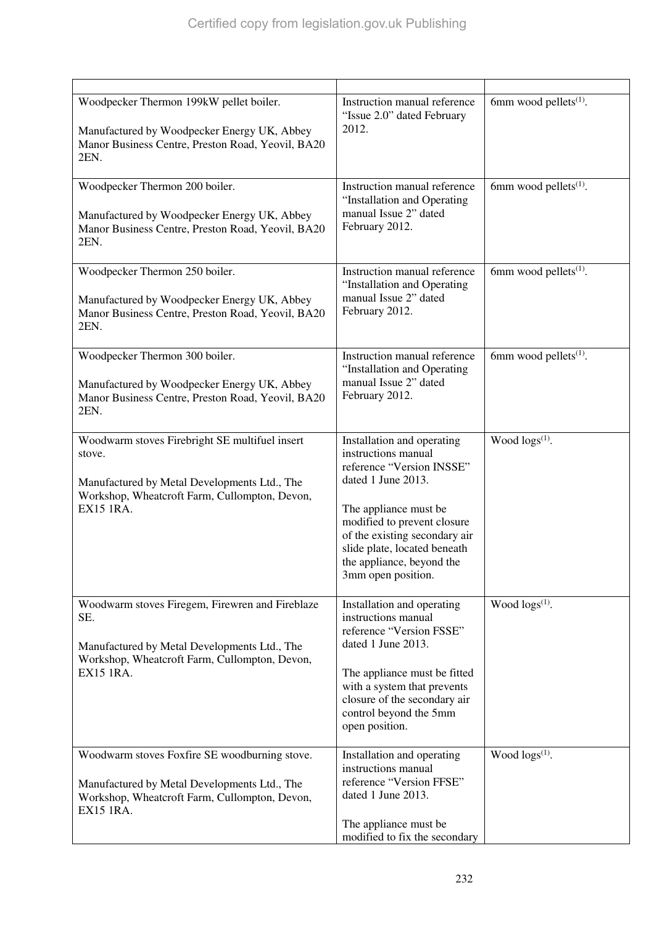| Woodpecker Thermon 199kW pellet boiler.<br>Manufactured by Woodpecker Energy UK, Abbey<br>Manor Business Centre, Preston Road, Yeovil, BA20<br>2EN.                           | Instruction manual reference<br>"Issue 2.0" dated February<br>2012.                                                                                                                                                                                                              | 6mm wood pellets $(1)$ .          |
|-------------------------------------------------------------------------------------------------------------------------------------------------------------------------------|----------------------------------------------------------------------------------------------------------------------------------------------------------------------------------------------------------------------------------------------------------------------------------|-----------------------------------|
| Woodpecker Thermon 200 boiler.<br>Manufactured by Woodpecker Energy UK, Abbey<br>Manor Business Centre, Preston Road, Yeovil, BA20<br>2EN.                                    | Instruction manual reference<br>"Installation and Operating<br>manual Issue 2" dated<br>February 2012.                                                                                                                                                                           | 6mm wood pellets <sup>(1)</sup> . |
| Woodpecker Thermon 250 boiler.<br>Manufactured by Woodpecker Energy UK, Abbey<br>Manor Business Centre, Preston Road, Yeovil, BA20<br>2EN.                                    | Instruction manual reference<br>"Installation and Operating<br>manual Issue 2" dated<br>February 2012.                                                                                                                                                                           | 6mm wood pellets $(1)$ .          |
| Woodpecker Thermon 300 boiler.<br>Manufactured by Woodpecker Energy UK, Abbey<br>Manor Business Centre, Preston Road, Yeovil, BA20<br>2EN.                                    | Instruction manual reference<br>"Installation and Operating<br>manual Issue 2" dated<br>February 2012.                                                                                                                                                                           | 6mm wood pellets $(1)$ .          |
| Woodwarm stoves Firebright SE multifuel insert<br>stove.<br>Manufactured by Metal Developments Ltd., The<br>Workshop, Wheatcroft Farm, Cullompton, Devon,<br><b>EX15 1RA.</b> | Installation and operating<br>instructions manual<br>reference "Version INSSE"<br>dated 1 June 2013.<br>The appliance must be<br>modified to prevent closure<br>of the existing secondary air<br>slide plate, located beneath<br>the appliance, beyond the<br>3mm open position. | Wood $\log(s^{(1)})$ .            |
| Woodwarm stoves Firegem, Firewren and Fireblaze<br>SE.<br>Manufactured by Metal Developments Ltd., The<br>Workshop, Wheatcroft Farm, Cullompton, Devon,<br>EX15 1RA.          | Installation and operating<br>instructions manual<br>reference "Version FSSE"<br>dated 1 June 2013.<br>The appliance must be fitted<br>with a system that prevents<br>closure of the secondary air<br>control beyond the 5mm<br>open position.                                   | Wood $\log(s^{(1)})$ .            |
| Woodwarm stoves Foxfire SE woodburning stove.<br>Manufactured by Metal Developments Ltd., The<br>Workshop, Wheatcroft Farm, Cullompton, Devon,<br><b>EX15 1RA.</b>            | Installation and operating<br>instructions manual<br>reference "Version FFSE"<br>dated 1 June 2013.<br>The appliance must be<br>modified to fix the secondary                                                                                                                    | Wood $\log s^{(1)}$ .             |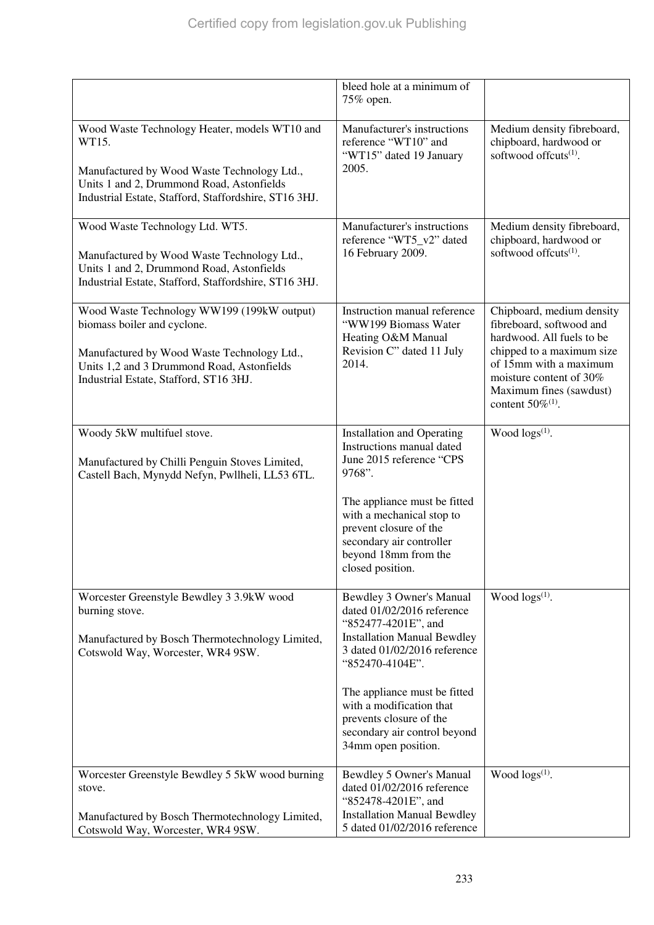|                                                                                                                                                                                                                  | bleed hole at a minimum of<br>75% open.                                                                                                                                                                                                                                                                              |                                                                                                                                                                                                                                    |
|------------------------------------------------------------------------------------------------------------------------------------------------------------------------------------------------------------------|----------------------------------------------------------------------------------------------------------------------------------------------------------------------------------------------------------------------------------------------------------------------------------------------------------------------|------------------------------------------------------------------------------------------------------------------------------------------------------------------------------------------------------------------------------------|
| Wood Waste Technology Heater, models WT10 and<br>WT15.<br>Manufactured by Wood Waste Technology Ltd.,<br>Units 1 and 2, Drummond Road, Astonfields<br>Industrial Estate, Stafford, Staffordshire, ST16 3HJ.      | Manufacturer's instructions<br>reference "WT10" and<br>"WT15" dated 19 January<br>2005.                                                                                                                                                                                                                              | Medium density fibreboard,<br>chipboard, hardwood or<br>softwood offcuts <sup>(1)</sup> .                                                                                                                                          |
| Wood Waste Technology Ltd. WT5.<br>Manufactured by Wood Waste Technology Ltd.,<br>Units 1 and 2, Drummond Road, Astonfields<br>Industrial Estate, Stafford, Staffordshire, ST16 3HJ.                             | Manufacturer's instructions<br>reference "WT5_v2" dated<br>16 February 2009.                                                                                                                                                                                                                                         | Medium density fibreboard,<br>chipboard, hardwood or<br>softwood offcuts <sup>(1)</sup> .                                                                                                                                          |
| Wood Waste Technology WW199 (199kW output)<br>biomass boiler and cyclone.<br>Manufactured by Wood Waste Technology Ltd.,<br>Units 1,2 and 3 Drummond Road, Astonfields<br>Industrial Estate, Stafford, ST16 3HJ. | Instruction manual reference<br>"WW199 Biomass Water<br>Heating O&M Manual<br>Revision C" dated 11 July<br>2014.                                                                                                                                                                                                     | Chipboard, medium density<br>fibreboard, softwood and<br>hardwood. All fuels to be<br>chipped to a maximum size<br>of 15mm with a maximum<br>moisture content of 30%<br>Maximum fines (sawdust)<br>content $50\%$ <sup>(1)</sup> . |
| Woody 5kW multifuel stove.<br>Manufactured by Chilli Penguin Stoves Limited,<br>Castell Bach, Mynydd Nefyn, Pwllheli, LL53 6TL.                                                                                  | Installation and Operating<br>Instructions manual dated<br>June 2015 reference "CPS<br>9768".<br>The appliance must be fitted<br>with a mechanical stop to<br>prevent closure of the<br>secondary air controller<br>beyond 18mm from the<br>closed position.                                                         | Wood $\log(s^{(1)})$ .                                                                                                                                                                                                             |
| Worcester Greenstyle Bewdley 3 3.9kW wood<br>burning stove.<br>Manufactured by Bosch Thermotechnology Limited,<br>Cotswold Way, Worcester, WR4 9SW.                                                              | Bewdley 3 Owner's Manual<br>dated 01/02/2016 reference<br>"852477-4201E", and<br><b>Installation Manual Bewdley</b><br>3 dated 01/02/2016 reference<br>"852470-4104E".<br>The appliance must be fitted<br>with a modification that<br>prevents closure of the<br>secondary air control beyond<br>34mm open position. | Wood $\log s^{(1)}$ .                                                                                                                                                                                                              |
| Worcester Greenstyle Bewdley 5 5kW wood burning<br>stove.<br>Manufactured by Bosch Thermotechnology Limited,<br>Cotswold Way, Worcester, WR4 9SW.                                                                | Bewdley 5 Owner's Manual<br>dated 01/02/2016 reference<br>"852478-4201E", and<br><b>Installation Manual Bewdley</b><br>5 dated 01/02/2016 reference                                                                                                                                                                  | Wood $\log s^{(1)}$ .                                                                                                                                                                                                              |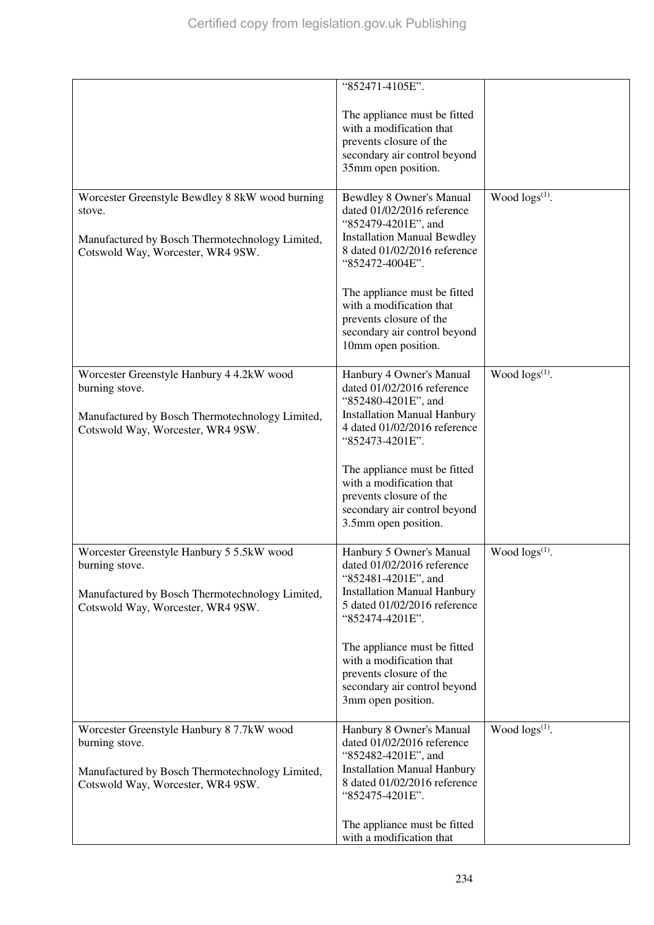|                                                                                                                                                     | "852471-4105E".<br>The appliance must be fitted<br>with a modification that<br>prevents closure of the<br>secondary air control beyond<br>35mm open position.                                                                                                                                                         |                       |
|-----------------------------------------------------------------------------------------------------------------------------------------------------|-----------------------------------------------------------------------------------------------------------------------------------------------------------------------------------------------------------------------------------------------------------------------------------------------------------------------|-----------------------|
| Worcester Greenstyle Bewdley 8 8kW wood burning<br>stove.<br>Manufactured by Bosch Thermotechnology Limited,<br>Cotswold Way, Worcester, WR4 9SW.   | Bewdley 8 Owner's Manual<br>dated 01/02/2016 reference<br>"852479-4201E", and<br><b>Installation Manual Bewdley</b><br>8 dated 01/02/2016 reference<br>"852472-4004E".<br>The appliance must be fitted<br>with a modification that<br>prevents closure of the<br>secondary air control beyond<br>10mm open position.  | Wood $\log s^{(1)}$ . |
| Worcester Greenstyle Hanbury 4 4.2kW wood<br>burning stove.<br>Manufactured by Bosch Thermotechnology Limited,<br>Cotswold Way, Worcester, WR4 9SW. | Hanbury 4 Owner's Manual<br>dated 01/02/2016 reference<br>"852480-4201E", and<br><b>Installation Manual Hanbury</b><br>4 dated 01/02/2016 reference<br>"852473-4201E".<br>The appliance must be fitted<br>with a modification that<br>prevents closure of the<br>secondary air control beyond<br>3.5mm open position. | Wood $\log s^{(1)}$ . |
| Worcester Greenstyle Hanbury 5 5.5kW wood<br>burning stove.<br>Manufactured by Bosch Thermotechnology Limited,<br>Cotswold Way, Worcester, WR4 9SW. | Hanbury 5 Owner's Manual<br>dated 01/02/2016 reference<br>"852481-4201E", and<br><b>Installation Manual Hanbury</b><br>5 dated 01/02/2016 reference<br>"852474-4201E".<br>The appliance must be fitted<br>with a modification that<br>prevents closure of the<br>secondary air control beyond<br>3mm open position.   | Wood $\log s^{(1)}$ . |
| Worcester Greenstyle Hanbury 8 7.7kW wood<br>burning stove.<br>Manufactured by Bosch Thermotechnology Limited,<br>Cotswold Way, Worcester, WR4 9SW. | Hanbury 8 Owner's Manual<br>dated 01/02/2016 reference<br>"852482-4201E", and<br><b>Installation Manual Hanbury</b><br>8 dated 01/02/2016 reference<br>"852475-4201E".<br>The appliance must be fitted<br>with a modification that                                                                                    | Wood $\log s^{(1)}$ . |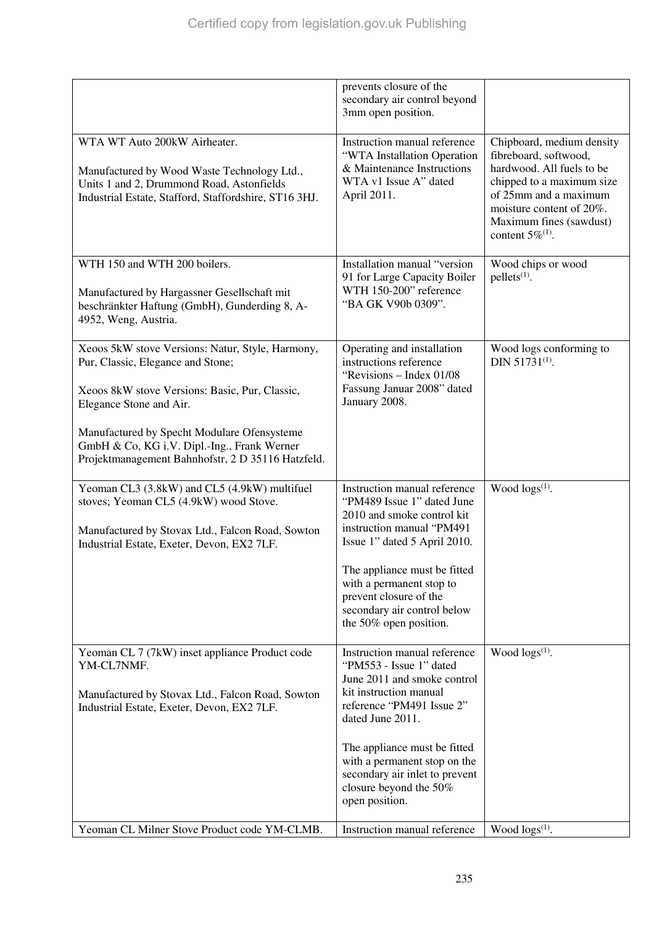|                                                                                                                                                                                          | prevents closure of the<br>secondary air control beyond<br>3mm open position.                                                                                     |                                                                                                                                                                                                                                |
|------------------------------------------------------------------------------------------------------------------------------------------------------------------------------------------|-------------------------------------------------------------------------------------------------------------------------------------------------------------------|--------------------------------------------------------------------------------------------------------------------------------------------------------------------------------------------------------------------------------|
| WTA WT Auto 200kW Airheater.<br>Manufactured by Wood Waste Technology Ltd.,<br>Units 1 and 2, Drummond Road, Astonfields<br>Industrial Estate, Stafford, Staffordshire, ST16 3HJ.        | Instruction manual reference<br>"WTA Installation Operation<br>& Maintenance Instructions<br>WTA v1 Issue A" dated<br>April 2011.                                 | Chipboard, medium density<br>fibreboard, softwood,<br>hardwood. All fuels to be<br>chipped to a maximum size<br>of 25mm and a maximum<br>moisture content of 20%.<br>Maximum fines (sawdust)<br>content $5\%$ <sup>(1)</sup> . |
| WTH 150 and WTH 200 boilers.<br>Manufactured by Hargassner Gesellschaft mit<br>beschränkter Haftung (GmbH), Gunderding 8, A-<br>4952, Weng, Austria.                                     | Installation manual "version<br>91 for Large Capacity Boiler<br>WTH 150-200" reference<br>"BA GK V90b 0309".                                                      | Wood chips or wood<br>pellets <sup>(1)</sup> .                                                                                                                                                                                 |
| Xeoos 5kW stove Versions: Natur, Style, Harmony,<br>Pur, Classic, Elegance and Stone;<br>Xeoos 8kW stove Versions: Basic, Pur, Classic,<br>Elegance Stone and Air.                       | Operating and installation<br>instructions reference<br>"Revisions - Index 01/08<br>Fassung Januar 2008" dated<br>January 2008.                                   | Wood logs conforming to<br>DIN 51731 <sup>(1)</sup> .                                                                                                                                                                          |
| Manufactured by Specht Modulare Ofensysteme<br>GmbH & Co, KG i.V. Dipl.-Ing., Frank Werner<br>Projektmanagement Bahnhofstr, 2 D 35116 Hatzfeld.                                          |                                                                                                                                                                   |                                                                                                                                                                                                                                |
| Yeoman CL3 (3.8kW) and CL5 (4.9kW) multifuel<br>stoves; Yeoman CL5 (4.9kW) wood Stove.<br>Manufactured by Stovax Ltd., Falcon Road, Sowton<br>Industrial Estate, Exeter, Devon, EX2 7LF. | Instruction manual reference<br>"PM489 Issue 1" dated June<br>2010 and smoke control kit<br>instruction manual "PM491<br>Issue 1" dated 5 April 2010.             | Wood $\log(s^{(1)})$ .                                                                                                                                                                                                         |
|                                                                                                                                                                                          | The appliance must be fitted<br>with a permanent stop to<br>prevent closure of the<br>secondary air control below<br>the 50% open position.                       |                                                                                                                                                                                                                                |
| Yeoman CL 7 (7kW) inset appliance Product code<br>YM-CL7NMF.<br>Manufactured by Stovax Ltd., Falcon Road, Sowton<br>Industrial Estate, Exeter, Devon, EX2 7LF.                           | Instruction manual reference<br>"PM553 - Issue 1" dated<br>June 2011 and smoke control<br>kit instruction manual<br>reference "PM491 Issue 2"<br>dated June 2011. | Wood logs <sup>(1)</sup> .                                                                                                                                                                                                     |
|                                                                                                                                                                                          | The appliance must be fitted<br>with a permanent stop on the<br>secondary air inlet to prevent<br>closure beyond the 50%<br>open position.                        |                                                                                                                                                                                                                                |
| Yeoman CL Milner Stove Product code YM-CLMB.                                                                                                                                             | Instruction manual reference                                                                                                                                      | Wood $\log(s^{(1)})$ .                                                                                                                                                                                                         |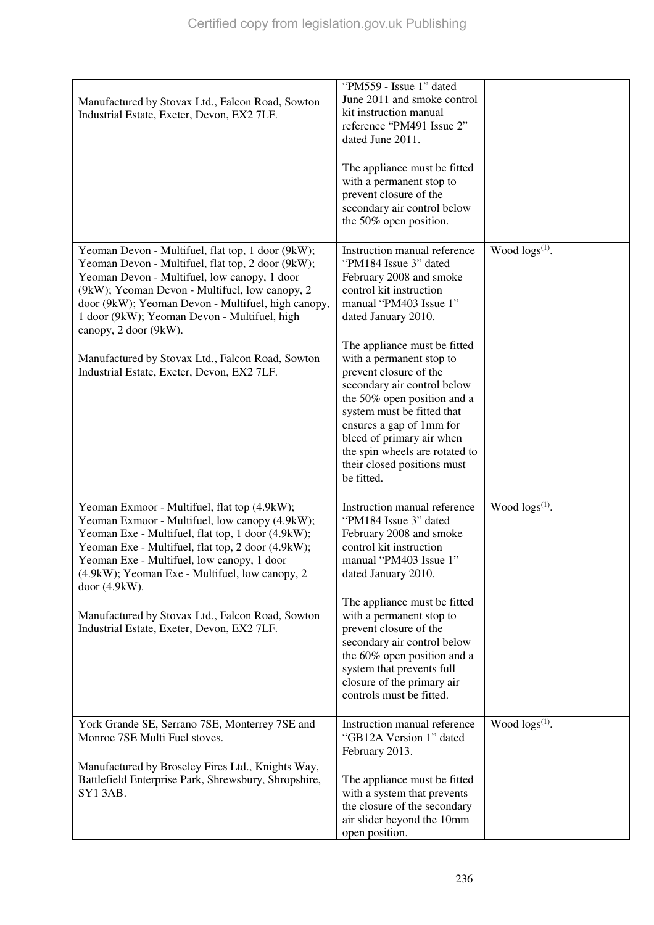| Manufactured by Stovax Ltd., Falcon Road, Sowton<br>Industrial Estate, Exeter, Devon, EX2 7LF.                                                                                                                                                                                                                                                                                              | "PM559 - Issue 1" dated<br>June 2011 and smoke control<br>kit instruction manual<br>reference "PM491 Issue 2"<br>dated June 2011.                                                                                                                          |                        |
|---------------------------------------------------------------------------------------------------------------------------------------------------------------------------------------------------------------------------------------------------------------------------------------------------------------------------------------------------------------------------------------------|------------------------------------------------------------------------------------------------------------------------------------------------------------------------------------------------------------------------------------------------------------|------------------------|
|                                                                                                                                                                                                                                                                                                                                                                                             | The appliance must be fitted<br>with a permanent stop to<br>prevent closure of the<br>secondary air control below<br>the 50% open position.                                                                                                                |                        |
| Yeoman Devon - Multifuel, flat top, 1 door (9kW);<br>Yeoman Devon - Multifuel, flat top, 2 door (9kW);<br>Yeoman Devon - Multifuel, low canopy, 1 door<br>(9kW); Yeoman Devon - Multifuel, low canopy, 2<br>door (9kW); Yeoman Devon - Multifuel, high canopy,<br>1 door (9kW); Yeoman Devon - Multifuel, high<br>canopy, 2 door (9kW).<br>Manufactured by Stovax Ltd., Falcon Road, Sowton | Instruction manual reference<br>"PM184 Issue 3" dated<br>February 2008 and smoke<br>control kit instruction<br>manual "PM403 Issue 1"<br>dated January 2010.<br>The appliance must be fitted<br>with a permanent stop to                                   | Wood $\log(s^{(1)})$ . |
| Industrial Estate, Exeter, Devon, EX2 7LF.                                                                                                                                                                                                                                                                                                                                                  | prevent closure of the<br>secondary air control below<br>the 50% open position and a<br>system must be fitted that<br>ensures a gap of 1mm for<br>bleed of primary air when<br>the spin wheels are rotated to<br>their closed positions must<br>be fitted. |                        |
| Yeoman Exmoor - Multifuel, flat top (4.9kW);<br>Yeoman Exmoor - Multifuel, low canopy (4.9kW);<br>Yeoman Exe - Multifuel, flat top, 1 door (4.9kW);<br>Yeoman Exe - Multifuel, flat top, 2 door (4.9kW);<br>Yeoman Exe - Multifuel, low canopy, 1 door<br>(4.9kW); Yeoman Exe - Multifuel, low canopy, 2<br>door (4.9kW).                                                                   | Instruction manual reference<br>"PM184 Issue 3" dated<br>February 2008 and smoke<br>control kit instruction<br>manual "PM403 Issue 1"<br>dated January 2010.                                                                                               | Wood $\log(s^{(1)})$ . |
| Manufactured by Stovax Ltd., Falcon Road, Sowton<br>Industrial Estate, Exeter, Devon, EX2 7LF.                                                                                                                                                                                                                                                                                              | The appliance must be fitted<br>with a permanent stop to<br>prevent closure of the<br>secondary air control below<br>the 60% open position and a<br>system that prevents full<br>closure of the primary air<br>controls must be fitted.                    |                        |
| York Grande SE, Serrano 7SE, Monterrey 7SE and<br>Monroe 7SE Multi Fuel stoves.                                                                                                                                                                                                                                                                                                             | Instruction manual reference<br>"GB12A Version 1" dated<br>February 2013.                                                                                                                                                                                  | Wood $\log(s^{(1)})$ . |
| Manufactured by Broseley Fires Ltd., Knights Way,<br>Battlefield Enterprise Park, Shrewsbury, Shropshire,<br><b>SY13AB.</b>                                                                                                                                                                                                                                                                 | The appliance must be fitted<br>with a system that prevents<br>the closure of the secondary<br>air slider beyond the 10mm<br>open position.                                                                                                                |                        |